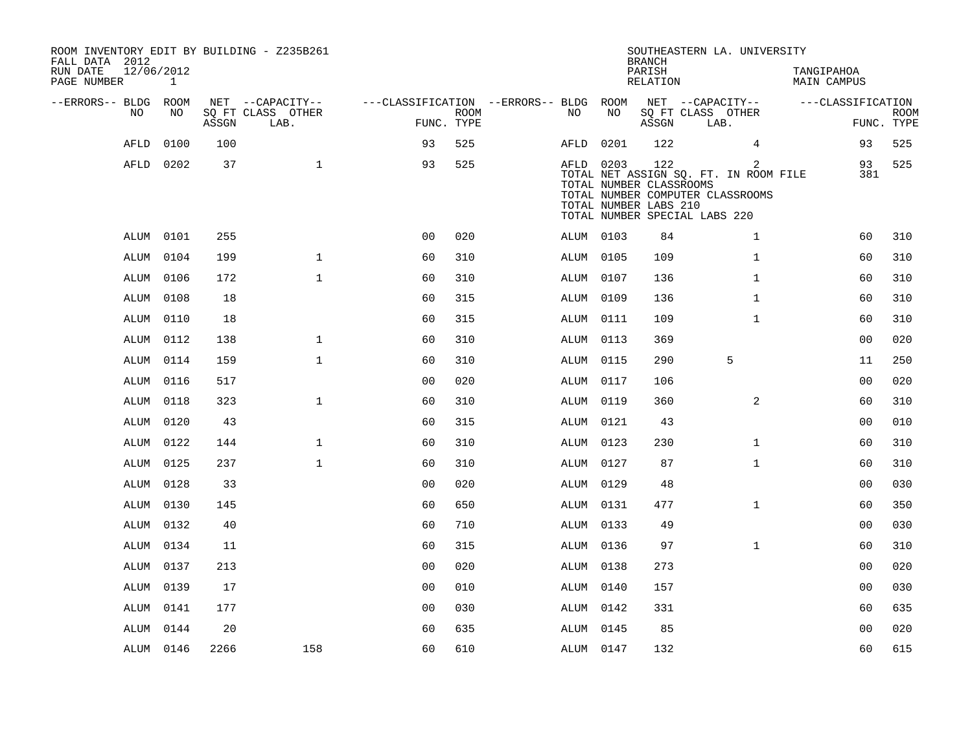| ROOM INVENTORY EDIT BY BUILDING - Z235B261<br>FALL DATA 2012<br>RUN DATE<br>PAGE NUMBER | 12/06/2012<br>1 |       |                           |                                        |                           |           |           | <b>BRANCH</b><br>PARISH<br>RELATION              | SOUTHEASTERN LA. UNIVERSITY                                                                                | TANGIPAHOA<br>MAIN CAMPUS |                           |
|-----------------------------------------------------------------------------------------|-----------------|-------|---------------------------|----------------------------------------|---------------------------|-----------|-----------|--------------------------------------------------|------------------------------------------------------------------------------------------------------------|---------------------------|---------------------------|
| --ERRORS-- BLDG ROOM                                                                    |                 |       | NET --CAPACITY--          | ---CLASSIFICATION --ERRORS-- BLDG ROOM |                           |           |           |                                                  | NET --CAPACITY--                                                                                           | ---CLASSIFICATION         |                           |
| NO                                                                                      | NO.             | ASSGN | SQ FT CLASS OTHER<br>LAB. |                                        | <b>ROOM</b><br>FUNC. TYPE | NO        | NO        | ASSGN                                            | SQ FT CLASS OTHER<br>LAB.                                                                                  |                           | <b>ROOM</b><br>FUNC. TYPE |
| AFLD                                                                                    | 0100            | 100   |                           | 93                                     | 525                       | AFLD      | 0201      | 122                                              | $\overline{4}$                                                                                             | 93                        | 525                       |
|                                                                                         | AFLD 0202       | 37    | $\mathbf{1}$              | 93                                     | 525                       |           | AFLD 0203 | 122                                              | 2                                                                                                          | 93                        | 525                       |
|                                                                                         |                 |       |                           |                                        |                           |           |           | TOTAL NUMBER CLASSROOMS<br>TOTAL NUMBER LABS 210 | TOTAL NET ASSIGN SQ. FT. IN ROOM FILE<br>TOTAL NUMBER COMPUTER CLASSROOMS<br>TOTAL NUMBER SPECIAL LABS 220 | 381                       |                           |
|                                                                                         | ALUM 0101       | 255   |                           | 0 <sub>0</sub>                         | 020                       | ALUM 0103 |           | 84                                               | $\mathbf{1}$                                                                                               | 60                        | 310                       |
| ALUM                                                                                    | 0104            | 199   | $\mathbf 1$               | 60                                     | 310                       | ALUM 0105 |           | 109                                              | $\mathbf{1}$                                                                                               | 60                        | 310                       |
|                                                                                         | ALUM 0106       | 172   | $\mathbf{1}$              | 60                                     | 310                       | ALUM 0107 |           | 136                                              | $\mathbf{1}$                                                                                               | 60                        | 310                       |
|                                                                                         | ALUM 0108       | 18    |                           | 60                                     | 315                       | ALUM 0109 |           | 136                                              | $\mathbf{1}$                                                                                               | 60                        | 310                       |
| ALUM                                                                                    | 0110            | 18    |                           | 60                                     | 315                       |           | ALUM 0111 | 109                                              | $\mathbf{1}$                                                                                               | 60                        | 310                       |
| ALUM                                                                                    | 0112            | 138   | $\mathbf{1}$              | 60                                     | 310                       | ALUM 0113 |           | 369                                              |                                                                                                            | 0 <sub>0</sub>            | 020                       |
| ALUM                                                                                    | 0114            | 159   | $\mathbf{1}$              | 60                                     | 310                       | ALUM 0115 |           | 290                                              | 5                                                                                                          | 11                        | 250                       |
| ALUM                                                                                    | 0116            | 517   |                           | 0 <sub>0</sub>                         | 020                       | ALUM 0117 |           | 106                                              |                                                                                                            | 0 <sub>0</sub>            | 020                       |
| ALUM                                                                                    | 0118            | 323   | $\mathbf{1}$              | 60                                     | 310                       | ALUM 0119 |           | 360                                              | 2                                                                                                          | 60                        | 310                       |
| ALUM                                                                                    | 0120            | 43    |                           | 60                                     | 315                       |           | ALUM 0121 | 43                                               |                                                                                                            | 00                        | 010                       |
|                                                                                         | ALUM 0122       | 144   | $\mathbf{1}$              | 60                                     | 310                       | ALUM 0123 |           | 230                                              | $\mathbf{1}$                                                                                               | 60                        | 310                       |
| ALUM                                                                                    | 0125            | 237   | $\mathbf{1}$              | 60                                     | 310                       | ALUM 0127 |           | 87                                               | $\mathbf{1}$                                                                                               | 60                        | 310                       |
| ALUM                                                                                    | 0128            | 33    |                           | 00                                     | 020                       | ALUM 0129 |           | 48                                               |                                                                                                            | 0 <sub>0</sub>            | 030                       |
|                                                                                         | ALUM 0130       | 145   |                           | 60                                     | 650                       | ALUM 0131 |           | 477                                              | $\mathbf{1}$                                                                                               | 60                        | 350                       |
|                                                                                         | ALUM 0132       | 40    |                           | 60                                     | 710                       | ALUM 0133 |           | 49                                               |                                                                                                            | 00                        | 030                       |
| ALUM                                                                                    | 0134            | 11    |                           | 60                                     | 315                       | ALUM 0136 |           | 97                                               | $\mathbf{1}$                                                                                               | 60                        | 310                       |
|                                                                                         | ALUM 0137       | 213   |                           | 0 <sub>0</sub>                         | 020                       | ALUM 0138 |           | 273                                              |                                                                                                            | 0 <sub>0</sub>            | 020                       |
| ALUM                                                                                    | 0139            | 17    |                           | 0 <sup>0</sup>                         | 010                       | ALUM 0140 |           | 157                                              |                                                                                                            | 00                        | 030                       |
|                                                                                         | ALUM 0141       | 177   |                           | 0 <sub>0</sub>                         | 030                       | ALUM 0142 |           | 331                                              |                                                                                                            | 60                        | 635                       |
|                                                                                         | ALUM 0144       | 20    |                           | 60                                     | 635                       | ALUM 0145 |           | 85                                               |                                                                                                            | 00                        | 020                       |
|                                                                                         | ALUM 0146       | 2266  | 158                       | 60                                     | 610                       | ALUM 0147 |           | 132                                              |                                                                                                            | 60                        | 615                       |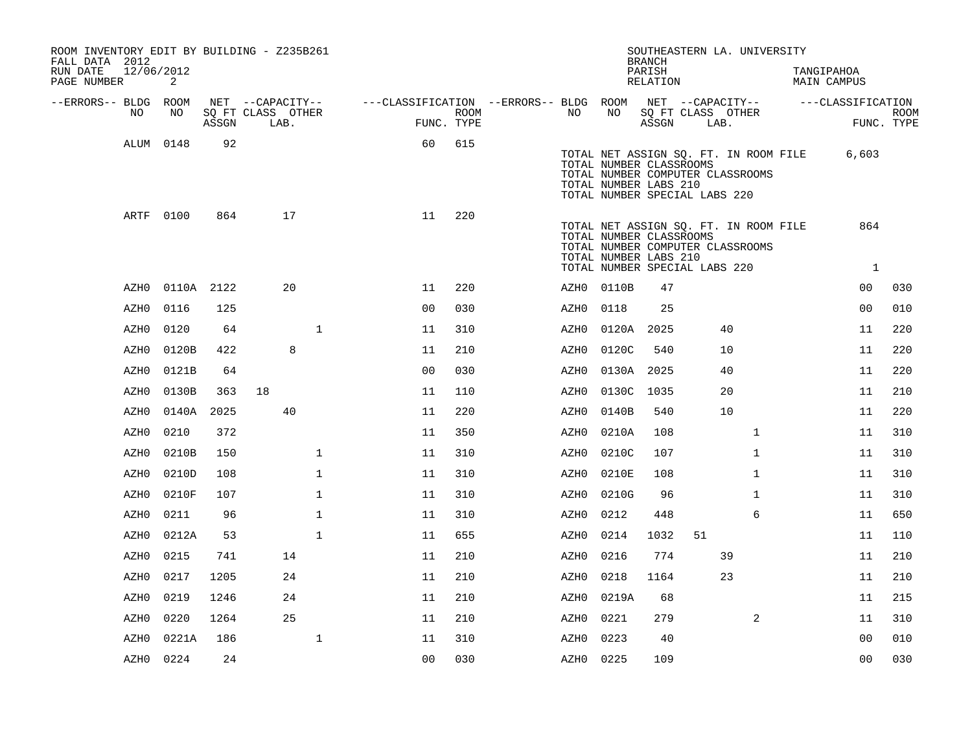| ROOM INVENTORY EDIT BY BUILDING - Z235B261<br>FALL DATA 2012 |           |            |                           |              |                                                         |                    |           |                                                                                   | <b>BRANCH</b>      |    | SOUTHEASTERN LA. UNIVERSITY                                               |                                  |                           |
|--------------------------------------------------------------|-----------|------------|---------------------------|--------------|---------------------------------------------------------|--------------------|-----------|-----------------------------------------------------------------------------------|--------------------|----|---------------------------------------------------------------------------|----------------------------------|---------------------------|
| 12/06/2012<br>RUN DATE<br>PAGE NUMBER                        | 2         |            |                           |              |                                                         |                    |           |                                                                                   | PARISH<br>RELATION |    |                                                                           | TANGIPAHOA<br><b>MAIN CAMPUS</b> |                           |
| --ERRORS-- BLDG ROOM                                         |           |            | NET --CAPACITY--          |              | ---CLASSIFICATION --ERRORS-- BLDG ROOM NET --CAPACITY-- |                    |           |                                                                                   |                    |    |                                                                           | ---CLASSIFICATION                |                           |
| NO                                                           | NO        | ASSGN      | SQ FT CLASS OTHER<br>LAB. |              |                                                         | ROOM<br>FUNC. TYPE | NO        | NO                                                                                | ASSGN              |    | SQ FT CLASS OTHER<br>LAB.                                                 |                                  | <b>ROOM</b><br>FUNC. TYPE |
|                                                              | ALUM 0148 | 92         |                           |              | 60                                                      | 615                |           | TOTAL NUMBER CLASSROOMS<br>TOTAL NUMBER LABS 210<br>TOTAL NUMBER SPECIAL LABS 220 |                    |    | TOTAL NET ASSIGN SQ. FT. IN ROOM FILE<br>TOTAL NUMBER COMPUTER CLASSROOMS | 6,603                            |                           |
|                                                              | ARTF 0100 | 864        | 17                        |              | 11                                                      | 220                |           | TOTAL NUMBER CLASSROOMS<br>TOTAL NUMBER LABS 210<br>TOTAL NUMBER SPECIAL LABS 220 |                    |    | TOTAL NET ASSIGN SQ. FT. IN ROOM FILE<br>TOTAL NUMBER COMPUTER CLASSROOMS | 864<br>$\overline{1}$            |                           |
| AZH0                                                         |           | 0110A 2122 | 20                        |              | 11                                                      | 220                |           | AZH0 0110B                                                                        | 47                 |    |                                                                           | 00                               | 030                       |
| AZH0                                                         | 0116      | 125        |                           |              | 0 <sub>0</sub>                                          | 030                | AZH0      | 0118                                                                              | 25                 |    |                                                                           | 0 <sub>0</sub>                   | 010                       |
| AZH0                                                         | 0120      | 64         |                           | $\mathbf 1$  | 11                                                      | 310                | AZH0      | 0120A 2025                                                                        |                    |    | 40                                                                        | 11                               | 220                       |
| AZH0                                                         | 0120B     | 422        | 8                         |              | 11                                                      | 210                | AZH0      | 0120C                                                                             | 540                |    | 10                                                                        | 11                               | 220                       |
| AZH0                                                         | 0121B     | 64         |                           |              | 0 <sub>0</sub>                                          | 030                | AZH0      | 0130A 2025                                                                        |                    |    | 40                                                                        | 11                               | 220                       |
| AZH0                                                         | 0130B     | 363        | 18                        |              | 11                                                      | 110                | AZH0      | 0130C                                                                             | 1035               |    | 20                                                                        | 11                               | 210                       |
| AZH0                                                         | 0140A     | 2025       | 40                        |              | 11                                                      | 220                | AZH0      | 0140B                                                                             | 540                |    | 10                                                                        | 11                               | 220                       |
| AZH0                                                         | 0210      | 372        |                           |              | 11                                                      | 350                | AZH0      | 0210A                                                                             | 108                |    | $\mathbf{1}$                                                              | 11                               | 310                       |
| AZH0                                                         | 0210B     | 150        |                           | $\mathbf 1$  | 11                                                      | 310                | AZH0      | 0210C                                                                             | 107                |    | $\mathbf{1}$                                                              | 11                               | 310                       |
| AZH0                                                         | 0210D     | 108        |                           | $\mathbf{1}$ | 11                                                      | 310                | AZH0      | 0210E                                                                             | 108                |    | $\mathbf{1}$                                                              | 11                               | 310                       |
| AZH0                                                         | 0210F     | 107        |                           | $\mathbf 1$  | 11                                                      | 310                | AZH0      | 0210G                                                                             | 96                 |    | $\mathbf{1}$                                                              | 11                               | 310                       |
| AZH0                                                         | 0211      | 96         |                           | $\mathbf{1}$ | 11                                                      | 310                | AZH0      | 0212                                                                              | 448                |    | 6                                                                         | 11                               | 650                       |
| AZH0                                                         | 0212A     | 53         |                           | $\mathbf{1}$ | 11                                                      | 655                | AZH0      | 0214                                                                              | 1032               | 51 |                                                                           | 11                               | 110                       |
| AZH0                                                         | 0215      | 741        | 14                        |              | 11                                                      | 210                | AZH0      | 0216                                                                              | 774                |    | 39                                                                        | 11                               | 210                       |
| AZH0                                                         | 0217      | 1205       | 24                        |              | 11                                                      | 210                | AZH0      | 0218                                                                              | 1164               |    | 23                                                                        | 11                               | 210                       |
| AZH0                                                         | 0219      | 1246       | 24                        |              | 11                                                      | 210                | AZH0      | 0219A                                                                             | 68                 |    |                                                                           | 11                               | 215                       |
| AZH0                                                         | 0220      | 1264       | 25                        |              | 11                                                      | 210                | AZH0      | 0221                                                                              | 279                |    | $\overline{2}$                                                            | 11                               | 310                       |
| AZH0                                                         | 0221A     | 186        |                           | $\mathbf{1}$ | 11                                                      | 310                | AZH0      | 0223                                                                              | 40                 |    |                                                                           | 0 <sub>0</sub>                   | 010                       |
| AZH0                                                         | 0224      | 24         |                           |              | 00                                                      | 030                | AZH0 0225 |                                                                                   | 109                |    |                                                                           | 0 <sub>0</sub>                   | 030                       |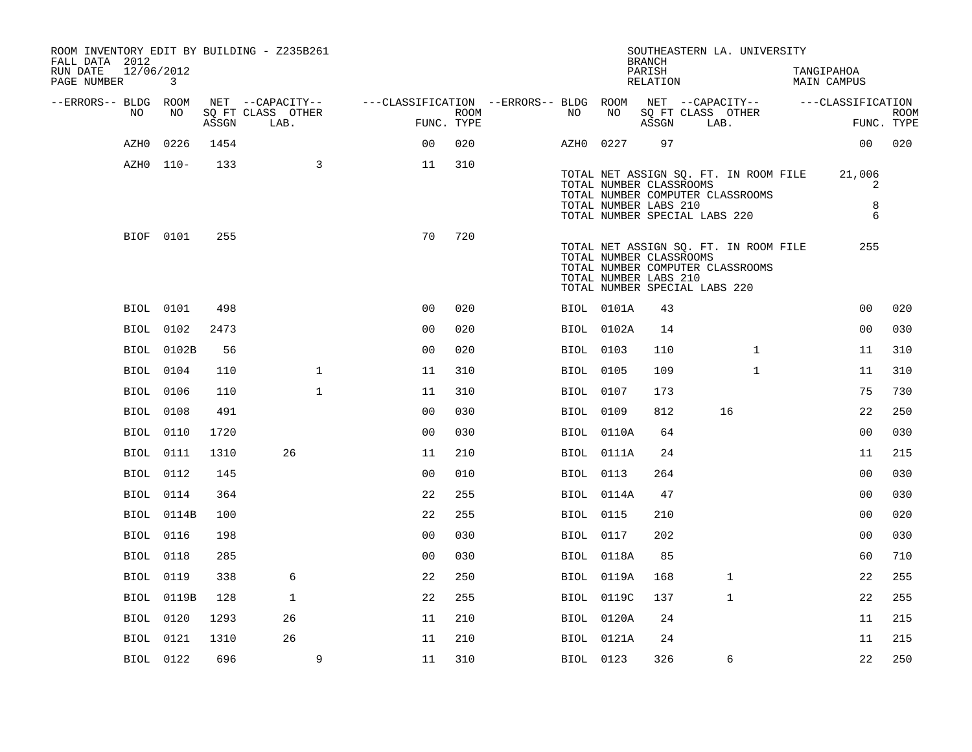| ROOM INVENTORY EDIT BY BUILDING - Z235B261<br>FALL DATA 2012 |                  |       |                           |                                        |                    |                  |            | <b>BRANCH</b>                                    | SOUTHEASTERN LA. UNIVERSITY                                                                                |              |                                  |                           |
|--------------------------------------------------------------|------------------|-------|---------------------------|----------------------------------------|--------------------|------------------|------------|--------------------------------------------------|------------------------------------------------------------------------------------------------------------|--------------|----------------------------------|---------------------------|
| RUN DATE<br>PAGE NUMBER                                      | 12/06/2012<br>3  |       |                           |                                        |                    |                  |            | PARISH<br>RELATION                               |                                                                                                            |              | TANGIPAHOA<br><b>MAIN CAMPUS</b> |                           |
| --ERRORS-- BLDG ROOM                                         |                  |       | NET --CAPACITY--          | ---CLASSIFICATION --ERRORS-- BLDG ROOM |                    |                  |            |                                                  | NET --CAPACITY--                                                                                           |              | ---CLASSIFICATION                |                           |
| NO                                                           | NO               | ASSGN | SQ FT CLASS OTHER<br>LAB. |                                        | ROOM<br>FUNC. TYPE | NO               | NO         | ASSGN                                            | SQ FT CLASS OTHER<br>LAB.                                                                                  |              |                                  | <b>ROOM</b><br>FUNC. TYPE |
| AZH0                                                         | 0226             | 1454  |                           | 0 <sub>0</sub>                         | 020                | AZH0 0227        |            | 97                                               |                                                                                                            |              | 0 <sub>0</sub>                   | 020                       |
|                                                              | AZH0 110-        | 133   | 3                         | 11                                     | 310                |                  |            | TOTAL NUMBER CLASSROOMS<br>TOTAL NUMBER LABS 210 | TOTAL NET ASSIGN SQ. FT. IN ROOM FILE<br>TOTAL NUMBER COMPUTER CLASSROOMS<br>TOTAL NUMBER SPECIAL LABS 220 |              | 21,006<br>2<br>8<br>6            |                           |
|                                                              | BIOF 0101        | 255   |                           | 70                                     | 720                |                  |            | TOTAL NUMBER CLASSROOMS<br>TOTAL NUMBER LABS 210 | TOTAL NET ASSIGN SQ. FT. IN ROOM FILE<br>TOTAL NUMBER COMPUTER CLASSROOMS<br>TOTAL NUMBER SPECIAL LABS 220 |              | 255                              |                           |
|                                                              | BIOL 0101        | 498   |                           | 0 <sub>0</sub>                         | 020                |                  | BIOL 0101A | 43                                               |                                                                                                            |              | 0 <sub>0</sub>                   | 020                       |
|                                                              | BIOL 0102        | 2473  |                           | 0 <sub>0</sub>                         | 020                |                  | BIOL 0102A | 14                                               |                                                                                                            |              | 0 <sub>0</sub>                   | 030                       |
|                                                              | BIOL 0102B       | 56    |                           | 0 <sub>0</sub>                         | 020                | BIOL 0103        |            | 110                                              |                                                                                                            | $\mathbf{1}$ | 11                               | 310                       |
|                                                              | BIOL 0104        | 110   | $\mathbf 1$               | 11                                     | 310                | <b>BIOL 0105</b> |            | 109                                              |                                                                                                            | $\mathbf{1}$ | 11                               | 310                       |
|                                                              | BIOL 0106        | 110   | $\mathbf{1}$              | 11                                     | 310                | BIOL 0107        |            | 173                                              |                                                                                                            |              | 75                               | 730                       |
|                                                              | <b>BIOL</b> 0108 | 491   |                           | 0 <sub>0</sub>                         | 030                | BIOL 0109        |            | 812                                              | 16                                                                                                         |              | 22                               | 250                       |
|                                                              | <b>BIOL</b> 0110 | 1720  |                           | 0 <sub>0</sub>                         | 030                |                  | BIOL 0110A | 64                                               |                                                                                                            |              | 0 <sub>0</sub>                   | 030                       |
|                                                              | <b>BIOL</b> 0111 | 1310  | 26                        | 11                                     | 210                |                  | BIOL 0111A | 24                                               |                                                                                                            |              | 11                               | 215                       |
|                                                              | BIOL 0112        | 145   |                           | 0 <sub>0</sub>                         | 010                | BIOL 0113        |            | 264                                              |                                                                                                            |              | 0 <sub>0</sub>                   | 030                       |
|                                                              | BIOL 0114        | 364   |                           | 22                                     | 255                |                  | BIOL 0114A | 47                                               |                                                                                                            |              | 0 <sub>0</sub>                   | 030                       |
|                                                              | BIOL 0114B       | 100   |                           | 22                                     | 255                | BIOL 0115        |            | 210                                              |                                                                                                            |              | 0 <sub>0</sub>                   | 020                       |
|                                                              | <b>BIOL</b> 0116 | 198   |                           | 0 <sub>0</sub>                         | 030                | BIOL 0117        |            | 202                                              |                                                                                                            |              | 0 <sub>0</sub>                   | 030                       |
|                                                              | <b>BIOL</b> 0118 | 285   |                           | 0 <sub>0</sub>                         | 030                |                  | BIOL 0118A | 85                                               |                                                                                                            |              | 60                               | 710                       |
|                                                              | <b>BIOL</b> 0119 | 338   | 6                         | 22                                     | 250                |                  | BIOL 0119A | 168                                              | $\mathbf{1}$                                                                                               |              | 22                               | 255                       |
|                                                              | BIOL 0119B       | 128   | $\mathbf{1}$              | 22                                     | 255                |                  | BIOL 0119C | 137                                              | $\mathbf 1$                                                                                                |              | 22                               | 255                       |
|                                                              | BIOL 0120        | 1293  | 26                        | 11                                     | 210                |                  | BIOL 0120A | 24                                               |                                                                                                            |              | 11                               | 215                       |
|                                                              | BIOL 0121        | 1310  | 26                        | 11                                     | 210                |                  | BIOL 0121A | 24                                               |                                                                                                            |              | 11                               | 215                       |
|                                                              | BIOL 0122        | 696   | 9                         | 11                                     | 310                | BIOL 0123        |            | 326                                              | 6                                                                                                          |              | 22                               | 250                       |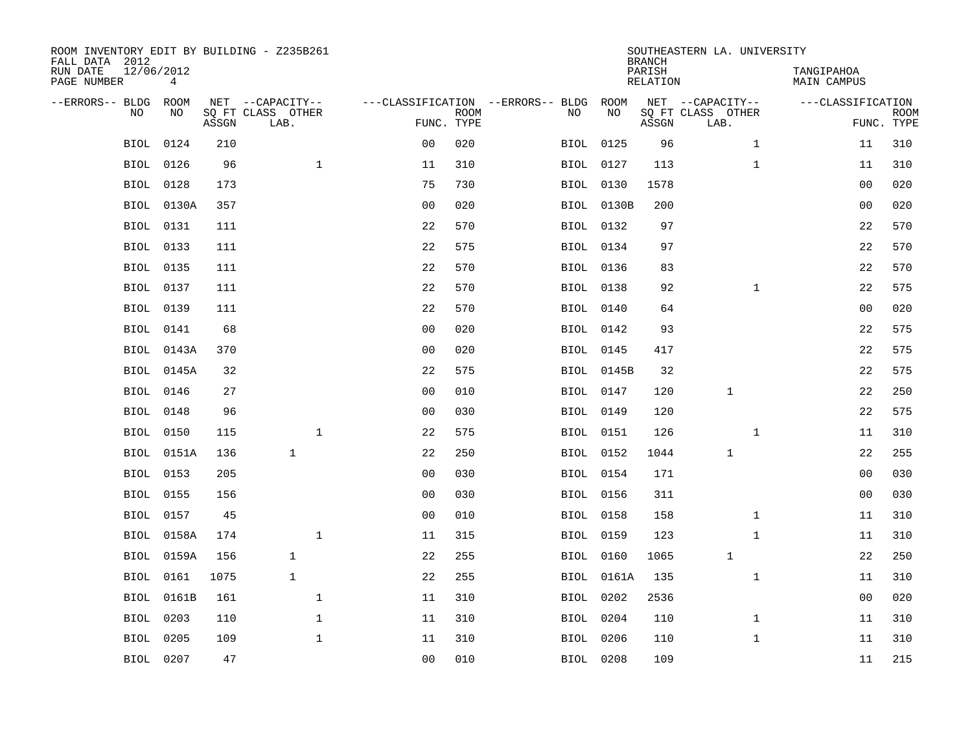| ROOM INVENTORY EDIT BY BUILDING - Z235B261<br>FALL DATA 2012 |                              |       |                           |                |             |                                   |                   | <b>BRANCH</b>             | SOUTHEASTERN LA. UNIVERSITY |                                  |                           |
|--------------------------------------------------------------|------------------------------|-------|---------------------------|----------------|-------------|-----------------------------------|-------------------|---------------------------|-----------------------------|----------------------------------|---------------------------|
| RUN DATE<br>PAGE NUMBER                                      | 12/06/2012<br>$\overline{4}$ |       |                           |                |             |                                   |                   | PARISH<br><b>RELATION</b> |                             | TANGIPAHOA<br><b>MAIN CAMPUS</b> |                           |
| --ERRORS-- BLDG                                              | ROOM                         |       | NET --CAPACITY--          |                |             | ---CLASSIFICATION --ERRORS-- BLDG | ROOM              |                           | NET --CAPACITY--            | ---CLASSIFICATION                |                           |
| NO                                                           | NO                           | ASSGN | SQ FT CLASS OTHER<br>LAB. | FUNC. TYPE     | <b>ROOM</b> | NO                                | NO                | ASSGN                     | SQ FT CLASS OTHER<br>LAB.   |                                  | <b>ROOM</b><br>FUNC. TYPE |
| BIOL                                                         | 0124                         | 210   |                           | 0 <sub>0</sub> | 020         |                                   | BIOL 0125         | 96                        | $\mathbf{1}$                | 11                               | 310                       |
| <b>BIOL</b>                                                  | 0126                         | 96    | $\mathbf{1}$              | 11             | 310         |                                   | BIOL 0127         | 113                       | $\mathbf{1}$                | 11                               | 310                       |
| BIOL                                                         | 0128                         | 173   |                           | 75             | 730         |                                   | BIOL 0130         | 1578                      |                             | 00                               | 020                       |
| <b>BIOL</b>                                                  | 0130A                        | 357   |                           | 0 <sub>0</sub> | 020         |                                   | <b>BIOL 0130B</b> | 200                       |                             | 0 <sub>0</sub>                   | 020                       |
| <b>BIOL</b>                                                  | 0131                         | 111   |                           | 22             | 570         |                                   | BIOL 0132         | 97                        |                             | 22                               | 570                       |
| BIOL                                                         | 0133                         | 111   |                           | 22             | 575         |                                   | BIOL 0134         | 97                        |                             | 22                               | 570                       |
| BIOL                                                         | 0135                         | 111   |                           | 22             | 570         |                                   | <b>BIOL</b> 0136  | 83                        |                             | 22                               | 570                       |
|                                                              | BIOL 0137                    | 111   |                           | 22             | 570         |                                   | <b>BIOL</b> 0138  | 92                        | $\mathbf{1}$                | 22                               | 575                       |
| <b>BIOL</b>                                                  | 0139                         | 111   |                           | 22             | 570         |                                   | BIOL 0140         | 64                        |                             | 0 <sub>0</sub>                   | 020                       |
|                                                              | <b>BIOL</b> 0141             | 68    |                           | 0 <sub>0</sub> | 020         |                                   | BIOL 0142         | 93                        |                             | 22                               | 575                       |
|                                                              | BIOL 0143A                   | 370   |                           | 0 <sub>0</sub> | 020         |                                   | BIOL 0145         | 417                       |                             | 22                               | 575                       |
|                                                              | BIOL 0145A                   | 32    |                           | 22             | 575         |                                   | BIOL 0145B        | 32                        |                             | 22                               | 575                       |
| BIOL                                                         | 0146                         | 27    |                           | 0 <sub>0</sub> | 010         |                                   | BIOL 0147         | 120                       | 1                           | 22                               | 250                       |
|                                                              | BIOL 0148                    | 96    |                           | 0 <sub>0</sub> | 030         |                                   | BIOL 0149         | 120                       |                             | 22                               | 575                       |
| BIOL                                                         | 0150                         | 115   | $\mathbf{1}$              | 22             | 575         |                                   | BIOL 0151         | 126                       | $\mathbf{1}$                | 11                               | 310                       |
|                                                              | BIOL 0151A                   | 136   | $\mathbf{1}$              | 22             | 250         |                                   | BIOL 0152         | 1044                      | 1                           | 22                               | 255                       |
| <b>BIOL</b>                                                  | 0153                         | 205   |                           | 0 <sub>0</sub> | 030         |                                   | BIOL 0154         | 171                       |                             | 00                               | 030                       |
| <b>BIOL</b>                                                  | 0155                         | 156   |                           | 0 <sub>0</sub> | 030         |                                   | <b>BIOL 0156</b>  | 311                       |                             | 0 <sub>0</sub>                   | 030                       |
|                                                              | BIOL 0157                    | 45    |                           | 0 <sub>0</sub> | 010         |                                   | <b>BIOL</b> 0158  | 158                       | $\mathbf{1}$                | 11                               | 310                       |
| BIOL                                                         | 0158A                        | 174   | $\mathbf 1$               | 11             | 315         |                                   | BIOL 0159         | 123                       | $\mathbf{1}$                | 11                               | 310                       |
| BIOL                                                         | 0159A                        | 156   | $\mathbf{1}$              | 22             | 255         |                                   | BIOL 0160         | 1065                      | $\mathbf{1}$                | 22                               | 250                       |
| <b>BIOL</b>                                                  | 0161                         | 1075  | $\mathbf{1}$              | 22             | 255         |                                   | <b>BIOL 0161A</b> | 135                       | $\mathbf{1}$                | 11                               | 310                       |
| <b>BIOL</b>                                                  | 0161B                        | 161   | $\mathbf 1$               | 11             | 310         |                                   | BIOL 0202         | 2536                      |                             | 00                               | 020                       |
| <b>BIOL</b>                                                  | 0203                         | 110   | $\mathbf{1}$              | 11             | 310         |                                   | BIOL 0204         | 110                       | $\mathbf{1}$                | 11                               | 310                       |
| <b>BIOL</b>                                                  | 0205                         | 109   | $\mathbf{1}$              | 11             | 310         |                                   | BIOL 0206         | 110                       | $\mathbf{1}$                | 11                               | 310                       |
|                                                              | BIOL 0207                    | 47    |                           | 0 <sub>0</sub> | 010         |                                   | BIOL 0208         | 109                       |                             | 11                               | 215                       |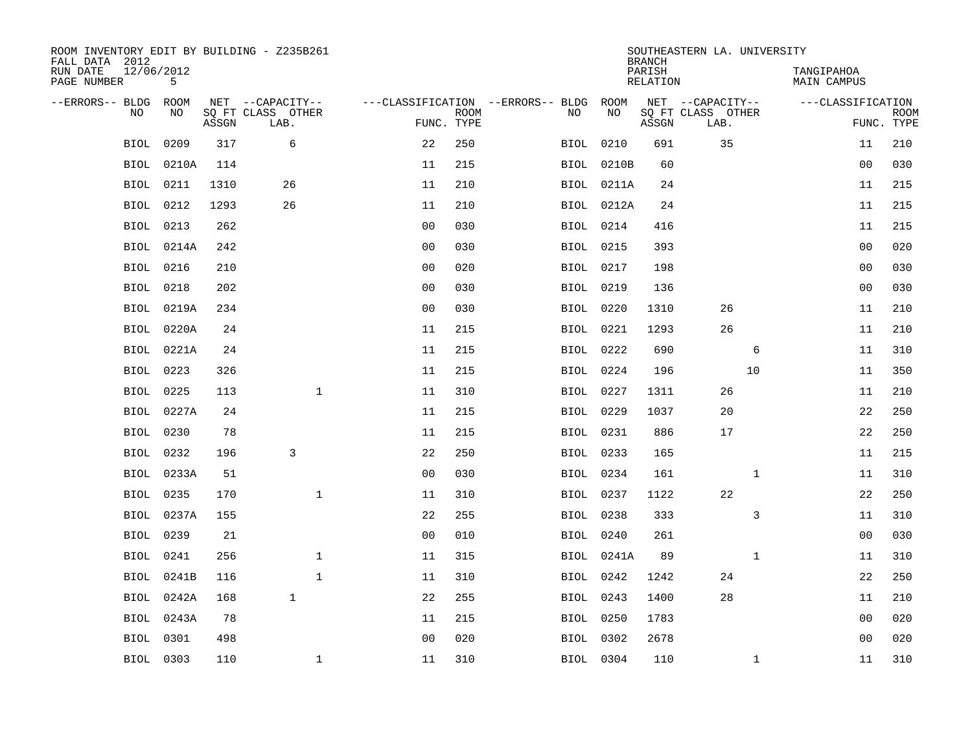| ROOM INVENTORY EDIT BY BUILDING - Z235B261<br>FALL DATA 2012 |                 |       |                           |              |                |             |                                   |                  | <b>BRANCH</b>             | SOUTHEASTERN LA. UNIVERSITY |              |                                  |                           |
|--------------------------------------------------------------|-----------------|-------|---------------------------|--------------|----------------|-------------|-----------------------------------|------------------|---------------------------|-----------------------------|--------------|----------------------------------|---------------------------|
| RUN DATE<br>PAGE NUMBER                                      | 12/06/2012<br>5 |       |                           |              |                |             |                                   |                  | PARISH<br><b>RELATION</b> |                             |              | TANGIPAHOA<br><b>MAIN CAMPUS</b> |                           |
| --ERRORS-- BLDG                                              | ROOM            |       | NET --CAPACITY--          |              |                |             | ---CLASSIFICATION --ERRORS-- BLDG | ROOM             |                           | NET --CAPACITY--            |              | ---CLASSIFICATION                |                           |
| NO                                                           | NO              | ASSGN | SQ FT CLASS OTHER<br>LAB. |              | FUNC. TYPE     | <b>ROOM</b> | NO                                | NO               | ASSGN                     | SQ FT CLASS OTHER<br>LAB.   |              |                                  | <b>ROOM</b><br>FUNC. TYPE |
| BIOL                                                         | 0209            | 317   | 6                         |              | 22             | 250         |                                   | BIOL 0210        | 691                       | 35                          |              | 11                               | 210                       |
| <b>BIOL</b>                                                  | 0210A           | 114   |                           |              | 11             | 215         |                                   | BIOL 0210B       | 60                        |                             |              | 00                               | 030                       |
| <b>BIOL</b>                                                  | 0211            | 1310  | 26                        |              | 11             | 210         |                                   | BIOL 0211A       | 24                        |                             |              | 11                               | 215                       |
| <b>BIOL</b>                                                  | 0212            | 1293  | 26                        |              | 11             | 210         |                                   | BIOL 0212A       | 24                        |                             |              | 11                               | 215                       |
| <b>BIOL</b>                                                  | 0213            | 262   |                           |              | 0 <sub>0</sub> | 030         |                                   | BIOL 0214        | 416                       |                             |              | 11                               | 215                       |
| BIOL                                                         | 0214A           | 242   |                           |              | 0 <sub>0</sub> | 030         |                                   | <b>BIOL</b> 0215 | 393                       |                             |              | 0 <sub>0</sub>                   | 020                       |
| BIOL                                                         | 0216            | 210   |                           |              | 0 <sub>0</sub> | 020         |                                   | BIOL 0217        | 198                       |                             |              | 00                               | 030                       |
| <b>BIOL</b>                                                  | 0218            | 202   |                           |              | 0 <sub>0</sub> | 030         |                                   | <b>BIOL 0219</b> | 136                       |                             |              | 0 <sub>0</sub>                   | 030                       |
| <b>BIOL</b>                                                  | 0219A           | 234   |                           |              | 0 <sub>0</sub> | 030         |                                   | BIOL 0220        | 1310                      | 26                          |              | 11                               | 210                       |
| BIOL                                                         | 0220A           | 24    |                           |              | 11             | 215         |                                   | BIOL 0221        | 1293                      | 26                          |              | 11                               | 210                       |
|                                                              | BIOL 0221A      | 24    |                           |              | 11             | 215         |                                   | BIOL 0222        | 690                       |                             | 6            | 11                               | 310                       |
|                                                              | BIOL 0223       | 326   |                           |              | 11             | 215         |                                   | BIOL 0224        | 196                       |                             | 10           | 11                               | 350                       |
| BIOL                                                         | 0225            | 113   |                           | $\mathbf{1}$ | 11             | 310         |                                   | BIOL 0227        | 1311                      | 26                          |              | 11                               | 210                       |
| BIOL                                                         | 0227A           | 24    |                           |              | 11             | 215         |                                   | BIOL 0229        | 1037                      | 20                          |              | 22                               | 250                       |
| BIOL                                                         | 0230            | 78    |                           |              | 11             | 215         |                                   | BIOL 0231        | 886                       | 17                          |              | 22                               | 250                       |
| BIOL                                                         | 0232            | 196   | 3                         |              | 22             | 250         |                                   | BIOL 0233        | 165                       |                             |              | 11                               | 215                       |
| <b>BIOL</b>                                                  | 0233A           | 51    |                           |              | 0 <sub>0</sub> | 030         |                                   | BIOL 0234        | 161                       |                             | $\mathbf{1}$ | 11                               | 310                       |
| <b>BIOL</b>                                                  | 0235            | 170   |                           | $\mathbf 1$  | 11             | 310         |                                   | BIOL 0237        | 1122                      | 22                          |              | 22                               | 250                       |
|                                                              | BIOL 0237A      | 155   |                           |              | 22             | 255         |                                   | BIOL 0238        | 333                       |                             | 3            | 11                               | 310                       |
| BIOL                                                         | 0239            | 21    |                           |              | 0 <sub>0</sub> | 010         |                                   | BIOL 0240        | 261                       |                             |              | 0 <sub>0</sub>                   | 030                       |
| <b>BIOL</b>                                                  | 0241            | 256   |                           | $\mathbf 1$  | 11             | 315         |                                   | BIOL 0241A       | 89                        |                             | $\mathbf{1}$ | 11                               | 310                       |
| <b>BIOL</b>                                                  | 0241B           | 116   |                           | $\mathbf 1$  | 11             | 310         |                                   | BIOL 0242        | 1242                      | 24                          |              | 22                               | 250                       |
| <b>BIOL</b>                                                  | 0242A           | 168   | $\mathbf{1}$              |              | 22             | 255         |                                   | BIOL 0243        | 1400                      | 28                          |              | 11                               | 210                       |
| <b>BIOL</b>                                                  | 0243A           | 78    |                           |              | 11             | 215         |                                   | BIOL 0250        | 1783                      |                             |              | 0 <sub>0</sub>                   | 020                       |
| <b>BIOL</b>                                                  | 0301            | 498   |                           |              | 0 <sub>0</sub> | 020         |                                   | BIOL 0302        | 2678                      |                             |              | 00                               | 020                       |
|                                                              | BIOL 0303       | 110   |                           | $\mathbf 1$  | 11             | 310         |                                   | BIOL 0304        | 110                       |                             | $\mathbf{1}$ | 11                               | 310                       |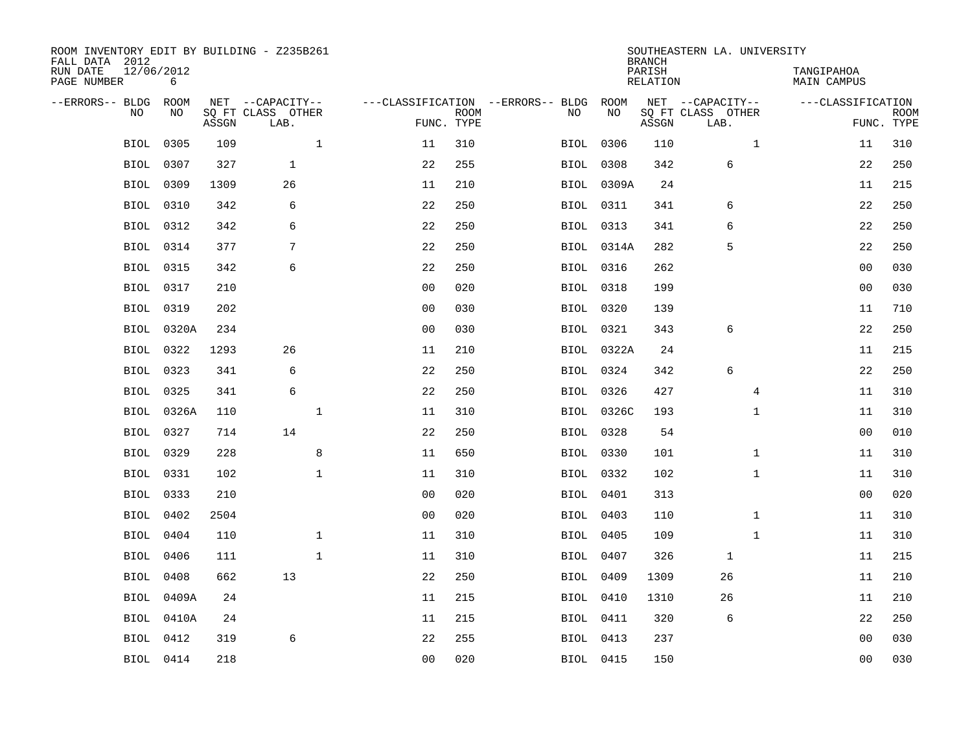| ROOM INVENTORY EDIT BY BUILDING - Z235B261<br>FALL DATA 2012 |                  |       |                           |                |                           |                                   |                  | <b>BRANCH</b>             | SOUTHEASTERN LA. UNIVERSITY |                           |                           |
|--------------------------------------------------------------|------------------|-------|---------------------------|----------------|---------------------------|-----------------------------------|------------------|---------------------------|-----------------------------|---------------------------|---------------------------|
| RUN DATE<br>PAGE NUMBER                                      | 12/06/2012<br>6  |       |                           |                |                           |                                   |                  | PARISH<br><b>RELATION</b> |                             | TANGIPAHOA<br>MAIN CAMPUS |                           |
| --ERRORS-- BLDG                                              | ROOM             |       | NET --CAPACITY--          |                |                           | ---CLASSIFICATION --ERRORS-- BLDG | ROOM             |                           | NET --CAPACITY--            | ---CLASSIFICATION         |                           |
| NO                                                           | NO               | ASSGN | SQ FT CLASS OTHER<br>LAB. |                | <b>ROOM</b><br>FUNC. TYPE | NO                                | NO               | ASSGN                     | SQ FT CLASS OTHER<br>LAB.   |                           | <b>ROOM</b><br>FUNC. TYPE |
| <b>BIOL</b>                                                  | 0305             | 109   | $\mathbf{1}$              | 11             | 310                       |                                   | BIOL 0306        | 110                       | $\mathbf{1}$                | 11                        | 310                       |
| BIOL                                                         | 0307             | 327   | $\mathbf{1}$              | 22             | 255                       |                                   | BIOL 0308        | 342                       | 6                           | 22                        | 250                       |
| BIOL                                                         | 0309             | 1309  | 26                        | 11             | 210                       |                                   | BIOL 0309A       | 24                        |                             | 11                        | 215                       |
| BIOL                                                         | 0310             | 342   | 6                         | 22             | 250                       |                                   | BIOL 0311        | 341                       | 6                           | 22                        | 250                       |
| <b>BIOL</b>                                                  | 0312             | 342   | 6                         | 22             | 250                       |                                   | BIOL 0313        | 341                       | 6                           | 22                        | 250                       |
|                                                              | BIOL 0314        | 377   | 7                         | 22             | 250                       |                                   | BIOL 0314A       | 282                       | 5                           | 22                        | 250                       |
| <b>BIOL</b>                                                  | 0315             | 342   | 6                         | 22             | 250                       |                                   | BIOL 0316        | 262                       |                             | 0 <sub>0</sub>            | 030                       |
|                                                              | BIOL 0317        | 210   |                           | 0 <sub>0</sub> | 020                       |                                   | <b>BIOL</b> 0318 | 199                       |                             | 0 <sub>0</sub>            | 030                       |
| <b>BIOL</b>                                                  | 0319             | 202   |                           | 0 <sub>0</sub> | 030                       |                                   | BIOL 0320        | 139                       |                             | 11                        | 710                       |
|                                                              | BIOL 0320A       | 234   |                           | 0 <sub>0</sub> | 030                       |                                   | BIOL 0321        | 343                       | 6                           | 22                        | 250                       |
| BIOL                                                         | 0322             | 1293  | 26                        | 11             | 210                       |                                   | BIOL 0322A       | 24                        |                             | 11                        | 215                       |
|                                                              | BIOL 0323        | 341   | 6                         | 22             | 250                       |                                   | BIOL 0324        | 342                       | 6                           | 22                        | 250                       |
| BIOL                                                         | 0325             | 341   | $\epsilon$                | 22             | 250                       |                                   | BIOL 0326        | 427                       | $\overline{4}$              | 11                        | 310                       |
|                                                              | BIOL 0326A       | 110   | $\mathbf{1}$              | 11             | 310                       |                                   | BIOL 0326C       | 193                       | $\mathbf{1}$                | 11                        | 310                       |
| BIOL                                                         | 0327             | 714   | 14                        | 22             | 250                       |                                   | BIOL 0328        | 54                        |                             | 00                        | 010                       |
|                                                              | BIOL 0329        | 228   | 8                         | 11             | 650                       |                                   | BIOL 0330        | 101                       | $\mathbf{1}$                | 11                        | 310                       |
| <b>BIOL</b>                                                  | 0331             | 102   | $\mathbf 1$               | 11             | 310                       |                                   | BIOL 0332        | 102                       | $\mathbf{1}$                | 11                        | 310                       |
|                                                              | BIOL 0333        | 210   |                           | 0 <sub>0</sub> | 020                       |                                   | BIOL 0401        | 313                       |                             | 00                        | 020                       |
|                                                              | BIOL 0402        | 2504  |                           | 0 <sub>0</sub> | 020                       |                                   | BIOL 0403        | 110                       | $\mathbf{1}$                | 11                        | 310                       |
|                                                              | BIOL 0404        | 110   | $\mathbf 1$               | 11             | 310                       |                                   | <b>BIOL</b> 0405 | 109                       | $\mathbf{1}$                | 11                        | 310                       |
|                                                              | <b>BIOL</b> 0406 | 111   | $\mathbf{1}$              | 11             | 310                       |                                   | BIOL 0407        | 326                       | $\mathbf{1}$                | 11                        | 215                       |
| BIOL                                                         | 0408             | 662   | 13                        | 22             | 250                       |                                   | BIOL 0409        | 1309                      | 26                          | 11                        | 210                       |
|                                                              | BIOL 0409A       | 24    |                           | 11             | 215                       |                                   | BIOL 0410        | 1310                      | 26                          | 11                        | 210                       |
| BIOL                                                         | 0410A            | 24    |                           | 11             | 215                       |                                   | BIOL 0411        | 320                       | 6                           | 22                        | 250                       |
| BIOL                                                         | 0412             | 319   | 6                         | 22             | 255                       |                                   | BIOL 0413        | 237                       |                             | 0 <sub>0</sub>            | 030                       |
|                                                              | BIOL 0414        | 218   |                           | 0 <sub>0</sub> | 020                       |                                   | <b>BIOL</b> 0415 | 150                       |                             | 00                        | 030                       |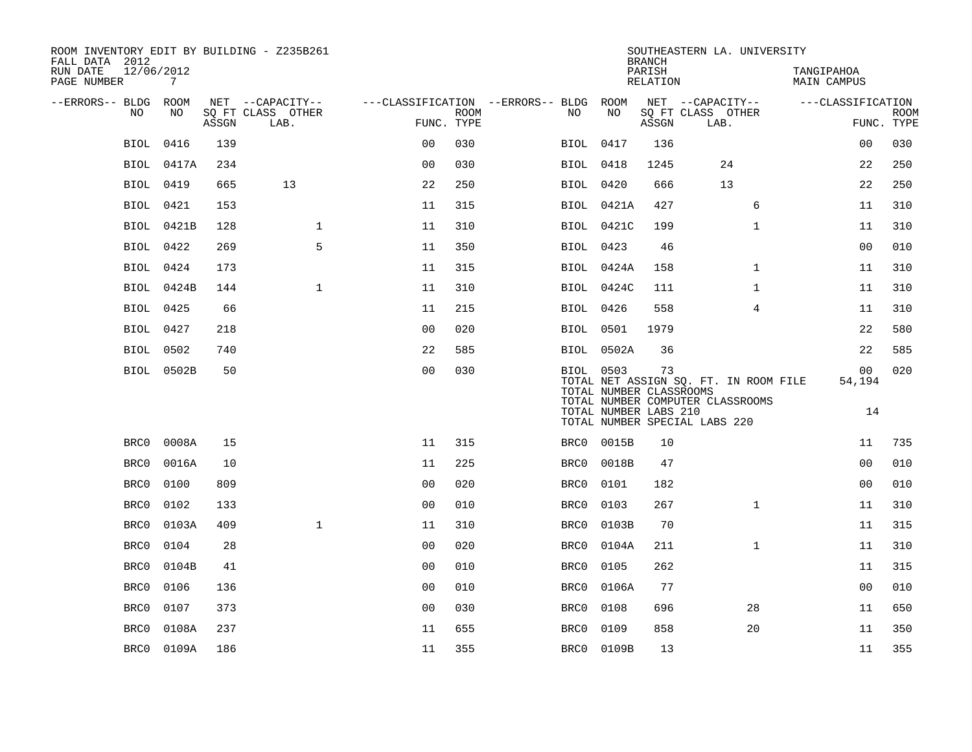| FALL DATA 2012<br>RUN DATE | 12/06/2012  |            |       | ROOM INVENTORY EDIT BY BUILDING - Z235B261    |                                                      |             |                  |                                                  | <b>BRANCH</b><br>PARISH | SOUTHEASTERN LA. UNIVERSITY                                                                                | TANGIPAHOA         |                           |
|----------------------------|-------------|------------|-------|-----------------------------------------------|------------------------------------------------------|-------------|------------------|--------------------------------------------------|-------------------------|------------------------------------------------------------------------------------------------------------|--------------------|---------------------------|
| PAGE NUMBER                |             | 7          |       |                                               |                                                      |             |                  |                                                  | RELATION                |                                                                                                            | <b>MAIN CAMPUS</b> |                           |
| --ERRORS-- BLDG ROOM       | NO.         | NO.        | ASSGN | NET --CAPACITY--<br>SQ FT CLASS OTHER<br>LAB. | ---CLASSIFICATION --ERRORS-- BLDG ROOM<br>FUNC. TYPE | <b>ROOM</b> | NO.              | NO                                               | ASSGN                   | NET --CAPACITY--<br>SQ FT CLASS OTHER<br>LAB.                                                              | ---CLASSIFICATION  | <b>ROOM</b><br>FUNC. TYPE |
|                            | <b>BIOL</b> | 0416       | 139   |                                               | 0 <sub>0</sub>                                       | 030         | BIOL 0417        |                                                  | 136                     |                                                                                                            | 0 <sub>0</sub>     | 030                       |
|                            | BIOL        | 0417A      | 234   |                                               | 0 <sub>0</sub>                                       | 030         | <b>BIOL</b> 0418 |                                                  | 1245                    | 24                                                                                                         | 22                 | 250                       |
|                            | BIOL        | 0419       | 665   | 13                                            | 22                                                   | 250         | BIOL 0420        |                                                  | 666                     | 13                                                                                                         | 22                 | 250                       |
|                            | <b>BIOL</b> | 0421       | 153   |                                               | 11                                                   | 315         |                  | BIOL 0421A                                       | 427                     | 6                                                                                                          | 11                 | 310                       |
|                            | BIOL        | 0421B      | 128   | $\mathbf 1$                                   | 11                                                   | 310         |                  | BIOL 0421C                                       | 199                     | $\mathbf{1}$                                                                                               | 11                 | 310                       |
|                            | BIOL 0422   |            | 269   | 5                                             | 11                                                   | 350         | BIOL 0423        |                                                  | 46                      |                                                                                                            | 0 <sub>0</sub>     | 010                       |
|                            | BIOL 0424   |            | 173   |                                               | 11                                                   | 315         |                  | BIOL 0424A                                       | 158                     | $\mathbf{1}$                                                                                               | 11                 | 310                       |
|                            | BIOL        | 0424B      | 144   | $\mathbf{1}$                                  | 11                                                   | 310         |                  | BIOL 0424C                                       | 111                     | $\mathbf{1}$                                                                                               | 11                 | 310                       |
|                            | BIOL 0425   |            | 66    |                                               | 11                                                   | 215         | BIOL 0426        |                                                  | 558                     | $\overline{4}$                                                                                             | 11                 | 310                       |
|                            | BIOL 0427   |            | 218   |                                               | 0 <sub>0</sub>                                       | 020         | <b>BIOL</b> 0501 |                                                  | 1979                    |                                                                                                            | 22                 | 580                       |
|                            | BIOL        | 0502       | 740   |                                               | 22                                                   | 585         |                  | BIOL 0502A                                       | 36                      |                                                                                                            | 22                 | 585                       |
|                            |             | BIOL 0502B | 50    |                                               | 0 <sub>0</sub>                                       | 030         | BIOL 0503        | TOTAL NUMBER CLASSROOMS<br>TOTAL NUMBER LABS 210 | 73                      | TOTAL NET ASSIGN SQ. FT. IN ROOM FILE<br>TOTAL NUMBER COMPUTER CLASSROOMS<br>TOTAL NUMBER SPECIAL LABS 220 | 00<br>54,194<br>14 | 020                       |
|                            | BRC0        | 0008A      | 15    |                                               | 11                                                   | 315         |                  | BRC0 0015B                                       | 10                      |                                                                                                            | 11                 | 735                       |
|                            | BRC0        | 0016A      | 10    |                                               | 11                                                   | 225         | BRC0             | 0018B                                            | 47                      |                                                                                                            | 0 <sub>0</sub>     | 010                       |
|                            | BRC0        | 0100       | 809   |                                               | 0 <sub>0</sub>                                       | 020         | BRC0             | 0101                                             | 182                     |                                                                                                            | 00                 | 010                       |
|                            | BRC0        | 0102       | 133   |                                               | 0 <sub>0</sub>                                       | 010         | BRC0             | 0103                                             | 267                     | $\mathbf{1}$                                                                                               | 11                 | 310                       |
|                            | BRC0        | 0103A      | 409   | $\mathbf{1}$                                  | 11                                                   | 310         | BRC0             | 0103B                                            | 70                      |                                                                                                            | 11                 | 315                       |
|                            | BRC0        | 0104       | 28    |                                               | 0 <sub>0</sub>                                       | 020         | BRC0             | 0104A                                            | 211                     | $\mathbf{1}$                                                                                               | 11                 | 310                       |
|                            | BRC0        | 0104B      | 41    |                                               | 0 <sub>0</sub>                                       | 010         | BRC0             | 0105                                             | 262                     |                                                                                                            | 11                 | 315                       |
|                            | BRC0        | 0106       | 136   |                                               | 0 <sub>0</sub>                                       | 010         | BRC0             | 0106A                                            | 77                      |                                                                                                            | 00                 | 010                       |
|                            | BRC0        | 0107       | 373   |                                               | 0 <sub>0</sub>                                       | 030         | BRC0             | 0108                                             | 696                     | 28                                                                                                         | 11                 | 650                       |
|                            | BRC0        | 0108A      | 237   |                                               | 11                                                   | 655         | BRC0             | 0109                                             | 858                     | 20                                                                                                         | 11                 | 350                       |
|                            | BRC0        | 0109A      | 186   |                                               | 11                                                   | 355         |                  | BRC0 0109B                                       | 13                      |                                                                                                            | 11                 | 355                       |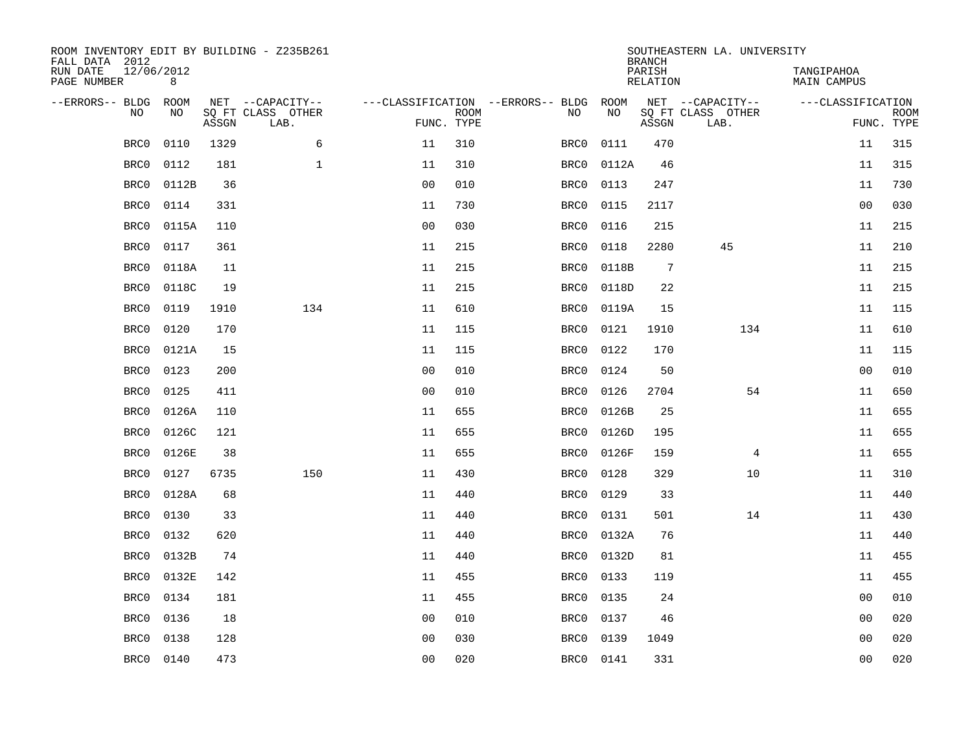| ROOM INVENTORY EDIT BY BUILDING - Z235B261<br>FALL DATA 2012 |                 |       |                           |                |                           |                                   |           | <b>BRANCH</b>             | SOUTHEASTERN LA. UNIVERSITY |                                  |                           |
|--------------------------------------------------------------|-----------------|-------|---------------------------|----------------|---------------------------|-----------------------------------|-----------|---------------------------|-----------------------------|----------------------------------|---------------------------|
| RUN DATE<br>PAGE NUMBER                                      | 12/06/2012<br>8 |       |                           |                |                           |                                   |           | PARISH<br><b>RELATION</b> |                             | TANGIPAHOA<br><b>MAIN CAMPUS</b> |                           |
| --ERRORS-- BLDG                                              | ROOM            |       | NET --CAPACITY--          |                |                           | ---CLASSIFICATION --ERRORS-- BLDG | ROOM      |                           | NET --CAPACITY--            | ---CLASSIFICATION                |                           |
| NO                                                           | NO              | ASSGN | SQ FT CLASS OTHER<br>LAB. |                | <b>ROOM</b><br>FUNC. TYPE | NO                                | NO        | ASSGN                     | SQ FT CLASS OTHER<br>LAB.   |                                  | <b>ROOM</b><br>FUNC. TYPE |
| BRC0                                                         | 0110            | 1329  | 6                         | 11             | 310                       | BRC0                              | 0111      | 470                       |                             | 11                               | 315                       |
| BRC0                                                         | 0112            | 181   | $\mathbf 1$               | 11             | 310                       | BRC0                              | 0112A     | 46                        |                             | 11                               | 315                       |
| BRC0                                                         | 0112B           | 36    |                           | 0 <sub>0</sub> | 010                       | BRC0                              | 0113      | 247                       |                             | 11                               | 730                       |
| BRC0                                                         | 0114            | 331   |                           | 11             | 730                       | BRC0                              | 0115      | 2117                      |                             | 0 <sub>0</sub>                   | 030                       |
| BRC0                                                         | 0115A           | 110   |                           | 0 <sub>0</sub> | 030                       | BRC0                              | 0116      | 215                       |                             | 11                               | 215                       |
| BRC0                                                         | 0117            | 361   |                           | 11             | 215                       | BRC0                              | 0118      | 2280                      | 45                          | 11                               | 210                       |
| BRC0                                                         | 0118A           | 11    |                           | 11             | 215                       | BRC0                              | 0118B     | $7\phantom{.0}$           |                             | 11                               | 215                       |
| BRC0                                                         | 0118C           | 19    |                           | 11             | 215                       | BRC0                              | 0118D     | 22                        |                             | 11                               | 215                       |
| BRC0                                                         | 0119            | 1910  | 134                       | 11             | 610                       | BRC0                              | 0119A     | 15                        |                             | 11                               | 115                       |
| BRC0                                                         | 0120            | 170   |                           | 11             | 115                       | BRC0                              | 0121      | 1910                      | 134                         | 11                               | 610                       |
| BRC0                                                         | 0121A           | 15    |                           | 11             | 115                       | BRC0                              | 0122      | 170                       |                             | 11                               | 115                       |
| BRC0                                                         | 0123            | 200   |                           | 0 <sub>0</sub> | 010                       | BRC0                              | 0124      | 50                        |                             | 0 <sub>0</sub>                   | 010                       |
| BRC0                                                         | 0125            | 411   |                           | 0 <sub>0</sub> | 010                       | BRC0                              | 0126      | 2704                      | 54                          | 11                               | 650                       |
| BRC0                                                         | 0126A           | 110   |                           | 11             | 655                       | BRC0                              | 0126B     | 25                        |                             | 11                               | 655                       |
| BRC0                                                         | 0126C           | 121   |                           | 11             | 655                       | BRC0                              | 0126D     | 195                       |                             | 11                               | 655                       |
| BRC0                                                         | 0126E           | 38    |                           | 11             | 655                       | BRC0                              | 0126F     | 159                       | 4                           | 11                               | 655                       |
| BRC0                                                         | 0127            | 6735  | 150                       | 11             | 430                       | BRC0                              | 0128      | 329                       | 10                          | 11                               | 310                       |
| BRC0                                                         | 0128A           | 68    |                           | 11             | 440                       | BRC0                              | 0129      | 33                        |                             | 11                               | 440                       |
| BRC0                                                         | 0130            | 33    |                           | 11             | 440                       | BRC0                              | 0131      | 501                       | 14                          | 11                               | 430                       |
| BRC0                                                         | 0132            | 620   |                           | 11             | 440                       | BRC0                              | 0132A     | 76                        |                             | 11                               | 440                       |
| BRC0                                                         | 0132B           | 74    |                           | 11             | 440                       | BRC0                              | 0132D     | 81                        |                             | 11                               | 455                       |
| BRC0                                                         | 0132E           | 142   |                           | 11             | 455                       | BRC0                              | 0133      | 119                       |                             | 11                               | 455                       |
| BRC0                                                         | 0134            | 181   |                           | 11             | 455                       | BRC0                              | 0135      | 24                        |                             | 0 <sub>0</sub>                   | 010                       |
| BRC0                                                         | 0136            | 18    |                           | 0 <sub>0</sub> | 010                       | BRC0                              | 0137      | 46                        |                             | 0 <sub>0</sub>                   | 020                       |
| BRC0                                                         | 0138            | 128   |                           | 0 <sub>0</sub> | 030                       | BRC0                              | 0139      | 1049                      |                             | 0 <sub>0</sub>                   | 020                       |
| BRC0                                                         | 0140            | 473   |                           | 00             | 020                       |                                   | BRC0 0141 | 331                       |                             | 0 <sub>0</sub>                   | 020                       |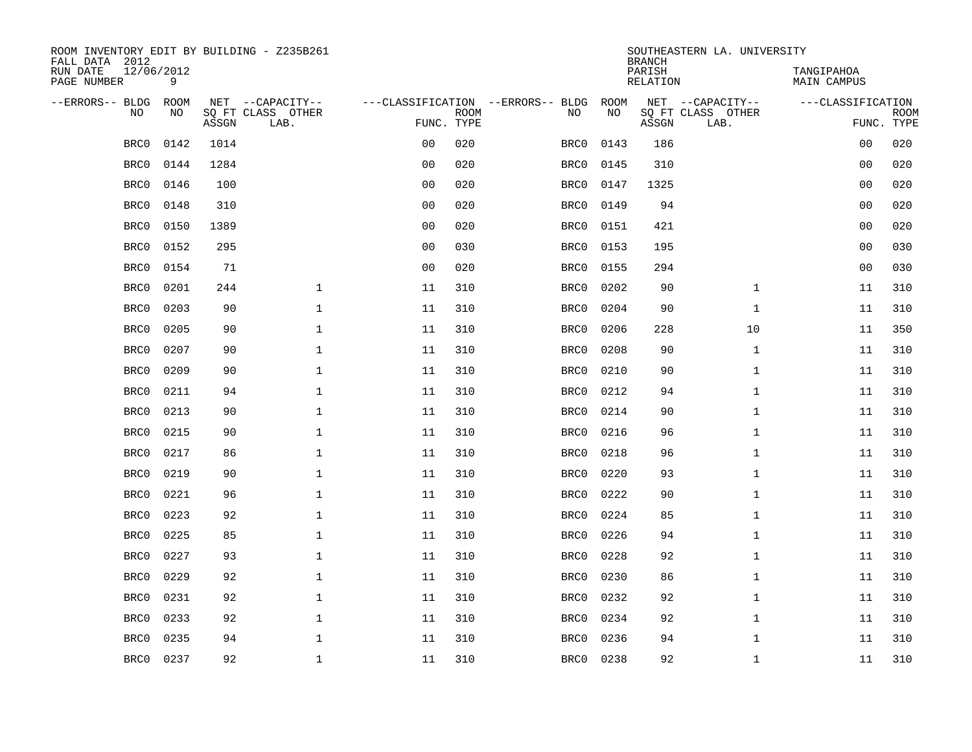| ROOM INVENTORY EDIT BY BUILDING - Z235B261<br>FALL DATA 2012 |                 |       |                           |                |             |                                   |      | <b>BRANCH</b>             | SOUTHEASTERN LA. UNIVERSITY |                                  |                           |
|--------------------------------------------------------------|-----------------|-------|---------------------------|----------------|-------------|-----------------------------------|------|---------------------------|-----------------------------|----------------------------------|---------------------------|
| RUN DATE<br>PAGE NUMBER                                      | 12/06/2012<br>9 |       |                           |                |             |                                   |      | PARISH<br><b>RELATION</b> |                             | TANGIPAHOA<br><b>MAIN CAMPUS</b> |                           |
| --ERRORS-- BLDG                                              | ROOM            |       | NET --CAPACITY--          |                |             | ---CLASSIFICATION --ERRORS-- BLDG | ROOM |                           | NET --CAPACITY--            | ---CLASSIFICATION                |                           |
| NO                                                           | NO              | ASSGN | SQ FT CLASS OTHER<br>LAB. | FUNC. TYPE     | <b>ROOM</b> | NO                                | NO   | ASSGN                     | SQ FT CLASS OTHER<br>LAB.   |                                  | <b>ROOM</b><br>FUNC. TYPE |
| BRC0                                                         | 0142            | 1014  |                           | 0 <sub>0</sub> | 020         | BRC0                              | 0143 | 186                       |                             | 00                               | 020                       |
| BRC0                                                         | 0144            | 1284  |                           | 0 <sub>0</sub> | 020         | BRC0                              | 0145 | 310                       |                             | 00                               | 020                       |
| BRC0                                                         | 0146            | 100   |                           | 0 <sub>0</sub> | 020         | BRC0                              | 0147 | 1325                      |                             | 00                               | 020                       |
| BRC0                                                         | 0148            | 310   |                           | 0 <sub>0</sub> | 020         | BRC0                              | 0149 | 94                        |                             | 0 <sub>0</sub>                   | 020                       |
| BRC0                                                         | 0150            | 1389  |                           | 0 <sub>0</sub> | 020         | BRC0                              | 0151 | 421                       |                             | 0 <sub>0</sub>                   | 020                       |
| BRC0                                                         | 0152            | 295   |                           | 0 <sub>0</sub> | 030         | BRC0                              | 0153 | 195                       |                             | 0 <sub>0</sub>                   | 030                       |
| BRC0                                                         | 0154            | 71    |                           | 0 <sub>0</sub> | 020         | BRC0                              | 0155 | 294                       |                             | 00                               | 030                       |
| BRC0                                                         | 0201            | 244   | $\mathbf{1}$              | 11             | 310         | BRC0                              | 0202 | 90                        | $\mathbf{1}$                | 11                               | 310                       |
| BRC0                                                         | 0203            | 90    | $\mathbf{1}$              | 11             | 310         | BRC0                              | 0204 | 90                        | $\mathbf{1}$                | 11                               | 310                       |
| BRC0                                                         | 0205            | 90    | $\mathbf 1$               | 11             | 310         | BRC0                              | 0206 | 228                       | 10                          | 11                               | 350                       |
| BRC0                                                         | 0207            | 90    | $\mathbf{1}$              | 11             | 310         | BRC0                              | 0208 | 90                        | $\mathbf{1}$                | 11                               | 310                       |
| BRC0                                                         | 0209            | 90    | $\mathbf{1}$              | 11             | 310         | BRC0                              | 0210 | 90                        | $\mathbf{1}$                | 11                               | 310                       |
| BRC0                                                         | 0211            | 94    | $\mathbf 1$               | 11             | 310         | BRC0                              | 0212 | 94                        | $\mathbf{1}$                | 11                               | 310                       |
| BRC0                                                         | 0213            | 90    | $\mathbf 1$               | 11             | 310         | BRC0                              | 0214 | 90                        | $\mathbf{1}$                | 11                               | 310                       |
| BRC0                                                         | 0215            | 90    | $\mathbf{1}$              | 11             | 310         | BRC0                              | 0216 | 96                        | $\mathbf{1}$                | 11                               | 310                       |
| BRC0                                                         | 0217            | 86    | $\mathbf 1$               | 11             | 310         | BRC0                              | 0218 | 96                        | $\mathbf{1}$                | 11                               | 310                       |
| BRC0                                                         | 0219            | 90    | $\mathbf 1$               | 11             | 310         | BRC0                              | 0220 | 93                        | $\mathbf{1}$                | 11                               | 310                       |
| BRC0                                                         | 0221            | 96    | $\mathbf 1$               | 11             | 310         | BRC0                              | 0222 | 90                        | $\mathbf{1}$                | 11                               | 310                       |
| BRC0                                                         | 0223            | 92    | $\mathbf 1$               | 11             | 310         | BRC0                              | 0224 | 85                        | $\mathbf{1}$                | 11                               | 310                       |
| BRC0                                                         | 0225            | 85    | $\mathbf 1$               | 11             | 310         | BRC0                              | 0226 | 94                        | $\mathbf{1}$                | 11                               | 310                       |
| BRC0                                                         | 0227            | 93    | $\mathbf 1$               | 11             | 310         | BRC0                              | 0228 | 92                        | $\mathbf{1}$                | 11                               | 310                       |
| BRC0                                                         | 0229            | 92    | $\mathbf 1$               | 11             | 310         | BRC0                              | 0230 | 86                        | $\mathbf{1}$                | 11                               | 310                       |
| BRC0                                                         | 0231            | 92    | $\mathbf 1$               | 11             | 310         | BRC0                              | 0232 | 92                        | $\mathbf{1}$                | 11                               | 310                       |
| BRC0                                                         | 0233            | 92    | $\mathbf{1}$              | 11             | 310         | BRC0                              | 0234 | 92                        | $\mathbf{1}$                | 11                               | 310                       |
| BRC0                                                         | 0235            | 94    | $\mathbf 1$               | 11             | 310         | BRC0                              | 0236 | 94                        | $\mathbf{1}$                | 11                               | 310                       |
| BRC0                                                         | 0237            | 92    | $\mathbf{1}$              | 11             | 310         | BRC0                              | 0238 | 92                        | $\mathbf{1}$                | 11                               | 310                       |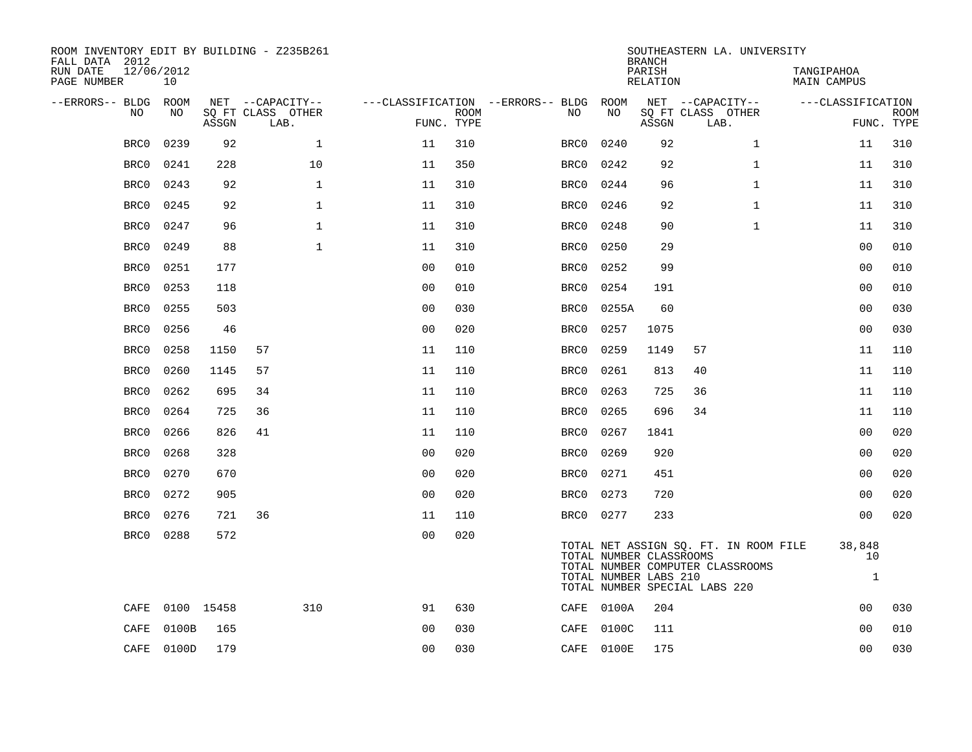| ROOM INVENTORY EDIT BY BUILDING - Z235B261<br>FALL DATA 2012 |                  |       |                           |                |             |                                        |            | <b>BRANCH</b>                                    | SOUTHEASTERN LA. UNIVERSITY                                                                                |                              |                           |
|--------------------------------------------------------------|------------------|-------|---------------------------|----------------|-------------|----------------------------------------|------------|--------------------------------------------------|------------------------------------------------------------------------------------------------------------|------------------------------|---------------------------|
| RUN DATE<br>PAGE NUMBER                                      | 12/06/2012<br>10 |       |                           |                |             |                                        |            | PARISH<br>RELATION                               |                                                                                                            | TANGIPAHOA<br>MAIN CAMPUS    |                           |
| --ERRORS-- BLDG ROOM                                         |                  |       | NET --CAPACITY--          |                |             | ---CLASSIFICATION --ERRORS-- BLDG ROOM |            |                                                  | NET --CAPACITY--                                                                                           | ---CLASSIFICATION            |                           |
| NO                                                           | NO               | ASSGN | SQ FT CLASS OTHER<br>LAB. | FUNC. TYPE     | <b>ROOM</b> | NO                                     | NO         | ASSGN                                            | SQ FT CLASS OTHER<br>LAB.                                                                                  |                              | <b>ROOM</b><br>FUNC. TYPE |
| BRC0                                                         | 0239             | 92    | $\mathbf 1$               | 11             | 310         | BRC0                                   | 0240       | 92                                               | $\mathbf{1}$                                                                                               | 11                           | 310                       |
| BRC0                                                         | 0241             | 228   | 10                        | 11             | 350         | BRC0                                   | 0242       | 92                                               | $\mathbf{1}$                                                                                               | 11                           | 310                       |
| BRC0                                                         | 0243             | 92    | $\mathbf{1}$              | 11             | 310         | BRC0                                   | 0244       | 96                                               | $\mathbf{1}$                                                                                               | 11                           | 310                       |
| BRC0                                                         | 0245             | 92    | $\mathbf 1$               | 11             | 310         | BRC0                                   | 0246       | 92                                               | $\mathbf{1}$                                                                                               | 11                           | 310                       |
| BRC0                                                         | 0247             | 96    | $\mathbf{1}$              | 11             | 310         | BRC0                                   | 0248       | 90                                               | $\mathbf{1}$                                                                                               | 11                           | 310                       |
| BRC0                                                         | 0249             | 88    | $\mathbf{1}$              | 11             | 310         | BRC0                                   | 0250       | 29                                               |                                                                                                            | 0 <sub>0</sub>               | 010                       |
| BRC0                                                         | 0251             | 177   |                           | 0 <sub>0</sub> | 010         | BRC0                                   | 0252       | 99                                               |                                                                                                            | 0 <sub>0</sub>               | 010                       |
| BRC0                                                         | 0253             | 118   |                           | 0 <sub>0</sub> | 010         | BRC0                                   | 0254       | 191                                              |                                                                                                            | 0 <sub>0</sub>               | 010                       |
| BRC0                                                         | 0255             | 503   |                           | 0 <sub>0</sub> | 030         | BRC0                                   | 0255A      | 60                                               |                                                                                                            | 0 <sub>0</sub>               | 030                       |
| BRC0                                                         | 0256             | 46    |                           | 0 <sub>0</sub> | 020         | BRC0                                   | 0257       | 1075                                             |                                                                                                            | 0 <sub>0</sub>               | 030                       |
| BRC0                                                         | 0258             | 1150  | 57                        | 11             | 110         | BRC0                                   | 0259       | 1149                                             | 57                                                                                                         | 11                           | 110                       |
| BRC0                                                         | 0260             | 1145  | 57                        | 11             | 110         | BRC0                                   | 0261       | 813                                              | 40                                                                                                         | 11                           | 110                       |
| BRC0                                                         | 0262             | 695   | 34                        | 11             | 110         | BRC0                                   | 0263       | 725                                              | 36                                                                                                         | 11                           | 110                       |
| BRC0                                                         | 0264             | 725   | 36                        | 11             | 110         | BRC0                                   | 0265       | 696                                              | 34                                                                                                         | 11                           | 110                       |
| BRC0                                                         | 0266             | 826   | 41                        | 11             | 110         | BRC0                                   | 0267       | 1841                                             |                                                                                                            | 0 <sub>0</sub>               | 020                       |
| BRC0                                                         | 0268             | 328   |                           | 0 <sub>0</sub> | 020         | BRC0                                   | 0269       | 920                                              |                                                                                                            | 00                           | 020                       |
| BRC0                                                         | 0270             | 670   |                           | 0 <sub>0</sub> | 020         | BRC0                                   | 0271       | 451                                              |                                                                                                            | 0 <sub>0</sub>               | 020                       |
| BRC0                                                         | 0272             | 905   |                           | 0 <sub>0</sub> | 020         | BRC0                                   | 0273       | 720                                              |                                                                                                            | 00                           | 020                       |
| BRC0                                                         | 0276             | 721   | 36                        | 11             | 110         |                                        | BRC0 0277  | 233                                              |                                                                                                            | 0 <sub>0</sub>               | 020                       |
| BRC0                                                         | 0288             | 572   |                           | 0 <sub>0</sub> | 020         |                                        |            | TOTAL NUMBER CLASSROOMS<br>TOTAL NUMBER LABS 210 | TOTAL NET ASSIGN SQ. FT. IN ROOM FILE<br>TOTAL NUMBER COMPUTER CLASSROOMS<br>TOTAL NUMBER SPECIAL LABS 220 | 38,848<br>10<br>$\mathbf{1}$ |                           |
| CAFE                                                         | 0100 15458       |       | 310                       | 91             | 630         |                                        | CAFE 0100A | 204                                              |                                                                                                            | 0 <sub>0</sub>               | 030                       |
| CAFE                                                         | 0100B            | 165   |                           | 0 <sub>0</sub> | 030         |                                        | CAFE 0100C | 111                                              |                                                                                                            | 0 <sub>0</sub>               | 010                       |
|                                                              | CAFE 0100D       | 179   |                           | 0 <sub>0</sub> | 030         |                                        | CAFE 0100E | 175                                              |                                                                                                            | 0 <sub>0</sub>               | 030                       |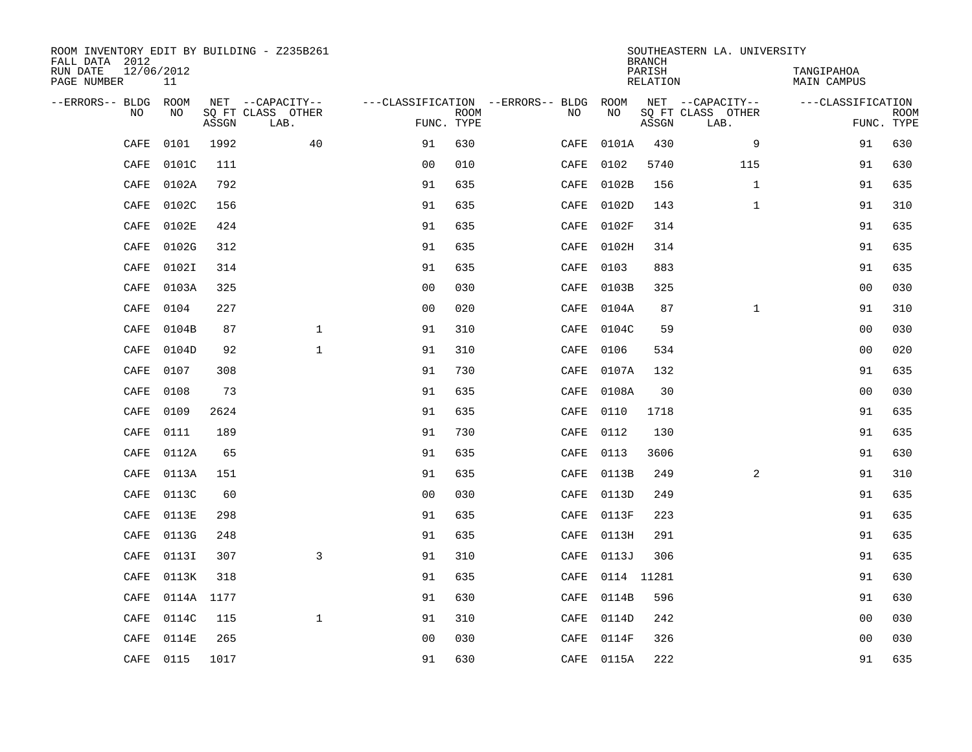| ROOM INVENTORY EDIT BY BUILDING - Z235B261<br>FALL DATA 2012 |                  |       |                           |                                        |             |           |                 | <b>BRANCH</b>             | SOUTHEASTERN LA. UNIVERSITY |                                  |                           |
|--------------------------------------------------------------|------------------|-------|---------------------------|----------------------------------------|-------------|-----------|-----------------|---------------------------|-----------------------------|----------------------------------|---------------------------|
| RUN DATE<br>PAGE NUMBER                                      | 12/06/2012<br>11 |       |                           |                                        |             |           |                 | PARISH<br><b>RELATION</b> |                             | TANGIPAHOA<br><b>MAIN CAMPUS</b> |                           |
| --ERRORS-- BLDG ROOM                                         |                  |       | NET --CAPACITY--          | ---CLASSIFICATION --ERRORS-- BLDG ROOM |             |           |                 |                           | NET --CAPACITY--            | ---CLASSIFICATION                |                           |
| NO                                                           | NO               | ASSGN | SQ FT CLASS OTHER<br>LAB. | FUNC. TYPE                             | <b>ROOM</b> | NO        | NO              | ASSGN                     | SQ FT CLASS OTHER<br>LAB.   |                                  | <b>ROOM</b><br>FUNC. TYPE |
| CAFE                                                         | 0101             | 1992  | 40                        | 91                                     | 630         | CAFE      | 0101A           | 430                       | 9                           | 91                               | 630                       |
| CAFE                                                         | 0101C            | 111   |                           | 0 <sub>0</sub>                         | 010         | CAFE      | 0102            | 5740                      | 115                         | 91                               | 630                       |
| CAFE                                                         | 0102A            | 792   |                           | 91                                     | 635         | CAFE      | 0102B           | 156                       | $\mathbf{1}$                | 91                               | 635                       |
| CAFE                                                         | 0102C            | 156   |                           | 91                                     | 635         | CAFE      | 0102D           | 143                       | $\mathbf{1}$                | 91                               | 310                       |
| CAFE                                                         | 0102E            | 424   |                           | 91                                     | 635         | CAFE      | 0102F           | 314                       |                             | 91                               | 635                       |
| CAFE                                                         | 0102G            | 312   |                           | 91                                     | 635         |           | CAFE 0102H      | 314                       |                             | 91                               | 635                       |
| CAFE                                                         | 0102I            | 314   |                           | 91                                     | 635         | CAFE      | 0103            | 883                       |                             | 91                               | 635                       |
| CAFE                                                         | 0103A            | 325   |                           | 0 <sub>0</sub>                         | 030         |           | CAFE 0103B      | 325                       |                             | 0 <sub>0</sub>                   | 030                       |
| CAFE                                                         | 0104             | 227   |                           | 0 <sub>0</sub>                         | 020         | CAFE      | 0104A           | 87                        | $\mathbf{1}$                | 91                               | 310                       |
| CAFE                                                         | 0104B            | 87    | $\mathbf{1}$              | 91                                     | 310         |           | CAFE 0104C      | 59                        |                             | 0 <sub>0</sub>                   | 030                       |
| CAFE                                                         | 0104D            | 92    | $\mathbf{1}$              | 91                                     | 310         | CAFE      | 0106            | 534                       |                             | 0 <sub>0</sub>                   | 020                       |
| CAFE                                                         | 0107             | 308   |                           | 91                                     | 730         |           | CAFE 0107A      | 132                       |                             | 91                               | 635                       |
| CAFE                                                         | 0108             | 73    |                           | 91                                     | 635         | CAFE      | 0108A           | 30                        |                             | 00                               | 030                       |
| CAFE                                                         | 0109             | 2624  |                           | 91                                     | 635         | CAFE 0110 |                 | 1718                      |                             | 91                               | 635                       |
| CAFE                                                         | 0111             | 189   |                           | 91                                     | 730         | CAFE 0112 |                 | 130                       |                             | 91                               | 635                       |
| CAFE                                                         | 0112A            | 65    |                           | 91                                     | 635         | CAFE 0113 |                 | 3606                      |                             | 91                               | 630                       |
| CAFE                                                         | 0113A            | 151   |                           | 91                                     | 635         |           | CAFE 0113B      | 249                       | 2                           | 91                               | 310                       |
| CAFE                                                         | 0113C            | 60    |                           | 0 <sub>0</sub>                         | 030         |           | CAFE 0113D      | 249                       |                             | 91                               | 635                       |
| CAFE                                                         | 0113E            | 298   |                           | 91                                     | 635         |           | CAFE 0113F      | 223                       |                             | 91                               | 635                       |
| CAFE                                                         | 0113G            | 248   |                           | 91                                     | 635         |           | CAFE 0113H      | 291                       |                             | 91                               | 635                       |
| CAFE                                                         | 0113I            | 307   | 3                         | 91                                     | 310         |           | CAFE 0113J      | 306                       |                             | 91                               | 635                       |
| CAFE                                                         | 0113K            | 318   |                           | 91                                     | 635         |           | CAFE 0114 11281 |                           |                             | 91                               | 630                       |
| CAFE                                                         | 0114A 1177       |       |                           | 91                                     | 630         |           | CAFE 0114B      | 596                       |                             | 91                               | 630                       |
| CAFE                                                         | 0114C            | 115   | $\mathbf{1}$              | 91                                     | 310         |           | CAFE 0114D      | 242                       |                             | 0 <sub>0</sub>                   | 030                       |
| CAFE                                                         | 0114E            | 265   |                           | 0 <sub>0</sub>                         | 030         |           | CAFE 0114F      | 326                       |                             | 0 <sub>0</sub>                   | 030                       |
|                                                              | CAFE 0115        | 1017  |                           | 91                                     | 630         |           | CAFE 0115A      | 222                       |                             | 91                               | 635                       |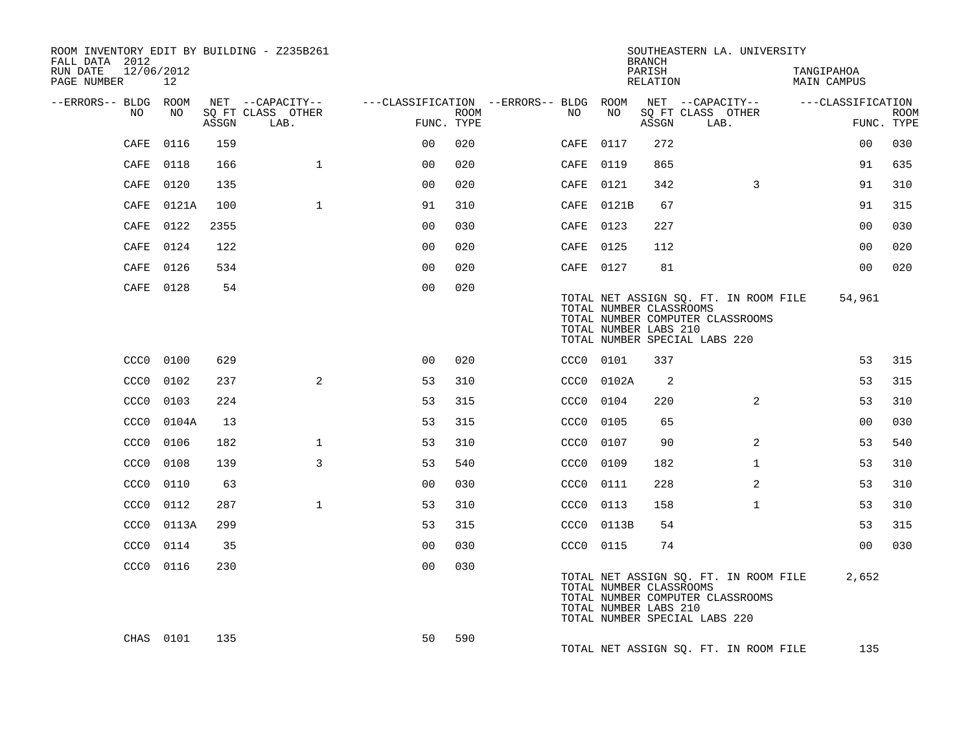| ROOM INVENTORY EDIT BY BUILDING - Z235B261<br>FALL DATA 2012 |           |       |                           |                                        |                           |                  |            | <b>BRANCH</b>                                    | SOUTHEASTERN LA. UNIVERSITY                                                                                |                |                                  |             |
|--------------------------------------------------------------|-----------|-------|---------------------------|----------------------------------------|---------------------------|------------------|------------|--------------------------------------------------|------------------------------------------------------------------------------------------------------------|----------------|----------------------------------|-------------|
| RUN DATE<br>12/06/2012<br>PAGE NUMBER                        | 12        |       |                           |                                        |                           |                  |            | PARISH<br>RELATION                               |                                                                                                            |                | TANGIPAHOA<br><b>MAIN CAMPUS</b> |             |
| --ERRORS-- BLDG ROOM                                         |           |       | NET --CAPACITY--          | ---CLASSIFICATION --ERRORS-- BLDG ROOM |                           |                  |            |                                                  | NET --CAPACITY--                                                                                           |                | ---CLASSIFICATION                |             |
| NO                                                           | NO.       | ASSGN | SO FT CLASS OTHER<br>LAB. |                                        | <b>ROOM</b><br>FUNC. TYPE | NO               | NO         | ASSGN                                            | SO FT CLASS OTHER<br>LAB.                                                                                  |                | FUNC. TYPE                       | <b>ROOM</b> |
| CAFE                                                         | 0116      | 159   |                           | 0 <sup>0</sup>                         | 020                       | CAFE             | 0117       | 272                                              |                                                                                                            |                | 0 <sub>0</sub>                   | 030         |
| CAFE                                                         | 0118      | 166   | $\mathbf{1}$              | 00                                     | 020                       | CAFE             | 0119       | 865                                              |                                                                                                            |                | 91                               | 635         |
| CAFE                                                         | 0120      | 135   |                           | 0 <sub>0</sub>                         | 020                       |                  | CAFE 0121  | 342                                              |                                                                                                            | 3              | 91                               | 310         |
| CAFE                                                         | 0121A     | 100   | $\mathbf{1}$              | 91                                     | 310                       |                  | CAFE 0121B | 67                                               |                                                                                                            |                | 91                               | 315         |
| CAFE                                                         | 0122      | 2355  |                           | 0 <sub>0</sub>                         | 030                       |                  | CAFE 0123  | 227                                              |                                                                                                            |                | 0 <sub>0</sub>                   | 030         |
|                                                              | CAFE 0124 | 122   |                           | 0 <sub>0</sub>                         | 020                       |                  | CAFE 0125  | 112                                              |                                                                                                            |                | 00                               | 020         |
|                                                              | CAFE 0126 | 534   |                           | 0 <sub>0</sub>                         | 020                       |                  | CAFE 0127  | 81                                               |                                                                                                            |                | 0 <sub>0</sub>                   | 020         |
|                                                              | CAFE 0128 | 54    |                           | 0 <sub>0</sub>                         | 020                       |                  |            | TOTAL NUMBER CLASSROOMS<br>TOTAL NUMBER LABS 210 | TOTAL NET ASSIGN SO. FT. IN ROOM FILE<br>TOTAL NUMBER COMPUTER CLASSROOMS<br>TOTAL NUMBER SPECIAL LABS 220 |                | 54,961                           |             |
| CCC <sub>0</sub>                                             | 0100      | 629   |                           | 0 <sub>0</sub>                         | 020                       |                  | CCC0 0101  | 337                                              |                                                                                                            |                | 53                               | 315         |
| CCC <sub>0</sub>                                             | 0102      | 237   | 2                         | 53                                     | 310                       |                  | CCC0 0102A | 2                                                |                                                                                                            |                | 53                               | 315         |
| CCC <sub>0</sub>                                             | 0103      | 224   |                           | 53                                     | 315                       | CCC0             | 0104       | 220                                              |                                                                                                            | 2              | 53                               | 310         |
| CCC <sub>0</sub>                                             | 0104A     | 13    |                           | 53                                     | 315                       |                  | CCC0 0105  | 65                                               |                                                                                                            |                | 0 <sub>0</sub>                   | 030         |
| CCC <sub>0</sub>                                             | 0106      | 182   | $\mathbf{1}$              | 53                                     | 310                       | CCC <sub>0</sub> | 0107       | 90                                               |                                                                                                            | $\overline{2}$ | 53                               | 540         |
| CCC <sub>0</sub>                                             | 0108      | 139   | 3                         | 53                                     | 540                       | CCC <sub>0</sub> | 0109       | 182                                              |                                                                                                            | $\mathbf{1}$   | 53                               | 310         |
| CCC <sub>0</sub>                                             | 0110      | 63    |                           | 00                                     | 030                       | CCC <sub>0</sub> | 0111       | 228                                              |                                                                                                            | $\overline{2}$ | 53                               | 310         |
| CCC <sub>0</sub>                                             | 0112      | 287   | $\mathbf{1}$              | 53                                     | 310                       |                  | CCC0 0113  | 158                                              |                                                                                                            | $\mathbf{1}$   | 53                               | 310         |
| CCC <sub>0</sub>                                             | 0113A     | 299   |                           | 53                                     | 315                       |                  | CCC0 0113B | 54                                               |                                                                                                            |                | 53                               | 315         |
| CCC <sub>0</sub>                                             | 0114      | 35    |                           | 0 <sub>0</sub>                         | 030                       |                  | CCC0 0115  | 74                                               |                                                                                                            |                | 0 <sub>0</sub>                   | 030         |
|                                                              | CCC0 0116 | 230   |                           | 0 <sub>0</sub>                         | 030                       |                  |            | TOTAL NUMBER CLASSROOMS<br>TOTAL NUMBER LABS 210 | TOTAL NET ASSIGN SQ. FT. IN ROOM FILE<br>TOTAL NUMBER COMPUTER CLASSROOMS<br>TOTAL NUMBER SPECIAL LABS 220 |                | 2,652                            |             |
|                                                              | CHAS 0101 | 135   |                           | 50                                     | 590                       |                  |            |                                                  | TOTAL NET ASSIGN SO. FT. IN ROOM FILE                                                                      |                | 135                              |             |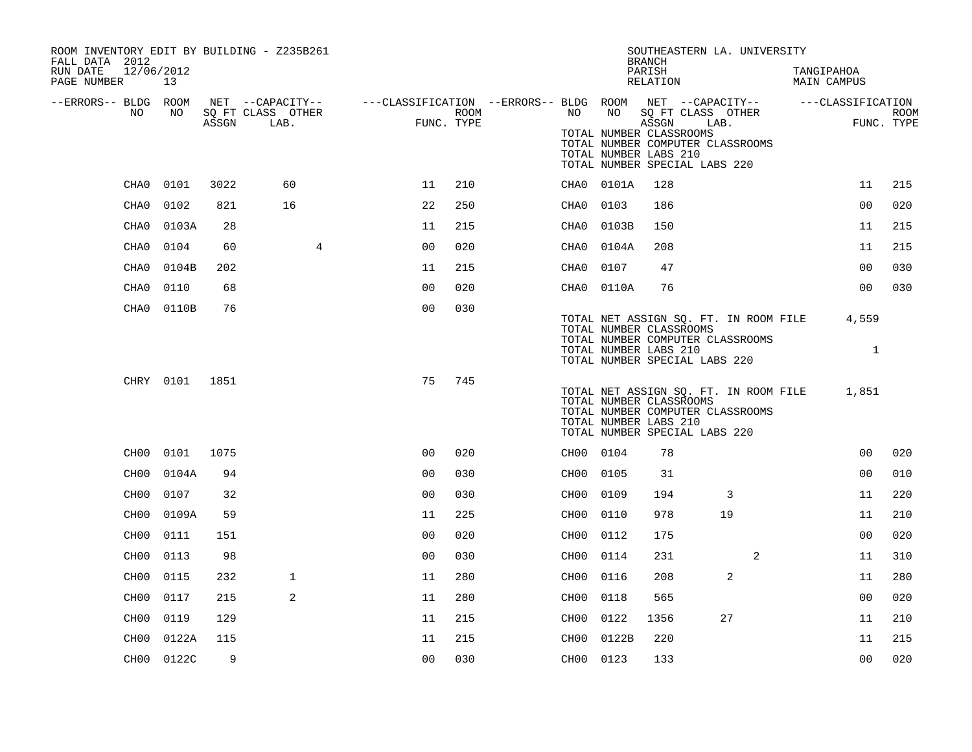| ROOM INVENTORY EDIT BY BUILDING - Z235B261<br>FALL DATA 2012 |                |      |                   |                                                                                                |      |           |                                                                                   | <b>BRANCH</b>      |      | SOUTHEASTERN LA. UNIVERSITY      |                                       |                       |             |
|--------------------------------------------------------------|----------------|------|-------------------|------------------------------------------------------------------------------------------------|------|-----------|-----------------------------------------------------------------------------------|--------------------|------|----------------------------------|---------------------------------------|-----------------------|-------------|
| 12/06/2012<br>RUN DATE<br>PAGE NUMBER                        | 13             |      |                   |                                                                                                |      |           |                                                                                   | PARISH<br>RELATION |      |                                  | TANGIPAHOA<br><b>MAIN CAMPUS</b>      |                       |             |
| --ERRORS-- BLDG ROOM<br>NO                                   | NO             |      | SQ FT CLASS OTHER | NET --CAPACITY-- - ---CLASSIFICATION --ERRORS-- BLDG ROOM NET --CAPACITY-- - ---CLASSIFICATION | ROOM | NO        | NO                                                                                | SQ FT CLASS OTHER  |      |                                  |                                       |                       | <b>ROOM</b> |
|                                                              |                |      | ASSGN LAB.        | FUNC. TYPE                                                                                     |      |           | TOTAL NUMBER CLASSROOMS<br>TOTAL NUMBER LABS 210<br>TOTAL NUMBER SPECIAL LABS 220 | ASSGN              | LAB. | TOTAL NUMBER COMPUTER CLASSROOMS |                                       | FUNC. TYPE            |             |
| CHA0                                                         | 0101           | 3022 | 60                | 11                                                                                             | 210  |           | CHA0 0101A                                                                        | 128                |      |                                  |                                       | 11                    | 215         |
| CHA0                                                         | 0102           | 821  | 16                | 22                                                                                             | 250  | CHA0      | 0103                                                                              | 186                |      |                                  |                                       | 0 <sub>0</sub>        | 020         |
| CHA0                                                         | 0103A          | 28   |                   | 11                                                                                             | 215  | CHA0      | 0103B                                                                             | 150                |      |                                  |                                       | 11                    | 215         |
| CHA0                                                         | 0104           | 60   | $\overline{4}$    | 0 <sub>0</sub>                                                                                 | 020  |           | CHA0 0104A                                                                        | 208                |      |                                  |                                       | 11                    | 215         |
| CHA0                                                         | 0104B          | 202  |                   | 11                                                                                             | 215  | CHA0 0107 |                                                                                   | 47                 |      |                                  |                                       | 0 <sub>0</sub>        | 030         |
| CHA0                                                         | 0110           | 68   |                   | 0 <sub>0</sub>                                                                                 | 020  |           | CHA0 0110A                                                                        | 76                 |      |                                  |                                       | 0 <sub>0</sub>        | 030         |
|                                                              | CHA0 0110B     | 76   |                   | 0 <sub>0</sub>                                                                                 | 030  |           | TOTAL NUMBER CLASSROOMS<br>TOTAL NUMBER LABS 210<br>TOTAL NUMBER SPECIAL LABS 220 |                    |      | TOTAL NUMBER COMPUTER CLASSROOMS | TOTAL NET ASSIGN SQ. FT. IN ROOM FILE | 4,559<br>$\mathbf{1}$ |             |
|                                                              | CHRY 0101 1851 |      |                   | 75                                                                                             | 745  |           | TOTAL NUMBER CLASSROOMS<br>TOTAL NUMBER LABS 210<br>TOTAL NUMBER SPECIAL LABS 220 |                    |      | TOTAL NUMBER COMPUTER CLASSROOMS | TOTAL NET ASSIGN SQ. FT. IN ROOM FILE | 1,851                 |             |
|                                                              | CH00 0101      | 1075 |                   | 0 <sub>0</sub>                                                                                 | 020  | CH00 0104 |                                                                                   | 78                 |      |                                  |                                       | 0 <sub>0</sub>        | 020         |
| CH00                                                         | 0104A          | 94   |                   | 0 <sub>0</sub>                                                                                 | 030  | CH00 0105 |                                                                                   | 31                 |      |                                  |                                       | 0 <sub>0</sub>        | 010         |
| CH00                                                         | 0107           | 32   |                   | 0 <sub>0</sub>                                                                                 | 030  | CH00      | 0109                                                                              | 194                |      | 3                                |                                       | 11                    | 220         |
| CH00                                                         | 0109A          | 59   |                   | 11                                                                                             | 225  | CH00 0110 |                                                                                   | 978                | 19   |                                  |                                       | 11                    | 210         |
| CH00                                                         | 0111           | 151  |                   | 0 <sub>0</sub>                                                                                 | 020  | CH00      | 0112                                                                              | 175                |      |                                  |                                       | 0 <sub>0</sub>        | 020         |
| CH <sub>0</sub> 0                                            | 0113           | 98   |                   | 0 <sub>0</sub>                                                                                 | 030  | CH00 0114 |                                                                                   | 231                |      | 2                                |                                       | 11                    | 310         |
| CH <sub>0</sub> 0                                            | 0115           | 232  | $\mathbf{1}$      | 11                                                                                             | 280  | CH00      | 0116                                                                              | 208                |      | 2                                |                                       | 11                    | 280         |
| CH <sub>0</sub> 0                                            | 0117           | 215  | 2                 | 11                                                                                             | 280  | CH00 0118 |                                                                                   | 565                |      |                                  |                                       | 0 <sub>0</sub>        | 020         |
| CH00                                                         | 0119           | 129  |                   | 11                                                                                             | 215  | CH00      | 0122                                                                              | 1356               | 27   |                                  |                                       | 11                    | 210         |
| CH00                                                         | 0122A          | 115  |                   | 11                                                                                             | 215  |           | CH00 0122B                                                                        | 220                |      |                                  |                                       | 11                    | 215         |
|                                                              | CH00 0122C     | 9    |                   | 00                                                                                             | 030  | CH00 0123 |                                                                                   | 133                |      |                                  |                                       | 0 <sub>0</sub>        | 020         |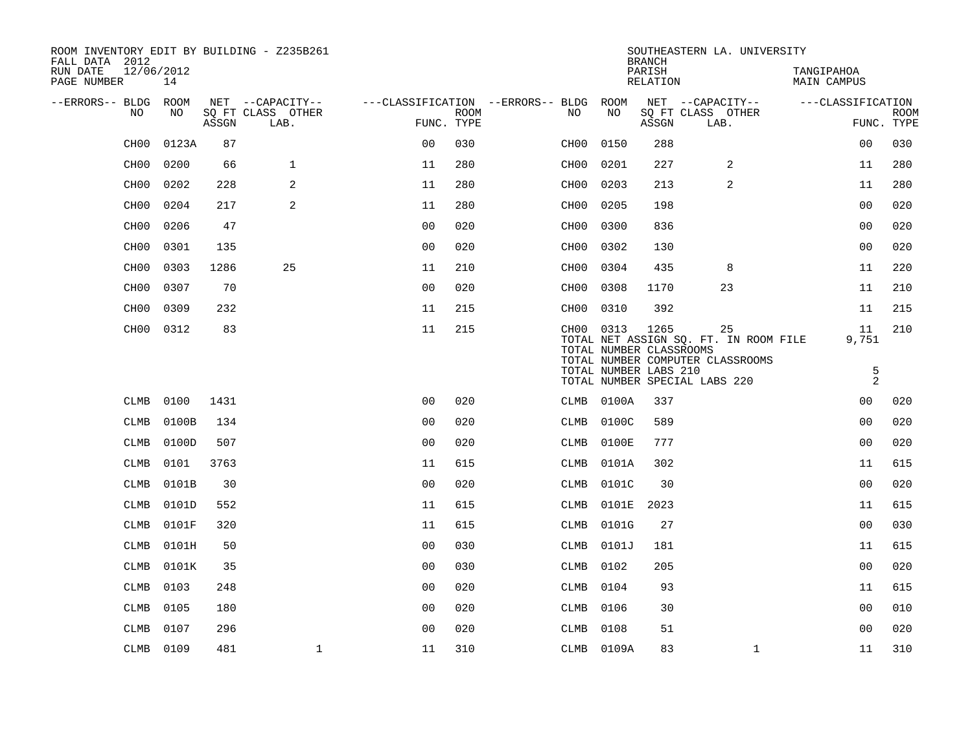| ROOM INVENTORY EDIT BY BUILDING - Z235B261<br>FALL DATA 2012 |                  |       |                           |                                        |             |      |                                      | <b>BRANCH</b>      | SOUTHEASTERN LA. UNIVERSITY                                                     |                                  |                     |                           |
|--------------------------------------------------------------|------------------|-------|---------------------------|----------------------------------------|-------------|------|--------------------------------------|--------------------|---------------------------------------------------------------------------------|----------------------------------|---------------------|---------------------------|
| RUN DATE<br>PAGE NUMBER                                      | 12/06/2012<br>14 |       |                           |                                        |             |      |                                      | PARISH<br>RELATION |                                                                                 | TANGIPAHOA<br><b>MAIN CAMPUS</b> |                     |                           |
| --ERRORS-- BLDG ROOM                                         |                  |       | NET --CAPACITY--          | ---CLASSIFICATION --ERRORS-- BLDG ROOM |             |      |                                      |                    | NET --CAPACITY--                                                                | ---CLASSIFICATION                |                     |                           |
| NO                                                           | NO               | ASSGN | SQ FT CLASS OTHER<br>LAB. | FUNC. TYPE                             | <b>ROOM</b> | NO   | NO                                   | ASSGN              | SQ FT CLASS OTHER<br>LAB.                                                       |                                  |                     | <b>ROOM</b><br>FUNC. TYPE |
| CH <sub>00</sub>                                             | 0123A            | 87    |                           | 0 <sub>0</sub>                         | 030         | CH00 | 0150                                 | 288                |                                                                                 |                                  | 00                  | 030                       |
| CH <sub>00</sub>                                             | 0200             | 66    | $\mathbf{1}$              | 11                                     | 280         | CH00 | 0201                                 | 227                | 2                                                                               |                                  | 11                  | 280                       |
| CH <sub>00</sub>                                             | 0202             | 228   | 2                         | 11                                     | 280         | CH00 | 0203                                 | 213                | 2                                                                               |                                  | 11                  | 280                       |
| CH <sub>00</sub>                                             | 0204             | 217   | 2                         | 11                                     | 280         | CH00 | 0205                                 | 198                |                                                                                 |                                  | 0 <sub>0</sub>      | 020                       |
| CH <sub>00</sub>                                             | 0206             | 47    |                           | 0 <sub>0</sub>                         | 020         | CH00 | 0300                                 | 836                |                                                                                 |                                  | 0 <sub>0</sub>      | 020                       |
| CH <sub>00</sub>                                             | 0301             | 135   |                           | 0 <sub>0</sub>                         | 020         | CH00 | 0302                                 | 130                |                                                                                 |                                  | 0 <sub>0</sub>      | 020                       |
| CH <sub>00</sub>                                             | 0303             | 1286  | 25                        | 11                                     | 210         | CH00 | 0304                                 | 435                | 8                                                                               |                                  | 11                  | 220                       |
| CH <sub>0</sub> 0                                            | 0307             | 70    |                           | 0 <sub>0</sub>                         | 020         | CH00 | 0308                                 | 1170               | 23                                                                              |                                  | 11                  | 210                       |
| CH <sub>00</sub>                                             | 0309             | 232   |                           | 11                                     | 215         | CH00 | 0310                                 | 392                |                                                                                 |                                  | 11                  | 215                       |
| CH00                                                         | 0312             | 83    |                           | 11                                     | 215         |      | CH00 0313<br>TOTAL NUMBER CLASSROOMS | 1265               | 25<br>TOTAL NET ASSIGN SQ. FT. IN ROOM FILE<br>TOTAL NUMBER COMPUTER CLASSROOMS |                                  | 11<br>9,751         | 210                       |
|                                                              |                  |       |                           |                                        |             |      | TOTAL NUMBER LABS 210                |                    | TOTAL NUMBER SPECIAL LABS 220                                                   |                                  | 5<br>$\overline{2}$ |                           |
| CLMB                                                         | 0100             | 1431  |                           | 0 <sub>0</sub>                         | 020         |      | CLMB 0100A                           | 337                |                                                                                 |                                  | 00                  | 020                       |
| <b>CLMB</b>                                                  | 0100B            | 134   |                           | 0 <sub>0</sub>                         | 020         | CLMB | 0100C                                | 589                |                                                                                 |                                  | 0 <sub>0</sub>      | 020                       |
| <b>CLMB</b>                                                  | 0100D            | 507   |                           | 0 <sub>0</sub>                         | 020         | CLMB | 0100E                                | 777                |                                                                                 |                                  | 0 <sub>0</sub>      | 020                       |
| <b>CLMB</b>                                                  | 0101             | 3763  |                           | 11                                     | 615         | CLMB | 0101A                                | 302                |                                                                                 |                                  | 11                  | 615                       |
| <b>CLMB</b>                                                  | 0101B            | 30    |                           | 0 <sub>0</sub>                         | 020         | CLMB | 0101C                                | 30                 |                                                                                 |                                  | 0 <sub>0</sub>      | 020                       |
| <b>CLMB</b>                                                  | 0101D            | 552   |                           | 11                                     | 615         | CLMB | 0101E                                | 2023               |                                                                                 |                                  | 11                  | 615                       |
| <b>CLMB</b>                                                  | 0101F            | 320   |                           | 11                                     | 615         | CLMB | 0101G                                | 27                 |                                                                                 |                                  | 0 <sub>0</sub>      | 030                       |
| <b>CLMB</b>                                                  | 0101H            | 50    |                           | 0 <sub>0</sub>                         | 030         | CLMB | 0101J                                | 181                |                                                                                 |                                  | 11                  | 615                       |
| CLMB                                                         | 0101K            | 35    |                           | 0 <sub>0</sub>                         | 030         | CLMB | 0102                                 | 205                |                                                                                 |                                  | 0 <sub>0</sub>      | 020                       |
| <b>CLMB</b>                                                  | 0103             | 248   |                           | 0 <sub>0</sub>                         | 020         | CLMB | 0104                                 | 93                 |                                                                                 |                                  | 11                  | 615                       |
| CLMB                                                         | 0105             | 180   |                           | 00                                     | 020         | CLMB | 0106                                 | 30                 |                                                                                 |                                  | 00                  | 010                       |
| CLMB                                                         | 0107             | 296   |                           | 0 <sub>0</sub>                         | 020         | CLMB | 0108                                 | 51                 |                                                                                 |                                  | 0 <sub>0</sub>      | 020                       |
|                                                              | CLMB 0109        | 481   | $\mathbf 1$               | 11                                     | 310         |      | CLMB 0109A                           | 83                 | $\mathbf{1}$                                                                    |                                  | 11                  | 310                       |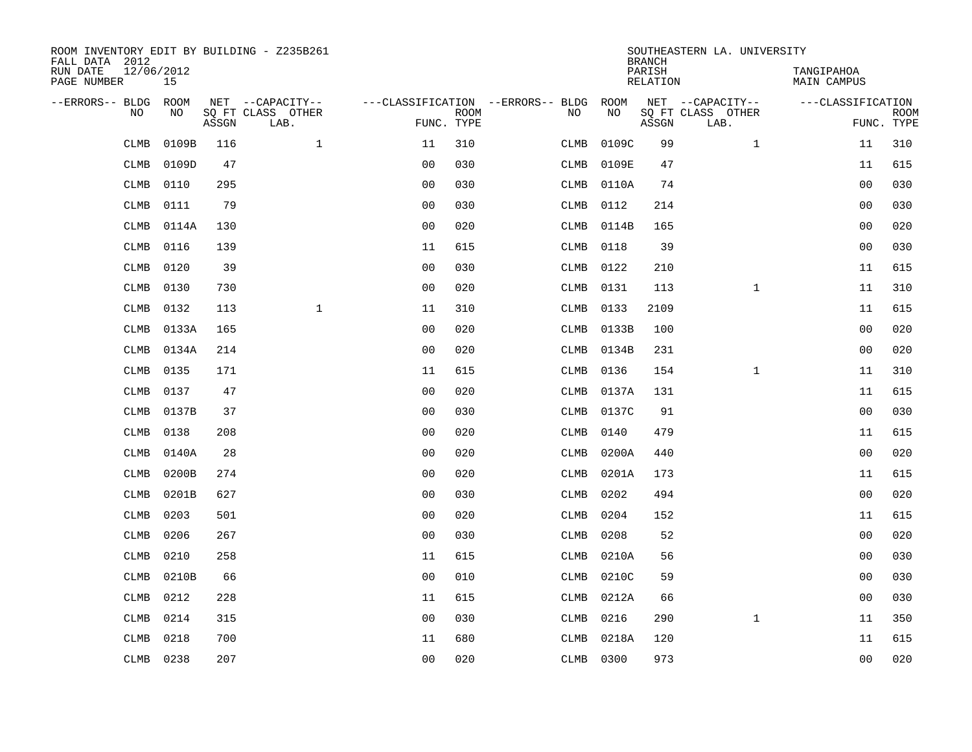| ROOM INVENTORY EDIT BY BUILDING - Z235B261<br>FALL DATA 2012 |                  |       |                           |                                   |                           |             |           | <b>BRANCH</b>      | SOUTHEASTERN LA. UNIVERSITY |                                  |                           |
|--------------------------------------------------------------|------------------|-------|---------------------------|-----------------------------------|---------------------------|-------------|-----------|--------------------|-----------------------------|----------------------------------|---------------------------|
| RUN DATE<br>PAGE NUMBER                                      | 12/06/2012<br>15 |       |                           |                                   |                           |             |           | PARISH<br>RELATION |                             | TANGIPAHOA<br><b>MAIN CAMPUS</b> |                           |
| --ERRORS-- BLDG                                              | ROOM             |       | NET --CAPACITY--          | ---CLASSIFICATION --ERRORS-- BLDG |                           |             | ROOM      |                    | NET --CAPACITY--            | ---CLASSIFICATION                |                           |
| NO                                                           | NO               | ASSGN | SQ FT CLASS OTHER<br>LAB. |                                   | <b>ROOM</b><br>FUNC. TYPE | NO          | NO        | ASSGN              | SQ FT CLASS OTHER<br>LAB.   |                                  | <b>ROOM</b><br>FUNC. TYPE |
| <b>CLMB</b>                                                  | 0109B            | 116   | $\mathbf{1}$              | 11                                | 310                       | <b>CLMB</b> | 0109C     | 99                 | $\mathbf{1}$                | 11                               | 310                       |
| <b>CLMB</b>                                                  | 0109D            | 47    |                           | 0 <sub>0</sub>                    | 030                       | CLMB        | 0109E     | 47                 |                             | 11                               | 615                       |
| CLMB                                                         | 0110             | 295   |                           | 0 <sub>0</sub>                    | 030                       | CLMB        | 0110A     | 74                 |                             | 0 <sub>0</sub>                   | 030                       |
| <b>CLMB</b>                                                  | 0111             | 79    |                           | 0 <sub>0</sub>                    | 030                       | CLMB        | 0112      | 214                |                             | 0 <sub>0</sub>                   | 030                       |
| <b>CLMB</b>                                                  | 0114A            | 130   |                           | 0 <sub>0</sub>                    | 020                       | CLMB        | 0114B     | 165                |                             | 0 <sub>0</sub>                   | 020                       |
| <b>CLMB</b>                                                  | 0116             | 139   |                           | 11                                | 615                       | CLMB        | 0118      | 39                 |                             | 0 <sub>0</sub>                   | 030                       |
| <b>CLMB</b>                                                  | 0120             | 39    |                           | 0 <sub>0</sub>                    | 030                       | CLMB        | 0122      | 210                |                             | 11                               | 615                       |
| <b>CLMB</b>                                                  | 0130             | 730   |                           | 0 <sub>0</sub>                    | 020                       | CLMB        | 0131      | 113                | $\mathbf{1}$                | 11                               | 310                       |
| <b>CLMB</b>                                                  | 0132             | 113   | $\mathbf{1}$              | 11                                | 310                       | CLMB        | 0133      | 2109               |                             | 11                               | 615                       |
| <b>CLMB</b>                                                  | 0133A            | 165   |                           | 0 <sub>0</sub>                    | 020                       | CLMB        | 0133B     | 100                |                             | 0 <sub>0</sub>                   | 020                       |
| <b>CLMB</b>                                                  | 0134A            | 214   |                           | 0 <sub>0</sub>                    | 020                       | CLMB        | 0134B     | 231                |                             | 0 <sub>0</sub>                   | 020                       |
| <b>CLMB</b>                                                  | 0135             | 171   |                           | 11                                | 615                       | CLMB        | 0136      | 154                | $\mathbf{1}$                | 11                               | 310                       |
| CLMB                                                         | 0137             | 47    |                           | 00                                | 020                       | CLMB        | 0137A     | 131                |                             | 11                               | 615                       |
| CLMB                                                         | 0137B            | 37    |                           | 00                                | 030                       | CLMB        | 0137C     | 91                 |                             | 0 <sub>0</sub>                   | 030                       |
| <b>CLMB</b>                                                  | 0138             | 208   |                           | 0 <sub>0</sub>                    | 020                       | CLMB        | 0140      | 479                |                             | 11                               | 615                       |
| <b>CLMB</b>                                                  | 0140A            | 28    |                           | 0 <sub>0</sub>                    | 020                       | CLMB        | 0200A     | 440                |                             | 0 <sub>0</sub>                   | 020                       |
| <b>CLMB</b>                                                  | 0200B            | 274   |                           | 0 <sub>0</sub>                    | 020                       | CLMB        | 0201A     | 173                |                             | 11                               | 615                       |
| <b>CLMB</b>                                                  | 0201B            | 627   |                           | 0 <sub>0</sub>                    | 030                       | CLMB        | 0202      | 494                |                             | 00                               | 020                       |
| <b>CLMB</b>                                                  | 0203             | 501   |                           | 0 <sub>0</sub>                    | 020                       | CLMB        | 0204      | 152                |                             | 11                               | 615                       |
| <b>CLMB</b>                                                  | 0206             | 267   |                           | 0 <sub>0</sub>                    | 030                       | CLMB        | 0208      | 52                 |                             | 0 <sub>0</sub>                   | 020                       |
| <b>CLMB</b>                                                  | 0210             | 258   |                           | 11                                | 615                       | CLMB        | 0210A     | 56                 |                             | 0 <sub>0</sub>                   | 030                       |
| <b>CLMB</b>                                                  | 0210B            | 66    |                           | 0 <sub>0</sub>                    | 010                       | CLMB        | 0210C     | 59                 |                             | 0 <sub>0</sub>                   | 030                       |
| <b>CLMB</b>                                                  | 0212             | 228   |                           | 11                                | 615                       | CLMB        | 0212A     | 66                 |                             | 0 <sub>0</sub>                   | 030                       |
| <b>CLMB</b>                                                  | 0214             | 315   |                           | 0 <sub>0</sub>                    | 030                       | CLMB        | 0216      | 290                | $\mathbf{1}$                | 11                               | 350                       |
| <b>CLMB</b>                                                  | 0218             | 700   |                           | 11                                | 680                       | CLMB        | 0218A     | 120                |                             | 11                               | 615                       |
|                                                              | CLMB 0238        | 207   |                           | 00                                | 020                       |             | CLMB 0300 | 973                |                             | 00                               | 020                       |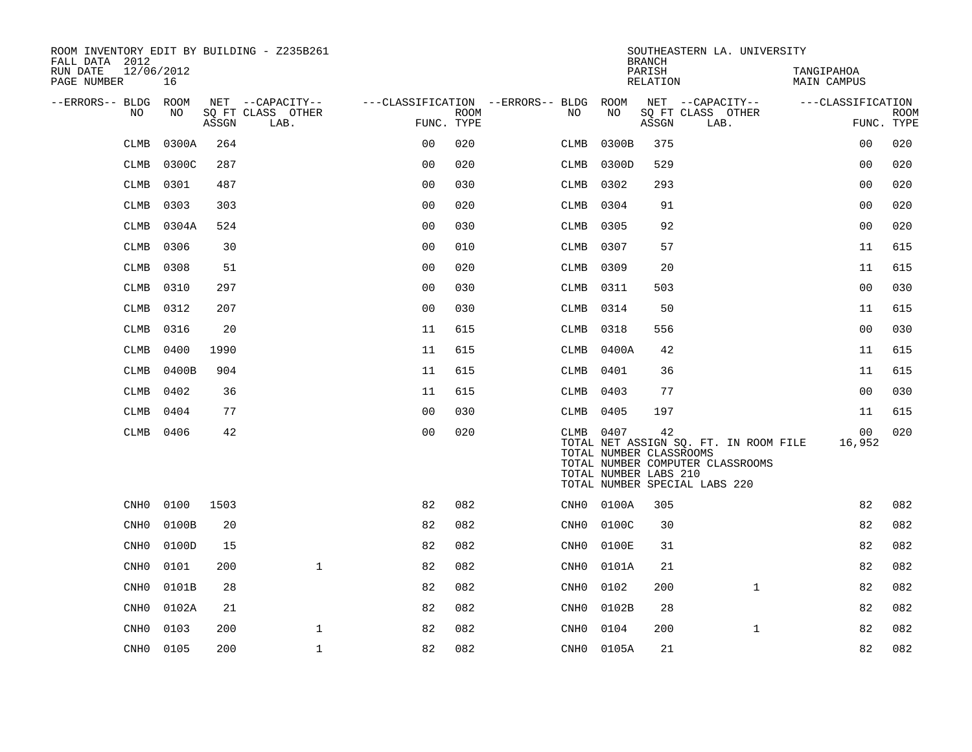| ROOM INVENTORY EDIT BY BUILDING - Z235B261<br>FALL DATA 2012 |       |       |                           |                |             |                                        |                                                  | <b>BRANCH</b>      | SOUTHEASTERN LA. UNIVERSITY                                                                                |                                  |                           |
|--------------------------------------------------------------|-------|-------|---------------------------|----------------|-------------|----------------------------------------|--------------------------------------------------|--------------------|------------------------------------------------------------------------------------------------------------|----------------------------------|---------------------------|
| 12/06/2012<br>RUN DATE<br>PAGE NUMBER                        | 16    |       |                           |                |             |                                        |                                                  | PARISH<br>RELATION |                                                                                                            | TANGIPAHOA<br><b>MAIN CAMPUS</b> |                           |
| --ERRORS-- BLDG ROOM                                         |       |       | NET --CAPACITY--          |                |             | ---CLASSIFICATION --ERRORS-- BLDG ROOM |                                                  |                    | NET --CAPACITY--                                                                                           | ---CLASSIFICATION                |                           |
| NO                                                           | NO    | ASSGN | SO FT CLASS OTHER<br>LAB. | FUNC. TYPE     | <b>ROOM</b> | NO                                     | NO                                               | ASSGN              | SQ FT CLASS OTHER<br>LAB.                                                                                  |                                  | <b>ROOM</b><br>FUNC. TYPE |
| <b>CLMB</b>                                                  | 0300A | 264   |                           | 0 <sub>0</sub> | 020         | CLMB                                   | 0300B                                            | 375                |                                                                                                            | 0 <sub>0</sub>                   | 020                       |
| <b>CLMB</b>                                                  | 0300C | 287   |                           | 0 <sub>0</sub> | 020         | CLMB                                   | 0300D                                            | 529                |                                                                                                            | 00                               | 020                       |
| <b>CLMB</b>                                                  | 0301  | 487   |                           | 0 <sub>0</sub> | 030         | CLMB                                   | 0302                                             | 293                |                                                                                                            | 0 <sub>0</sub>                   | 020                       |
| <b>CLMB</b>                                                  | 0303  | 303   |                           | 0 <sub>0</sub> | 020         | CLMB                                   | 0304                                             | 91                 |                                                                                                            | 0 <sub>0</sub>                   | 020                       |
| <b>CLMB</b>                                                  | 0304A | 524   |                           | 0 <sub>0</sub> | 030         | CLMB                                   | 0305                                             | 92                 |                                                                                                            | 00                               | 020                       |
| <b>CLMB</b>                                                  | 0306  | 30    |                           | 0 <sub>0</sub> | 010         | CLMB                                   | 0307                                             | 57                 |                                                                                                            | 11                               | 615                       |
| <b>CLMB</b>                                                  | 0308  | 51    |                           | 0 <sub>0</sub> | 020         | CLMB                                   | 0309                                             | 20                 |                                                                                                            | 11                               | 615                       |
| <b>CLMB</b>                                                  | 0310  | 297   |                           | 0 <sub>0</sub> | 030         | CLMB                                   | 0311                                             | 503                |                                                                                                            | 0 <sub>0</sub>                   | 030                       |
| <b>CLMB</b>                                                  | 0312  | 207   |                           | 0 <sub>0</sub> | 030         | CLMB                                   | 0314                                             | 50                 |                                                                                                            | 11                               | 615                       |
| CLMB                                                         | 0316  | 20    |                           | 11             | 615         | CLMB                                   | 0318                                             | 556                |                                                                                                            | 0 <sub>0</sub>                   | 030                       |
| <b>CLMB</b>                                                  | 0400  | 1990  |                           | 11             | 615         |                                        | CLMB 0400A                                       | 42                 |                                                                                                            | 11                               | 615                       |
| <b>CLMB</b>                                                  | 0400B | 904   |                           | 11             | 615         | CLMB                                   | 0401                                             | 36                 |                                                                                                            | 11                               | 615                       |
| <b>CLMB</b>                                                  | 0402  | 36    |                           | 11             | 615         | CLMB                                   | 0403                                             | 77                 |                                                                                                            | 00                               | 030                       |
| <b>CLMB</b>                                                  | 0404  | 77    |                           | 0 <sub>0</sub> | 030         | CLMB 0405                              |                                                  | 197                |                                                                                                            | 11                               | 615                       |
| CLMB                                                         | 0406  | 42    |                           | 0 <sub>0</sub> | 020         | CLMB 0407                              | TOTAL NUMBER CLASSROOMS<br>TOTAL NUMBER LABS 210 | 42                 | TOTAL NET ASSIGN SQ. FT. IN ROOM FILE<br>TOTAL NUMBER COMPUTER CLASSROOMS<br>TOTAL NUMBER SPECIAL LABS 220 | 00<br>16,952                     | 020                       |
| CNH0                                                         | 0100  | 1503  |                           | 82             | 082         |                                        | CNH0 0100A                                       | 305                |                                                                                                            | 82                               | 082                       |
| CNH <sub>0</sub>                                             | 0100B | 20    |                           | 82             | 082         | $\mathtt{CNH0}$                        | 0100C                                            | 30                 |                                                                                                            | 82                               | 082                       |
| CNH <sub>0</sub>                                             | 0100D | 15    |                           | 82             | 082         | CNH0                                   | 0100E                                            | 31                 |                                                                                                            | 82                               | 082                       |
| CNH <sub>0</sub>                                             | 0101  | 200   | $\mathbf{1}$              | 82             | 082         | CNHO                                   | 0101A                                            | 21                 |                                                                                                            | 82                               | 082                       |
| CNH <sub>0</sub>                                             | 0101B | 28    |                           | 82             | 082         | $\mathtt{CNH0}$                        | 0102                                             | 200                | $\mathbf{1}$                                                                                               | 82                               | 082                       |
| CNH0                                                         | 0102A | 21    |                           | 82             | 082         | CNHO                                   | 0102B                                            | 28                 |                                                                                                            | 82                               | 082                       |
| CNH <sub>0</sub>                                             | 0103  | 200   | $\mathbf 1$               | 82             | 082         | CNH0                                   | 0104                                             | 200                | $\mathbf{1}$                                                                                               | 82                               | 082                       |
| CNH0                                                         | 0105  | 200   | $\mathbf{1}$              | 82             | 082         |                                        | CNH0 0105A                                       | 21                 |                                                                                                            | 82                               | 082                       |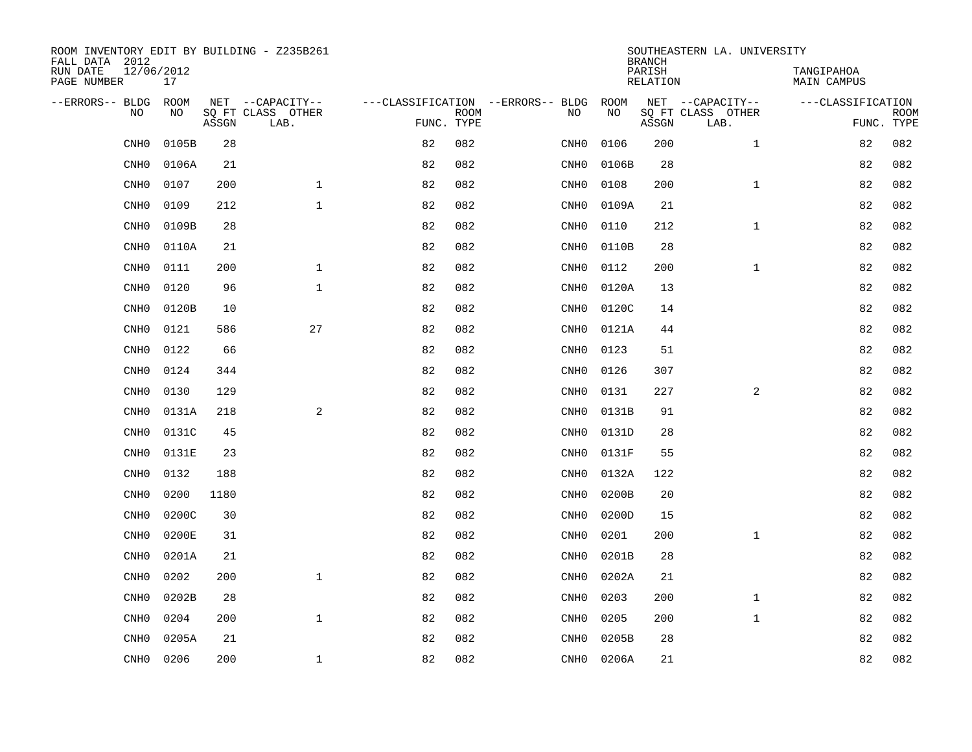| ROOM INVENTORY EDIT BY BUILDING - Z235B261<br>FALL DATA 2012 |                    |       |                           |                                   |             |                  |            | <b>BRANCH</b>             | SOUTHEASTERN LA. UNIVERSITY |                                  |                           |
|--------------------------------------------------------------|--------------------|-------|---------------------------|-----------------------------------|-------------|------------------|------------|---------------------------|-----------------------------|----------------------------------|---------------------------|
| RUN DATE<br>PAGE NUMBER                                      | 12/06/2012<br>17   |       |                           |                                   |             |                  |            | PARISH<br><b>RELATION</b> |                             | TANGIPAHOA<br><b>MAIN CAMPUS</b> |                           |
| --ERRORS-- BLDG<br>N <sub>O</sub>                            | <b>ROOM</b><br>NO. |       | NET --CAPACITY--          | ---CLASSIFICATION --ERRORS-- BLDG |             | NO.              | ROOM<br>NO |                           | NET --CAPACITY--            | ---CLASSIFICATION                |                           |
|                                                              |                    | ASSGN | SO FT CLASS OTHER<br>LAB. | FUNC. TYPE                        | <b>ROOM</b> |                  |            | ASSGN                     | SQ FT CLASS OTHER<br>LAB.   |                                  | <b>ROOM</b><br>FUNC. TYPE |
| CNH <sub>0</sub>                                             | 0105B              | 28    |                           | 82                                | 082         | CNH0             | 0106       | 200                       | $\mathbf{1}$                | 82                               | 082                       |
| CNH <sub>0</sub>                                             | 0106A              | 21    |                           | 82                                | 082         | CNH0             | 0106B      | 28                        |                             | 82                               | 082                       |
| CNH <sub>0</sub>                                             | 0107               | 200   | $\mathbf{1}$              | 82                                | 082         | CNH0             | 0108       | 200                       | $\mathbf{1}$                | 82                               | 082                       |
| CNH <sub>0</sub>                                             | 0109               | 212   | $\mathbf{1}$              | 82                                | 082         | CNH0             | 0109A      | 21                        |                             | 82                               | 082                       |
| CNH <sub>0</sub>                                             | 0109B              | 28    |                           | 82                                | 082         | CNH0             | 0110       | 212                       | $\mathbf{1}$                | 82                               | 082                       |
| CNH <sub>0</sub>                                             | 0110A              | 21    |                           | 82                                | 082         | CNH0             | 0110B      | 28                        |                             | 82                               | 082                       |
| CNH <sub>0</sub>                                             | 0111               | 200   | $\mathbf{1}$              | 82                                | 082         | CNH0             | 0112       | 200                       | $\mathbf{1}$                | 82                               | 082                       |
| CNH <sub>0</sub>                                             | 0120               | 96    | $\mathbf 1$               | 82                                | 082         | CNH0             | 0120A      | 13                        |                             | 82                               | 082                       |
| CNH <sub>0</sub>                                             | 0120B              | 10    |                           | 82                                | 082         | CNH0             | 0120C      | 14                        |                             | 82                               | 082                       |
| CNH <sub>0</sub>                                             | 0121               | 586   | 27                        | 82                                | 082         | CNH0             | 0121A      | 44                        |                             | 82                               | 082                       |
| CNH <sub>0</sub>                                             | 0122               | 66    |                           | 82                                | 082         | CNH0             | 0123       | 51                        |                             | 82                               | 082                       |
| CNH <sub>0</sub>                                             | 0124               | 344   |                           | 82                                | 082         | CNH0             | 0126       | 307                       |                             | 82                               | 082                       |
| CNH <sub>0</sub>                                             | 0130               | 129   |                           | 82                                | 082         | CNH0             | 0131       | 227                       | 2                           | 82                               | 082                       |
| CNH <sub>0</sub>                                             | 0131A              | 218   | 2                         | 82                                | 082         | CNH0             | 0131B      | 91                        |                             | 82                               | 082                       |
| CNH <sub>0</sub>                                             | 0131C              | 45    |                           | 82                                | 082         | CNH0             | 0131D      | 28                        |                             | 82                               | 082                       |
| CNH <sub>0</sub>                                             | 0131E              | 23    |                           | 82                                | 082         | CNH0             | 0131F      | 55                        |                             | 82                               | 082                       |
| CNH <sub>0</sub>                                             | 0132               | 188   |                           | 82                                | 082         | CNH0             | 0132A      | 122                       |                             | 82                               | 082                       |
| CNH <sub>0</sub>                                             | 0200               | 1180  |                           | 82                                | 082         | CNH0             | 0200B      | 20                        |                             | 82                               | 082                       |
| CNH <sub>0</sub>                                             | 0200C              | 30    |                           | 82                                | 082         | CNH0             | 0200D      | 15                        |                             | 82                               | 082                       |
| CNH <sub>0</sub>                                             | 0200E              | 31    |                           | 82                                | 082         | CNH0             | 0201       | 200                       | $\mathbf{1}$                | 82                               | 082                       |
| CNH <sub>0</sub>                                             | 0201A              | 21    |                           | 82                                | 082         | CNH0             | 0201B      | 28                        |                             | 82                               | 082                       |
| CNH <sub>0</sub>                                             | 0202               | 200   | $\mathbf{1}$              | 82                                | 082         | CNH0             | 0202A      | 21                        |                             | 82                               | 082                       |
| CNH <sub>0</sub>                                             | 0202B              | 28    |                           | 82                                | 082         | CNH0             | 0203       | 200                       | $\mathbf{1}$                | 82                               | 082                       |
| CNH <sub>0</sub>                                             | 0204               | 200   | $\mathbf{1}$              | 82                                | 082         | CNH0             | 0205       | 200                       | $\mathbf{1}$                | 82                               | 082                       |
| CNH <sub>0</sub>                                             | 0205A              | 21    |                           | 82                                | 082         | CNH <sub>0</sub> | 0205B      | 28                        |                             | 82                               | 082                       |
| CNHO                                                         | 0206               | 200   | $\mathbf 1$               | 82                                | 082         | CNHO             | 0206A      | 21                        |                             | 82                               | 082                       |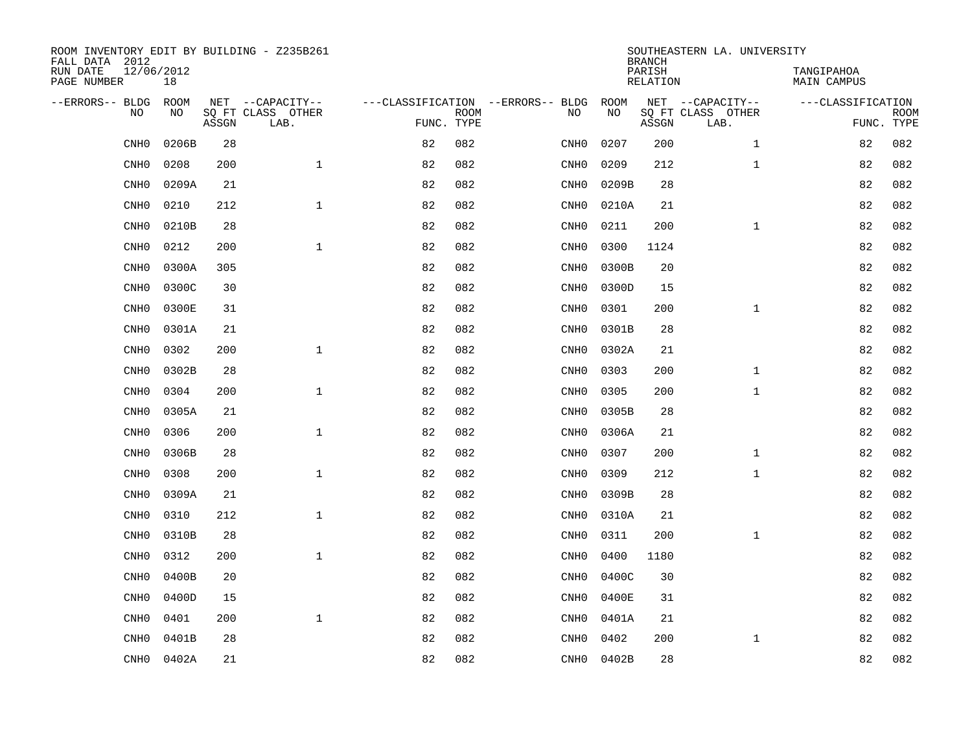| ROOM INVENTORY EDIT BY BUILDING - Z235B261<br>FALL DATA 2012 |                    |       |                           |            |             |                                          |                   | <b>BRANCH</b>             | SOUTHEASTERN LA. UNIVERSITY           |                                  |                           |
|--------------------------------------------------------------|--------------------|-------|---------------------------|------------|-------------|------------------------------------------|-------------------|---------------------------|---------------------------------------|----------------------------------|---------------------------|
| RUN DATE<br>PAGE NUMBER                                      | 12/06/2012<br>18   |       |                           |            |             |                                          |                   | PARISH<br><b>RELATION</b> |                                       | TANGIPAHOA<br><b>MAIN CAMPUS</b> |                           |
| --ERRORS-- BLDG<br>N <sub>O</sub>                            | <b>ROOM</b><br>NO. |       | NET --CAPACITY--          |            |             | ---CLASSIFICATION --ERRORS-- BLDG<br>NO. | <b>ROOM</b><br>NO |                           | NET --CAPACITY--<br>SO FT CLASS OTHER | ---CLASSIFICATION                |                           |
|                                                              |                    | ASSGN | SO FT CLASS OTHER<br>LAB. | FUNC. TYPE | <b>ROOM</b> |                                          |                   | ASSGN                     | LAB.                                  |                                  | <b>ROOM</b><br>FUNC. TYPE |
| CNH <sub>0</sub>                                             | 0206B              | 28    |                           | 82         | 082         | CNH0                                     | 0207              | 200                       | $\mathbf{1}$                          | 82                               | 082                       |
| CNH <sub>0</sub>                                             | 0208               | 200   | $\mathbf{1}$              | 82         | 082         | CNH0                                     | 0209              | 212                       | $\mathbf{1}$                          | 82                               | 082                       |
| CNH <sub>0</sub>                                             | 0209A              | 21    |                           | 82         | 082         | CNH0                                     | 0209B             | 28                        |                                       | 82                               | 082                       |
| CNH <sub>0</sub>                                             | 0210               | 212   | $\mathbf{1}$              | 82         | 082         | CNH0                                     | 0210A             | 21                        |                                       | 82                               | 082                       |
| CNH <sub>0</sub>                                             | 0210B              | 28    |                           | 82         | 082         | CNH0                                     | 0211              | 200                       | $\mathbf{1}$                          | 82                               | 082                       |
| CNH <sub>0</sub>                                             | 0212               | 200   | $\mathbf{1}$              | 82         | 082         | CNH <sub>0</sub>                         | 0300              | 1124                      |                                       | 82                               | 082                       |
| CNH <sub>0</sub>                                             | 0300A              | 305   |                           | 82         | 082         | CNH0                                     | 0300B             | 20                        |                                       | 82                               | 082                       |
| CNH <sub>0</sub>                                             | 0300C              | 30    |                           | 82         | 082         | CNH0                                     | 0300D             | 15                        |                                       | 82                               | 082                       |
| CNH <sub>0</sub>                                             | 0300E              | 31    |                           | 82         | 082         | CNH0                                     | 0301              | 200                       | $\mathbf{1}$                          | 82                               | 082                       |
| CNH <sub>0</sub>                                             | 0301A              | 21    |                           | 82         | 082         | CNH0                                     | 0301B             | 28                        |                                       | 82                               | 082                       |
| CNH <sub>0</sub>                                             | 0302               | 200   | $\mathbf{1}$              | 82         | 082         | CNHO                                     | 0302A             | 21                        |                                       | 82                               | 082                       |
| CNH <sub>0</sub>                                             | 0302B              | 28    |                           | 82         | 082         | CNH0                                     | 0303              | 200                       | $\mathbf{1}$                          | 82                               | 082                       |
| CNH <sub>0</sub>                                             | 0304               | 200   | $\mathbf{1}$              | 82         | 082         | CNH0                                     | 0305              | 200                       | $\mathbf{1}$                          | 82                               | 082                       |
| CNH <sub>0</sub>                                             | 0305A              | 21    |                           | 82         | 082         | CNH0                                     | 0305B             | 28                        |                                       | 82                               | 082                       |
| CNH <sub>0</sub>                                             | 0306               | 200   | $\mathbf{1}$              | 82         | 082         | CNH0                                     | 0306A             | 21                        |                                       | 82                               | 082                       |
| CNH <sub>0</sub>                                             | 0306B              | 28    |                           | 82         | 082         | CNH0                                     | 0307              | 200                       | $\mathbf{1}$                          | 82                               | 082                       |
| CNH <sub>0</sub>                                             | 0308               | 200   | $\mathbf{1}$              | 82         | 082         | CNH0                                     | 0309              | 212                       | $\mathbf{1}$                          | 82                               | 082                       |
| CNH <sub>0</sub>                                             | 0309A              | 21    |                           | 82         | 082         | CNH0                                     | 0309B             | 28                        |                                       | 82                               | 082                       |
| CNH <sub>0</sub>                                             | 0310               | 212   | $\mathbf{1}$              | 82         | 082         | CNH0                                     | 0310A             | 21                        |                                       | 82                               | 082                       |
| CNH <sub>0</sub>                                             | 0310B              | 28    |                           | 82         | 082         | CNH0                                     | 0311              | 200                       | $\mathbf{1}$                          | 82                               | 082                       |
| CNH <sub>0</sub>                                             | 0312               | 200   | $\mathbf{1}$              | 82         | 082         | CNH0                                     | 0400              | 1180                      |                                       | 82                               | 082                       |
| CNH <sub>0</sub>                                             | 0400B              | 20    |                           | 82         | 082         | CNH0                                     | 0400C             | 30                        |                                       | 82                               | 082                       |
| CNH <sub>0</sub>                                             | 0400D              | 15    |                           | 82         | 082         | CNH0                                     | 0400E             | 31                        |                                       | 82                               | 082                       |
| CNH <sub>0</sub>                                             | 0401               | 200   | $\mathbf{1}$              | 82         | 082         | CNH0                                     | 0401A             | 21                        |                                       | 82                               | 082                       |
| CNH <sub>0</sub>                                             | 0401B              | 28    |                           | 82         | 082         | CNH <sub>0</sub>                         | 0402              | 200                       | $\mathbf{1}$                          | 82                               | 082                       |
| CNHO                                                         | 0402A              | 21    |                           | 82         | 082         | CNHO                                     | 0402B             | 28                        |                                       | 82                               | 082                       |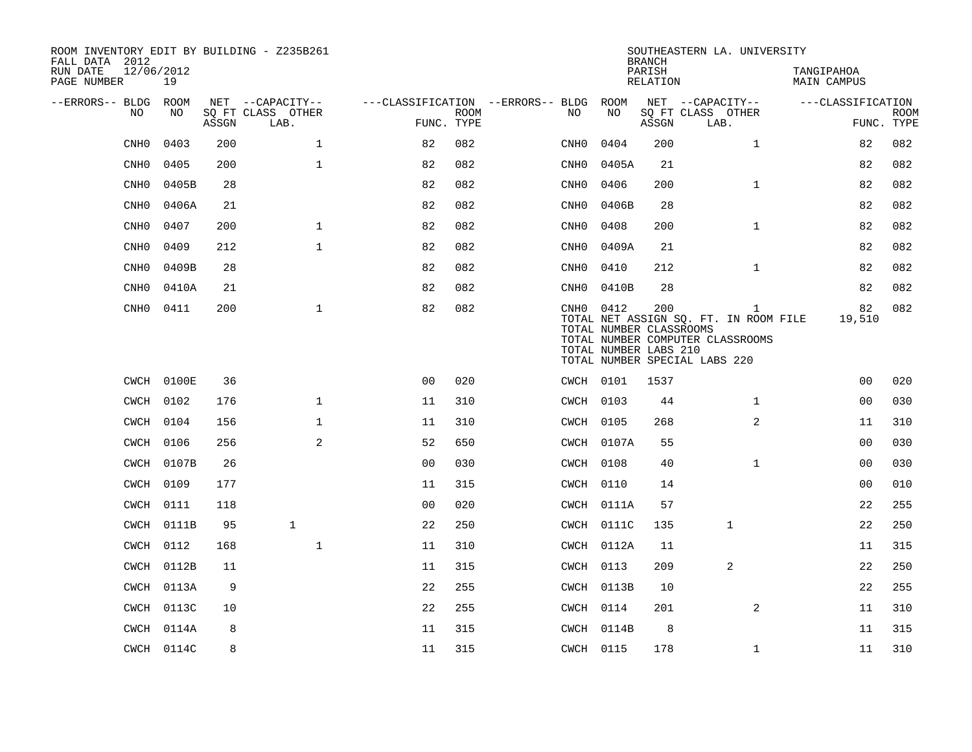| ROOM INVENTORY EDIT BY BUILDING - Z235B261<br>FALL DATA 2012<br>RUN DATE | 12/06/2012 |       |                                       |                                   |             |                 |            | <b>BRANCH</b><br>PARISH                                 | SOUTHEASTERN LA. UNIVERSITY                                                                                                | TANGIPAHOA         |             |
|--------------------------------------------------------------------------|------------|-------|---------------------------------------|-----------------------------------|-------------|-----------------|------------|---------------------------------------------------------|----------------------------------------------------------------------------------------------------------------------------|--------------------|-------------|
| PAGE NUMBER                                                              | 19         |       |                                       |                                   |             |                 |            | RELATION                                                |                                                                                                                            | <b>MAIN CAMPUS</b> |             |
| --ERRORS-- BLDG ROOM<br>NO                                               | NO         |       | NET --CAPACITY--<br>SQ FT CLASS OTHER | ---CLASSIFICATION --ERRORS-- BLDG | <b>ROOM</b> | NO.             | ROOM<br>NO |                                                         | NET --CAPACITY--<br>SQ FT CLASS OTHER                                                                                      | ---CLASSIFICATION  | <b>ROOM</b> |
|                                                                          |            | ASSGN | LAB.                                  | FUNC. TYPE                        |             |                 |            | ASSGN                                                   | LAB.                                                                                                                       | FUNC. TYPE         |             |
| CNH <sub>0</sub>                                                         | 0403       | 200   | $\mathbf{1}$                          | 82                                | 082         | CNH0            | 0404       | 200                                                     | $\mathbf{1}$                                                                                                               | 82                 | 082         |
| CNH <sub>0</sub>                                                         | 0405       | 200   | $\mathbf{1}$                          | 82                                | 082         | CNH0            | 0405A      | 21                                                      |                                                                                                                            | 82                 | 082         |
| CNH <sub>0</sub>                                                         | 0405B      | 28    |                                       | 82                                | 082         | CNH0            | 0406       | 200                                                     | $\mathbf{1}$                                                                                                               | 82                 | 082         |
| CNH <sub>0</sub>                                                         | 0406A      | 21    |                                       | 82                                | 082         | CNH0            | 0406B      | 28                                                      |                                                                                                                            | 82                 | 082         |
| CNH <sub>0</sub>                                                         | 0407       | 200   | $\mathbf 1$                           | 82                                | 082         | $\texttt{CNH0}$ | 0408       | 200                                                     | $\mathbf{1}$                                                                                                               | 82                 | 082         |
| CNH <sub>0</sub>                                                         | 0409       | 212   | $\mathbf{1}$                          | 82                                | 082         | $\mathtt{CNH0}$ | 0409A      | 21                                                      |                                                                                                                            | 82                 | 082         |
| CNH <sub>0</sub>                                                         | 0409B      | 28    |                                       | 82                                | 082         | $\texttt{CNH0}$ | 0410       | 212                                                     | $\mathbf{1}$                                                                                                               | 82                 | 082         |
| CNH <sub>0</sub>                                                         | 0410A      | 21    |                                       | 82                                | 082         | CNH0            | 0410B      | 28                                                      |                                                                                                                            | 82                 | 082         |
| CNH0                                                                     | 0411       | 200   | $\mathbf{1}$                          | 82                                | 082         | CNH0 0412       |            | 200<br>TOTAL NUMBER CLASSROOMS<br>TOTAL NUMBER LABS 210 | $\mathbf{1}$<br>TOTAL NET ASSIGN SO. FT. IN ROOM FILE<br>TOTAL NUMBER COMPUTER CLASSROOMS<br>TOTAL NUMBER SPECIAL LABS 220 | 82<br>19,510       | 082         |
|                                                                          | CWCH 0100E | 36    |                                       | 0 <sub>0</sub>                    | 020         | CWCH 0101       |            | 1537                                                    |                                                                                                                            | 0 <sub>0</sub>     | 020         |
|                                                                          | CWCH 0102  | 176   | $\mathbf{1}$                          | 11                                | 310         | CWCH 0103       |            | 44                                                      | $\mathbf{1}$                                                                                                               | 0 <sub>0</sub>     | 030         |
|                                                                          | CWCH 0104  | 156   | $\mathbf{1}$                          | 11                                | 310         | CWCH 0105       |            | 268                                                     | 2                                                                                                                          | 11                 | 310         |
|                                                                          | CWCH 0106  | 256   | 2                                     | 52                                | 650         |                 | CWCH 0107A | 55                                                      |                                                                                                                            | 0 <sub>0</sub>     | 030         |
| CWCH                                                                     | 0107B      | 26    |                                       | 0 <sub>0</sub>                    | 030         | CWCH 0108       |            | 40                                                      | $\mathbf{1}$                                                                                                               | 00                 | 030         |
| CWCH                                                                     | 0109       | 177   |                                       | 11                                | 315         |                 | CWCH 0110  | 14                                                      |                                                                                                                            | 0 <sub>0</sub>     | 010         |
| CWCH                                                                     | 0111       | 118   |                                       | 0 <sub>0</sub>                    | 020         |                 | CWCH 0111A | 57                                                      |                                                                                                                            | 22                 | 255         |
| CWCH                                                                     | 0111B      | 95    | $\mathbf{1}$                          | 22                                | 250         |                 | CWCH 0111C | 135                                                     | $\mathbf{1}$                                                                                                               | 22                 | 250         |
| CWCH                                                                     | 0112       | 168   | $\mathbf 1$                           | 11                                | 310         |                 | CWCH 0112A | 11                                                      |                                                                                                                            | 11                 | 315         |
| CWCH                                                                     | 0112B      | 11    |                                       | 11                                | 315         | CWCH 0113       |            | 209                                                     | 2                                                                                                                          | 22                 | 250         |
| CWCH                                                                     | 0113A      | 9     |                                       | 22                                | 255         |                 | CWCH 0113B | 10                                                      |                                                                                                                            | 22                 | 255         |
|                                                                          | CWCH 0113C | 10    |                                       | 22                                | 255         | CWCH 0114       |            | 201                                                     | 2                                                                                                                          | 11                 | 310         |
|                                                                          | CWCH 0114A | 8     |                                       | 11                                | 315         |                 | CWCH 0114B | 8                                                       |                                                                                                                            | 11                 | 315         |
|                                                                          | CWCH 0114C | 8     |                                       | 11                                | 315         | CWCH 0115       |            | 178                                                     | $\mathbf{1}$                                                                                                               | 11                 | 310         |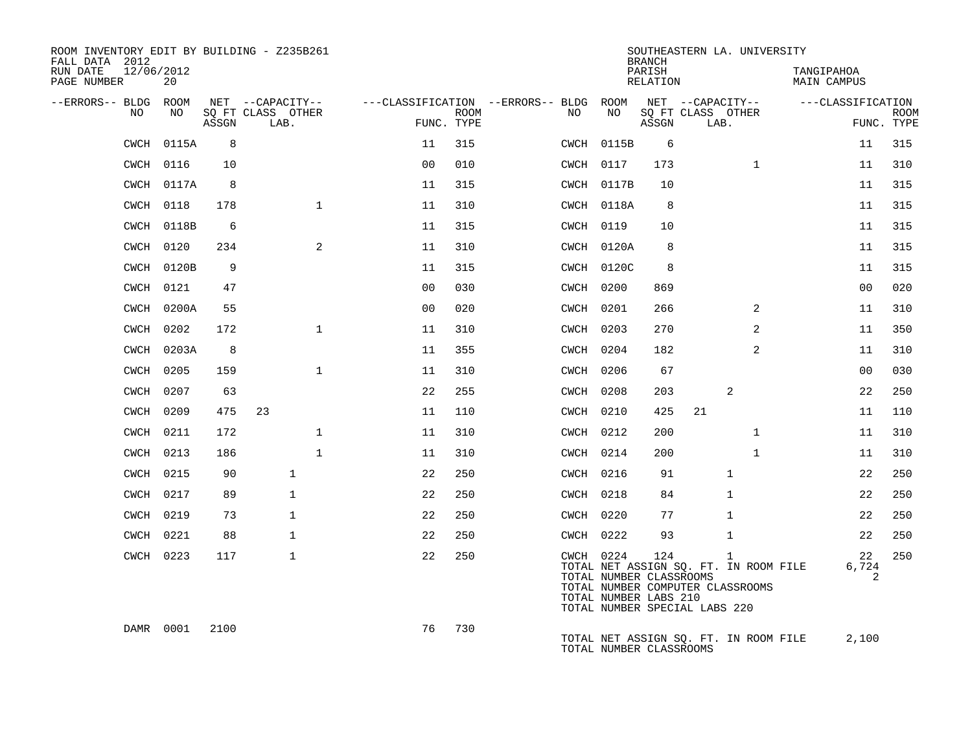| ROOM INVENTORY EDIT BY BUILDING - Z235B261<br>FALL DATA 2012 |           |       |                           |                |                           |                                        |                                                                                                                                    | <b>BRANCH</b>      |                           |                | SOUTHEASTERN LA. UNIVERSITY           |                   |             |
|--------------------------------------------------------------|-----------|-------|---------------------------|----------------|---------------------------|----------------------------------------|------------------------------------------------------------------------------------------------------------------------------------|--------------------|---------------------------|----------------|---------------------------------------|-------------------|-------------|
| RUN DATE<br>12/06/2012<br>PAGE NUMBER                        | 20        |       |                           |                |                           |                                        |                                                                                                                                    | PARISH<br>RELATION |                           |                | TANGIPAHOA<br>MAIN CAMPUS             |                   |             |
| --ERRORS-- BLDG ROOM                                         |           |       | NET --CAPACITY--          |                |                           | ---CLASSIFICATION --ERRORS-- BLDG ROOM |                                                                                                                                    |                    | NET --CAPACITY--          |                |                                       | ---CLASSIFICATION |             |
| NO                                                           | NO        | ASSGN | SO FT CLASS OTHER<br>LAB. |                | <b>ROOM</b><br>FUNC. TYPE | NO.                                    | NO                                                                                                                                 | ASSGN              | SQ FT CLASS OTHER<br>LAB. |                |                                       | FUNC. TYPE        | <b>ROOM</b> |
| CWCH                                                         | 0115A     | 8     |                           | 11             | 315                       |                                        | CWCH 0115B                                                                                                                         | 6                  |                           |                |                                       | 11                | 315         |
| CWCH                                                         | 0116      | 10    |                           | 0 <sub>0</sub> | 010                       |                                        | CWCH 0117                                                                                                                          | 173                |                           | $\mathbf{1}$   |                                       | 11                | 310         |
| CWCH                                                         | 0117A     | 8     |                           | 11             | 315                       |                                        | CWCH 0117B                                                                                                                         | 10                 |                           |                |                                       | 11                | 315         |
| CWCH                                                         | 0118      | 178   | $\mathbf{1}$              | 11             | 310                       |                                        | CWCH 0118A                                                                                                                         | 8                  |                           |                |                                       | 11                | 315         |
| CWCH                                                         | 0118B     | 6     |                           | 11             | 315                       |                                        | CWCH 0119                                                                                                                          | 10                 |                           |                |                                       | 11                | 315         |
| CWCH                                                         | 0120      | 234   | 2                         | 11             | 310                       |                                        | CWCH 0120A                                                                                                                         | 8                  |                           |                |                                       | 11                | 315         |
| CWCH                                                         | 0120B     | 9     |                           | 11             | 315                       |                                        | CWCH 0120C                                                                                                                         | 8                  |                           |                |                                       | 11                | 315         |
| CWCH                                                         | 0121      | 47    |                           | 00             | 030                       |                                        | CWCH 0200                                                                                                                          | 869                |                           |                |                                       | 0 <sub>0</sub>    | 020         |
| <b>CWCH</b>                                                  | 0200A     | 55    |                           | 0 <sub>0</sub> | 020                       |                                        | CWCH 0201                                                                                                                          | 266                |                           | 2              |                                       | 11                | 310         |
| CWCH                                                         | 0202      | 172   | $\mathbf{1}$              | 11             | 310                       |                                        | CWCH 0203                                                                                                                          | 270                |                           | $\overline{a}$ |                                       | 11                | 350         |
| CWCH                                                         | 0203A     | 8     |                           | 11             | 355                       |                                        | CWCH 0204                                                                                                                          | 182                |                           | 2              |                                       | 11                | 310         |
| CWCH                                                         | 0205      | 159   | $\mathbf{1}$              | 11             | 310                       |                                        | CWCH 0206                                                                                                                          | 67                 |                           |                |                                       | 00                | 030         |
| <b>CWCH</b>                                                  | 0207      | 63    |                           | 22             | 255                       |                                        | CWCH 0208                                                                                                                          | 203                |                           | 2              |                                       | 22                | 250         |
| CWCH                                                         | 0209      | 475   | 23                        | 11             | 110                       |                                        | CWCH 0210                                                                                                                          | 425                | 21                        |                |                                       | 11                | 110         |
| CWCH                                                         | 0211      | 172   | $\mathbf 1$               | 11             | 310                       |                                        | CWCH 0212                                                                                                                          | 200                |                           | $\mathbf{1}$   |                                       | 11                | 310         |
| CWCH                                                         | 0213      | 186   | $\mathbf{1}$              | 11             | 310                       |                                        | CWCH 0214                                                                                                                          | 200                |                           | $\mathbf{1}$   |                                       | 11                | 310         |
| CWCH                                                         | 0215      | 90    | $\mathbf{1}$              | 22             | 250                       |                                        | CWCH 0216                                                                                                                          | 91                 |                           | $\mathbf{1}$   |                                       | 22                | 250         |
| CWCH                                                         | 0217      | 89    | $\mathbf{1}$              | 22             | 250                       |                                        | CWCH 0218                                                                                                                          | 84                 |                           | 1              |                                       | 22                | 250         |
| CWCH                                                         | 0219      | 73    | $\mathbf{1}$              | 22             | 250                       |                                        | CWCH 0220                                                                                                                          | 77                 |                           | 1              |                                       | 22                | 250         |
| CWCH                                                         | 0221      | 88    | $\mathbf{1}$              | 22             | 250                       |                                        | CWCH 0222                                                                                                                          | 93                 |                           | $\mathbf{1}$   |                                       | 22                | 250         |
|                                                              | CWCH 0223 | 117   | $\mathbf{1}$              | 22             | 250                       |                                        | CWCH 0224<br>TOTAL NUMBER CLASSROOMS<br>TOTAL NUMBER COMPUTER CLASSROOMS<br>TOTAL NUMBER LABS 210<br>TOTAL NUMBER SPECIAL LABS 220 | 124                |                           | 1              | TOTAL NET ASSIGN SQ. FT. IN ROOM FILE | 22<br>6,724<br>2  | 250         |
|                                                              | DAMR 0001 | 2100  |                           | 76             | 730                       |                                        | TOTAL NUMBER CLASSROOMS                                                                                                            |                    |                           |                | TOTAL NET ASSIGN SQ. FT. IN ROOM FILE | 2,100             |             |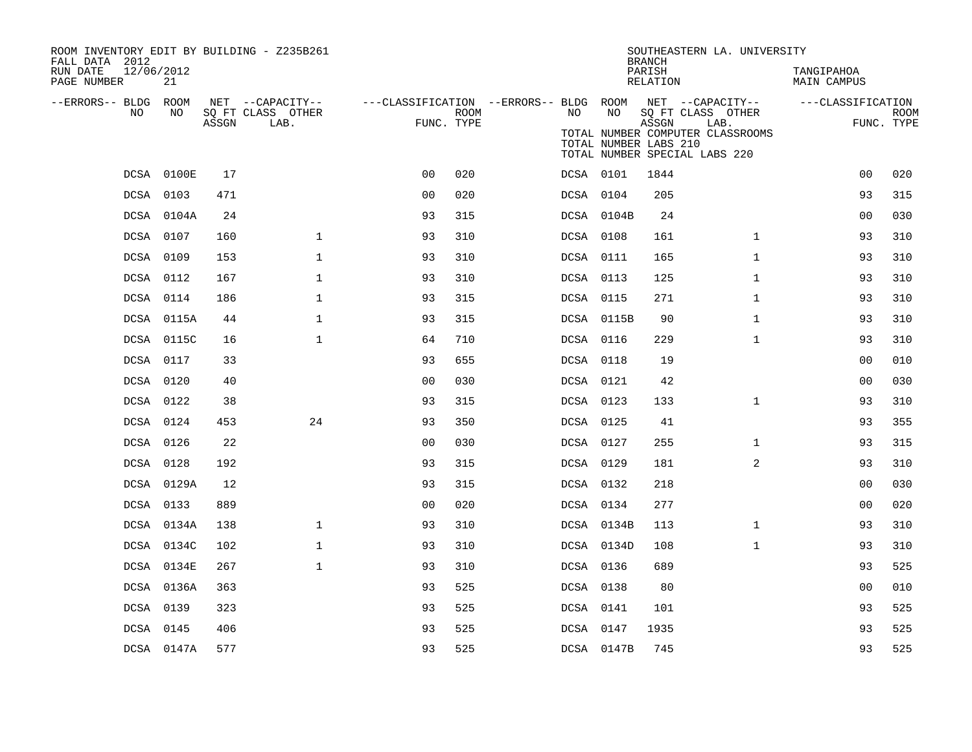| ROOM INVENTORY EDIT BY BUILDING - Z235B261<br>FALL DATA 2012 |            |       |                                               |                |      |                                                               |                       | <b>BRANCH</b>      | SOUTHEASTERN LA. UNIVERSITY                                   |                                  |                           |
|--------------------------------------------------------------|------------|-------|-----------------------------------------------|----------------|------|---------------------------------------------------------------|-----------------------|--------------------|---------------------------------------------------------------|----------------------------------|---------------------------|
| 12/06/2012<br>RUN DATE<br>PAGE NUMBER                        | 21         |       |                                               |                |      |                                                               |                       | PARISH<br>RELATION |                                                               | TANGIPAHOA<br><b>MAIN CAMPUS</b> |                           |
| --ERRORS-- BLDG ROOM<br>NO                                   | NO         | ASSGN | NET --CAPACITY--<br>SQ FT CLASS OTHER<br>LAB. | FUNC. TYPE     | ROOM | ---CLASSIFICATION --ERRORS-- BLDG ROOM NET --CAPACITY--<br>NO | NO                    | ASSGN              | SQ FT CLASS OTHER<br>LAB.<br>TOTAL NUMBER COMPUTER CLASSROOMS | ---CLASSIFICATION                | <b>ROOM</b><br>FUNC. TYPE |
|                                                              |            |       |                                               |                |      |                                                               | TOTAL NUMBER LABS 210 |                    | TOTAL NUMBER SPECIAL LABS 220                                 |                                  |                           |
|                                                              | DCSA 0100E | 17    |                                               | 0 <sub>0</sub> | 020  |                                                               | DCSA 0101             | 1844               |                                                               | 0 <sub>0</sub>                   | 020                       |
|                                                              | DCSA 0103  | 471   |                                               | 0 <sub>0</sub> | 020  |                                                               | DCSA 0104             | 205                |                                                               | 93                               | 315                       |
|                                                              | DCSA 0104A | 24    |                                               | 93             | 315  |                                                               | DCSA 0104B            | 24                 |                                                               | 0 <sub>0</sub>                   | 030                       |
|                                                              | DCSA 0107  | 160   | $\mathbf{1}$                                  | 93             | 310  |                                                               | DCSA 0108             | 161                | $\mathbf{1}$                                                  | 93                               | 310                       |
|                                                              | DCSA 0109  | 153   | $\mathbf{1}$                                  | 93             | 310  |                                                               | DCSA 0111             | 165                | $\mathbf{1}$                                                  | 93                               | 310                       |
|                                                              | DCSA 0112  | 167   | $\mathbf{1}$                                  | 93             | 310  |                                                               | DCSA 0113             | 125                | $\mathbf{1}$                                                  | 93                               | 310                       |
|                                                              | DCSA 0114  | 186   | $\mathbf 1$                                   | 93             | 315  |                                                               | DCSA 0115             | 271                | $\mathbf{1}$                                                  | 93                               | 310                       |
|                                                              | DCSA 0115A | 44    | $\mathbf{1}$                                  | 93             | 315  |                                                               | DCSA 0115B            | 90                 | $\mathbf{1}$                                                  | 93                               | 310                       |
|                                                              | DCSA 0115C | 16    | $\mathbf{1}$                                  | 64             | 710  |                                                               | DCSA 0116             | 229                | $\mathbf{1}$                                                  | 93                               | 310                       |
|                                                              | DCSA 0117  | 33    |                                               | 93             | 655  |                                                               | DCSA 0118             | 19                 |                                                               | 00                               | 010                       |
|                                                              | DCSA 0120  | 40    |                                               | 0 <sub>0</sub> | 030  |                                                               | DCSA 0121             | 42                 |                                                               | 00                               | 030                       |
|                                                              | DCSA 0122  | 38    |                                               | 93             | 315  |                                                               | DCSA 0123             | 133                | $\mathbf{1}$                                                  | 93                               | 310                       |
|                                                              | DCSA 0124  | 453   | 24                                            | 93             | 350  |                                                               | DCSA 0125             | 41                 |                                                               | 93                               | 355                       |
|                                                              | DCSA 0126  | 22    |                                               | 0 <sub>0</sub> | 030  |                                                               | DCSA 0127             | 255                | $\mathbf{1}$                                                  | 93                               | 315                       |
|                                                              | DCSA 0128  | 192   |                                               | 93             | 315  |                                                               | DCSA 0129             | 181                | 2                                                             | 93                               | 310                       |
|                                                              | DCSA 0129A | 12    |                                               | 93             | 315  |                                                               | DCSA 0132             | 218                |                                                               | 0 <sub>0</sub>                   | 030                       |
|                                                              | DCSA 0133  | 889   |                                               | 0 <sub>0</sub> | 020  |                                                               | DCSA 0134             | 277                |                                                               | 0 <sub>0</sub>                   | 020                       |
|                                                              | DCSA 0134A | 138   | $\mathbf{1}$                                  | 93             | 310  |                                                               | DCSA 0134B            | 113                | $\mathbf{1}$                                                  | 93                               | 310                       |
|                                                              | DCSA 0134C | 102   | $\mathbf{1}$                                  | 93             | 310  |                                                               | DCSA 0134D            | 108                | $\mathbf{1}$                                                  | 93                               | 310                       |
|                                                              | DCSA 0134E | 267   | $\mathbf{1}$                                  | 93             | 310  |                                                               | DCSA 0136             | 689                |                                                               | 93                               | 525                       |
|                                                              | DCSA 0136A | 363   |                                               | 93             | 525  |                                                               | DCSA 0138             | 80                 |                                                               | 0 <sub>0</sub>                   | 010                       |
|                                                              | DCSA 0139  | 323   |                                               | 93             | 525  |                                                               | DCSA 0141             | 101                |                                                               | 93                               | 525                       |
|                                                              | DCSA 0145  | 406   |                                               | 93             | 525  |                                                               | DCSA 0147             | 1935               |                                                               | 93                               | 525                       |
|                                                              | DCSA 0147A | 577   |                                               | 93             | 525  |                                                               | DCSA 0147B            | 745                |                                                               | 93                               | 525                       |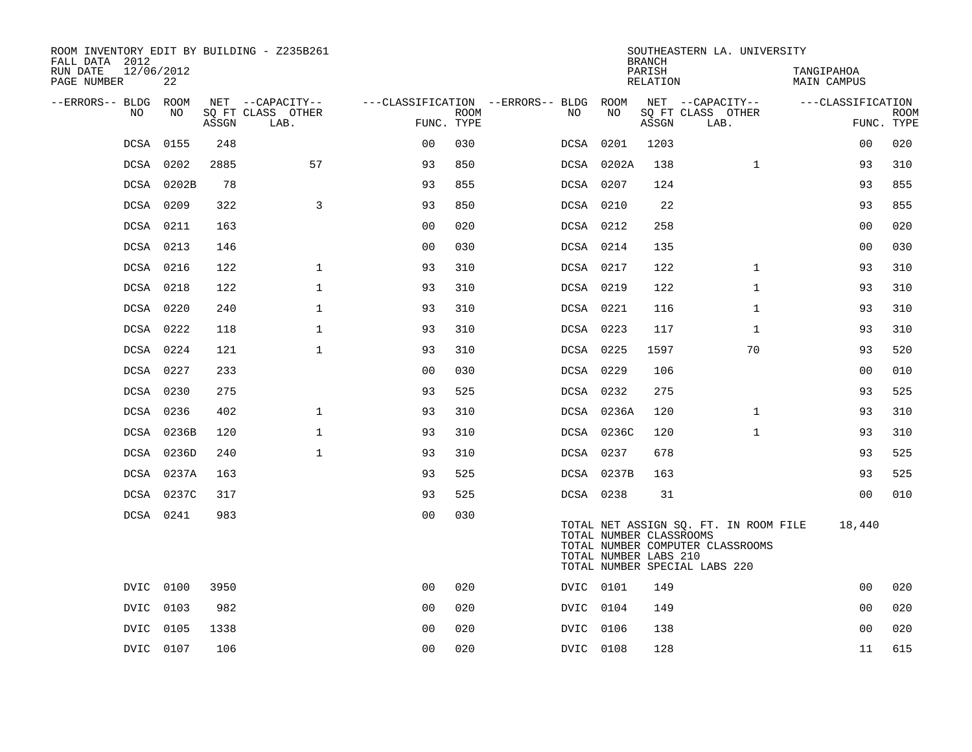| ROOM INVENTORY EDIT BY BUILDING - Z235B261<br>FALL DATA 2012 |                  |       |                           |                |             |                                        |                                                  | <b>BRANCH</b>      | SOUTHEASTERN LA. UNIVERSITY                                                                                |                                  |                           |
|--------------------------------------------------------------|------------------|-------|---------------------------|----------------|-------------|----------------------------------------|--------------------------------------------------|--------------------|------------------------------------------------------------------------------------------------------------|----------------------------------|---------------------------|
| RUN DATE<br>PAGE NUMBER                                      | 12/06/2012<br>22 |       |                           |                |             |                                        |                                                  | PARISH<br>RELATION |                                                                                                            | TANGIPAHOA<br><b>MAIN CAMPUS</b> |                           |
| --ERRORS-- BLDG                                              | ROOM             |       | NET --CAPACITY--          |                |             | ---CLASSIFICATION --ERRORS-- BLDG ROOM |                                                  |                    | NET --CAPACITY--                                                                                           | ---CLASSIFICATION                |                           |
| NO.                                                          | NO.              | ASSGN | SQ FT CLASS OTHER<br>LAB. | FUNC. TYPE     | <b>ROOM</b> | NO.                                    | NO.                                              | ASSGN              | SQ FT CLASS OTHER<br>LAB.                                                                                  |                                  | <b>ROOM</b><br>FUNC. TYPE |
| DCSA                                                         | 0155             | 248   |                           | 0 <sub>0</sub> | 030         | DCSA                                   | 0201                                             | 1203               |                                                                                                            | 0 <sub>0</sub>                   | 020                       |
| <b>DCSA</b>                                                  | 0202             | 2885  | 57                        | 93             | 850         |                                        | DCSA 0202A                                       | 138                | $\mathbf{1}$                                                                                               | 93                               | 310                       |
|                                                              | DCSA 0202B       | 78    |                           | 93             | 855         | DCSA 0207                              |                                                  | 124                |                                                                                                            | 93                               | 855                       |
|                                                              | DCSA 0209        | 322   | 3                         | 93             | 850         |                                        | DCSA 0210                                        | 22                 |                                                                                                            | 93                               | 855                       |
|                                                              | DCSA 0211        | 163   |                           | 0 <sub>0</sub> | 020         | DCSA 0212                              |                                                  | 258                |                                                                                                            | 0 <sub>0</sub>                   | 020                       |
|                                                              | DCSA 0213        | 146   |                           | 0 <sub>0</sub> | 030         | DCSA 0214                              |                                                  | 135                |                                                                                                            | 0 <sub>0</sub>                   | 030                       |
|                                                              | DCSA 0216        | 122   | $\mathbf 1$               | 93             | 310         | DCSA 0217                              |                                                  | 122                | $\mathbf{1}$                                                                                               | 93                               | 310                       |
| DCSA                                                         | 0218             | 122   | $\mathbf{1}$              | 93             | 310         | DCSA 0219                              |                                                  | 122                | $\mathbf{1}$                                                                                               | 93                               | 310                       |
|                                                              | DCSA 0220        | 240   | $\mathbf 1$               | 93             | 310         | DCSA 0221                              |                                                  | 116                | $\mathbf{1}$                                                                                               | 93                               | 310                       |
|                                                              | DCSA 0222        | 118   | $\mathbf 1$               | 93             | 310         | DCSA 0223                              |                                                  | 117                | $\mathbf{1}$                                                                                               | 93                               | 310                       |
|                                                              | DCSA 0224        | 121   | $\mathbf 1$               | 93             | 310         | DCSA 0225                              |                                                  | 1597               | 70                                                                                                         | 93                               | 520                       |
|                                                              | DCSA 0227        | 233   |                           | 00             | 030         | DCSA 0229                              |                                                  | 106                |                                                                                                            | 00                               | 010                       |
| <b>DCSA</b>                                                  | 0230             | 275   |                           | 93             | 525         |                                        | DCSA 0232                                        | 275                |                                                                                                            | 93                               | 525                       |
|                                                              | DCSA 0236        | 402   | $\mathbf 1$               | 93             | 310         |                                        | DCSA 0236A                                       | 120                | $\mathbf{1}$                                                                                               | 93                               | 310                       |
| DCSA                                                         | 0236B            | 120   | $\mathbf 1$               | 93             | 310         |                                        | DCSA 0236C                                       | 120                | $\mathbf{1}$                                                                                               | 93                               | 310                       |
| <b>DCSA</b>                                                  | 0236D            | 240   | $\mathbf{1}$              | 93             | 310         |                                        | DCSA 0237                                        | 678                |                                                                                                            | 93                               | 525                       |
| DCSA                                                         | 0237A            | 163   |                           | 93             | 525         |                                        | DCSA 0237B                                       | 163                |                                                                                                            | 93                               | 525                       |
| DCSA                                                         | 0237C            | 317   |                           | 93             | 525         |                                        | DCSA 0238                                        | 31                 |                                                                                                            | 0 <sub>0</sub>                   | 010                       |
|                                                              | DCSA 0241        | 983   |                           | 0 <sub>0</sub> | 030         |                                        | TOTAL NUMBER CLASSROOMS<br>TOTAL NUMBER LABS 210 |                    | TOTAL NET ASSIGN SQ. FT. IN ROOM FILE<br>TOTAL NUMBER COMPUTER CLASSROOMS<br>TOTAL NUMBER SPECIAL LABS 220 | 18,440                           |                           |
|                                                              | DVIC 0100        | 3950  |                           | 0 <sub>0</sub> | 020         |                                        | DVIC 0101                                        | 149                |                                                                                                            | 00                               | 020                       |
| DVIC                                                         | 0103             | 982   |                           | 0 <sub>0</sub> | 020         | DVIC 0104                              |                                                  | 149                |                                                                                                            | 0 <sub>0</sub>                   | 020                       |
| <b>DVIC</b>                                                  | 0105             | 1338  |                           | 0 <sub>0</sub> | 020         | DVIC                                   | 0106                                             | 138                |                                                                                                            | 0 <sub>0</sub>                   | 020                       |
|                                                              | DVIC 0107        | 106   |                           | 0 <sub>0</sub> | 020         | DVIC 0108                              |                                                  | 128                |                                                                                                            | 11                               | 615                       |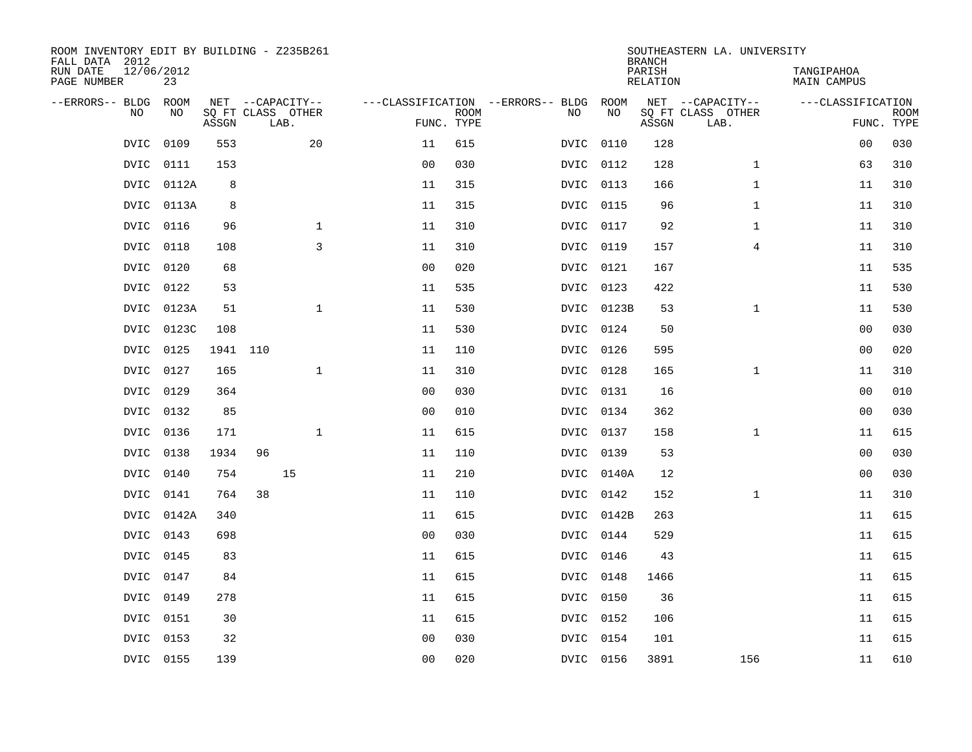| ROOM INVENTORY EDIT BY BUILDING - Z235B261<br>FALL DATA 2012 |                  |          |    |                           |                |                           |                                   |            | <b>BRANCH</b>             | SOUTHEASTERN LA. UNIVERSITY |                                  |                           |
|--------------------------------------------------------------|------------------|----------|----|---------------------------|----------------|---------------------------|-----------------------------------|------------|---------------------------|-----------------------------|----------------------------------|---------------------------|
| RUN DATE<br>PAGE NUMBER                                      | 12/06/2012<br>23 |          |    |                           |                |                           |                                   |            | PARISH<br><b>RELATION</b> |                             | TANGIPAHOA<br><b>MAIN CAMPUS</b> |                           |
| --ERRORS-- BLDG                                              | ROOM             |          |    | NET --CAPACITY--          |                |                           | ---CLASSIFICATION --ERRORS-- BLDG | ROOM       |                           | NET --CAPACITY--            | ---CLASSIFICATION                |                           |
| NO.                                                          | NO               | ASSGN    |    | SQ FT CLASS OTHER<br>LAB. |                | <b>ROOM</b><br>FUNC. TYPE | NO                                | NO         | ASSGN                     | SQ FT CLASS OTHER<br>LAB.   |                                  | <b>ROOM</b><br>FUNC. TYPE |
| DVIC                                                         | 0109             | 553      |    | 20                        | 11             | 615                       | DVIC                              | 0110       | 128                       |                             | 0 <sub>0</sub>                   | 030                       |
| DVIC                                                         | 0111             | 153      |    |                           | 0 <sub>0</sub> | 030                       | DVIC                              | 0112       | 128                       | $\mathbf{1}$                | 63                               | 310                       |
| DVIC                                                         | 0112A            | 8        |    |                           | 11             | 315                       | DVIC                              | 0113       | 166                       | $\mathbf{1}$                | 11                               | 310                       |
| <b>DVIC</b>                                                  | 0113A            | 8        |    |                           | 11             | 315                       | <b>DVIC</b>                       | 0115       | 96                        | $\mathbf{1}$                | 11                               | 310                       |
| <b>DVIC</b>                                                  | 0116             | 96       |    | $\mathbf{1}$              | 11             | 310                       | <b>DVIC</b>                       | 0117       | 92                        | $\mathbf{1}$                | 11                               | 310                       |
| <b>DVIC</b>                                                  | 0118             | 108      |    | 3                         | 11             | 310                       |                                   | DVIC 0119  | 157                       | $\overline{4}$              | 11                               | 310                       |
| <b>DVIC</b>                                                  | 0120             | 68       |    |                           | 0 <sub>0</sub> | 020                       | <b>DVIC</b>                       | 0121       | 167                       |                             | 11                               | 535                       |
| <b>DVIC</b>                                                  | 0122             | 53       |    |                           | 11             | 535                       | DVIC                              | 0123       | 422                       |                             | 11                               | 530                       |
| <b>DVIC</b>                                                  | 0123A            | 51       |    | $\mathbf{1}$              | 11             | 530                       | <b>DVIC</b>                       | 0123B      | 53                        | $\mathbf{1}$                | 11                               | 530                       |
| DVIC                                                         | 0123C            | 108      |    |                           | 11             | 530                       | DVIC                              | 0124       | 50                        |                             | 0 <sub>0</sub>                   | 030                       |
| <b>DVIC</b>                                                  | 0125             | 1941 110 |    |                           | 11             | 110                       | DVIC                              | 0126       | 595                       |                             | 00                               | 020                       |
| <b>DVIC</b>                                                  | 0127             | 165      |    | $\mathbf 1$               | 11             | 310                       | DVIC                              | 0128       | 165                       | $\mathbf{1}$                | 11                               | 310                       |
| <b>DVIC</b>                                                  | 0129             | 364      |    |                           | 0 <sub>0</sub> | 030                       | <b>DVIC</b>                       | 0131       | 16                        |                             | 00                               | 010                       |
|                                                              | DVIC 0132        | 85       |    |                           | 0 <sub>0</sub> | 010                       |                                   | DVIC 0134  | 362                       |                             | 00                               | 030                       |
| <b>DVIC</b>                                                  | 0136             | 171      |    | $\mathbf{1}$              | 11             | 615                       | <b>DVIC</b>                       | 0137       | 158                       | $\mathbf{1}$                | 11                               | 615                       |
| DVIC                                                         | 0138             | 1934     | 96 |                           | 11             | 110                       |                                   | DVIC 0139  | 53                        |                             | 0 <sub>0</sub>                   | 030                       |
| DVIC                                                         | 0140             | 754      |    | 15                        | 11             | 210                       | DVIC                              | 0140A      | 12                        |                             | 0 <sub>0</sub>                   | 030                       |
| DVIC                                                         | 0141             | 764      | 38 |                           | 11             | 110                       |                                   | DVIC 0142  | 152                       | $\mathbf{1}$                | 11                               | 310                       |
|                                                              | DVIC 0142A       | 340      |    |                           | 11             | 615                       |                                   | DVIC 0142B | 263                       |                             | 11                               | 615                       |
|                                                              | DVIC 0143        | 698      |    |                           | 0 <sub>0</sub> | 030                       |                                   | DVIC 0144  | 529                       |                             | 11                               | 615                       |
|                                                              | DVIC 0145        | 83       |    |                           | 11             | 615                       |                                   | DVIC 0146  | 43                        |                             | 11                               | 615                       |
|                                                              | DVIC 0147        | 84       |    |                           | 11             | 615                       |                                   | DVIC 0148  | 1466                      |                             | 11                               | 615                       |
| <b>DVIC</b>                                                  | 0149             | 278      |    |                           | 11             | 615                       |                                   | DVIC 0150  | 36                        |                             | 11                               | 615                       |
| <b>DVIC</b>                                                  | 0151             | 30       |    |                           | 11             | 615                       |                                   | DVIC 0152  | 106                       |                             | 11                               | 615                       |
| <b>DVIC</b>                                                  | 0153             | 32       |    |                           | 0 <sub>0</sub> | 030                       | DVIC                              | 0154       | 101                       |                             | 11                               | 615                       |
|                                                              | DVIC 0155        | 139      |    |                           | 0 <sub>0</sub> | 020                       |                                   | DVIC 0156  | 3891                      | 156                         | 11                               | 610                       |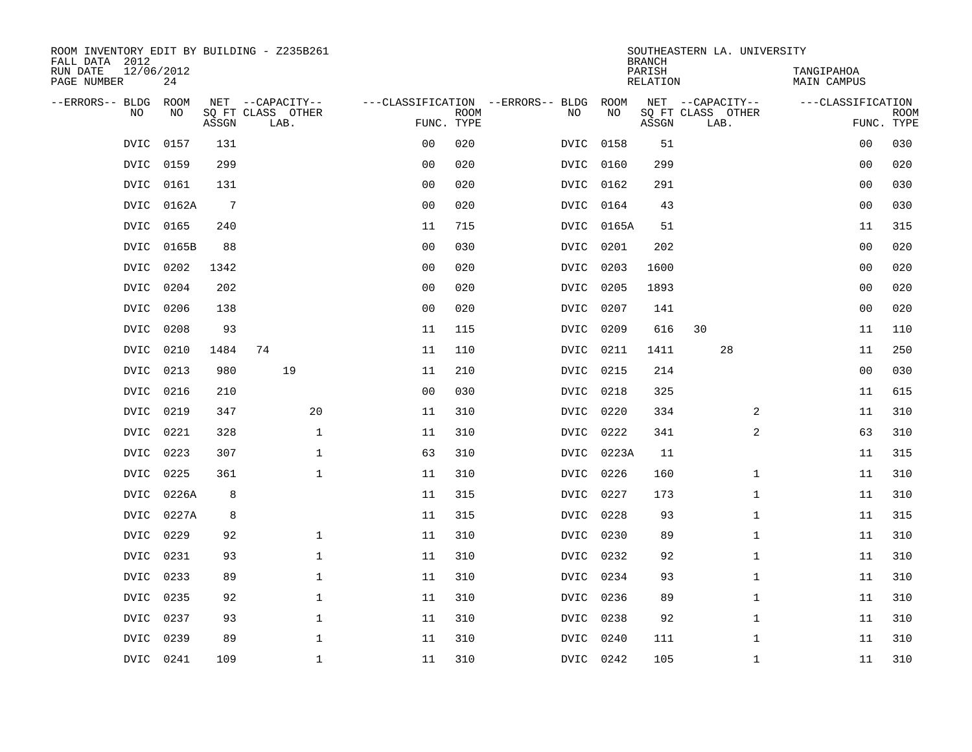| ROOM INVENTORY EDIT BY BUILDING - Z235B261<br>FALL DATA 2012 |                  |                 |                           |                |             |                                   |           | <b>BRANCH</b>      | SOUTHEASTERN LA. UNIVERSITY |                           |             |
|--------------------------------------------------------------|------------------|-----------------|---------------------------|----------------|-------------|-----------------------------------|-----------|--------------------|-----------------------------|---------------------------|-------------|
| RUN DATE<br>PAGE NUMBER                                      | 12/06/2012<br>24 |                 |                           |                |             |                                   |           | PARISH<br>RELATION |                             | TANGIPAHOA<br>MAIN CAMPUS |             |
| --ERRORS-- BLDG ROOM                                         |                  |                 | NET --CAPACITY--          |                |             | ---CLASSIFICATION --ERRORS-- BLDG | ROOM      |                    | NET --CAPACITY--            | ---CLASSIFICATION         |             |
| NO                                                           | NO               | ASSGN           | SQ FT CLASS OTHER<br>LAB. | FUNC. TYPE     | <b>ROOM</b> | NO                                | NO        | ASSGN              | SQ FT CLASS OTHER<br>LAB.   | FUNC. TYPE                | <b>ROOM</b> |
| <b>DVIC</b>                                                  | 0157             | 131             |                           | 0 <sub>0</sub> | 020         | <b>DVIC</b>                       | 0158      | 51                 |                             | 0 <sub>0</sub>            | 030         |
|                                                              | DVIC 0159        | 299             |                           | 0 <sub>0</sub> | 020         | DVIC                              | 0160      | 299                |                             | 00                        | 020         |
|                                                              | DVIC 0161        | 131             |                           | 0 <sub>0</sub> | 020         |                                   | DVIC 0162 | 291                |                             | 0 <sub>0</sub>            | 030         |
| DVIC                                                         | 0162A            | $7\phantom{.0}$ |                           | 0 <sub>0</sub> | 020         |                                   | DVIC 0164 | 43                 |                             | 0 <sub>0</sub>            | 030         |
| DVIC                                                         | 0165             | 240             |                           | 11             | 715         | DVIC                              | 0165A     | 51                 |                             | 11                        | 315         |
| DVIC                                                         | 0165B            | 88              |                           | 0 <sub>0</sub> | 030         | DVIC                              | 0201      | 202                |                             | 0 <sub>0</sub>            | 020         |
| <b>DVIC</b>                                                  | 0202             | 1342            |                           | 0 <sub>0</sub> | 020         | <b>DVIC</b>                       | 0203      | 1600               |                             | 0 <sub>0</sub>            | 020         |
| DVIC                                                         | 0204             | 202             |                           | 0 <sub>0</sub> | 020         | DVIC                              | 0205      | 1893               |                             | 0 <sub>0</sub>            | 020         |
| <b>DVIC</b>                                                  | 0206             | 138             |                           | 0 <sub>0</sub> | 020         | <b>DVIC</b>                       | 0207      | 141                |                             | 0 <sub>0</sub>            | 020         |
| <b>DVIC</b>                                                  | 0208             | 93              |                           | 11             | 115         | DVIC                              | 0209      | 616                | 30                          | 11                        | 110         |
| <b>DVIC</b>                                                  | 0210             | 1484            | 74                        | 11             | 110         | <b>DVIC</b>                       | 0211      | 1411               | 28                          | 11                        | 250         |
| DVIC                                                         | 0213             | 980             | 19                        | 11             | 210         | DVIC                              | 0215      | 214                |                             | 0 <sub>0</sub>            | 030         |
| <b>DVIC</b>                                                  | 0216             | 210             |                           | 0 <sub>0</sub> | 030         | DVIC                              | 0218      | 325                |                             | 11                        | 615         |
| DVIC                                                         | 0219             | 347             | 20                        | 11             | 310         | DVIC                              | 0220      | 334                | 2                           | 11                        | 310         |
| <b>DVIC</b>                                                  | 0221             | 328             | $\mathbf{1}$              | 11             | 310         | <b>DVIC</b>                       | 0222      | 341                | 2                           | 63                        | 310         |
| DVIC                                                         | 0223             | 307             | $\mathbf 1$               | 63             | 310         | DVIC                              | 0223A     | 11                 |                             | 11                        | 315         |
|                                                              | DVIC 0225        | 361             | $\mathbf{1}$              | 11             | 310         |                                   | DVIC 0226 | 160                | $\mathbf{1}$                | 11                        | 310         |
| DVIC                                                         | 0226A            | 8               |                           | 11             | 315         | DVIC                              | 0227      | 173                | $\mathbf{1}$                | 11                        | 310         |
|                                                              | DVIC 0227A       | 8               |                           | 11             | 315         |                                   | DVIC 0228 | 93                 | $\mathbf{1}$                | 11                        | 315         |
| DVIC                                                         | 0229             | 92              | $\mathbf 1$               | 11             | 310         |                                   | DVIC 0230 | 89                 | $\mathbf{1}$                | 11                        | 310         |
|                                                              | DVIC 0231        | 93              | $\mathbf 1$               | 11             | 310         |                                   | DVIC 0232 | 92                 | $\mathbf{1}$                | 11                        | 310         |
| <b>DVIC</b>                                                  | 0233             | 89              | $\mathbf 1$               | 11             | 310         | DVIC                              | 0234      | 93                 | $\mathbf{1}$                | 11                        | 310         |
| DVIC                                                         | 0235             | 92              | $\mathbf{1}$              | 11             | 310         |                                   | DVIC 0236 | 89                 | $\mathbf{1}$                | 11                        | 310         |
| DVIC                                                         | 0237             | 93              | $\mathbf{1}$              | 11             | 310         | DVIC                              | 0238      | 92                 | $\mathbf{1}$                | 11                        | 310         |
| <b>DVIC</b>                                                  | 0239             | 89              | $\mathbf{1}$              | 11             | 310         | <b>DVIC</b>                       | 0240      | 111                | $\mathbf{1}$                | 11                        | 310         |
|                                                              | DVIC 0241        | 109             | $\mathbf 1$               | 11             | 310         |                                   | DVIC 0242 | 105                | $\mathbf{1}$                | 11                        | 310         |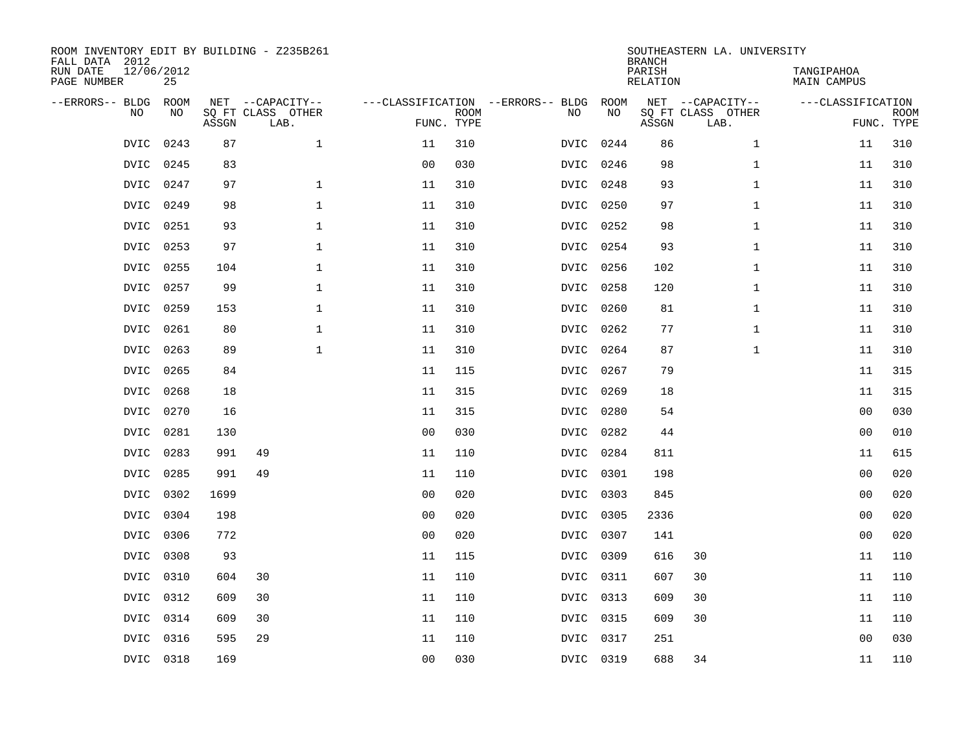| FALL DATA 2012<br>RUN DATE<br>PAGE NUMBER |             | 12/06/2012<br>25 |       | ROOM INVENTORY EDIT BY BUILDING - Z235B261    |                                                 |             |             |            | <b>BRANCH</b><br>PARISH<br>RELATION | SOUTHEASTERN LA. UNIVERSITY                   | TANGIPAHOA<br>MAIN CAMPUS |                           |
|-------------------------------------------|-------------|------------------|-------|-----------------------------------------------|-------------------------------------------------|-------------|-------------|------------|-------------------------------------|-----------------------------------------------|---------------------------|---------------------------|
| --ERRORS-- BLDG                           | <b>NO</b>   | ROOM<br>NO.      | ASSGN | NET --CAPACITY--<br>SQ FT CLASS OTHER<br>LAB. | ---CLASSIFICATION --ERRORS-- BLDG<br>FUNC. TYPE | <b>ROOM</b> | NO          | ROOM<br>NO | ASSGN                               | NET --CAPACITY--<br>SQ FT CLASS OTHER<br>LAB. | ---CLASSIFICATION         | <b>ROOM</b><br>FUNC. TYPE |
|                                           | <b>DVIC</b> | 0243             | 87    | $\mathbf{1}$                                  | 11                                              | 310         | <b>DVIC</b> | 0244       | 86                                  | $\mathbf{1}$                                  | 11                        | 310                       |
|                                           | <b>DVIC</b> | 0245             | 83    |                                               | 0 <sub>0</sub>                                  | 030         | <b>DVIC</b> | 0246       | 98                                  | $\mathbf{1}$                                  | 11                        | 310                       |
|                                           | DVIC        | 0247             | 97    | $\mathbf{1}$                                  | 11                                              | 310         | DVIC        | 0248       | 93                                  | $\mathbf{1}$                                  | 11                        | 310                       |
|                                           | <b>DVIC</b> | 0249             | 98    | $\mathbf{1}$                                  | 11                                              | 310         | <b>DVIC</b> | 0250       | 97                                  | $\mathbf{1}$                                  | 11                        | 310                       |
|                                           | <b>DVIC</b> | 0251             | 93    | $\mathbf{1}$                                  | 11                                              | 310         | DVIC        | 0252       | 98                                  | $\mathbf{1}$                                  | 11                        | 310                       |
|                                           | <b>DVIC</b> | 0253             | 97    | $\mathbf 1$                                   | 11                                              | 310         | DVIC        | 0254       | 93                                  | $\mathbf{1}$                                  | 11                        | 310                       |
|                                           | <b>DVIC</b> | 0255             | 104   | $\mathbf 1$                                   | 11                                              | 310         | <b>DVIC</b> | 0256       | 102                                 | $\mathbf{1}$                                  | 11                        | 310                       |
|                                           | <b>DVIC</b> | 0257             | 99    | $\mathbf 1$                                   | 11                                              | 310         | DVIC        | 0258       | 120                                 | $\mathbf{1}$                                  | 11                        | 310                       |
|                                           | <b>DVIC</b> | 0259             | 153   | $\mathbf 1$                                   | 11                                              | 310         | DVIC        | 0260       | 81                                  | $\mathbf{1}$                                  | 11                        | 310                       |
|                                           | <b>DVIC</b> | 0261             | 80    | $\mathbf{1}$                                  | 11                                              | 310         | <b>DVIC</b> | 0262       | 77                                  | $\mathbf{1}$                                  | 11                        | 310                       |
|                                           | <b>DVIC</b> | 0263             | 89    | $\mathbf 1$                                   | 11                                              | 310         | <b>DVIC</b> | 0264       | 87                                  | $\mathbf{1}$                                  | 11                        | 310                       |
|                                           | <b>DVIC</b> | 0265             | 84    |                                               | 11                                              | 115         | <b>DVIC</b> | 0267       | 79                                  |                                               | 11                        | 315                       |
|                                           | <b>DVIC</b> | 0268             | 18    |                                               | 11                                              | 315         | <b>DVIC</b> | 0269       | 18                                  |                                               | 11                        | 315                       |
|                                           | <b>DVIC</b> | 0270             | 16    |                                               | 11                                              | 315         | <b>DVIC</b> | 0280       | 54                                  |                                               | 0 <sub>0</sub>            | 030                       |
|                                           | DVIC        | 0281             | 130   |                                               | 0 <sub>0</sub>                                  | 030         | DVIC        | 0282       | 44                                  |                                               | 0 <sub>0</sub>            | 010                       |
|                                           | DVIC        | 0283             | 991   | 49                                            | 11                                              | 110         | DVIC        | 0284       | 811                                 |                                               | 11                        | 615                       |
|                                           | DVIC        | 0285             | 991   | 49                                            | 11                                              | 110         | DVIC        | 0301       | 198                                 |                                               | 0 <sub>0</sub>            | 020                       |
|                                           | DVIC        | 0302             | 1699  |                                               | 0 <sub>0</sub>                                  | 020         | DVIC 0303   |            | 845                                 |                                               | 00                        | 020                       |
|                                           |             | DVIC 0304        | 198   |                                               | 0 <sub>0</sub>                                  | 020         | DVIC 0305   |            | 2336                                |                                               | 00                        | 020                       |
|                                           | DVIC        | 0306             | 772   |                                               | 0 <sub>0</sub>                                  | 020         | DVIC 0307   |            | 141                                 |                                               | 0 <sub>0</sub>            | 020                       |
|                                           | DVIC        | 0308             | 93    |                                               | 11                                              | 115         | DVIC 0309   |            | 616                                 | 30                                            | 11                        | 110                       |
|                                           | DVIC        | 0310             | 604   | 30                                            | 11                                              | 110         | DVIC 0311   |            | 607                                 | 30                                            | 11                        | 110                       |
|                                           | DVIC        | 0312             | 609   | 30                                            | 11                                              | 110         | DVIC 0313   |            | 609                                 | 30                                            | 11                        | 110                       |
|                                           | <b>DVIC</b> | 0314             | 609   | 30                                            | 11                                              | 110         | DVIC 0315   |            | 609                                 | 30                                            | 11                        | 110                       |
|                                           | DVIC        | 0316             | 595   | 29                                            | 11                                              | 110         | DVIC        | 0317       | 251                                 |                                               | 0 <sub>0</sub>            | 030                       |
|                                           |             | DVIC 0318        | 169   |                                               | 0 <sub>0</sub>                                  | 030         | DVIC 0319   |            | 688                                 | 34                                            | 11                        | 110                       |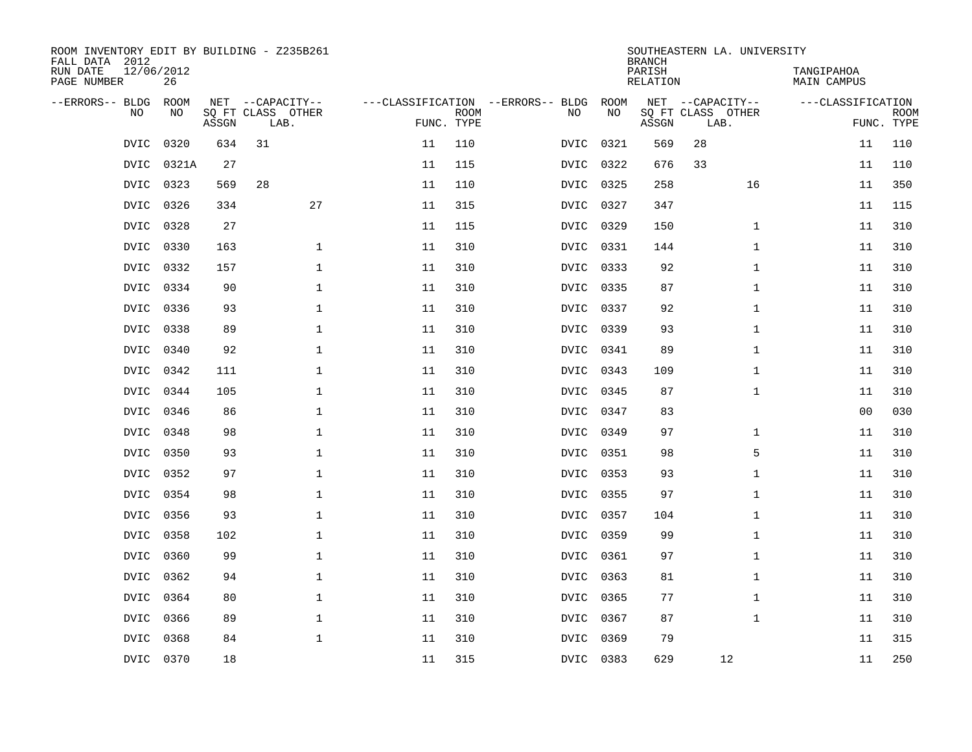| ROOM INVENTORY EDIT BY BUILDING - Z235B261<br>FALL DATA 2012 |                  |       |                           |    |                           |                                   |      | <b>BRANCH</b>      | SOUTHEASTERN LA. UNIVERSITY |                                  |                           |
|--------------------------------------------------------------|------------------|-------|---------------------------|----|---------------------------|-----------------------------------|------|--------------------|-----------------------------|----------------------------------|---------------------------|
| RUN DATE<br>PAGE NUMBER                                      | 12/06/2012<br>26 |       |                           |    |                           |                                   |      | PARISH<br>RELATION |                             | TANGIPAHOA<br><b>MAIN CAMPUS</b> |                           |
| --ERRORS-- BLDG                                              | <b>ROOM</b>      |       | NET --CAPACITY--          |    |                           | ---CLASSIFICATION --ERRORS-- BLDG | ROOM |                    | NET --CAPACITY--            | ---CLASSIFICATION                |                           |
| N <sub>O</sub>                                               | NO.              | ASSGN | SO FT CLASS OTHER<br>LAB. |    | <b>ROOM</b><br>FUNC. TYPE | NO.                               | NO   | ASSGN              | SQ FT CLASS OTHER<br>LAB.   |                                  | <b>ROOM</b><br>FUNC. TYPE |
| <b>DVIC</b>                                                  | 0320             | 634   | 31                        | 11 | 110                       | DVIC                              | 0321 | 569                | 28                          | 11                               | 110                       |
| DVIC                                                         | 0321A            | 27    |                           | 11 | 115                       | DVIC                              | 0322 | 676                | 33                          | 11                               | 110                       |
|                                                              | DVIC 0323        | 569   | 28                        | 11 | 110                       | DVIC                              | 0325 | 258                | 16                          | 11                               | 350                       |
| DVIC                                                         | 0326             | 334   | 27                        | 11 | 315                       | DVIC                              | 0327 | 347                |                             | 11                               | 115                       |
| DVIC                                                         | 0328             | 27    |                           | 11 | 115                       | DVIC                              | 0329 | 150                | $\mathbf{1}$                | 11                               | 310                       |
| DVIC                                                         | 0330             | 163   | $\mathbf 1$               | 11 | 310                       | DVIC                              | 0331 | 144                | $\mathbf{1}$                | 11                               | 310                       |
| DVIC                                                         | 0332             | 157   | $\mathbf{1}$              | 11 | 310                       | DVIC                              | 0333 | 92                 | $\mathbf{1}$                | 11                               | 310                       |
| <b>DVIC</b>                                                  | 0334             | 90    | $\mathbf 1$               | 11 | 310                       | <b>DVIC</b>                       | 0335 | 87                 | $\mathbf{1}$                | 11                               | 310                       |
| <b>DVIC</b>                                                  | 0336             | 93    | $\mathbf{1}$              | 11 | 310                       | <b>DVIC</b>                       | 0337 | 92                 | $\mathbf{1}$                | 11                               | 310                       |
| <b>DVIC</b>                                                  | 0338             | 89    | $\mathbf 1$               | 11 | 310                       | DVIC                              | 0339 | 93                 | $\mathbf{1}$                | 11                               | 310                       |
| <b>DVIC</b>                                                  | 0340             | 92    | $\mathbf 1$               | 11 | 310                       | <b>DVIC</b>                       | 0341 | 89                 | $\mathbf{1}$                | 11                               | 310                       |
| <b>DVIC</b>                                                  | 0342             | 111   | $\mathbf 1$               | 11 | 310                       | <b>DVIC</b>                       | 0343 | 109                | $\mathbf{1}$                | 11                               | 310                       |
| <b>DVIC</b>                                                  | 0344             | 105   | $\mathbf{1}$              | 11 | 310                       | <b>DVIC</b>                       | 0345 | 87                 | $\mathbf{1}$                | 11                               | 310                       |
| <b>DVIC</b>                                                  | 0346             | 86    | $\mathbf{1}$              | 11 | 310                       | <b>DVIC</b>                       | 0347 | 83                 |                             | 0 <sub>0</sub>                   | 030                       |
| DVIC                                                         | 0348             | 98    | $\mathbf 1$               | 11 | 310                       | DVIC                              | 0349 | 97                 | $\mathbf{1}$                | 11                               | 310                       |
| DVIC                                                         | 0350             | 93    | $\mathbf 1$               | 11 | 310                       | DVIC                              | 0351 | 98                 | 5                           | 11                               | 310                       |
| <b>DVIC</b>                                                  | 0352             | 97    | $\mathbf 1$               | 11 | 310                       | DVIC                              | 0353 | 93                 | $\mathbf{1}$                | 11                               | 310                       |
| <b>DVIC</b>                                                  | 0354             | 98    | $\mathbf{1}$              | 11 | 310                       | DVIC                              | 0355 | 97                 | $\mathbf{1}$                | 11                               | 310                       |
| <b>DVIC</b>                                                  | 0356             | 93    | $\mathbf{1}$              | 11 | 310                       | <b>DVIC</b>                       | 0357 | 104                | $\mathbf{1}$                | 11                               | 310                       |
| DVIC                                                         | 0358             | 102   | $\mathbf{1}$              | 11 | 310                       | DVIC                              | 0359 | 99                 | $\mathbf{1}$                | 11                               | 310                       |
| <b>DVIC</b>                                                  | 0360             | 99    | $\mathbf 1$               | 11 | 310                       | DVIC                              | 0361 | 97                 | $\mathbf{1}$                | 11                               | 310                       |
| DVIC                                                         | 0362             | 94    | $\mathbf 1$               | 11 | 310                       | DVIC                              | 0363 | 81                 | $\mathbf{1}$                | 11                               | 310                       |
| <b>DVIC</b>                                                  | 0364             | 80    | $\mathbf 1$               | 11 | 310                       | DVIC                              | 0365 | 77                 | $\mathbf{1}$                | 11                               | 310                       |
| <b>DVIC</b>                                                  | 0366             | 89    | $\mathbf 1$               | 11 | 310                       | DVIC                              | 0367 | 87                 | $\mathbf{1}$                | 11                               | 310                       |
| <b>DVIC</b>                                                  | 0368             | 84    | $\mathbf{1}$              | 11 | 310                       | <b>DVIC</b>                       | 0369 | 79                 |                             | 11                               | 315                       |
|                                                              | DVIC 0370        | 18    |                           | 11 | 315                       | DVIC 0383                         |      | 629                | 12                          | 11                               | 250                       |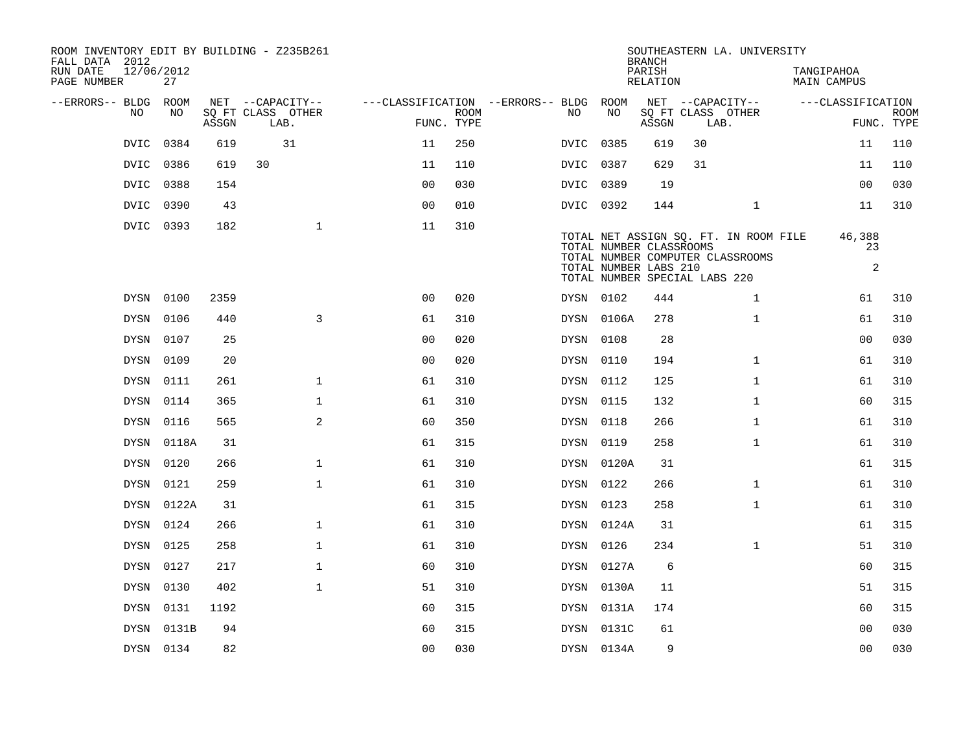| ROOM INVENTORY EDIT BY BUILDING - Z235B261<br>FALL DATA 2012 |                  |       |                           |                                        |             |             |                                                                                   | <b>BRANCH</b>      |      | SOUTHEASTERN LA. UNIVERSITY                                               |                                  |                   |                           |
|--------------------------------------------------------------|------------------|-------|---------------------------|----------------------------------------|-------------|-------------|-----------------------------------------------------------------------------------|--------------------|------|---------------------------------------------------------------------------|----------------------------------|-------------------|---------------------------|
| RUN DATE<br>PAGE NUMBER                                      | 12/06/2012<br>27 |       |                           |                                        |             |             |                                                                                   | PARISH<br>RELATION |      |                                                                           | TANGIPAHOA<br><b>MAIN CAMPUS</b> |                   |                           |
| --ERRORS-- BLDG ROOM                                         |                  |       | NET --CAPACITY--          | ---CLASSIFICATION --ERRORS-- BLDG ROOM |             |             |                                                                                   |                    |      | NET --CAPACITY--                                                          |                                  | ---CLASSIFICATION |                           |
| NO                                                           | NO.              | ASSGN | SQ FT CLASS OTHER<br>LAB. | FUNC. TYPE                             | <b>ROOM</b> | NO          | NO                                                                                | ASSGN              | LAB. | SQ FT CLASS OTHER                                                         |                                  |                   | <b>ROOM</b><br>FUNC. TYPE |
| DVIC                                                         | 0384             | 619   | 31                        | 11                                     | 250         | <b>DVIC</b> | 0385                                                                              | 619                | 30   |                                                                           |                                  | 11                | 110                       |
|                                                              | DVIC 0386        | 619   | 30                        | 11                                     | 110         | DVIC 0387   |                                                                                   | 629                | 31   |                                                                           |                                  | 11                | 110                       |
|                                                              | DVIC 0388        | 154   |                           | 0 <sub>0</sub>                         | 030         | DVIC 0389   |                                                                                   | 19                 |      |                                                                           |                                  | 0 <sub>0</sub>    | 030                       |
| DVIC                                                         | 0390             | 43    |                           | 00                                     | 010         | DVIC 0392   |                                                                                   | 144                |      | $\mathbf{1}$                                                              |                                  | 11                | 310                       |
|                                                              | DVIC 0393        | 182   | $\mathbf{1}$              | 11                                     | 310         |             | TOTAL NUMBER CLASSROOMS<br>TOTAL NUMBER LABS 210<br>TOTAL NUMBER SPECIAL LABS 220 |                    |      | TOTAL NET ASSIGN SQ. FT. IN ROOM FILE<br>TOTAL NUMBER COMPUTER CLASSROOMS |                                  | 46,388<br>23<br>2 |                           |
|                                                              | DYSN 0100        | 2359  |                           | 0 <sub>0</sub>                         | 020         | DYSN 0102   |                                                                                   | 444                |      | $\mathbf{1}$                                                              |                                  | 61                | 310                       |
|                                                              | DYSN 0106        | 440   | 3                         | 61                                     | 310         |             | DYSN 0106A                                                                        | 278                |      | $\mathbf{1}$                                                              |                                  | 61                | 310                       |
|                                                              | DYSN 0107        | 25    |                           | 0 <sub>0</sub>                         | 020         | DYSN 0108   |                                                                                   | 28                 |      |                                                                           |                                  | 0 <sub>0</sub>    | 030                       |
|                                                              | DYSN 0109        | 20    |                           | 0 <sub>0</sub>                         | 020         | DYSN 0110   |                                                                                   | 194                |      | $\mathbf{1}$                                                              |                                  | 61                | 310                       |
|                                                              | DYSN 0111        | 261   | $\mathbf{1}$              | 61                                     | 310         | DYSN 0112   |                                                                                   | 125                |      | $\mathbf{1}$                                                              |                                  | 61                | 310                       |
|                                                              | DYSN 0114        | 365   | $\mathbf{1}$              | 61                                     | 310         | DYSN 0115   |                                                                                   | 132                |      | $\mathbf{1}$                                                              |                                  | 60                | 315                       |
|                                                              | DYSN 0116        | 565   | 2                         | 60                                     | 350         | DYSN 0118   |                                                                                   | 266                |      | $\mathbf{1}$                                                              |                                  | 61                | 310                       |
|                                                              | DYSN 0118A       | 31    |                           | 61                                     | 315         | DYSN 0119   |                                                                                   | 258                |      | $\mathbf{1}$                                                              |                                  | 61                | 310                       |
|                                                              | DYSN 0120        | 266   | $\mathbf 1$               | 61                                     | 310         |             | DYSN 0120A                                                                        | 31                 |      |                                                                           |                                  | 61                | 315                       |
|                                                              | DYSN 0121        | 259   | $\mathbf{1}$              | 61                                     | 310         | DYSN 0122   |                                                                                   | 266                |      | $\mathbf{1}$                                                              |                                  | 61                | 310                       |
|                                                              | DYSN 0122A       | 31    |                           | 61                                     | 315         | DYSN 0123   |                                                                                   | 258                |      | $\mathbf{1}$                                                              |                                  | 61                | 310                       |
|                                                              | DYSN 0124        | 266   | $\mathbf{1}$              | 61                                     | 310         |             | DYSN 0124A                                                                        | 31                 |      |                                                                           |                                  | 61                | 315                       |
|                                                              | DYSN 0125        | 258   | $\mathbf{1}$              | 61                                     | 310         | DYSN 0126   |                                                                                   | 234                |      | $\mathbf{1}$                                                              |                                  | 51                | 310                       |
|                                                              | DYSN 0127        | 217   | $\mathbf{1}$              | 60                                     | 310         |             | DYSN 0127A                                                                        | 6                  |      |                                                                           |                                  | 60                | 315                       |
|                                                              | DYSN 0130        | 402   | $\mathbf{1}$              | 51                                     | 310         |             | DYSN 0130A                                                                        | 11                 |      |                                                                           |                                  | 51                | 315                       |
|                                                              | DYSN 0131        | 1192  |                           | 60                                     | 315         |             | DYSN 0131A                                                                        | 174                |      |                                                                           |                                  | 60                | 315                       |
|                                                              | DYSN 0131B       | 94    |                           | 60                                     | 315         |             | DYSN 0131C                                                                        | 61                 |      |                                                                           |                                  | 00                | 030                       |
|                                                              | DYSN 0134        | 82    |                           | 0 <sub>0</sub>                         | 030         |             | DYSN 0134A                                                                        | 9                  |      |                                                                           |                                  | 0 <sub>0</sub>    | 030                       |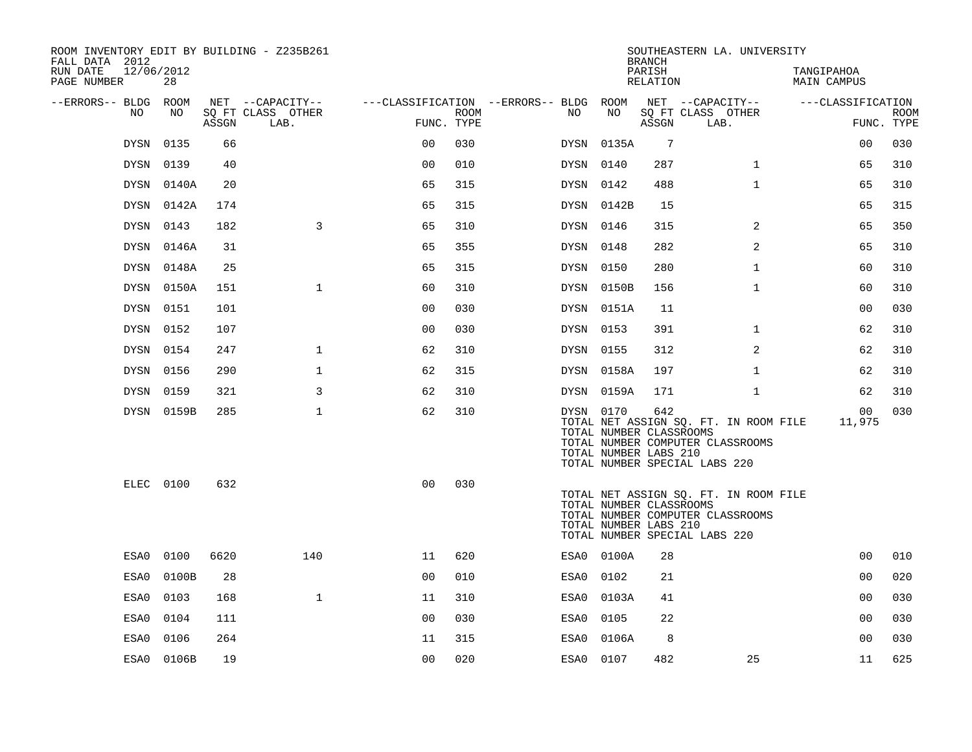| ROOM INVENTORY EDIT BY BUILDING - Z235B261<br>FALL DATA 2012 |                  |       |                           |                |      |                                        |                                                  | <b>BRANCH</b>      | SOUTHEASTERN LA. UNIVERSITY                                                                                |                                  |                           |
|--------------------------------------------------------------|------------------|-------|---------------------------|----------------|------|----------------------------------------|--------------------------------------------------|--------------------|------------------------------------------------------------------------------------------------------------|----------------------------------|---------------------------|
| RUN DATE<br>PAGE NUMBER                                      | 12/06/2012<br>28 |       |                           |                |      |                                        |                                                  | PARISH<br>RELATION |                                                                                                            | TANGIPAHOA<br><b>MAIN CAMPUS</b> |                           |
| --ERRORS-- BLDG ROOM                                         |                  |       | NET --CAPACITY--          |                |      | ---CLASSIFICATION --ERRORS-- BLDG ROOM | NO                                               |                    | NET --CAPACITY--                                                                                           | ---CLASSIFICATION                |                           |
| NO.                                                          | NO.              | ASSGN | SQ FT CLASS OTHER<br>LAB. | FUNC. TYPE     | ROOM | NO.                                    |                                                  | ASSGN              | SQ FT CLASS OTHER<br>LAB.                                                                                  |                                  | <b>ROOM</b><br>FUNC. TYPE |
| <b>DYSN</b>                                                  | 0135             | 66    |                           | 0 <sup>0</sup> | 030  | DYSN                                   | 0135A                                            | 7                  |                                                                                                            | 0 <sub>0</sub>                   | 030                       |
| <b>DYSN</b>                                                  | 0139             | 40    |                           | 0 <sub>0</sub> | 010  | DYSN 0140                              |                                                  | 287                | $\mathbf{1}$                                                                                               | 65                               | 310                       |
|                                                              | DYSN 0140A       | 20    |                           | 65             | 315  | DYSN 0142                              |                                                  | 488                | $\mathbf{1}$                                                                                               | 65                               | 310                       |
|                                                              | DYSN 0142A       | 174   |                           | 65             | 315  |                                        | DYSN 0142B                                       | 15                 |                                                                                                            | 65                               | 315                       |
|                                                              | DYSN 0143        | 182   | 3                         | 65             | 310  | DYSN 0146                              |                                                  | 315                | 2                                                                                                          | 65                               | 350                       |
| DYSN                                                         | 0146A            | 31    |                           | 65             | 355  | DYSN 0148                              |                                                  | 282                | $\overline{a}$                                                                                             | 65                               | 310                       |
|                                                              | DYSN 0148A       | 25    |                           | 65             | 315  | DYSN 0150                              |                                                  | 280                | $\mathbf{1}$                                                                                               | 60                               | 310                       |
|                                                              | DYSN 0150A       | 151   | $\mathbf{1}$              | 60             | 310  |                                        | DYSN 0150B                                       | 156                | $\mathbf{1}$                                                                                               | 60                               | 310                       |
|                                                              | DYSN 0151        | 101   |                           | 0 <sub>0</sub> | 030  |                                        | DYSN 0151A                                       | 11                 |                                                                                                            | 0 <sub>0</sub>                   | 030                       |
|                                                              | DYSN 0152        | 107   |                           | 0 <sub>0</sub> | 030  | DYSN 0153                              |                                                  | 391                | $\mathbf{1}$                                                                                               | 62                               | 310                       |
|                                                              | DYSN 0154        | 247   | $\mathbf 1$               | 62             | 310  | DYSN 0155                              |                                                  | 312                | 2                                                                                                          | 62                               | 310                       |
|                                                              | DYSN 0156        | 290   | 1                         | 62             | 315  |                                        | DYSN 0158A                                       | 197                | $\mathbf{1}$                                                                                               | 62                               | 310                       |
| DYSN                                                         | 0159             | 321   | 3                         | 62             | 310  |                                        | DYSN 0159A                                       | 171                | $\mathbf{1}$                                                                                               | 62                               | 310                       |
|                                                              | DYSN 0159B       | 285   | $\mathbf{1}$              | 62             | 310  | DYSN 0170                              | TOTAL NUMBER CLASSROOMS<br>TOTAL NUMBER LABS 210 | 642                | TOTAL NET ASSIGN SQ. FT. IN ROOM FILE<br>TOTAL NUMBER COMPUTER CLASSROOMS<br>TOTAL NUMBER SPECIAL LABS 220 | 00<br>11,975                     | 030                       |
|                                                              | ELEC 0100        | 632   |                           | 0 <sub>0</sub> | 030  |                                        | TOTAL NUMBER CLASSROOMS<br>TOTAL NUMBER LABS 210 |                    | TOTAL NET ASSIGN SQ. FT. IN ROOM FILE<br>TOTAL NUMBER COMPUTER CLASSROOMS<br>TOTAL NUMBER SPECIAL LABS 220 |                                  |                           |
| ESA0                                                         | 0100             | 6620  | 140                       | 11             | 620  |                                        | ESA0 0100A                                       | 28                 |                                                                                                            | 0 <sub>0</sub>                   | 010                       |
| ESA0                                                         | 0100B            | 28    |                           | 0 <sub>0</sub> | 010  | ESA0                                   | 0102                                             | 21                 |                                                                                                            | 0 <sub>0</sub>                   | 020                       |
| ESA0                                                         | 0103             | 168   | $\mathbf{1}$              | 11             | 310  | ESA0                                   | 0103A                                            | 41                 |                                                                                                            | 00                               | 030                       |
| ESA0                                                         | 0104             | 111   |                           | 0 <sub>0</sub> | 030  | ESA0                                   | 0105                                             | 22                 |                                                                                                            | 0 <sub>0</sub>                   | 030                       |
| ESA0                                                         | 0106             | 264   |                           | 11             | 315  | ESA0                                   | 0106A                                            | 8                  |                                                                                                            | 0 <sub>0</sub>                   | 030                       |
|                                                              | ESA0 0106B       | 19    |                           | 00             | 020  | ESA0 0107                              |                                                  | 482                | 25                                                                                                         | 11                               | 625                       |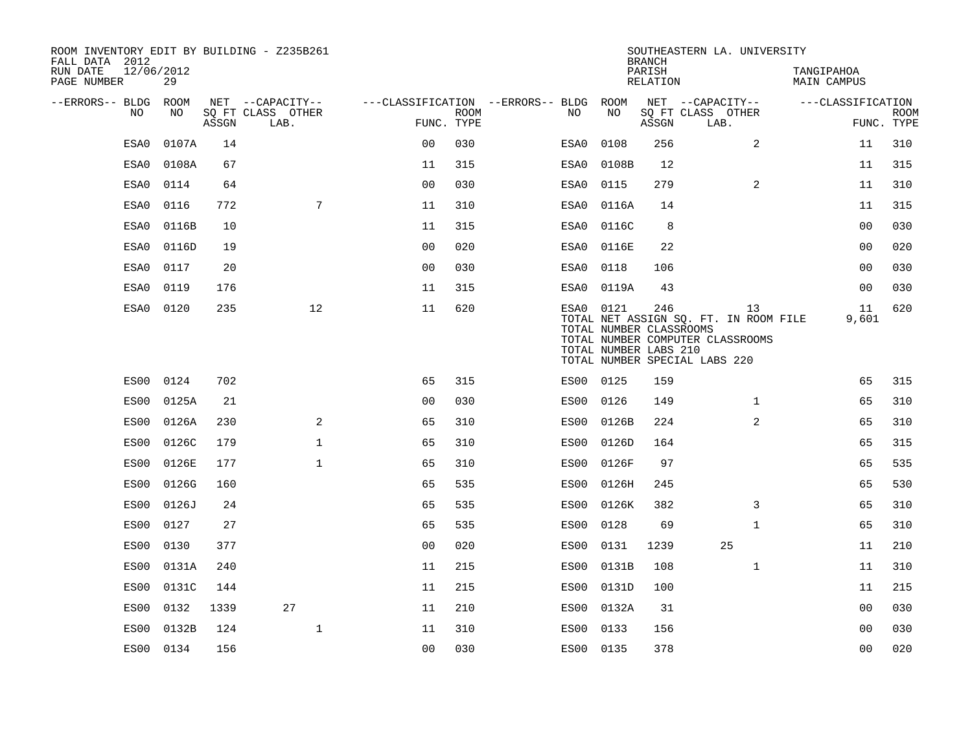| FALL DATA 2012          |            |       |       | ROOM INVENTORY EDIT BY BUILDING - Z235B261    |                                                      |             |           |                                                  | <b>BRANCH</b>      | SOUTHEASTERN LA. UNIVERSITY                                                                                      |                           |                           |
|-------------------------|------------|-------|-------|-----------------------------------------------|------------------------------------------------------|-------------|-----------|--------------------------------------------------|--------------------|------------------------------------------------------------------------------------------------------------------|---------------------------|---------------------------|
| RUN DATE<br>PAGE NUMBER | 12/06/2012 | 29    |       |                                               |                                                      |             |           |                                                  | PARISH<br>RELATION |                                                                                                                  | TANGIPAHOA<br>MAIN CAMPUS |                           |
| --ERRORS-- BLDG ROOM    | NO         | NO    | ASSGN | NET --CAPACITY--<br>SQ FT CLASS OTHER<br>LAB. | ---CLASSIFICATION --ERRORS-- BLDG ROOM<br>FUNC. TYPE | <b>ROOM</b> | NO        | NO                                               | ASSGN              | NET --CAPACITY--<br>SQ FT CLASS OTHER<br>LAB.                                                                    | ---CLASSIFICATION         | <b>ROOM</b><br>FUNC. TYPE |
|                         | ESA0       | 0107A | 14    |                                               | 0 <sub>0</sub>                                       | 030         | ESA0      | 0108                                             | 256                | 2                                                                                                                | 11                        | 310                       |
|                         | ESA0       | 0108A | 67    |                                               | 11                                                   | 315         | ESA0      | 0108B                                            | 12                 |                                                                                                                  | 11                        | 315                       |
|                         | ESA0       | 0114  | 64    |                                               | 0 <sub>0</sub>                                       | 030         | ESA0      | 0115                                             | 279                | 2                                                                                                                | 11                        | 310                       |
|                         | ESA0       | 0116  | 772   | 7                                             | 11                                                   | 310         | ESA0      | 0116A                                            | 14                 |                                                                                                                  | 11                        | 315                       |
|                         | ESA0       | 0116B | 10    |                                               | 11                                                   | 315         | ESA0      | 0116C                                            | 8                  |                                                                                                                  | 0 <sub>0</sub>            | 030                       |
|                         | ESA0       | 0116D | 19    |                                               | 0 <sub>0</sub>                                       | 020         | ESA0      | 0116E                                            | 22                 |                                                                                                                  | 0 <sub>0</sub>            | 020                       |
|                         | ESA0       | 0117  | 20    |                                               | 0 <sub>0</sub>                                       | 030         | ESA0      | 0118                                             | 106                |                                                                                                                  | 0 <sub>0</sub>            | 030                       |
|                         | ESA0       | 0119  | 176   |                                               | 11                                                   | 315         | ESA0      | 0119A                                            | 43                 |                                                                                                                  | 0 <sub>0</sub>            | 030                       |
|                         | ESA0       | 0120  | 235   | 12                                            | 11                                                   | 620         | ESA0 0121 | TOTAL NUMBER CLASSROOMS<br>TOTAL NUMBER LABS 210 | 246                | 13<br>TOTAL NET ASSIGN SQ. FT. IN ROOM FILE<br>TOTAL NUMBER COMPUTER CLASSROOMS<br>TOTAL NUMBER SPECIAL LABS 220 | 11<br>9,601               | 620                       |
|                         | ES00       | 0124  | 702   |                                               | 65                                                   | 315         | ES00 0125 |                                                  | 159                |                                                                                                                  | 65                        | 315                       |
|                         | ES00       | 0125A | 21    |                                               | 00                                                   | 030         | ES00      | 0126                                             | 149                | $\mathbf{1}$                                                                                                     | 65                        | 310                       |
|                         | ES00       | 0126A | 230   | 2                                             | 65                                                   | 310         |           | ES00 0126B                                       | 224                | $\overline{a}$                                                                                                   | 65                        | 310                       |
|                         | ES00       | 0126C | 179   | $\mathbf 1$                                   | 65                                                   | 310         | ES00      | 0126D                                            | 164                |                                                                                                                  | 65                        | 315                       |
|                         | ES00       | 0126E | 177   | $\mathbf 1$                                   | 65                                                   | 310         | ES00      | 0126F                                            | 97                 |                                                                                                                  | 65                        | 535                       |
|                         | ES00       | 0126G | 160   |                                               | 65                                                   | 535         | ES00      | 0126H                                            | 245                |                                                                                                                  | 65                        | 530                       |
|                         | ES00       | 0126J | 24    |                                               | 65                                                   | 535         |           | ES00 0126K                                       | 382                | 3                                                                                                                | 65                        | 310                       |
|                         | ES00       | 0127  | 27    |                                               | 65                                                   | 535         | ES00      | 0128                                             | 69                 | $\mathbf{1}$                                                                                                     | 65                        | 310                       |
|                         | ES00       | 0130  | 377   |                                               | 0 <sub>0</sub>                                       | 020         | ES00      | 0131                                             | 1239               | 25                                                                                                               | 11                        | 210                       |
|                         | ES00       | 0131A | 240   |                                               | 11                                                   | 215         | ES00      | 0131B                                            | 108                | $\mathbf{1}$                                                                                                     | 11                        | 310                       |
|                         | ES00       | 0131C | 144   |                                               | 11                                                   | 215         | ES00      | 0131D                                            | 100                |                                                                                                                  | 11                        | 215                       |
|                         | ES00       | 0132  | 1339  | 27                                            | 11                                                   | 210         | ES00      | 0132A                                            | 31                 |                                                                                                                  | 0 <sub>0</sub>            | 030                       |
|                         | ES00       | 0132B | 124   | $\mathbf{1}$                                  | 11                                                   | 310         | ES00      | 0133                                             | 156                |                                                                                                                  | 00                        | 030                       |
|                         | ES00 0134  |       | 156   |                                               | 0 <sub>0</sub>                                       | 030         | ES00 0135 |                                                  | 378                |                                                                                                                  | 0 <sub>0</sub>            | 020                       |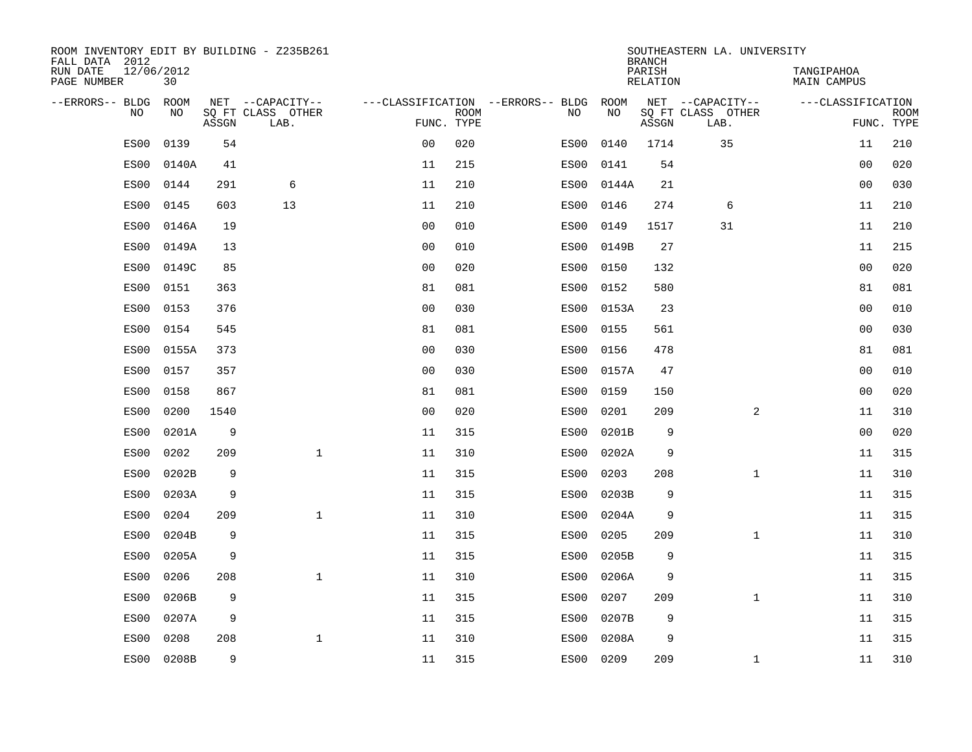| ROOM INVENTORY EDIT BY BUILDING - Z235B261<br>FALL DATA 2012 |                  |       |                           |                |             |                                        |           | <b>BRANCH</b>      | SOUTHEASTERN LA. UNIVERSITY |                           |                           |
|--------------------------------------------------------------|------------------|-------|---------------------------|----------------|-------------|----------------------------------------|-----------|--------------------|-----------------------------|---------------------------|---------------------------|
| RUN DATE<br>PAGE NUMBER                                      | 12/06/2012<br>30 |       |                           |                |             |                                        |           | PARISH<br>RELATION |                             | TANGIPAHOA<br>MAIN CAMPUS |                           |
| --ERRORS-- BLDG ROOM                                         |                  |       | NET --CAPACITY--          |                |             | ---CLASSIFICATION --ERRORS-- BLDG ROOM |           |                    | NET --CAPACITY--            | ---CLASSIFICATION         |                           |
| NO.                                                          | NO.              | ASSGN | SQ FT CLASS OTHER<br>LAB. | FUNC. TYPE     | <b>ROOM</b> | NO.                                    | NO        | ASSGN              | SQ FT CLASS OTHER<br>LAB.   |                           | <b>ROOM</b><br>FUNC. TYPE |
| ES00                                                         | 0139             | 54    |                           | 0 <sub>0</sub> | 020         | ES00                                   | 0140      | 1714               | 35                          | 11                        | 210                       |
| ES00                                                         | 0140A            | 41    |                           | 11             | 215         | ES00                                   | 0141      | 54                 |                             | 0 <sub>0</sub>            | 020                       |
| ES00                                                         | 0144             | 291   | 6                         | 11             | 210         | ES00                                   | 0144A     | 21                 |                             | 00                        | 030                       |
| ES00                                                         | 0145             | 603   | 13                        | 11             | 210         | ES00                                   | 0146      | 274                | 6                           | 11                        | 210                       |
| ES00                                                         | 0146A            | 19    |                           | 0 <sub>0</sub> | 010         | ES00                                   | 0149      | 1517               | 31                          | 11                        | 210                       |
| ES00                                                         | 0149A            | 13    |                           | 0 <sub>0</sub> | 010         | ES00                                   | 0149B     | 27                 |                             | 11                        | 215                       |
| ES00                                                         | 0149C            | 85    |                           | 0 <sub>0</sub> | 020         | ES00                                   | 0150      | 132                |                             | 0 <sub>0</sub>            | 020                       |
| ES00                                                         | 0151             | 363   |                           | 81             | 081         | ES00                                   | 0152      | 580                |                             | 81                        | 081                       |
| ES00                                                         | 0153             | 376   |                           | 0 <sub>0</sub> | 030         | ES00                                   | 0153A     | 23                 |                             | 0 <sub>0</sub>            | 010                       |
| ES00                                                         | 0154             | 545   |                           | 81             | 081         | ES00                                   | 0155      | 561                |                             | 0 <sub>0</sub>            | 030                       |
| ES00                                                         | 0155A            | 373   |                           | 0 <sub>0</sub> | 030         | ES00                                   | 0156      | 478                |                             | 81                        | 081                       |
| ES00                                                         | 0157             | 357   |                           | 0 <sub>0</sub> | 030         | ES00                                   | 0157A     | 47                 |                             | 00                        | 010                       |
| ES00                                                         | 0158             | 867   |                           | 81             | 081         | ES00                                   | 0159      | 150                |                             | 0 <sub>0</sub>            | 020                       |
| ES00                                                         | 0200             | 1540  |                           | 0 <sub>0</sub> | 020         | ES00                                   | 0201      | 209                | 2                           | 11                        | 310                       |
| ES00                                                         | 0201A            | 9     |                           | 11             | 315         | ES00                                   | 0201B     | 9                  |                             | 0 <sub>0</sub>            | 020                       |
| ES00                                                         | 0202             | 209   | $\mathbf{1}$              | 11             | 310         | ES00                                   | 0202A     | 9                  |                             | 11                        | 315                       |
| ES00                                                         | 0202B            | 9     |                           | 11             | 315         | ES00                                   | 0203      | 208                | $\mathbf{1}$                | 11                        | 310                       |
| ES00                                                         | 0203A            | 9     |                           | 11             | 315         | ES00                                   | 0203B     | 9                  |                             | 11                        | 315                       |
| ES00                                                         | 0204             | 209   | $\mathbf{1}$              | 11             | 310         | ES00                                   | 0204A     | 9                  |                             | 11                        | 315                       |
| ES00                                                         | 0204B            | 9     |                           | 11             | 315         | ES00                                   | 0205      | 209                | $\mathbf{1}$                | 11                        | 310                       |
| ES00                                                         | 0205A            | 9     |                           | 11             | 315         | ES00                                   | 0205B     | 9                  |                             | 11                        | 315                       |
| ES00                                                         | 0206             | 208   | $\mathbf{1}$              | 11             | 310         | ES00                                   | 0206A     | 9                  |                             | 11                        | 315                       |
| ES00                                                         | 0206B            | 9     |                           | 11             | 315         | ES00                                   | 0207      | 209                | $\mathbf{1}$                | 11                        | 310                       |
| ES00                                                         | 0207A            | 9     |                           | 11             | 315         | ES00                                   | 0207B     | 9                  |                             | 11                        | 315                       |
| ES00                                                         | 0208             | 208   | $\mathbf 1$               | 11             | 310         | ES00                                   | 0208A     | 9                  |                             | 11                        | 315                       |
| ES00                                                         | 0208B            | 9     |                           | 11             | 315         |                                        | ES00 0209 | 209                | $\mathbf{1}$                | 11                        | 310                       |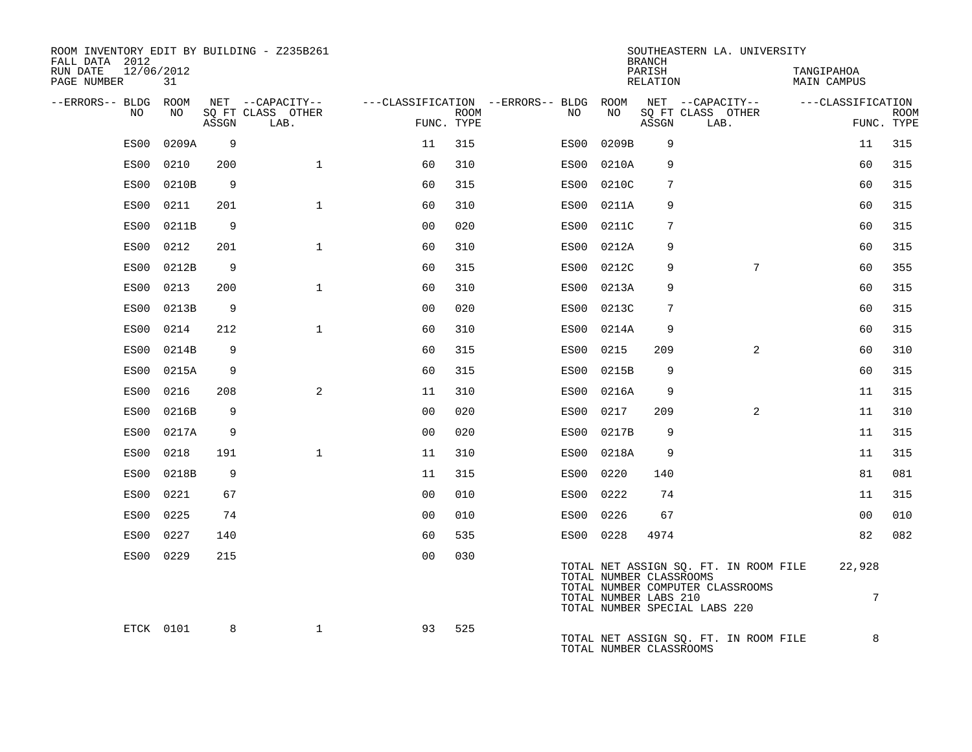| ROOM INVENTORY EDIT BY BUILDING - Z235B261<br>FALL DATA 2012 |                  |       |                           |                |      |                                        |                                                  | <b>BRANCH</b>      | SOUTHEASTERN LA. UNIVERSITY                                                                                |                                  |                           |
|--------------------------------------------------------------|------------------|-------|---------------------------|----------------|------|----------------------------------------|--------------------------------------------------|--------------------|------------------------------------------------------------------------------------------------------------|----------------------------------|---------------------------|
| RUN DATE<br>PAGE NUMBER                                      | 12/06/2012<br>31 |       |                           |                |      |                                        |                                                  | PARISH<br>RELATION |                                                                                                            | TANGIPAHOA<br><b>MAIN CAMPUS</b> |                           |
| --ERRORS-- BLDG ROOM                                         |                  |       | NET --CAPACITY--          |                |      | ---CLASSIFICATION --ERRORS-- BLDG ROOM | NΟ                                               |                    | NET --CAPACITY--                                                                                           | ---CLASSIFICATION                |                           |
| NO                                                           | NO               | ASSGN | SQ FT CLASS OTHER<br>LAB. | FUNC. TYPE     | ROOM | NO.                                    |                                                  | ASSGN              | SQ FT CLASS OTHER<br>LAB.                                                                                  |                                  | <b>ROOM</b><br>FUNC. TYPE |
| ES00                                                         | 0209A            | 9     |                           | 11             | 315  | ES00                                   | 0209B                                            | 9                  |                                                                                                            | 11                               | 315                       |
| ES00                                                         | 0210             | 200   | $\mathbf{1}$              | 60             | 310  | ES00                                   | 0210A                                            | 9                  |                                                                                                            | 60                               | 315                       |
| ES00                                                         | 0210B            | 9     |                           | 60             | 315  | ES00                                   | 0210C                                            | 7                  |                                                                                                            | 60                               | 315                       |
| ES00                                                         | 0211             | 201   | $\mathbf{1}$              | 60             | 310  | ES00                                   | 0211A                                            | 9                  |                                                                                                            | 60                               | 315                       |
| ES00                                                         | 0211B            | 9     |                           | 0 <sub>0</sub> | 020  | ES00                                   | 0211C                                            | 7                  |                                                                                                            | 60                               | 315                       |
| ES00                                                         | 0212             | 201   | $\mathbf{1}$              | 60             | 310  | ES00                                   | 0212A                                            | 9                  |                                                                                                            | 60                               | 315                       |
| ES00                                                         | 0212B            | 9     |                           | 60             | 315  | ES00                                   | 0212C                                            | 9                  | $7\phantom{.0}$                                                                                            | 60                               | 355                       |
| ES00                                                         | 0213             | 200   | $\mathbf{1}$              | 60             | 310  | ES00                                   | 0213A                                            | 9                  |                                                                                                            | 60                               | 315                       |
| ES00                                                         | 0213B            | 9     |                           | 0 <sub>0</sub> | 020  | ES00                                   | 0213C                                            | 7                  |                                                                                                            | 60                               | 315                       |
| ES00                                                         | 0214             | 212   | $\mathbf{1}$              | 60             | 310  | ES00                                   | 0214A                                            | 9                  |                                                                                                            | 60                               | 315                       |
| ES00                                                         | 0214B            | 9     |                           | 60             | 315  | ES00                                   | 0215                                             | 209                | 2                                                                                                          | 60                               | 310                       |
| ES00                                                         | 0215A            | 9     |                           | 60             | 315  | ES00                                   | 0215B                                            | 9                  |                                                                                                            | 60                               | 315                       |
| ES00                                                         | 0216             | 208   | $\overline{2}$            | 11             | 310  |                                        | ES00 0216A                                       | 9                  |                                                                                                            | 11                               | 315                       |
| ES00                                                         | 0216B            | 9     |                           | 0 <sub>0</sub> | 020  | ES00                                   | 0217                                             | 209                | 2                                                                                                          | 11                               | 310                       |
| ES00                                                         | 0217A            | 9     |                           | 0 <sub>0</sub> | 020  | ES00                                   | 0217B                                            | 9                  |                                                                                                            | 11                               | 315                       |
| ES00                                                         | 0218             | 191   | $\mathbf{1}$              | 11             | 310  | ES00                                   | 0218A                                            | 9                  |                                                                                                            | 11                               | 315                       |
| ES00                                                         | 0218B            | 9     |                           | 11             | 315  | ES00                                   | 0220                                             | 140                |                                                                                                            | 81                               | 081                       |
| ES00                                                         | 0221             | 67    |                           | 0 <sub>0</sub> | 010  |                                        | ES00 0222                                        | 74                 |                                                                                                            | 11                               | 315                       |
| ES00                                                         | 0225             | 74    |                           | 0 <sub>0</sub> | 010  | ES00                                   | 0226                                             | 67                 |                                                                                                            | 0 <sub>0</sub>                   | 010                       |
| ES00                                                         | 0227             | 140   |                           | 60             | 535  |                                        | ES00 0228                                        | 4974               |                                                                                                            | 82                               | 082                       |
| ES00                                                         | 0229             | 215   |                           | 0 <sub>0</sub> | 030  |                                        | TOTAL NUMBER CLASSROOMS<br>TOTAL NUMBER LABS 210 |                    | TOTAL NET ASSIGN SQ. FT. IN ROOM FILE<br>TOTAL NUMBER COMPUTER CLASSROOMS<br>TOTAL NUMBER SPECIAL LABS 220 | 22,928<br>7                      |                           |
|                                                              | ETCK 0101        | 8     | $\mathbf{1}$              | 93             | 525  |                                        | TOTAL NUMBER CLASSROOMS                          |                    | TOTAL NET ASSIGN SQ. FT. IN ROOM FILE                                                                      | 8                                |                           |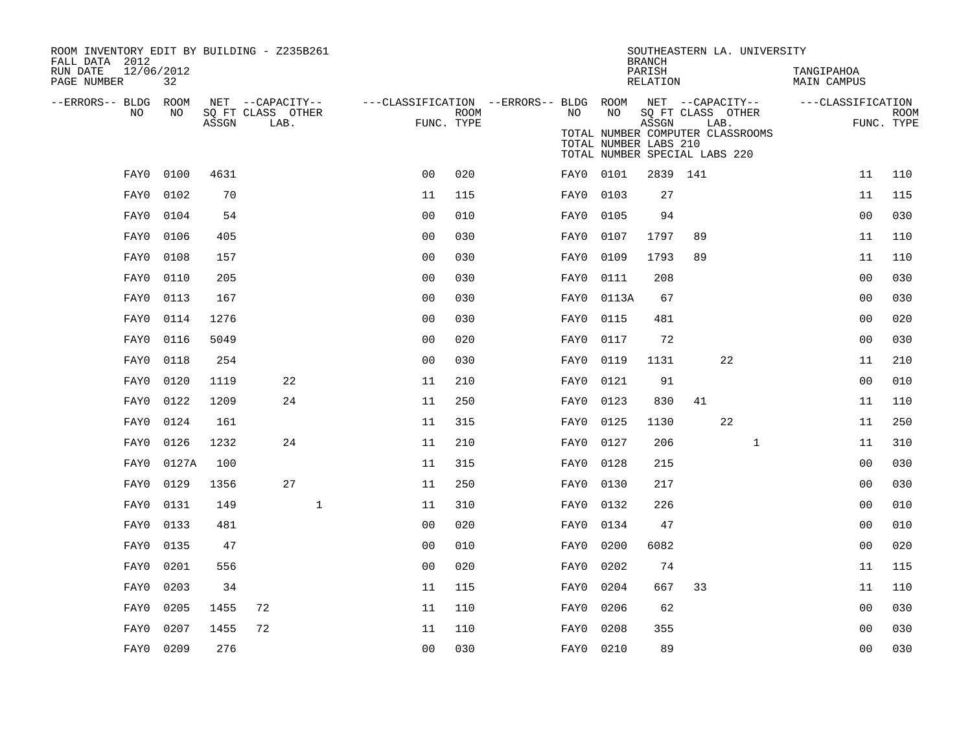| ROOM INVENTORY EDIT BY BUILDING - Z235B261<br>FALL DATA 2012 |           |       |                           |              |                                                         |      |           |                                                                                            | SOUTHEASTERN LA. UNIVERSITY<br><b>BRANCH</b> |                   |      |              |                           |                |                           |
|--------------------------------------------------------------|-----------|-------|---------------------------|--------------|---------------------------------------------------------|------|-----------|--------------------------------------------------------------------------------------------|----------------------------------------------|-------------------|------|--------------|---------------------------|----------------|---------------------------|
| 12/06/2012<br>RUN DATE<br>PAGE NUMBER                        | 32        |       |                           |              |                                                         |      |           |                                                                                            | PARISH<br>RELATION                           |                   |      |              | TANGIPAHOA<br>MAIN CAMPUS |                |                           |
| --ERRORS-- BLDG ROOM                                         |           |       | NET --CAPACITY--          |              | ---CLASSIFICATION --ERRORS-- BLDG ROOM NET --CAPACITY-- |      |           |                                                                                            |                                              |                   |      |              | ---CLASSIFICATION         |                |                           |
| NO                                                           | NO.       | ASSGN | SO FT CLASS OTHER<br>LAB. |              | FUNC. TYPE                                              | ROOM | NO .      | NO                                                                                         | ASSGN                                        | SQ FT CLASS OTHER | LAB. |              |                           |                | <b>ROOM</b><br>FUNC. TYPE |
|                                                              |           |       |                           |              |                                                         |      |           | TOTAL NUMBER COMPUTER CLASSROOMS<br>TOTAL NUMBER LABS 210<br>TOTAL NUMBER SPECIAL LABS 220 |                                              |                   |      |              |                           |                |                           |
| FAY0                                                         | 0100      | 4631  |                           |              | 0 <sub>0</sub>                                          | 020  | FAY0 0101 |                                                                                            | 2839 141                                     |                   |      |              |                           | 11             | 110                       |
| FAY0                                                         | 0102      | 70    |                           |              | 11                                                      | 115  | FAY0 0103 |                                                                                            | 27                                           |                   |      |              |                           | 11             | 115                       |
| FAY0                                                         | 0104      | 54    |                           |              | 0 <sub>0</sub>                                          | 010  | FAY0      | 0105                                                                                       | 94                                           |                   |      |              |                           | 0 <sub>0</sub> | 030                       |
| FAY0                                                         | 0106      | 405   |                           |              | 0 <sub>0</sub>                                          | 030  | FAY0      | 0107                                                                                       | 1797                                         | 89                |      |              |                           | 11             | 110                       |
| FAY0                                                         | 0108      | 157   |                           |              | 0 <sub>0</sub>                                          | 030  | FAY0      | 0109                                                                                       | 1793                                         | 89                |      |              |                           | 11             | 110                       |
| FAY0                                                         | 0110      | 205   |                           |              | 0 <sub>0</sub>                                          | 030  | FAY0 0111 |                                                                                            | 208                                          |                   |      |              |                           | 0 <sub>0</sub> | 030                       |
| FAY0                                                         | 0113      | 167   |                           |              | 0 <sub>0</sub>                                          | 030  | FAY0      | 0113A                                                                                      | 67                                           |                   |      |              |                           | 00             | 030                       |
| FAY0                                                         | 0114      | 1276  |                           |              | 0 <sub>0</sub>                                          | 030  | FAY0      | 0115                                                                                       | 481                                          |                   |      |              |                           | 0 <sub>0</sub> | 020                       |
| FAY0                                                         | 0116      | 5049  |                           |              | 0 <sub>0</sub>                                          | 020  | FAY0      | 0117                                                                                       | 72                                           |                   |      |              |                           | 0 <sub>0</sub> | 030                       |
| FAY0                                                         | 0118      | 254   |                           |              | 00                                                      | 030  | FAY0      | 0119                                                                                       | 1131                                         |                   | 22   |              |                           | 11             | 210                       |
| FAY0                                                         | 0120      | 1119  | 22                        |              | 11                                                      | 210  | FAY0      | 0121                                                                                       | 91                                           |                   |      |              |                           | 0 <sub>0</sub> | 010                       |
| FAY0                                                         | 0122      | 1209  | 24                        |              | 11                                                      | 250  | FAY0      | 0123                                                                                       | 830                                          | 41                |      |              |                           | 11             | 110                       |
| FAY0                                                         | 0124      | 161   |                           |              | 11                                                      | 315  | FAY0      | 0125                                                                                       | 1130                                         |                   | 22   |              |                           | 11             | 250                       |
| FAY0                                                         | 0126      | 1232  | 24                        |              | 11                                                      | 210  | FAY0      | 0127                                                                                       | 206                                          |                   |      | $\mathbf{1}$ |                           | 11             | 310                       |
| FAY0                                                         | 0127A     | 100   |                           |              | 11                                                      | 315  | FAY0      | 0128                                                                                       | 215                                          |                   |      |              |                           | 00             | 030                       |
| FAY0                                                         | 0129      | 1356  | 27                        |              | 11                                                      | 250  | FAY0      | 0130                                                                                       | 217                                          |                   |      |              |                           | 0 <sub>0</sub> | 030                       |
| FAY0                                                         | 0131      | 149   |                           | $\mathbf{1}$ | 11                                                      | 310  | FAY0      | 0132                                                                                       | 226                                          |                   |      |              |                           | 00             | 010                       |
| FAY0                                                         | 0133      | 481   |                           |              | 0 <sub>0</sub>                                          | 020  | FAY0      | 0134                                                                                       | 47                                           |                   |      |              |                           | 0 <sub>0</sub> | 010                       |
| FAY0                                                         | 0135      | 47    |                           |              | 0 <sub>0</sub>                                          | 010  | FAY0      | 0200                                                                                       | 6082                                         |                   |      |              |                           | 0 <sub>0</sub> | 020                       |
| FAY0                                                         | 0201      | 556   |                           |              | 0 <sub>0</sub>                                          | 020  | FAY0      | 0202                                                                                       | 74                                           |                   |      |              |                           | 11             | 115                       |
| FAY0                                                         | 0203      | 34    |                           |              | 11                                                      | 115  | FAY0      | 0204                                                                                       | 667                                          | 33                |      |              |                           | 11             | 110                       |
| FAY0                                                         | 0205      | 1455  | 72                        |              | 11                                                      | 110  | FAY0      | 0206                                                                                       | 62                                           |                   |      |              |                           | 0 <sub>0</sub> | 030                       |
| FAY0                                                         | 0207      | 1455  | 72                        |              | 11                                                      | 110  | FAY0      | 0208                                                                                       | 355                                          |                   |      |              |                           | 00             | 030                       |
|                                                              | FAY0 0209 | 276   |                           |              | 0 <sub>0</sub>                                          | 030  | FAY0 0210 |                                                                                            | 89                                           |                   |      |              |                           | 0 <sub>0</sub> | 030                       |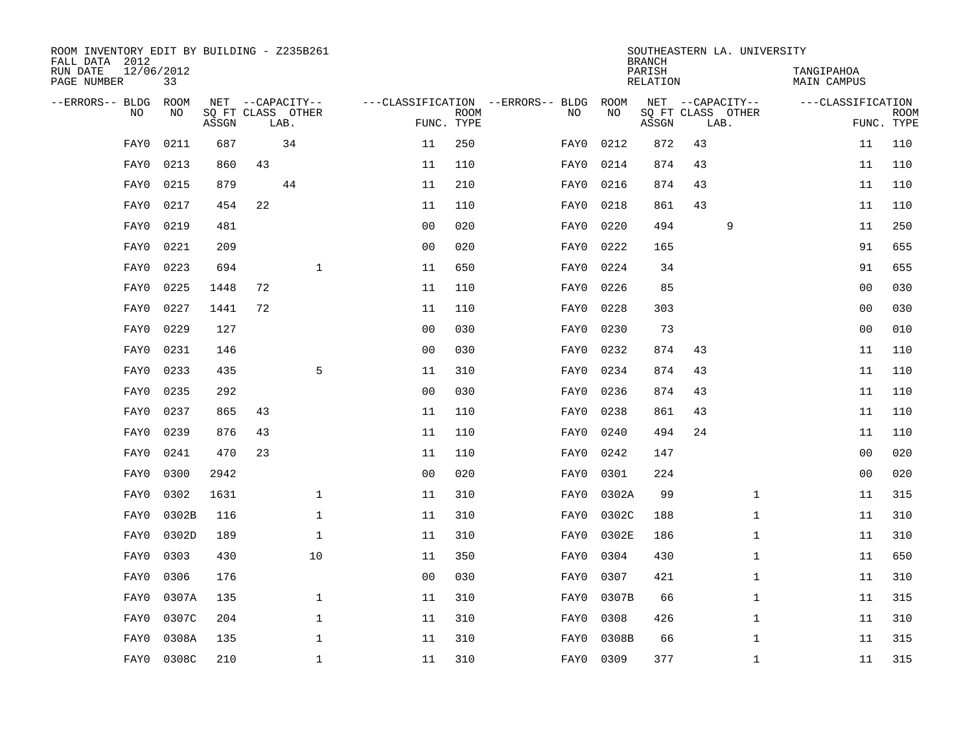| ROOM INVENTORY EDIT BY BUILDING - Z235B261<br>FALL DATA 2012 |                    |       |    |                                       |                |                           |                                          |            | <b>BRANCH</b>      |                           | SOUTHEASTERN LA. UNIVERSITY |                                  |                           |
|--------------------------------------------------------------|--------------------|-------|----|---------------------------------------|----------------|---------------------------|------------------------------------------|------------|--------------------|---------------------------|-----------------------------|----------------------------------|---------------------------|
| RUN DATE<br>PAGE NUMBER                                      | 12/06/2012<br>33   |       |    |                                       |                |                           |                                          |            | PARISH<br>RELATION |                           |                             | TANGIPAHOA<br><b>MAIN CAMPUS</b> |                           |
| --ERRORS-- BLDG<br>N <sub>O</sub>                            | <b>ROOM</b><br>NO. |       |    | NET --CAPACITY--<br>SO FT CLASS OTHER |                |                           | ---CLASSIFICATION --ERRORS-- BLDG<br>NO. | ROOM<br>NO |                    | NET --CAPACITY--          |                             | ---CLASSIFICATION                |                           |
|                                                              |                    | ASSGN |    | LAB.                                  |                | <b>ROOM</b><br>FUNC. TYPE |                                          |            | ASSGN              | SQ FT CLASS OTHER<br>LAB. |                             |                                  | <b>ROOM</b><br>FUNC. TYPE |
| FAY0                                                         | 0211               | 687   |    | 34                                    | 11             | 250                       | FAY0                                     | 0212       | 872                | 43                        |                             | 11                               | 110                       |
| FAY0                                                         | 0213               | 860   | 43 |                                       | 11             | 110                       | FAY0                                     | 0214       | 874                | 43                        |                             | 11                               | 110                       |
| FAY0                                                         | 0215               | 879   |    | 44                                    | 11             | 210                       | FAY0                                     | 0216       | 874                | 43                        |                             | 11                               | 110                       |
| FAY0                                                         | 0217               | 454   | 22 |                                       | 11             | 110                       | FAY0                                     | 0218       | 861                | 43                        |                             | 11                               | 110                       |
| FAY0                                                         | 0219               | 481   |    |                                       | 00             | 020                       | FAY0                                     | 0220       | 494                |                           | 9                           | 11                               | 250                       |
| FAY0                                                         | 0221               | 209   |    |                                       | 0 <sub>0</sub> | 020                       | FAY0                                     | 0222       | 165                |                           |                             | 91                               | 655                       |
| FAY0                                                         | 0223               | 694   |    | $\mathbf 1$                           | 11             | 650                       | FAY0                                     | 0224       | 34                 |                           |                             | 91                               | 655                       |
| FAY0                                                         | 0225               | 1448  | 72 |                                       | 11             | 110                       | FAY0                                     | 0226       | 85                 |                           |                             | 0 <sub>0</sub>                   | 030                       |
| FAY0                                                         | 0227               | 1441  | 72 |                                       | 11             | 110                       | FAY0                                     | 0228       | 303                |                           |                             | 0 <sub>0</sub>                   | 030                       |
| FAY0                                                         | 0229               | 127   |    |                                       | 0 <sub>0</sub> | 030                       | FAY0                                     | 0230       | 73                 |                           |                             | 00                               | 010                       |
| FAY0                                                         | 0231               | 146   |    |                                       | 0 <sub>0</sub> | 030                       | FAY0                                     | 0232       | 874                | 43                        |                             | 11                               | 110                       |
| FAY0                                                         | 0233               | 435   |    | 5                                     | 11             | 310                       | FAY0                                     | 0234       | 874                | 43                        |                             | 11                               | 110                       |
| FAY0                                                         | 0235               | 292   |    |                                       | 0 <sub>0</sub> | 030                       | FAY0                                     | 0236       | 874                | 43                        |                             | 11                               | 110                       |
| FAY0                                                         | 0237               | 865   | 43 |                                       | 11             | 110                       | FAY0                                     | 0238       | 861                | 43                        |                             | 11                               | 110                       |
| FAY0                                                         | 0239               | 876   | 43 |                                       | 11             | 110                       | FAY0                                     | 0240       | 494                | 24                        |                             | 11                               | 110                       |
| FAY0                                                         | 0241               | 470   | 23 |                                       | 11             | 110                       | FAY0                                     | 0242       | 147                |                           |                             | 00                               | 020                       |
| FAY0                                                         | 0300               | 2942  |    |                                       | 0 <sub>0</sub> | 020                       | FAY0                                     | 0301       | 224                |                           |                             | 00                               | 020                       |
| FAY0                                                         | 0302               | 1631  |    | $\mathbf 1$                           | 11             | 310                       | FAY0                                     | 0302A      | 99                 |                           | $\mathbf{1}$                | 11                               | 315                       |
| FAY0                                                         | 0302B              | 116   |    | $\mathbf 1$                           | 11             | 310                       | FAY0                                     | 0302C      | 188                |                           | $\mathbf{1}$                | 11                               | 310                       |
| FAY0                                                         | 0302D              | 189   |    | $\mathbf{1}$                          | 11             | 310                       | FAY0                                     | 0302E      | 186                |                           | $\mathbf{1}$                | 11                               | 310                       |
| FAY0                                                         | 0303               | 430   |    | 10                                    | 11             | 350                       | FAY0                                     | 0304       | 430                |                           | $\mathbf{1}$                | 11                               | 650                       |
| FAY0                                                         | 0306               | 176   |    |                                       | 0 <sub>0</sub> | 030                       | FAY0                                     | 0307       | 421                |                           | $\mathbf{1}$                | 11                               | 310                       |
| FAY0                                                         | 0307A              | 135   |    | $\mathbf 1$                           | 11             | 310                       | FAY0                                     | 0307B      | 66                 |                           | $\mathbf{1}$                | 11                               | 315                       |
| FAY0                                                         | 0307C              | 204   |    | $\mathbf 1$                           | 11             | 310                       | FAY0                                     | 0308       | 426                |                           | $\mathbf{1}$                | 11                               | 310                       |
| FAY0                                                         | 0308A              | 135   |    | $\mathbf 1$                           | 11             | 310                       | FAY0                                     | 0308B      | 66                 |                           | $\mathbf{1}$                | 11                               | 315                       |
| FAY0                                                         | 0308C              | 210   |    | $\mathbf{1}$                          | 11             | 310                       |                                          | FAY0 0309  | 377                |                           | $\mathbf{1}$                | 11                               | 315                       |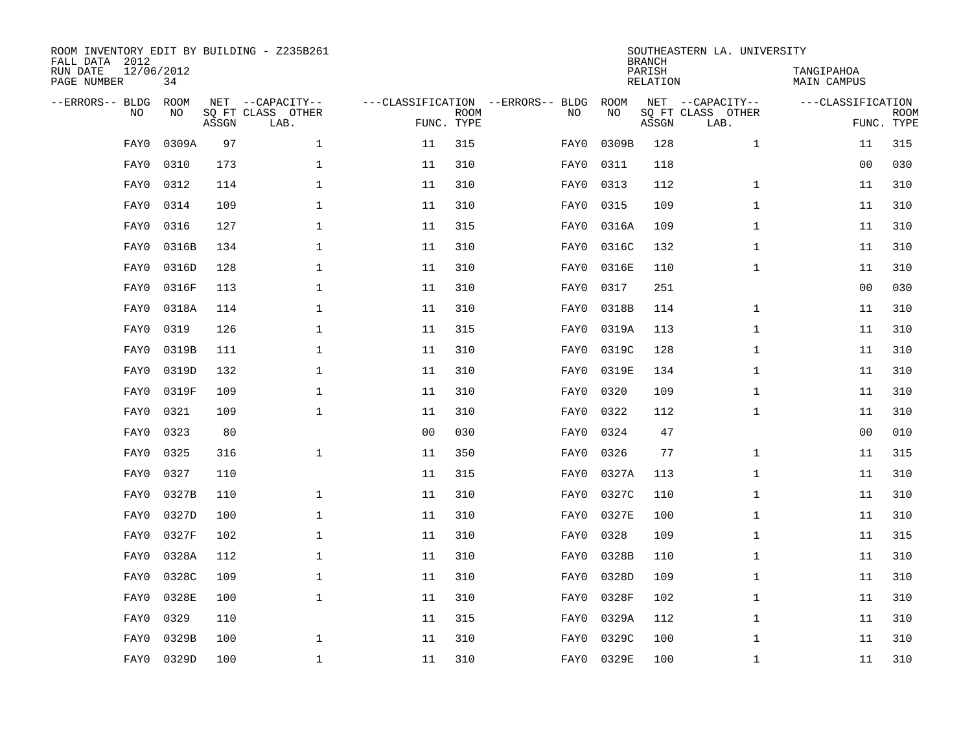| FALL DATA 2012<br>RUN DATE<br>PAGE NUMBER | 12/06/2012<br>34         |       | ROOM INVENTORY EDIT BY BUILDING - Z235B261    |                                   |                           |      |            | <b>BRANCH</b><br>PARISH<br>RELATION | SOUTHEASTERN LA. UNIVERSITY                   | TANGIPAHOA<br>MAIN CAMPUS |                           |
|-------------------------------------------|--------------------------|-------|-----------------------------------------------|-----------------------------------|---------------------------|------|------------|-------------------------------------|-----------------------------------------------|---------------------------|---------------------------|
| --ERRORS-- BLDG                           | ROOM<br><b>NO</b><br>NO. | ASSGN | NET --CAPACITY--<br>SO FT CLASS OTHER<br>LAB. | ---CLASSIFICATION --ERRORS-- BLDG | <b>ROOM</b><br>FUNC. TYPE | NO   | ROOM<br>NO | ASSGN                               | NET --CAPACITY--<br>SQ FT CLASS OTHER<br>LAB. | ---CLASSIFICATION         | <b>ROOM</b><br>FUNC. TYPE |
|                                           | 0309A<br>FAY0            | 97    | $\mathbf{1}$                                  | 11                                | 315                       | FAY0 | 0309B      | 128                                 | $\mathbf{1}$                                  | 11                        | 315                       |
|                                           | 0310<br>FAY0             | 173   | $\mathbf 1$                                   | 11                                | 310                       | FAY0 | 0311       | 118                                 |                                               | 0 <sub>0</sub>            | 030                       |
|                                           | FAY0<br>0312             | 114   | $\mathbf 1$                                   | 11                                | 310                       | FAY0 | 0313       | 112                                 | $\mathbf{1}$                                  | 11                        | 310                       |
|                                           | 0314<br>FAY0             | 109   | $\mathbf 1$                                   | 11                                | 310                       | FAY0 | 0315       | 109                                 | $\mathbf{1}$                                  | 11                        | 310                       |
|                                           | 0316<br>FAY0             | 127   | $\mathbf{1}$                                  | 11                                | 315                       | FAY0 | 0316A      | 109                                 | $\mathbf{1}$                                  | 11                        | 310                       |
|                                           | 0316B<br>FAY0            | 134   | $\mathbf{1}$                                  | 11                                | 310                       | FAY0 | 0316C      | 132                                 | $\mathbf{1}$                                  | 11                        | 310                       |
|                                           | 0316D<br>FAY0            | 128   | $\mathbf{1}$                                  | 11                                | 310                       | FAY0 | 0316E      | 110                                 | $\mathbf{1}$                                  | 11                        | 310                       |
|                                           | FAY0<br>0316F            | 113   | $\mathbf 1$                                   | 11                                | 310                       | FAY0 | 0317       | 251                                 |                                               | 0 <sub>0</sub>            | 030                       |
|                                           | 0318A<br>FAY0            | 114   | $\mathbf 1$                                   | 11                                | 310                       | FAY0 | 0318B      | 114                                 | $\mathbf{1}$                                  | 11                        | 310                       |
|                                           | 0319<br>FAY0             | 126   | 1                                             | 11                                | 315                       | FAY0 | 0319A      | 113                                 | $\mathbf{1}$                                  | 11                        | 310                       |
|                                           | 0319B<br>FAY0            | 111   | $\mathbf 1$                                   | 11                                | 310                       | FAY0 | 0319C      | 128                                 | $\mathbf{1}$                                  | 11                        | 310                       |
|                                           | 0319D<br>FAY0            | 132   | $\mathbf 1$                                   | 11                                | 310                       | FAY0 | 0319E      | 134                                 | $\mathbf{1}$                                  | 11                        | 310                       |
|                                           | 0319F<br>FAY0            | 109   | $\mathbf 1$                                   | 11                                | 310                       | FAY0 | 0320       | 109                                 | $\mathbf{1}$                                  | 11                        | 310                       |
|                                           | 0321<br>FAY0             | 109   | $\mathbf{1}$                                  | 11                                | 310                       | FAY0 | 0322       | 112                                 | $\mathbf{1}$                                  | 11                        | 310                       |
|                                           | FAY0<br>0323             | 80    |                                               | 0 <sub>0</sub>                    | 030                       | FAY0 | 0324       | 47                                  |                                               | 0 <sub>0</sub>            | 010                       |
|                                           | 0325<br>FAY0             | 316   | 1                                             | 11                                | 350                       | FAY0 | 0326       | 77                                  | $\mathbf{1}$                                  | 11                        | 315                       |
|                                           | 0327<br>FAY0             | 110   |                                               | 11                                | 315                       | FAY0 | 0327A      | 113                                 | $\mathbf{1}$                                  | 11                        | 310                       |
|                                           | 0327B<br>FAY0            | 110   | $\mathbf 1$                                   | 11                                | 310                       | FAY0 | 0327C      | 110                                 | $\mathbf{1}$                                  | 11                        | 310                       |
|                                           | 0327D<br>FAY0            | 100   | $\mathbf{1}$                                  | 11                                | 310                       | FAY0 | 0327E      | 100                                 | $\mathbf{1}$                                  | 11                        | 310                       |
|                                           | 0327F<br>FAY0            | 102   | $\mathbf{1}$                                  | 11                                | 310                       | FAY0 | 0328       | 109                                 | $\mathbf{1}$                                  | 11                        | 315                       |
|                                           | 0328A<br>FAY0            | 112   | $\mathbf{1}$                                  | 11                                | 310                       | FAY0 | 0328B      | 110                                 | $\mathbf{1}$                                  | 11                        | 310                       |
|                                           | 0328C<br>FAY0            | 109   | $\mathbf{1}$                                  | 11                                | 310                       | FAY0 | 0328D      | 109                                 | $\mathbf{1}$                                  | 11                        | 310                       |
|                                           | 0328E<br>FAY0            | 100   | $\mathbf 1$                                   | 11                                | 310                       | FAY0 | 0328F      | 102                                 | $\mathbf{1}$                                  | 11                        | 310                       |
|                                           | 0329<br>FAY0             | 110   |                                               | 11                                | 315                       | FAY0 | 0329A      | 112                                 | $\mathbf{1}$                                  | 11                        | 310                       |
|                                           | 0329B<br>FAY0            | 100   | 1                                             | 11                                | 310                       | FAY0 | 0329C      | 100                                 | $\mathbf{1}$                                  | 11                        | 310                       |
|                                           | FAY0<br>0329D            | 100   | $\mathbf 1$                                   | 11                                | 310                       |      | FAY0 0329E | 100                                 | $\mathbf{1}$                                  | 11                        | 310                       |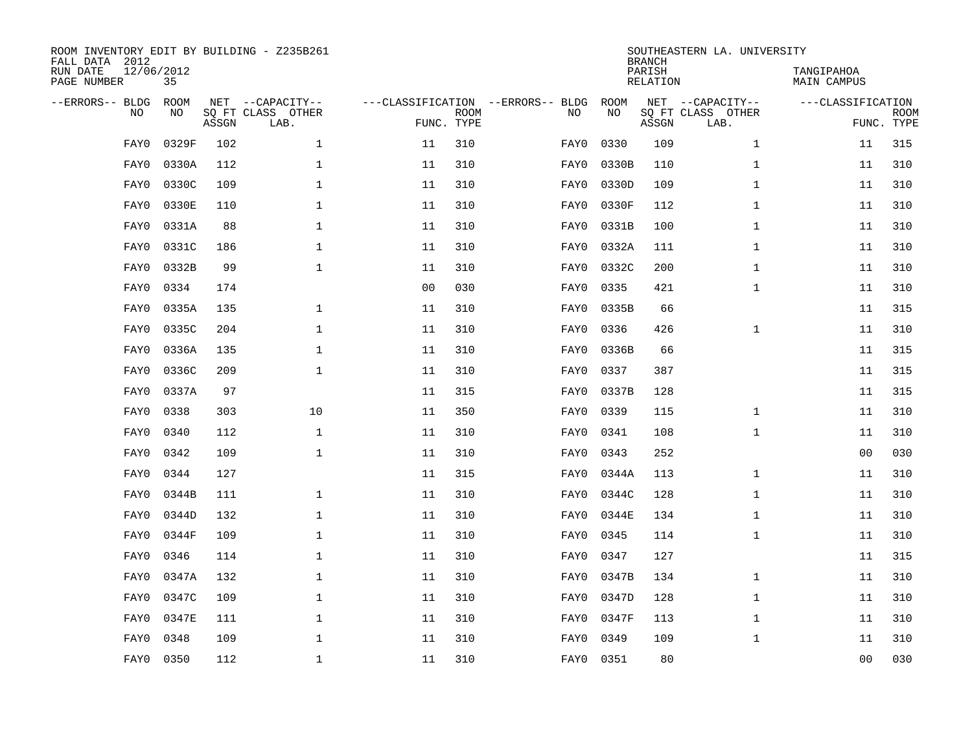| FALL DATA 2012<br>RUN DATE<br>PAGE NUMBER | 12/06/2012<br>35         |       | ROOM INVENTORY EDIT BY BUILDING - Z235B261    |                                                 |             |      |            | <b>BRANCH</b><br>PARISH<br>RELATION | SOUTHEASTERN LA. UNIVERSITY                   | TANGIPAHOA<br>MAIN CAMPUS |                           |
|-------------------------------------------|--------------------------|-------|-----------------------------------------------|-------------------------------------------------|-------------|------|------------|-------------------------------------|-----------------------------------------------|---------------------------|---------------------------|
| --ERRORS-- BLDG                           | ROOM<br><b>NO</b><br>NO. | ASSGN | NET --CAPACITY--<br>SO FT CLASS OTHER<br>LAB. | ---CLASSIFICATION --ERRORS-- BLDG<br>FUNC. TYPE | <b>ROOM</b> | NO   | ROOM<br>NO | ASSGN                               | NET --CAPACITY--<br>SQ FT CLASS OTHER<br>LAB. | ---CLASSIFICATION         | <b>ROOM</b><br>FUNC. TYPE |
|                                           | 0329F<br>FAY0            | 102   | $\mathbf{1}$                                  | 11                                              | 310         | FAY0 | 0330       | 109                                 | $\mathbf{1}$                                  | 11                        | 315                       |
|                                           | 0330A<br>FAY0            | 112   | $\mathbf 1$                                   | 11                                              | 310         | FAY0 | 0330B      | 110                                 | $\mathbf{1}$                                  | 11                        | 310                       |
|                                           | FAY0<br>0330C            | 109   | $\mathbf 1$                                   | 11                                              | 310         | FAY0 | 0330D      | 109                                 | $\mathbf{1}$                                  | 11                        | 310                       |
|                                           | 0330E<br>FAY0            | 110   | $\mathbf 1$                                   | 11                                              | 310         | FAY0 | 0330F      | 112                                 | $\mathbf{1}$                                  | 11                        | 310                       |
|                                           | 0331A<br>FAY0            | 88    | $\mathbf{1}$                                  | 11                                              | 310         | FAY0 | 0331B      | 100                                 | $\mathbf{1}$                                  | 11                        | 310                       |
|                                           | 0331C<br>FAY0            | 186   | $\mathbf{1}$                                  | 11                                              | 310         | FAY0 | 0332A      | 111                                 | $\mathbf{1}$                                  | 11                        | 310                       |
|                                           | 0332B<br>FAY0            | 99    | $\mathbf{1}$                                  | 11                                              | 310         | FAY0 | 0332C      | 200                                 | $\mathbf{1}$                                  | 11                        | 310                       |
|                                           | 0334<br>FAY0             | 174   |                                               | 0 <sub>0</sub>                                  | 030         | FAY0 | 0335       | 421                                 | $\mathbf{1}$                                  | 11                        | 310                       |
|                                           | 0335A<br>FAY0            | 135   | $\mathbf 1$                                   | $11\,$                                          | 310         | FAY0 | 0335B      | 66                                  |                                               | 11                        | 315                       |
|                                           | 0335C<br>FAY0            | 204   | $\mathbf 1$                                   | 11                                              | 310         | FAY0 | 0336       | 426                                 | $\mathbf{1}$                                  | 11                        | 310                       |
|                                           | 0336A<br>FAY0            | 135   | $\mathbf 1$                                   | 11                                              | 310         | FAY0 | 0336B      | 66                                  |                                               | 11                        | 315                       |
|                                           | 0336C<br>FAY0            | 209   | $\mathbf{1}$                                  | 11                                              | 310         | FAY0 | 0337       | 387                                 |                                               | 11                        | 315                       |
|                                           | 0337A<br>FAY0            | 97    |                                               | 11                                              | 315         | FAY0 | 0337B      | 128                                 |                                               | 11                        | 315                       |
|                                           | 0338<br>FAY0             | 303   | 10                                            | 11                                              | 350         | FAY0 | 0339       | 115                                 | $\mathbf{1}$                                  | 11                        | 310                       |
|                                           | 0340<br>FAY0             | 112   | $\mathbf 1$                                   | 11                                              | 310         | FAY0 | 0341       | 108                                 | $\mathbf{1}$                                  | 11                        | 310                       |
|                                           | 0342<br>FAY0             | 109   | $\mathbf 1$                                   | 11                                              | 310         | FAY0 | 0343       | 252                                 |                                               | 00                        | 030                       |
|                                           | 0344<br>FAY0             | 127   |                                               | 11                                              | 315         | FAY0 | 0344A      | 113                                 | $\mathbf{1}$                                  | 11                        | 310                       |
|                                           | 0344B<br>FAY0            | 111   | $\mathbf 1$                                   | 11                                              | 310         | FAY0 | 0344C      | 128                                 | $\mathbf{1}$                                  | 11                        | 310                       |
|                                           | 0344D<br>FAY0            | 132   | $\mathbf{1}$                                  | 11                                              | 310         | FAY0 | 0344E      | 134                                 | $\mathbf{1}$                                  | 11                        | 310                       |
|                                           | 0344F<br>FAY0            | 109   | $\mathbf{1}$                                  | 11                                              | 310         | FAY0 | 0345       | 114                                 | $\mathbf{1}$                                  | 11                        | 310                       |
|                                           | 0346<br>FAY0             | 114   | $\mathbf{1}$                                  | 11                                              | 310         | FAY0 | 0347       | 127                                 |                                               | 11                        | 315                       |
|                                           | 0347A<br>FAY0            | 132   | $\mathbf{1}$                                  | 11                                              | 310         | FAY0 | 0347B      | 134                                 | $\mathbf{1}$                                  | 11                        | 310                       |
|                                           | 0347C<br>FAY0            | 109   | $\mathbf 1$                                   | 11                                              | 310         | FAY0 | 0347D      | 128                                 | $\mathbf{1}$                                  | 11                        | 310                       |
|                                           | 0347E<br>FAY0            | 111   | $\mathbf{1}$                                  | 11                                              | 310         | FAY0 | 0347F      | 113                                 | $\mathbf{1}$                                  | 11                        | 310                       |
|                                           | 0348<br>FAY0             | 109   | 1                                             | 11                                              | 310         | FAY0 | 0349       | 109                                 | $\mathbf{1}$                                  | 11                        | 310                       |
|                                           | FAY0<br>0350             | 112   | $\mathbf 1$                                   | 11                                              | 310         |      | FAY0 0351  | 80                                  |                                               | 0 <sub>0</sub>            | 030                       |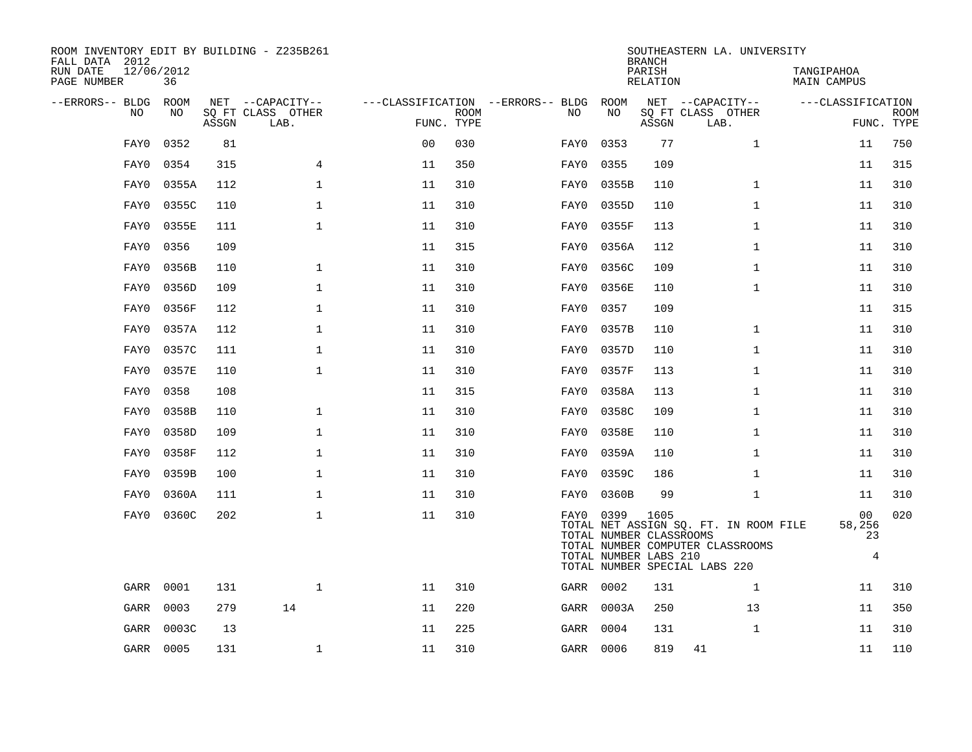| ROOM INVENTORY EDIT BY BUILDING - Z235B261<br>FALL DATA 2012 |           |            |                           |                |             |                                   |                                                               | <b>BRANCH</b>      | SOUTHEASTERN LA. UNIVERSITY                                               |                                      |                           |
|--------------------------------------------------------------|-----------|------------|---------------------------|----------------|-------------|-----------------------------------|---------------------------------------------------------------|--------------------|---------------------------------------------------------------------------|--------------------------------------|---------------------------|
| 12/06/2012<br>RUN DATE<br>PAGE NUMBER                        | 36        |            |                           |                |             |                                   |                                                               | PARISH<br>RELATION |                                                                           | TANGIPAHOA<br><b>MAIN CAMPUS</b>     |                           |
| --ERRORS-- BLDG                                              | ROOM      |            | NET --CAPACITY--          |                |             | ---CLASSIFICATION --ERRORS-- BLDG | ROOM                                                          |                    | NET --CAPACITY--                                                          | ---CLASSIFICATION                    |                           |
| NO                                                           | NO        | ASSGN      | SQ FT CLASS OTHER<br>LAB. | FUNC. TYPE     | <b>ROOM</b> | NO                                | NO                                                            | ASSGN              | SQ FT CLASS OTHER<br>LAB.                                                 |                                      | <b>ROOM</b><br>FUNC. TYPE |
| FAY0                                                         | 0352      | 81         |                           | 0 <sub>0</sub> | 030         | FAY0                              | 0353                                                          | 77                 | $\mathbf{1}$                                                              | 11                                   | 750                       |
| FAY0                                                         | 0354      | 315        | $\overline{4}$            | 11             | 350         | FAY0                              | 0355                                                          | 109                |                                                                           | 11                                   | 315                       |
| FAY0                                                         | 0355A     | 112        | $\mathbf 1$               | 11             | 310         | FAY0                              | 0355B                                                         | 110                | $\mathbf{1}$                                                              | 11                                   | 310                       |
| FAY0                                                         | 0355C     | 110        | $\mathbf{1}$              | 11             | 310         | FAY0                              | 0355D                                                         | 110                | $\mathbf{1}$                                                              | 11                                   | 310                       |
| FAY0                                                         | 0355E     | 111        | $\mathbf 1$               | 11             | 310         | FAY0                              | 0355F                                                         | 113                | $\mathbf{1}$                                                              | 11                                   | 310                       |
| FAY0                                                         | 0356      | 109        |                           | 11             | 315         | FAY0                              | 0356A                                                         | 112                | $\mathbf{1}$                                                              | 11                                   | 310                       |
| FAY0                                                         | 0356B     | 110        | $\mathbf 1$               | 11             | 310         | FAY0                              | 0356C                                                         | 109                | $\mathbf{1}$                                                              | 11                                   | 310                       |
| FAY0                                                         | 0356D     | 109        | $\mathbf{1}$              | 11             | 310         | FAY0                              | 0356E                                                         | 110                | $\mathbf{1}$                                                              | 11                                   | 310                       |
| FAY0                                                         | 0356F     | 112        | $\mathbf 1$               | 11             | 310         | FAY0                              | 0357                                                          | 109                |                                                                           | 11                                   | 315                       |
| FAY0                                                         | 0357A     | 112        | $\mathbf 1$               | 11             | 310         | FAY0                              | 0357B                                                         | 110                | $\mathbf{1}$                                                              | 11                                   | 310                       |
| FAY0                                                         | 0357C     | 111        | $\mathbf 1$               | 11             | 310         | FAY0                              | 0357D                                                         | 110                | $\mathbf{1}$                                                              | 11                                   | 310                       |
| FAY0                                                         | 0357E     | 110        | $\mathbf{1}$              | 11             | 310         | FAY0                              | 0357F                                                         | 113                | $\mathbf{1}$                                                              | 11                                   | 310                       |
| FAY0                                                         | 0358      | 108        |                           | 11             | 315         | FAY0                              | 0358A                                                         | 113                | $\mathbf{1}$                                                              | 11                                   | 310                       |
| FAY0                                                         | 0358B     | 110        | $\mathbf 1$               | 11             | 310         | FAY0                              | 0358C                                                         | 109                | $\mathbf{1}$                                                              | 11                                   | 310                       |
| FAY0                                                         | 0358D     | 109        | $\mathbf{1}$              | 11             | 310         | FAY0                              | 0358E                                                         | 110                | $\mathbf{1}$                                                              | 11                                   | 310                       |
| FAY0                                                         | 0358F     | 112        | $\mathbf 1$               | 11             | 310         | FAY0                              | 0359A                                                         | 110                | $\mathbf{1}$                                                              | 11                                   | 310                       |
| FAY0                                                         | 0359B     | 100        | $\mathbf{1}$              | 11             | 310         | FAY0                              | 0359C                                                         | 186                | $\mathbf{1}$                                                              | 11                                   | 310                       |
| FAY0                                                         | 0360A     | 111        | 1                         | 11             | 310         | FAY0                              | 0360B                                                         | 99                 | $\mathbf{1}$                                                              | 11                                   | 310                       |
| FAY0                                                         | 0360C     | 202        | $\mathbf 1$               | 11             | 310         |                                   | FAY0 0399<br>TOTAL NUMBER CLASSROOMS<br>TOTAL NUMBER LABS 210 | 1605               | TOTAL NET ASSIGN SQ. FT. IN ROOM FILE<br>TOTAL NUMBER COMPUTER CLASSROOMS | 00<br>58,256<br>23<br>$\overline{4}$ | 020                       |
|                                                              |           |            |                           |                |             |                                   |                                                               |                    | TOTAL NUMBER SPECIAL LABS 220                                             |                                      |                           |
| GARR                                                         | 0001      | 131<br>279 | $\mathbf{1}$<br>14        | 11             | 310<br>220  | GARR 0002                         |                                                               | 131                | $\mathbf{1}$                                                              | 11                                   | 310<br>350                |
| GARR                                                         | 0003      |            |                           | 11             |             |                                   | GARR 0003A                                                    | 250                | 13                                                                        | 11                                   |                           |
| GARR                                                         | 0003C     | 13         |                           | 11             | 225         | GARR                              | 0004                                                          | 131                | $\mathbf{1}$                                                              | 11                                   | 310                       |
|                                                              | GARR 0005 | 131        | $\mathbf 1$               | 11             | 310         | GARR 0006                         |                                                               | 819                | 41                                                                        | 11                                   | 110                       |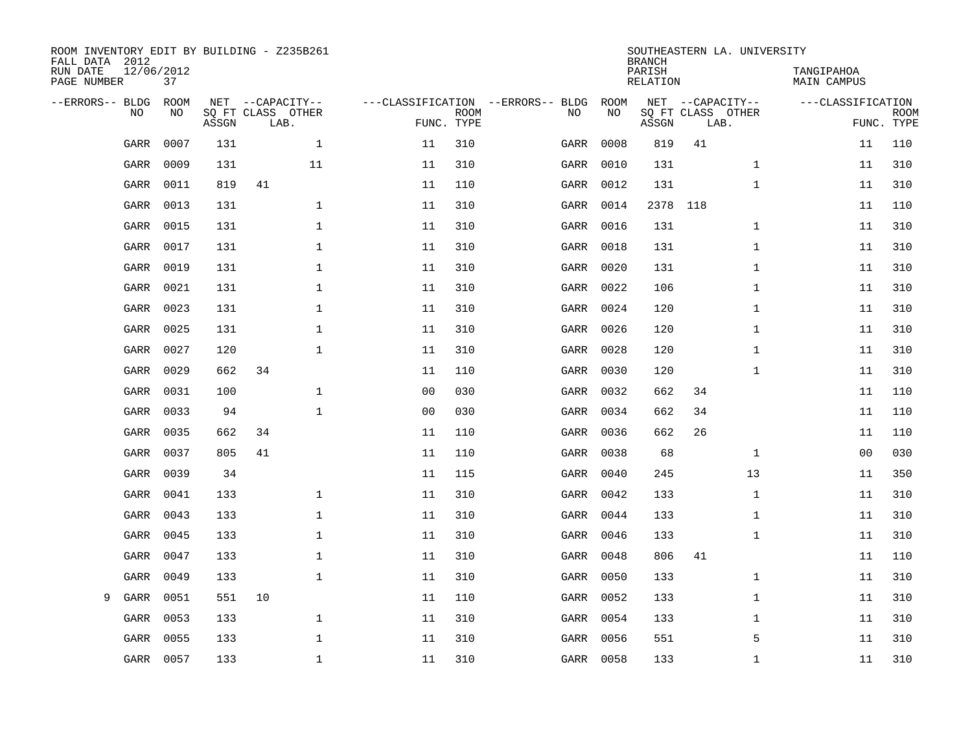| ROOM INVENTORY EDIT BY BUILDING - Z235B261<br>FALL DATA 2012<br>RUN DATE<br>PAGE NUMBER | 12/06/2012<br>37 |       |                                               |              |                |                           |                                         |            | <b>BRANCH</b><br>PARISH<br><b>RELATION</b> | SOUTHEASTERN LA. UNIVERSITY                   | TANGIPAHOA<br>MAIN CAMPUS |                           |
|-----------------------------------------------------------------------------------------|------------------|-------|-----------------------------------------------|--------------|----------------|---------------------------|-----------------------------------------|------------|--------------------------------------------|-----------------------------------------------|---------------------------|---------------------------|
| --ERRORS-- BLDG<br>NO                                                                   | ROOM<br>NO       | ASSGN | NET --CAPACITY--<br>SO FT CLASS OTHER<br>LAB. |              |                | <b>ROOM</b><br>FUNC. TYPE | ---CLASSIFICATION --ERRORS-- BLDG<br>NO | ROOM<br>NO | ASSGN                                      | NET --CAPACITY--<br>SQ FT CLASS OTHER<br>LAB. | ---CLASSIFICATION         | <b>ROOM</b><br>FUNC. TYPE |
| GARR                                                                                    | 0007             | 131   |                                               | $\mathbf{1}$ | 11             | 310                       | GARR                                    | 0008       | 819                                        | 41                                            | 11                        | 110                       |
| GARR                                                                                    | 0009             | 131   | 11                                            |              | 11             | 310                       | GARR                                    | 0010       | 131                                        | $\mathbf{1}$                                  | 11                        | 310                       |
| GARR                                                                                    | 0011             | 819   | 41                                            |              | 11             | 110                       | GARR                                    | 0012       | 131                                        | $\mathbf{1}$                                  | 11                        | 310                       |
| GARR                                                                                    | 0013             | 131   |                                               | $\mathbf{1}$ | 11             | 310                       | GARR                                    | 0014       |                                            | 2378 118                                      | 11                        | 110                       |
| GARR                                                                                    | 0015             | 131   |                                               | $\mathbf{1}$ | 11             | 310                       | GARR                                    | 0016       | 131                                        | $\mathbf{1}$                                  | 11                        | 310                       |
| GARR                                                                                    | 0017             | 131   |                                               | $\mathbf 1$  | 11             | 310                       | GARR                                    | 0018       | 131                                        | $\mathbf{1}$                                  | 11                        | 310                       |
| GARR                                                                                    | 0019             | 131   |                                               | $\mathbf{1}$ | 11             | 310                       | GARR                                    | 0020       | 131                                        | $\mathbf{1}$                                  | 11                        | 310                       |
| GARR                                                                                    | 0021             | 131   |                                               | $\mathbf 1$  | 11             | 310                       | GARR                                    | 0022       | 106                                        | $\mathbf{1}$                                  | 11                        | 310                       |
| GARR                                                                                    | 0023             | 131   |                                               | $\mathbf{1}$ | 11             | 310                       | GARR                                    | 0024       | 120                                        | $\mathbf{1}$                                  | 11                        | 310                       |
| GARR                                                                                    | 0025             | 131   |                                               | $\mathbf 1$  | 11             | 310                       | GARR                                    | 0026       | 120                                        | $\mathbf{1}$                                  | 11                        | 310                       |
| GARR                                                                                    | 0027             | 120   |                                               | $\mathbf{1}$ | 11             | 310                       | GARR                                    | 0028       | 120                                        | $\mathbf{1}$                                  | 11                        | 310                       |
| GARR                                                                                    | 0029             | 662   | 34                                            |              | 11             | 110                       | GARR                                    | 0030       | 120                                        | $\mathbf{1}$                                  | 11                        | 310                       |
| GARR                                                                                    | 0031             | 100   |                                               | $\mathbf{1}$ | 00             | 030                       | GARR                                    | 0032       | 662                                        | 34                                            | 11                        | 110                       |
| GARR                                                                                    | 0033             | 94    |                                               | $\mathbf 1$  | 0 <sub>0</sub> | 030                       | GARR                                    | 0034       | 662                                        | 34                                            | 11                        | 110                       |
| GARR                                                                                    | 0035             | 662   | 34                                            |              | 11             | 110                       | GARR                                    | 0036       | 662                                        | 26                                            | 11                        | 110                       |
| GARR                                                                                    | 0037             | 805   | 41                                            |              | 11             | 110                       | GARR                                    | 0038       | 68                                         | $\mathbf{1}$                                  | 0 <sub>0</sub>            | 030                       |
| GARR                                                                                    | 0039             | 34    |                                               |              | 11             | 115                       | GARR                                    | 0040       | 245                                        | 13                                            | 11                        | 350                       |
| GARR                                                                                    | 0041             | 133   |                                               | $\mathbf{1}$ | 11             | 310                       | GARR                                    | 0042       | 133                                        | $\mathbf{1}$                                  | 11                        | 310                       |
| GARR                                                                                    | 0043             | 133   |                                               | $\mathbf 1$  | 11             | 310                       | GARR                                    | 0044       | 133                                        | $\mathbf{1}$                                  | 11                        | 310                       |
| GARR                                                                                    | 0045             | 133   |                                               | 1            | 11             | 310                       | GARR                                    | 0046       | 133                                        | $\mathbf{1}$                                  | 11                        | 310                       |
| GARR                                                                                    | 0047             | 133   |                                               | $\mathbf 1$  | 11             | 310                       | GARR                                    | 0048       | 806                                        | 41                                            | 11                        | 110                       |
| GARR                                                                                    | 0049             | 133   |                                               | $\mathbf{1}$ | 11             | 310                       | GARR                                    | 0050       | 133                                        | $\mathbf{1}$                                  | 11                        | 310                       |
| GARR<br>9                                                                               | 0051             | 551   | 10                                            |              | 11             | 110                       | GARR                                    | 0052       | 133                                        | $\mathbf{1}$                                  | 11                        | 310                       |
| GARR                                                                                    | 0053             | 133   |                                               | $\mathbf 1$  | 11             | 310                       | GARR                                    | 0054       | 133                                        | $\mathbf{1}$                                  | 11                        | 310                       |
| GARR                                                                                    | 0055             | 133   |                                               | $\mathbf 1$  | 11             | 310                       | GARR                                    | 0056       | 551                                        | 5                                             | 11                        | 310                       |
|                                                                                         | GARR 0057        | 133   |                                               | $\mathbf{1}$ | 11             | 310                       |                                         | GARR 0058  | 133                                        | $\mathbf{1}$                                  | 11                        | 310                       |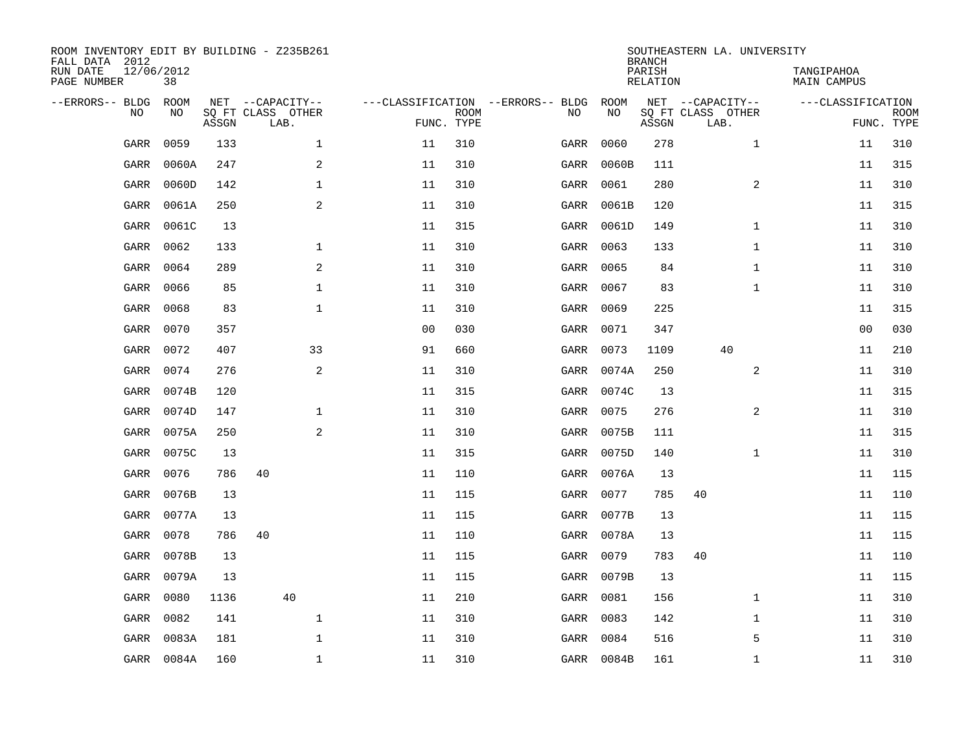| ROOM INVENTORY EDIT BY BUILDING - Z235B261<br>FALL DATA 2012 |                  |       |                           |                |                           |                                   |            | <b>BRANCH</b>             | SOUTHEASTERN LA. UNIVERSITY |                                  |                           |
|--------------------------------------------------------------|------------------|-------|---------------------------|----------------|---------------------------|-----------------------------------|------------|---------------------------|-----------------------------|----------------------------------|---------------------------|
| RUN DATE<br>PAGE NUMBER                                      | 12/06/2012<br>38 |       |                           |                |                           |                                   |            | PARISH<br><b>RELATION</b> |                             | TANGIPAHOA<br><b>MAIN CAMPUS</b> |                           |
| --ERRORS-- BLDG                                              | ROOM             |       | NET --CAPACITY--          |                |                           | ---CLASSIFICATION --ERRORS-- BLDG | ROOM       |                           | NET --CAPACITY--            | ---CLASSIFICATION                |                           |
| NO                                                           | NO               | ASSGN | SQ FT CLASS OTHER<br>LAB. |                | <b>ROOM</b><br>FUNC. TYPE | NO                                | NO         | ASSGN                     | SQ FT CLASS OTHER<br>LAB.   |                                  | <b>ROOM</b><br>FUNC. TYPE |
| GARR                                                         | 0059             | 133   | $\mathbf 1$               | 11             | 310                       | GARR                              | 0060       | 278                       | $\mathbf{1}$                | 11                               | 310                       |
| GARR                                                         | 0060A            | 247   | 2                         | 11             | 310                       | GARR                              | 0060B      | 111                       |                             | 11                               | 315                       |
| GARR                                                         | 0060D            | 142   | 1                         | 11             | 310                       | GARR                              | 0061       | 280                       | 2                           | 11                               | 310                       |
| GARR                                                         | 0061A            | 250   | $\mathbf{2}$              | 11             | 310                       | GARR                              | 0061B      | 120                       |                             | 11                               | 315                       |
| GARR                                                         | 0061C            | 13    |                           | 11             | 315                       | GARR                              | 0061D      | 149                       | $\mathbf{1}$                | 11                               | 310                       |
| GARR                                                         | 0062             | 133   | $\mathbf 1$               | 11             | 310                       | GARR                              | 0063       | 133                       | $\mathbf{1}$                | 11                               | 310                       |
| GARR                                                         | 0064             | 289   | 2                         | 11             | 310                       | GARR                              | 0065       | 84                        | $\mathbf{1}$                | 11                               | 310                       |
| GARR                                                         | 0066             | 85    | $\mathbf{1}$              | 11             | 310                       | GARR                              | 0067       | 83                        | $\mathbf{1}$                | 11                               | 310                       |
| GARR                                                         | 0068             | 83    | $\mathbf{1}$              | 11             | 310                       | GARR                              | 0069       | 225                       |                             | 11                               | 315                       |
| GARR                                                         | 0070             | 357   |                           | 0 <sub>0</sub> | 030                       | GARR                              | 0071       | 347                       |                             | 0 <sub>0</sub>                   | 030                       |
| GARR                                                         | 0072             | 407   | 33                        | 91             | 660                       | GARR                              | 0073       | 1109                      | 40                          | 11                               | 210                       |
| GARR                                                         | 0074             | 276   | 2                         | 11             | 310                       | GARR                              | 0074A      | 250                       | 2                           | 11                               | 310                       |
| GARR                                                         | 0074B            | 120   |                           | 11             | 315                       | GARR                              | 0074C      | 13                        |                             | 11                               | 315                       |
| GARR                                                         | 0074D            | 147   | $\mathbf 1$               | 11             | 310                       | GARR                              | 0075       | 276                       | 2                           | 11                               | 310                       |
| GARR                                                         | 0075A            | 250   | 2                         | 11             | 310                       | GARR                              | 0075B      | 111                       |                             | 11                               | 315                       |
| GARR                                                         | 0075C            | 13    |                           | 11             | 315                       | GARR                              | 0075D      | 140                       | $\mathbf{1}$                | 11                               | 310                       |
| GARR                                                         | 0076             | 786   | 40                        | 11             | 110                       | GARR                              | 0076A      | 13                        |                             | 11                               | 115                       |
| GARR                                                         | 0076B            | 13    |                           | 11             | 115                       | GARR                              | 0077       | 785                       | 40                          | 11                               | 110                       |
| GARR                                                         | 0077A            | 13    |                           | 11             | 115                       | GARR                              | 0077B      | 13                        |                             | 11                               | 115                       |
| GARR                                                         | 0078             | 786   | 40                        | 11             | 110                       | GARR                              | 0078A      | 13                        |                             | 11                               | 115                       |
| GARR                                                         | 0078B            | 13    |                           | 11             | 115                       | GARR                              | 0079       | 783                       | 40                          | 11                               | 110                       |
| GARR                                                         | 0079A            | 13    |                           | 11             | 115                       | GARR                              | 0079B      | 13                        |                             | 11                               | 115                       |
| GARR                                                         | 0080             | 1136  | 40                        | 11             | 210                       | GARR                              | 0081       | 156                       | $\mathbf{1}$                | 11                               | 310                       |
| GARR                                                         | 0082             | 141   | $\mathbf 1$               | 11             | 310                       | GARR                              | 0083       | 142                       | $\mathbf{1}$                | 11                               | 310                       |
| GARR                                                         | 0083A            | 181   | $\mathbf{1}$              | 11             | 310                       | GARR                              | 0084       | 516                       | 5                           | 11                               | 310                       |
|                                                              | GARR 0084A       | 160   | $\mathbf 1$               | 11             | 310                       |                                   | GARR 0084B | 161                       | $\mathbf{1}$                | 11                               | 310                       |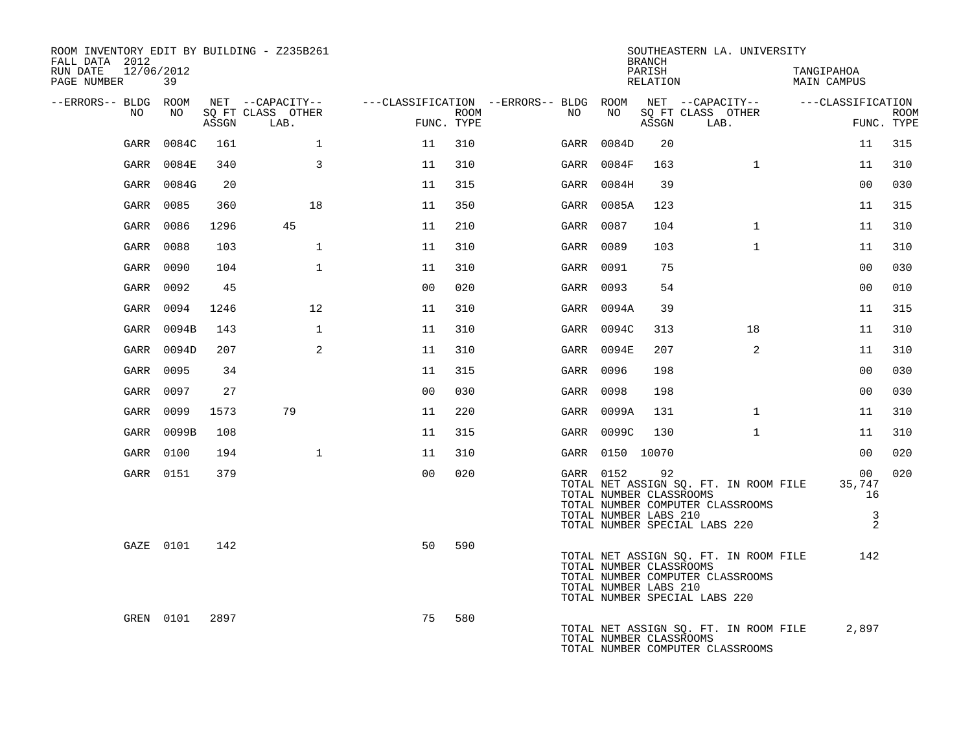| ROOM INVENTORY EDIT BY BUILDING - Z235B261<br>FALL DATA 2012<br>12/06/2012<br>RUN DATE |            |       |                                       |                |      |                                              |                                                               | <b>BRANCH</b><br>PARISH | SOUTHEASTERN LA. UNIVERSITY                                                                                | TANGIPAHOA                                                          |             |
|----------------------------------------------------------------------------------------|------------|-------|---------------------------------------|----------------|------|----------------------------------------------|---------------------------------------------------------------|-------------------------|------------------------------------------------------------------------------------------------------------|---------------------------------------------------------------------|-------------|
| PAGE NUMBER                                                                            | 39         |       |                                       |                |      |                                              |                                                               | RELATION                |                                                                                                            | <b>MAIN CAMPUS</b>                                                  |             |
| --ERRORS-- BLDG ROOM<br>NO                                                             | NO.        |       | NET --CAPACITY--<br>SQ FT CLASS OTHER |                | ROOM | ---CLASSIFICATION --ERRORS-- BLDG ROOM<br>NO | NO                                                            |                         | NET --CAPACITY--<br>SQ FT CLASS OTHER                                                                      | ---CLASSIFICATION                                                   | <b>ROOM</b> |
|                                                                                        |            | ASSGN | LAB.                                  | FUNC. TYPE     |      |                                              |                                                               | ASSGN                   | LAB.                                                                                                       |                                                                     | FUNC. TYPE  |
| GARR                                                                                   | 0084C      | 161   | $\mathbf{1}$                          | 11             | 310  | GARR                                         | 0084D                                                         | 20                      |                                                                                                            | 11                                                                  | 315         |
|                                                                                        | GARR 0084E | 340   | 3                                     | 11             | 310  |                                              | GARR 0084F                                                    | 163                     | $\mathbf{1}$                                                                                               | 11                                                                  | 310         |
|                                                                                        | GARR 0084G | 20    |                                       | 11             | 315  |                                              | GARR 0084H                                                    | 39                      |                                                                                                            | 00                                                                  | 030         |
|                                                                                        | GARR 0085  | 360   | 18                                    | 11             | 350  |                                              | GARR 0085A                                                    | 123                     |                                                                                                            | 11                                                                  | 315         |
|                                                                                        | GARR 0086  | 1296  | 45                                    | 11             | 210  |                                              | GARR 0087                                                     | 104                     | $\mathbf{1}$                                                                                               | 11                                                                  | 310         |
|                                                                                        | GARR 0088  | 103   | $\mathbf{1}$                          | 11             | 310  |                                              | GARR 0089                                                     | 103                     | $\mathbf{1}$                                                                                               | 11                                                                  | 310         |
|                                                                                        | GARR 0090  | 104   | $\mathbf{1}$                          | 11             | 310  |                                              | GARR 0091                                                     | 75                      |                                                                                                            | 0 <sub>0</sub>                                                      | 030         |
|                                                                                        | GARR 0092  | 45    |                                       | 0 <sub>0</sub> | 020  |                                              | GARR 0093                                                     | 54                      |                                                                                                            | 0 <sub>0</sub>                                                      | 010         |
|                                                                                        | GARR 0094  | 1246  | 12                                    | 11             | 310  |                                              | GARR 0094A                                                    | 39                      |                                                                                                            | 11                                                                  | 315         |
|                                                                                        | GARR 0094B | 143   | $\mathbf{1}$                          | 11             | 310  |                                              | GARR 0094C                                                    | 313                     | 18                                                                                                         | 11                                                                  | 310         |
|                                                                                        | GARR 0094D | 207   | 2                                     | 11             | 310  |                                              | GARR 0094E                                                    | 207                     | 2                                                                                                          | 11                                                                  | 310         |
|                                                                                        | GARR 0095  | 34    |                                       | 11             | 315  |                                              | GARR 0096                                                     | 198                     |                                                                                                            | 0 <sub>0</sub>                                                      | 030         |
| GARR                                                                                   | 0097       | 27    |                                       | 0 <sub>0</sub> | 030  |                                              | GARR 0098                                                     | 198                     |                                                                                                            | 0 <sub>0</sub>                                                      | 030         |
|                                                                                        | GARR 0099  | 1573  | 79                                    | 11             | 220  |                                              | GARR 0099A                                                    | 131                     | $\mathbf{1}$                                                                                               | 11                                                                  | 310         |
|                                                                                        | GARR 0099B | 108   |                                       | 11             | 315  |                                              | GARR 0099C                                                    | 130                     | $\mathbf{1}$                                                                                               | 11                                                                  | 310         |
|                                                                                        | GARR 0100  | 194   | $\mathbf{1}$                          | 11             | 310  |                                              | GARR 0150 10070                                               |                         |                                                                                                            | 0 <sub>0</sub>                                                      | 020         |
|                                                                                        | GARR 0151  | 379   |                                       | 0 <sub>0</sub> | 020  |                                              | GARR 0152<br>TOTAL NUMBER CLASSROOMS<br>TOTAL NUMBER LABS 210 | 92                      | TOTAL NET ASSIGN SQ. FT. IN ROOM FILE<br>TOTAL NUMBER COMPUTER CLASSROOMS<br>TOTAL NUMBER SPECIAL LABS 220 | 00 <sub>o</sub><br>35,747<br>16<br>$\overline{3}$<br>$\overline{2}$ | 020         |
|                                                                                        | GAZE 0101  | 142   |                                       | 50             | 590  |                                              | TOTAL NUMBER CLASSROOMS<br>TOTAL NUMBER LABS 210              |                         | TOTAL NET ASSIGN SQ. FT. IN ROOM FILE<br>TOTAL NUMBER COMPUTER CLASSROOMS<br>TOTAL NUMBER SPECIAL LABS 220 | 142                                                                 |             |
|                                                                                        | GREN 0101  | 2897  |                                       | 75             | 580  |                                              | TOTAL NUMBER CLASSROOMS                                       |                         | TOTAL NET ASSIGN SQ. FT. IN ROOM FILE<br>TOTAL NUMBER COMPUTER CLASSROOMS                                  | 2,897                                                               |             |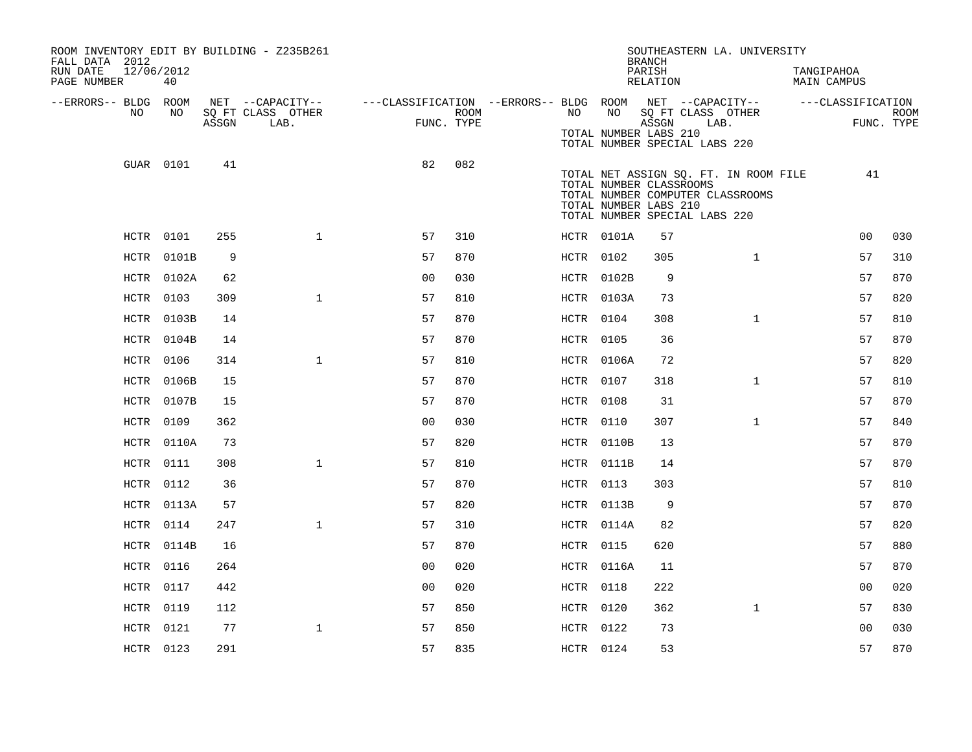| ROOM INVENTORY EDIT BY BUILDING - Z235B261<br>FALL DATA 2012<br>RUN DATE<br>12/06/2012<br>PAGE NUMBER | 40               |       |                                               |                                                         |                           |                  |            | SOUTHEASTERN LA. UNIVERSITY<br><b>BRANCH</b><br>PARISH<br>RELATION                                                                                             |              | TANGIPAHOA<br>MAIN CAMPUS       |             |
|-------------------------------------------------------------------------------------------------------|------------------|-------|-----------------------------------------------|---------------------------------------------------------|---------------------------|------------------|------------|----------------------------------------------------------------------------------------------------------------------------------------------------------------|--------------|---------------------------------|-------------|
| --ERRORS-- BLDG ROOM<br>NO                                                                            | NO.              | ASSGN | NET --CAPACITY--<br>SQ FT CLASS OTHER<br>LAB. | ---CLASSIFICATION --ERRORS-- BLDG ROOM NET --CAPACITY-- | <b>ROOM</b><br>FUNC. TYPE | NO               | NO         | SQ FT CLASS OTHER<br>ASSGN<br>TOTAL NUMBER LABS 210<br>TOTAL NUMBER SPECIAL LABS 220                                                                           | LAB.         | ---CLASSIFICATION<br>FUNC. TYPE | <b>ROOM</b> |
|                                                                                                       | GUAR 0101        | 41    |                                               | 82                                                      | 082                       |                  |            | TOTAL NET ASSIGN SQ. FT. IN ROOM FILE<br>TOTAL NUMBER CLASSROOMS<br>TOTAL NUMBER COMPUTER CLASSROOMS<br>TOTAL NUMBER LABS 210<br>TOTAL NUMBER SPECIAL LABS 220 |              | 41                              |             |
|                                                                                                       | HCTR 0101        | 255   | $\mathbf{1}$                                  | 57                                                      | 310                       |                  | HCTR 0101A | 57                                                                                                                                                             |              | 00                              | 030         |
|                                                                                                       | HCTR 0101B       | 9     |                                               | 57                                                      | 870                       | HCTR 0102        |            | 305                                                                                                                                                            | $\mathbf{1}$ | 57                              | 310         |
|                                                                                                       | HCTR 0102A       | 62    |                                               | 0 <sub>0</sub>                                          | 030                       |                  | HCTR 0102B | 9                                                                                                                                                              |              | 57                              | 870         |
|                                                                                                       | HCTR 0103        | 309   | $\mathbf{1}$                                  | 57                                                      | 810                       |                  | HCTR 0103A | 73                                                                                                                                                             |              | 57                              | 820         |
|                                                                                                       | HCTR 0103B       | 14    |                                               | 57                                                      | 870                       | HCTR 0104        |            | 308                                                                                                                                                            | $\mathbf{1}$ | 57                              | 810         |
|                                                                                                       | HCTR 0104B       | 14    |                                               | 57                                                      | 870                       | <b>HCTR 0105</b> |            | 36                                                                                                                                                             |              | 57                              | 870         |
|                                                                                                       | <b>HCTR 0106</b> | 314   | $\mathbf{1}$                                  | 57                                                      | 810                       |                  | HCTR 0106A | 72                                                                                                                                                             |              | 57                              | 820         |
|                                                                                                       | HCTR 0106B       | 15    |                                               | 57                                                      | 870                       | HCTR 0107        |            | 318                                                                                                                                                            | $\mathbf{1}$ | 57                              | 810         |
|                                                                                                       | HCTR 0107B       | 15    |                                               | 57                                                      | 870                       | HCTR 0108        |            | 31                                                                                                                                                             |              | 57                              | 870         |
|                                                                                                       | <b>HCTR 0109</b> | 362   |                                               | 0 <sub>0</sub>                                          | 030                       | HCTR 0110        |            | 307                                                                                                                                                            | $\mathbf{1}$ | 57                              | 840         |
|                                                                                                       | HCTR 0110A       | 73    |                                               | 57                                                      | 820                       |                  | HCTR 0110B | 13                                                                                                                                                             |              | 57                              | 870         |
|                                                                                                       | <b>HCTR 0111</b> | 308   | $\mathbf{1}$                                  | 57                                                      | 810                       |                  | HCTR 0111B | 14                                                                                                                                                             |              | 57                              | 870         |
|                                                                                                       | HCTR 0112        | 36    |                                               | 57                                                      | 870                       | HCTR 0113        |            | 303                                                                                                                                                            |              | 57                              | 810         |
|                                                                                                       | HCTR 0113A       | 57    |                                               | 57                                                      | 820                       |                  | HCTR 0113B | 9                                                                                                                                                              |              | 57                              | 870         |
|                                                                                                       | HCTR 0114        | 247   | $\mathbf{1}$                                  | 57                                                      | 310                       |                  | HCTR 0114A | 82                                                                                                                                                             |              | 57                              | 820         |
|                                                                                                       | HCTR 0114B       | 16    |                                               | 57                                                      | 870                       | <b>HCTR 0115</b> |            | 620                                                                                                                                                            |              | 57                              | 880         |
|                                                                                                       | HCTR 0116        | 264   |                                               | 00                                                      | 020                       |                  | HCTR 0116A | 11                                                                                                                                                             |              | 57                              | 870         |
|                                                                                                       | HCTR 0117        | 442   |                                               | 0 <sub>0</sub>                                          | 020                       | <b>HCTR 0118</b> |            | 222                                                                                                                                                            |              | 0 <sub>0</sub>                  | 020         |
|                                                                                                       | <b>HCTR 0119</b> | 112   |                                               | 57                                                      | 850                       | HCTR 0120        |            | 362                                                                                                                                                            | $\mathbf{1}$ | 57                              | 830         |
|                                                                                                       | HCTR 0121        | 77    | $\mathbf 1$                                   | 57                                                      | 850                       | HCTR 0122        |            | 73                                                                                                                                                             |              | 0 <sub>0</sub>                  | 030         |
|                                                                                                       | HCTR 0123        | 291   |                                               | 57                                                      | 835                       | HCTR 0124        |            | 53                                                                                                                                                             |              | 57                              | 870         |
|                                                                                                       |                  |       |                                               |                                                         |                           |                  |            |                                                                                                                                                                |              |                                 |             |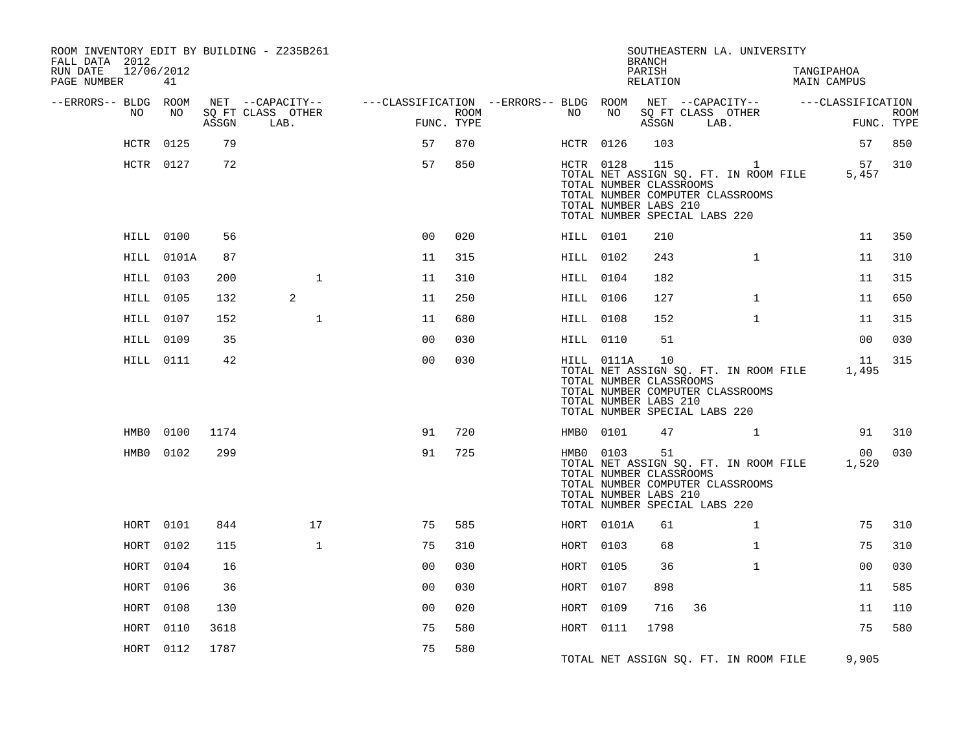| ROOM INVENTORY EDIT BY BUILDING - Z235B261<br>FALL DATA 2012<br>RUN DATE<br>12/06/2012<br>PAGE NUMBER | 41               |       |                           |                                        |                    |                  |            | <b>BRANCH</b><br>PARISH<br>RELATION                     | SOUTHEASTERN LA. UNIVERSITY                                                                                                | TANGIPAHOA<br><b>MAIN CAMPUS</b> |                           |
|-------------------------------------------------------------------------------------------------------|------------------|-------|---------------------------|----------------------------------------|--------------------|------------------|------------|---------------------------------------------------------|----------------------------------------------------------------------------------------------------------------------------|----------------------------------|---------------------------|
| --ERRORS-- BLDG ROOM                                                                                  |                  |       | NET --CAPACITY--          | ---CLASSIFICATION --ERRORS-- BLDG ROOM |                    |                  |            |                                                         | NET --CAPACITY--                                                                                                           | ---CLASSIFICATION                |                           |
| NO                                                                                                    | NO               | ASSGN | SQ FT CLASS OTHER<br>LAB. |                                        | ROOM<br>FUNC. TYPE | NO               | NO         | ASSGN                                                   | SQ FT CLASS OTHER<br>LAB.                                                                                                  |                                  | <b>ROOM</b><br>FUNC. TYPE |
|                                                                                                       | HCTR 0125        | 79    |                           | 57                                     | 870                | HCTR 0126        |            | 103                                                     |                                                                                                                            |                                  | 57<br>850                 |
|                                                                                                       | HCTR 0127        | 72    |                           | 57                                     | 850                |                  | HCTR 0128  | 115<br>TOTAL NUMBER CLASSROOMS<br>TOTAL NUMBER LABS 210 | <sup>1</sup><br>TOTAL NET ASSIGN SQ. FT. IN ROOM FILE<br>TOTAL NUMBER COMPUTER CLASSROOMS<br>TOTAL NUMBER SPECIAL LABS 220 | 5,457                            | 57<br>310                 |
|                                                                                                       | <b>HILL 0100</b> | 56    |                           | 0 <sup>0</sup>                         | 020                |                  | HILL 0101  | 210                                                     |                                                                                                                            |                                  | 11<br>350                 |
|                                                                                                       | HILL 0101A       | 87    |                           | 11                                     | 315                | <b>HILL 0102</b> |            | 243                                                     | $\mathbf{1}$                                                                                                               |                                  | 11<br>310                 |
|                                                                                                       | <b>HILL 0103</b> | 200   | $\mathbf 1$               | 11                                     | 310                | HILL 0104        |            | 182                                                     |                                                                                                                            |                                  | 315<br>11                 |
|                                                                                                       | <b>HILL 0105</b> | 132   | 2                         | 11                                     | 250                | <b>HILL 0106</b> |            | 127                                                     | $\mathbf{1}$                                                                                                               |                                  | 11<br>650                 |
|                                                                                                       | <b>HILL 0107</b> | 152   | $\mathbf{1}$              | 11                                     | 680                | <b>HILL 0108</b> |            | 152                                                     | $\mathbf{1}$                                                                                                               |                                  | 11<br>315                 |
|                                                                                                       | <b>HILL 0109</b> | 35    |                           | 0 <sub>0</sub>                         | 030                | HILL 0110        |            | 51                                                      |                                                                                                                            |                                  | 0 <sub>0</sub><br>030     |
|                                                                                                       | HILL 0111        | 42    |                           | 0 <sub>0</sub>                         | 030                |                  | HILL 0111A | 10<br>TOTAL NUMBER CLASSROOMS<br>TOTAL NUMBER LABS 210  | TOTAL NET ASSIGN SQ. FT. IN ROOM FILE<br>TOTAL NUMBER COMPUTER CLASSROOMS<br>TOTAL NUMBER SPECIAL LABS 220                 | 1,495                            | 315<br>11                 |
| HMB0                                                                                                  | 0100             | 1174  |                           | 91                                     | 720                |                  | HMB0 0101  | 47                                                      |                                                                                                                            |                                  | 310<br>91                 |
|                                                                                                       | HMB0 0102        | 299   |                           | 91                                     | 725                |                  | HMB0 0103  | 51<br>TOTAL NUMBER CLASSROOMS<br>TOTAL NUMBER LABS 210  | TOTAL NET ASSIGN SQ. FT. IN ROOM FILE<br>TOTAL NUMBER COMPUTER CLASSROOMS<br>TOTAL NUMBER SPECIAL LABS 220                 | 1,520                            | 030<br>0 <sub>0</sub>     |
| HORT                                                                                                  | 0101             | 844   | 17                        | 75                                     | 585                |                  | HORT 0101A | 61                                                      | $\mathbf{1}$                                                                                                               |                                  | 75<br>310                 |
| HORT                                                                                                  | 0102             | 115   | $\mathbf{1}$              | 75                                     | 310                | HORT             | 0103       | 68                                                      | $\mathbf{1}$                                                                                                               |                                  | 75<br>310                 |
| HORT                                                                                                  | 0104             | 16    |                           | 0 <sub>0</sub>                         | 030                | HORT             | 0105       | 36                                                      | $\mathbf{1}$                                                                                                               |                                  | 0 <sub>0</sub><br>030     |
| HORT                                                                                                  | 0106             | 36    |                           | 00                                     | 030                | HORT             | 0107       | 898                                                     |                                                                                                                            |                                  | 11<br>585                 |
| HORT                                                                                                  | 0108             | 130   |                           | 0 <sub>0</sub>                         | 020                | HORT             | 0109       | 716                                                     | 36                                                                                                                         |                                  | 110<br>11                 |
| HORT                                                                                                  | 0110             | 3618  |                           | 75                                     | 580                | HORT 0111        |            | 1798                                                    |                                                                                                                            |                                  | 75<br>580                 |
| HORT                                                                                                  | 0112             | 1787  |                           | 75                                     | 580                |                  |            |                                                         | TOTAL NET ASSIGN SQ. FT. IN ROOM FILE                                                                                      | 9,905                            |                           |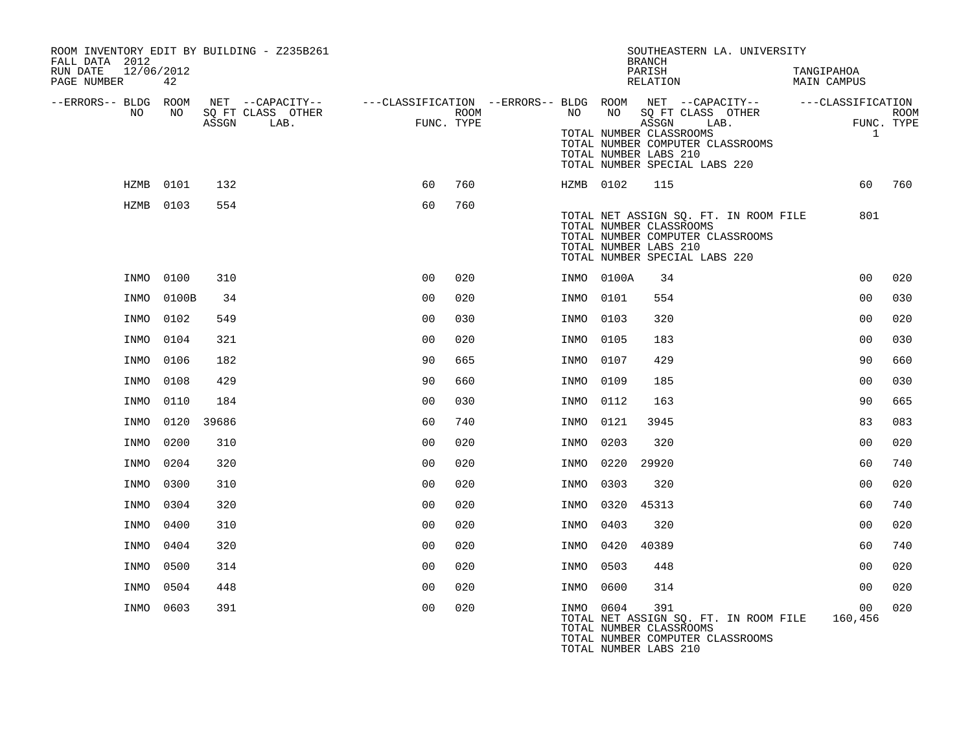| ROOM INVENTORY EDIT BY BUILDING - Z235B261<br>FALL DATA 2012<br>12/06/2012<br>RUN DATE<br>PAGE NUMBER | 42        |       |                   |                |            |           |            | SOUTHEASTERN LA. UNIVERSITY<br><b>BRANCH</b><br>$\texttt{PARISH}$<br>RELATION                                                                                  | TANGIPAHOA<br><b>MAIN CAMPUS</b> |             |
|-------------------------------------------------------------------------------------------------------|-----------|-------|-------------------|----------------|------------|-----------|------------|----------------------------------------------------------------------------------------------------------------------------------------------------------------|----------------------------------|-------------|
| --ERRORS-- BLDG ROOM<br>NO                                                                            | NO        |       | SQ FT CLASS OTHER |                | ROOM       | NO        | NO         | NET --CAPACITY-- - ---CLASSIFICATION --ERRORS-- BLDG ROOM NET --CAPACITY-- - ---CLASSIFICATION<br>SO FT CLASS OTHER                                            |                                  | <b>ROOM</b> |
|                                                                                                       |           | ASSGN | LAB.              |                | FUNC. TYPE |           |            | ASSGN<br>LAB.<br>TOTAL NUMBER CLASSROOMS<br>TOTAL NUMBER COMPUTER CLASSROOMS<br>TOTAL NUMBER LABS 210<br>TOTAL NUMBER SPECIAL LABS 220                         | $\mathbf{1}$                     | FUNC. TYPE  |
|                                                                                                       | HZMB 0101 | 132   |                   | 60             | 760        | HZMB 0102 |            | 115                                                                                                                                                            | 60                               | 760         |
|                                                                                                       | HZMB 0103 | 554   |                   | 60             | 760        |           |            | TOTAL NET ASSIGN SQ. FT. IN ROOM FILE<br>TOTAL NUMBER CLASSROOMS<br>TOTAL NUMBER COMPUTER CLASSROOMS<br>TOTAL NUMBER LABS 210<br>TOTAL NUMBER SPECIAL LABS 220 | 801                              |             |
| INMO                                                                                                  | 0100      | 310   |                   | 00             | 020        |           | INMO 0100A | 34                                                                                                                                                             | 0 <sub>0</sub>                   | 020         |
| INMO                                                                                                  | 0100B     | 34    |                   | 0 <sub>0</sub> | 020        | INMO      | 0101       | 554                                                                                                                                                            | 0 <sub>0</sub>                   | 030         |
| INMO                                                                                                  | 0102      | 549   |                   | 00             | 030        | INMO      | 0103       | 320                                                                                                                                                            | 0 <sub>0</sub>                   | 020         |
| INMO                                                                                                  | 0104      | 321   |                   | 0 <sub>0</sub> | 020        | INMO      | 0105       | 183                                                                                                                                                            | 00                               | 030         |
| INMO                                                                                                  | 0106      | 182   |                   | 90             | 665        | INMO      | 0107       | 429                                                                                                                                                            | 90                               | 660         |
| INMO                                                                                                  | 0108      | 429   |                   | 90             | 660        | INMO      | 0109       | 185                                                                                                                                                            | 00                               | 030         |
| INMO                                                                                                  | 0110      | 184   |                   | 0 <sub>0</sub> | 030        | INMO      | 0112       | 163                                                                                                                                                            | 90                               | 665         |
| INMO                                                                                                  | 0120      | 39686 |                   | 60             | 740        | INMO      | 0121       | 3945                                                                                                                                                           | 83                               | 083         |
| INMO                                                                                                  | 0200      | 310   |                   | 0 <sub>0</sub> | 020        | INMO      | 0203       | 320                                                                                                                                                            | 0 <sub>0</sub>                   | 020         |
| INMO                                                                                                  | 0204      | 320   |                   | 0 <sub>0</sub> | 020        | INMO      | 0220       | 29920                                                                                                                                                          | 60                               | 740         |
| INMO                                                                                                  | 0300      | 310   |                   | 0 <sub>0</sub> | 020        | INMO      | 0303       | 320                                                                                                                                                            | 0 <sub>0</sub>                   | 020         |
| INMO                                                                                                  | 0304      | 320   |                   | 0 <sub>0</sub> | 020        | INMO      | 0320       | 45313                                                                                                                                                          | 60                               | 740         |
| INMO                                                                                                  | 0400      | 310   |                   | 0 <sub>0</sub> | 020        | INMO      | 0403       | 320                                                                                                                                                            | 0 <sub>0</sub>                   | 020         |
| INMO                                                                                                  | 0404      | 320   |                   | 0 <sub>0</sub> | 020        | INMO      | 0420       | 40389                                                                                                                                                          | 60                               | 740         |
| INMO                                                                                                  | 0500      | 314   |                   | 0 <sub>0</sub> | 020        | INMO      | 0503       | 448                                                                                                                                                            | 00                               | 020         |
| INMO                                                                                                  | 0504      | 448   |                   | 0 <sub>0</sub> | 020        | INMO      | 0600       | 314                                                                                                                                                            | 0 <sub>0</sub>                   | 020         |
|                                                                                                       | INMO 0603 | 391   |                   | 0 <sub>0</sub> | 020        | INMO 0604 |            | 391<br>TOTAL NET ASSIGN SQ. FT. IN ROOM FILE<br>TOTAL NUMBER CLASSROOMS<br>TOTAL NUMBER COMPUTER CLASSROOMS<br>TOTAL NUMBER LABS 210                           | 00<br>160,456                    | 020         |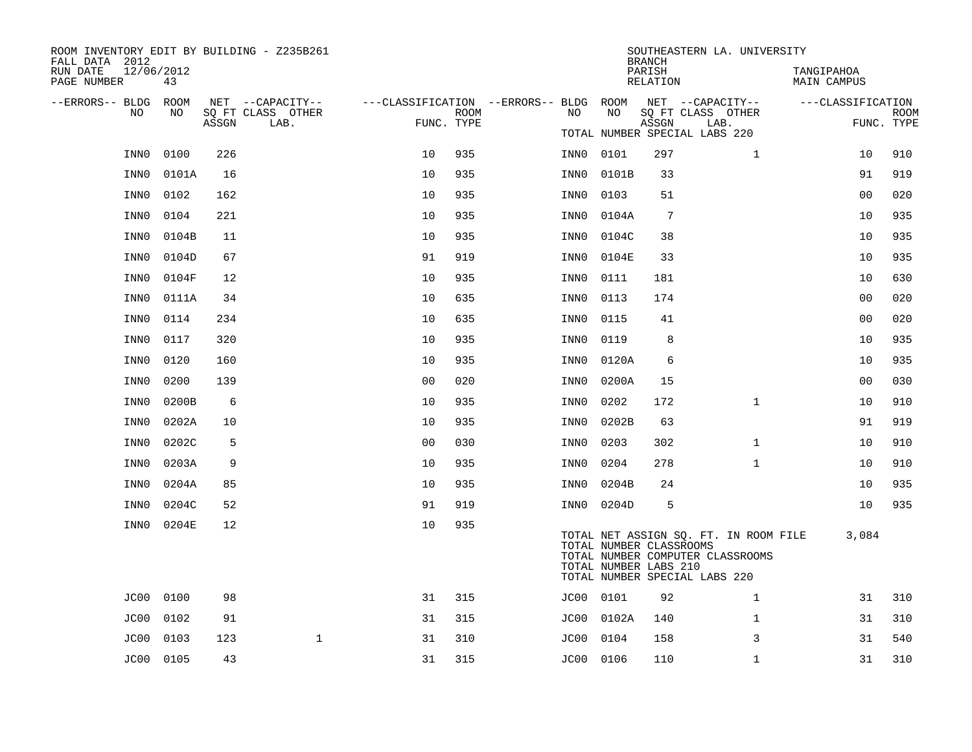| ROOM INVENTORY EDIT BY BUILDING - Z235B261<br>FALL DATA 2012 |           |       |                           |                                        |      |           |            | <b>BRANCH</b>                                    | SOUTHEASTERN LA. UNIVERSITY                                                                                |                           |                    |
|--------------------------------------------------------------|-----------|-------|---------------------------|----------------------------------------|------|-----------|------------|--------------------------------------------------|------------------------------------------------------------------------------------------------------------|---------------------------|--------------------|
| RUN DATE<br>12/06/2012<br>PAGE NUMBER                        | 43        |       |                           |                                        |      |           |            | PARISH<br>RELATION                               |                                                                                                            | TANGIPAHOA<br>MAIN CAMPUS |                    |
| --ERRORS-- BLDG ROOM                                         |           |       | NET --CAPACITY--          | ---CLASSIFICATION --ERRORS-- BLDG ROOM |      |           |            |                                                  | NET --CAPACITY--                                                                                           | ---CLASSIFICATION         |                    |
| NO.                                                          | NO.       | ASSGN | SQ FT CLASS OTHER<br>LAB. | FUNC. TYPE                             | ROOM | NO.       | NO         | ASSGN                                            | SQ FT CLASS OTHER<br>LAB.                                                                                  |                           | ROOM<br>FUNC. TYPE |
|                                                              |           |       |                           |                                        |      |           |            |                                                  | TOTAL NUMBER SPECIAL LABS 220                                                                              |                           |                    |
| INN0                                                         | 0100      | 226   |                           | 10                                     | 935  | INN0      | 0101       | 297                                              | $\mathbf{1}$                                                                                               | 10                        | 910                |
| INN0                                                         | 0101A     | 16    |                           | 10                                     | 935  | INN0      | 0101B      | 33                                               |                                                                                                            | 91                        | 919                |
| INN0                                                         | 0102      | 162   |                           | 10                                     | 935  | INN0      | 0103       | 51                                               |                                                                                                            | 0 <sub>0</sub>            | 020                |
| INN0                                                         | 0104      | 221   |                           | 10                                     | 935  | INN0      | 0104A      | 7                                                |                                                                                                            | 10                        | 935                |
| INN0                                                         | 0104B     | 11    |                           | 10                                     | 935  | INN0      | 0104C      | 38                                               |                                                                                                            | 10                        | 935                |
| INN0                                                         | 0104D     | 67    |                           | 91                                     | 919  | INN0      | 0104E      | 33                                               |                                                                                                            | 10                        | 935                |
| INN0                                                         | 0104F     | 12    |                           | 10                                     | 935  | INN0      | 0111       | 181                                              |                                                                                                            | 10                        | 630                |
| INN0                                                         | 0111A     | 34    |                           | 10                                     | 635  | INN0      | 0113       | 174                                              |                                                                                                            | 00                        | 020                |
| INN0                                                         | 0114      | 234   |                           | 10                                     | 635  | INN0      | 0115       | 41                                               |                                                                                                            | 0 <sub>0</sub>            | 020                |
| INN0                                                         | 0117      | 320   |                           | 10                                     | 935  | INN0      | 0119       | 8                                                |                                                                                                            | 10                        | 935                |
| INN0                                                         | 0120      | 160   |                           | 10                                     | 935  | INN0      | 0120A      | 6                                                |                                                                                                            | 10                        | 935                |
| INN0                                                         | 0200      | 139   |                           | 0 <sub>0</sub>                         | 020  | INN0      | 0200A      | 15                                               |                                                                                                            | 00                        | 030                |
| INN0                                                         | 0200B     | 6     |                           | 10                                     | 935  | INN0      | 0202       | 172                                              | $\mathbf{1}$                                                                                               | 10                        | 910                |
| INN0                                                         | 0202A     | 10    |                           | 10                                     | 935  | INN0      | 0202B      | 63                                               |                                                                                                            | 91                        | 919                |
| INN0                                                         | 0202C     | 5     |                           | 0 <sub>0</sub>                         | 030  | INN0      | 0203       | 302                                              | $\mathbf{1}$                                                                                               | 10                        | 910                |
| INN0                                                         | 0203A     | 9     |                           | 10                                     | 935  | INN0      | 0204       | 278                                              | $\mathbf{1}$                                                                                               | 10                        | 910                |
| INN0                                                         | 0204A     | 85    |                           | 10                                     | 935  | INN0      | 0204B      | 24                                               |                                                                                                            | 10                        | 935                |
| INN0                                                         | 0204C     | 52    |                           | 91                                     | 919  | INN0      | 0204D      | 5                                                |                                                                                                            | 10                        | 935                |
| INN0                                                         | 0204E     | 12    |                           | 10                                     | 935  |           |            |                                                  |                                                                                                            |                           |                    |
|                                                              |           |       |                           |                                        |      |           |            | TOTAL NUMBER CLASSROOMS<br>TOTAL NUMBER LABS 210 | TOTAL NET ASSIGN SQ. FT. IN ROOM FILE<br>TOTAL NUMBER COMPUTER CLASSROOMS<br>TOTAL NUMBER SPECIAL LABS 220 | 3,084                     |                    |
| JC00                                                         | 0100      | 98    |                           | 31                                     | 315  | JC00 0101 |            | 92                                               | $\mathbf{1}$                                                                                               | 31                        | 310                |
| JC00                                                         | 0102      | 91    |                           | 31                                     | 315  |           | JC00 0102A | 140                                              | $\mathbf{1}$                                                                                               | 31                        | 310                |
| JC00                                                         | 0103      | 123   | $\mathbf{1}$              | 31                                     | 310  | JC00      | 0104       | 158                                              | 3                                                                                                          | 31                        | 540                |
|                                                              | JC00 0105 | 43    |                           | 31                                     | 315  | JC00 0106 |            | 110                                              | $\mathbf{1}$                                                                                               | 31                        | 310                |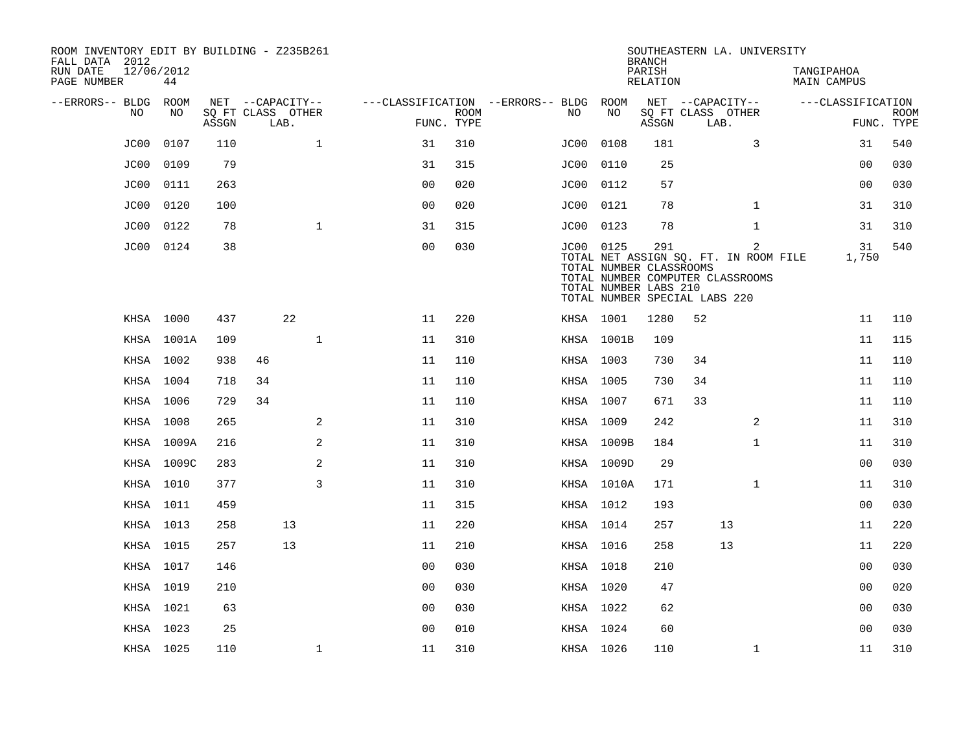| ROOM INVENTORY EDIT BY BUILDING - Z235B261<br>FALL DATA 2012 |                  |       |                           |              |                                        |             |           |                                                                                   | <b>BRANCH</b>      |                           | SOUTHEASTERN LA. UNIVERSITY                                                                 |                           |                   |             |
|--------------------------------------------------------------|------------------|-------|---------------------------|--------------|----------------------------------------|-------------|-----------|-----------------------------------------------------------------------------------|--------------------|---------------------------|---------------------------------------------------------------------------------------------|---------------------------|-------------------|-------------|
| RUN DATE<br>PAGE NUMBER                                      | 12/06/2012<br>44 |       |                           |              |                                        |             |           |                                                                                   | PARISH<br>RELATION |                           |                                                                                             | TANGIPAHOA<br>MAIN CAMPUS |                   |             |
| --ERRORS-- BLDG                                              | ROOM             |       | NET --CAPACITY--          |              | ---CLASSIFICATION --ERRORS-- BLDG ROOM |             |           |                                                                                   |                    | NET --CAPACITY--          |                                                                                             |                           | ---CLASSIFICATION |             |
| NO                                                           | NO               | ASSGN | SQ FT CLASS OTHER<br>LAB. |              | FUNC. TYPE                             | <b>ROOM</b> | NO        | NO                                                                                | ASSGN              | SQ FT CLASS OTHER<br>LAB. |                                                                                             |                           | FUNC. TYPE        | <b>ROOM</b> |
| JC00                                                         | 0107             | 110   |                           | $\mathbf{1}$ | 31                                     | 310         | JC00      | 0108                                                                              | 181                |                           | 3                                                                                           |                           | 31                | 540         |
| JC00                                                         | 0109             | 79    |                           |              | 31                                     | 315         | JC00      | 0110                                                                              | 25                 |                           |                                                                                             |                           | 0 <sub>0</sub>    | 030         |
| JC00                                                         | 0111             | 263   |                           |              | 0 <sub>0</sub>                         | 020         | JC00 0112 |                                                                                   | 57                 |                           |                                                                                             |                           | 0 <sub>0</sub>    | 030         |
| JC00                                                         | 0120             | 100   |                           |              | 0 <sub>0</sub>                         | 020         | JC00      | 0121                                                                              | 78                 |                           | $\mathbf{1}$                                                                                |                           | 31                | 310         |
| JC00                                                         | 0122             | 78    |                           | $\mathbf{1}$ | 31                                     | 315         | JC00 0123 |                                                                                   | 78                 |                           | $\mathbf{1}$                                                                                |                           | 31                | 310         |
| JC00                                                         | 0124             | 38    |                           |              | 0 <sub>0</sub>                         | 030         | JC00 0125 | TOTAL NUMBER CLASSROOMS<br>TOTAL NUMBER LABS 210<br>TOTAL NUMBER SPECIAL LABS 220 | 291                |                           | $\overline{2}$<br>TOTAL NET ASSIGN SQ. FT. IN ROOM FILE<br>TOTAL NUMBER COMPUTER CLASSROOMS |                           | 31<br>1,750       | 540         |
|                                                              | KHSA 1000        | 437   | 22                        |              | 11                                     | 220         | KHSA 1001 |                                                                                   | 1280               | 52                        |                                                                                             |                           | 11                | 110         |
|                                                              | KHSA 1001A       | 109   |                           | $\mathbf 1$  | 11                                     | 310         |           | KHSA 1001B                                                                        | 109                |                           |                                                                                             |                           | 11                | 115         |
|                                                              | KHSA 1002        | 938   | 46                        |              | 11                                     | 110         | KHSA 1003 |                                                                                   | 730                | 34                        |                                                                                             |                           | 11                | 110         |
|                                                              | KHSA 1004        | 718   | 34                        |              | 11                                     | 110         | KHSA 1005 |                                                                                   | 730                | 34                        |                                                                                             |                           | 11                | 110         |
|                                                              | KHSA 1006        | 729   | 34                        |              | 11                                     | 110         | KHSA 1007 |                                                                                   | 671                | 33                        |                                                                                             |                           | 11                | 110         |
|                                                              | KHSA 1008        | 265   |                           | 2            | 11                                     | 310         | KHSA 1009 |                                                                                   | 242                |                           | 2                                                                                           |                           | 11                | 310         |
|                                                              | KHSA 1009A       | 216   |                           | 2            | 11                                     | 310         |           | KHSA 1009B                                                                        | 184                |                           | $\mathbf{1}$                                                                                |                           | 11                | 310         |
|                                                              | KHSA 1009C       | 283   |                           | 2            | 11                                     | 310         |           | KHSA 1009D                                                                        | 29                 |                           |                                                                                             |                           | 0 <sub>0</sub>    | 030         |
|                                                              | KHSA 1010        | 377   |                           | 3            | 11                                     | 310         |           | KHSA 1010A                                                                        | 171                |                           | $\mathbf{1}$                                                                                |                           | 11                | 310         |
|                                                              | KHSA 1011        | 459   |                           |              | 11                                     | 315         | KHSA 1012 |                                                                                   | 193                |                           |                                                                                             |                           | 0 <sub>0</sub>    | 030         |
|                                                              | KHSA 1013        | 258   | 13                        |              | 11                                     | 220         | KHSA 1014 |                                                                                   | 257                |                           | 13                                                                                          |                           | 11                | 220         |
|                                                              | KHSA 1015        | 257   | 13                        |              | 11                                     | 210         | KHSA 1016 |                                                                                   | 258                |                           | 13                                                                                          |                           | 11                | 220         |
|                                                              | KHSA 1017        | 146   |                           |              | 00                                     | 030         | KHSA 1018 |                                                                                   | 210                |                           |                                                                                             |                           | 0 <sub>0</sub>    | 030         |
|                                                              | KHSA 1019        | 210   |                           |              | 00                                     | 030         | KHSA 1020 |                                                                                   | 47                 |                           |                                                                                             |                           | 00                | 020         |
|                                                              | KHSA 1021        | 63    |                           |              | 00                                     | 030         | KHSA 1022 |                                                                                   | 62                 |                           |                                                                                             |                           | 00                | 030         |
|                                                              | KHSA 1023        | 25    |                           |              | 0 <sub>0</sub>                         | 010         | KHSA 1024 |                                                                                   | 60                 |                           |                                                                                             |                           | 00                | 030         |
|                                                              | KHSA 1025        | 110   |                           | $\mathbf 1$  | 11                                     | 310         | KHSA 1026 |                                                                                   | 110                |                           | $\mathbf{1}$                                                                                |                           | 11                | 310         |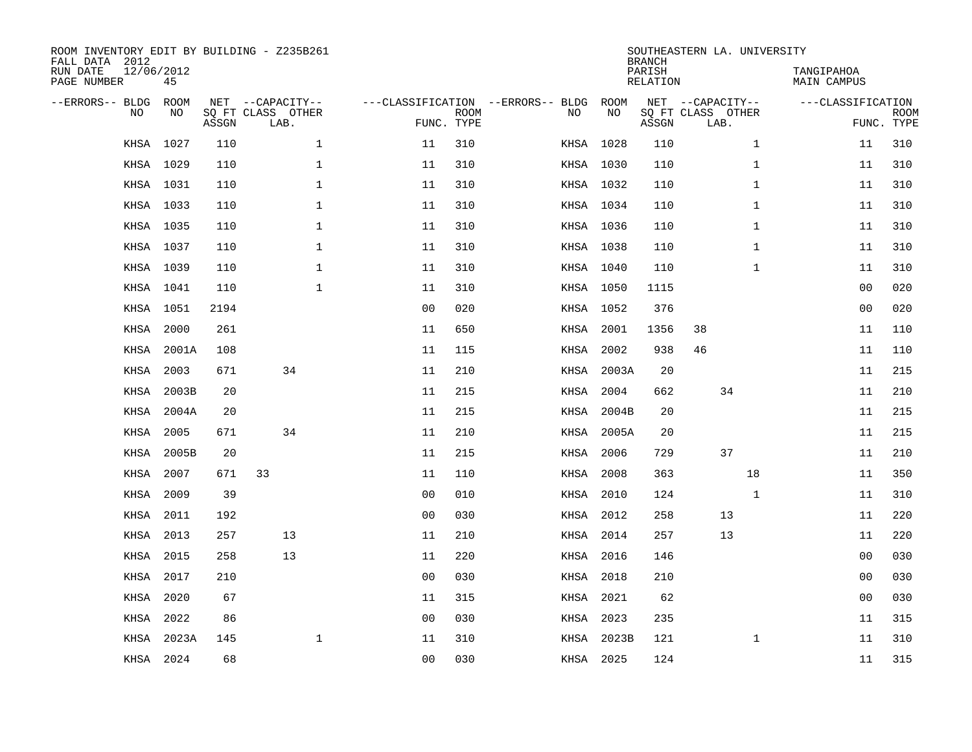| FALL DATA 2012<br>RUN DATE<br>PAGE NUMBER | 12/06/2012 | 45          |       | ROOM INVENTORY EDIT BY BUILDING - Z235B261    |                                   |                           |           |            | <b>BRANCH</b><br>PARISH<br>RELATION | SOUTHEASTERN LA. UNIVERSITY                   |              | TANGIPAHOA<br>MAIN CAMPUS |                           |
|-------------------------------------------|------------|-------------|-------|-----------------------------------------------|-----------------------------------|---------------------------|-----------|------------|-------------------------------------|-----------------------------------------------|--------------|---------------------------|---------------------------|
| --ERRORS-- BLDG                           | <b>NO</b>  | ROOM<br>NO. | ASSGN | NET --CAPACITY--<br>SQ FT CLASS OTHER<br>LAB. | ---CLASSIFICATION --ERRORS-- BLDG | <b>ROOM</b><br>FUNC. TYPE | NO        | ROOM<br>NO | ASSGN                               | NET --CAPACITY--<br>SQ FT CLASS OTHER<br>LAB. |              | ---CLASSIFICATION         | <b>ROOM</b><br>FUNC. TYPE |
|                                           | KHSA       | 1027        | 110   | $\mathbf{1}$                                  | 11                                | 310                       |           | KHSA 1028  | 110                                 |                                               | $\mathbf{1}$ | 11                        | 310                       |
|                                           | KHSA 1029  |             | 110   | $\mathbf 1$                                   | 11                                | 310                       |           | KHSA 1030  | 110                                 |                                               | $\mathbf{1}$ | 11                        | 310                       |
|                                           | KHSA       | 1031        | 110   | $\mathbf 1$                                   | 11                                | 310                       |           | KHSA 1032  | 110                                 |                                               | $\mathbf{1}$ | 11                        | 310                       |
|                                           | KHSA 1033  |             | 110   | $\mathbf{1}$                                  | 11                                | 310                       |           | KHSA 1034  | 110                                 |                                               | $\mathbf{1}$ | 11                        | 310                       |
|                                           | KHSA       | 1035        | 110   | $\mathbf{1}$                                  | 11                                | 310                       |           | KHSA 1036  | 110                                 |                                               | $\mathbf{1}$ | 11                        | 310                       |
|                                           | KHSA 1037  |             | 110   | $\mathbf 1$                                   | 11                                | 310                       |           | KHSA 1038  | 110                                 |                                               | $\mathbf{1}$ | 11                        | 310                       |
|                                           | KHSA       | 1039        | 110   | $\mathbf 1$                                   | 11                                | 310                       |           | KHSA 1040  | 110                                 |                                               | $\mathbf{1}$ | 11                        | 310                       |
|                                           | KHSA 1041  |             | 110   | $\mathbf 1$                                   | 11                                | 310                       |           | KHSA 1050  | 1115                                |                                               |              | 00                        | 020                       |
|                                           | KHSA       | 1051        | 2194  |                                               | 0 <sub>0</sub>                    | 020                       |           | KHSA 1052  | 376                                 |                                               |              | 00                        | 020                       |
|                                           | KHSA       | 2000        | 261   |                                               | 11                                | 650                       |           | KHSA 2001  | 1356                                | 38                                            |              | 11                        | 110                       |
|                                           | KHSA       | 2001A       | 108   |                                               | 11                                | 115                       | KHSA      | 2002       | 938                                 | 46                                            |              | 11                        | 110                       |
|                                           | KHSA       | 2003        | 671   | 34                                            | 11                                | 210                       |           | KHSA 2003A | 20                                  |                                               |              | 11                        | 215                       |
|                                           | KHSA       | 2003B       | 20    |                                               | 11                                | 215                       | KHSA      | 2004       | 662                                 | 34                                            |              | 11                        | 210                       |
|                                           | KHSA       | 2004A       | 20    |                                               | 11                                | 215                       |           | KHSA 2004B | 20                                  |                                               |              | 11                        | 215                       |
|                                           | KHSA       | 2005        | 671   | 34                                            | 11                                | 210                       | KHSA      | 2005A      | 20                                  |                                               |              | 11                        | 215                       |
|                                           | KHSA       | 2005B       | 20    |                                               | 11                                | 215                       | KHSA      | 2006       | 729                                 | 37                                            |              | 11                        | 210                       |
|                                           | KHSA       | 2007        | 671   | 33                                            | 11                                | 110                       | KHSA      | 2008       | 363                                 |                                               | 18           | 11                        | 350                       |
|                                           | KHSA       | 2009        | 39    |                                               | 0 <sub>0</sub>                    | 010                       | KHSA      | 2010       | 124                                 |                                               | $\mathbf{1}$ | 11                        | 310                       |
|                                           | KHSA       | 2011        | 192   |                                               | 0 <sub>0</sub>                    | 030                       | KHSA      | 2012       | 258                                 | 13                                            |              | 11                        | 220                       |
|                                           | KHSA       | 2013        | 257   | 13                                            | 11                                | 210                       | KHSA      | 2014       | 257                                 | 13                                            |              | 11                        | 220                       |
|                                           | KHSA       | 2015        | 258   | 13                                            | 11                                | 220                       | KHSA      | 2016       | 146                                 |                                               |              | 0 <sub>0</sub>            | 030                       |
|                                           | KHSA       | 2017        | 210   |                                               | 0 <sub>0</sub>                    | 030                       | KHSA      | 2018       | 210                                 |                                               |              | 0 <sub>0</sub>            | 030                       |
|                                           | KHSA       | 2020        | 67    |                                               | 11                                | 315                       | KHSA      | 2021       | 62                                  |                                               |              | 0 <sub>0</sub>            | 030                       |
|                                           | KHSA       | 2022        | 86    |                                               | 0 <sub>0</sub>                    | 030                       |           | KHSA 2023  | 235                                 |                                               |              | 11                        | 315                       |
|                                           | KHSA       | 2023A       | 145   | $\mathbf 1$                                   | 11                                | 310                       | KHSA      | 2023B      | 121                                 |                                               | $\mathbf{1}$ | 11                        | 310                       |
|                                           | KHSA 2024  |             | 68    |                                               | 0 <sub>0</sub>                    | 030                       | KHSA 2025 |            | 124                                 |                                               |              | 11                        | 315                       |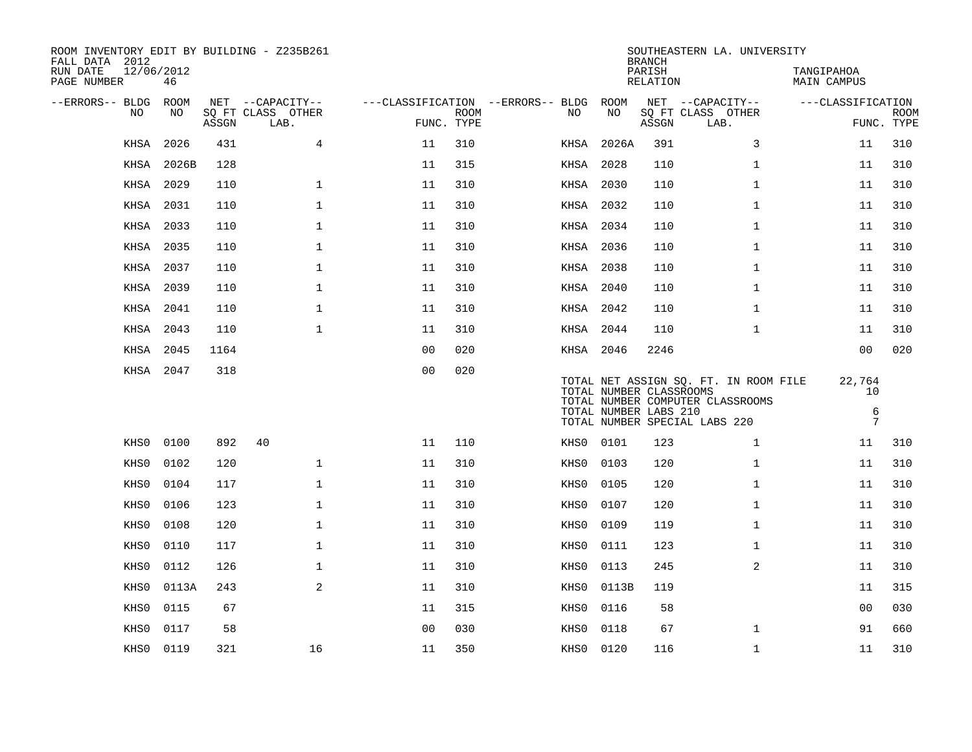| ROOM INVENTORY EDIT BY BUILDING - Z235B261<br>FALL DATA 2012<br>RUN DATE | 12/06/2012 |       |                           |                |             |                                   |           | <b>BRANCH</b><br>PARISH                          | SOUTHEASTERN LA. UNIVERSITY                                                                                | TANGIPAHOA                                    |                           |
|--------------------------------------------------------------------------|------------|-------|---------------------------|----------------|-------------|-----------------------------------|-----------|--------------------------------------------------|------------------------------------------------------------------------------------------------------------|-----------------------------------------------|---------------------------|
| PAGE NUMBER                                                              | 46         |       |                           |                |             |                                   |           | RELATION                                         |                                                                                                            | MAIN CAMPUS                                   |                           |
| --ERRORS-- BLDG                                                          | ROOM       |       | NET --CAPACITY--          |                |             | ---CLASSIFICATION --ERRORS-- BLDG | ROOM      |                                                  | NET --CAPACITY--                                                                                           | ---CLASSIFICATION                             |                           |
| NO                                                                       | NO         | ASSGN | SQ FT CLASS OTHER<br>LAB. | FUNC. TYPE     | <b>ROOM</b> | NO.                               | NO        | ASSGN                                            | SQ FT CLASS OTHER<br>LAB.                                                                                  |                                               | <b>ROOM</b><br>FUNC. TYPE |
| KHSA                                                                     | 2026       | 431   | $\overline{4}$            | 11             | 310         | KHSA                              | 2026A     | 391                                              | 3                                                                                                          | 11                                            | 310                       |
| KHSA                                                                     | 2026B      | 128   |                           | 11             | 315         | KHSA                              | 2028      | 110                                              | $\mathbf{1}$                                                                                               | 11                                            | 310                       |
| KHSA                                                                     | 2029       | 110   | $\mathbf{1}$              | 11             | 310         | KHSA                              | 2030      | 110                                              | $\mathbf{1}$                                                                                               | 11                                            | 310                       |
| KHSA                                                                     | 2031       | 110   | $\mathbf{1}$              | 11             | 310         | KHSA                              | 2032      | 110                                              | $\mathbf{1}$                                                                                               | 11                                            | 310                       |
| KHSA                                                                     | 2033       | 110   | $\mathbf{1}$              | 11             | 310         |                                   | KHSA 2034 | 110                                              | $\mathbf{1}$                                                                                               | 11                                            | 310                       |
| KHSA                                                                     | 2035       | 110   | $\mathbf 1$               | 11             | 310         |                                   | KHSA 2036 | 110                                              | $\mathbf{1}$                                                                                               | 11                                            | 310                       |
| KHSA                                                                     | 2037       | 110   | $\mathbf{1}$              | 11             | 310         |                                   | KHSA 2038 | 110                                              | $\mathbf{1}$                                                                                               | 11                                            | 310                       |
| KHSA                                                                     | 2039       | 110   | $\mathbf 1$               | 11             | 310         |                                   | KHSA 2040 | 110                                              | $\mathbf{1}$                                                                                               | 11                                            | 310                       |
| KHSA                                                                     | 2041       | 110   | $\mathbf 1$               | 11             | 310         |                                   | KHSA 2042 | 110                                              | $\mathbf{1}$                                                                                               | 11                                            | 310                       |
| KHSA                                                                     | 2043       | 110   | $\mathbf 1$               | 11             | 310         |                                   | KHSA 2044 | 110                                              | $\mathbf{1}$                                                                                               | 11                                            | 310                       |
| KHSA                                                                     | 2045       | 1164  |                           | 0 <sub>0</sub> | 020         |                                   | KHSA 2046 | 2246                                             |                                                                                                            | 0 <sub>0</sub>                                | 020                       |
|                                                                          | KHSA 2047  | 318   |                           | 00             | 020         |                                   |           | TOTAL NUMBER CLASSROOMS<br>TOTAL NUMBER LABS 210 | TOTAL NET ASSIGN SQ. FT. IN ROOM FILE<br>TOTAL NUMBER COMPUTER CLASSROOMS<br>TOTAL NUMBER SPECIAL LABS 220 | 22,764<br>10<br>$\epsilon$<br>$7\overline{ }$ |                           |
| KHS0                                                                     | 0100       | 892   | 40                        | 11             | 110         |                                   | KHS0 0101 | 123                                              | $\mathbf{1}$                                                                                               | 11                                            | 310                       |
| KHS0                                                                     | 0102       | 120   | $\mathbf 1$               | 11             | 310         | KHS0                              | 0103      | 120                                              | $\mathbf{1}$                                                                                               | 11                                            | 310                       |
| KHS0                                                                     | 0104       | 117   | $\mathbf{1}$              | 11             | 310         | KHS0                              | 0105      | 120                                              | $\mathbf{1}$                                                                                               | 11                                            | 310                       |
| KHS0                                                                     | 0106       | 123   | $\mathbf{1}$              | 11             | 310         | KHS0                              | 0107      | 120                                              | $\mathbf{1}$                                                                                               | 11                                            | 310                       |
| KHS0                                                                     | 0108       | 120   | $\mathbf{1}$              | 11             | 310         | KHS0                              | 0109      | 119                                              | $\mathbf{1}$                                                                                               | 11                                            | 310                       |
| KHS0                                                                     | 0110       | 117   | $\mathbf{1}$              | 11             | 310         | KHS0                              | 0111      | 123                                              | $\mathbf{1}$                                                                                               | 11                                            | 310                       |
| KHS0                                                                     | 0112       | 126   | $\mathbf 1$               | 11             | 310         | KHS0                              | 0113      | 245                                              | 2                                                                                                          | 11                                            | 310                       |
| KHS0                                                                     | 0113A      | 243   | 2                         | 11             | 310         | KHS0                              | 0113B     | 119                                              |                                                                                                            | 11                                            | 315                       |
| KHS0                                                                     | 0115       | 67    |                           | 11             | 315         | KHS0                              | 0116      | 58                                               |                                                                                                            | 00                                            | 030                       |
| KHS0                                                                     | 0117       | 58    |                           | 0 <sub>0</sub> | 030         | KHS0                              | 0118      | 67                                               | $\mathbf{1}$                                                                                               | 91                                            | 660                       |
| KHS0                                                                     | 0119       | 321   | 16                        | 11             | 350         |                                   | KHS0 0120 | 116                                              | $\mathbf{1}$                                                                                               | 11                                            | 310                       |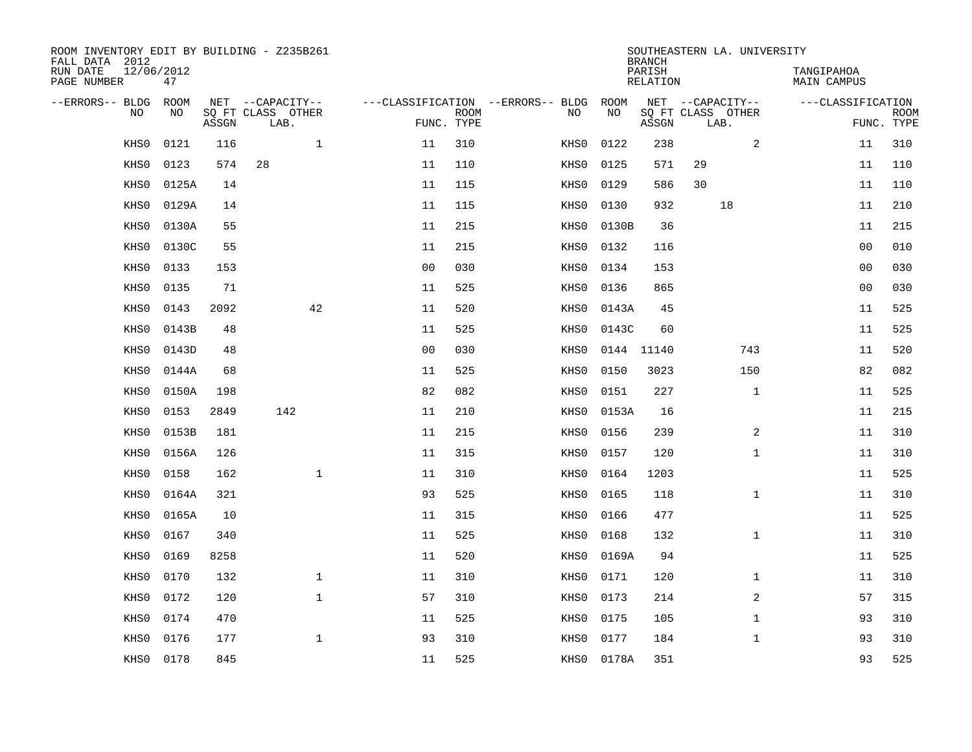| ROOM INVENTORY EDIT BY BUILDING - Z235B261<br>FALL DATA 2012 |                  |       |                           |                |             |                                   |            | <b>BRANCH</b>      | SOUTHEASTERN LA. UNIVERSITY |                                  |                           |
|--------------------------------------------------------------|------------------|-------|---------------------------|----------------|-------------|-----------------------------------|------------|--------------------|-----------------------------|----------------------------------|---------------------------|
| RUN DATE<br>PAGE NUMBER                                      | 12/06/2012<br>47 |       |                           |                |             |                                   |            | PARISH<br>RELATION |                             | TANGIPAHOA<br><b>MAIN CAMPUS</b> |                           |
| --ERRORS-- BLDG                                              | <b>ROOM</b>      |       | NET --CAPACITY--          |                |             | ---CLASSIFICATION --ERRORS-- BLDG | ROOM       |                    | NET --CAPACITY--            | ---CLASSIFICATION                |                           |
| N <sub>O</sub>                                               | NO.              | ASSGN | SO FT CLASS OTHER<br>LAB. | FUNC. TYPE     | <b>ROOM</b> | NO.                               | <b>NO</b>  | ASSGN              | SQ FT CLASS OTHER<br>LAB.   |                                  | <b>ROOM</b><br>FUNC. TYPE |
| KHS0                                                         | 0121             | 116   | $\mathbf{1}$              | 11             | 310         | KHS0                              | 0122       | 238                | 2                           | 11                               | 310                       |
| KHS0                                                         | 0123             | 574   | 28                        | 11             | 110         | KHS0                              | 0125       | 571                | 29                          | 11                               | 110                       |
| KHS0                                                         | 0125A            | 14    |                           | 11             | 115         | KHS0                              | 0129       | 586                | 30                          | 11                               | 110                       |
| KHS0                                                         | 0129A            | 14    |                           | 11             | 115         | KHS0                              | 0130       | 932                | 18                          | 11                               | 210                       |
| KHS0                                                         | 0130A            | 55    |                           | 11             | 215         | KHS0                              | 0130B      | 36                 |                             | 11                               | 215                       |
| KHS0                                                         | 0130C            | 55    |                           | 11             | 215         | KHS0                              | 0132       | 116                |                             | 0 <sub>0</sub>                   | 010                       |
| KHS0                                                         | 0133             | 153   |                           | 0 <sub>0</sub> | 030         | KHS0                              | 0134       | 153                |                             | 0 <sub>0</sub>                   | 030                       |
| KHS0                                                         | 0135             | 71    |                           | 11             | 525         | KHS0                              | 0136       | 865                |                             | 0 <sub>0</sub>                   | 030                       |
| KHS0                                                         | 0143             | 2092  | 42                        | 11             | 520         | KHS0                              | 0143A      | 45                 |                             | 11                               | 525                       |
| KHS0                                                         | 0143B            | 48    |                           | 11             | 525         | KHS0                              | 0143C      | 60                 |                             | 11                               | 525                       |
| KHS0                                                         | 0143D            | 48    |                           | 0 <sub>0</sub> | 030         | KHS0                              |            | 0144 11140         | 743                         | 11                               | 520                       |
| KHS0                                                         | 0144A            | 68    |                           | 11             | 525         | KHS0                              | 0150       | 3023               | 150                         | 82                               | 082                       |
| KHS0                                                         | 0150A            | 198   |                           | 82             | 082         | KHS0                              | 0151       | 227                | $\mathbf{1}$                | 11                               | 525                       |
| KHS0                                                         | 0153             | 2849  | 142                       | 11             | 210         | KHS0                              | 0153A      | 16                 |                             | 11                               | 215                       |
| KHS0                                                         | 0153B            | 181   |                           | 11             | 215         | KHS0                              | 0156       | 239                | 2                           | 11                               | 310                       |
| KHS0                                                         | 0156A            | 126   |                           | 11             | 315         | KHS0                              | 0157       | 120                | $\mathbf{1}$                | 11                               | 310                       |
| KHS0                                                         | 0158             | 162   | $\mathbf{1}$              | 11             | 310         | KHS0                              | 0164       | 1203               |                             | 11                               | 525                       |
| KHS0                                                         | 0164A            | 321   |                           | 93             | 525         | KHS0                              | 0165       | 118                | $\mathbf{1}$                | 11                               | 310                       |
| KHS0                                                         | 0165A            | 10    |                           | 11             | 315         | KHS0                              | 0166       | 477                |                             | 11                               | 525                       |
| KHS0                                                         | 0167             | 340   |                           | 11             | 525         | KHS0                              | 0168       | 132                | $\mathbf{1}$                | 11                               | 310                       |
| KHS0                                                         | 0169             | 8258  |                           | 11             | 520         | KHS0                              | 0169A      | 94                 |                             | 11                               | 525                       |
| KHS0                                                         | 0170             | 132   | $\mathbf{1}$              | 11             | 310         | KHS0                              | 0171       | 120                | $\mathbf{1}$                | 11                               | 310                       |
| KHS0                                                         | 0172             | 120   | $\mathbf 1$               | 57             | 310         | KHS0                              | 0173       | 214                | 2                           | 57                               | 315                       |
| KHS0                                                         | 0174             | 470   |                           | 11             | 525         | KHS0                              | 0175       | 105                | $\mathbf{1}$                | 93                               | 310                       |
| KHS0                                                         | 0176             | 177   | $\mathbf 1$               | 93             | 310         | KHS0                              | 0177       | 184                | $\mathbf{1}$                | 93                               | 310                       |
| KHS0                                                         | 0178             | 845   |                           | 11             | 525         |                                   | KHS0 0178A | 351                |                             | 93                               | 525                       |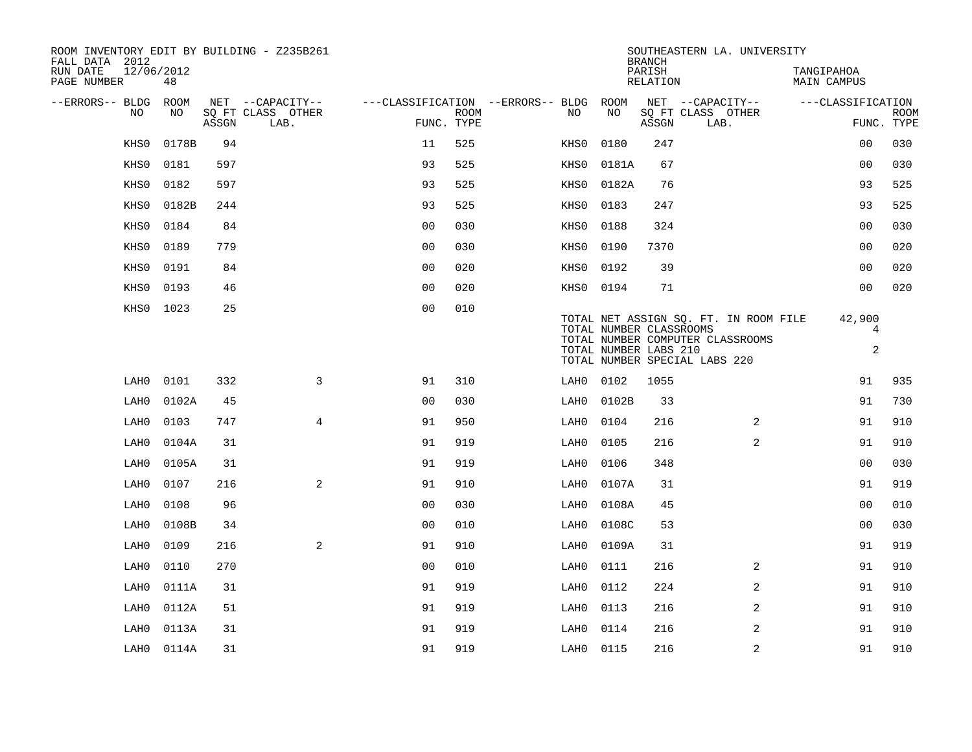| ROOM INVENTORY EDIT BY BUILDING - Z235B261<br>FALL DATA 2012 |                  |       |                           |                |             |                                        |           | <b>BRANCH</b>                                    | SOUTHEASTERN LA. UNIVERSITY                                                                                |                               |                           |
|--------------------------------------------------------------|------------------|-------|---------------------------|----------------|-------------|----------------------------------------|-----------|--------------------------------------------------|------------------------------------------------------------------------------------------------------------|-------------------------------|---------------------------|
| RUN DATE<br>PAGE NUMBER                                      | 12/06/2012<br>48 |       |                           |                |             |                                        |           | PARISH<br><b>RELATION</b>                        |                                                                                                            | TANGIPAHOA<br>MAIN CAMPUS     |                           |
| --ERRORS-- BLDG                                              | ROOM             |       | NET --CAPACITY--          |                |             | ---CLASSIFICATION --ERRORS-- BLDG ROOM |           |                                                  | NET --CAPACITY--                                                                                           | ---CLASSIFICATION             |                           |
| NO                                                           | NO               | ASSGN | SQ FT CLASS OTHER<br>LAB. | FUNC. TYPE     | <b>ROOM</b> | NO.                                    | NO        | ASSGN                                            | SQ FT CLASS OTHER<br>LAB.                                                                                  |                               | <b>ROOM</b><br>FUNC. TYPE |
| KHS0                                                         | 0178B            | 94    |                           | 11             | 525         | KHS0                                   | 0180      | 247                                              |                                                                                                            | 00                            | 030                       |
| KHS0                                                         | 0181             | 597   |                           | 93             | 525         | KHS0                                   | 0181A     | 67                                               |                                                                                                            | 0 <sub>0</sub>                | 030                       |
| KHS0                                                         | 0182             | 597   |                           | 93             | 525         | KHS0                                   | 0182A     | 76                                               |                                                                                                            | 93                            | 525                       |
| KHS0                                                         | 0182B            | 244   |                           | 93             | 525         | KHS0                                   | 0183      | 247                                              |                                                                                                            | 93                            | 525                       |
| KHS0                                                         | 0184             | 84    |                           | 0 <sub>0</sub> | 030         | KHS0                                   | 0188      | 324                                              |                                                                                                            | 0 <sub>0</sub>                | 030                       |
| KHS0                                                         | 0189             | 779   |                           | 0 <sub>0</sub> | 030         | KHS0                                   | 0190      | 7370                                             |                                                                                                            | 0 <sub>0</sub>                | 020                       |
| KHS0                                                         | 0191             | 84    |                           | 0 <sub>0</sub> | 020         | KHS0                                   | 0192      | 39                                               |                                                                                                            | 00                            | 020                       |
| KHS0                                                         | 0193             | 46    |                           | 00             | 020         | KHS0                                   | 0194      | 71                                               |                                                                                                            | 00                            | 020                       |
| KHS0                                                         | 1023             | 25    |                           | 0 <sub>0</sub> | 010         |                                        |           | TOTAL NUMBER CLASSROOMS<br>TOTAL NUMBER LABS 210 | TOTAL NET ASSIGN SO. FT. IN ROOM FILE<br>TOTAL NUMBER COMPUTER CLASSROOMS<br>TOTAL NUMBER SPECIAL LABS 220 | 42,900<br>4<br>$\overline{a}$ |                           |
| LAH0                                                         | 0101             | 332   | 3                         | 91             | 310         | LAH0                                   | 0102      | 1055                                             |                                                                                                            | 91                            | 935                       |
| LAH0                                                         | 0102A            | 45    |                           | 0 <sub>0</sub> | 030         | LAH0                                   | 0102B     | 33                                               |                                                                                                            | 91                            | 730                       |
| LAH0                                                         | 0103             | 747   | $\overline{4}$            | 91             | 950         | LAH0                                   | 0104      | 216                                              | 2                                                                                                          | 91                            | 910                       |
| LAH0                                                         | 0104A            | 31    |                           | 91             | 919         | LAH0                                   | 0105      | 216                                              | $\overline{2}$                                                                                             | 91                            | 910                       |
| LAH0                                                         | 0105A            | 31    |                           | 91             | 919         | LAH0                                   | 0106      | 348                                              |                                                                                                            | 0 <sub>0</sub>                | 030                       |
| LAH0                                                         | 0107             | 216   | 2                         | 91             | 910         | LAH0                                   | 0107A     | 31                                               |                                                                                                            | 91                            | 919                       |
| LAH0                                                         | 0108             | 96    |                           | 0 <sub>0</sub> | 030         | LAH0                                   | 0108A     | 45                                               |                                                                                                            | 0 <sub>0</sub>                | 010                       |
| LAH0                                                         | 0108B            | 34    |                           | 00             | 010         | LAH0                                   | 0108C     | 53                                               |                                                                                                            | 0 <sub>0</sub>                | 030                       |
| LAH0                                                         | 0109             | 216   | 2                         | 91             | 910         | LAH0                                   | 0109A     | 31                                               |                                                                                                            | 91                            | 919                       |
| LAH0                                                         | 0110             | 270   |                           | 00             | 010         | LAH0                                   | 0111      | 216                                              | 2                                                                                                          | 91                            | 910                       |
| LAH0                                                         | 0111A            | 31    |                           | 91             | 919         | LAH0                                   | 0112      | 224                                              | $\overline{a}$                                                                                             | 91                            | 910                       |
| LAH0                                                         | 0112A            | 51    |                           | 91             | 919         | LAH0                                   | 0113      | 216                                              | 2                                                                                                          | 91                            | 910                       |
| LAH0                                                         | 0113A            | 31    |                           | 91             | 919         | LAH0                                   | 0114      | 216                                              | 2                                                                                                          | 91                            | 910                       |
| LAH0                                                         | 0114A            | 31    |                           | 91             | 919         |                                        | LAH0 0115 | 216                                              | 2                                                                                                          | 91                            | 910                       |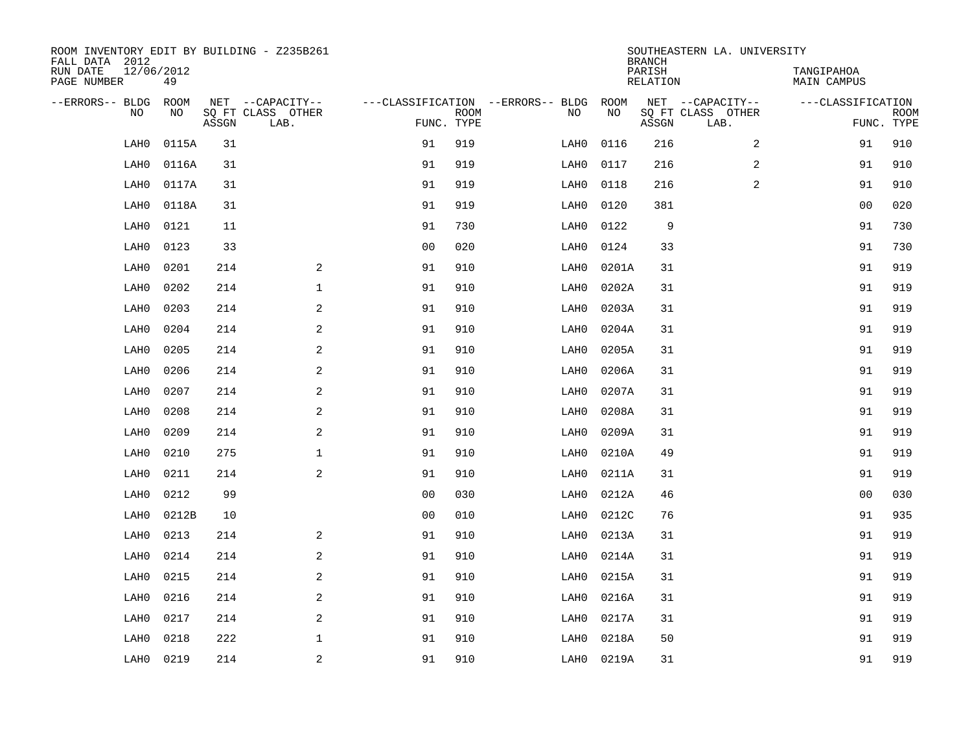| ROOM INVENTORY EDIT BY BUILDING - Z235B261<br>FALL DATA 2012 |       |       |                           |                |             |                                        |            | <b>BRANCH</b>      | SOUTHEASTERN LA. UNIVERSITY |                           |                           |
|--------------------------------------------------------------|-------|-------|---------------------------|----------------|-------------|----------------------------------------|------------|--------------------|-----------------------------|---------------------------|---------------------------|
| 12/06/2012<br>RUN DATE<br>PAGE NUMBER                        | 49    |       |                           |                |             |                                        |            | PARISH<br>RELATION |                             | TANGIPAHOA<br>MAIN CAMPUS |                           |
| --ERRORS-- BLDG ROOM                                         |       |       | NET --CAPACITY--          |                |             | ---CLASSIFICATION --ERRORS-- BLDG ROOM |            |                    | NET --CAPACITY--            | ---CLASSIFICATION         |                           |
| NO.                                                          | NO    | ASSGN | SQ FT CLASS OTHER<br>LAB. | FUNC. TYPE     | <b>ROOM</b> | NO                                     | NO         | ASSGN              | SQ FT CLASS OTHER<br>LAB.   |                           | <b>ROOM</b><br>FUNC. TYPE |
| LAH0                                                         | 0115A | 31    |                           | 91             | 919         | LAH0                                   | 0116       | 216                | 2                           | 91                        | 910                       |
| LAH0                                                         | 0116A | 31    |                           | 91             | 919         | LAH0                                   | 0117       | 216                | 2                           | 91                        | 910                       |
| LAH0                                                         | 0117A | 31    |                           | 91             | 919         | LAH0                                   | 0118       | 216                | 2                           | 91                        | 910                       |
| LAH0                                                         | 0118A | 31    |                           | 91             | 919         | LAH0                                   | 0120       | 381                |                             | 0 <sub>0</sub>            | 020                       |
| LAH0                                                         | 0121  | 11    |                           | 91             | 730         | LAH0                                   | 0122       | $\mathsf 9$        |                             | 91                        | 730                       |
| LAH0                                                         | 0123  | 33    |                           | 0 <sub>0</sub> | 020         | LAH0                                   | 0124       | 33                 |                             | 91                        | 730                       |
| LAH0                                                         | 0201  | 214   | 2                         | 91             | 910         | LAH0                                   | 0201A      | 31                 |                             | 91                        | 919                       |
| LAH0                                                         | 0202  | 214   | $\mathbf 1$               | 91             | 910         | LAH0                                   | 0202A      | 31                 |                             | 91                        | 919                       |
| LAH0                                                         | 0203  | 214   | 2                         | 91             | 910         | LAH0                                   | 0203A      | 31                 |                             | 91                        | 919                       |
| LAH0                                                         | 0204  | 214   | 2                         | 91             | 910         | LAH0                                   | 0204A      | 31                 |                             | 91                        | 919                       |
| LAH0                                                         | 0205  | 214   | 2                         | 91             | 910         | LAH0                                   | 0205A      | 31                 |                             | 91                        | 919                       |
| LAH0                                                         | 0206  | 214   | 2                         | 91             | 910         | LAH0                                   | 0206A      | 31                 |                             | 91                        | 919                       |
| LAH0                                                         | 0207  | 214   | 2                         | 91             | 910         | LAH0                                   | 0207A      | 31                 |                             | 91                        | 919                       |
| LAH0                                                         | 0208  | 214   | 2                         | 91             | 910         | LAH0                                   | 0208A      | 31                 |                             | 91                        | 919                       |
| LAH0                                                         | 0209  | 214   | 2                         | 91             | 910         | LAH0                                   | 0209A      | 31                 |                             | 91                        | 919                       |
| LAH0                                                         | 0210  | 275   | $\mathbf 1$               | 91             | 910         | LAH0                                   | 0210A      | 49                 |                             | 91                        | 919                       |
| LAH0                                                         | 0211  | 214   | 2                         | 91             | 910         | LAH0                                   | 0211A      | 31                 |                             | 91                        | 919                       |
| LAH0                                                         | 0212  | 99    |                           | 0 <sub>0</sub> | 030         | LAH0                                   | 0212A      | 46                 |                             | 0 <sub>0</sub>            | 030                       |
| LAH0                                                         | 0212B | 10    |                           | 0 <sub>0</sub> | 010         | LAH0                                   | 0212C      | 76                 |                             | 91                        | 935                       |
| LAH0                                                         | 0213  | 214   | 2                         | 91             | 910         | LAH0                                   | 0213A      | 31                 |                             | 91                        | 919                       |
| LAH0                                                         | 0214  | 214   | 2                         | 91             | 910         | LAH0                                   | 0214A      | 31                 |                             | 91                        | 919                       |
| LAH0                                                         | 0215  | 214   | $\mathbf{2}$              | 91             | 910         | LAH0                                   | 0215A      | 31                 |                             | 91                        | 919                       |
| LAH0                                                         | 0216  | 214   | $\sqrt{2}$                | 91             | 910         | LAH0                                   | 0216A      | 31                 |                             | 91                        | 919                       |
| LAH0                                                         | 0217  | 214   | 2                         | 91             | 910         | LAH0                                   | 0217A      | 31                 |                             | 91                        | 919                       |
| LAH0                                                         | 0218  | 222   | $\mathbf{1}$              | 91             | 910         | LAH0                                   | 0218A      | 50                 |                             | 91                        | 919                       |
| LAH0                                                         | 0219  | 214   | 2                         | 91             | 910         |                                        | LAH0 0219A | 31                 |                             | 91                        | 919                       |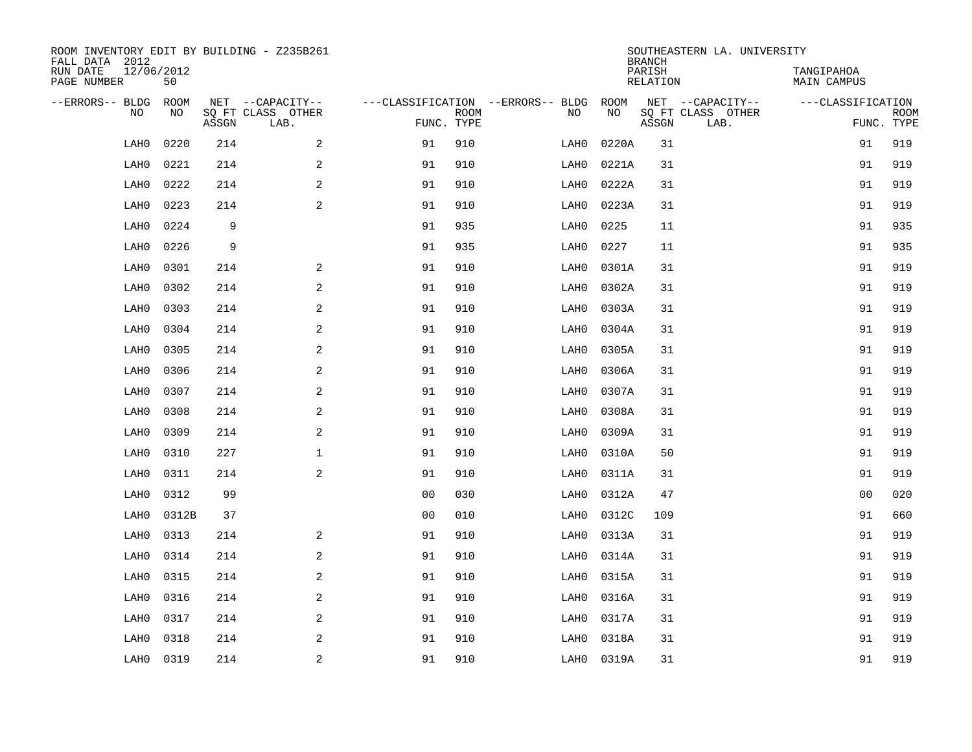| ROOM INVENTORY EDIT BY BUILDING - Z235B261<br>FALL DATA 2012 |                  |       |                           |                |                           |                                   |            | <b>BRANCH</b>      | SOUTHEASTERN LA. UNIVERSITY |                                  |                           |
|--------------------------------------------------------------|------------------|-------|---------------------------|----------------|---------------------------|-----------------------------------|------------|--------------------|-----------------------------|----------------------------------|---------------------------|
| RUN DATE<br>PAGE NUMBER                                      | 12/06/2012<br>50 |       |                           |                |                           |                                   |            | PARISH<br>RELATION |                             | TANGIPAHOA<br><b>MAIN CAMPUS</b> |                           |
| --ERRORS-- BLDG                                              | ROOM<br>NO       |       | NET --CAPACITY--          |                |                           | ---CLASSIFICATION --ERRORS-- BLDG | ROOM<br>NO |                    | NET --CAPACITY--            | ---CLASSIFICATION                |                           |
| NO.                                                          |                  | ASSGN | SQ FT CLASS OTHER<br>LAB. |                | <b>ROOM</b><br>FUNC. TYPE | NO                                |            | ASSGN              | SQ FT CLASS OTHER<br>LAB.   |                                  | <b>ROOM</b><br>FUNC. TYPE |
| LAH0                                                         | 0220             | 214   | 2                         | 91             | 910                       | LAH0                              | 0220A      | 31                 |                             | 91                               | 919                       |
| LAH0                                                         | 0221             | 214   | $\sqrt{2}$                | 91             | 910                       | LAH0                              | 0221A      | 31                 |                             | 91                               | 919                       |
| LAH0                                                         | 0222             | 214   | $\sqrt{2}$                | 91             | 910                       | LAH0                              | 0222A      | 31                 |                             | 91                               | 919                       |
| LAH0                                                         | 0223             | 214   | 2                         | 91             | 910                       | LAH0                              | 0223A      | 31                 |                             | 91                               | 919                       |
| LAH0                                                         | 0224             | 9     |                           | 91             | 935                       | LAH0                              | 0225       | 11                 |                             | 91                               | 935                       |
| LAH0                                                         | 0226             | 9     |                           | 91             | 935                       | LAH0                              | 0227       | 11                 |                             | 91                               | 935                       |
| LAH0                                                         | 0301             | 214   | 2                         | 91             | 910                       | LAH0                              | 0301A      | 31                 |                             | 91                               | 919                       |
| LAH0                                                         | 0302             | 214   | 2                         | 91             | 910                       | LAH0                              | 0302A      | 31                 |                             | 91                               | 919                       |
| LAH0                                                         | 0303             | 214   | 2                         | 91             | 910                       | LAH0                              | 0303A      | 31                 |                             | 91                               | 919                       |
| LAH0                                                         | 0304             | 214   | $\mathbf{2}$              | 91             | 910                       | LAH0                              | 0304A      | 31                 |                             | 91                               | 919                       |
| LAH0                                                         | 0305             | 214   | 2                         | 91             | 910                       | LAH0                              | 0305A      | 31                 |                             | 91                               | 919                       |
| LAH0                                                         | 0306             | 214   | 2                         | 91             | 910                       | LAH0                              | 0306A      | 31                 |                             | 91                               | 919                       |
| LAH0                                                         | 0307             | 214   | 2                         | 91             | 910                       | LAH0                              | 0307A      | 31                 |                             | 91                               | 919                       |
| LAH0                                                         | 0308             | 214   | $\mathbf{2}$              | 91             | 910                       | LAH0                              | 0308A      | 31                 |                             | 91                               | 919                       |
| LAH0                                                         | 0309             | 214   | 2                         | 91             | 910                       | LAH0                              | 0309A      | 31                 |                             | 91                               | 919                       |
| LAH0                                                         | 0310             | 227   | $\mathbf{1}$              | 91             | 910                       | LAH0                              | 0310A      | 50                 |                             | 91                               | 919                       |
| LAH0                                                         | 0311             | 214   | 2                         | 91             | 910                       | LAH0                              | 0311A      | 31                 |                             | 91                               | 919                       |
| LAH0                                                         | 0312             | 99    |                           | 0 <sub>0</sub> | 030                       | LAH0                              | 0312A      | 47                 |                             | 00                               | 020                       |
| LAH0                                                         | 0312B            | 37    |                           | 0 <sub>0</sub> | 010                       | LAH0                              | 0312C      | 109                |                             | 91                               | 660                       |
| LAH0                                                         | 0313             | 214   | 2                         | 91             | 910                       | LAH0                              | 0313A      | 31                 |                             | 91                               | 919                       |
| LAH0                                                         | 0314             | 214   | 2                         | 91             | 910                       | LAH0                              | 0314A      | 31                 |                             | 91                               | 919                       |
| LAH0                                                         | 0315             | 214   | 2                         | 91             | 910                       | LAH0                              | 0315A      | 31                 |                             | 91                               | 919                       |
| LAH0                                                         | 0316             | 214   | 2                         | 91             | 910                       | LAH0                              | 0316A      | 31                 |                             | 91                               | 919                       |
| LAH0                                                         | 0317             | 214   | 2                         | 91             | 910                       | LAH0                              | 0317A      | 31                 |                             | 91                               | 919                       |
| LAH0                                                         | 0318             | 214   | 2                         | 91             | 910                       | LAH0                              | 0318A      | 31                 |                             | 91                               | 919                       |
| LAH0                                                         | 0319             | 214   | $\overline{c}$            | 91             | 910                       | LAH0                              | 0319A      | 31                 |                             | 91                               | 919                       |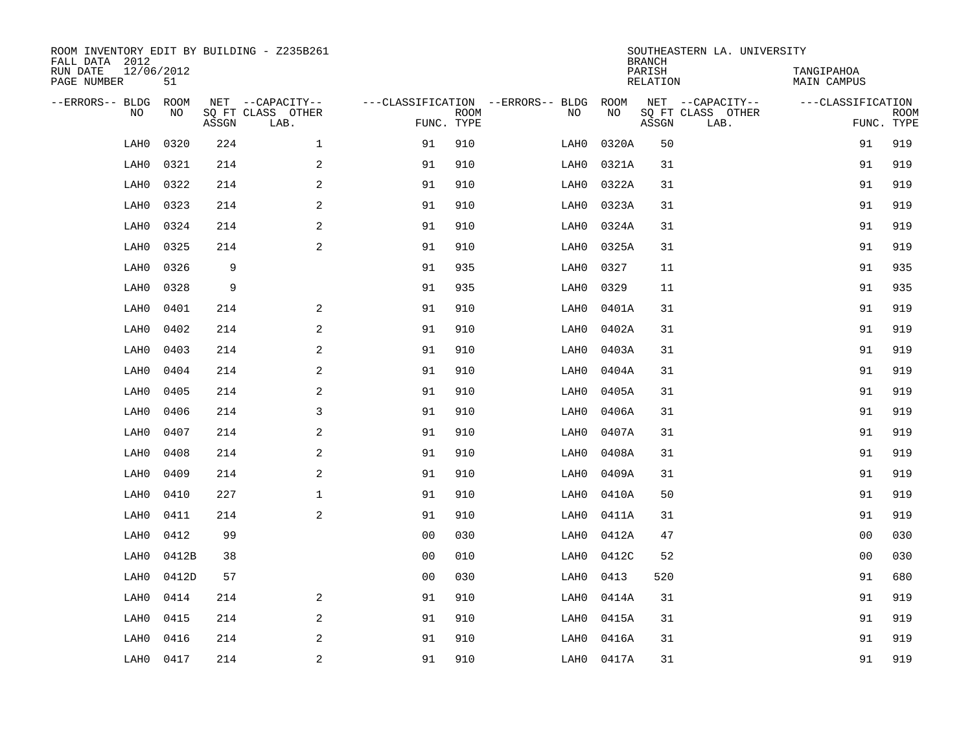| ROOM INVENTORY EDIT BY BUILDING - Z235B261<br>FALL DATA 2012 |                  |       |                           |                |             |                                   |            | <b>BRANCH</b>      | SOUTHEASTERN LA. UNIVERSITY |                                  |                           |
|--------------------------------------------------------------|------------------|-------|---------------------------|----------------|-------------|-----------------------------------|------------|--------------------|-----------------------------|----------------------------------|---------------------------|
| RUN DATE<br>PAGE NUMBER                                      | 12/06/2012<br>51 |       |                           |                |             |                                   |            | PARISH<br>RELATION |                             | TANGIPAHOA<br><b>MAIN CAMPUS</b> |                           |
| --ERRORS-- BLDG                                              | ROOM             |       | NET --CAPACITY--          |                |             | ---CLASSIFICATION --ERRORS-- BLDG | ROOM       |                    | NET --CAPACITY--            | ---CLASSIFICATION                |                           |
| NO.                                                          | NO               | ASSGN | SQ FT CLASS OTHER<br>LAB. | FUNC. TYPE     | <b>ROOM</b> | NO                                | NO         | ASSGN              | SQ FT CLASS OTHER<br>LAB.   |                                  | <b>ROOM</b><br>FUNC. TYPE |
| LAH0                                                         | 0320             | 224   | $\mathbf{1}$              | 91             | 910         | LAH0                              | 0320A      | 50                 |                             | 91                               | 919                       |
| LAH0                                                         | 0321             | 214   | $\overline{a}$            | 91             | 910         | LAH0                              | 0321A      | 31                 |                             | 91                               | 919                       |
| LAH0                                                         | 0322             | 214   | $\mathbf{2}$              | 91             | 910         | LAH0                              | 0322A      | 31                 |                             | 91                               | 919                       |
| LAH0                                                         | 0323             | 214   | $\mathbf{2}$              | 91             | 910         | LAH0                              | 0323A      | 31                 |                             | 91                               | 919                       |
| LAH0                                                         | 0324             | 214   | 2                         | 91             | 910         | LAH0                              | 0324A      | 31                 |                             | 91                               | 919                       |
| LAH0                                                         | 0325             | 214   | $\mathbf{2}$              | 91             | 910         | LAH0                              | 0325A      | 31                 |                             | 91                               | 919                       |
| LAH0                                                         | 0326             | 9     |                           | 91             | 935         | LAH0                              | 0327       | 11                 |                             | 91                               | 935                       |
| LAH0                                                         | 0328             | 9     |                           | 91             | 935         | LAH0                              | 0329       | 11                 |                             | 91                               | 935                       |
| LAH0                                                         | 0401             | 214   | 2                         | 91             | 910         | LAH0                              | 0401A      | 31                 |                             | 91                               | 919                       |
| LAH0                                                         | 0402             | 214   | 2                         | 91             | 910         | LAH0                              | 0402A      | 31                 |                             | 91                               | 919                       |
| LAH0                                                         | 0403             | 214   | 2                         | 91             | 910         | LAH0                              | 0403A      | 31                 |                             | 91                               | 919                       |
| LAH0                                                         | 0404             | 214   | 2                         | 91             | 910         | LAH0                              | 0404A      | 31                 |                             | 91                               | 919                       |
| LAH0                                                         | 0405             | 214   | $\mathbf{2}$              | 91             | 910         | LAH0                              | 0405A      | 31                 |                             | 91                               | 919                       |
| LAH0                                                         | 0406             | 214   | $\mathsf{3}$              | 91             | 910         | LAH0                              | 0406A      | 31                 |                             | 91                               | 919                       |
| LAH0                                                         | 0407             | 214   | $\mathbf{2}$              | 91             | 910         | LAH0                              | 0407A      | 31                 |                             | 91                               | 919                       |
| LAH0                                                         | 0408             | 214   | 2                         | 91             | 910         | LAH0                              | 0408A      | 31                 |                             | 91                               | 919                       |
| LAH0                                                         | 0409             | 214   | $\mathbf{2}$              | 91             | 910         | LAH0                              | 0409A      | 31                 |                             | 91                               | 919                       |
| LAH0                                                         | 0410             | 227   | $\mathbf 1$               | 91             | 910         | LAH0                              | 0410A      | 50                 |                             | 91                               | 919                       |
| LAH0                                                         | 0411             | 214   | 2                         | 91             | 910         | LAH0                              | 0411A      | 31                 |                             | 91                               | 919                       |
| LAH0                                                         | 0412             | 99    |                           | 0 <sub>0</sub> | 030         | LAH0                              | 0412A      | 47                 |                             | 0 <sub>0</sub>                   | 030                       |
| LAH0                                                         | 0412B            | 38    |                           | 0 <sub>0</sub> | 010         | LAH0                              | 0412C      | 52                 |                             | 0 <sub>0</sub>                   | 030                       |
| LAH0                                                         | 0412D            | 57    |                           | 0 <sub>0</sub> | 030         | LAH0                              | 0413       | 520                |                             | 91                               | 680                       |
| LAH0                                                         | 0414             | 214   | 2                         | 91             | 910         | LAH0                              | 0414A      | 31                 |                             | 91                               | 919                       |
| LAH0                                                         | 0415             | 214   | 2                         | 91             | 910         | LAH0                              | 0415A      | 31                 |                             | 91                               | 919                       |
| LAH0                                                         | 0416             | 214   | 2                         | 91             | 910         | LAH0                              | 0416A      | 31                 |                             | 91                               | 919                       |
| LAH0                                                         | 0417             | 214   | 2                         | 91             | 910         |                                   | LAH0 0417A | 31                 |                             | 91                               | 919                       |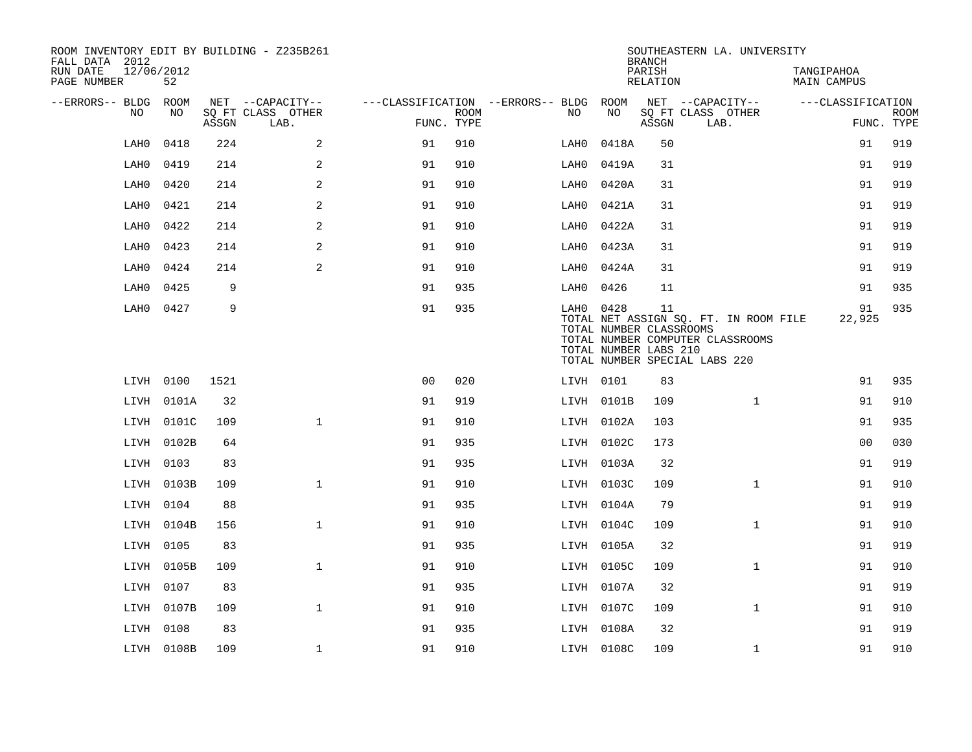| ROOM INVENTORY EDIT BY BUILDING - Z235B261<br>FALL DATA 2012<br>RUN DATE | 12/06/2012 |       |                                       |                                   |             |      |            | <b>BRANCH</b><br>PARISH                                | SOUTHEASTERN LA. UNIVERSITY                                                                                | TANGIPAHOA        |                           |
|--------------------------------------------------------------------------|------------|-------|---------------------------------------|-----------------------------------|-------------|------|------------|--------------------------------------------------------|------------------------------------------------------------------------------------------------------------|-------------------|---------------------------|
| PAGE NUMBER                                                              | 52         |       |                                       |                                   |             |      |            | <b>RELATION</b>                                        |                                                                                                            | MAIN CAMPUS       |                           |
| --ERRORS-- BLDG<br>NO                                                    | ROOM<br>NO |       | NET --CAPACITY--<br>SQ FT CLASS OTHER | ---CLASSIFICATION --ERRORS-- BLDG | <b>ROOM</b> | NO.  | ROOM<br>NO |                                                        | NET --CAPACITY--                                                                                           | ---CLASSIFICATION |                           |
|                                                                          |            | ASSGN | LAB.                                  | FUNC. TYPE                        |             |      |            | ASSGN                                                  | SQ FT CLASS OTHER<br>LAB.                                                                                  |                   | <b>ROOM</b><br>FUNC. TYPE |
| LAH0                                                                     | 0418       | 224   | 2                                     | 91                                | 910         | LAH0 | 0418A      | 50                                                     |                                                                                                            | 91                | 919                       |
| LAH0                                                                     | 0419       | 214   | 2                                     | 91                                | 910         | LAH0 | 0419A      | 31                                                     |                                                                                                            | 91                | 919                       |
| LAH0                                                                     | 0420       | 214   | 2                                     | 91                                | 910         | LAH0 | 0420A      | 31                                                     |                                                                                                            | 91                | 919                       |
| LAH0                                                                     | 0421       | 214   | $\mathbf{2}$                          | 91                                | 910         | LAH0 | 0421A      | 31                                                     |                                                                                                            | 91                | 919                       |
| LAH0                                                                     | 0422       | 214   | 2                                     | 91                                | 910         | LAH0 | 0422A      | 31                                                     |                                                                                                            | 91                | 919                       |
| LAH0                                                                     | 0423       | 214   | 2                                     | 91                                | 910         | LAH0 | 0423A      | 31                                                     |                                                                                                            | 91                | 919                       |
| LAH0                                                                     | 0424       | 214   | 2                                     | 91                                | 910         | LAH0 | 0424A      | 31                                                     |                                                                                                            | 91                | 919                       |
| LAH0                                                                     | 0425       | 9     |                                       | 91                                | 935         | LAH0 | 0426       | 11                                                     |                                                                                                            | 91                | 935                       |
| LAH0                                                                     | 0427       | 9     |                                       | 91                                | 935         |      | LAH0 0428  | 11<br>TOTAL NUMBER CLASSROOMS<br>TOTAL NUMBER LABS 210 | TOTAL NET ASSIGN SQ. FT. IN ROOM FILE<br>TOTAL NUMBER COMPUTER CLASSROOMS<br>TOTAL NUMBER SPECIAL LABS 220 | 91<br>22,925      | 935                       |
|                                                                          | LIVH 0100  | 1521  |                                       | 0 <sub>0</sub>                    | 020         |      | LIVH 0101  | 83                                                     |                                                                                                            | 91                | 935                       |
| LIVH                                                                     | 0101A      | 32    |                                       | 91                                | 919         |      | LIVH 0101B | 109                                                    | $\mathbf{1}$                                                                                               | 91                | 910                       |
|                                                                          | LIVH 0101C | 109   | $\mathbf{1}$                          | 91                                | 910         |      | LIVH 0102A | 103                                                    |                                                                                                            | 91                | 935                       |
|                                                                          | LIVH 0102B | 64    |                                       | 91                                | 935         |      | LIVH 0102C | 173                                                    |                                                                                                            | 0 <sub>0</sub>    | 030                       |
|                                                                          | LIVH 0103  | 83    |                                       | 91                                | 935         |      | LIVH 0103A | 32                                                     |                                                                                                            | 91                | 919                       |
|                                                                          | LIVH 0103B | 109   | $\mathbf{1}$                          | 91                                | 910         |      | LIVH 0103C | 109                                                    | $\mathbf{1}$                                                                                               | 91                | 910                       |
|                                                                          | LIVH 0104  | 88    |                                       | 91                                | 935         |      | LIVH 0104A | 79                                                     |                                                                                                            | 91                | 919                       |
| LIVH                                                                     | 0104B      | 156   | $\mathbf 1$                           | 91                                | 910         |      | LIVH 0104C | 109                                                    | $\mathbf{1}$                                                                                               | 91                | 910                       |
| LIVH                                                                     | 0105       | 83    |                                       | 91                                | 935         |      | LIVH 0105A | 32                                                     |                                                                                                            | 91                | 919                       |
| LIVH                                                                     | 0105B      | 109   | $\mathbf{1}$                          | 91                                | 910         |      | LIVH 0105C | 109                                                    | $\mathbf{1}$                                                                                               | 91                | 910                       |
| LIVH                                                                     | 0107       | 83    |                                       | 91                                | 935         |      | LIVH 0107A | 32                                                     |                                                                                                            | 91                | 919                       |
|                                                                          | LIVH 0107B | 109   | $\mathbf{1}$                          | 91                                | 910         |      | LIVH 0107C | 109                                                    | $\mathbf{1}$                                                                                               | 91                | 910                       |
|                                                                          | LIVH 0108  | 83    |                                       | 91                                | 935         |      | LIVH 0108A | 32                                                     |                                                                                                            | 91                | 919                       |
|                                                                          | LIVH 0108B | 109   | $\mathbf 1$                           | 91                                | 910         |      | LIVH 0108C | 109                                                    | $\mathbf{1}$                                                                                               | 91                | 910                       |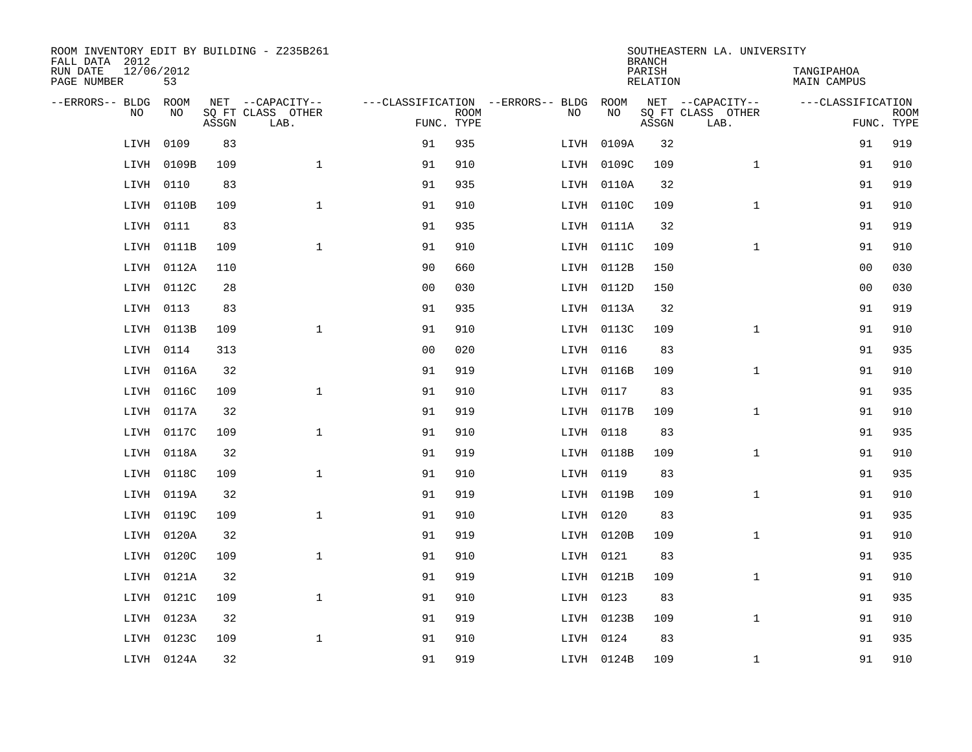| ROOM INVENTORY EDIT BY BUILDING - Z235B261<br>FALL DATA 2012 |                  |       |                           |                |             |                                   |            | <b>BRANCH</b>             | SOUTHEASTERN LA. UNIVERSITY |                                  |                           |
|--------------------------------------------------------------|------------------|-------|---------------------------|----------------|-------------|-----------------------------------|------------|---------------------------|-----------------------------|----------------------------------|---------------------------|
| RUN DATE<br>PAGE NUMBER                                      | 12/06/2012<br>53 |       |                           |                |             |                                   |            | PARISH<br><b>RELATION</b> |                             | TANGIPAHOA<br><b>MAIN CAMPUS</b> |                           |
| --ERRORS-- BLDG                                              | ROOM             |       | NET --CAPACITY--          |                |             | ---CLASSIFICATION --ERRORS-- BLDG | ROOM       |                           | NET --CAPACITY--            | ---CLASSIFICATION                |                           |
| NO                                                           | NO               | ASSGN | SQ FT CLASS OTHER<br>LAB. | FUNC. TYPE     | <b>ROOM</b> | NO                                | NO         | ASSGN                     | SQ FT CLASS OTHER<br>LAB.   |                                  | <b>ROOM</b><br>FUNC. TYPE |
| LIVH                                                         | 0109             | 83    |                           | 91             | 935         | LIVH                              | 0109A      | 32                        |                             | 91                               | 919                       |
| LIVH                                                         | 0109B            | 109   | $\mathbf{1}$              | 91             | 910         |                                   | LIVH 0109C | 109                       | $\mathbf{1}$                | 91                               | 910                       |
| LIVH                                                         | 0110             | 83    |                           | 91             | 935         |                                   | LIVH 0110A | 32                        |                             | 91                               | 919                       |
| LIVH                                                         | 0110B            | 109   | $\mathbf 1$               | 91             | 910         |                                   | LIVH 0110C | 109                       | $\mathbf{1}$                | 91                               | 910                       |
| LIVH                                                         | 0111             | 83    |                           | 91             | 935         |                                   | LIVH 0111A | 32                        |                             | 91                               | 919                       |
| LIVH                                                         | 0111B            | 109   | $\mathbf{1}$              | 91             | 910         |                                   | LIVH 0111C | 109                       | $\mathbf{1}$                | 91                               | 910                       |
| LIVH                                                         | 0112A            | 110   |                           | 90             | 660         |                                   | LIVH 0112B | 150                       |                             | 0 <sub>0</sub>                   | 030                       |
| LIVH                                                         | 0112C            | 28    |                           | 0 <sub>0</sub> | 030         |                                   | LIVH 0112D | 150                       |                             | 0 <sub>0</sub>                   | 030                       |
| LIVH                                                         | 0113             | 83    |                           | 91             | 935         |                                   | LIVH 0113A | 32                        |                             | 91                               | 919                       |
| LIVH                                                         | 0113B            | 109   | $\mathbf{1}$              | 91             | 910         |                                   | LIVH 0113C | 109                       | $\mathbf{1}$                | 91                               | 910                       |
| LIVH                                                         | 0114             | 313   |                           | 0 <sub>0</sub> | 020         |                                   | LIVH 0116  | 83                        |                             | 91                               | 935                       |
| LIVH                                                         | 0116A            | 32    |                           | 91             | 919         |                                   | LIVH 0116B | 109                       | $\mathbf{1}$                | 91                               | 910                       |
| LIVH                                                         | 0116C            | 109   | $\mathbf{1}$              | 91             | 910         |                                   | LIVH 0117  | 83                        |                             | 91                               | 935                       |
| LIVH                                                         | 0117A            | 32    |                           | 91             | 919         |                                   | LIVH 0117B | 109                       | $\mathbf{1}$                | 91                               | 910                       |
| LIVH                                                         | 0117C            | 109   | $\mathbf{1}$              | 91             | 910         |                                   | LIVH 0118  | 83                        |                             | 91                               | 935                       |
| LIVH                                                         | 0118A            | 32    |                           | 91             | 919         |                                   | LIVH 0118B | 109                       | $\mathbf{1}$                | 91                               | 910                       |
| LIVH                                                         | 0118C            | 109   | $\mathbf{1}$              | 91             | 910         |                                   | LIVH 0119  | 83                        |                             | 91                               | 935                       |
| LIVH                                                         | 0119A            | 32    |                           | 91             | 919         |                                   | LIVH 0119B | 109                       | $\mathbf{1}$                | 91                               | 910                       |
| LIVH                                                         | 0119C            | 109   | $\mathbf{1}$              | 91             | 910         |                                   | LIVH 0120  | 83                        |                             | 91                               | 935                       |
| LIVH                                                         | 0120A            | 32    |                           | 91             | 919         |                                   | LIVH 0120B | 109                       | $\mathbf{1}$                | 91                               | 910                       |
| LIVH                                                         | 0120C            | 109   | $\mathbf{1}$              | 91             | 910         |                                   | LIVH 0121  | 83                        |                             | 91                               | 935                       |
| LIVH                                                         | 0121A            | 32    |                           | 91             | 919         |                                   | LIVH 0121B | 109                       | $\mathbf{1}$                | 91                               | 910                       |
| LIVH                                                         | 0121C            | 109   | $\mathbf{1}$              | 91             | 910         |                                   | LIVH 0123  | 83                        |                             | 91                               | 935                       |
| LIVH                                                         | 0123A            | 32    |                           | 91             | 919         |                                   | LIVH 0123B | 109                       | $\mathbf{1}$                | 91                               | 910                       |
| LIVH                                                         | 0123C            | 109   | $\mathbf{1}$              | 91             | 910         |                                   | LIVH 0124  | 83                        |                             | 91                               | 935                       |
|                                                              | LIVH 0124A       | 32    |                           | 91             | 919         |                                   | LIVH 0124B | 109                       | $\mathbf{1}$                | 91                               | 910                       |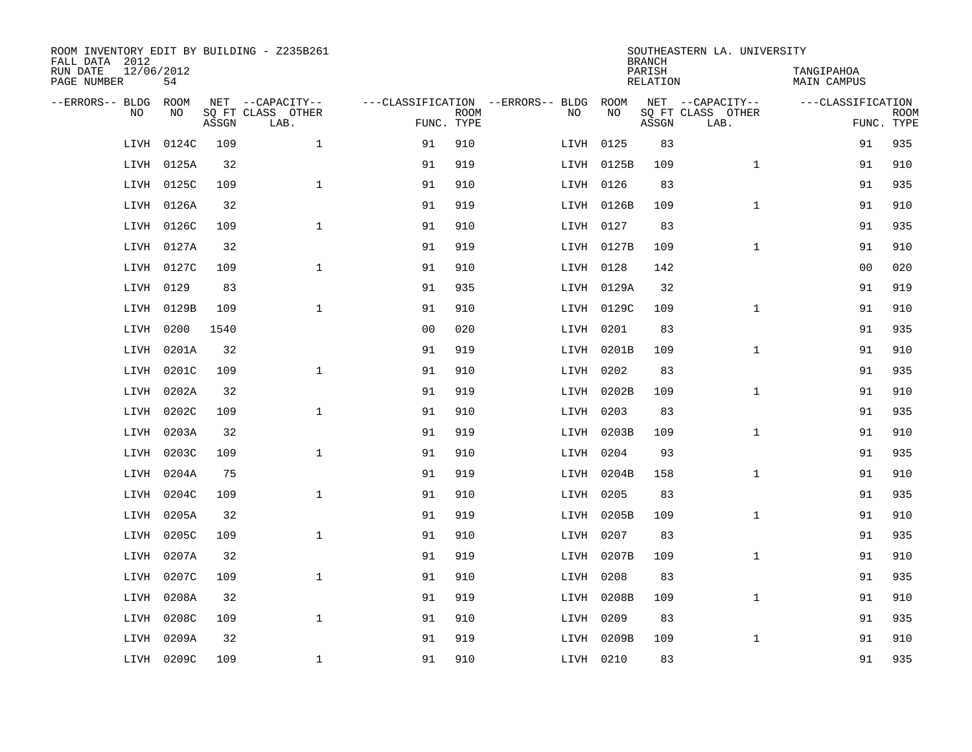| ROOM INVENTORY EDIT BY BUILDING - Z235B261<br>FALL DATA 2012 |                  |       |                           |                |             |                                        |            | <b>BRANCH</b>             | SOUTHEASTERN LA. UNIVERSITY |                                  |             |
|--------------------------------------------------------------|------------------|-------|---------------------------|----------------|-------------|----------------------------------------|------------|---------------------------|-----------------------------|----------------------------------|-------------|
| RUN DATE<br>PAGE NUMBER                                      | 12/06/2012<br>54 |       |                           |                |             |                                        |            | PARISH<br><b>RELATION</b> |                             | TANGIPAHOA<br><b>MAIN CAMPUS</b> |             |
| --ERRORS-- BLDG                                              | ROOM             |       | NET --CAPACITY--          |                |             | ---CLASSIFICATION --ERRORS-- BLDG ROOM |            |                           | NET --CAPACITY--            | ---CLASSIFICATION                |             |
| NO                                                           | NO               | ASSGN | SQ FT CLASS OTHER<br>LAB. | FUNC. TYPE     | <b>ROOM</b> | NO                                     | NO         | ASSGN                     | SQ FT CLASS OTHER<br>LAB.   | FUNC. TYPE                       | <b>ROOM</b> |
| LIVH                                                         | 0124C            | 109   | $\mathbf{1}$              | 91             | 910         |                                        | LIVH 0125  | 83                        |                             | 91                               | 935         |
| LIVH                                                         | 0125A            | 32    |                           | 91             | 919         |                                        | LIVH 0125B | 109                       | $\mathbf{1}$                | 91                               | 910         |
| LIVH                                                         | 0125C            | 109   | $\mathbf{1}$              | 91             | 910         |                                        | LIVH 0126  | 83                        |                             | 91                               | 935         |
| LIVH                                                         | 0126A            | 32    |                           | 91             | 919         |                                        | LIVH 0126B | 109                       | $\mathbf{1}$                | 91                               | 910         |
| LIVH                                                         | 0126C            | 109   | $\mathbf{1}$              | 91             | 910         |                                        | LIVH 0127  | 83                        |                             | 91                               | 935         |
| LIVH                                                         | 0127A            | 32    |                           | 91             | 919         |                                        | LIVH 0127B | 109                       | $\mathbf{1}$                | 91                               | 910         |
| LIVH                                                         | 0127C            | 109   | $\mathbf{1}$              | 91             | 910         |                                        | LIVH 0128  | 142                       |                             | 00                               | 020         |
| LIVH                                                         | 0129             | 83    |                           | 91             | 935         |                                        | LIVH 0129A | 32                        |                             | 91                               | 919         |
| LIVH                                                         | 0129B            | 109   | $\mathbf 1$               | 91             | 910         |                                        | LIVH 0129C | 109                       | $\mathbf{1}$                | 91                               | 910         |
| LIVH                                                         | 0200             | 1540  |                           | 0 <sub>0</sub> | 020         |                                        | LIVH 0201  | 83                        |                             | 91                               | 935         |
| LIVH                                                         | 0201A            | 32    |                           | 91             | 919         |                                        | LIVH 0201B | 109                       | $\mathbf{1}$                | 91                               | 910         |
| LIVH                                                         | 0201C            | 109   | $\mathbf{1}$              | 91             | 910         |                                        | LIVH 0202  | 83                        |                             | 91                               | 935         |
| LIVH                                                         | 0202A            | 32    |                           | 91             | 919         |                                        | LIVH 0202B | 109                       | $\mathbf{1}$                | 91                               | 910         |
| LIVH                                                         | 0202C            | 109   | $\mathbf 1$               | 91             | 910         |                                        | LIVH 0203  | 83                        |                             | 91                               | 935         |
| LIVH                                                         | 0203A            | 32    |                           | 91             | 919         |                                        | LIVH 0203B | 109                       | $\mathbf{1}$                | 91                               | 910         |
| LIVH                                                         | 0203C            | 109   | $\mathbf{1}$              | 91             | 910         |                                        | LIVH 0204  | 93                        |                             | 91                               | 935         |
| LIVH                                                         | 0204A            | 75    |                           | 91             | 919         |                                        | LIVH 0204B | 158                       | $\mathbf{1}$                | 91                               | 910         |
| LIVH                                                         | 0204C            | 109   | $\mathbf{1}$              | 91             | 910         |                                        | LIVH 0205  | 83                        |                             | 91                               | 935         |
| LIVH                                                         | 0205A            | 32    |                           | 91             | 919         |                                        | LIVH 0205B | 109                       | $\mathbf{1}$                | 91                               | 910         |
| LIVH                                                         | 0205C            | 109   | $\mathbf 1$               | 91             | 910         |                                        | LIVH 0207  | 83                        |                             | 91                               | 935         |
| LIVH                                                         | 0207A            | 32    |                           | 91             | 919         |                                        | LIVH 0207B | 109                       | $\mathbf{1}$                | 91                               | 910         |
| LIVH                                                         | 0207C            | 109   | $\mathbf{1}$              | 91             | 910         |                                        | LIVH 0208  | 83                        |                             | 91                               | 935         |
| LIVH                                                         | 0208A            | 32    |                           | 91             | 919         |                                        | LIVH 0208B | 109                       | $\mathbf{1}$                | 91                               | 910         |
| LIVH                                                         | 0208C            | 109   | $\mathbf{1}$              | 91             | 910         |                                        | LIVH 0209  | 83                        |                             | 91                               | 935         |
| LIVH                                                         | 0209A            | 32    |                           | 91             | 919         |                                        | LIVH 0209B | 109                       | $\mathbf{1}$                | 91                               | 910         |
|                                                              | LIVH 0209C       | 109   | $\mathbf{1}$              | 91             | 910         |                                        | LIVH 0210  | 83                        |                             | 91                               | 935         |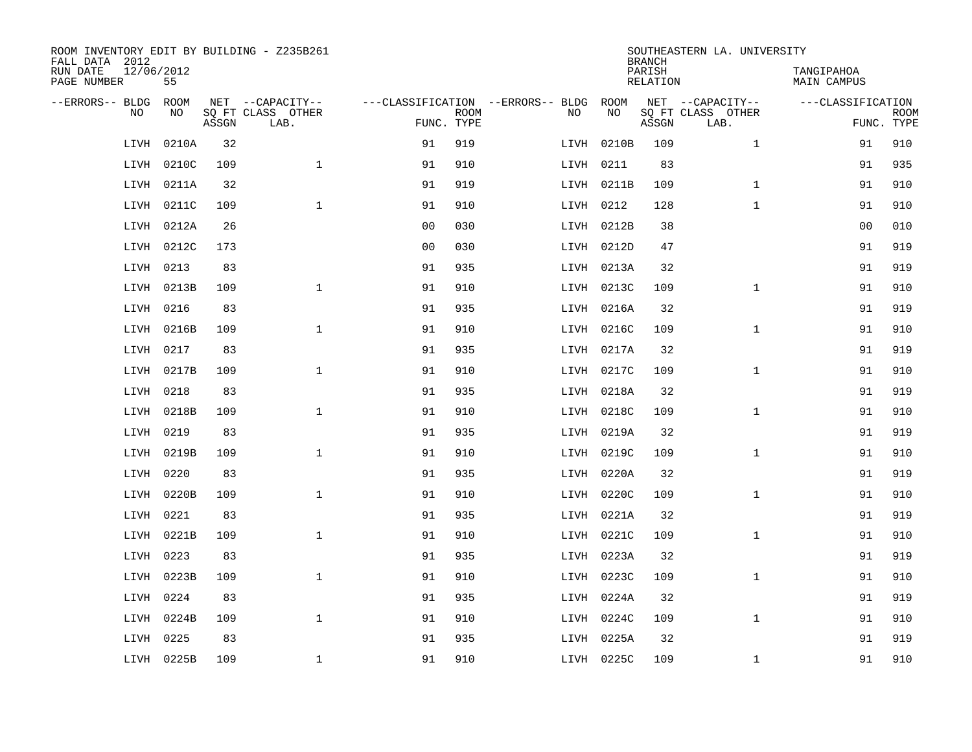| ROOM INVENTORY EDIT BY BUILDING - Z235B261<br>FALL DATA 2012 |                  |       |                           |                |             |                                        |            | <b>BRANCH</b>             | SOUTHEASTERN LA. UNIVERSITY |                                  |                           |
|--------------------------------------------------------------|------------------|-------|---------------------------|----------------|-------------|----------------------------------------|------------|---------------------------|-----------------------------|----------------------------------|---------------------------|
| RUN DATE<br>PAGE NUMBER                                      | 12/06/2012<br>55 |       |                           |                |             |                                        |            | PARISH<br><b>RELATION</b> |                             | TANGIPAHOA<br><b>MAIN CAMPUS</b> |                           |
| --ERRORS-- BLDG                                              | ROOM             |       | NET --CAPACITY--          |                |             | ---CLASSIFICATION --ERRORS-- BLDG ROOM |            |                           | NET --CAPACITY--            | ---CLASSIFICATION                |                           |
| NO                                                           | NO               | ASSGN | SQ FT CLASS OTHER<br>LAB. | FUNC. TYPE     | <b>ROOM</b> | NO                                     | NO         | ASSGN                     | SQ FT CLASS OTHER<br>LAB.   |                                  | <b>ROOM</b><br>FUNC. TYPE |
| LIVH                                                         | 0210A            | 32    |                           | 91             | 919         | LIVH                                   | 0210B      | 109                       | $\mathbf{1}$                | 91                               | 910                       |
| LIVH                                                         | 0210C            | 109   | $\mathbf{1}$              | 91             | 910         |                                        | LIVH 0211  | 83                        |                             | 91                               | 935                       |
| LIVH                                                         | 0211A            | 32    |                           | 91             | 919         |                                        | LIVH 0211B | 109                       | $\mathbf{1}$                | 91                               | 910                       |
| LIVH                                                         | 0211C            | 109   | $\mathbf 1$               | 91             | 910         |                                        | LIVH 0212  | 128                       | $\mathbf{1}$                | 91                               | 910                       |
| LIVH                                                         | 0212A            | 26    |                           | 0 <sub>0</sub> | 030         |                                        | LIVH 0212B | 38                        |                             | 0 <sub>0</sub>                   | 010                       |
| LIVH                                                         | 0212C            | 173   |                           | 0 <sub>0</sub> | 030         |                                        | LIVH 0212D | 47                        |                             | 91                               | 919                       |
| LIVH                                                         | 0213             | 83    |                           | 91             | 935         |                                        | LIVH 0213A | 32                        |                             | 91                               | 919                       |
| LIVH                                                         | 0213B            | 109   | $\mathbf{1}$              | 91             | 910         |                                        | LIVH 0213C | 109                       | $\mathbf{1}$                | 91                               | 910                       |
| LIVH                                                         | 0216             | 83    |                           | 91             | 935         |                                        | LIVH 0216A | 32                        |                             | 91                               | 919                       |
| LIVH                                                         | 0216B            | 109   | $\mathbf{1}$              | 91             | 910         |                                        | LIVH 0216C | 109                       | $\mathbf{1}$                | 91                               | 910                       |
| LIVH                                                         | 0217             | 83    |                           | 91             | 935         |                                        | LIVH 0217A | 32                        |                             | 91                               | 919                       |
| LIVH                                                         | 0217B            | 109   | $\mathbf{1}$              | 91             | 910         |                                        | LIVH 0217C | 109                       | $\mathbf{1}$                | 91                               | 910                       |
| LIVH                                                         | 0218             | 83    |                           | 91             | 935         |                                        | LIVH 0218A | 32                        |                             | 91                               | 919                       |
| LIVH                                                         | 0218B            | 109   | $\mathbf 1$               | 91             | 910         |                                        | LIVH 0218C | 109                       | $\mathbf{1}$                | 91                               | 910                       |
| LIVH                                                         | 0219             | 83    |                           | 91             | 935         |                                        | LIVH 0219A | 32                        |                             | 91                               | 919                       |
| LIVH                                                         | 0219B            | 109   | $\mathbf{1}$              | 91             | 910         |                                        | LIVH 0219C | 109                       | $\mathbf{1}$                | 91                               | 910                       |
| LIVH                                                         | 0220             | 83    |                           | 91             | 935         |                                        | LIVH 0220A | 32                        |                             | 91                               | 919                       |
| LIVH                                                         | 0220B            | 109   | $\mathbf{1}$              | 91             | 910         |                                        | LIVH 0220C | 109                       | $\mathbf{1}$                | 91                               | 910                       |
| LIVH                                                         | 0221             | 83    |                           | 91             | 935         |                                        | LIVH 0221A | 32                        |                             | 91                               | 919                       |
| LIVH                                                         | 0221B            | 109   | $\mathbf 1$               | 91             | 910         |                                        | LIVH 0221C | 109                       | $\mathbf{1}$                | 91                               | 910                       |
| LIVH                                                         | 0223             | 83    |                           | 91             | 935         |                                        | LIVH 0223A | 32                        |                             | 91                               | 919                       |
| LIVH                                                         | 0223B            | 109   | $\mathbf{1}$              | 91             | 910         |                                        | LIVH 0223C | 109                       | $\mathbf{1}$                | 91                               | 910                       |
| LIVH                                                         | 0224             | 83    |                           | 91             | 935         |                                        | LIVH 0224A | 32                        |                             | 91                               | 919                       |
| LIVH                                                         | 0224B            | 109   | $\mathbf{1}$              | 91             | 910         |                                        | LIVH 0224C | 109                       | $\mathbf{1}$                | 91                               | 910                       |
| LIVH                                                         | 0225             | 83    |                           | 91             | 935         |                                        | LIVH 0225A | 32                        |                             | 91                               | 919                       |
|                                                              | LIVH 0225B       | 109   | $\mathbf{1}$              | 91             | 910         |                                        | LIVH 0225C | 109                       | $\mathbf{1}$                | 91                               | 910                       |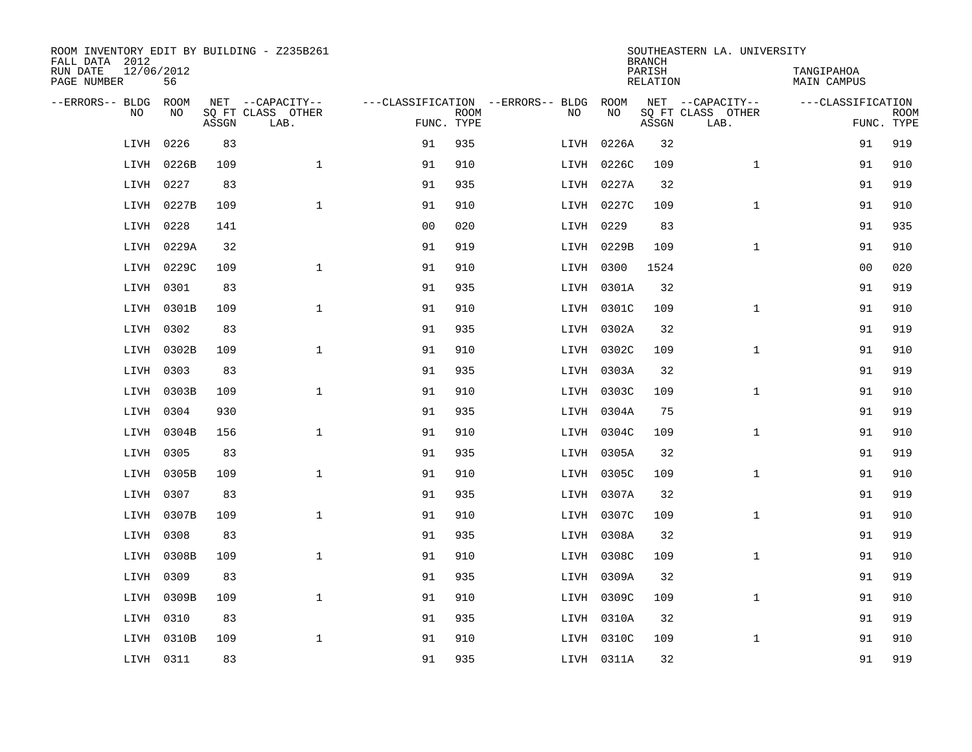| ROOM INVENTORY EDIT BY BUILDING - Z235B261<br>FALL DATA 2012 |                    |       |                           |                |             |                                          |            | <b>BRANCH</b>      | SOUTHEASTERN LA. UNIVERSITY           |                                  |                           |
|--------------------------------------------------------------|--------------------|-------|---------------------------|----------------|-------------|------------------------------------------|------------|--------------------|---------------------------------------|----------------------------------|---------------------------|
| RUN DATE<br>PAGE NUMBER                                      | 12/06/2012<br>56   |       |                           |                |             |                                          |            | PARISH<br>RELATION |                                       | TANGIPAHOA<br><b>MAIN CAMPUS</b> |                           |
| --ERRORS-- BLDG<br>N <sub>O</sub>                            | <b>ROOM</b><br>NO. |       | NET --CAPACITY--          |                |             | ---CLASSIFICATION --ERRORS-- BLDG<br>NO. | ROOM<br>NO |                    | NET --CAPACITY--<br>SO FT CLASS OTHER | ---CLASSIFICATION                |                           |
|                                                              |                    | ASSGN | SQ FT CLASS OTHER<br>LAB. | FUNC. TYPE     | <b>ROOM</b> |                                          |            | ASSGN              | LAB.                                  |                                  | <b>ROOM</b><br>FUNC. TYPE |
| LIVH                                                         | 0226               | 83    |                           | 91             | 935         | LIVH                                     | 0226A      | 32                 |                                       | 91                               | 919                       |
| LIVH                                                         | 0226B              | 109   | $\mathbf{1}$              | 91             | 910         |                                          | LIVH 0226C | 109                | $\mathbf{1}$                          | 91                               | 910                       |
| LIVH                                                         | 0227               | 83    |                           | 91             | 935         |                                          | LIVH 0227A | 32                 |                                       | 91                               | 919                       |
| LIVH                                                         | 0227B              | 109   | $\mathbf{1}$              | 91             | 910         |                                          | LIVH 0227C | 109                | $\mathbf{1}$                          | 91                               | 910                       |
| LIVH                                                         | 0228               | 141   |                           | 0 <sub>0</sub> | 020         |                                          | LIVH 0229  | 83                 |                                       | 91                               | 935                       |
| LIVH                                                         | 0229A              | 32    |                           | 91             | 919         |                                          | LIVH 0229B | 109                | $\mathbf{1}$                          | 91                               | 910                       |
| LIVH                                                         | 0229C              | 109   | $\mathbf{1}$              | 91             | 910         |                                          | LIVH 0300  | 1524               |                                       | 0 <sub>0</sub>                   | 020                       |
| LIVH                                                         | 0301               | 83    |                           | 91             | 935         |                                          | LIVH 0301A | 32                 |                                       | 91                               | 919                       |
| LIVH                                                         | 0301B              | 109   | $\mathbf{1}$              | 91             | 910         |                                          | LIVH 0301C | 109                | $\mathbf{1}$                          | 91                               | 910                       |
| LIVH                                                         | 0302               | 83    |                           | 91             | 935         |                                          | LIVH 0302A | 32                 |                                       | 91                               | 919                       |
| LIVH                                                         | 0302B              | 109   | $\mathbf{1}$              | 91             | 910         |                                          | LIVH 0302C | 109                | $\mathbf{1}$                          | 91                               | 910                       |
| LIVH                                                         | 0303               | 83    |                           | 91             | 935         |                                          | LIVH 0303A | 32                 |                                       | 91                               | 919                       |
| LIVH                                                         | 0303B              | 109   | $\mathbf{1}$              | 91             | 910         |                                          | LIVH 0303C | 109                | $\mathbf{1}$                          | 91                               | 910                       |
| LIVH                                                         | 0304               | 930   |                           | 91             | 935         |                                          | LIVH 0304A | 75                 |                                       | 91                               | 919                       |
| LIVH                                                         | 0304B              | 156   | $\mathbf{1}$              | 91             | 910         |                                          | LIVH 0304C | 109                | $\mathbf{1}$                          | 91                               | 910                       |
| LIVH                                                         | 0305               | 83    |                           | 91             | 935         |                                          | LIVH 0305A | 32                 |                                       | 91                               | 919                       |
| LIVH                                                         | 0305B              | 109   | $\mathbf{1}$              | 91             | 910         |                                          | LIVH 0305C | 109                | $\mathbf{1}$                          | 91                               | 910                       |
| LIVH                                                         | 0307               | 83    |                           | 91             | 935         |                                          | LIVH 0307A | 32                 |                                       | 91                               | 919                       |
| LIVH                                                         | 0307B              | 109   | $\mathbf{1}$              | 91             | 910         |                                          | LIVH 0307C | 109                | $\mathbf{1}$                          | 91                               | 910                       |
| LIVH                                                         | 0308               | 83    |                           | 91             | 935         |                                          | LIVH 0308A | 32                 |                                       | 91                               | 919                       |
| LIVH                                                         | 0308B              | 109   | $\mathbf 1$               | 91             | 910         |                                          | LIVH 0308C | 109                | $\mathbf{1}$                          | 91                               | 910                       |
| LIVH                                                         | 0309               | 83    |                           | 91             | 935         |                                          | LIVH 0309A | 32                 |                                       | 91                               | 919                       |
| LIVH                                                         | 0309B              | 109   | $\mathbf{1}$              | 91             | 910         |                                          | LIVH 0309C | 109                | $\mathbf{1}$                          | 91                               | 910                       |
| LIVH                                                         | 0310               | 83    |                           | 91             | 935         |                                          | LIVH 0310A | 32                 |                                       | 91                               | 919                       |
| LIVH                                                         | 0310B              | 109   | $\mathbf{1}$              | 91             | 910         |                                          | LIVH 0310C | 109                | $\mathbf{1}$                          | 91                               | 910                       |
|                                                              | LIVH 0311          | 83    |                           | 91             | 935         |                                          | LIVH 0311A | 32                 |                                       | 91                               | 919                       |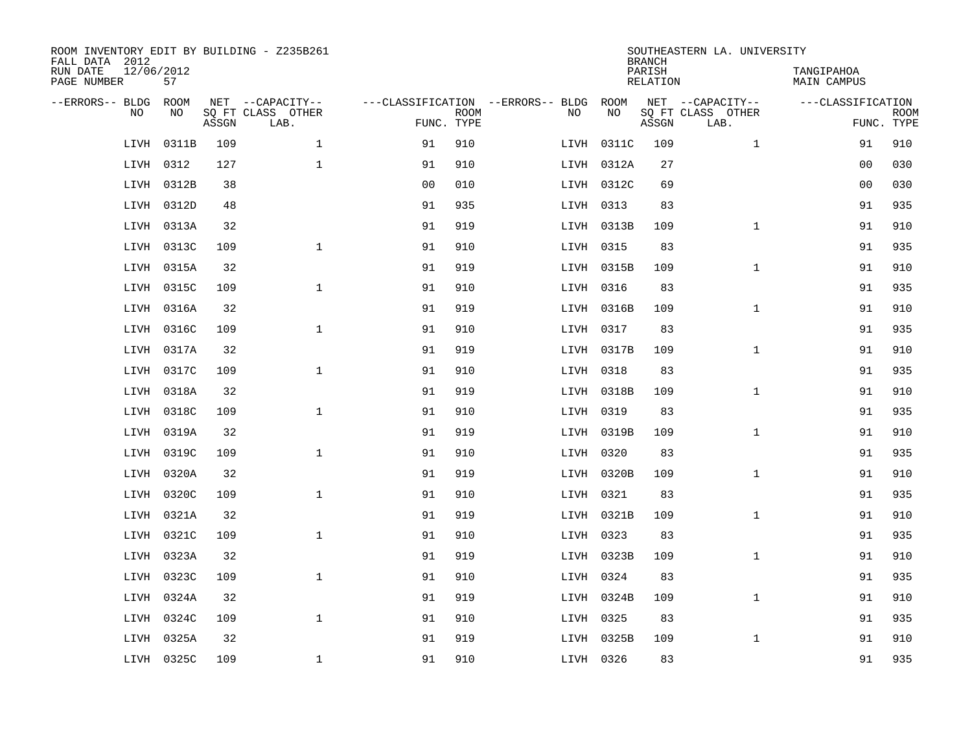| ROOM INVENTORY EDIT BY BUILDING - Z235B261<br>FALL DATA 2012 |                  |       |                           |                |             |                                   |            | <b>BRANCH</b>             | SOUTHEASTERN LA. UNIVERSITY |                                  |                           |
|--------------------------------------------------------------|------------------|-------|---------------------------|----------------|-------------|-----------------------------------|------------|---------------------------|-----------------------------|----------------------------------|---------------------------|
| RUN DATE<br>PAGE NUMBER                                      | 12/06/2012<br>57 |       |                           |                |             |                                   |            | PARISH<br><b>RELATION</b> |                             | TANGIPAHOA<br><b>MAIN CAMPUS</b> |                           |
| --ERRORS-- BLDG                                              | ROOM             |       | NET --CAPACITY--          |                |             | ---CLASSIFICATION --ERRORS-- BLDG | ROOM       |                           | NET --CAPACITY--            | ---CLASSIFICATION                |                           |
| NO                                                           | NO               | ASSGN | SQ FT CLASS OTHER<br>LAB. | FUNC. TYPE     | <b>ROOM</b> | NO                                | NO         | ASSGN                     | SQ FT CLASS OTHER<br>LAB.   |                                  | <b>ROOM</b><br>FUNC. TYPE |
| LIVH                                                         | 0311B            | 109   | $\mathbf{1}$              | 91             | 910         |                                   | LIVH 0311C | 109                       | $\mathbf{1}$                | 91                               | 910                       |
| LIVH                                                         | 0312             | 127   | $\mathbf{1}$              | 91             | 910         |                                   | LIVH 0312A | 27                        |                             | 0 <sub>0</sub>                   | 030                       |
| LIVH                                                         | 0312B            | 38    |                           | 0 <sub>0</sub> | 010         |                                   | LIVH 0312C | 69                        |                             | 0 <sub>0</sub>                   | 030                       |
| LIVH                                                         | 0312D            | 48    |                           | 91             | 935         |                                   | LIVH 0313  | 83                        |                             | 91                               | 935                       |
| LIVH                                                         | 0313A            | 32    |                           | 91             | 919         |                                   | LIVH 0313B | 109                       | $\mathbf{1}$                | 91                               | 910                       |
| LIVH                                                         | 0313C            | 109   | $\mathbf{1}$              | 91             | 910         |                                   | LIVH 0315  | 83                        |                             | 91                               | 935                       |
| LIVH                                                         | 0315A            | 32    |                           | 91             | 919         |                                   | LIVH 0315B | 109                       | $\mathbf{1}$                | 91                               | 910                       |
| LIVH                                                         | 0315C            | 109   | $\mathbf{1}$              | 91             | 910         |                                   | LIVH 0316  | 83                        |                             | 91                               | 935                       |
| LIVH                                                         | 0316A            | 32    |                           | 91             | 919         |                                   | LIVH 0316B | 109                       | $\mathbf{1}$                | 91                               | 910                       |
| LIVH                                                         | 0316C            | 109   | $\mathbf{1}$              | 91             | 910         |                                   | LIVH 0317  | 83                        |                             | 91                               | 935                       |
| LIVH                                                         | 0317A            | 32    |                           | 91             | 919         |                                   | LIVH 0317B | 109                       | $\mathbf{1}$                | 91                               | 910                       |
| LIVH                                                         | 0317C            | 109   | $\mathbf 1$               | 91             | 910         |                                   | LIVH 0318  | 83                        |                             | 91                               | 935                       |
| LIVH                                                         | 0318A            | 32    |                           | 91             | 919         |                                   | LIVH 0318B | 109                       | $\mathbf{1}$                | 91                               | 910                       |
| LIVH                                                         | 0318C            | 109   | $\mathbf{1}$              | 91             | 910         |                                   | LIVH 0319  | 83                        |                             | 91                               | 935                       |
| LIVH                                                         | 0319A            | 32    |                           | 91             | 919         |                                   | LIVH 0319B | 109                       | $\mathbf{1}$                | 91                               | 910                       |
| LIVH                                                         | 0319C            | 109   | $\mathbf 1$               | 91             | 910         |                                   | LIVH 0320  | 83                        |                             | 91                               | 935                       |
| LIVH                                                         | 0320A            | 32    |                           | 91             | 919         |                                   | LIVH 0320B | 109                       | $\mathbf{1}$                | 91                               | 910                       |
| LIVH                                                         | 0320C            | 109   | $\mathbf{1}$              | 91             | 910         |                                   | LIVH 0321  | 83                        |                             | 91                               | 935                       |
| LIVH                                                         | 0321A            | 32    |                           | 91             | 919         |                                   | LIVH 0321B | 109                       | $\mathbf{1}$                | 91                               | 910                       |
| LIVH                                                         | 0321C            | 109   | $\mathbf{1}$              | 91             | 910         |                                   | LIVH 0323  | 83                        |                             | 91                               | 935                       |
| LIVH                                                         | 0323A            | 32    |                           | 91             | 919         |                                   | LIVH 0323B | 109                       | $\mathbf{1}$                | 91                               | 910                       |
| LIVH                                                         | 0323C            | 109   | $\mathbf{1}$              | 91             | 910         |                                   | LIVH 0324  | 83                        |                             | 91                               | 935                       |
| LIVH                                                         | 0324A            | 32    |                           | 91             | 919         |                                   | LIVH 0324B | 109                       | $\mathbf{1}$                | 91                               | 910                       |
| LIVH                                                         | 0324C            | 109   | $\mathbf{1}$              | 91             | 910         |                                   | LIVH 0325  | 83                        |                             | 91                               | 935                       |
| LIVH                                                         | 0325A            | 32    |                           | 91             | 919         |                                   | LIVH 0325B | 109                       | $\mathbf{1}$                | 91                               | 910                       |
|                                                              | LIVH 0325C       | 109   | $\mathbf 1$               | 91             | 910         |                                   | LIVH 0326  | 83                        |                             | 91                               | 935                       |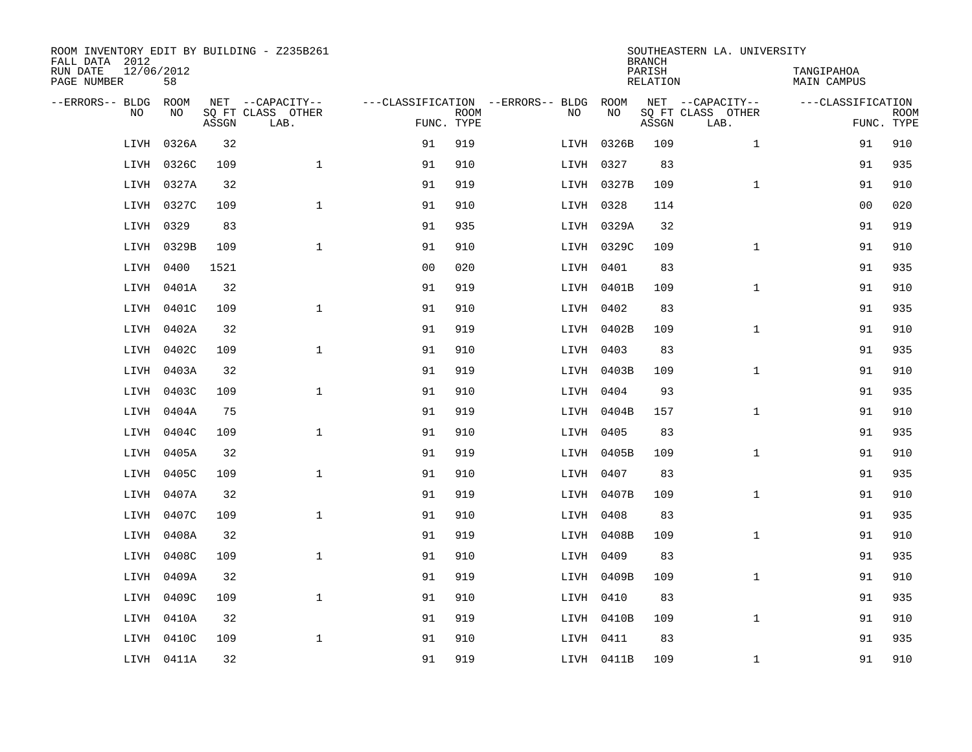| ROOM INVENTORY EDIT BY BUILDING - Z235B261<br>FALL DATA 2012 |                  |       |                           |                |             |                                   |            | <b>BRANCH</b>      | SOUTHEASTERN LA. UNIVERSITY |                                  |                           |
|--------------------------------------------------------------|------------------|-------|---------------------------|----------------|-------------|-----------------------------------|------------|--------------------|-----------------------------|----------------------------------|---------------------------|
| RUN DATE<br>PAGE NUMBER                                      | 12/06/2012<br>58 |       |                           |                |             |                                   |            | PARISH<br>RELATION |                             | TANGIPAHOA<br><b>MAIN CAMPUS</b> |                           |
| --ERRORS-- BLDG                                              | <b>ROOM</b>      |       | NET --CAPACITY--          |                |             | ---CLASSIFICATION --ERRORS-- BLDG | ROOM       |                    | NET --CAPACITY--            | ---CLASSIFICATION                |                           |
| N <sub>O</sub>                                               | NO.              | ASSGN | SQ FT CLASS OTHER<br>LAB. | FUNC. TYPE     | <b>ROOM</b> | NO.                               | NO         | ASSGN              | SO FT CLASS OTHER<br>LAB.   |                                  | <b>ROOM</b><br>FUNC. TYPE |
| LIVH                                                         | 0326A            | 32    |                           | 91             | 919         | LIVH                              | 0326B      | 109                | $\mathbf{1}$                | 91                               | 910                       |
| LIVH                                                         | 0326C            | 109   | $\mathbf{1}$              | 91             | 910         |                                   | LIVH 0327  | 83                 |                             | 91                               | 935                       |
| LIVH                                                         | 0327A            | 32    |                           | 91             | 919         |                                   | LIVH 0327B | 109                | $\mathbf{1}$                | 91                               | 910                       |
| LIVH                                                         | 0327C            | 109   | $\mathbf{1}$              | 91             | 910         |                                   | LIVH 0328  | 114                |                             | 0 <sub>0</sub>                   | 020                       |
| LIVH                                                         | 0329             | 83    |                           | 91             | 935         |                                   | LIVH 0329A | 32                 |                             | 91                               | 919                       |
| LIVH                                                         | 0329B            | 109   | $\mathbf{1}$              | 91             | 910         |                                   | LIVH 0329C | 109                | $\mathbf{1}$                | 91                               | 910                       |
| LIVH                                                         | 0400             | 1521  |                           | 0 <sub>0</sub> | 020         |                                   | LIVH 0401  | 83                 |                             | 91                               | 935                       |
| LIVH                                                         | 0401A            | 32    |                           | 91             | 919         |                                   | LIVH 0401B | 109                | $\mathbf{1}$                | 91                               | 910                       |
| LIVH                                                         | 0401C            | 109   | $\mathbf{1}$              | 91             | 910         |                                   | LIVH 0402  | 83                 |                             | 91                               | 935                       |
| LIVH                                                         | 0402A            | 32    |                           | 91             | 919         |                                   | LIVH 0402B | 109                | $\mathbf{1}$                | 91                               | 910                       |
| LIVH                                                         | 0402C            | 109   | $\mathbf{1}$              | 91             | 910         |                                   | LIVH 0403  | 83                 |                             | 91                               | 935                       |
| LIVH                                                         | 0403A            | 32    |                           | 91             | 919         |                                   | LIVH 0403B | 109                | $\mathbf{1}$                | 91                               | 910                       |
| LIVH                                                         | 0403C            | 109   | $\mathbf{1}$              | 91             | 910         |                                   | LIVH 0404  | 93                 |                             | 91                               | 935                       |
| LIVH                                                         | 0404A            | 75    |                           | 91             | 919         |                                   | LIVH 0404B | 157                | $\mathbf{1}$                | 91                               | 910                       |
| LIVH                                                         | 0404C            | 109   | $\mathbf{1}$              | 91             | 910         |                                   | LIVH 0405  | 83                 |                             | 91                               | 935                       |
| LIVH                                                         | 0405A            | 32    |                           | 91             | 919         |                                   | LIVH 0405B | 109                | $\mathbf{1}$                | 91                               | 910                       |
| LIVH                                                         | 0405C            | 109   | $\mathbf{1}$              | 91             | 910         |                                   | LIVH 0407  | 83                 |                             | 91                               | 935                       |
| LIVH                                                         | 0407A            | 32    |                           | 91             | 919         |                                   | LIVH 0407B | 109                | $\mathbf{1}$                | 91                               | 910                       |
| LIVH                                                         | 0407C            | 109   | $\mathbf{1}$              | 91             | 910         |                                   | LIVH 0408  | 83                 |                             | 91                               | 935                       |
| LIVH                                                         | 0408A            | 32    |                           | 91             | 919         |                                   | LIVH 0408B | 109                | $\mathbf{1}$                | 91                               | 910                       |
| LIVH                                                         | 0408C            | 109   | $\mathbf 1$               | 91             | 910         |                                   | LIVH 0409  | 83                 |                             | 91                               | 935                       |
| LIVH                                                         | 0409A            | 32    |                           | 91             | 919         |                                   | LIVH 0409B | 109                | $\mathbf{1}$                | 91                               | 910                       |
| LIVH                                                         | 0409C            | 109   | $\mathbf{1}$              | 91             | 910         |                                   | LIVH 0410  | 83                 |                             | 91                               | 935                       |
| LIVH                                                         | 0410A            | 32    |                           | 91             | 919         |                                   | LIVH 0410B | 109                | $\mathbf{1}$                | 91                               | 910                       |
| LIVH                                                         | 0410C            | 109   | $\mathbf{1}$              | 91             | 910         |                                   | LIVH 0411  | 83                 |                             | 91                               | 935                       |
|                                                              | LIVH 0411A       | 32    |                           | 91             | 919         |                                   | LIVH 0411B | 109                | $\mathbf{1}$                | 91                               | 910                       |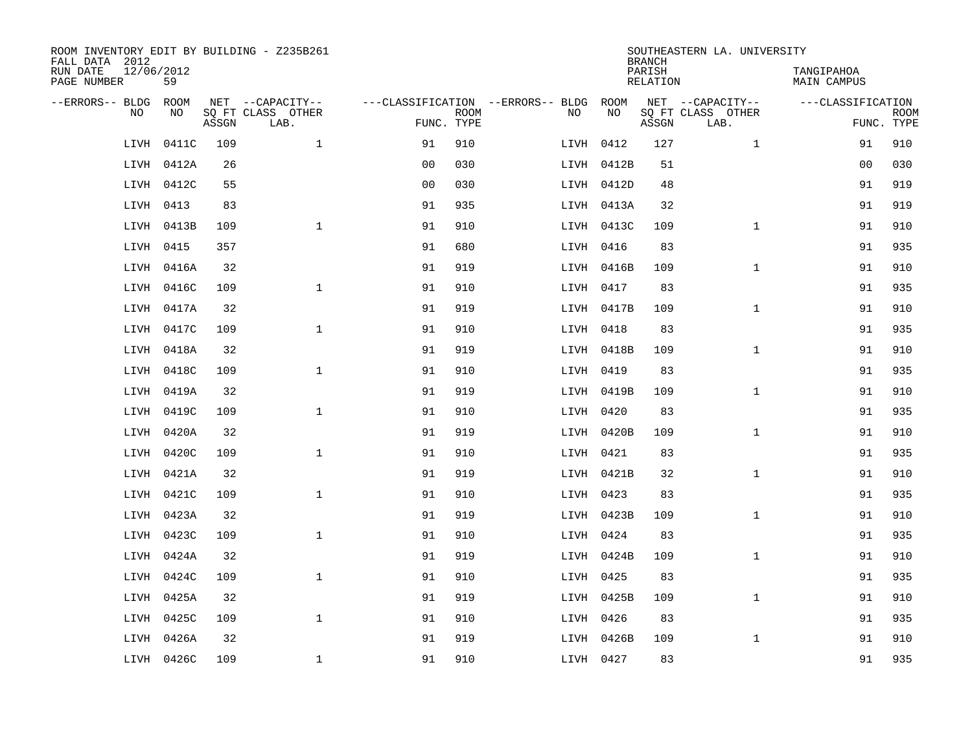| ROOM INVENTORY EDIT BY BUILDING - Z235B261<br>FALL DATA 2012 |                  |       |                           |                |             |                                        |            | <b>BRANCH</b>      | SOUTHEASTERN LA. UNIVERSITY |                                  |                           |
|--------------------------------------------------------------|------------------|-------|---------------------------|----------------|-------------|----------------------------------------|------------|--------------------|-----------------------------|----------------------------------|---------------------------|
| RUN DATE<br>PAGE NUMBER                                      | 12/06/2012<br>59 |       |                           |                |             |                                        |            | PARISH<br>RELATION |                             | TANGIPAHOA<br><b>MAIN CAMPUS</b> |                           |
| --ERRORS-- BLDG                                              | ROOM             |       | NET --CAPACITY--          |                |             | ---CLASSIFICATION --ERRORS-- BLDG ROOM |            |                    | NET --CAPACITY--            | ---CLASSIFICATION                |                           |
| N <sub>O</sub>                                               | NO.              | ASSGN | SO FT CLASS OTHER<br>LAB. | FUNC. TYPE     | <b>ROOM</b> | NO.                                    | NO         | ASSGN              | SO FT CLASS OTHER<br>LAB.   |                                  | <b>ROOM</b><br>FUNC. TYPE |
| LIVH                                                         | 0411C            | 109   | $\mathbf{1}$              | 91             | 910         |                                        | LIVH 0412  | 127                | $\mathbf{1}$                | 91                               | 910                       |
| LIVH                                                         | 0412A            | 26    |                           | 0 <sub>0</sub> | 030         |                                        | LIVH 0412B | 51                 |                             | 0 <sub>0</sub>                   | 030                       |
| LIVH                                                         | 0412C            | 55    |                           | 0 <sub>0</sub> | 030         |                                        | LIVH 0412D | 48                 |                             | 91                               | 919                       |
| LIVH                                                         | 0413             | 83    |                           | 91             | 935         |                                        | LIVH 0413A | 32                 |                             | 91                               | 919                       |
| LIVH                                                         | 0413B            | 109   | $\mathbf{1}$              | 91             | 910         |                                        | LIVH 0413C | 109                | $\mathbf{1}$                | 91                               | 910                       |
|                                                              | LIVH 0415        | 357   |                           | 91             | 680         |                                        | LIVH 0416  | 83                 |                             | 91                               | 935                       |
|                                                              | LIVH 0416A       | 32    |                           | 91             | 919         |                                        | LIVH 0416B | 109                | $\mathbf{1}$                | 91                               | 910                       |
| LIVH                                                         | 0416C            | 109   | $\mathbf{1}$              | 91             | 910         |                                        | LIVH 0417  | 83                 |                             | 91                               | 935                       |
| LIVH                                                         | 0417A            | 32    |                           | 91             | 919         |                                        | LIVH 0417B | 109                | $\mathbf{1}$                | 91                               | 910                       |
| LIVH                                                         | 0417C            | 109   | $\mathbf{1}$              | 91             | 910         |                                        | LIVH 0418  | 83                 |                             | 91                               | 935                       |
| LIVH                                                         | 0418A            | 32    |                           | 91             | 919         |                                        | LIVH 0418B | 109                | $\mathbf{1}$                | 91                               | 910                       |
| LIVH                                                         | 0418C            | 109   | $\mathbf{1}$              | 91             | 910         |                                        | LIVH 0419  | 83                 |                             | 91                               | 935                       |
| LIVH                                                         | 0419A            | 32    |                           | 91             | 919         |                                        | LIVH 0419B | 109                | $\mathbf{1}$                | 91                               | 910                       |
| LIVH                                                         | 0419C            | 109   | $\mathbf{1}$              | 91             | 910         |                                        | LIVH 0420  | 83                 |                             | 91                               | 935                       |
| LIVH                                                         | 0420A            | 32    |                           | 91             | 919         |                                        | LIVH 0420B | 109                | $\mathbf{1}$                | 91                               | 910                       |
|                                                              | LIVH 0420C       | 109   | $\mathbf 1$               | 91             | 910         |                                        | LIVH 0421  | 83                 |                             | 91                               | 935                       |
| LIVH                                                         | 0421A            | 32    |                           | 91             | 919         |                                        | LIVH 0421B | 32                 | $\mathbf{1}$                | 91                               | 910                       |
| LIVH                                                         | 0421C            | 109   | $\mathbf 1$               | 91             | 910         |                                        | LIVH 0423  | 83                 |                             | 91                               | 935                       |
| LIVH                                                         | 0423A            | 32    |                           | 91             | 919         |                                        | LIVH 0423B | 109                | $\mathbf{1}$                | 91                               | 910                       |
| LIVH                                                         | 0423C            | 109   | $\mathbf{1}$              | 91             | 910         |                                        | LIVH 0424  | 83                 |                             | 91                               | 935                       |
| LIVH                                                         | 0424A            | 32    |                           | 91             | 919         |                                        | LIVH 0424B | 109                | $\mathbf{1}$                | 91                               | 910                       |
| LIVH                                                         | 0424C            | 109   | $\mathbf{1}$              | 91             | 910         |                                        | LIVH 0425  | 83                 |                             | 91                               | 935                       |
| LIVH                                                         | 0425A            | 32    |                           | 91             | 919         |                                        | LIVH 0425B | 109                | $\mathbf{1}$                | 91                               | 910                       |
| LIVH                                                         | 0425C            | 109   | $\mathbf{1}$              | 91             | 910         |                                        | LIVH 0426  | 83                 |                             | 91                               | 935                       |
| LIVH                                                         | 0426A            | 32    |                           | 91             | 919         |                                        | LIVH 0426B | 109                | $\mathbf{1}$                | 91                               | 910                       |
|                                                              | LIVH 0426C       | 109   | $\mathbf{1}$              | 91             | 910         |                                        | LIVH 0427  | 83                 |                             | 91                               | 935                       |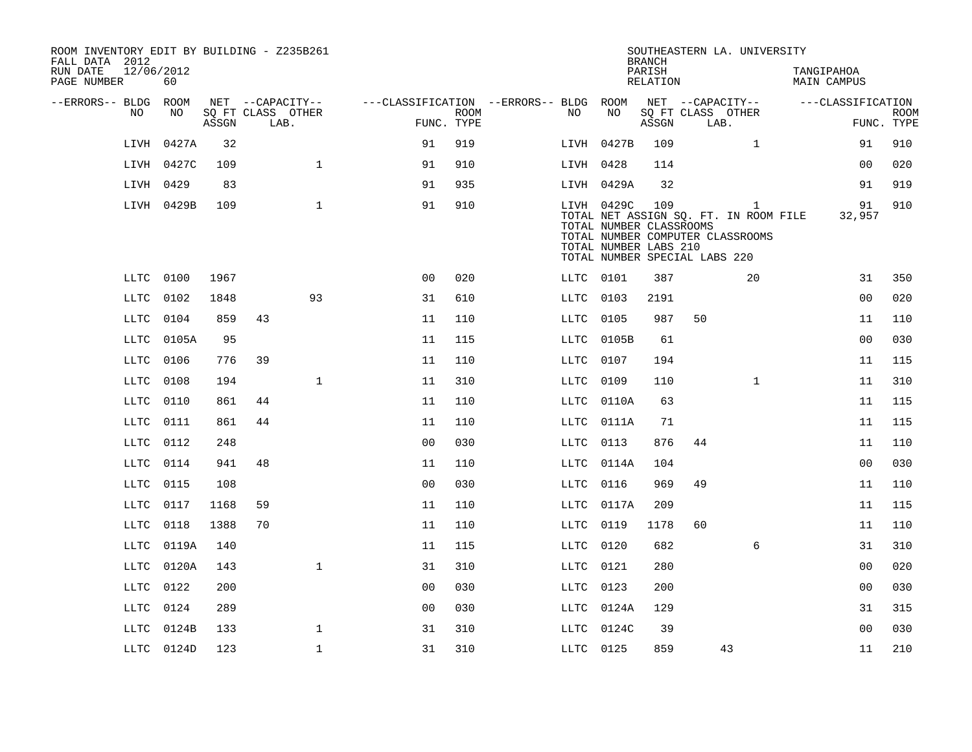| ROOM INVENTORY EDIT BY BUILDING - Z235B261<br>FALL DATA 2012 |                  |       |       |                                               |              |                                                      |             |           |                                                                                                 | <b>BRANCH</b>      |    | SOUTHEASTERN LA. UNIVERSITY                                                    |                           |                           |
|--------------------------------------------------------------|------------------|-------|-------|-----------------------------------------------|--------------|------------------------------------------------------|-------------|-----------|-------------------------------------------------------------------------------------------------|--------------------|----|--------------------------------------------------------------------------------|---------------------------|---------------------------|
| RUN DATE<br>PAGE NUMBER                                      | 12/06/2012<br>60 |       |       |                                               |              |                                                      |             |           |                                                                                                 | PARISH<br>RELATION |    |                                                                                | TANGIPAHOA<br>MAIN CAMPUS |                           |
| --ERRORS-- BLDG ROOM                                         | NO.              | NO.   | ASSGN | NET --CAPACITY--<br>SQ FT CLASS OTHER<br>LAB. |              | ---CLASSIFICATION --ERRORS-- BLDG ROOM<br>FUNC. TYPE | <b>ROOM</b> | NO        | NO                                                                                              | ASSGN              |    | NET --CAPACITY--<br>SQ FT CLASS OTHER<br>LAB.                                  | ---CLASSIFICATION         | <b>ROOM</b><br>FUNC. TYPE |
|                                                              | LIVH             | 0427A | 32    |                                               |              | 91                                                   | 919         |           | LIVH 0427B                                                                                      | 109                |    | $\mathbf{1}$                                                                   | 91                        | 910                       |
|                                                              | LIVH 0427C       |       | 109   |                                               | $\mathbf{1}$ | 91                                                   | 910         | LIVH 0428 |                                                                                                 | 114                |    |                                                                                | 0 <sub>0</sub>            | 020                       |
|                                                              | LIVH             | 0429  | 83    |                                               |              | 91                                                   | 935         |           | LIVH 0429A                                                                                      | 32                 |    |                                                                                | 91                        | 919                       |
|                                                              | LIVH 0429B       |       | 109   |                                               | $\mathbf{1}$ | 91                                                   | 910         |           | LIVH 0429C<br>TOTAL NUMBER CLASSROOMS<br>TOTAL NUMBER LABS 210<br>TOTAL NUMBER SPECIAL LABS 220 | 109                |    | 1<br>TOTAL NET ASSIGN SQ. FT. IN ROOM FILE<br>TOTAL NUMBER COMPUTER CLASSROOMS | 91<br>32,957              | 910                       |
|                                                              | LLTC             | 0100  | 1967  |                                               |              | 0 <sup>0</sup>                                       | 020         | LLTC 0101 |                                                                                                 | 387                |    | 20                                                                             | 31                        | 350                       |
|                                                              | LLTC             | 0102  | 1848  |                                               | 93           | 31                                                   | 610         | LLTC      | 0103                                                                                            | 2191               |    |                                                                                | 0 <sub>0</sub>            | 020                       |
|                                                              | LLTC             | 0104  | 859   | 43                                            |              | 11                                                   | 110         | LLTC      | 0105                                                                                            | 987                | 50 |                                                                                | 11                        | 110                       |
|                                                              | LLTC             | 0105A | 95    |                                               |              | 11                                                   | 115         | LLTC      | 0105B                                                                                           | 61                 |    |                                                                                | 0 <sub>0</sub>            | 030                       |
|                                                              | LLTC             | 0106  | 776   | 39                                            |              | 11                                                   | 110         | LLTC      | 0107                                                                                            | 194                |    |                                                                                | 11                        | 115                       |
|                                                              | LLTC             | 0108  | 194   |                                               | $\mathbf{1}$ | 11                                                   | 310         | LLTC      | 0109                                                                                            | 110                |    | $\mathbf{1}$                                                                   | 11                        | 310                       |
|                                                              | LLTC             | 0110  | 861   | 44                                            |              | 11                                                   | 110         | LLTC      | 0110A                                                                                           | 63                 |    |                                                                                | 11                        | 115                       |
|                                                              | LLTC             | 0111  | 861   | 44                                            |              | 11                                                   | 110         | LLTC      | 0111A                                                                                           | 71                 |    |                                                                                | 11                        | 115                       |
|                                                              | LLTC             | 0112  | 248   |                                               |              | 0 <sub>0</sub>                                       | 030         | LLTC      | 0113                                                                                            | 876                | 44 |                                                                                | 11                        | 110                       |
|                                                              | LLTC             | 0114  | 941   | 48                                            |              | 11                                                   | 110         | LLTC      | 0114A                                                                                           | 104                |    |                                                                                | 0 <sub>0</sub>            | 030                       |
|                                                              | LLTC             | 0115  | 108   |                                               |              | 00                                                   | 030         | LLTC      | 0116                                                                                            | 969                | 49 |                                                                                | 11                        | 110                       |
|                                                              | LLTC             | 0117  | 1168  | 59                                            |              | 11                                                   | 110         | LLTC      | 0117A                                                                                           | 209                |    |                                                                                | 11                        | 115                       |
|                                                              | LLTC             | 0118  | 1388  | 70                                            |              | 11                                                   | 110         | LLTC      | 0119                                                                                            | 1178               | 60 |                                                                                | 11                        | 110                       |
|                                                              | LLTC             | 0119A | 140   |                                               |              | 11                                                   | 115         | LLTC      | 0120                                                                                            | 682                |    | 6                                                                              | 31                        | 310                       |
|                                                              | LLTC             | 0120A | 143   |                                               | $\mathbf{1}$ | 31                                                   | 310         | LLTC      | 0121                                                                                            | 280                |    |                                                                                | 0 <sub>0</sub>            | 020                       |
|                                                              | LLTC             | 0122  | 200   |                                               |              | 0 <sub>0</sub>                                       | 030         | LLTC      | 0123                                                                                            | 200                |    |                                                                                | 00                        | 030                       |
|                                                              | LLTC             | 0124  | 289   |                                               |              | 0 <sub>0</sub>                                       | 030         |           | LLTC 0124A                                                                                      | 129                |    |                                                                                | 31                        | 315                       |
|                                                              | LLTC             | 0124B | 133   |                                               | $\mathbf{1}$ | 31                                                   | 310         | LLTC      | 0124C                                                                                           | 39                 |    |                                                                                | 0 <sub>0</sub>            | 030                       |
|                                                              | LLTC 0124D       |       | 123   |                                               | $\mathbf{1}$ | 31                                                   | 310         | LLTC 0125 |                                                                                                 | 859                |    | 43                                                                             | 11                        | 210                       |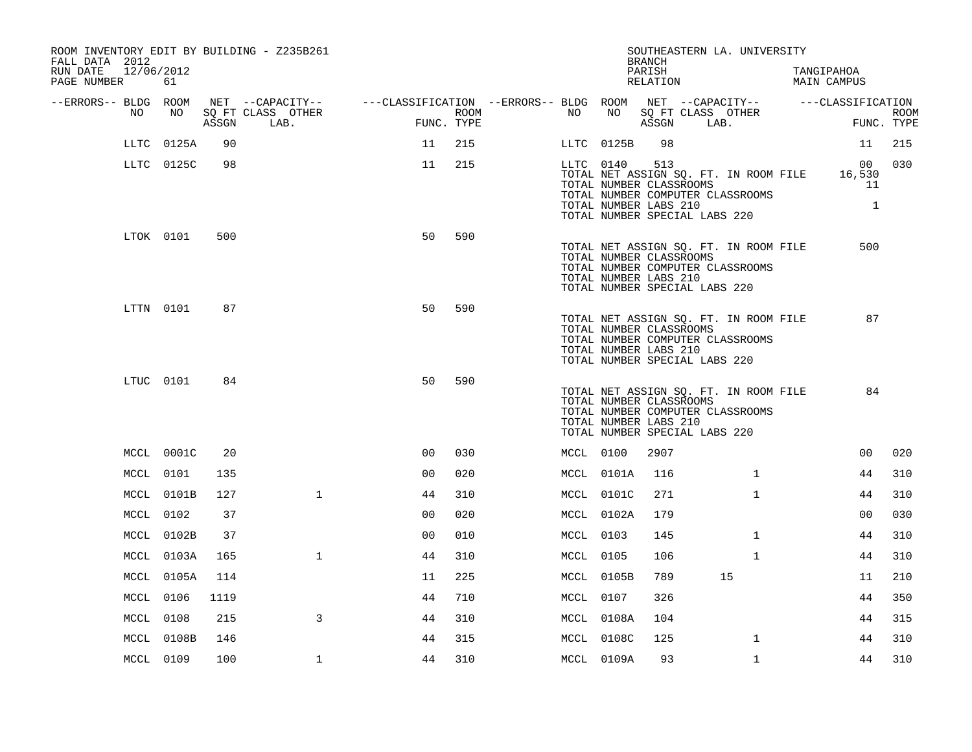| ROOM INVENTORY EDIT BY BUILDING - Z235B261<br>FALL DATA 2012<br>RUN DATE<br>12/06/2012<br>PAGE NUMBER | 61         |       |                           |                                                                              |                    |           |            | <b>BRANCH</b><br>PARISH<br>RELATION                     | SOUTHEASTERN LA. UNIVERSITY                                                                                | TANGIPAHOA<br>MAIN CAMPUS          |                           |
|-------------------------------------------------------------------------------------------------------|------------|-------|---------------------------|------------------------------------------------------------------------------|--------------------|-----------|------------|---------------------------------------------------------|------------------------------------------------------------------------------------------------------------|------------------------------------|---------------------------|
| --ERRORS-- BLDG ROOM                                                                                  |            |       | NET --CAPACITY--          | ---CLASSIFICATION --ERRORS-- BLDG ROOM NET --CAPACITY--    ---CLASSIFICATION |                    |           |            |                                                         |                                                                                                            |                                    |                           |
| NO                                                                                                    | NO         | ASSGN | SQ FT CLASS OTHER<br>LAB. |                                                                              | ROOM<br>FUNC. TYPE | NO        | NO         | ASSGN                                                   | SQ FT CLASS OTHER<br>LAB.                                                                                  |                                    | <b>ROOM</b><br>FUNC. TYPE |
| LLTC                                                                                                  | 0125A      | 90    |                           | 11                                                                           | 215                | LLTC      | 0125B      | 98                                                      |                                                                                                            | 11                                 | 215                       |
|                                                                                                       | LLTC 0125C | 98    |                           | 11                                                                           | 215                |           | LLTC 0140  | 513<br>TOTAL NUMBER CLASSROOMS<br>TOTAL NUMBER LABS 210 | TOTAL NET ASSIGN SQ. FT. IN ROOM FILE<br>TOTAL NUMBER COMPUTER CLASSROOMS<br>TOTAL NUMBER SPECIAL LABS 220 | 00<br>16,530<br>11<br>$\mathbf{1}$ | 030                       |
|                                                                                                       | LTOK 0101  | 500   |                           | 50                                                                           | 590                |           |            | TOTAL NUMBER CLASSROOMS<br>TOTAL NUMBER LABS 210        | TOTAL NET ASSIGN SQ. FT. IN ROOM FILE<br>TOTAL NUMBER COMPUTER CLASSROOMS<br>TOTAL NUMBER SPECIAL LABS 220 | 500                                |                           |
|                                                                                                       | LTTN 0101  | 87    |                           | 50                                                                           | 590                |           |            | TOTAL NUMBER CLASSROOMS<br>TOTAL NUMBER LABS 210        | TOTAL NET ASSIGN SQ. FT. IN ROOM FILE<br>TOTAL NUMBER COMPUTER CLASSROOMS<br>TOTAL NUMBER SPECIAL LABS 220 | 87                                 |                           |
|                                                                                                       | LTUC 0101  | 84    |                           | 50                                                                           | 590                |           |            | TOTAL NUMBER CLASSROOMS<br>TOTAL NUMBER LABS 210        | TOTAL NET ASSIGN SQ. FT. IN ROOM FILE<br>TOTAL NUMBER COMPUTER CLASSROOMS<br>TOTAL NUMBER SPECIAL LABS 220 | 84                                 |                           |
|                                                                                                       | MCCL 0001C | 20    |                           | 0 <sub>0</sub>                                                               | 030                | MCCL 0100 |            | 2907                                                    |                                                                                                            | 0 <sub>0</sub>                     | 020                       |
|                                                                                                       | MCCL 0101  | 135   |                           | 0 <sub>0</sub>                                                               | 020                |           | MCCL 0101A | 116                                                     | $\mathbf{1}$                                                                                               | 44                                 | 310                       |
|                                                                                                       | MCCL 0101B | 127   | $\mathbf{1}$              | 44                                                                           | 310                |           | MCCL 0101C | 271                                                     | $\mathbf{1}$                                                                                               | 44                                 | 310                       |
|                                                                                                       | MCCL 0102  | 37    |                           | 0 <sub>0</sub>                                                               | 020                |           | MCCL 0102A | 179                                                     |                                                                                                            | 00                                 | 030                       |
|                                                                                                       | MCCL 0102B | 37    |                           | 00                                                                           | 010                | MCCL 0103 |            | 145                                                     | $\mathbf{1}$                                                                                               | 44                                 | 310                       |
|                                                                                                       | MCCL 0103A | 165   | $\mathbf{1}$              | 44                                                                           | 310                | MCCL 0105 |            | 106                                                     | $\mathbf{1}$                                                                                               | 44                                 | 310                       |
|                                                                                                       | MCCL 0105A | 114   |                           | 11                                                                           | 225                |           | MCCL 0105B | 789                                                     | 15                                                                                                         | 11                                 | 210                       |
|                                                                                                       | MCCL 0106  | 1119  |                           | 44                                                                           | 710                | MCCL 0107 |            | 326                                                     |                                                                                                            | 44                                 | 350                       |
|                                                                                                       | MCCL 0108  | 215   | 3                         | 44                                                                           | 310                |           | MCCL 0108A | 104                                                     |                                                                                                            | 44                                 | 315                       |
|                                                                                                       | MCCL 0108B | 146   |                           | 44                                                                           | 315                |           | MCCL 0108C | 125                                                     | $\mathbf{1}$                                                                                               | 44                                 | 310                       |
|                                                                                                       | MCCL 0109  | 100   | $\mathbf 1$               | 44                                                                           | 310                |           | MCCL 0109A | 93                                                      | $\mathbf{1}$                                                                                               | 44                                 | 310                       |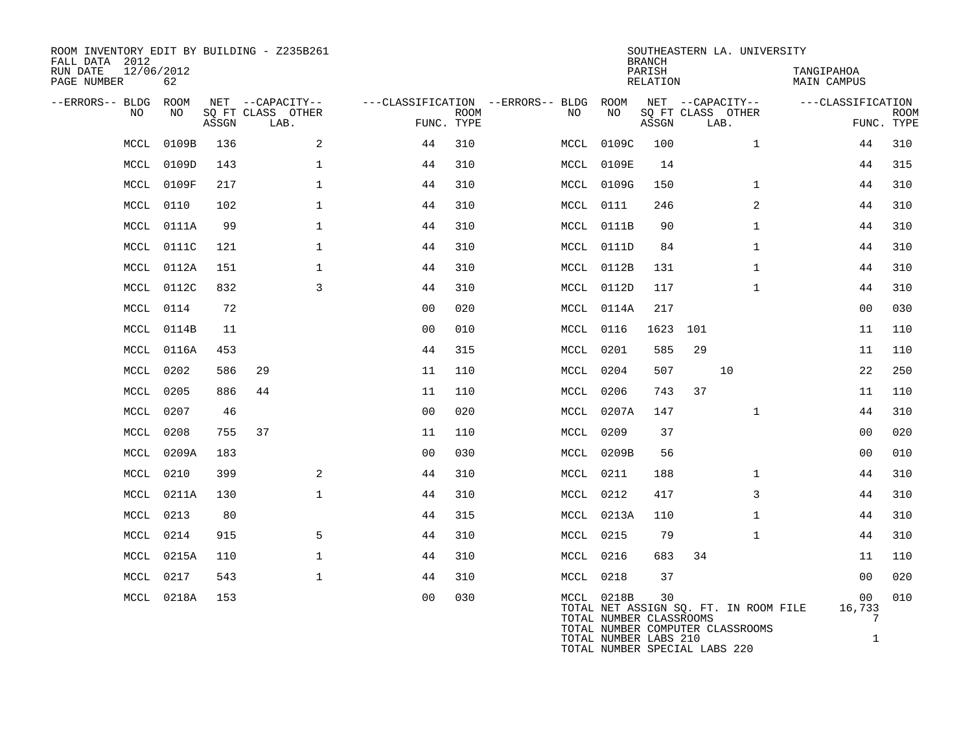| ROOM INVENTORY EDIT BY BUILDING - Z235B261<br>FALL DATA 2012<br>RUN DATE<br>PAGE NUMBER | 12/06/2012<br>62 |       |                                               |                |                           |                                          |                                       | <b>BRANCH</b><br>PARISH<br>RELATION |                           | SOUTHEASTERN LA. UNIVERSITY                                               | TANGIPAHOA<br>MAIN CAMPUS       |                           |
|-----------------------------------------------------------------------------------------|------------------|-------|-----------------------------------------------|----------------|---------------------------|------------------------------------------|---------------------------------------|-------------------------------------|---------------------------|---------------------------------------------------------------------------|---------------------------------|---------------------------|
| --ERRORS-- BLDG<br>NO                                                                   | ROOM<br>NO       | ASSGN | NET --CAPACITY--<br>SQ FT CLASS OTHER<br>LAB. |                | <b>ROOM</b><br>FUNC. TYPE | ---CLASSIFICATION --ERRORS-- BLDG<br>NO. | ROOM<br>NO                            | ASSGN                               | SQ FT CLASS OTHER<br>LAB. | NET --CAPACITY--                                                          | ---CLASSIFICATION               | <b>ROOM</b><br>FUNC. TYPE |
| MCCL                                                                                    | 0109B            | 136   | 2                                             | 44             | 310                       |                                          | MCCL 0109C                            | 100                                 |                           | $\mathbf{1}$                                                              | 44                              | 310                       |
| MCCL                                                                                    | 0109D            | 143   | 1                                             | 44             | 310                       | MCCL                                     | 0109E                                 | 14                                  |                           |                                                                           | 44                              | 315                       |
| MCCL                                                                                    | 0109F            | 217   | $\mathbf{1}$                                  | 44             | 310                       |                                          | MCCL 0109G                            | 150                                 |                           | $\mathbf{1}$                                                              | 44                              | 310                       |
| MCCL                                                                                    | 0110             | 102   | $\mathbf 1$                                   | 44             | 310                       |                                          | MCCL 0111                             | 246                                 |                           | 2                                                                         | 44                              | 310                       |
| MCCL                                                                                    | 0111A            | 99    | $\mathbf{1}$                                  | 44             | 310                       |                                          | MCCL 0111B                            | 90                                  |                           | $\mathbf{1}$                                                              | 44                              | 310                       |
| MCL                                                                                     | 0111C            | 121   | $\mathbf 1$                                   | 44             | 310                       |                                          | MCCL 0111D                            | 84                                  |                           | $\mathbf{1}$                                                              | 44                              | 310                       |
| MCCL                                                                                    | 0112A            | 151   | $\mathbf{1}$                                  | 44             | 310                       |                                          | MCCL 0112B                            | 131                                 |                           | $\mathbf{1}$                                                              | 44                              | 310                       |
| MCCL                                                                                    | 0112C            | 832   | 3                                             | 44             | 310                       |                                          | MCCL 0112D                            | 117                                 |                           | $\mathbf{1}$                                                              | 44                              | 310                       |
| MCCL                                                                                    | 0114             | 72    |                                               | 0 <sub>0</sub> | 020                       |                                          | MCCL 0114A                            | 217                                 |                           |                                                                           | 0 <sub>0</sub>                  | 030                       |
| MCCL                                                                                    | 0114B            | 11    |                                               | 0 <sub>0</sub> | 010                       | MCCL                                     | 0116                                  | 1623                                | 101                       |                                                                           | 11                              | 110                       |
| MCCL                                                                                    | 0116A            | 453   |                                               | 44             | 315                       |                                          | MCCL 0201                             | 585                                 | 29                        |                                                                           | 11                              | 110                       |
| MCCL                                                                                    | 0202             | 586   | 29                                            | 11             | 110                       | MCCL                                     | 0204                                  | 507                                 |                           | 10                                                                        | 22                              | 250                       |
| MCCL                                                                                    | 0205             | 886   | 44                                            | 11             | 110                       | MCCL                                     | 0206                                  | 743                                 | 37                        |                                                                           | 11                              | 110                       |
| MCCL                                                                                    | 0207             | 46    |                                               | 0 <sub>0</sub> | 020                       |                                          | MCCL 0207A                            | 147                                 |                           | $\mathbf{1}$                                                              | 44                              | 310                       |
| MCCL                                                                                    | 0208             | 755   | 37                                            | 11             | 110                       |                                          | MCCL 0209                             | 37                                  |                           |                                                                           | 0 <sub>0</sub>                  | 020                       |
| MCCL                                                                                    | 0209A            | 183   |                                               | 0 <sub>0</sub> | 030                       |                                          | MCCL 0209B                            | 56                                  |                           |                                                                           | 00                              | 010                       |
| MCCL                                                                                    | 0210             | 399   | 2                                             | 44             | 310                       |                                          | MCCL 0211                             | 188                                 |                           | $\mathbf{1}$                                                              | 44                              | 310                       |
| MCCL                                                                                    | 0211A            | 130   | $\mathbf{1}$                                  | 44             | 310                       |                                          | MCCL 0212                             | 417                                 |                           | 3                                                                         | 44                              | 310                       |
| MCCL                                                                                    | 0213             | 80    |                                               | 44             | 315                       |                                          | MCCL 0213A                            | 110                                 |                           | $\mathbf{1}$                                                              | 44                              | 310                       |
| MCCL                                                                                    | 0214             | 915   | 5                                             | 44             | 310                       |                                          | MCCL 0215                             | 79                                  |                           | $\mathbf{1}$                                                              | 44                              | 310                       |
| MCCL                                                                                    | 0215A            | 110   | $\mathbf{1}$                                  | 44             | 310                       |                                          | MCCL 0216                             | 683                                 | 34                        |                                                                           | 11                              | 110                       |
| MCCL                                                                                    | 0217             | 543   | $\mathbf{1}$                                  | 44             | 310                       |                                          | MCCL 0218                             | 37                                  |                           |                                                                           | 0 <sub>0</sub>                  | 020                       |
|                                                                                         | MCCL 0218A       | 153   |                                               | 0 <sub>0</sub> | 030                       |                                          | MCCL 0218B<br>TOTAL NUMBER CLASSROOMS | 30                                  |                           | TOTAL NET ASSIGN SQ. FT. IN ROOM FILE<br>TOTAL NUMBER COMPUTER CLASSROOMS | 00<br>16,733<br>$7\phantom{.0}$ | 010                       |

TOTAL NUMBER LABS 210 1

TOTAL NUMBER SPECIAL LABS 220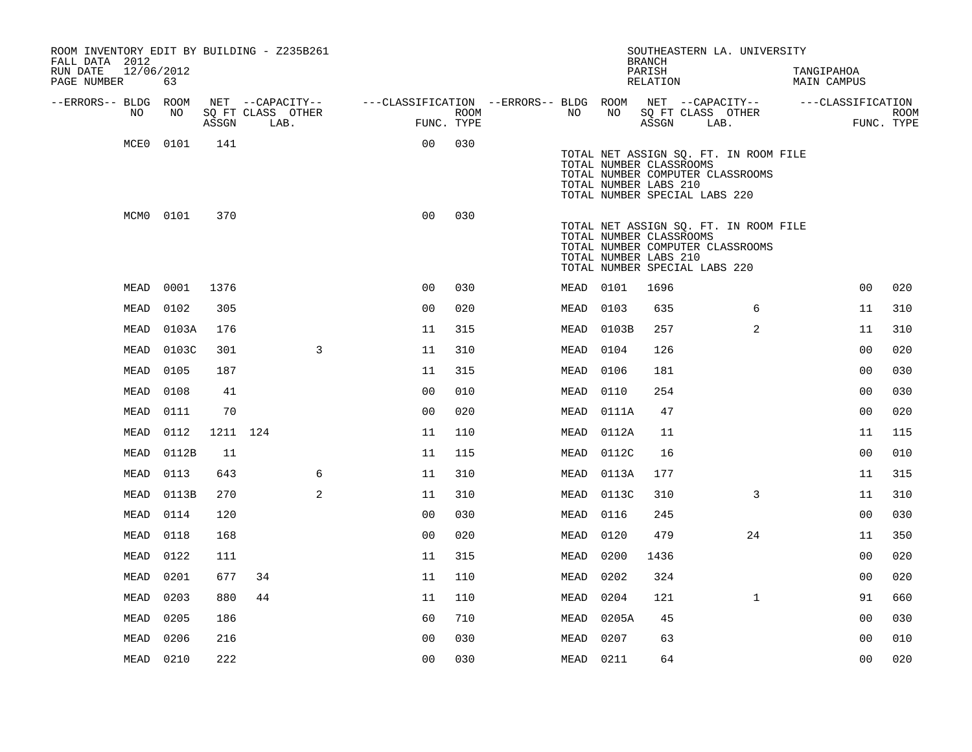| ROOM INVENTORY EDIT BY BUILDING - Z235B261<br>FALL DATA 2012 |           |          |                           |                                        |      |           |       | <b>BRANCH</b>                                                                     | SOUTHEASTERN LA. UNIVERSITY                                               |                           |                   |             |
|--------------------------------------------------------------|-----------|----------|---------------------------|----------------------------------------|------|-----------|-------|-----------------------------------------------------------------------------------|---------------------------------------------------------------------------|---------------------------|-------------------|-------------|
| 12/06/2012<br>RUN DATE<br>PAGE NUMBER                        | 63        |          |                           |                                        |      |           |       | PARISH<br>RELATION                                                                |                                                                           | TANGIPAHOA<br>MAIN CAMPUS |                   |             |
| --ERRORS-- BLDG ROOM                                         |           |          | NET --CAPACITY--          | ---CLASSIFICATION --ERRORS-- BLDG ROOM |      |           |       |                                                                                   | NET --CAPACITY--                                                          |                           | ---CLASSIFICATION |             |
| NO.                                                          | NO.       | ASSGN    | SO FT CLASS OTHER<br>LAB. | FUNC. TYPE                             | ROOM | NO.       | NO    | SQ FT CLASS OTHER<br>ASSGN                                                        | LAB.                                                                      |                           | FUNC. TYPE        | <b>ROOM</b> |
| MCE0                                                         | 0101      | 141      |                           | 0 <sub>0</sub>                         | 030  |           |       | TOTAL NUMBER CLASSROOMS<br>TOTAL NUMBER LABS 210<br>TOTAL NUMBER SPECIAL LABS 220 | TOTAL NET ASSIGN SQ. FT. IN ROOM FILE<br>TOTAL NUMBER COMPUTER CLASSROOMS |                           |                   |             |
|                                                              | MCM0 0101 | 370      |                           | 0 <sub>0</sub>                         | 030  |           |       | TOTAL NUMBER CLASSROOMS<br>TOTAL NUMBER LABS 210<br>TOTAL NUMBER SPECIAL LABS 220 | TOTAL NET ASSIGN SQ. FT. IN ROOM FILE<br>TOTAL NUMBER COMPUTER CLASSROOMS |                           |                   |             |
| MEAD                                                         | 0001      | 1376     |                           | 0 <sub>0</sub>                         | 030  | MEAD 0101 |       | 1696                                                                              |                                                                           |                           | 0 <sub>0</sub>    | 020         |
| MEAD                                                         | 0102      | 305      |                           | 0 <sub>0</sub>                         | 020  | MEAD      | 0103  | 635                                                                               | 6                                                                         |                           | 11                | 310         |
| MEAD                                                         | 0103A     | 176      |                           | 11                                     | 315  | MEAD      | 0103B | 257                                                                               | 2                                                                         |                           | 11                | 310         |
| MEAD                                                         | 0103C     | 301      | $\overline{3}$            | 11                                     | 310  | MEAD      | 0104  | 126                                                                               |                                                                           |                           | 0 <sub>0</sub>    | 020         |
| MEAD                                                         | 0105      | 187      |                           | 11                                     | 315  | MEAD      | 0106  | 181                                                                               |                                                                           |                           | 0 <sub>0</sub>    | 030         |
| MEAD                                                         | 0108      | 41       |                           | 0 <sub>0</sub>                         | 010  | MEAD      | 0110  | 254                                                                               |                                                                           |                           | 00                | 030         |
| MEAD                                                         | 0111      | 70       |                           | 0 <sub>0</sub>                         | 020  | MEAD      | 0111A | 47                                                                                |                                                                           |                           | 00                | 020         |
| MEAD                                                         | 0112      | 1211 124 |                           | 11                                     | 110  | MEAD      | 0112A | 11                                                                                |                                                                           |                           | 11                | 115         |
| MEAD                                                         | 0112B     | 11       |                           | 11                                     | 115  | MEAD      | 0112C | 16                                                                                |                                                                           |                           | 0 <sub>0</sub>    | 010         |
| MEAD                                                         | 0113      | 643      | 6                         | 11                                     | 310  | MEAD      | 0113A | 177                                                                               |                                                                           |                           | 11                | 315         |
| MEAD                                                         | 0113B     | 270      | $\overline{a}$            | 11                                     | 310  | MEAD      | 0113C | 310                                                                               | 3                                                                         |                           | 11                | 310         |
| MEAD                                                         | 0114      | 120      |                           | 0 <sub>0</sub>                         | 030  | MEAD      | 0116  | 245                                                                               |                                                                           |                           | 0 <sub>0</sub>    | 030         |
| MEAD                                                         | 0118      | 168      |                           | 0 <sub>0</sub>                         | 020  | MEAD      | 0120  | 479                                                                               | 24                                                                        |                           | 11                | 350         |
| MEAD                                                         | 0122      | 111      |                           | 11                                     | 315  | MEAD      | 0200  | 1436                                                                              |                                                                           |                           | 0 <sub>0</sub>    | 020         |
| MEAD                                                         | 0201      | 677      | 34                        | 11                                     | 110  | MEAD      | 0202  | 324                                                                               |                                                                           |                           | 00                | 020         |
| MEAD                                                         | 0203      | 880      | 44                        | 11                                     | 110  | MEAD      | 0204  | 121                                                                               | $\mathbf{1}$                                                              |                           | 91                | 660         |
| MEAD                                                         | 0205      | 186      |                           | 60                                     | 710  | MEAD      | 0205A | 45                                                                                |                                                                           |                           | 0 <sub>0</sub>    | 030         |
| MEAD                                                         | 0206      | 216      |                           | 0 <sub>0</sub>                         | 030  | MEAD      | 0207  | 63                                                                                |                                                                           |                           | 0 <sub>0</sub>    | 010         |
|                                                              | MEAD 0210 | 222      |                           | 00                                     | 030  | MEAD 0211 |       | 64                                                                                |                                                                           |                           | 0 <sub>0</sub>    | 020         |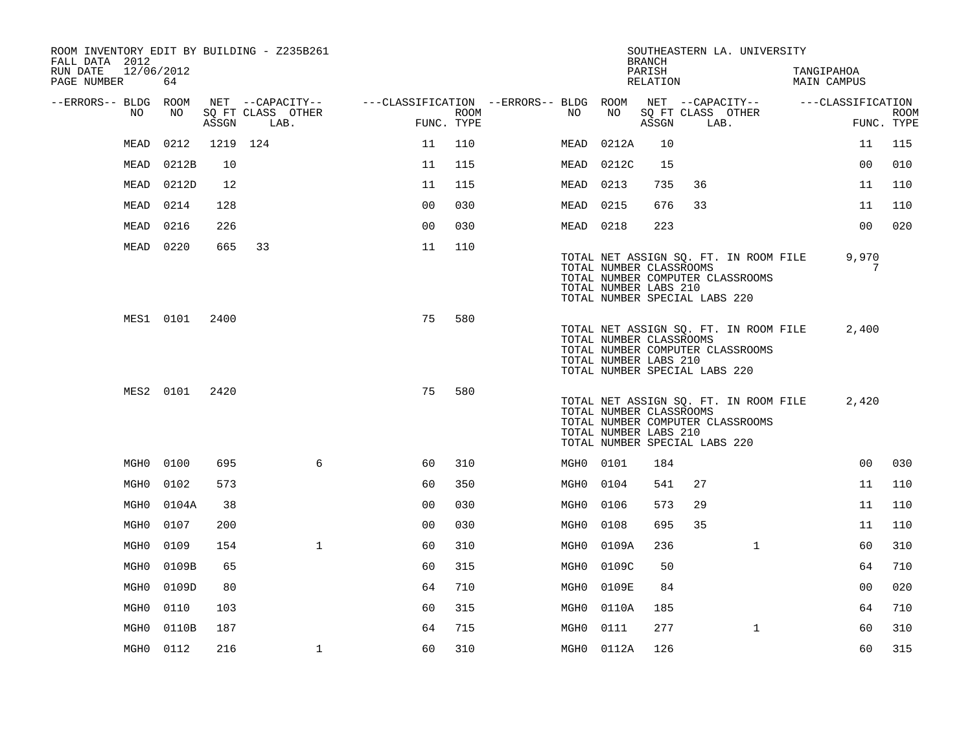| ROOM INVENTORY EDIT BY BUILDING - Z235B261<br>FALL DATA 2012 |                  |          |      |                   |                                        |                       |             |           |                                                  | <b>BRANCH</b>      |                               | SOUTHEASTERN LA. UNIVERSITY                                               |                                  |                           |
|--------------------------------------------------------------|------------------|----------|------|-------------------|----------------------------------------|-----------------------|-------------|-----------|--------------------------------------------------|--------------------|-------------------------------|---------------------------------------------------------------------------|----------------------------------|---------------------------|
| RUN DATE<br>PAGE NUMBER                                      | 12/06/2012<br>64 |          |      |                   |                                        |                       |             |           |                                                  | PARISH<br>RELATION |                               |                                                                           | TANGIPAHOA<br><b>MAIN CAMPUS</b> |                           |
| --ERRORS-- BLDG ROOM                                         |                  |          |      | NET --CAPACITY--  | ---CLASSIFICATION --ERRORS-- BLDG ROOM |                       |             |           |                                                  |                    |                               | NET --CAPACITY--                                                          | ---CLASSIFICATION                |                           |
| NO                                                           | NO               | ASSGN    | LAB. | SQ FT CLASS OTHER |                                        | FUNC. TYPE            | <b>ROOM</b> | NO        | NO                                               | ASSGN              | LAB.                          | SQ FT CLASS OTHER                                                         |                                  | <b>ROOM</b><br>FUNC. TYPE |
| MEAD                                                         | 0212             | 1219 124 |      |                   |                                        | 11<br>110             |             | MEAD      | 0212A                                            | 10                 |                               |                                                                           | 11                               | 115                       |
| MEAD                                                         | 0212B            | 10       |      |                   |                                        | 115<br>11             |             | MEAD      | 0212C                                            | 15                 |                               |                                                                           | 0 <sub>0</sub>                   | 010                       |
| MEAD                                                         | 0212D            | 12       |      |                   |                                        | 11<br>115             |             | MEAD      | 0213                                             | 735                | 36                            |                                                                           | 11                               | 110                       |
| MEAD                                                         | 0214             | 128      |      |                   |                                        | 0 <sub>0</sub><br>030 |             | MEAD      | 0215                                             | 676                | 33                            |                                                                           | 11                               | 110                       |
| MEAD                                                         | 0216             | 226      |      |                   |                                        | 0 <sub>0</sub><br>030 |             | MEAD 0218 |                                                  | 223                |                               |                                                                           | 0 <sub>0</sub>                   | 020                       |
|                                                              | MEAD 0220        | 665      | 33   |                   |                                        | 11<br>110             |             |           | TOTAL NUMBER CLASSROOMS<br>TOTAL NUMBER LABS 210 |                    | TOTAL NUMBER SPECIAL LABS 220 | TOTAL NET ASSIGN SQ. FT. IN ROOM FILE<br>TOTAL NUMBER COMPUTER CLASSROOMS | 9,970<br>7                       |                           |
|                                                              | MES1 0101        | 2400     |      |                   |                                        | 75<br>580             |             |           | TOTAL NUMBER CLASSROOMS<br>TOTAL NUMBER LABS 210 |                    | TOTAL NUMBER SPECIAL LABS 220 | TOTAL NET ASSIGN SQ. FT. IN ROOM FILE<br>TOTAL NUMBER COMPUTER CLASSROOMS | 2,400                            |                           |
|                                                              | MES2 0101        | 2420     |      |                   |                                        | 75<br>580             |             |           | TOTAL NUMBER CLASSROOMS<br>TOTAL NUMBER LABS 210 |                    | TOTAL NUMBER SPECIAL LABS 220 | TOTAL NET ASSIGN SQ. FT. IN ROOM FILE<br>TOTAL NUMBER COMPUTER CLASSROOMS | 2,420                            |                           |
| MGH0                                                         | 0100             | 695      |      | 6                 |                                        | 310<br>60             |             | MGH0 0101 |                                                  | 184                |                               |                                                                           | 0 <sub>0</sub>                   | 030                       |
| MGH0                                                         | 0102             | 573      |      |                   |                                        | 60<br>350             |             | MGH0      | 0104                                             | 541                | 27                            |                                                                           | 11                               | 110                       |
| MGH0                                                         | 0104A            | 38       |      |                   |                                        | 0 <sub>0</sub><br>030 |             | MGH0      | 0106                                             | 573                | 29                            |                                                                           | 11                               | 110                       |
| MGH0                                                         | 0107             | 200      |      |                   |                                        | 0 <sub>0</sub><br>030 |             | MGH0      | 0108                                             | 695                | 35                            |                                                                           | 11                               | 110                       |
| MGH0                                                         | 0109             | 154      |      | $\mathbf{1}$      |                                        | 60<br>310             |             | MGH0      | 0109A                                            | 236                |                               | $\mathbf{1}$                                                              | 60                               | 310                       |
| MGH0                                                         | 0109B            | 65       |      |                   |                                        | 60<br>315             |             | MGH0      | 0109C                                            | 50                 |                               |                                                                           | 64                               | 710                       |
| MGH <sub>0</sub>                                             | 0109D            | 80       |      |                   |                                        | 64<br>710             |             | MGH0      | 0109E                                            | 84                 |                               |                                                                           | 00                               | 020                       |
| MGH0                                                         | 0110             | 103      |      |                   |                                        | 60<br>315             |             | MGH0      | 0110A                                            | 185                |                               |                                                                           | 64                               | 710                       |
| MGH0                                                         | 0110B            | 187      |      |                   |                                        | 64<br>715             |             | MGH0      | 0111                                             | 277                |                               | $\mathbf{1}$                                                              | 60                               | 310                       |
| MGH0                                                         | 0112             | 216      |      | $\mathbf{1}$      |                                        | 60<br>310             |             |           | MGH0 0112A                                       | 126                |                               |                                                                           | 60                               | 315                       |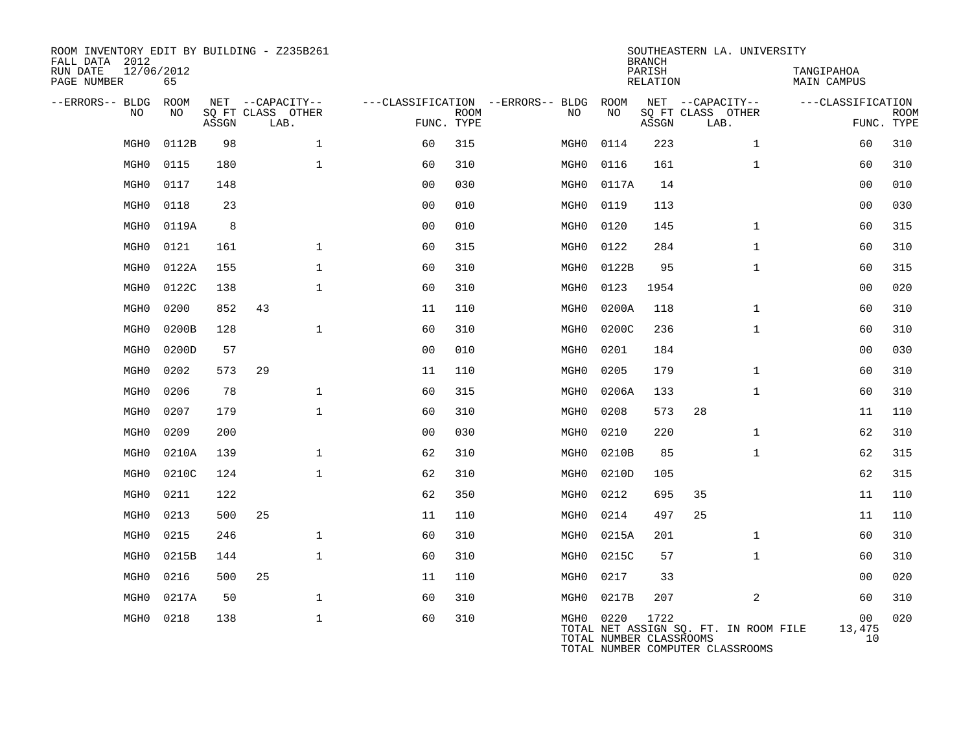| ROOM INVENTORY EDIT BY BUILDING - Z235B261<br>FALL DATA 2012<br>RUN DATE<br>PAGE NUMBER | 12/06/2012<br>65 |       |                                       |                |             |                                         |                                      | <b>BRANCH</b><br>PARISH<br>RELATION | SOUTHEASTERN LA. UNIVERSITY                                               | TANGIPAHOA<br>MAIN CAMPUS |             |
|-----------------------------------------------------------------------------------------|------------------|-------|---------------------------------------|----------------|-------------|-----------------------------------------|--------------------------------------|-------------------------------------|---------------------------------------------------------------------------|---------------------------|-------------|
| --ERRORS-- BLDG<br>NO                                                                   | ROOM<br>NO       |       | NET --CAPACITY--<br>SQ FT CLASS OTHER |                | <b>ROOM</b> | ---CLASSIFICATION --ERRORS-- BLDG<br>NO | ROOM<br>NO                           |                                     | NET --CAPACITY--<br>SQ FT CLASS OTHER                                     | ---CLASSIFICATION         | <b>ROOM</b> |
|                                                                                         |                  | ASSGN | LAB.                                  | FUNC. TYPE     |             |                                         |                                      | ASSGN                               | LAB.                                                                      |                           | FUNC. TYPE  |
| MGH <sub>0</sub>                                                                        | 0112B            | 98    | $\mathbf 1$                           | 60             | 315         | MGH0                                    | 0114                                 | 223                                 | $\mathbf{1}$                                                              | 60                        | 310         |
| MGH <sub>0</sub>                                                                        | 0115             | 180   | $\mathbf{1}$                          | 60             | 310         | MGH0                                    | 0116                                 | 161                                 | $\mathbf{1}$                                                              | 60                        | 310         |
| MGH <sub>0</sub>                                                                        | 0117             | 148   |                                       | 0 <sub>0</sub> | 030         | MGH0                                    | 0117A                                | 14                                  |                                                                           | 0 <sub>0</sub>            | 010         |
| MGH <sub>0</sub>                                                                        | 0118             | 23    |                                       | 0 <sub>0</sub> | 010         | MGH0                                    | 0119                                 | 113                                 |                                                                           | 0 <sub>0</sub>            | 030         |
| MGH <sub>0</sub>                                                                        | 0119A            | 8     |                                       | 0 <sub>0</sub> | 010         | MGH0                                    | 0120                                 | 145                                 | $\mathbf{1}$                                                              | 60                        | 315         |
| MGH <sub>0</sub>                                                                        | 0121             | 161   | $\mathbf{1}$                          | 60             | 315         | MGH0                                    | 0122                                 | 284                                 | $\mathbf{1}$                                                              | 60                        | 310         |
| MGH <sub>0</sub>                                                                        | 0122A            | 155   | $\mathbf{1}$                          | 60             | 310         | MGH0                                    | 0122B                                | 95                                  | $\mathbf{1}$                                                              | 60                        | 315         |
| MGH <sub>0</sub>                                                                        | 0122C            | 138   | $\mathbf 1$                           | 60             | 310         | MGH <sub>0</sub>                        | 0123                                 | 1954                                |                                                                           | 0 <sub>0</sub>            | 020         |
| MGH <sub>0</sub>                                                                        | 0200             | 852   | 43                                    | 11             | 110         | MGH <sub>0</sub>                        | 0200A                                | 118                                 | $\mathbf{1}$                                                              | 60                        | 310         |
| MGH <sub>0</sub>                                                                        | 0200B            | 128   | $\mathbf{1}$                          | 60             | 310         | MGH0                                    | 0200C                                | 236                                 | $\mathbf{1}$                                                              | 60                        | 310         |
| MGH <sub>0</sub>                                                                        | 0200D            | 57    |                                       | 0 <sub>0</sub> | 010         | MGH0                                    | 0201                                 | 184                                 |                                                                           | 0 <sub>0</sub>            | 030         |
| MGH <sub>0</sub>                                                                        | 0202             | 573   | 29                                    | 11             | 110         | MGH0                                    | 0205                                 | 179                                 | $\mathbf{1}$                                                              | 60                        | 310         |
| MGH <sub>0</sub>                                                                        | 0206             | 78    | $\mathbf{1}$                          | 60             | 315         | MGH0                                    | 0206A                                | 133                                 | $\mathbf{1}$                                                              | 60                        | 310         |
| MGH <sub>0</sub>                                                                        | 0207             | 179   | $\mathbf 1$                           | 60             | 310         | MGH0                                    | 0208                                 | 573                                 | 28                                                                        | 11                        | 110         |
| MGH <sub>0</sub>                                                                        | 0209             | 200   |                                       | 0 <sub>0</sub> | 030         | MGH0                                    | 0210                                 | 220                                 | $\mathbf{1}$                                                              | 62                        | 310         |
| MGH <sub>0</sub>                                                                        | 0210A            | 139   | $\mathbf{1}$                          | 62             | 310         | MGH0                                    | 0210B                                | 85                                  | $\mathbf{1}$                                                              | 62                        | 315         |
| MGH <sub>0</sub>                                                                        | 0210C            | 124   | $\mathbf{1}$                          | 62             | 310         | MGH0                                    | 0210D                                | 105                                 |                                                                           | 62                        | 315         |
| MGH <sub>0</sub>                                                                        | 0211             | 122   |                                       | 62             | 350         | MGH0                                    | 0212                                 | 695                                 | 35                                                                        | 11                        | 110         |
| MGH <sub>0</sub>                                                                        | 0213             | 500   | 25                                    | 11             | 110         | MGH0                                    | 0214                                 | 497                                 | 25                                                                        | 11                        | 110         |
| MGH <sub>0</sub>                                                                        | 0215             | 246   | $\mathbf 1$                           | 60             | 310         | MGH0                                    | 0215A                                | 201                                 | $\mathbf{1}$                                                              | 60                        | 310         |
| MGH <sub>0</sub>                                                                        | 0215B            | 144   | $\mathbf{1}$                          | 60             | 310         | MGH0                                    | 0215C                                | 57                                  | $\mathbf{1}$                                                              | 60                        | 310         |
| MGH <sub>0</sub>                                                                        | 0216             | 500   | 25                                    | 11             | 110         | MGH0                                    | 0217                                 | 33                                  |                                                                           | 00                        | 020         |
| MGH <sub>0</sub>                                                                        | 0217A            | 50    | $\mathbf{1}$                          | 60             | 310         | MGH0                                    | 0217B                                | 207                                 | 2                                                                         | 60                        | 310         |
| MGH <sub>0</sub>                                                                        | 0218             | 138   | $\mathbf 1$                           | 60             | 310         |                                         | MGH0 0220<br>TOTAL NUMBER CLASSROOMS | 1722                                | TOTAL NET ASSIGN SQ. FT. IN ROOM FILE<br>TOTAL NUMBER COMPUTER CLASSROOMS | 00<br>13,475<br>10        | 020         |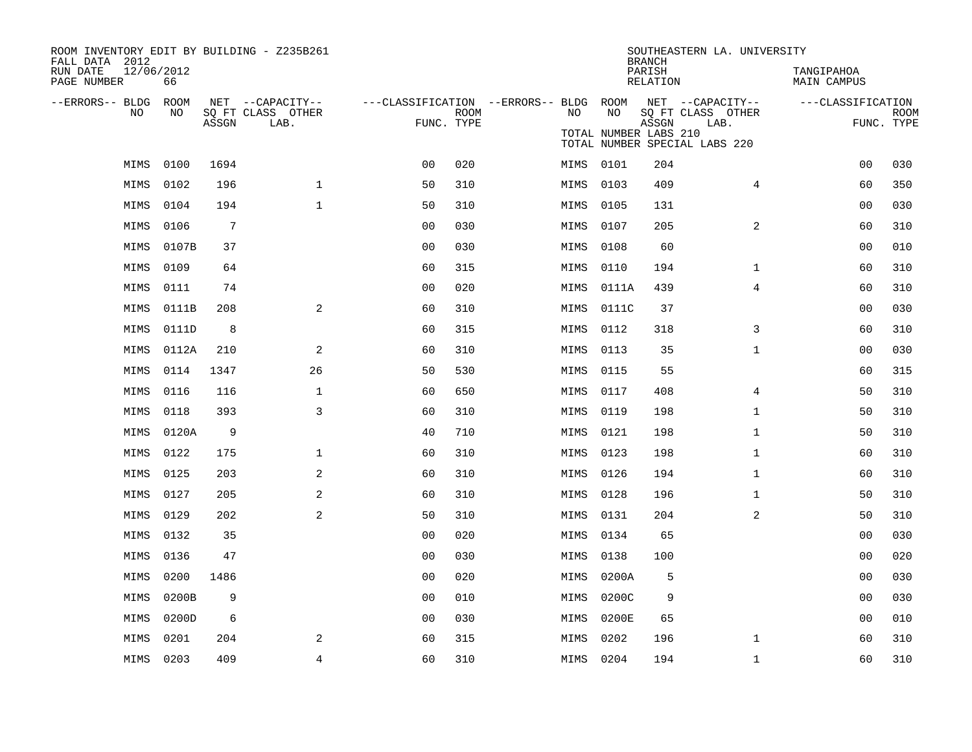| ROOM INVENTORY EDIT BY BUILDING - Z235B261<br>FALL DATA 2012 |       |                |                                       |                                        |             |      |                       | <b>BRANCH</b>      | SOUTHEASTERN LA. UNIVERSITY           |                           |             |
|--------------------------------------------------------------|-------|----------------|---------------------------------------|----------------------------------------|-------------|------|-----------------------|--------------------|---------------------------------------|---------------------------|-------------|
| 12/06/2012<br>RUN DATE<br>PAGE NUMBER                        | 66    |                |                                       |                                        |             |      |                       | PARISH<br>RELATION |                                       | TANGIPAHOA<br>MAIN CAMPUS |             |
| --ERRORS-- BLDG ROOM<br>NO.                                  | NO    |                | NET --CAPACITY--<br>SQ FT CLASS OTHER | ---CLASSIFICATION --ERRORS-- BLDG ROOM | <b>ROOM</b> | NO.  | NO                    |                    | NET --CAPACITY--<br>SQ FT CLASS OTHER | ---CLASSIFICATION         | <b>ROOM</b> |
|                                                              |       | ASSGN          | LAB.                                  | FUNC. TYPE                             |             |      | TOTAL NUMBER LABS 210 | ASSGN              | LAB.<br>TOTAL NUMBER SPECIAL LABS 220 | FUNC. TYPE                |             |
| MIMS                                                         | 0100  | 1694           |                                       | 0 <sub>0</sub>                         | 020         |      | MIMS 0101             | 204                |                                       | 00                        | 030         |
| MIMS                                                         | 0102  | 196            | $\mathbf{1}$                          | 50                                     | 310         | MIMS | 0103                  | 409                | 4                                     | 60                        | 350         |
| MIMS                                                         | 0104  | 194            | $\mathbf{1}$                          | 50                                     | 310         | MIMS | 0105                  | 131                |                                       | 0 <sub>0</sub>            | 030         |
| MIMS                                                         | 0106  | $\overline{7}$ |                                       | 00                                     | 030         | MIMS | 0107                  | 205                | 2                                     | 60                        | 310         |
| MIMS                                                         | 0107B | 37             |                                       | 0 <sub>0</sub>                         | 030         | MIMS | 0108                  | 60                 |                                       | 00                        | 010         |
| MIMS                                                         | 0109  | 64             |                                       | 60                                     | 315         | MIMS | 0110                  | 194                | $\mathbf{1}$                          | 60                        | 310         |
| MIMS                                                         | 0111  | 74             |                                       | 0 <sub>0</sub>                         | 020         | MIMS | 0111A                 | 439                | $\overline{4}$                        | 60                        | 310         |
| MIMS                                                         | 0111B | 208            | 2                                     | 60                                     | 310         | MIMS | 0111C                 | 37                 |                                       | 00                        | 030         |
| MIMS                                                         | 0111D | 8              |                                       | 60                                     | 315         | MIMS | 0112                  | 318                | 3                                     | 60                        | 310         |
| MIMS                                                         | 0112A | 210            | 2                                     | 60                                     | 310         | MIMS | 0113                  | 35                 | $\mathbf{1}$                          | 0 <sub>0</sub>            | 030         |
| MIMS                                                         | 0114  | 1347           | 26                                    | 50                                     | 530         | MIMS | 0115                  | 55                 |                                       | 60                        | 315         |
| MIMS                                                         | 0116  | 116            | $\mathbf 1$                           | 60                                     | 650         | MIMS | 0117                  | 408                | 4                                     | 50                        | 310         |
| MIMS                                                         | 0118  | 393            | 3                                     | 60                                     | 310         | MIMS | 0119                  | 198                | $\mathbf{1}$                          | 50                        | 310         |
| MIMS                                                         | 0120A | 9              |                                       | 40                                     | 710         | MIMS | 0121                  | 198                | $\mathbf{1}$                          | 50                        | 310         |
| MIMS                                                         | 0122  | 175            | $\mathbf 1$                           | 60                                     | 310         | MIMS | 0123                  | 198                | $\mathbf{1}$                          | 60                        | 310         |
| MIMS                                                         | 0125  | 203            | 2                                     | 60                                     | 310         | MIMS | 0126                  | 194                | $\mathbf{1}$                          | 60                        | 310         |
| MIMS                                                         | 0127  | 205            | 2                                     | 60                                     | 310         | MIMS | 0128                  | 196                | $\mathbf{1}$                          | 50                        | 310         |
| MIMS                                                         | 0129  | 202            | 2                                     | 50                                     | 310         | MIMS | 0131                  | 204                | 2                                     | 50                        | 310         |
| MIMS                                                         | 0132  | 35             |                                       | 00                                     | 020         | MIMS | 0134                  | 65                 |                                       | 00                        | 030         |
| MIMS                                                         | 0136  | 47             |                                       | 0 <sub>0</sub>                         | 030         | MIMS | 0138                  | 100                |                                       | 00                        | 020         |
| MIMS                                                         | 0200  | 1486           |                                       | 00                                     | 020         | MIMS | 0200A                 | 5                  |                                       | 0 <sub>0</sub>            | 030         |
| MIMS                                                         | 0200B | 9              |                                       | 0 <sub>0</sub>                         | 010         | MIMS | 0200C                 | 9                  |                                       | 0 <sub>0</sub>            | 030         |
| MIMS                                                         | 0200D | 6              |                                       | 0 <sub>0</sub>                         | 030         | MIMS | 0200E                 | 65                 |                                       | 00                        | 010         |
| MIMS                                                         | 0201  | 204            | 2                                     | 60                                     | 315         | MIMS | 0202                  | 196                | $\mathbf{1}$                          | 60                        | 310         |
| MIMS 0203                                                    |       | 409            | $\overline{4}$                        | 60                                     | 310         |      | MIMS 0204             | 194                | $\mathbf{1}$                          | 60                        | 310         |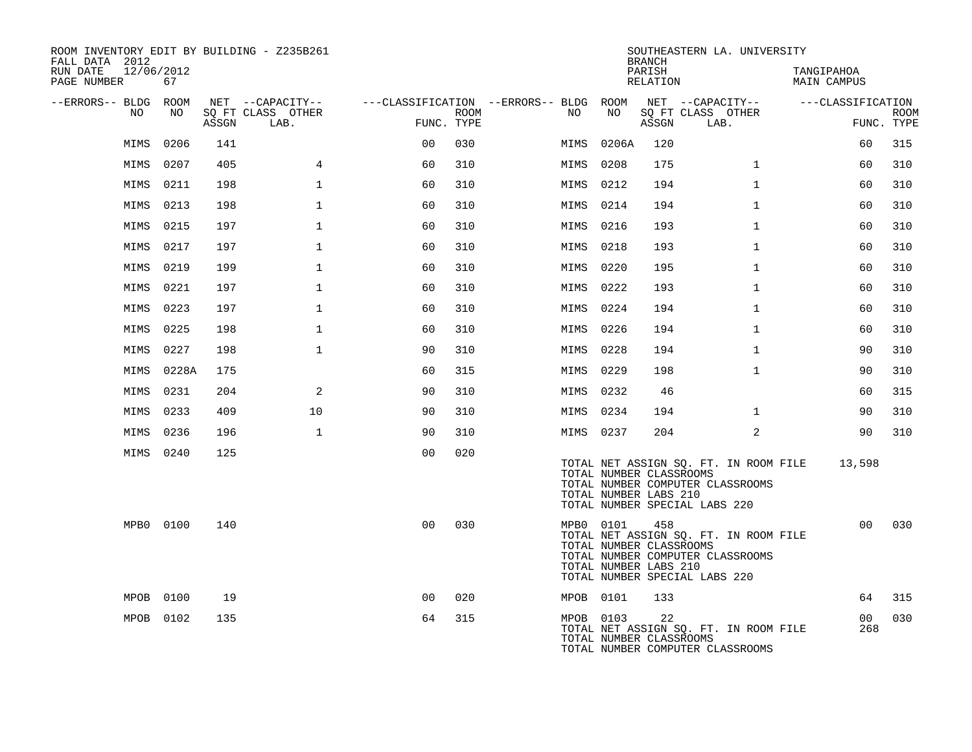| ROOM INVENTORY EDIT BY BUILDING - Z235B261<br>FALL DATA 2012 |           |       |                           |                |      |                                        |           | <b>BRANCH</b>                                           | SOUTHEASTERN LA. UNIVERSITY                                                                                |                                  |                           |
|--------------------------------------------------------------|-----------|-------|---------------------------|----------------|------|----------------------------------------|-----------|---------------------------------------------------------|------------------------------------------------------------------------------------------------------------|----------------------------------|---------------------------|
| RUN DATE<br>12/06/2012<br>PAGE NUMBER                        | 67        |       |                           |                |      |                                        |           | PARISH<br>RELATION                                      |                                                                                                            | TANGIPAHOA<br><b>MAIN CAMPUS</b> |                           |
| --ERRORS-- BLDG ROOM                                         |           |       | NET --CAPACITY--          |                |      | ---CLASSIFICATION --ERRORS-- BLDG ROOM |           |                                                         | NET --CAPACITY--                                                                                           | ---CLASSIFICATION                |                           |
| NO                                                           | NO        | ASSGN | SQ FT CLASS OTHER<br>LAB. | FUNC. TYPE     | ROOM | NO                                     | NO        | ASSGN                                                   | SQ FT CLASS OTHER<br>LAB.                                                                                  |                                  | <b>ROOM</b><br>FUNC. TYPE |
| MIMS                                                         | 0206      | 141   |                           | 0 <sub>0</sub> | 030  | MIMS                                   | 0206A     | 120                                                     |                                                                                                            | 60                               | 315                       |
| MIMS                                                         | 0207      | 405   | $\overline{4}$            | 60             | 310  | MIMS                                   | 0208      | 175                                                     | $\mathbf{1}$                                                                                               | 60                               | 310                       |
| MIMS                                                         | 0211      | 198   | $\mathbf 1$               | 60             | 310  | MIMS                                   | 0212      | 194                                                     | $\mathbf{1}$                                                                                               | 60                               | 310                       |
| MIMS                                                         | 0213      | 198   | $\mathbf{1}$              | 60             | 310  | MIMS                                   | 0214      | 194                                                     | $\mathbf{1}$                                                                                               | 60                               | 310                       |
| MIMS                                                         | 0215      | 197   | $\mathbf 1$               | 60             | 310  | MIMS 0216                              |           | 193                                                     | $\mathbf{1}$                                                                                               | 60                               | 310                       |
|                                                              | MIMS 0217 | 197   | $\mathbf{1}$              | 60             | 310  | MIMS                                   | 0218      | 193                                                     | $\mathbf{1}$                                                                                               | 60                               | 310                       |
| MIMS                                                         | 0219      | 199   | $\mathbf{1}$              | 60             | 310  | MIMS                                   | 0220      | 195                                                     | $\mathbf{1}$                                                                                               | 60                               | 310                       |
| MIMS                                                         | 0221      | 197   | $\mathbf{1}$              | 60             | 310  | MIMS 0222                              |           | 193                                                     | $\mathbf{1}$                                                                                               | 60                               | 310                       |
| MIMS                                                         | 0223      | 197   | $\mathbf 1$               | 60             | 310  | MIMS 0224                              |           | 194                                                     | $\mathbf{1}$                                                                                               | 60                               | 310                       |
| MIMS                                                         | 0225      | 198   | 1                         | 60             | 310  | MIMS 0226                              |           | 194                                                     | $\mathbf{1}$                                                                                               | 60                               | 310                       |
| MIMS                                                         | 0227      | 198   | $\mathbf{1}$              | 90             | 310  | MIMS                                   | 0228      | 194                                                     | $\mathbf{1}$                                                                                               | 90                               | 310                       |
| MIMS                                                         | 0228A     | 175   |                           | 60             | 315  | MIMS                                   | 0229      | 198                                                     | $\mathbf{1}$                                                                                               | 90                               | 310                       |
| MIMS                                                         | 0231      | 204   | 2                         | 90             | 310  | MIMS 0232                              |           | 46                                                      |                                                                                                            | 60                               | 315                       |
| MIMS                                                         | 0233      | 409   | 10                        | 90             | 310  | MIMS 0234                              |           | 194                                                     | $\mathbf{1}$                                                                                               | 90                               | 310                       |
| MIMS                                                         | 0236      | 196   | $\mathbf{1}$              | 90             | 310  | MIMS 0237                              |           | 204                                                     | $\overline{a}$                                                                                             | 90                               | 310                       |
|                                                              | MIMS 0240 | 125   |                           | 0 <sub>0</sub> | 020  |                                        |           | TOTAL NUMBER CLASSROOMS<br>TOTAL NUMBER LABS 210        | TOTAL NET ASSIGN SQ. FT. IN ROOM FILE<br>TOTAL NUMBER COMPUTER CLASSROOMS<br>TOTAL NUMBER SPECIAL LABS 220 | 13,598                           |                           |
|                                                              | MPB0 0100 | 140   |                           | 0 <sup>0</sup> | 030  |                                        | MPB0 0101 | 458<br>TOTAL NUMBER CLASSROOMS<br>TOTAL NUMBER LABS 210 | TOTAL NET ASSIGN SQ. FT. IN ROOM FILE<br>TOTAL NUMBER COMPUTER CLASSROOMS<br>TOTAL NUMBER SPECIAL LABS 220 | 0 <sub>0</sub>                   | 030                       |
|                                                              | MPOB 0100 | 19    |                           | 0 <sub>0</sub> | 020  | MPOB 0101                              |           | 133                                                     |                                                                                                            | 64                               | 315                       |
|                                                              | MPOB 0102 | 135   |                           | 64             | 315  |                                        | MPOB 0103 | 22<br>TOTAL NUMBER CLASSROOMS                           | TOTAL NET ASSIGN SQ. FT. IN ROOM FILE<br>TOTAL NUMBER COMPUTER CLASSROOMS                                  | 00 <sub>o</sub><br>268           | 030                       |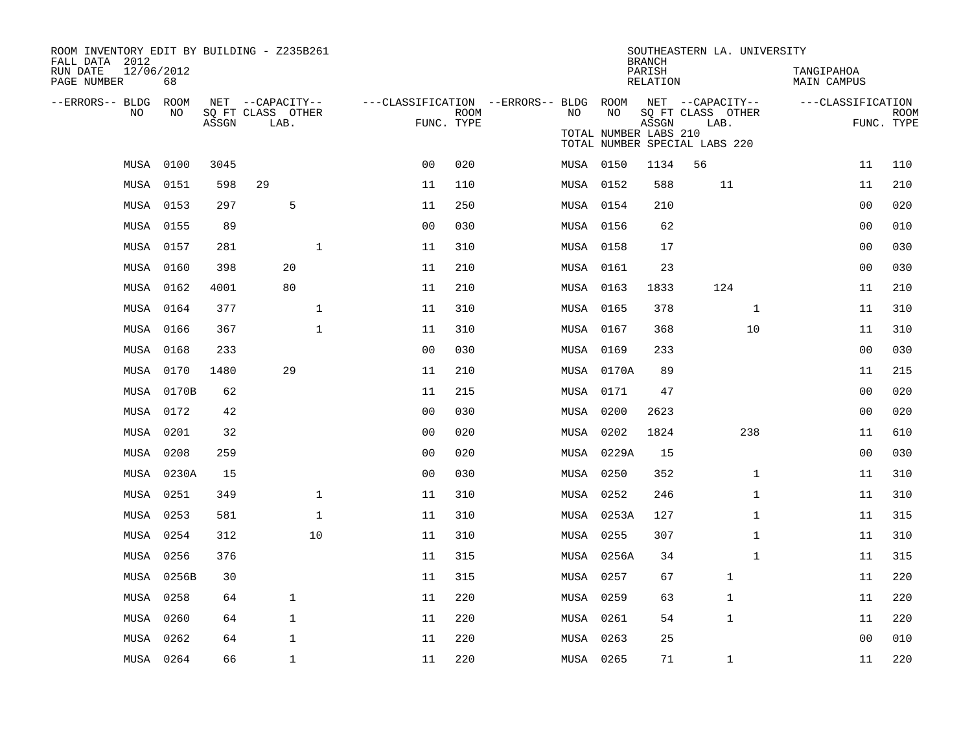| ROOM INVENTORY EDIT BY BUILDING - Z235B261<br>FALL DATA 2012 |            |       |                                       |              |                                        |             |     |                       | <b>BRANCH</b>      | SOUTHEASTERN LA. UNIVERSITY           |                           |             |
|--------------------------------------------------------------|------------|-------|---------------------------------------|--------------|----------------------------------------|-------------|-----|-----------------------|--------------------|---------------------------------------|---------------------------|-------------|
| 12/06/2012<br>RUN DATE<br>PAGE NUMBER                        | 68         |       |                                       |              |                                        |             |     |                       | PARISH<br>RELATION |                                       | TANGIPAHOA<br>MAIN CAMPUS |             |
| --ERRORS-- BLDG ROOM<br>NO                                   | NO         |       | NET --CAPACITY--<br>SQ FT CLASS OTHER |              | ---CLASSIFICATION --ERRORS-- BLDG ROOM | <b>ROOM</b> | NO. | NO                    |                    | NET --CAPACITY--<br>SQ FT CLASS OTHER | ---CLASSIFICATION         | <b>ROOM</b> |
|                                                              |            | ASSGN | LAB.                                  |              | FUNC. TYPE                             |             |     | TOTAL NUMBER LABS 210 | ASSGN              | LAB.<br>TOTAL NUMBER SPECIAL LABS 220 |                           | FUNC. TYPE  |
|                                                              | MUSA 0100  | 3045  |                                       |              | 0 <sub>0</sub>                         | 020         |     | MUSA 0150             | 1134               | 56                                    | 11                        | 110         |
|                                                              | MUSA 0151  | 598   | 29                                    |              | 11                                     | 110         |     | MUSA 0152             | 588                | 11                                    | 11                        | 210         |
|                                                              | MUSA 0153  | 297   | 5                                     |              | 11                                     | 250         |     | MUSA 0154             | 210                |                                       | 0 <sub>0</sub>            | 020         |
| MUSA 0155                                                    |            | 89    |                                       |              | 00                                     | 030         |     | MUSA 0156             | 62                 |                                       | 00                        | 010         |
|                                                              | MUSA 0157  | 281   |                                       | $\mathbf 1$  | 11                                     | 310         |     | MUSA 0158             | 17                 |                                       | 00                        | 030         |
|                                                              | MUSA 0160  | 398   | 20                                    |              | 11                                     | 210         |     | MUSA 0161             | 23                 |                                       | 0 <sub>0</sub>            | 030         |
|                                                              | MUSA 0162  | 4001  | 80                                    |              | 11                                     | 210         |     | MUSA 0163             | 1833               | 124                                   | 11                        | 210         |
|                                                              | MUSA 0164  | 377   |                                       | $\mathbf 1$  | 11                                     | 310         |     | MUSA 0165             | 378                | $\mathbf{1}$                          | 11                        | 310         |
|                                                              | MUSA 0166  | 367   |                                       | $\mathbf{1}$ | 11                                     | 310         |     | MUSA 0167             | 368                | 10                                    | 11                        | 310         |
|                                                              | MUSA 0168  | 233   |                                       |              | 0 <sub>0</sub>                         | 030         |     | MUSA 0169             | 233                |                                       | 0 <sub>0</sub>            | 030         |
|                                                              | MUSA 0170  | 1480  | 29                                    |              | 11                                     | 210         |     | MUSA 0170A            | 89                 |                                       | 11                        | 215         |
|                                                              | MUSA 0170B | 62    |                                       |              | 11                                     | 215         |     | MUSA 0171             | 47                 |                                       | 00                        | 020         |
|                                                              | MUSA 0172  | 42    |                                       |              | 0 <sub>0</sub>                         | 030         |     | MUSA 0200             | 2623               |                                       | 00                        | 020         |
|                                                              | MUSA 0201  | 32    |                                       |              | 0 <sub>0</sub>                         | 020         |     | MUSA 0202             | 1824               | 238                                   | 11                        | 610         |
|                                                              | MUSA 0208  | 259   |                                       |              | 0 <sub>0</sub>                         | 020         |     | MUSA 0229A            | 15                 |                                       | 0 <sub>0</sub>            | 030         |
|                                                              | MUSA 0230A | 15    |                                       |              | 0 <sub>0</sub>                         | 030         |     | MUSA 0250             | 352                | $\mathbf{1}$                          | 11                        | 310         |
| MUSA                                                         | 0251       | 349   |                                       | $\mathbf{1}$ | 11                                     | 310         |     | MUSA 0252             | 246                | $\mathbf{1}$                          | 11                        | 310         |
| MUSA                                                         | 0253       | 581   |                                       | $\mathbf{1}$ | 11                                     | 310         |     | MUSA 0253A            | 127                | $\mathbf{1}$                          | 11                        | 315         |
|                                                              | MUSA 0254  | 312   |                                       | 10           | 11                                     | 310         |     | MUSA 0255             | 307                | $\mathbf{1}$                          | 11                        | 310         |
| MUSA                                                         | 0256       | 376   |                                       |              | 11                                     | 315         |     | MUSA 0256A            | 34                 | $\mathbf{1}$                          | 11                        | 315         |
| MUSA                                                         | 0256B      | 30    |                                       |              | 11                                     | 315         |     | MUSA 0257             | 67                 | $\mathbf 1$                           | 11                        | 220         |
| MUSA                                                         | 0258       | 64    | $\mathbf{1}$                          |              | 11                                     | 220         |     | MUSA 0259             | 63                 | 1                                     | 11                        | 220         |
| MUSA                                                         | 0260       | 64    | $\mathbf{1}$                          |              | 11                                     | 220         |     | MUSA 0261             | 54                 | $\mathbf{1}$                          | 11                        | 220         |
| MUSA                                                         | 0262       | 64    | $\mathbf{1}$                          |              | 11                                     | 220         |     | MUSA 0263             | 25                 |                                       | 0 <sub>0</sub>            | 010         |
|                                                              | MUSA 0264  | 66    | $\mathbf{1}$                          |              | 11                                     | 220         |     | MUSA 0265             | 71                 | $\mathbf 1$                           | 11                        | 220         |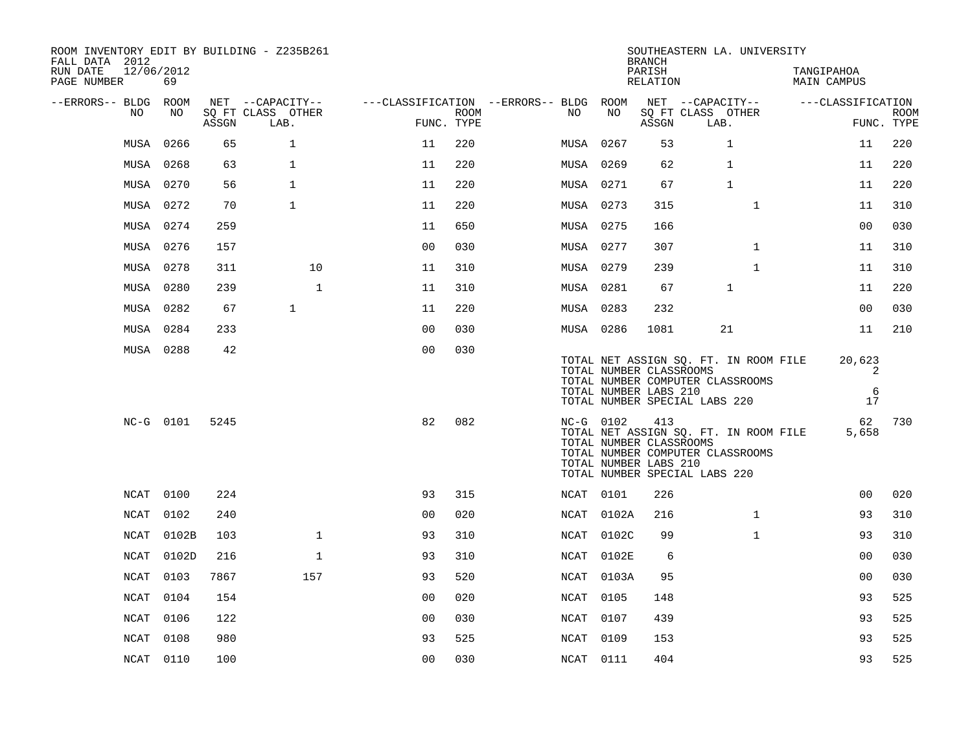| ROOM INVENTORY EDIT BY BUILDING - Z235B261<br>FALL DATA 2012 |           |       |                           |                                        |                    |      |                                                               | <b>BRANCH</b>      | SOUTHEASTERN LA. UNIVERSITY                                                                                |                           |                           |
|--------------------------------------------------------------|-----------|-------|---------------------------|----------------------------------------|--------------------|------|---------------------------------------------------------------|--------------------|------------------------------------------------------------------------------------------------------------|---------------------------|---------------------------|
| 12/06/2012<br>RUN DATE<br>PAGE NUMBER                        | 69        |       |                           |                                        |                    |      |                                                               | PARISH<br>RELATION |                                                                                                            | TANGIPAHOA<br>MAIN CAMPUS |                           |
| --ERRORS-- BLDG ROOM                                         |           |       | NET --CAPACITY--          | ---CLASSIFICATION --ERRORS-- BLDG ROOM |                    |      |                                                               |                    | NET --CAPACITY--                                                                                           | ---CLASSIFICATION         |                           |
| NO                                                           | NO        | ASSGN | SQ FT CLASS OTHER<br>LAB. |                                        | ROOM<br>FUNC. TYPE | NO.  | NO                                                            | ASSGN              | SQ FT CLASS OTHER<br>LAB.                                                                                  |                           | <b>ROOM</b><br>FUNC. TYPE |
| MUSA                                                         | 0266      | 65    | $\mathbf{1}$              | 11                                     | 220                |      | MUSA 0267                                                     | 53                 | $\mathbf{1}$                                                                                               | 11                        | 220                       |
| MUSA                                                         | 0268      | 63    | $\mathbf{1}$              | 11                                     | 220                |      | MUSA 0269                                                     | 62                 | 1                                                                                                          | 11                        | 220                       |
|                                                              | MUSA 0270 | 56    | $\mathbf{1}$              | 11                                     | 220                |      | MUSA 0271                                                     | 67                 | $\mathbf 1$                                                                                                | 11                        | 220                       |
|                                                              | MUSA 0272 | 70    | $\mathbf{1}$              | 11                                     | 220                |      | MUSA 0273                                                     | 315                | $\mathbf{1}$                                                                                               | 11                        | 310                       |
| MUSA                                                         | 0274      | 259   |                           | 11                                     | 650                |      | MUSA 0275                                                     | 166                |                                                                                                            | 0 <sub>0</sub>            | 030                       |
|                                                              | MUSA 0276 | 157   |                           | 0 <sub>0</sub>                         | 030                |      | MUSA 0277                                                     | 307                | $\mathbf{1}$                                                                                               | 11                        | 310                       |
|                                                              | MUSA 0278 | 311   | 10                        | 11                                     | 310                |      | MUSA 0279                                                     | 239                | $\mathbf{1}$                                                                                               | 11                        | 310                       |
|                                                              | MUSA 0280 | 239   | $\mathbf{1}$              | 11                                     | 310                |      | MUSA 0281                                                     | 67                 | $\mathbf 1$                                                                                                | 11                        | 220                       |
|                                                              | MUSA 0282 | 67    | $\mathbf{1}$              | 11                                     | 220                |      | MUSA 0283                                                     | 232                |                                                                                                            | 0 <sub>0</sub>            | 030                       |
|                                                              | MUSA 0284 | 233   |                           | 00                                     | 030                |      | MUSA 0286                                                     | 1081               | 21                                                                                                         | 11                        | 210                       |
|                                                              | MUSA 0288 | 42    |                           | 0 <sup>0</sup>                         | 030                |      | TOTAL NUMBER CLASSROOMS<br>TOTAL NUMBER LABS 210              |                    | TOTAL NET ASSIGN SQ. FT. IN ROOM FILE<br>TOTAL NUMBER COMPUTER CLASSROOMS<br>TOTAL NUMBER SPECIAL LABS 220 | 20,623<br>2<br>6<br>17    |                           |
|                                                              | NC-G 0101 | 5245  |                           | 82                                     | 082                |      | NC-G 0102<br>TOTAL NUMBER CLASSROOMS<br>TOTAL NUMBER LABS 210 | 413                | TOTAL NET ASSIGN SQ. FT. IN ROOM FILE<br>TOTAL NUMBER COMPUTER CLASSROOMS<br>TOTAL NUMBER SPECIAL LABS 220 | 62<br>5,658               | 730                       |
| NCAT                                                         | 0100      | 224   |                           | 93                                     | 315                |      | NCAT 0101                                                     | 226                |                                                                                                            | 0 <sub>0</sub>            | 020                       |
| NCAT                                                         | 0102      | 240   |                           | 0 <sub>0</sub>                         | 020                |      | NCAT 0102A                                                    | 216                | $\mathbf{1}$                                                                                               | 93                        | 310                       |
| <b>NCAT</b>                                                  | 0102B     | 103   | $\mathbf{1}$              | 93                                     | 310                |      | NCAT 0102C                                                    | 99                 | $\mathbf{1}$                                                                                               | 93                        | 310                       |
| NCAT                                                         | 0102D     | 216   | $\mathbf 1$               | 93                                     | 310                | NCAT | 0102E                                                         | 6                  |                                                                                                            | 00                        | 030                       |
| <b>NCAT</b>                                                  | 0103      | 7867  | 157                       | 93                                     | 520                | NCAT | 0103A                                                         | 95                 |                                                                                                            | 0 <sub>0</sub>            | 030                       |
| NCAT                                                         | 0104      | 154   |                           | 0 <sub>0</sub>                         | 020                | NCAT | 0105                                                          | 148                |                                                                                                            | 93                        | 525                       |
| NCAT                                                         | 0106      | 122   |                           | 0 <sub>0</sub>                         | 030                | NCAT | 0107                                                          | 439                |                                                                                                            | 93                        | 525                       |
| NCAT                                                         | 0108      | 980   |                           | 93                                     | 525                | NCAT | 0109                                                          | 153                |                                                                                                            | 93                        | 525                       |
|                                                              | NCAT 0110 | 100   |                           | 00                                     | 030                |      | NCAT 0111                                                     | 404                |                                                                                                            | 93                        | 525                       |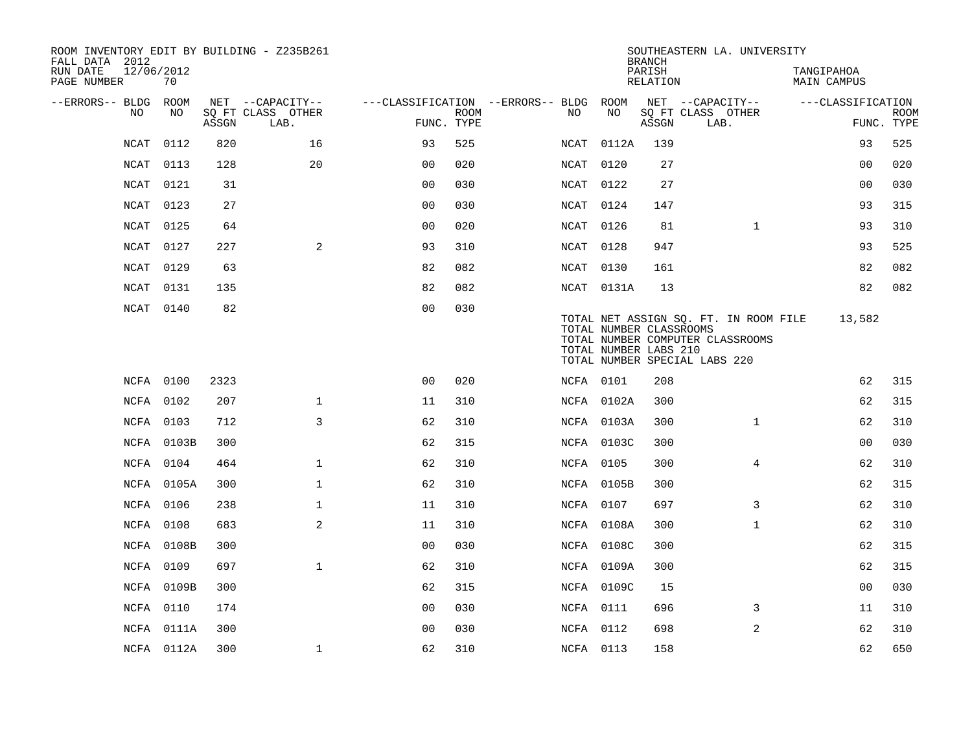| ROOM INVENTORY EDIT BY BUILDING - Z235B261<br>FALL DATA 2012 |                  |       |                           |                                        |             |                  |                                                  | <b>BRANCH</b>      | SOUTHEASTERN LA. UNIVERSITY                                                                                |                           |                |             |
|--------------------------------------------------------------|------------------|-------|---------------------------|----------------------------------------|-------------|------------------|--------------------------------------------------|--------------------|------------------------------------------------------------------------------------------------------------|---------------------------|----------------|-------------|
| RUN DATE<br>PAGE NUMBER                                      | 12/06/2012<br>70 |       |                           |                                        |             |                  |                                                  | PARISH<br>RELATION |                                                                                                            | TANGIPAHOA<br>MAIN CAMPUS |                |             |
| --ERRORS-- BLDG ROOM                                         |                  |       | NET --CAPACITY--          | ---CLASSIFICATION --ERRORS-- BLDG ROOM |             |                  |                                                  |                    | NET --CAPACITY--                                                                                           | ---CLASSIFICATION         |                |             |
| NO.                                                          | NO.              | ASSGN | SQ FT CLASS OTHER<br>LAB. | FUNC. TYPE                             | <b>ROOM</b> | NO               | NO                                               | ASSGN              | SQ FT CLASS OTHER<br>LAB.                                                                                  |                           | FUNC. TYPE     | <b>ROOM</b> |
| <b>NCAT</b>                                                  | 0112             | 820   | 16                        | 93                                     | 525         | NCAT             | 0112A                                            | 139                |                                                                                                            |                           | 93             | 525         |
| NCAT                                                         | 0113             | 128   | 20                        | 0 <sub>0</sub>                         | 020         | NCAT             | 0120                                             | 27                 |                                                                                                            |                           | 0 <sub>0</sub> | 020         |
| <b>NCAT</b>                                                  | 0121             | 31    |                           | 0 <sub>0</sub>                         | 030         | NCAT 0122        |                                                  | 27                 |                                                                                                            |                           | 0 <sub>0</sub> | 030         |
| NCAT                                                         | 0123             | 27    |                           | 0 <sub>0</sub>                         | 030         | NCAT 0124        |                                                  | 147                |                                                                                                            |                           | 93             | 315         |
| <b>NCAT</b>                                                  | 0125             | 64    |                           | 0 <sub>0</sub>                         | 020         | NCAT 0126        |                                                  | 81                 | $\mathbf{1}$                                                                                               |                           | 93             | 310         |
| NCAT                                                         | 0127             | 227   | 2                         | 93                                     | 310         | NCAT 0128        |                                                  | 947                |                                                                                                            |                           | 93             | 525         |
| NCAT                                                         | 0129             | 63    |                           | 82                                     | 082         | NCAT 0130        |                                                  | 161                |                                                                                                            |                           | 82             | 082         |
| <b>NCAT</b>                                                  | 0131             | 135   |                           | 82                                     | 082         |                  | NCAT 0131A                                       | 13                 |                                                                                                            |                           | 82             | 082         |
| NCAT                                                         | 0140             | 82    |                           | 0 <sub>0</sub>                         | 030         |                  | TOTAL NUMBER CLASSROOMS<br>TOTAL NUMBER LABS 210 |                    | TOTAL NET ASSIGN SQ. FT. IN ROOM FILE<br>TOTAL NUMBER COMPUTER CLASSROOMS<br>TOTAL NUMBER SPECIAL LABS 220 |                           | 13,582         |             |
|                                                              | NCFA 0100        | 2323  |                           | 0 <sub>0</sub>                         | 020         | NCFA 0101        |                                                  | 208                |                                                                                                            |                           | 62             | 315         |
|                                                              | NCFA 0102        | 207   | $\mathbf{1}$              | 11                                     | 310         |                  | NCFA 0102A                                       | 300                |                                                                                                            |                           | 62             | 315         |
|                                                              | NCFA 0103        | 712   | 3                         | 62                                     | 310         |                  | NCFA 0103A                                       | 300                | $\mathbf{1}$                                                                                               |                           | 62             | 310         |
|                                                              | NCFA 0103B       | 300   |                           | 62                                     | 315         |                  | NCFA 0103C                                       | 300                |                                                                                                            |                           | 0 <sub>0</sub> | 030         |
|                                                              | NCFA 0104        | 464   | $\mathbf{1}$              | 62                                     | 310         | NCFA 0105        |                                                  | 300                | 4                                                                                                          |                           | 62             | 310         |
|                                                              | NCFA 0105A       | 300   | $\mathbf 1$               | 62                                     | 310         |                  | NCFA 0105B                                       | 300                |                                                                                                            |                           | 62             | 315         |
|                                                              | NCFA 0106        | 238   | $\mathbf 1$               | 11                                     | 310         | NCFA 0107        |                                                  | 697                | 3                                                                                                          |                           | 62             | 310         |
|                                                              | NCFA 0108        | 683   | 2                         | 11                                     | 310         |                  | NCFA 0108A                                       | 300                | $\mathbf{1}$                                                                                               |                           | 62             | 310         |
|                                                              | NCFA 0108B       | 300   |                           | 0 <sub>0</sub>                         | 030         |                  | NCFA 0108C                                       | 300                |                                                                                                            |                           | 62             | 315         |
|                                                              | NCFA 0109        | 697   | $\mathbf{1}$              | 62                                     | 310         |                  | NCFA 0109A                                       | 300                |                                                                                                            |                           | 62             | 315         |
|                                                              | NCFA 0109B       | 300   |                           | 62                                     | 315         |                  | NCFA 0109C                                       | 15                 |                                                                                                            |                           | 00             | 030         |
|                                                              | NCFA 0110        | 174   |                           | 00                                     | 030         | <b>NCFA 0111</b> |                                                  | 696                | 3                                                                                                          |                           | 11             | 310         |
|                                                              | NCFA 0111A       | 300   |                           | 0 <sub>0</sub>                         | 030         | NCFA 0112        |                                                  | 698                | 2                                                                                                          |                           | 62             | 310         |
|                                                              | NCFA 0112A       | 300   | 1                         | 62                                     | 310         | NCFA 0113        |                                                  | 158                |                                                                                                            |                           | 62             | 650         |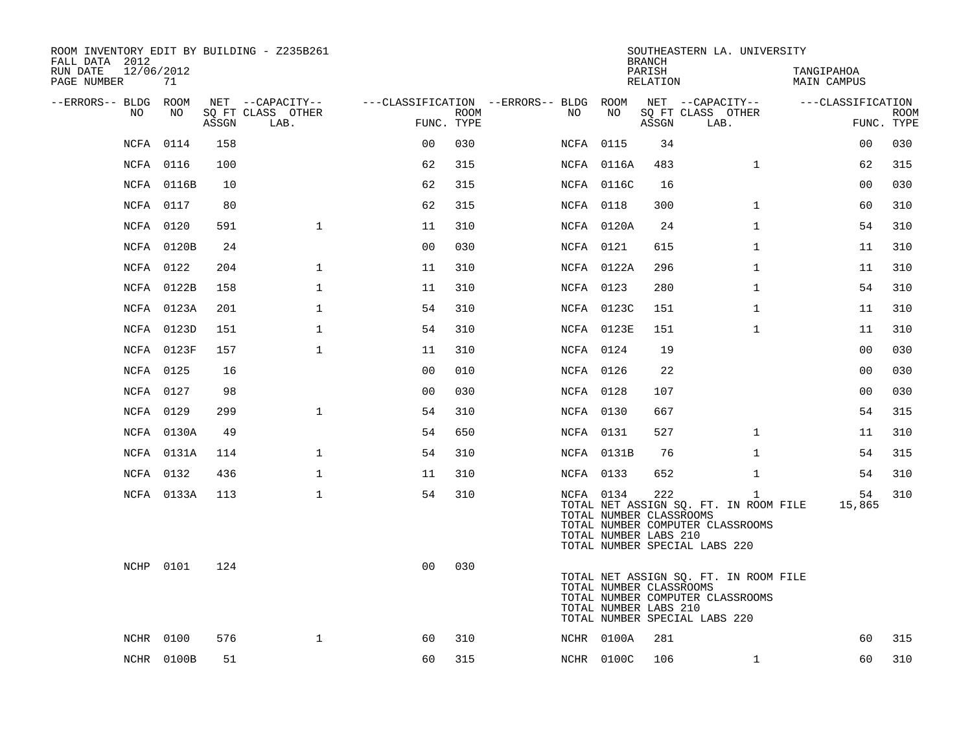| ROOM INVENTORY EDIT BY BUILDING - Z235B261<br>FALL DATA 2012 |            |       |                           |                |      |                                        |                                                               | <b>BRANCH</b>      | SOUTHEASTERN LA. UNIVERSITY                                                                                                |                           |                           |
|--------------------------------------------------------------|------------|-------|---------------------------|----------------|------|----------------------------------------|---------------------------------------------------------------|--------------------|----------------------------------------------------------------------------------------------------------------------------|---------------------------|---------------------------|
| RUN DATE<br>12/06/2012<br>PAGE NUMBER                        | 71         |       |                           |                |      |                                        |                                                               | PARISH<br>RELATION |                                                                                                                            | TANGIPAHOA<br>MAIN CAMPUS |                           |
| --ERRORS-- BLDG ROOM                                         |            |       | NET --CAPACITY--          |                |      | ---CLASSIFICATION --ERRORS-- BLDG ROOM |                                                               |                    | NET --CAPACITY--                                                                                                           | ---CLASSIFICATION         |                           |
| NO.                                                          | NO.        | ASSGN | SO FT CLASS OTHER<br>LAB. | FUNC. TYPE     | ROOM | NO.                                    | NO                                                            | ASSGN              | SQ FT CLASS OTHER<br>LAB.                                                                                                  |                           | <b>ROOM</b><br>FUNC. TYPE |
|                                                              | NCFA 0114  | 158   |                           | 0 <sub>0</sub> | 030  |                                        | <b>NCFA 0115</b>                                              | 34                 |                                                                                                                            | 00                        | 030                       |
|                                                              | NCFA 0116  | 100   |                           | 62             | 315  |                                        | NCFA 0116A                                                    | 483                | $\mathbf{1}$                                                                                                               | 62                        | 315                       |
|                                                              | NCFA 0116B | 10    |                           | 62             | 315  |                                        | NCFA 0116C                                                    | 16                 |                                                                                                                            | 0 <sub>0</sub>            | 030                       |
|                                                              | NCFA 0117  | 80    |                           | 62             | 315  |                                        | NCFA 0118                                                     | 300                | $\mathbf{1}$                                                                                                               | 60                        | 310                       |
|                                                              | NCFA 0120  | 591   | $\mathbf{1}$              | 11             | 310  |                                        | NCFA 0120A                                                    | 24                 | $\mathbf{1}$                                                                                                               | 54                        | 310                       |
|                                                              | NCFA 0120B | 24    |                           | 0 <sub>0</sub> | 030  |                                        | NCFA 0121                                                     | 615                | $\mathbf{1}$                                                                                                               | 11                        | 310                       |
|                                                              | NCFA 0122  | 204   | $\mathbf{1}$              | 11             | 310  |                                        | NCFA 0122A                                                    | 296                | $\mathbf{1}$                                                                                                               | 11                        | 310                       |
|                                                              | NCFA 0122B | 158   | $\mathbf{1}$              | 11             | 310  |                                        | NCFA 0123                                                     | 280                | $\mathbf{1}$                                                                                                               | 54                        | 310                       |
|                                                              | NCFA 0123A | 201   | $\mathbf 1$               | 54             | 310  |                                        | NCFA 0123C                                                    | 151                | $\mathbf{1}$                                                                                                               | 11                        | 310                       |
|                                                              | NCFA 0123D | 151   | $\mathbf{1}$              | 54             | 310  |                                        | NCFA 0123E                                                    | 151                | $\mathbf{1}$                                                                                                               | 11                        | 310                       |
|                                                              | NCFA 0123F | 157   | $\mathbf{1}$              | 11             | 310  |                                        | NCFA 0124                                                     | 19                 |                                                                                                                            | 0 <sub>0</sub>            | 030                       |
|                                                              | NCFA 0125  | 16    |                           | 0 <sub>0</sub> | 010  |                                        | NCFA 0126                                                     | 22                 |                                                                                                                            | 0 <sub>0</sub>            | 030                       |
|                                                              | NCFA 0127  | 98    |                           | 0 <sub>0</sub> | 030  |                                        | NCFA 0128                                                     | 107                |                                                                                                                            | 00                        | 030                       |
|                                                              | NCFA 0129  | 299   | $\mathbf 1$               | 54             | 310  |                                        | NCFA 0130                                                     | 667                |                                                                                                                            | 54                        | 315                       |
|                                                              | NCFA 0130A | 49    |                           | 54             | 650  |                                        | NCFA 0131                                                     | 527                | $\mathbf{1}$                                                                                                               | 11                        | 310                       |
|                                                              | NCFA 0131A | 114   | $\mathbf{1}$              | 54             | 310  |                                        | NCFA 0131B                                                    | 76                 | $\mathbf{1}$                                                                                                               | 54                        | 315                       |
|                                                              | NCFA 0132  | 436   | $\mathbf{1}$              | 11             | 310  |                                        | NCFA 0133                                                     | 652                | $\mathbf{1}$                                                                                                               | 54                        | 310                       |
|                                                              | NCFA 0133A | 113   | $\mathbf 1$               | 54             | 310  |                                        | NCFA 0134<br>TOTAL NUMBER CLASSROOMS<br>TOTAL NUMBER LABS 210 | 222                | $\mathbf{1}$<br>TOTAL NET ASSIGN SQ. FT. IN ROOM FILE<br>TOTAL NUMBER COMPUTER CLASSROOMS<br>TOTAL NUMBER SPECIAL LABS 220 | 54<br>15,865              | 310                       |
|                                                              | NCHP 0101  | 124   |                           | 0 <sub>0</sub> | 030  |                                        | TOTAL NUMBER CLASSROOMS<br>TOTAL NUMBER LABS 210              |                    | TOTAL NET ASSIGN SQ. FT. IN ROOM FILE<br>TOTAL NUMBER COMPUTER CLASSROOMS<br>TOTAL NUMBER SPECIAL LABS 220                 |                           |                           |
| NCHR                                                         | 0100       | 576   | $\mathbf{1}$              | 60             | 310  |                                        | NCHR 0100A                                                    | 281                |                                                                                                                            | 60                        | 315                       |
|                                                              | NCHR 0100B | 51    |                           | 60             | 315  |                                        | NCHR 0100C                                                    | 106                | $\mathbf{1}$                                                                                                               | 60                        | 310                       |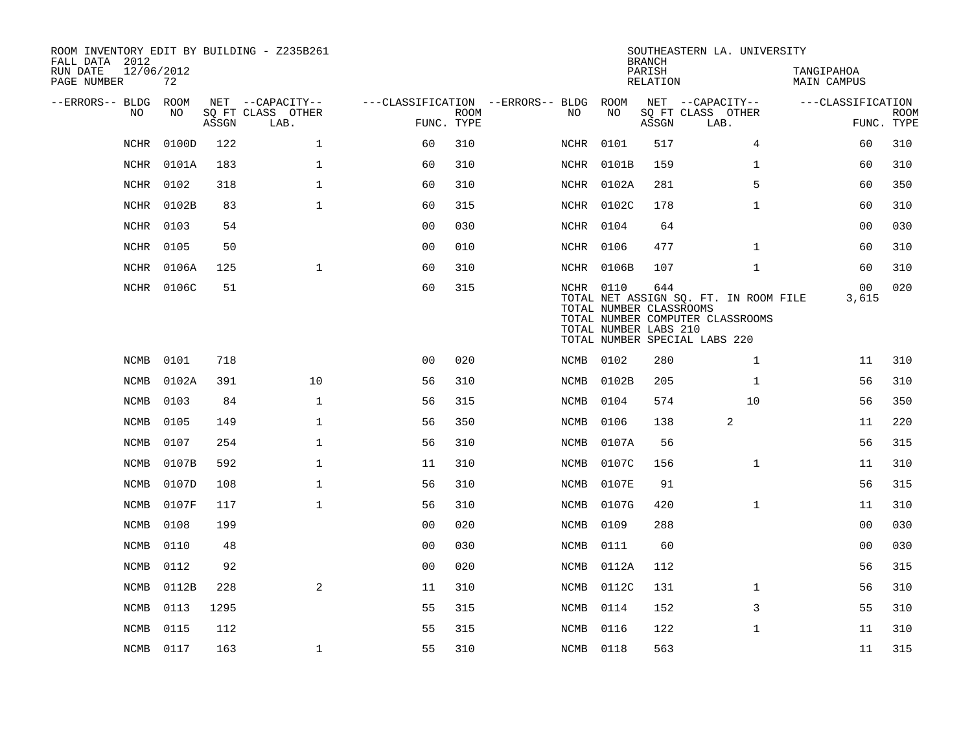| ROOM INVENTORY EDIT BY BUILDING - Z235B261<br>FALL DATA 2012<br>RUN DATE<br>PAGE NUMBER | 12/06/2012<br>72 |                                 |                                               |                                                      |             |                  |                                                  | <b>BRANCH</b><br>PARISH<br><b>RELATION</b> | SOUTHEASTERN LA. UNIVERSITY                                                                                | TANGIPAHOA<br><b>MAIN CAMPUS</b> |                           |
|-----------------------------------------------------------------------------------------|------------------|---------------------------------|-----------------------------------------------|------------------------------------------------------|-------------|------------------|--------------------------------------------------|--------------------------------------------|------------------------------------------------------------------------------------------------------------|----------------------------------|---------------------------|
| --ERRORS-- BLDG<br>NO                                                                   | ROOM<br>NO       | $\operatorname{\mathsf{ASSGN}}$ | NET --CAPACITY--<br>SQ FT CLASS OTHER<br>LAB. | ---CLASSIFICATION --ERRORS-- BLDG ROOM<br>FUNC. TYPE | <b>ROOM</b> | NO.              | NO                                               | ASSGN                                      | NET --CAPACITY--<br>SQ FT CLASS OTHER<br>LAB.                                                              | ---CLASSIFICATION                | <b>ROOM</b><br>FUNC. TYPE |
| <b>NCHR</b>                                                                             | 0100D            | 122                             | $\mathbf{1}$                                  | 60                                                   | 310         | NCHR             | 0101                                             | 517                                        | 4                                                                                                          | 60                               | 310                       |
| NCHR                                                                                    | 0101A            | 183                             | $\mathbf{1}$                                  | 60                                                   | 310         |                  | NCHR 0101B                                       | 159                                        | $\mathbf{1}$                                                                                               | 60                               | 310                       |
| NCHR                                                                                    | 0102             | 318                             | $\mathbf 1$                                   | 60                                                   | 310         | NCHR             | 0102A                                            | 281                                        | 5                                                                                                          | 60                               | 350                       |
| NCHR                                                                                    | 0102B            | 83                              | $\mathbf 1$                                   | 60                                                   | 315         | NCHR             | 0102C                                            | 178                                        | $\mathbf{1}$                                                                                               | 60                               | 310                       |
| NCHR                                                                                    | 0103             | 54                              |                                               | 0 <sub>0</sub>                                       | 030         | NCHR 0104        |                                                  | 64                                         |                                                                                                            | 0 <sub>0</sub>                   | 030                       |
| NCHR                                                                                    | 0105             | 50                              |                                               | 00                                                   | 010         | NCHR 0106        |                                                  | 477                                        | $\mathbf{1}$                                                                                               | 60                               | 310                       |
| NCHR                                                                                    | 0106A            | 125                             | $\mathbf 1$                                   | 60                                                   | 310         |                  | NCHR 0106B                                       | 107                                        | $\mathbf{1}$                                                                                               | 60                               | 310                       |
|                                                                                         | NCHR 0106C       | 51                              |                                               | 60                                                   | 315         | <b>NCHR 0110</b> | TOTAL NUMBER CLASSROOMS<br>TOTAL NUMBER LABS 210 | 644                                        | TOTAL NET ASSIGN SQ. FT. IN ROOM FILE<br>TOTAL NUMBER COMPUTER CLASSROOMS<br>TOTAL NUMBER SPECIAL LABS 220 | 00<br>3,615                      | 020                       |
| NCMB                                                                                    | 0101             | 718                             |                                               | 0 <sub>0</sub>                                       | 020         | NCMB 0102        |                                                  | 280                                        | $\mathbf{1}$                                                                                               | 11                               | 310                       |
| <b>NCMB</b>                                                                             | 0102A            | 391                             | 10                                            | 56                                                   | 310         | NCMB             | 0102B                                            | 205                                        | $\mathbf{1}$                                                                                               | 56                               | 310                       |
| NCMB                                                                                    | 0103             | 84                              | $\mathbf{1}$                                  | 56                                                   | 315         | NCMB             | 0104                                             | 574                                        | 10                                                                                                         | 56                               | 350                       |
| <b>NCMB</b>                                                                             | 0105             | 149                             | $\mathbf 1$                                   | 56                                                   | 350         | NCMB             | 0106                                             | 138                                        | 2                                                                                                          | 11                               | 220                       |
| <b>NCMB</b>                                                                             | 0107             | 254                             | $\mathbf 1$                                   | 56                                                   | 310         | NCMB             | 0107A                                            | 56                                         |                                                                                                            | 56                               | 315                       |
| <b>NCMB</b>                                                                             | 0107B            | 592                             | $\mathbf{1}$                                  | 11                                                   | 310         | NCMB             | 0107C                                            | 156                                        | $\mathbf{1}$                                                                                               | 11                               | 310                       |
| <b>NCMB</b>                                                                             | 0107D            | 108                             | $\mathbf{1}$                                  | 56                                                   | 310         | NCMB             | 0107E                                            | 91                                         |                                                                                                            | 56                               | 315                       |
| NCMB                                                                                    | 0107F            | 117                             | $\mathbf 1$                                   | 56                                                   | 310         | NCMB             | 0107G                                            | 420                                        | $\mathbf{1}$                                                                                               | 11                               | 310                       |
| <b>NCMB</b>                                                                             | 0108             | 199                             |                                               | 00                                                   | 020         | NCMB             | 0109                                             | 288                                        |                                                                                                            | 0 <sub>0</sub>                   | 030                       |
| NCMB                                                                                    | 0110             | 48                              |                                               | 0 <sub>0</sub>                                       | 030         | NCMB             | 0111                                             | 60                                         |                                                                                                            | 00                               | 030                       |
| <b>NCMB</b>                                                                             | 0112             | 92                              |                                               | 00                                                   | 020         | NCMB             | 0112A                                            | 112                                        |                                                                                                            | 56                               | 315                       |
| NCMB                                                                                    | 0112B            | 228                             | 2                                             | 11                                                   | 310         | NCMB             | 0112C                                            | 131                                        | $\mathbf{1}$                                                                                               | 56                               | 310                       |
| <b>NCMB</b>                                                                             | 0113             | 1295                            |                                               | 55                                                   | 315         | NCMB             | 0114                                             | 152                                        | 3                                                                                                          | 55                               | 310                       |
| NCMB                                                                                    | 0115             | 112                             |                                               | 55                                                   | 315         | NCMB             | 0116                                             | 122                                        | $\mathbf{1}$                                                                                               | 11                               | 310                       |
|                                                                                         | NCMB 0117        | 163                             | $\mathbf 1$                                   | 55                                                   | 310         | NCMB 0118        |                                                  | 563                                        |                                                                                                            | 11                               | 315                       |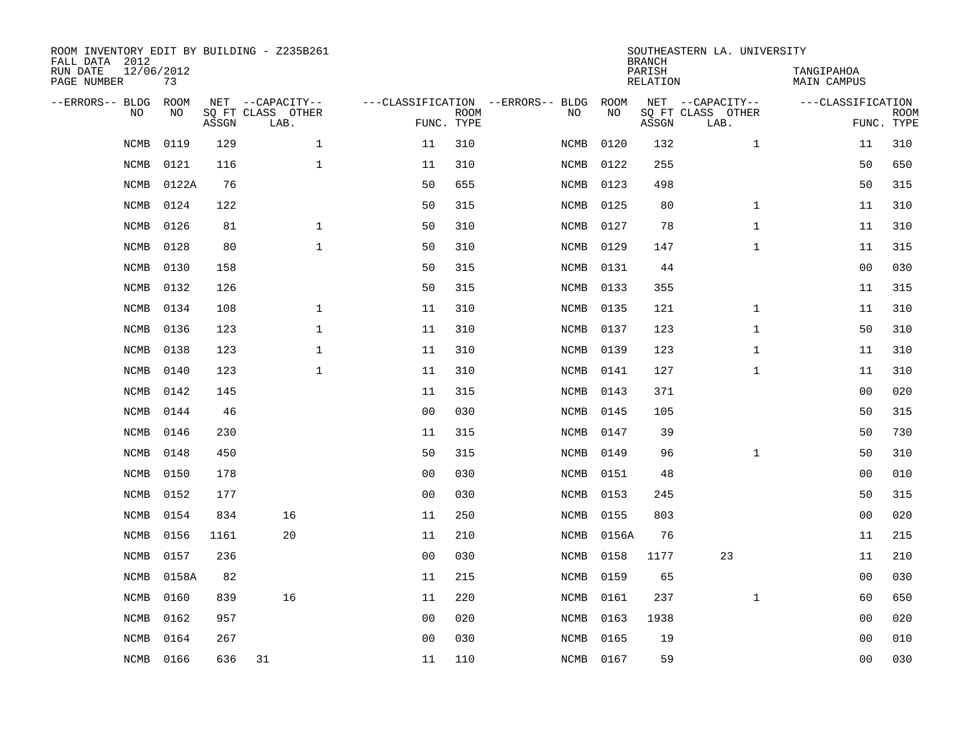| ROOM INVENTORY EDIT BY BUILDING - Z235B261<br>FALL DATA 2012 |                  |       |                           |                |                           |                                   |           | <b>BRANCH</b>             | SOUTHEASTERN LA. UNIVERSITY |                           |                           |
|--------------------------------------------------------------|------------------|-------|---------------------------|----------------|---------------------------|-----------------------------------|-----------|---------------------------|-----------------------------|---------------------------|---------------------------|
| RUN DATE<br>PAGE NUMBER                                      | 12/06/2012<br>73 |       |                           |                |                           |                                   |           | PARISH<br><b>RELATION</b> |                             | TANGIPAHOA<br>MAIN CAMPUS |                           |
| --ERRORS-- BLDG                                              | ROOM             |       | NET --CAPACITY--          |                |                           | ---CLASSIFICATION --ERRORS-- BLDG | ROOM      |                           | NET --CAPACITY--            | ---CLASSIFICATION         |                           |
| NO                                                           | NO               | ASSGN | SQ FT CLASS OTHER<br>LAB. |                | <b>ROOM</b><br>FUNC. TYPE | NO                                | NO        | ASSGN                     | SQ FT CLASS OTHER<br>LAB.   |                           | <b>ROOM</b><br>FUNC. TYPE |
| <b>NCMB</b>                                                  | 0119             | 129   | $\mathbf{1}$              | 11             | 310                       | <b>NCMB</b>                       | 0120      | 132                       | $\mathbf{1}$                | 11                        | 310                       |
| <b>NCMB</b>                                                  | 0121             | 116   | $\mathbf 1$               | 11             | 310                       | NCMB                              | 0122      | 255                       |                             | 50                        | 650                       |
| <b>NCMB</b>                                                  | 0122A            | 76    |                           | 50             | 655                       | NCMB                              | 0123      | 498                       |                             | 50                        | 315                       |
| <b>NCMB</b>                                                  | 0124             | 122   |                           | 50             | 315                       | NCMB                              | 0125      | 80                        | $\mathbf{1}$                | 11                        | 310                       |
| <b>NCMB</b>                                                  | 0126             | 81    | $\mathbf{1}$              | 50             | 310                       | NCMB                              | 0127      | 78                        | $\mathbf{1}$                | 11                        | 310                       |
| <b>NCMB</b>                                                  | 0128             | 80    | $\mathbf 1$               | 50             | 310                       | NCMB                              | 0129      | 147                       | $\mathbf{1}$                | 11                        | 315                       |
| NCMB                                                         | 0130             | 158   |                           | 50             | 315                       | NCMB                              | 0131      | 44                        |                             | 0 <sub>0</sub>            | 030                       |
| NCMB                                                         | 0132             | 126   |                           | 50             | 315                       | NCMB                              | 0133      | 355                       |                             | 11                        | 315                       |
| <b>NCMB</b>                                                  | 0134             | 108   | $\mathbf 1$               | 11             | 310                       | NCMB                              | 0135      | 121                       | $\mathbf{1}$                | 11                        | 310                       |
| <b>NCMB</b>                                                  | 0136             | 123   | $\mathbf 1$               | 11             | 310                       | NCMB                              | 0137      | 123                       | $\mathbf{1}$                | 50                        | 310                       |
| <b>NCMB</b>                                                  | 0138             | 123   | $\mathbf 1$               | 11             | 310                       | NCMB                              | 0139      | 123                       | $\mathbf{1}$                | 11                        | 310                       |
| <b>NCMB</b>                                                  | 0140             | 123   | $\mathbf{1}$              | 11             | 310                       | NCMB                              | 0141      | 127                       | $\mathbf{1}$                | 11                        | 310                       |
| <b>NCMB</b>                                                  | 0142             | 145   |                           | 11             | 315                       | NCMB                              | 0143      | 371                       |                             | 0 <sub>0</sub>            | 020                       |
| <b>NCMB</b>                                                  | 0144             | 46    |                           | 0 <sub>0</sub> | 030                       | NCMB                              | 0145      | 105                       |                             | 50                        | 315                       |
| <b>NCMB</b>                                                  | 0146             | 230   |                           | 11             | 315                       | NCMB                              | 0147      | 39                        |                             | 50                        | 730                       |
| <b>NCMB</b>                                                  | 0148             | 450   |                           | 50             | 315                       | NCMB                              | 0149      | 96                        | $\mathbf{1}$                | 50                        | 310                       |
| <b>NCMB</b>                                                  | 0150             | 178   |                           | 0 <sub>0</sub> | 030                       | NCMB                              | 0151      | 48                        |                             | 00                        | 010                       |
| <b>NCMB</b>                                                  | 0152             | 177   |                           | 0 <sub>0</sub> | 030                       | NCMB                              | 0153      | 245                       |                             | 50                        | 315                       |
| <b>NCMB</b>                                                  | 0154             | 834   | 16                        | 11             | 250                       | NCMB                              | 0155      | 803                       |                             | 0 <sub>0</sub>            | 020                       |
| <b>NCMB</b>                                                  | 0156             | 1161  | 20                        | 11             | 210                       | NCMB                              | 0156A     | 76                        |                             | 11                        | 215                       |
| NCMB                                                         | 0157             | 236   |                           | 0 <sub>0</sub> | 030                       | NCMB                              | 0158      | 1177                      | 23                          | 11                        | 210                       |
| NCMB                                                         | 0158A            | 82    |                           | 11             | 215                       | NCMB                              | 0159      | 65                        |                             | 0 <sub>0</sub>            | 030                       |
| NCMB                                                         | 0160             | 839   | 16                        | 11             | 220                       | NCMB                              | 0161      | 237                       | $\mathbf{1}$                | 60                        | 650                       |
| NCMB                                                         | 0162             | 957   |                           | 0 <sub>0</sub> | 020                       | NCMB                              | 0163      | 1938                      |                             | 00                        | 020                       |
| <b>NCMB</b>                                                  | 0164             | 267   |                           | 0 <sub>0</sub> | 030                       | NCMB                              | 0165      | 19                        |                             | 00                        | 010                       |
|                                                              | NCMB 0166        | 636   | 31                        | 11             | 110                       |                                   | NCMB 0167 | 59                        |                             | 0 <sub>0</sub>            | 030                       |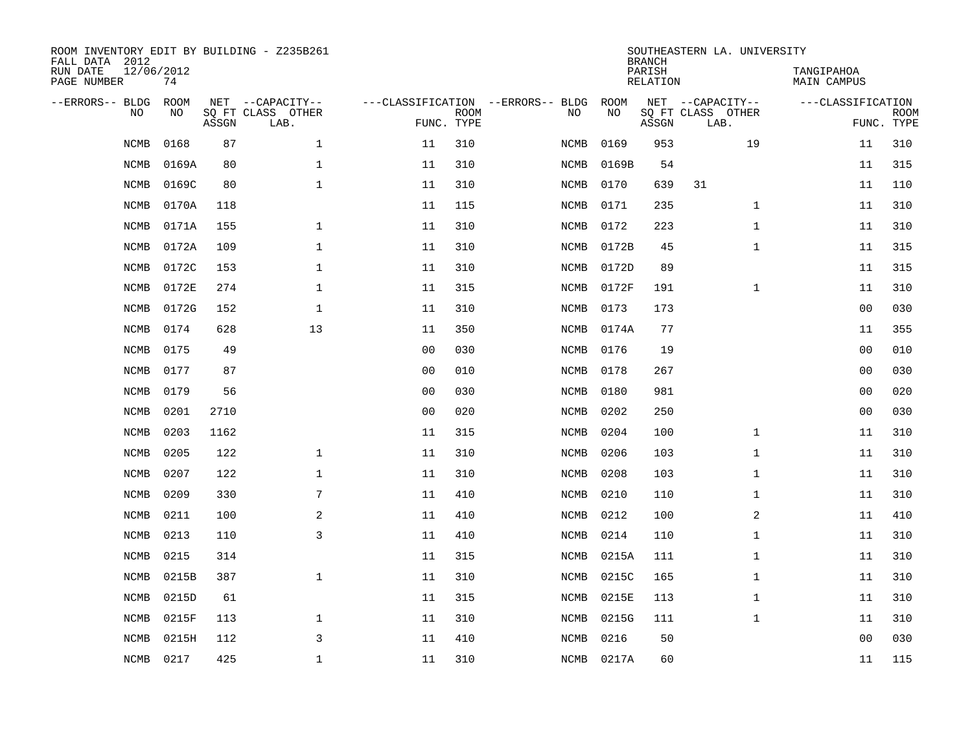| ROOM INVENTORY EDIT BY BUILDING - Z235B261<br>FALL DATA 2012 |                  |       |                           |                |                           |                                          |            | <b>BRANCH</b>      | SOUTHEASTERN LA. UNIVERSITY |                                  |                           |
|--------------------------------------------------------------|------------------|-------|---------------------------|----------------|---------------------------|------------------------------------------|------------|--------------------|-----------------------------|----------------------------------|---------------------------|
| RUN DATE<br>PAGE NUMBER                                      | 12/06/2012<br>74 |       |                           |                |                           |                                          |            | PARISH<br>RELATION |                             | TANGIPAHOA<br><b>MAIN CAMPUS</b> |                           |
| --ERRORS-- BLDG<br>N <sub>O</sub>                            | ROOM<br>NO.      |       | NET --CAPACITY--          |                |                           | ---CLASSIFICATION --ERRORS-- BLDG<br>NO. | ROOM<br>NO |                    | NET --CAPACITY--            | ---CLASSIFICATION                |                           |
|                                                              |                  | ASSGN | SO FT CLASS OTHER<br>LAB. |                | <b>ROOM</b><br>FUNC. TYPE |                                          |            | ASSGN              | SQ FT CLASS OTHER<br>LAB.   |                                  | <b>ROOM</b><br>FUNC. TYPE |
| <b>NCMB</b>                                                  | 0168             | 87    | $\mathbf{1}$              | 11             | 310                       | <b>NCMB</b>                              | 0169       | 953                | 19                          | 11                               | 310                       |
| <b>NCMB</b>                                                  | 0169A            | 80    | $\mathbf 1$               | 11             | 310                       | <b>NCMB</b>                              | 0169B      | 54                 |                             | 11                               | 315                       |
| <b>NCMB</b>                                                  | 0169C            | 80    | $\mathbf{1}$              | 11             | 310                       | NCMB                                     | 0170       | 639                | 31                          | 11                               | 110                       |
| <b>NCMB</b>                                                  | 0170A            | 118   |                           | 11             | 115                       | NCMB                                     | 0171       | 235                | $\mathbf{1}$                | 11                               | 310                       |
| <b>NCMB</b>                                                  | 0171A            | 155   | $\mathbf{1}$              | 11             | 310                       | NCMB                                     | 0172       | 223                | $\mathbf{1}$                | 11                               | 310                       |
| <b>NCMB</b>                                                  | 0172A            | 109   | $\mathbf 1$               | 11             | 310                       | NCMB                                     | 0172B      | 45                 | $\mathbf{1}$                | 11                               | 315                       |
| NCMB                                                         | 0172C            | 153   | $\mathbf 1$               | 11             | 310                       | NCMB                                     | 0172D      | 89                 |                             | 11                               | 315                       |
| <b>NCMB</b>                                                  | 0172E            | 274   | $\mathbf 1$               | 11             | 315                       | <b>NCMB</b>                              | 0172F      | 191                | $\mathbf{1}$                | 11                               | 310                       |
| <b>NCMB</b>                                                  | 0172G            | 152   | $\mathbf 1$               | 11             | 310                       | NCMB                                     | 0173       | 173                |                             | 0 <sub>0</sub>                   | 030                       |
| <b>NCMB</b>                                                  | 0174             | 628   | 13                        | 11             | 350                       | NCMB                                     | 0174A      | 77                 |                             | 11                               | 355                       |
| <b>NCMB</b>                                                  | 0175             | 49    |                           | 0 <sub>0</sub> | 030                       | <b>NCMB</b>                              | 0176       | 19                 |                             | 00                               | 010                       |
| <b>NCMB</b>                                                  | 0177             | 87    |                           | 0 <sub>0</sub> | 010                       | NCMB                                     | 0178       | 267                |                             | 0 <sub>0</sub>                   | 030                       |
| <b>NCMB</b>                                                  | 0179             | 56    |                           | 0 <sub>0</sub> | 030                       | <b>NCMB</b>                              | 0180       | 981                |                             | 0 <sub>0</sub>                   | 020                       |
| <b>NCMB</b>                                                  | 0201             | 2710  |                           | 0 <sub>0</sub> | 020                       | NCMB                                     | 0202       | 250                |                             | 0 <sub>0</sub>                   | 030                       |
| NCMB                                                         | 0203             | 1162  |                           | 11             | 315                       | NCMB                                     | 0204       | 100                | $\mathbf{1}$                | 11                               | 310                       |
| NCMB                                                         | 0205             | 122   | $\mathbf 1$               | 11             | 310                       | NCMB                                     | 0206       | 103                | $\mathbf{1}$                | 11                               | 310                       |
| NCMB                                                         | 0207             | 122   | $\mathbf 1$               | 11             | 310                       | NCMB                                     | 0208       | 103                | $\mathbf{1}$                | 11                               | 310                       |
| <b>NCMB</b>                                                  | 0209             | 330   | 7                         | 11             | 410                       | NCMB                                     | 0210       | 110                | $\mathbf{1}$                | 11                               | 310                       |
| <b>NCMB</b>                                                  | 0211             | 100   | 2                         | 11             | 410                       | NCMB                                     | 0212       | 100                | 2                           | 11                               | 410                       |
| <b>NCMB</b>                                                  | 0213             | 110   | $\overline{3}$            | 11             | 410                       | NCMB                                     | 0214       | 110                | $\mathbf{1}$                | 11                               | 310                       |
| <b>NCMB</b>                                                  | 0215             | 314   |                           | 11             | 315                       | NCMB                                     | 0215A      | 111                | $\mathbf{1}$                | 11                               | 310                       |
| <b>NCMB</b>                                                  | 0215B            | 387   | $\mathbf 1$               | 11             | 310                       | NCMB                                     | 0215C      | 165                | $\mathbf{1}$                | 11                               | 310                       |
| <b>NCMB</b>                                                  | 0215D            | 61    |                           | 11             | 315                       | NCMB                                     | 0215E      | 113                | $\mathbf{1}$                | 11                               | 310                       |
| <b>NCMB</b>                                                  | 0215F            | 113   | $\mathbf 1$               | 11             | 310                       | NCMB                                     | 0215G      | 111                | $\mathbf{1}$                | 11                               | 310                       |
| <b>NCMB</b>                                                  | 0215H            | 112   | 3                         | 11             | 410                       | <b>NCMB</b>                              | 0216       | 50                 |                             | 0 <sub>0</sub>                   | 030                       |
| NCMB                                                         | 0217             | 425   | $\mathbf{1}$              | 11             | 310                       |                                          | NCMB 0217A | 60                 |                             | 11                               | 115                       |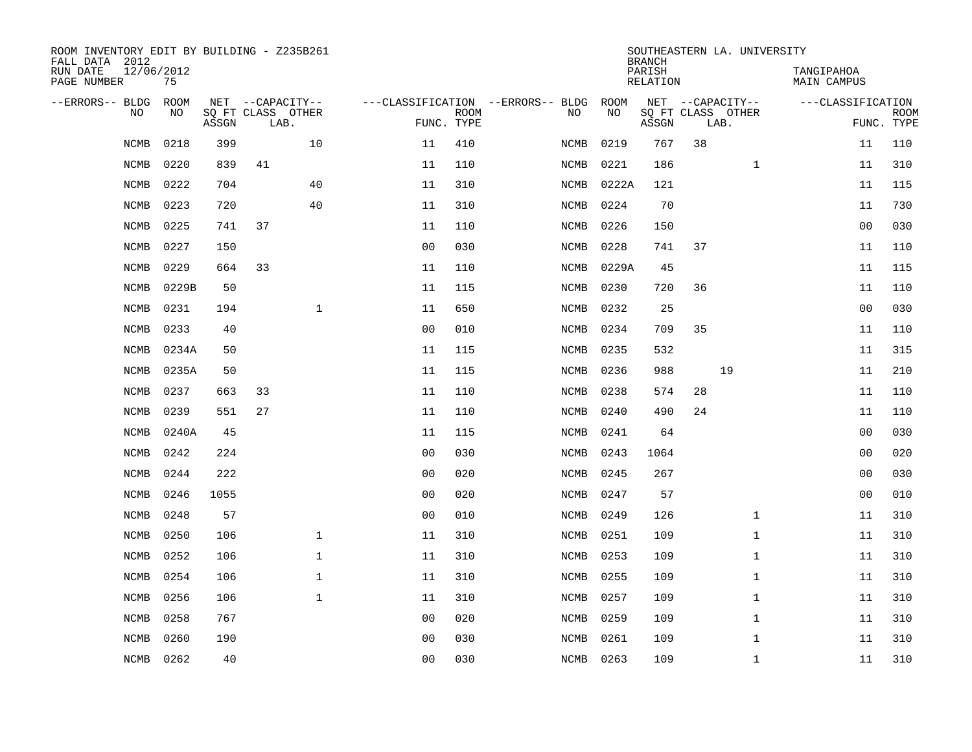| ROOM INVENTORY EDIT BY BUILDING - Z235B261<br>FALL DATA 2012 |                  |       |                           |              |                                   |             |             |           | <b>BRANCH</b>      |    | SOUTHEASTERN LA. UNIVERSITY |                           |                |                           |
|--------------------------------------------------------------|------------------|-------|---------------------------|--------------|-----------------------------------|-------------|-------------|-----------|--------------------|----|-----------------------------|---------------------------|----------------|---------------------------|
| RUN DATE<br>PAGE NUMBER                                      | 12/06/2012<br>75 |       |                           |              |                                   |             |             |           | PARISH<br>RELATION |    |                             | TANGIPAHOA<br>MAIN CAMPUS |                |                           |
| --ERRORS-- BLDG                                              | ROOM             |       | NET --CAPACITY--          |              | ---CLASSIFICATION --ERRORS-- BLDG |             |             | ROOM      |                    |    | NET --CAPACITY--            | ---CLASSIFICATION         |                |                           |
| N <sub>O</sub>                                               | NO.              | ASSGN | SQ FT CLASS OTHER<br>LAB. |              | FUNC. TYPE                        | <b>ROOM</b> | NO.         | <b>NO</b> | ASSGN              |    | SQ FT CLASS OTHER<br>LAB.   |                           |                | <b>ROOM</b><br>FUNC. TYPE |
| <b>NCMB</b>                                                  | 0218             | 399   |                           | 10           | 11                                | 410         | NCMB        | 0219      | 767                | 38 |                             |                           | 11             | 110                       |
| <b>NCMB</b>                                                  | 0220             | 839   | 41                        |              | 11                                | 110         | NCMB        | 0221      | 186                |    | $\mathbf{1}$                |                           | 11             | 310                       |
| NCMB                                                         | 0222             | 704   |                           | 40           | 11                                | 310         | NCMB        | 0222A     | 121                |    |                             |                           | 11             | 115                       |
| <b>NCMB</b>                                                  | 0223             | 720   |                           | 40           | 11                                | 310         | NCMB        | 0224      | 70                 |    |                             |                           | 11             | 730                       |
| <b>NCMB</b>                                                  | 0225             | 741   | 37                        |              | 11                                | 110         | <b>NCMB</b> | 0226      | 150                |    |                             |                           | 0 <sub>0</sub> | 030                       |
| <b>NCMB</b>                                                  | 0227             | 150   |                           |              | 0 <sub>0</sub>                    | 030         | <b>NCMB</b> | 0228      | 741                | 37 |                             |                           | 11             | 110                       |
| <b>NCMB</b>                                                  | 0229             | 664   | 33                        |              | 11                                | 110         | NCMB        | 0229A     | 45                 |    |                             |                           | 11             | 115                       |
| NCMB                                                         | 0229B            | 50    |                           |              | 11                                | 115         | NCMB        | 0230      | 720                | 36 |                             |                           | 11             | 110                       |
| <b>NCMB</b>                                                  | 0231             | 194   |                           | $\mathbf{1}$ | 11                                | 650         | <b>NCMB</b> | 0232      | 25                 |    |                             |                           | 0 <sub>0</sub> | 030                       |
| <b>NCMB</b>                                                  | 0233             | 40    |                           |              | 0 <sub>0</sub>                    | 010         | NCMB        | 0234      | 709                | 35 |                             |                           | 11             | 110                       |
| <b>NCMB</b>                                                  | 0234A            | 50    |                           |              | 11                                | 115         | NCMB        | 0235      | 532                |    |                             |                           | 11             | 315                       |
| <b>NCMB</b>                                                  | 0235A            | 50    |                           |              | 11                                | 115         | NCMB        | 0236      | 988                |    | 19                          |                           | 11             | 210                       |
| <b>NCMB</b>                                                  | 0237             | 663   | 33                        |              | 11                                | 110         | <b>NCMB</b> | 0238      | 574                | 28 |                             |                           | 11             | 110                       |
| <b>NCMB</b>                                                  | 0239             | 551   | 27                        |              | 11                                | 110         | NCMB        | 0240      | 490                | 24 |                             |                           | 11             | 110                       |
| <b>NCMB</b>                                                  | 0240A            | 45    |                           |              | 11                                | 115         | NCMB        | 0241      | 64                 |    |                             |                           | 00             | 030                       |
| <b>NCMB</b>                                                  | 0242             | 224   |                           |              | 0 <sub>0</sub>                    | 030         | NCMB        | 0243      | 1064               |    |                             |                           | 0 <sub>0</sub> | 020                       |
| NCMB                                                         | 0244             | 222   |                           |              | 0 <sub>0</sub>                    | 020         | NCMB        | 0245      | 267                |    |                             |                           | 00             | 030                       |
| NCMB                                                         | 0246             | 1055  |                           |              | 0 <sub>0</sub>                    | 020         | NCMB        | 0247      | 57                 |    |                             |                           | 00             | 010                       |
| <b>NCMB</b>                                                  | 0248             | 57    |                           |              | 0 <sub>0</sub>                    | 010         | NCMB        | 0249      | 126                |    | $\mathbf{1}$                |                           | 11             | 310                       |
| <b>NCMB</b>                                                  | 0250             | 106   |                           | $\mathbf{1}$ | 11                                | 310         | NCMB        | 0251      | 109                |    | $\mathbf{1}$                |                           | 11             | 310                       |
| <b>NCMB</b>                                                  | 0252             | 106   |                           | $\mathbf{1}$ | 11                                | 310         | NCMB        | 0253      | 109                |    | $\mathbf{1}$                |                           | 11             | 310                       |
| <b>NCMB</b>                                                  | 0254             | 106   |                           | $\mathbf 1$  | 11                                | 310         | NCMB        | 0255      | 109                |    | $\mathbf{1}$                |                           | 11             | 310                       |
| <b>NCMB</b>                                                  | 0256             | 106   |                           | $\mathbf{1}$ | 11                                | 310         | NCMB        | 0257      | 109                |    | $\mathbf{1}$                |                           | 11             | 310                       |
| <b>NCMB</b>                                                  | 0258             | 767   |                           |              | 0 <sub>0</sub>                    | 020         | NCMB        | 0259      | 109                |    | $\mathbf{1}$                |                           | 11             | 310                       |
| <b>NCMB</b>                                                  | 0260             | 190   |                           |              | 0 <sub>0</sub>                    | 030         | <b>NCMB</b> | 0261      | 109                |    | $\mathbf{1}$                |                           | 11             | 310                       |
| NCMB                                                         | 0262             | 40    |                           |              | 0 <sub>0</sub>                    | 030         | NCMB 0263   |           | 109                |    | $\mathbf{1}$                |                           | 11             | 310                       |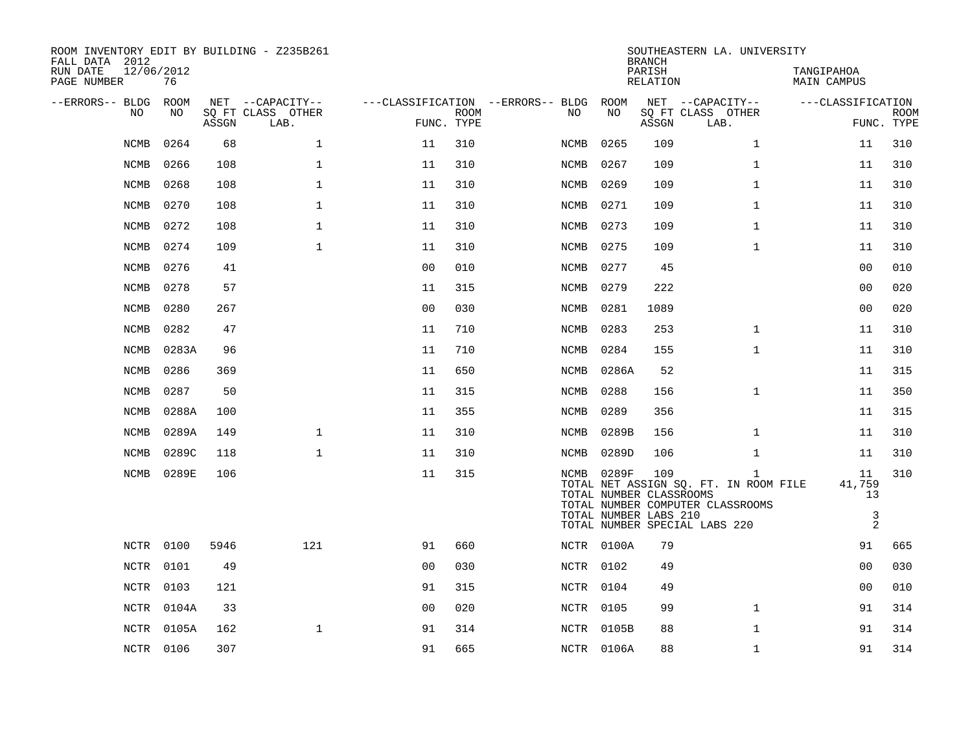| ROOM INVENTORY EDIT BY BUILDING - Z235B261<br>FALL DATA 2012 |                  |       |                           |                |             |                                        |            | <b>BRANCH</b>                                           | SOUTHEASTERN LA. UNIVERSITY                                                               |                                  |                           |
|--------------------------------------------------------------|------------------|-------|---------------------------|----------------|-------------|----------------------------------------|------------|---------------------------------------------------------|-------------------------------------------------------------------------------------------|----------------------------------|---------------------------|
| RUN DATE<br>PAGE NUMBER                                      | 12/06/2012<br>76 |       |                           |                |             |                                        |            | PARISH<br>RELATION                                      |                                                                                           | TANGIPAHOA<br><b>MAIN CAMPUS</b> |                           |
| --ERRORS-- BLDG ROOM                                         |                  |       | NET --CAPACITY--          |                |             | ---CLASSIFICATION --ERRORS-- BLDG ROOM |            |                                                         | NET --CAPACITY--                                                                          | ---CLASSIFICATION                |                           |
| NO.                                                          | NO.              | ASSGN | SO FT CLASS OTHER<br>LAB. | FUNC. TYPE     | <b>ROOM</b> | NO.                                    | NO         | ASSGN                                                   | SQ FT CLASS OTHER<br>LAB.                                                                 |                                  | <b>ROOM</b><br>FUNC. TYPE |
| <b>NCMB</b>                                                  | 0264             | 68    | $\mathbf{1}$              | 11             | 310         | NCMB                                   | 0265       | 109                                                     | $\mathbf{1}$                                                                              | 11                               | 310                       |
| NCMB                                                         | 0266             | 108   | $\mathbf{1}$              | 11             | 310         | NCMB                                   | 0267       | 109                                                     | $\mathbf{1}$                                                                              | 11                               | 310                       |
| NCMB                                                         | 0268             | 108   | $\mathbf 1$               | 11             | 310         | NCMB                                   | 0269       | 109                                                     | $\mathbf{1}$                                                                              | 11                               | 310                       |
| NCMB                                                         | 0270             | 108   | $\mathbf 1$               | 11             | 310         | NCMB                                   | 0271       | 109                                                     | $\mathbf{1}$                                                                              | 11                               | 310                       |
| <b>NCMB</b>                                                  | 0272             | 108   | $\mathbf 1$               | 11             | 310         | NCMB                                   | 0273       | 109                                                     | $\mathbf{1}$                                                                              | 11                               | 310                       |
| NCMB                                                         | 0274             | 109   | $\mathbf{1}$              | 11             | 310         | NCMB                                   | 0275       | 109                                                     | $\mathbf{1}$                                                                              | 11                               | 310                       |
| NCMB                                                         | 0276             | 41    |                           | 0 <sub>0</sub> | 010         | NCMB                                   | 0277       | 45                                                      |                                                                                           | 0 <sub>0</sub>                   | 010                       |
| NCMB                                                         | 0278             | 57    |                           | 11             | 315         | NCMB                                   | 0279       | 222                                                     |                                                                                           | 0 <sub>0</sub>                   | 020                       |
| NCMB                                                         | 0280             | 267   |                           | 0 <sub>0</sub> | 030         | NCMB                                   | 0281       | 1089                                                    |                                                                                           | 0 <sub>0</sub>                   | 020                       |
| NCMB                                                         | 0282             | 47    |                           | 11             | 710         | NCMB                                   | 0283       | 253                                                     | $\mathbf{1}$                                                                              | 11                               | 310                       |
| NCMB                                                         | 0283A            | 96    |                           | 11             | 710         | NCMB                                   | 0284       | 155                                                     | $\mathbf{1}$                                                                              | 11                               | 310                       |
| <b>NCMB</b>                                                  | 0286             | 369   |                           | 11             | 650         | NCMB                                   | 0286A      | 52                                                      |                                                                                           | 11                               | 315                       |
| NCMB                                                         | 0287             | 50    |                           | 11             | 315         | NCMB                                   | 0288       | 156                                                     | $\mathbf{1}$                                                                              | 11                               | 350                       |
| NCMB                                                         | 0288A            | 100   |                           | 11             | 355         | NCMB                                   | 0289       | 356                                                     |                                                                                           | 11                               | 315                       |
| NCMB                                                         | 0289A            | 149   | $\mathbf{1}$              | 11             | 310         | NCMB                                   | 0289B      | 156                                                     | $\mathbf{1}$                                                                              | 11                               | 310                       |
| NCMB                                                         | 0289C            | 118   | $\mathbf{1}$              | 11             | 310         | NCMB                                   | 0289D      | 106                                                     | $\mathbf{1}$                                                                              | 11                               | 310                       |
| NCMB                                                         | 0289E            | 106   |                           | 11             | 315         |                                        | NCMB 0289F | 109<br>TOTAL NUMBER CLASSROOMS<br>TOTAL NUMBER LABS 210 | $\mathbf{1}$<br>TOTAL NET ASSIGN SQ. FT. IN ROOM FILE<br>TOTAL NUMBER COMPUTER CLASSROOMS | 11<br>41,759<br>13<br>3          | 310                       |
|                                                              |                  |       |                           |                |             |                                        |            |                                                         | TOTAL NUMBER SPECIAL LABS 220                                                             | 2                                |                           |
|                                                              | NCTR 0100        | 5946  | 121                       | 91             | 660         |                                        | NCTR 0100A | 79                                                      |                                                                                           | 91                               | 665                       |
|                                                              | NCTR 0101        | 49    |                           | 00             | 030         |                                        | NCTR 0102  | 49                                                      |                                                                                           | 0 <sub>0</sub>                   | 030                       |
|                                                              | NCTR 0103        | 121   |                           | 91             | 315         |                                        | NCTR 0104  | 49                                                      |                                                                                           | 0 <sub>0</sub>                   | 010                       |
|                                                              | NCTR 0104A       | 33    |                           | 0 <sub>0</sub> | 020         |                                        | NCTR 0105  | 99                                                      | $\mathbf{1}$                                                                              | 91                               | 314                       |
|                                                              | NCTR 0105A       | 162   | 1                         | 91             | 314         |                                        | NCTR 0105B | 88                                                      | $\mathbf{1}$                                                                              | 91                               | 314                       |
|                                                              | NCTR 0106        | 307   |                           | 91             | 665         |                                        | NCTR 0106A | 88                                                      | $\mathbf{1}$                                                                              | 91                               | 314                       |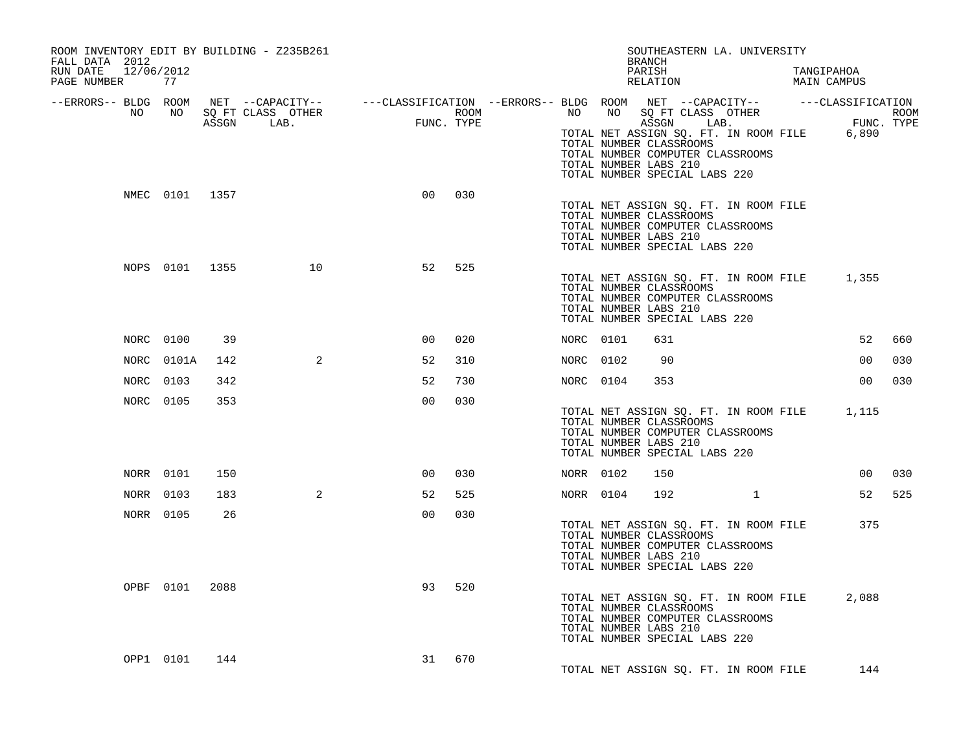| ROOM INVENTORY EDIT BY BUILDING - Z235B261<br>FALL DATA 2012<br>RUN DATE 12/06/2012<br>PAGE NUMBER | 77             |     |                                                                                                                                   |                |            |             |           | SOUTHEASTERN LA. UNIVERSITY<br><b>BRANCH</b><br>PARISH<br>RELATION                                                                                                                                                          |  | TANGIPAHOA<br>MAIN CAMPUS |     |
|----------------------------------------------------------------------------------------------------|----------------|-----|-----------------------------------------------------------------------------------------------------------------------------------|----------------|------------|-------------|-----------|-----------------------------------------------------------------------------------------------------------------------------------------------------------------------------------------------------------------------------|--|---------------------------|-----|
| --ERRORS-- BLDG ROOM<br>NO                                                                         | NO             |     | NET --CAPACITY-- - ---CLASSIFICATION --ERRORS-- BLDG ROOM NET --CAPACITY-- - ---CLASSIFICATION<br>SQ FT CLASS OTHER<br>ASSGN LAB. | <b>FUNC</b>    | FUNC. TYPE | <b>ROOM</b> |           | NO NO SOFT CLASS OTHER ROOM ROOM ASSGN LAB. FUNC. TYPE TOTAL NET ASSIGN SO. FT. IN ROOM FILE 6,890<br>TOTAL NUMBER CLASSROOMS<br>TOTAL NUMBER COMPUTER CLASSROOMS<br>TOTAL NUMBER LABS 210<br>TOTAL NUMBER SPECIAL LABS 220 |  |                           |     |
|                                                                                                    | NMEC 0101 1357 |     |                                                                                                                                   | 0 <sub>0</sub> | 030        |             |           | TOTAL NET ASSIGN SQ. FT. IN ROOM FILE<br>TOTAL NUMBER CLASSROOMS<br>TOTAL NUMBER COMPUTER CLASSROOMS<br>TOTAL NUMBER LABS 210<br>TOTAL NUMBER SPECIAL LABS 220                                                              |  |                           |     |
|                                                                                                    |                |     | 10<br>NOPS 0101 1355                                                                                                              | 52             | 525        |             |           | TOTAL NET ASSIGN SQ. FT. IN ROOM FILE 1,355<br>TOTAL NUMBER CLASSROOMS<br>TOTAL NUMBER COMPUTER CLASSROOMS<br>TOTAL NUMBER LABS 210<br>TOTAL NUMBER SPECIAL LABS 220                                                        |  |                           |     |
|                                                                                                    | NORC 0100      | 39  |                                                                                                                                   | 00             | 020        |             | NORC 0101 | 631                                                                                                                                                                                                                         |  | 52                        | 660 |
|                                                                                                    | NORC 0101A     | 142 | 2                                                                                                                                 | 52             | 310        |             | NORC 0102 | 90                                                                                                                                                                                                                          |  | 0 <sub>0</sub>            | 030 |
|                                                                                                    | NORC 0103      | 342 |                                                                                                                                   | 52             | 730        |             | NORC 0104 | 353                                                                                                                                                                                                                         |  | 0 <sub>0</sub>            | 030 |
|                                                                                                    | NORC 0105      | 353 |                                                                                                                                   | 0 <sub>0</sub> | 030        |             |           | TOTAL NET ASSIGN SQ. FT. IN ROOM FILE<br>TOTAL NUMBER CLASSROOMS<br>TOTAL NUMBER COMPUTER CLASSROOMS<br>TOTAL NUMBER LABS 210<br>TOTAL NUMBER SPECIAL LABS 220                                                              |  | 1,115                     |     |
|                                                                                                    | NORR 0101      | 150 |                                                                                                                                   | 00             | 030        |             | NORR 0102 | 150                                                                                                                                                                                                                         |  | 00                        | 030 |
|                                                                                                    | NORR 0103      | 183 | $\overline{2}$                                                                                                                    | 52             | 525        |             | NORR 0104 | 192                                                                                                                                                                                                                         |  | 52                        | 525 |
|                                                                                                    | NORR 0105      | 26  |                                                                                                                                   | 0 <sub>0</sub> | 030        |             |           | TOTAL NET ASSIGN SQ. FT. IN ROOM FILE<br>TOTAL NUMBER CLASSROOMS<br>TOTAL NUMBER COMPUTER CLASSROOMS<br>TOTAL NUMBER LABS 210<br>TOTAL NUMBER SPECIAL LABS 220                                                              |  | 375                       |     |
|                                                                                                    | OPBF 0101 2088 |     |                                                                                                                                   | 93             | 520        |             |           | TOTAL NET ASSIGN SQ. FT. IN ROOM FILE<br>TOTAL NUMBER CLASSROOMS<br>TOTAL NUMBER COMPUTER CLASSROOMS<br>TOTAL NUMBER LABS 210<br>TOTAL NUMBER SPECIAL LABS 220                                                              |  | 2,088                     |     |
|                                                                                                    | OPP1 0101      | 144 |                                                                                                                                   | 31             | 670        |             |           | TOTAL NET ASSIGN SQ. FT. IN ROOM FILE                                                                                                                                                                                       |  | 144                       |     |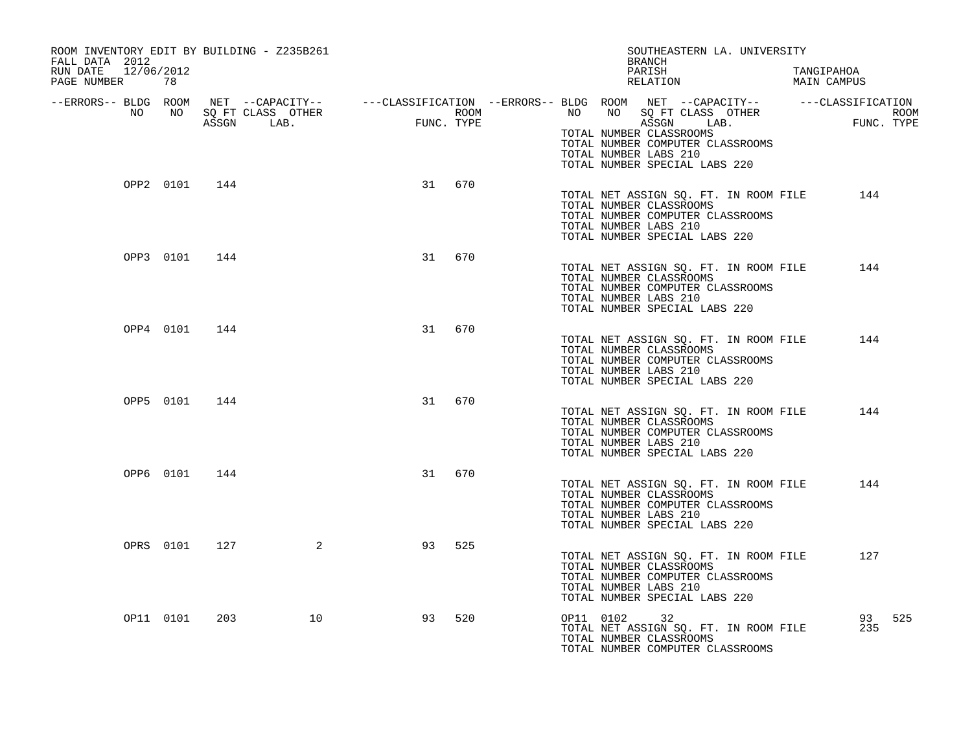| ROOM INVENTORY EDIT BY BUILDING - Z235B261<br>FALL DATA 2012<br>RUN DATE 12/06/2012 |               |                 |    |        | SOUTHEASTERN LA. UNIVERSITY<br>BRANCH<br>PARISH<br>TANGIPAHOA                                                                                                                                                                                                                                                                                                 |     |
|-------------------------------------------------------------------------------------|---------------|-----------------|----|--------|---------------------------------------------------------------------------------------------------------------------------------------------------------------------------------------------------------------------------------------------------------------------------------------------------------------------------------------------------------------|-----|
| PAGE NUMBER 78                                                                      |               |                 |    |        | RELATION MAIN CAMPUS                                                                                                                                                                                                                                                                                                                                          |     |
|                                                                                     |               |                 |    |        | ERRORS-- BLDG ROOM NET --CAPACITY--- --CLASSIFICATION --ERRORS-- BLDG ROOM NET --CAPACITY----------CLASSIFICATION--<br>NO NO SQ FT CLASS OTHER ROOM NO ROOM NO SQ FT CLASS OTHER ROOM<br>ASSGN LAB. FUNC. TYPE 1999 1999 1999 1999 1<br>TOTAL NUMBER CLASSROOMS<br>TOTAL NUMBER COMPUTER CLASSROOMS<br>TOTAL NUMBER LABS 210<br>TOTAL NUMBER SPECIAL LABS 220 |     |
|                                                                                     | OPP2 0101 144 |                 |    | 31 670 | TOTAL NET ASSIGN SQ. FT. IN ROOM FILE<br>144<br>TOTAL NUMBER CLASSROOMS<br>TOTAL NUMBER COMPUTER CLASSROOMS<br>TOTAL NUMBER LABS 210<br>TOTAL NUMBER SPECIAL LABS 220                                                                                                                                                                                         |     |
|                                                                                     | OPP3 0101 144 |                 |    | 31 670 | TOTAL NET ASSIGN SQ. FT. IN ROOM FILE<br>144<br>TOTAL NUMBER CLASSROOMS<br>TOTAL NUMBER COMPUTER CLASSROOMS<br>TOTAL NUMBER LABS 210<br>TOTAL NUMBER SPECIAL LABS 220                                                                                                                                                                                         |     |
|                                                                                     | OPP4 0101 144 |                 |    | 31 670 | TOTAL NET ASSIGN SQ. FT. IN ROOM FILE 144<br>TOTAL NUMBER CLASSROOMS<br>TOTAL NUMBER COMPUTER CLASSROOMS<br>TOTAL NUMBER LABS 210<br>TOTAL NUMBER SPECIAL LABS 220                                                                                                                                                                                            |     |
|                                                                                     | OPP5 0101 144 |                 | 31 | 670    | TOTAL NET ASSIGN SQ. FT. IN ROOM FILE<br>144<br>TOTAL NUMBER CLASSROOMS<br>TOTAL NUMBER COMPUTER CLASSROOMS<br>TOTAL NUMBER LABS 210<br>TOTAL NUMBER SPECIAL LABS 220                                                                                                                                                                                         |     |
|                                                                                     | OPP6 0101 144 |                 | 31 | 670    | TOTAL NET ASSIGN SQ. FT. IN ROOM FILE 144<br>TOTAL NUMBER CLASSROOMS<br>TOTAL NUMBER COMPUTER CLASSROOMS<br>TOTAL NUMBER LABS 210<br>TOTAL NUMBER SPECIAL LABS 220                                                                                                                                                                                            |     |
|                                                                                     |               | OPRS 0101 127 2 | 93 | 525    | TOTAL NET ASSIGN SQ. FT. IN ROOM FILE<br>127<br>TOTAL NUMBER CLASSROOMS<br>TOTAL NUMBER COMPUTER CLASSROOMS<br>TOTAL NUMBER LABS 210<br>TOTAL NUMBER SPECIAL LABS 220                                                                                                                                                                                         |     |
| OP11 0101                                                                           |               | 203<br>10       | 93 | 520    | OP11 0102 32<br>93<br>TOTAL NET ASSIGN SQ. FT. IN ROOM FILE<br>235<br>TOTAL NUMBER CLASSROOMS<br>TOTAL NUMBER COMPUTER CLASSROOMS                                                                                                                                                                                                                             | 525 |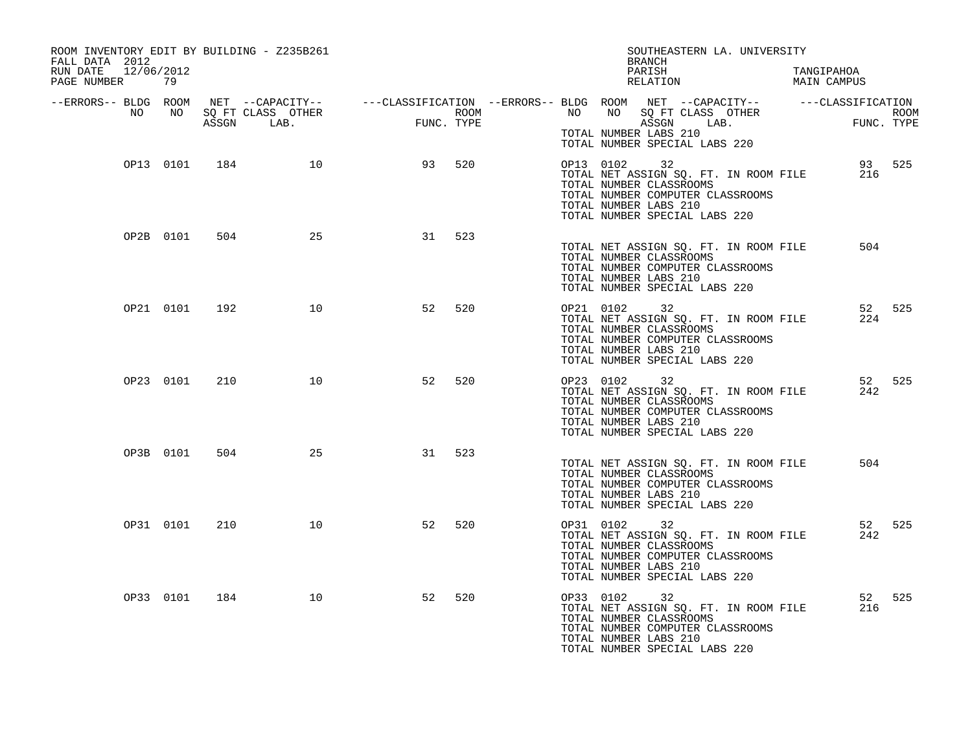| ROOM INVENTORY EDIT BY BUILDING - Z235B261<br>FALL DATA 2012<br>RUN DATE 12/06/2012<br>PAGE NUMBER 79 |           |     |           |                         |     |           | SOUTHEASTERN LA. UNIVERSITY<br>BRANCH<br>PARISH TANGIPAHOA RELATION MAIN CAMPUS                                                                                                                                  |               |        |
|-------------------------------------------------------------------------------------------------------|-----------|-----|-----------|-------------------------|-----|-----------|------------------------------------------------------------------------------------------------------------------------------------------------------------------------------------------------------------------|---------------|--------|
|                                                                                                       |           |     |           |                         |     |           | ERRORS-- BLDG ROOM NET --CAPACITY--------CLASSIFICATION--ERRORS-- BLDG ROOM NET --CAPACITY-------------------<br>NO NO SQ FT CLASS OTHER<br>ASSGN LAB. FUNC. TYPE TIME ASSGN ASSGN LAB.<br>TOTAL NUMBER LABS 210 |               |        |
|                                                                                                       |           |     |           | OP13 0101 184 10 93 520 |     |           | TOTAL NUMBER SPECIAL LABS 220<br>93 525<br>TOTAL NET ASSIGN SQ. FT. IN ROOM FILE 216<br>TOTAL NUMBER CLASSROOMS                                                                                                  |               |        |
|                                                                                                       |           |     |           |                         |     |           | TOTAL NUMBER COMPUTER CLASSROOMS<br>TOTAL NUMBER LABS 210<br>TOTAL NUMBER SPECIAL LABS 220                                                                                                                       |               |        |
|                                                                                                       | OP2B 0101 | 504 | 25        | 31                      | 523 |           | TOTAL NET ASSIGN SQ. FT. IN ROOM FILE<br>TOTAL NUMBER CLASSROOMS<br>TOTAL NUMBER COMPUTER CLASSROOMS<br>TOTAL NUMBER LABS 210<br>TOTAL NUMBER SPECIAL LABS 220                                                   | 504           |        |
|                                                                                                       | OP21 0101 | 192 | 10        | 52                      | 520 |           | OP21 0102 32<br>TOTAL NET ASSIGN SQ. FT. IN ROOM FILE<br>TOTAL NUMBER CLASSROOMS<br>TOTAL NUMBER COMPUTER CLASSROOMS<br>TOTAL NUMBER LABS 210<br>TOTAL NUMBER SPECIAL LABS 220                                   | 52 525<br>224 |        |
|                                                                                                       | OP23 0101 | 210 | 10        | 52                      | 520 | OP23 0102 | 32<br>TOTAL NET ASSIGN SQ. FT. IN ROOM FILE<br>TOTAL NUMBER CLASSROOMS<br>TOTAL NUMBER COMPUTER CLASSROOMS<br>TOTAL NUMBER LABS 210<br>TOTAL NUMBER SPECIAL LABS 220                                             | 52 525<br>242 |        |
|                                                                                                       | OP3B 0101 | 504 | 25        | 31                      | 523 |           | TOTAL NET ASSIGN SQ. FT. IN ROOM FILE<br>TOTAL NUMBER CLASSROOMS<br>TOTAL NUMBER COMPUTER CLASSROOMS<br>TOTAL NUMBER LABS 210<br>TOTAL NUMBER SPECIAL LABS 220                                                   | 504           |        |
|                                                                                                       | OP31 0101 | 210 | 10        | 52                      | 520 |           | OP31 0102 32<br>TOTAL NET ASSIGN SQ. FT. IN ROOM FILE<br>TOTAL NUMBER CLASSROOMS<br>TOTAL NUMBER COMPUTER CLASSROOMS<br>TOTAL NUMBER LABS 210<br>TOTAL NUMBER SPECIAL LABS 220                                   | 52 525<br>242 |        |
|                                                                                                       | OP33 0101 |     | 184<br>10 | 52                      | 520 | OP33 0102 | 32<br>TOTAL NET ASSIGN SQ. FT. IN ROOM FILE<br>TOTAL NUMBER CLASSROOMS<br>TOTAL NUMBER COMPUTER CLASSROOMS<br>TOTAL NUMBER LABS 210<br>TOTAL NUMBER SPECIAL LABS 220                                             | 216           | 52 525 |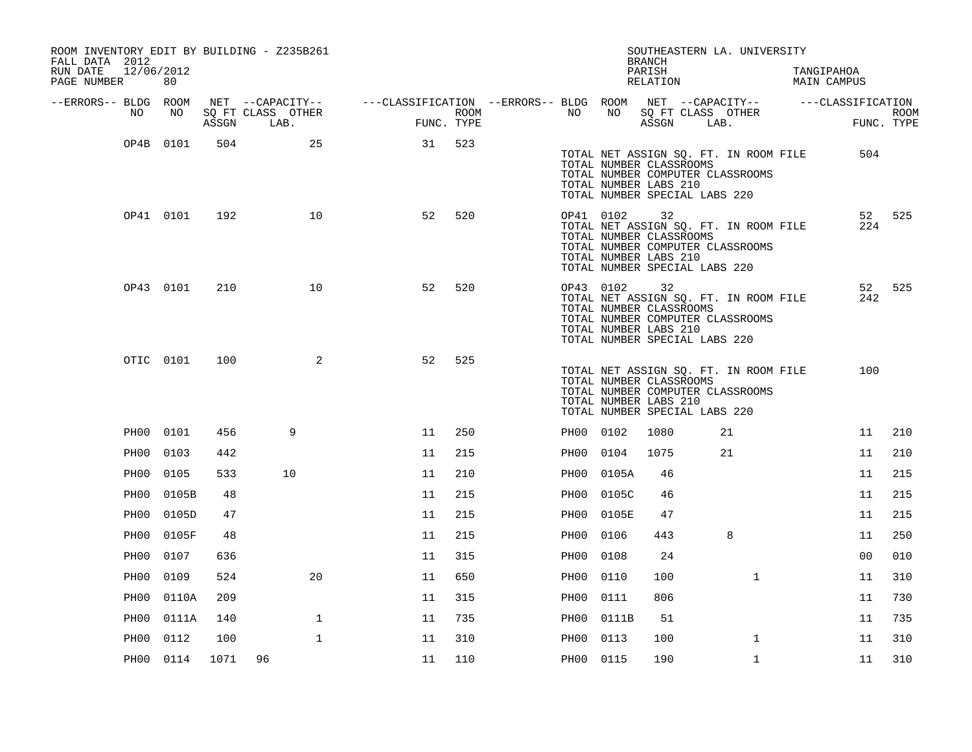| ROOM INVENTORY EDIT BY BUILDING - Z235B261<br>FALL DATA 2012 |           |      |                   |                                                                                                |      |           |                                                                                                   | <b>BRANCH</b>      | SOUTHEASTERN LA. UNIVERSITY                                               |                           |             |
|--------------------------------------------------------------|-----------|------|-------------------|------------------------------------------------------------------------------------------------|------|-----------|---------------------------------------------------------------------------------------------------|--------------------|---------------------------------------------------------------------------|---------------------------|-------------|
| 12/06/2012<br>RUN DATE<br>PAGE NUMBER                        | 80        |      |                   |                                                                                                |      |           |                                                                                                   | PARISH<br>RELATION |                                                                           | TANGIPAHOA<br>MAIN CAMPUS |             |
| --ERRORS-- BLDG ROOM<br>NO                                   | NO        |      | SQ FT CLASS OTHER | NET --CAPACITY-- - ---CLASSIFICATION --ERRORS-- BLDG ROOM NET --CAPACITY-- - ---CLASSIFICATION | ROOM | NO        | NO                                                                                                |                    | SQ FT CLASS OTHER                                                         |                           | <b>ROOM</b> |
|                                                              |           |      | ASSGN LAB.        | FUNC. TYPE                                                                                     |      |           |                                                                                                   | ASSGN LAB.         |                                                                           |                           | FUNC. TYPE  |
|                                                              | OP4B 0101 | 504  | 25                | 31                                                                                             | 523  |           | TOTAL NUMBER CLASSROOMS<br>TOTAL NUMBER LABS 210<br>TOTAL NUMBER SPECIAL LABS 220                 |                    | TOTAL NET ASSIGN SQ. FT. IN ROOM FILE<br>TOTAL NUMBER COMPUTER CLASSROOMS | 504                       |             |
|                                                              | OP41 0101 | 192  | 10                | 52                                                                                             | 520  |           | OP41 0102 32<br>TOTAL NUMBER CLASSROOMS<br>TOTAL NUMBER LABS 210<br>TOTAL NUMBER SPECIAL LABS 220 |                    | TOTAL NET ASSIGN SQ. FT. IN ROOM FILE<br>TOTAL NUMBER COMPUTER CLASSROOMS | 52<br>224                 | 525         |
|                                                              | OP43 0101 | 210  | 10                | 52                                                                                             | 520  | OP43 0102 | TOTAL NUMBER CLASSROOMS<br>TOTAL NUMBER LABS 210<br>TOTAL NUMBER SPECIAL LABS 220                 | 32                 | TOTAL NET ASSIGN SQ. FT. IN ROOM FILE<br>TOTAL NUMBER COMPUTER CLASSROOMS | 52<br>242                 | 525         |
|                                                              | OTIC 0101 | 100  | 2                 | 52                                                                                             | 525  |           | TOTAL NUMBER CLASSROOMS<br>TOTAL NUMBER LABS 210<br>TOTAL NUMBER SPECIAL LABS 220                 |                    | TOTAL NET ASSIGN SQ. FT. IN ROOM FILE<br>TOTAL NUMBER COMPUTER CLASSROOMS | 100                       |             |
|                                                              | PH00 0101 | 456  | 9                 | 11                                                                                             | 250  | PH00 0102 |                                                                                                   | 1080               | 21                                                                        | 11                        | 210         |
| PH00                                                         | 0103      | 442  |                   | 11                                                                                             | 215  | PH00 0104 |                                                                                                   | 1075               | 21                                                                        | 11                        | 210         |
| PH00                                                         | 0105      | 533  | 10                | 11                                                                                             | 210  |           | PH00 0105A                                                                                        | 46                 |                                                                           | 11                        | 215         |
| PH00                                                         | 0105B     | 48   |                   | 11                                                                                             | 215  | PH00      | 0105C                                                                                             | 46                 |                                                                           | 11                        | 215         |
| PH00                                                         | 0105D     | 47   |                   | 11                                                                                             | 215  | PH00      | 0105E                                                                                             | 47                 |                                                                           | 11                        | 215         |
| PH00                                                         | 0105F     | 48   |                   | 11                                                                                             | 215  | PH00      | 0106                                                                                              | 443                | 8                                                                         | 11                        | 250         |
| PH00                                                         | 0107      | 636  |                   | 11                                                                                             | 315  | PHOO      | 0108                                                                                              | 24                 |                                                                           | 0 <sub>0</sub>            | 010         |
| PH00                                                         | 0109      | 524  | 20                | 11                                                                                             | 650  | PH00      | 0110                                                                                              | 100                | $\mathbf{1}$                                                              | 11                        | 310         |
| PH00                                                         | 0110A     | 209  |                   | 11                                                                                             | 315  | PH00 0111 |                                                                                                   | 806                |                                                                           | 11                        | 730         |
| PH00                                                         | 0111A     | 140  | $\mathbf 1$       | 11                                                                                             | 735  | PH00      | 0111B                                                                                             | 51                 |                                                                           | 11                        | 735         |
| PH00                                                         | 0112      | 100  | $\mathbf 1$       | 11                                                                                             | 310  | PH00      | 0113                                                                                              | 100                | $\mathbf{1}$                                                              | 11                        | 310         |
|                                                              | PH00 0114 | 1071 | 96                | 11                                                                                             | 110  | PH00 0115 |                                                                                                   | 190                | $\mathbf{1}$                                                              | 11                        | 310         |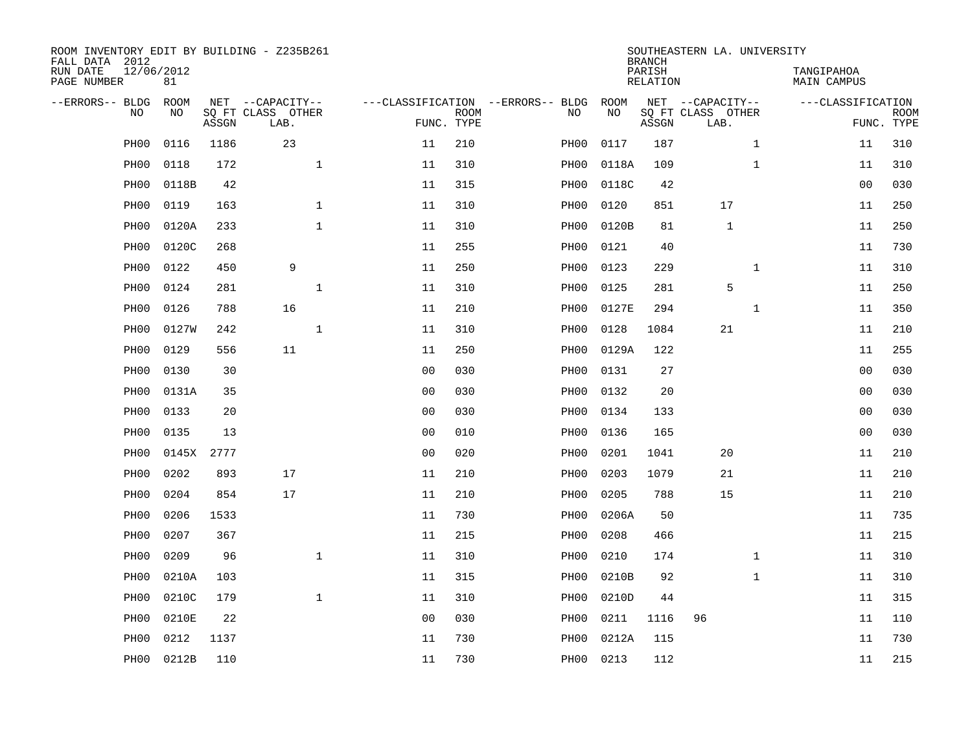| ROOM INVENTORY EDIT BY BUILDING - Z235B261<br>FALL DATA 2012 |                  |       |                           |                |                           |                                   |       | <b>BRANCH</b>             | SOUTHEASTERN LA. UNIVERSITY |              |                                  |                           |
|--------------------------------------------------------------|------------------|-------|---------------------------|----------------|---------------------------|-----------------------------------|-------|---------------------------|-----------------------------|--------------|----------------------------------|---------------------------|
| RUN DATE<br>PAGE NUMBER                                      | 12/06/2012<br>81 |       |                           |                |                           |                                   |       | PARISH<br><b>RELATION</b> |                             |              | TANGIPAHOA<br><b>MAIN CAMPUS</b> |                           |
| --ERRORS-- BLDG                                              | ROOM             |       | NET --CAPACITY--          |                |                           | ---CLASSIFICATION --ERRORS-- BLDG | ROOM  |                           | NET --CAPACITY--            |              | ---CLASSIFICATION                |                           |
| NO                                                           | NO               | ASSGN | SQ FT CLASS OTHER<br>LAB. |                | <b>ROOM</b><br>FUNC. TYPE | NO                                | NO    | ASSGN                     | SQ FT CLASS OTHER<br>LAB.   |              |                                  | <b>ROOM</b><br>FUNC. TYPE |
| PH <sub>0</sub> 0                                            | 0116             | 1186  | 23                        | 11             | 210                       | PH00                              | 0117  | 187                       |                             | $\mathbf{1}$ | 11                               | 310                       |
| PH00                                                         | 0118             | 172   | $\mathbf{1}$              | 11             | 310                       | PH00                              | 0118A | 109                       |                             | $\mathbf{1}$ | 11                               | 310                       |
| PH00                                                         | 0118B            | 42    |                           | 11             | 315                       | PH00                              | 0118C | 42                        |                             |              | 00                               | 030                       |
| PH00                                                         | 0119             | 163   | $\mathbf 1$               | 11             | 310                       | PH00                              | 0120  | 851                       | 17                          |              | 11                               | 250                       |
| PH <sub>00</sub>                                             | 0120A            | 233   | $\mathbf{1}$              | 11             | 310                       | PH00                              | 0120B | 81                        | $\mathbf{1}$                |              | 11                               | 250                       |
| PH00                                                         | 0120C            | 268   |                           | 11             | 255                       | PH00                              | 0121  | 40                        |                             |              | 11                               | 730                       |
| PH00                                                         | 0122             | 450   | 9                         | 11             | 250                       | PH00                              | 0123  | 229                       |                             | $\mathbf{1}$ | 11                               | 310                       |
| PH00                                                         | 0124             | 281   | $\mathbf 1$               | 11             | 310                       | PH00                              | 0125  | 281                       | 5                           |              | 11                               | 250                       |
| PH00                                                         | 0126             | 788   | 16                        | 11             | 210                       | PH00                              | 0127E | 294                       |                             | $\mathbf{1}$ | 11                               | 350                       |
| PH <sub>00</sub>                                             | 0127W            | 242   | $\mathbf{1}$              | 11             | 310                       | PH00                              | 0128  | 1084                      | 21                          |              | 11                               | 210                       |
| PH00                                                         | 0129             | 556   | 11                        | 11             | 250                       | PH00                              | 0129A | 122                       |                             |              | 11                               | 255                       |
| PH00                                                         | 0130             | 30    |                           | 0 <sub>0</sub> | 030                       | PH00                              | 0131  | 27                        |                             |              | 0 <sub>0</sub>                   | 030                       |
| PH00                                                         | 0131A            | 35    |                           | 0 <sub>0</sub> | 030                       | PH00                              | 0132  | 20                        |                             |              | 0 <sub>0</sub>                   | 030                       |
| PH <sub>00</sub>                                             | 0133             | 20    |                           | 0 <sub>0</sub> | 030                       | PH00                              | 0134  | 133                       |                             |              | 00                               | 030                       |
| PH <sub>00</sub>                                             | 0135             | 13    |                           | 0 <sub>0</sub> | 010                       | PH00                              | 0136  | 165                       |                             |              | 0 <sub>0</sub>                   | 030                       |
| PH <sub>00</sub>                                             | 0145X 2777       |       |                           | 0 <sub>0</sub> | 020                       | PH00                              | 0201  | 1041                      | 20                          |              | 11                               | 210                       |
| PH <sub>00</sub>                                             | 0202             | 893   | 17                        | 11             | 210                       | PH00                              | 0203  | 1079                      | 21                          |              | 11                               | 210                       |
| PH00                                                         | 0204             | 854   | 17                        | 11             | 210                       | PH00                              | 0205  | 788                       | 15                          |              | 11                               | 210                       |
| PH00                                                         | 0206             | 1533  |                           | 11             | 730                       | PH00                              | 0206A | 50                        |                             |              | 11                               | 735                       |
| PH <sub>00</sub>                                             | 0207             | 367   |                           | 11             | 215                       | PH00                              | 0208  | 466                       |                             |              | 11                               | 215                       |
| PH <sub>00</sub>                                             | 0209             | 96    | $\mathbf 1$               | 11             | 310                       | PH00                              | 0210  | 174                       |                             | $\mathbf{1}$ | 11                               | 310                       |
| PH <sub>00</sub>                                             | 0210A            | 103   |                           | 11             | 315                       | PH00                              | 0210B | 92                        |                             | $\mathbf{1}$ | 11                               | 310                       |
| PH <sub>00</sub>                                             | 0210C            | 179   | $\mathbf{1}$              | 11             | 310                       | PH00                              | 0210D | 44                        |                             |              | 11                               | 315                       |
| PH <sub>00</sub>                                             | 0210E            | 22    |                           | 0 <sub>0</sub> | 030                       | PH00                              | 0211  | 1116                      | 96                          |              | 11                               | 110                       |
| PH <sub>00</sub>                                             | 0212             | 1137  |                           | 11             | 730                       | PH00                              | 0212A | 115                       |                             |              | 11                               | 730                       |
| PH00                                                         | 0212B            | 110   |                           | 11             | 730                       | PH00                              | 0213  | 112                       |                             |              | 11                               | 215                       |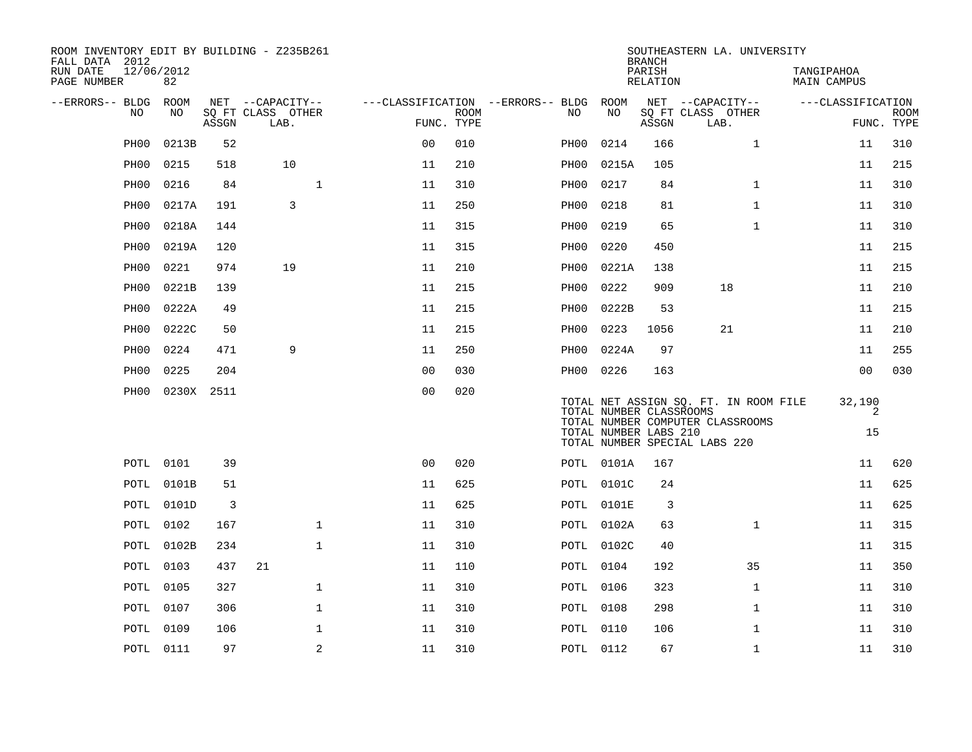| ROOM INVENTORY EDIT BY BUILDING - Z235B261<br>FALL DATA 2012<br>RUN DATE<br>PAGE NUMBER | 12/06/2012<br>82  |            |                                               |                |                                        |                           |      |                                                  | <b>BRANCH</b><br>PARISH<br>RELATION | SOUTHEASTERN LA. UNIVERSITY                                                                                |              | TANGIPAHOA<br>MAIN CAMPUS |                                 |             |
|-----------------------------------------------------------------------------------------|-------------------|------------|-----------------------------------------------|----------------|----------------------------------------|---------------------------|------|--------------------------------------------------|-------------------------------------|------------------------------------------------------------------------------------------------------------|--------------|---------------------------|---------------------------------|-------------|
| --ERRORS-- BLDG<br>NO                                                                   | <b>ROOM</b><br>NO | ASSGN      | NET --CAPACITY--<br>SQ FT CLASS OTHER<br>LAB. |                | ---CLASSIFICATION --ERRORS-- BLDG ROOM | <b>ROOM</b><br>FUNC. TYPE | NO.  | NO                                               | $\operatorname{\mathsf{ASSGN}}$     | NET --CAPACITY--<br>SQ FT CLASS OTHER<br>LAB.                                                              |              |                           | ---CLASSIFICATION<br>FUNC. TYPE | <b>ROOM</b> |
| PH <sub>00</sub>                                                                        | 0213B             | 52         |                                               |                | 0 <sub>0</sub>                         | 010                       | PH00 | 0214                                             | 166                                 |                                                                                                            | $\mathbf{1}$ |                           | 11                              | 310         |
| PH <sub>00</sub>                                                                        | 0215              | 518        | 10                                            |                | 11                                     | 210                       | PH00 | 0215A                                            | 105                                 |                                                                                                            |              |                           | 11                              | 215         |
| PH00                                                                                    | 0216              | 84         |                                               | $\mathbf{1}$   | 11                                     | 310                       | PH00 | 0217                                             | 84                                  |                                                                                                            | $\mathbf{1}$ |                           | 11                              | 310         |
| PH <sub>00</sub>                                                                        | 0217A             | 191        | 3                                             |                | 11                                     | 250                       | PH00 | 0218                                             | 81                                  |                                                                                                            | $\mathbf{1}$ |                           | 11                              | 310         |
| PH <sub>00</sub>                                                                        | 0218A             | 144        |                                               |                | 11                                     | 315                       | PH00 | 0219                                             | 65                                  |                                                                                                            | $\mathbf{1}$ |                           | 11                              | 310         |
| PH00                                                                                    | 0219A             | 120        |                                               |                | 11                                     | 315                       | PH00 | 0220                                             | 450                                 |                                                                                                            |              |                           | 11                              | 215         |
| PH <sub>00</sub>                                                                        | 0221              | 974        | 19                                            |                | 11                                     | 210                       | PH00 | 0221A                                            | 138                                 |                                                                                                            |              |                           | 11                              | 215         |
| PH00                                                                                    | 0221B             | 139        |                                               |                | 11                                     | 215                       | PH00 | 0222                                             | 909                                 | 18                                                                                                         |              |                           | 11                              | 210         |
| PH <sub>00</sub>                                                                        | 0222A             | 49         |                                               |                | 11                                     | 215                       | PH00 | 0222B                                            | 53                                  |                                                                                                            |              |                           | 11                              | 215         |
| PH00                                                                                    | 0222C             | 50         |                                               |                | 11                                     | 215                       | PH00 | 0223                                             | 1056                                | 21                                                                                                         |              |                           | 11                              | 210         |
| PH00                                                                                    | 0224              | 471        | 9                                             |                | 11                                     | 250                       | PH00 | 0224A                                            | 97                                  |                                                                                                            |              |                           | 11                              | 255         |
| PH <sub>00</sub>                                                                        | 0225              | 204        |                                               |                | 0 <sub>0</sub>                         | 030                       | PH00 | 0226                                             | 163                                 |                                                                                                            |              |                           | 0 <sub>0</sub>                  | 030         |
| PH00                                                                                    |                   | 0230X 2511 |                                               |                | 0 <sub>0</sub>                         | 020                       |      | TOTAL NUMBER CLASSROOMS<br>TOTAL NUMBER LABS 210 |                                     | TOTAL NET ASSIGN SQ. FT. IN ROOM FILE<br>TOTAL NUMBER COMPUTER CLASSROOMS<br>TOTAL NUMBER SPECIAL LABS 220 |              |                           | 32,190<br>2<br>15               |             |
|                                                                                         | <b>POTL 0101</b>  | 39         |                                               |                | 0 <sup>0</sup>                         | 020                       |      | POTL 0101A                                       | 167                                 |                                                                                                            |              |                           | 11                              | 620         |
| POTL                                                                                    | 0101B             | 51         |                                               |                | 11                                     | 625                       |      | POTL 0101C                                       | 24                                  |                                                                                                            |              |                           | 11                              | 625         |
|                                                                                         | POTL 0101D        | 3          |                                               |                | 11                                     | 625                       |      | POTL 0101E                                       | 3                                   |                                                                                                            |              |                           | 11                              | 625         |
| POTL                                                                                    | 0102              | 167        |                                               | $\mathbf{1}$   | 11                                     | 310                       |      | POTL 0102A                                       | 63                                  |                                                                                                            | $\mathbf{1}$ |                           | 11                              | 315         |
|                                                                                         | POTL 0102B        | 234        |                                               | $\mathbf{1}$   | 11                                     | 310                       |      | POTL 0102C                                       | 40                                  |                                                                                                            |              |                           | 11                              | 315         |
| POTL                                                                                    | 0103              | 437        | 21                                            |                | 11                                     | 110                       |      | POTL 0104                                        | 192                                 |                                                                                                            | 35           |                           | 11                              | 350         |
|                                                                                         | POTL 0105         | 327        |                                               | $\mathbf{1}$   | 11                                     | 310                       |      | <b>POTL 0106</b>                                 | 323                                 |                                                                                                            | $\mathbf{1}$ |                           | 11                              | 310         |
| POTL                                                                                    | 0107              | 306        |                                               | $\mathbf{1}$   | 11                                     | 310                       |      | <b>POTL 0108</b>                                 | 298                                 |                                                                                                            | $\mathbf{1}$ |                           | 11                              | 310         |
| POTL                                                                                    | 0109              | 106        |                                               | $\mathbf 1$    | 11                                     | 310                       |      | POTL 0110                                        | 106                                 |                                                                                                            | $\mathbf{1}$ |                           | 11                              | 310         |
|                                                                                         | <b>POTL 0111</b>  | 97         |                                               | $\overline{a}$ | 11                                     | 310                       |      | <b>POTL 0112</b>                                 | 67                                  |                                                                                                            | $\mathbf{1}$ |                           | 11                              | 310         |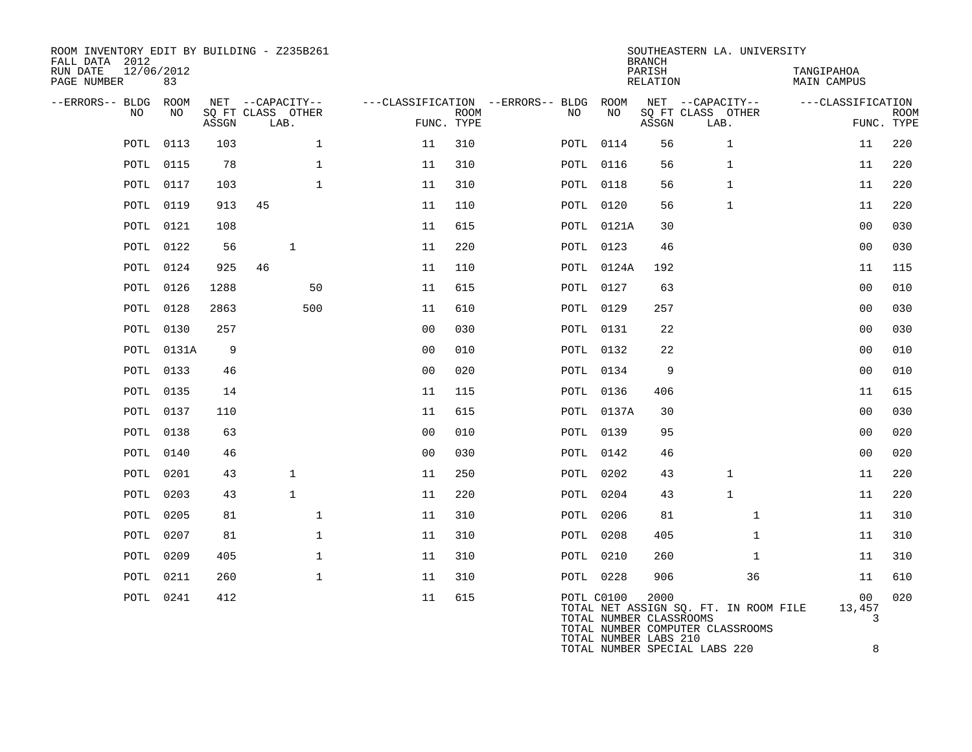| ROOM INVENTORY EDIT BY BUILDING - Z235B261<br>FALL DATA 2012<br>RUN DATE<br>PAGE NUMBER | 12/06/2012<br>83 |       |                                               |                |                           |                                         |                                                                | <b>BRANCH</b><br>PARISH<br>RELATION | SOUTHEASTERN LA. UNIVERSITY                                               | TANGIPAHOA<br><b>MAIN CAMPUS</b> |                           |
|-----------------------------------------------------------------------------------------|------------------|-------|-----------------------------------------------|----------------|---------------------------|-----------------------------------------|----------------------------------------------------------------|-------------------------------------|---------------------------------------------------------------------------|----------------------------------|---------------------------|
| --ERRORS-- BLDG<br>NO.                                                                  | ROOM<br>NO       | ASSGN | NET --CAPACITY--<br>SQ FT CLASS OTHER<br>LAB. |                | <b>ROOM</b><br>FUNC. TYPE | ---CLASSIFICATION --ERRORS-- BLDG<br>NO | ROOM<br>NO                                                     | ASSGN                               | NET --CAPACITY--<br>SQ FT CLASS OTHER<br>LAB.                             | ---CLASSIFICATION                | <b>ROOM</b><br>FUNC. TYPE |
| POTL                                                                                    | 0113             | 103   | $\mathbf 1$                                   | 11             | 310                       |                                         | POTL 0114                                                      | 56                                  | $\mathbf{1}$                                                              | 11                               | 220                       |
| POTL                                                                                    | 0115             | 78    | $\mathbf{1}$                                  | 11             | 310                       |                                         | POTL 0116                                                      | 56                                  | $\mathbf{1}$                                                              | 11                               | 220                       |
|                                                                                         | <b>POTL 0117</b> | 103   | $\mathbf{1}$                                  | 11             | 310                       |                                         | <b>POTL 0118</b>                                               | 56                                  | 1                                                                         | 11                               | 220                       |
| POTL                                                                                    | 0119             | 913   | 45                                            | 11             | 110                       |                                         | POTL 0120                                                      | 56                                  | $\mathbf{1}$                                                              | 11                               | 220                       |
|                                                                                         | POTL 0121        | 108   |                                               | 11             | 615                       |                                         | POTL 0121A                                                     | 30                                  |                                                                           | 0 <sub>0</sub>                   | 030                       |
|                                                                                         | POTL 0122        | 56    | $\mathbf{1}$                                  | 11             | 220                       |                                         | POTL 0123                                                      | 46                                  |                                                                           | 0 <sub>0</sub>                   | 030                       |
|                                                                                         | POTL 0124        | 925   | 46                                            | 11             | 110                       |                                         | POTL 0124A                                                     | 192                                 |                                                                           | 11                               | 115                       |
|                                                                                         | POTL 0126        | 1288  | 50                                            | 11             | 615                       |                                         | POTL 0127                                                      | 63                                  |                                                                           | 0 <sub>0</sub>                   | 010                       |
| POTL                                                                                    | 0128             | 2863  | 500                                           | 11             | 610                       |                                         | POTL 0129                                                      | 257                                 |                                                                           | 0 <sub>0</sub>                   | 030                       |
|                                                                                         | POTL 0130        | 257   |                                               | 0 <sub>0</sub> | 030                       |                                         | POTL 0131                                                      | 22                                  |                                                                           | 00                               | 030                       |
|                                                                                         | POTL 0131A       | 9     |                                               | 0 <sub>0</sub> | 010                       |                                         | POTL 0132                                                      | 22                                  |                                                                           | 0 <sub>0</sub>                   | 010                       |
|                                                                                         | POTL 0133        | 46    |                                               | 0 <sup>0</sup> | 020                       |                                         | POTL 0134                                                      | 9                                   |                                                                           | 0 <sub>0</sub>                   | 010                       |
|                                                                                         | POTL 0135        | 14    |                                               | 11             | 115                       |                                         | POTL 0136                                                      | 406                                 |                                                                           | 11                               | 615                       |
| POTL                                                                                    | 0137             | 110   |                                               | 11             | 615                       |                                         | POTL 0137A                                                     | 30                                  |                                                                           | 0 <sub>0</sub>                   | 030                       |
|                                                                                         | <b>POTL 0138</b> | 63    |                                               | 0 <sub>0</sub> | 010                       |                                         | POTL 0139                                                      | 95                                  |                                                                           | 00                               | 020                       |
|                                                                                         | POTL 0140        | 46    |                                               | 0 <sub>0</sub> | 030                       |                                         | POTL 0142                                                      | 46                                  |                                                                           | 0 <sub>0</sub>                   | 020                       |
|                                                                                         | POTL 0201        | 43    | $\mathbf{1}$                                  | 11             | 250                       |                                         | POTL 0202                                                      | 43                                  | $\mathbf{1}$                                                              | 11                               | 220                       |
| POTL                                                                                    | 0203             | 43    | $\mathbf{1}$                                  | 11             | 220                       |                                         | POTL 0204                                                      | 43                                  | $\mathbf{1}$                                                              | 11                               | 220                       |
| POTL                                                                                    | 0205             | 81    | $\mathbf{1}$                                  | 11             | 310                       |                                         | POTL 0206                                                      | 81                                  | $\mathbf{1}$                                                              | 11                               | 310                       |
|                                                                                         | POTL 0207        | 81    | $\mathbf{1}$                                  | 11             | 310                       |                                         | POTL 0208                                                      | 405                                 | $\mathbf{1}$                                                              | 11                               | 310                       |
| POTL                                                                                    | 0209             | 405   | $\mathbf{1}$                                  | 11             | 310                       |                                         | <b>POTL 0210</b>                                               | 260                                 | $\mathbf{1}$                                                              | 11                               | 310                       |
|                                                                                         | POTL 0211        | 260   | $\mathbf 1$                                   | 11             | 310                       |                                         | POTL 0228                                                      | 906                                 | 36                                                                        | 11                               | 610                       |
|                                                                                         | POTL 0241        | 412   |                                               | 11             | 615                       |                                         | POTL C0100<br>TOTAL NUMBER CLASSROOMS<br>TOTAL NUMBER LABS 210 | 2000                                | TOTAL NET ASSIGN SQ. FT. IN ROOM FILE<br>TOTAL NUMBER COMPUTER CLASSROOMS | 00<br>13,457<br>3                | 020                       |

TOTAL NUMBER SPECIAL LABS 220 8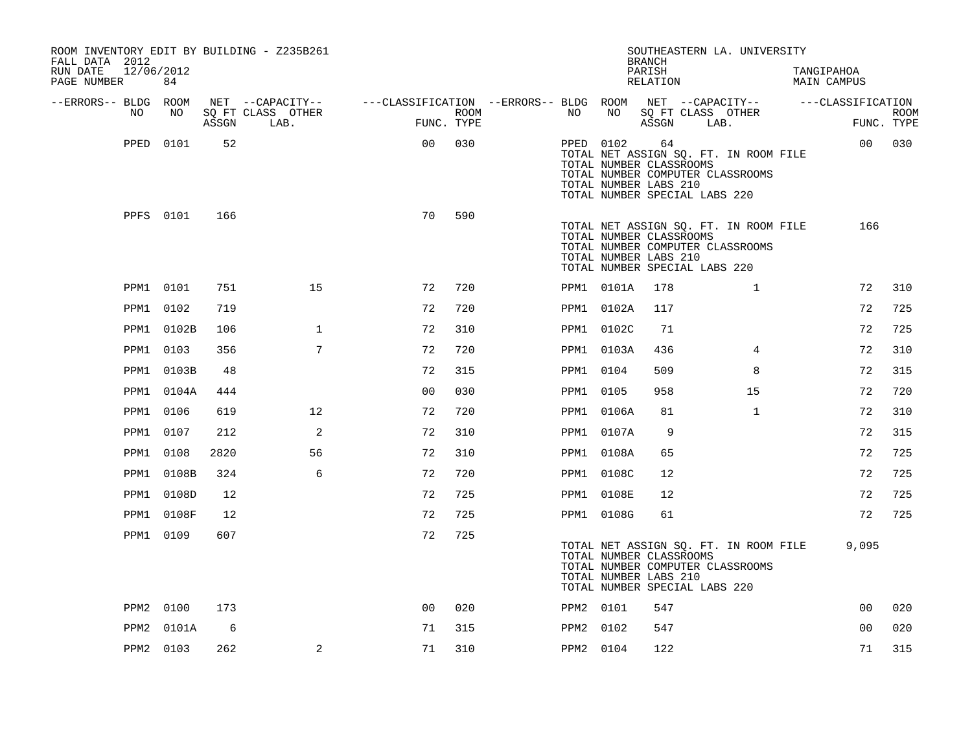| ROOM INVENTORY EDIT BY BUILDING - Z235B261<br>FALL DATA 2012<br>RUN DATE<br>12/06/2012 |           |       |                   |                                                                                                |            |           |            | <b>BRANCH</b><br>PARISH                                | SOUTHEASTERN LA. UNIVERSITY                                                                                | TANGIPAHOA         |             |
|----------------------------------------------------------------------------------------|-----------|-------|-------------------|------------------------------------------------------------------------------------------------|------------|-----------|------------|--------------------------------------------------------|------------------------------------------------------------------------------------------------------------|--------------------|-------------|
| PAGE NUMBER                                                                            | 84        |       |                   |                                                                                                |            |           |            | RELATION                                               |                                                                                                            | <b>MAIN CAMPUS</b> |             |
| --ERRORS-- BLDG ROOM<br>NO                                                             | NO        |       | SQ FT CLASS OTHER | NET --CAPACITY-- - ---CLASSIFICATION --ERRORS-- BLDG ROOM NET --CAPACITY-- - ---CLASSIFICATION | ROOM       | NO        | NO 11      |                                                        | SQ FT CLASS OTHER                                                                                          |                    | <b>ROOM</b> |
|                                                                                        |           | ASSGN | LAB.              |                                                                                                | FUNC. TYPE |           |            | ASSGN                                                  | LAB.                                                                                                       |                    | FUNC. TYPE  |
|                                                                                        | PPED 0101 | 52    |                   | 0 <sub>0</sub>                                                                                 | 030        |           | PPED 0102  | 64<br>TOTAL NUMBER CLASSROOMS<br>TOTAL NUMBER LABS 210 | TOTAL NET ASSIGN SQ. FT. IN ROOM FILE<br>TOTAL NUMBER COMPUTER CLASSROOMS<br>TOTAL NUMBER SPECIAL LABS 220 |                    | 00 030      |
|                                                                                        | PPFS 0101 | 166   |                   | 70                                                                                             | 590        |           |            | TOTAL NUMBER CLASSROOMS<br>TOTAL NUMBER LABS 210       | TOTAL NET ASSIGN SQ. FT. IN ROOM FILE<br>TOTAL NUMBER COMPUTER CLASSROOMS<br>TOTAL NUMBER SPECIAL LABS 220 | 166                |             |
|                                                                                        | PPM1 0101 | 751   | 15                | 72                                                                                             | 720        |           | PPM1 0101A | 178                                                    | $\mathbf{1}$                                                                                               | 72                 | 310         |
| PPM1                                                                                   | 0102      | 719   |                   | 72                                                                                             | 720        |           | PPM1 0102A | 117                                                    |                                                                                                            | 72                 | 725         |
| PPM1                                                                                   | 0102B     | 106   | $\mathbf{1}$      | 72                                                                                             | 310        |           | PPM1 0102C | 71                                                     |                                                                                                            | 72                 | 725         |
| PPM1                                                                                   | 0103      | 356   | 7                 | 72                                                                                             | 720        |           | PPM1 0103A | 436                                                    | $\overline{4}$                                                                                             | 72                 | 310         |
| PPM1                                                                                   | 0103B     | 48    |                   | 72                                                                                             | 315        | PPM1 0104 |            | 509                                                    | 8                                                                                                          | 72                 | 315         |
| PPM1                                                                                   | 0104A     | 444   |                   | 0 <sub>0</sub>                                                                                 | 030        | PPM1 0105 |            | 958                                                    | 15                                                                                                         | 72                 | 720         |
| PPM1                                                                                   | 0106      | 619   | 12                | 72                                                                                             | 720        |           | PPM1 0106A | 81                                                     | $\mathbf{1}$                                                                                               | 72                 | 310         |
| PPM1                                                                                   | 0107      | 212   | 2                 | 72                                                                                             | 310        |           | PPM1 0107A | 9                                                      |                                                                                                            | 72                 | 315         |
| PPM1                                                                                   | 0108      | 2820  | 56                | 72                                                                                             | 310        |           | PPM1 0108A | 65                                                     |                                                                                                            | 72                 | 725         |
| PPM1                                                                                   | 0108B     | 324   | 6                 | 72                                                                                             | 720        |           | PPM1 0108C | 12                                                     |                                                                                                            | 72                 | 725         |
| PPM1                                                                                   | 0108D     | 12    |                   | 72                                                                                             | 725        |           | PPM1 0108E | 12                                                     |                                                                                                            | 72                 | 725         |
| PPM1                                                                                   | 0108F     | 12    |                   | 72                                                                                             | 725        |           | PPM1 0108G | 61                                                     |                                                                                                            | 72                 | 725         |
|                                                                                        | PPM1 0109 | 607   |                   | 72                                                                                             | 725        |           |            | TOTAL NUMBER CLASSROOMS<br>TOTAL NUMBER LABS 210       | TOTAL NET ASSIGN SQ. FT. IN ROOM FILE<br>TOTAL NUMBER COMPUTER CLASSROOMS<br>TOTAL NUMBER SPECIAL LABS 220 | 9,095              |             |
|                                                                                        | PPM2 0100 | 173   |                   | 0 <sup>0</sup>                                                                                 | 020        |           | PPM2 0101  | 547                                                    |                                                                                                            | 0 <sub>0</sub>     | 020         |
| PPM2                                                                                   | 0101A     | 6     |                   | 71                                                                                             | 315        | PPM2 0102 |            | 547                                                    |                                                                                                            | 0 <sub>0</sub>     | 020         |
|                                                                                        | PPM2 0103 | 262   | 2                 | 71                                                                                             | 310        | PPM2 0104 |            | 122                                                    |                                                                                                            | 71                 | 315         |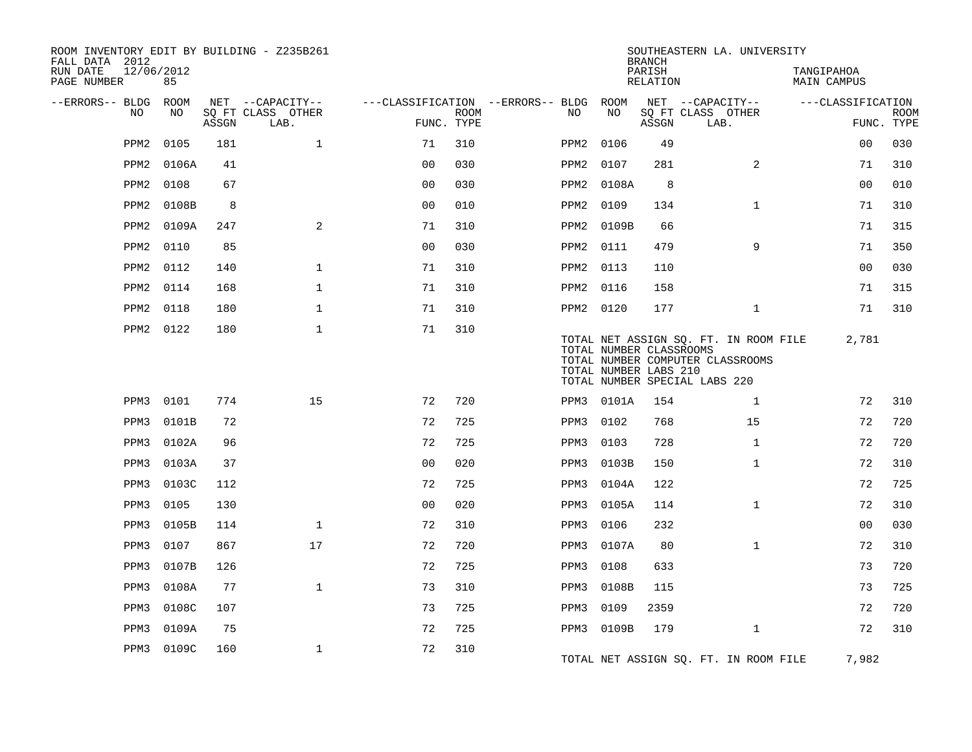| ROOM INVENTORY EDIT BY BUILDING - Z235B261<br>FALL DATA 2012 |            |       |                           |                |             |                                        |                                                  | <b>BRANCH</b>      | SOUTHEASTERN LA. UNIVERSITY                                                                                |                                  |                           |
|--------------------------------------------------------------|------------|-------|---------------------------|----------------|-------------|----------------------------------------|--------------------------------------------------|--------------------|------------------------------------------------------------------------------------------------------------|----------------------------------|---------------------------|
| RUN DATE<br>12/06/2012<br>PAGE NUMBER                        | 85         |       |                           |                |             |                                        |                                                  | PARISH<br>RELATION |                                                                                                            | TANGIPAHOA<br><b>MAIN CAMPUS</b> |                           |
| --ERRORS-- BLDG ROOM                                         |            |       | NET --CAPACITY--          |                |             | ---CLASSIFICATION --ERRORS-- BLDG ROOM |                                                  |                    | NET --CAPACITY--                                                                                           | ---CLASSIFICATION                |                           |
| NO                                                           | NO         | ASSGN | SQ FT CLASS OTHER<br>LAB. | FUNC. TYPE     | <b>ROOM</b> | NO                                     | NO                                               | ASSGN              | SQ FT CLASS OTHER<br>LAB.                                                                                  |                                  | <b>ROOM</b><br>FUNC. TYPE |
| PPM2                                                         | 0105       | 181   | $\mathbf{1}$              | 71             | 310         | PPM2                                   | 0106                                             | 49                 |                                                                                                            | 0 <sub>0</sub>                   | 030                       |
| PPM2                                                         | 0106A      | 41    |                           | 0 <sub>0</sub> | 030         | PPM2                                   | 0107                                             | 281                | 2                                                                                                          | 71                               | 310                       |
| PPM2                                                         | 0108       | 67    |                           | 0 <sub>0</sub> | 030         |                                        | PPM2 0108A                                       | 8                  |                                                                                                            | 0 <sub>0</sub>                   | 010                       |
| PPM2                                                         | 0108B      | 8     |                           | 0 <sub>0</sub> | 010         | PPM2                                   | 0109                                             | 134                | $\mathbf{1}$                                                                                               | 71                               | 310                       |
| PPM2                                                         | 0109A      | 247   | 2                         | 71             | 310         |                                        | PPM2 0109B                                       | 66                 |                                                                                                            | 71                               | 315                       |
| PPM2                                                         | 0110       | 85    |                           | 0 <sub>0</sub> | 030         |                                        | PPM2 0111                                        | 479                | 9                                                                                                          | 71                               | 350                       |
| PPM2                                                         | 0112       | 140   | $\mathbf{1}$              | 71             | 310         |                                        | PPM2 0113                                        | 110                |                                                                                                            | 0 <sub>0</sub>                   | 030                       |
| PPM2                                                         | 0114       | 168   | $\mathbf{1}$              | 71             | 310         | PPM2                                   | 0116                                             | 158                |                                                                                                            | 71                               | 315                       |
| PPM2                                                         | 0118       | 180   | $\mathbf{1}$              | 71             | 310         |                                        | PPM2 0120                                        | 177                | $\mathbf{1}$                                                                                               | 71                               | 310                       |
| PPM2                                                         | 0122       | 180   | $\mathbf 1$               | 71             | 310         |                                        | TOTAL NUMBER CLASSROOMS<br>TOTAL NUMBER LABS 210 |                    | TOTAL NET ASSIGN SQ. FT. IN ROOM FILE<br>TOTAL NUMBER COMPUTER CLASSROOMS<br>TOTAL NUMBER SPECIAL LABS 220 | 2,781                            |                           |
| PPM3                                                         | 0101       | 774   | 15                        | 72             | 720         |                                        | PPM3 0101A                                       | 154                | $\mathbf{1}$                                                                                               | 72                               | 310                       |
| PPM3                                                         | 0101B      | 72    |                           | 72             | 725         | PPM3                                   | 0102                                             | 768                | 15                                                                                                         | 72                               | 720                       |
| PPM3                                                         | 0102A      | 96    |                           | 72             | 725         | PPM3                                   | 0103                                             | 728                | $\mathbf{1}$                                                                                               | 72                               | 720                       |
| PPM3                                                         | 0103A      | 37    |                           | 0 <sub>0</sub> | 020         | PPM3                                   | 0103B                                            | 150                | $\mathbf{1}$                                                                                               | 72                               | 310                       |
| PPM3                                                         | 0103C      | 112   |                           | 72             | 725         | PPM3                                   | 0104A                                            | 122                |                                                                                                            | 72                               | 725                       |
| PPM3                                                         | 0105       | 130   |                           | 0 <sub>0</sub> | 020         | PPM3                                   | 0105A                                            | 114                | $\mathbf{1}$                                                                                               | 72                               | 310                       |
| PPM3                                                         | 0105B      | 114   | $\mathbf 1$               | 72             | 310         | PPM3                                   | 0106                                             | 232                |                                                                                                            | 00                               | 030                       |
| PPM3                                                         | 0107       | 867   | 17                        | 72             | 720         | PPM3                                   | 0107A                                            | 80                 | $\mathbf{1}$                                                                                               | 72                               | 310                       |
| PPM3                                                         | 0107B      | 126   |                           | 72             | 725         | PPM3                                   | 0108                                             | 633                |                                                                                                            | 73                               | 720                       |
| PPM3                                                         | 0108A      | 77    | $\mathbf{1}$              | 73             | 310         | PPM3                                   | 0108B                                            | 115                |                                                                                                            | 73                               | 725                       |
| PPM3                                                         | 0108C      | 107   |                           | 73             | 725         | PPM3                                   | 0109                                             | 2359               |                                                                                                            | 72                               | 720                       |
| PPM3                                                         | 0109A      | 75    |                           | 72             | 725         |                                        | PPM3 0109B                                       | 179                | $\mathbf{1}$                                                                                               | 72                               | 310                       |
|                                                              | PPM3 0109C | 160   | $\mathbf 1$               | 72             | 310         |                                        |                                                  |                    | TOTAL NET ASSIGN SO. FT. IN ROOM FILE                                                                      | 7,982                            |                           |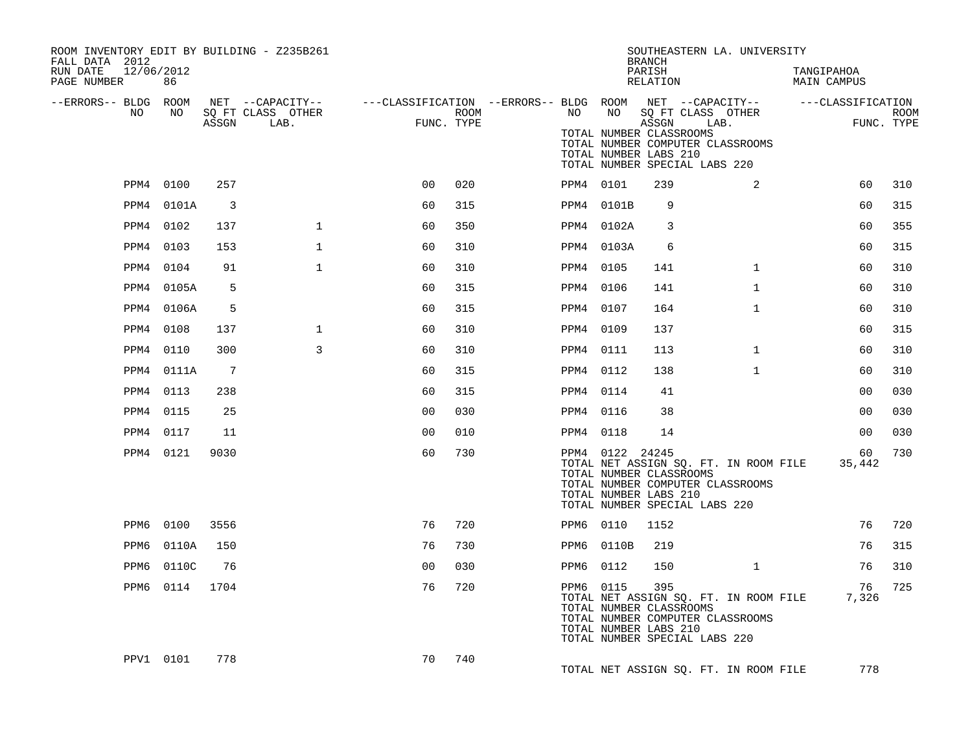| ROOM INVENTORY EDIT BY BUILDING - Z235B261<br>FALL DATA 2012 |                |                 |                           |                |                    |                                                                                                  |                 | <b>BRANCH</b>                                                                              | SOUTHEASTERN LA. UNIVERSITY                                               |                           |                           |
|--------------------------------------------------------------|----------------|-----------------|---------------------------|----------------|--------------------|--------------------------------------------------------------------------------------------------|-----------------|--------------------------------------------------------------------------------------------|---------------------------------------------------------------------------|---------------------------|---------------------------|
| RUN DATE<br>12/06/2012<br>PAGE NUMBER                        | 86             |                 |                           |                |                    |                                                                                                  |                 | PARISH<br>RELATION                                                                         |                                                                           | TANGIPAHOA<br>MAIN CAMPUS |                           |
| --ERRORS-- BLDG ROOM                                         |                |                 |                           |                |                    | NET --CAPACITY--    ---CLASSIFICATION --ERRORS-- BLDG ROOM NET --CAPACITY--    ---CLASSIFICATION |                 |                                                                                            |                                                                           |                           |                           |
| NO                                                           | NO             | ASSGN           | SQ FT CLASS OTHER<br>LAB. |                | ROOM<br>FUNC. TYPE | NO                                                                                               |                 | ASSGN<br>TOTAL NUMBER CLASSROOMS<br>TOTAL NUMBER LABS 210<br>TOTAL NUMBER SPECIAL LABS 220 | NO SQ FT CLASS OTHER<br>LAB.<br>TOTAL NUMBER COMPUTER CLASSROOMS          |                           | <b>ROOM</b><br>FUNC. TYPE |
|                                                              | PPM4 0100      | 257             |                           | 0 <sup>0</sup> | 020                | PPM4 0101                                                                                        |                 | 239                                                                                        | 2                                                                         | 60                        | 310                       |
| PPM4                                                         | 0101A          | $\overline{3}$  |                           | 60             | 315                |                                                                                                  | PPM4 0101B      | 9                                                                                          |                                                                           | 60                        | 315                       |
| PPM4                                                         | 0102           | 137             | $\mathbf{1}$              | 60             | 350                |                                                                                                  | PPM4 0102A      | 3                                                                                          |                                                                           | 60                        | 355                       |
| PPM4                                                         | 0103           | 153             | $\mathbf{1}$              | 60             | 310                |                                                                                                  | PPM4 0103A      | 6                                                                                          |                                                                           | 60                        | 315                       |
| PPM4                                                         | 0104           | 91              | $\mathbf{1}$              | 60             | 310                | PPM4 0105                                                                                        |                 | 141                                                                                        | $\mathbf{1}$                                                              | 60                        | 310                       |
|                                                              | PPM4 0105A     | 5               |                           | 60             | 315                | PPM4 0106                                                                                        |                 | 141                                                                                        | $\mathbf{1}$                                                              | 60                        | 310                       |
|                                                              | PPM4 0106A     | 5               |                           | 60             | 315                | PPM4 0107                                                                                        |                 | 164                                                                                        | $\mathbf{1}$                                                              | 60                        | 310                       |
| PPM4                                                         | 0108           | 137             | $\mathbf{1}$              | 60             | 310                | PPM4 0109                                                                                        |                 | 137                                                                                        |                                                                           | 60                        | 315                       |
| PPM4                                                         | 0110           | 300             | 3                         | 60             | 310                | PPM4 0111                                                                                        |                 | 113                                                                                        | $\mathbf{1}$                                                              | 60                        | 310                       |
|                                                              | PPM4 0111A     | $7\phantom{.0}$ |                           | 60             | 315                | PPM4 0112                                                                                        |                 | 138                                                                                        | $\mathbf{1}$                                                              | 60                        | 310                       |
|                                                              | PPM4 0113      | 238             |                           | 60             | 315                | PPM4 0114                                                                                        |                 | 41                                                                                         |                                                                           | 0 <sub>0</sub>            | 030                       |
|                                                              | PPM4 0115      | 25              |                           | 0 <sub>0</sub> | 030                | PPM4 0116                                                                                        |                 | 38                                                                                         |                                                                           | 0 <sub>0</sub>            | 030                       |
|                                                              | PPM4 0117      | 11              |                           | 0 <sub>0</sub> | 010                | PPM4 0118                                                                                        |                 | 14                                                                                         |                                                                           | 0 <sup>0</sup>            | 030                       |
|                                                              | PPM4 0121      | 9030            |                           | 60             | 730                |                                                                                                  | PPM4 0122 24245 | TOTAL NUMBER CLASSROOMS<br>TOTAL NUMBER LABS 210<br>TOTAL NUMBER SPECIAL LABS 220          | TOTAL NET ASSIGN SQ. FT. IN ROOM FILE<br>TOTAL NUMBER COMPUTER CLASSROOMS | 60<br>35,442              | 730                       |
|                                                              | PPM6 0100      | 3556            |                           | 76             | 720                |                                                                                                  | PPM6 0110       | 1152                                                                                       |                                                                           | 76                        | 720                       |
| PPM6                                                         | 0110A          | 150             |                           | 76             | 730                |                                                                                                  | PPM6 0110B      | 219                                                                                        |                                                                           | 76                        | 315                       |
| PPM6                                                         | 0110C          | 76              |                           | 0 <sub>0</sub> | 030                | PPM6 0112                                                                                        |                 | 150                                                                                        | $\mathbf{1}$                                                              | 76                        | 310                       |
|                                                              | PPM6 0114 1704 |                 |                           | 76             | 720                |                                                                                                  | PPM6 0115       | 395<br>TOTAL NUMBER CLASSROOMS<br>TOTAL NUMBER LABS 210<br>TOTAL NUMBER SPECIAL LABS 220   | TOTAL NET ASSIGN SQ. FT. IN ROOM FILE<br>TOTAL NUMBER COMPUTER CLASSROOMS | 76<br>7,326               | 725                       |
|                                                              | PPV1 0101      | 778             |                           | 70             | 740                |                                                                                                  |                 |                                                                                            | TOTAL NET ASSIGN SQ. FT. IN ROOM FILE                                     | 778                       |                           |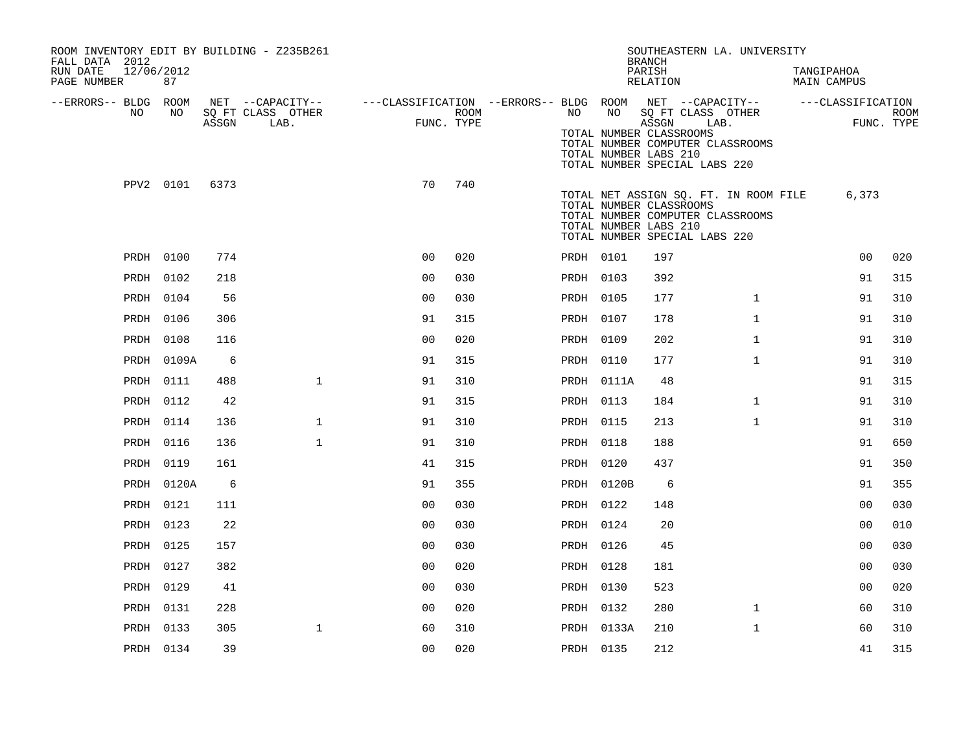| ROOM INVENTORY EDIT BY BUILDING - Z235B261<br>FALL DATA 2012<br>RUN DATE<br>12/06/2012<br>PAGE NUMBER | 87         |       |                                               |                                                                                           |      |           |            | SOUTHEASTERN LA. UNIVERSITY<br><b>BRANCH</b><br>PARISH<br>RELATION                                                                                             |              | TANGIPAHOA<br><b>MAIN CAMPUS</b> |                    |
|-------------------------------------------------------------------------------------------------------|------------|-------|-----------------------------------------------|-------------------------------------------------------------------------------------------|------|-----------|------------|----------------------------------------------------------------------------------------------------------------------------------------------------------------|--------------|----------------------------------|--------------------|
| --ERRORS-- BLDG ROOM<br>NO                                                                            | NO         | ASSGN | NET --CAPACITY--<br>SQ FT CLASS OTHER<br>LAB. | ---CLASSIFICATION --ERRORS-- BLDG ROOM NET --CAPACITY-- -----CLASSIFICATION<br>FUNC. TYPE | ROOM | NO        | NO         | SQ FT CLASS OTHER<br>ASSGN<br>TOTAL NUMBER CLASSROOMS<br>TOTAL NUMBER COMPUTER CLASSROOMS<br>TOTAL NUMBER LABS 210<br>TOTAL NUMBER SPECIAL LABS 220            | LAB.         |                                  | ROOM<br>FUNC. TYPE |
|                                                                                                       | PPV2 0101  | 6373  |                                               | 70                                                                                        | 740  |           |            | TOTAL NET ASSIGN SQ. FT. IN ROOM FILE<br>TOTAL NUMBER CLASSROOMS<br>TOTAL NUMBER COMPUTER CLASSROOMS<br>TOTAL NUMBER LABS 210<br>TOTAL NUMBER SPECIAL LABS 220 |              | 6,373                            |                    |
|                                                                                                       | PRDH 0100  | 774   |                                               | 0 <sup>0</sup>                                                                            | 020  | PRDH 0101 |            | 197                                                                                                                                                            |              | 0 <sub>0</sub>                   | 020                |
|                                                                                                       | PRDH 0102  | 218   |                                               | 0 <sub>0</sub>                                                                            | 030  | PRDH 0103 |            | 392                                                                                                                                                            |              | 91                               | 315                |
|                                                                                                       | PRDH 0104  | 56    |                                               | 0 <sub>0</sub>                                                                            | 030  | PRDH 0105 |            | 177                                                                                                                                                            | $\mathbf{1}$ | 91                               | 310                |
|                                                                                                       | PRDH 0106  | 306   |                                               | 91                                                                                        | 315  | PRDH 0107 |            | 178                                                                                                                                                            | $\mathbf{1}$ | 91                               | 310                |
|                                                                                                       | PRDH 0108  | 116   |                                               | 0 <sub>0</sub>                                                                            | 020  | PRDH 0109 |            | 202                                                                                                                                                            | $\mathbf{1}$ | 91                               | 310                |
|                                                                                                       | PRDH 0109A | 6     |                                               | 91                                                                                        | 315  | PRDH 0110 |            | 177                                                                                                                                                            | $\mathbf{1}$ | 91                               | 310                |
|                                                                                                       | PRDH 0111  | 488   | $\mathbf{1}$                                  | 91                                                                                        | 310  |           | PRDH 0111A | 48                                                                                                                                                             |              | 91                               | 315                |
|                                                                                                       | PRDH 0112  | 42    |                                               | 91                                                                                        | 315  | PRDH 0113 |            | 184                                                                                                                                                            | $\mathbf{1}$ | 91                               | 310                |
|                                                                                                       | PRDH 0114  | 136   | $\mathbf{1}$                                  | 91                                                                                        | 310  | PRDH 0115 |            | 213                                                                                                                                                            | $\mathbf{1}$ | 91                               | 310                |
|                                                                                                       | PRDH 0116  | 136   | $\mathbf{1}$                                  | 91                                                                                        | 310  | PRDH 0118 |            | 188                                                                                                                                                            |              | 91                               | 650                |
|                                                                                                       | PRDH 0119  | 161   |                                               | 41                                                                                        | 315  | PRDH 0120 |            | 437                                                                                                                                                            |              | 91                               | 350                |
|                                                                                                       | PRDH 0120A | 6     |                                               | 91                                                                                        | 355  |           | PRDH 0120B | 6                                                                                                                                                              |              | 91                               | 355                |
|                                                                                                       | PRDH 0121  | 111   |                                               | 0 <sub>0</sub>                                                                            | 030  | PRDH 0122 |            | 148                                                                                                                                                            |              | 00                               | 030                |
|                                                                                                       | PRDH 0123  | 22    |                                               | 0 <sub>0</sub>                                                                            | 030  | PRDH 0124 |            | 20                                                                                                                                                             |              | 0 <sub>0</sub>                   | 010                |
|                                                                                                       | PRDH 0125  | 157   |                                               | 0 <sub>0</sub>                                                                            | 030  | PRDH 0126 |            | 45                                                                                                                                                             |              | 00                               | 030                |
|                                                                                                       | PRDH 0127  | 382   |                                               | 00                                                                                        | 020  | PRDH 0128 |            | 181                                                                                                                                                            |              | 0 <sub>0</sub>                   | 030                |
|                                                                                                       | PRDH 0129  | 41    |                                               | 0 <sub>0</sub>                                                                            | 030  | PRDH 0130 |            | 523                                                                                                                                                            |              | 00                               | 020                |
| PRDH                                                                                                  | 0131       | 228   |                                               | 00                                                                                        | 020  | PRDH 0132 |            | 280                                                                                                                                                            | $\mathbf{1}$ | 60                               | 310                |
|                                                                                                       | PRDH 0133  | 305   | $\mathbf 1$                                   | 60                                                                                        | 310  |           | PRDH 0133A | 210                                                                                                                                                            | $\mathbf{1}$ | 60                               | 310                |
|                                                                                                       | PRDH 0134  | 39    |                                               | 0 <sub>0</sub>                                                                            | 020  | PRDH 0135 |            | 212                                                                                                                                                            |              | 41                               | 315                |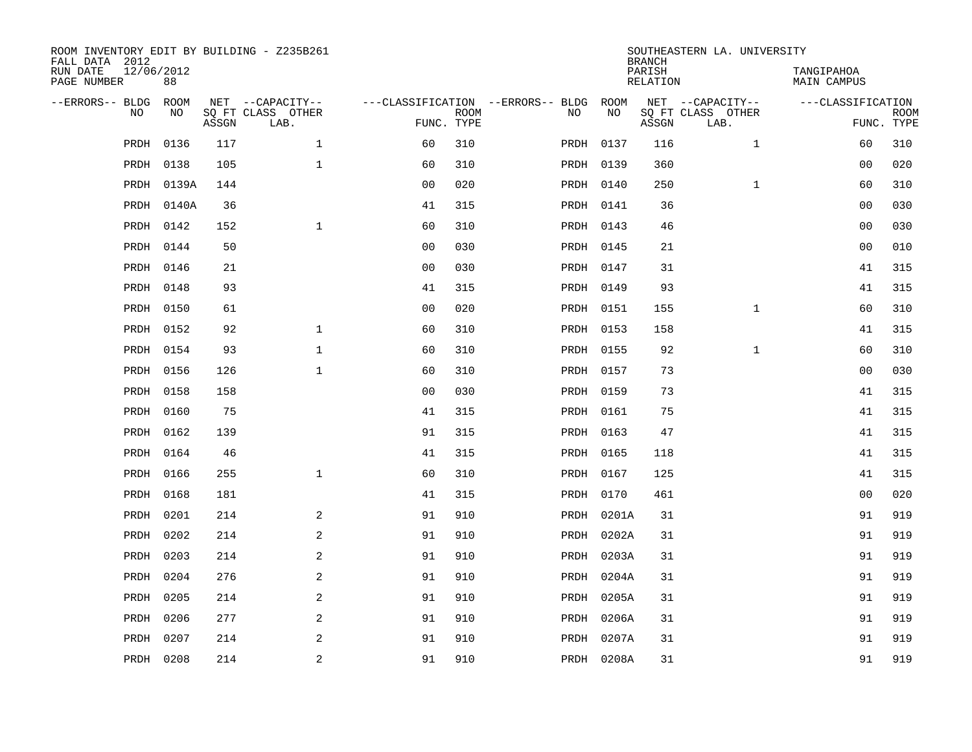| ROOM INVENTORY EDIT BY BUILDING - Z235B261<br>FALL DATA 2012 |                  |       |                           |                |             |                                        |            | <b>BRANCH</b>             | SOUTHEASTERN LA. UNIVERSITY |                                  |                           |
|--------------------------------------------------------------|------------------|-------|---------------------------|----------------|-------------|----------------------------------------|------------|---------------------------|-----------------------------|----------------------------------|---------------------------|
| RUN DATE<br>PAGE NUMBER                                      | 12/06/2012<br>88 |       |                           |                |             |                                        |            | PARISH<br><b>RELATION</b> |                             | TANGIPAHOA<br><b>MAIN CAMPUS</b> |                           |
| --ERRORS-- BLDG                                              | ROOM             |       | NET --CAPACITY--          |                |             | ---CLASSIFICATION --ERRORS-- BLDG ROOM |            |                           | NET --CAPACITY--            | ---CLASSIFICATION                |                           |
| NO                                                           | NO               | ASSGN | SQ FT CLASS OTHER<br>LAB. | FUNC. TYPE     | <b>ROOM</b> | NO                                     | NO         | ASSGN                     | SQ FT CLASS OTHER<br>LAB.   |                                  | <b>ROOM</b><br>FUNC. TYPE |
| PRDH                                                         | 0136             | 117   | $\mathbf{1}$              | 60             | 310         |                                        | PRDH 0137  | 116                       | $\mathbf{1}$                | 60                               | 310                       |
| PRDH                                                         | 0138             | 105   | $\mathbf 1$               | 60             | 310         |                                        | PRDH 0139  | 360                       |                             | 0 <sub>0</sub>                   | 020                       |
| PRDH                                                         | 0139A            | 144   |                           | 0 <sub>0</sub> | 020         |                                        | PRDH 0140  | 250                       | $\mathbf{1}$                | 60                               | 310                       |
| PRDH                                                         | 0140A            | 36    |                           | 41             | 315         |                                        | PRDH 0141  | 36                        |                             | 00                               | 030                       |
| PRDH                                                         | 0142             | 152   | $\mathbf{1}$              | 60             | 310         |                                        | PRDH 0143  | 46                        |                             | 0 <sub>0</sub>                   | 030                       |
| PRDH                                                         | 0144             | 50    |                           | 0 <sub>0</sub> | 030         |                                        | PRDH 0145  | 21                        |                             | 0 <sub>0</sub>                   | 010                       |
| PRDH                                                         | 0146             | 21    |                           | 0 <sub>0</sub> | 030         |                                        | PRDH 0147  | 31                        |                             | 41                               | 315                       |
| PRDH                                                         | 0148             | 93    |                           | 41             | 315         |                                        | PRDH 0149  | 93                        |                             | 41                               | 315                       |
| PRDH                                                         | 0150             | 61    |                           | 0 <sub>0</sub> | 020         |                                        | PRDH 0151  | 155                       | $\mathbf{1}$                | 60                               | 310                       |
| PRDH                                                         | 0152             | 92    | $\mathbf 1$               | 60             | 310         |                                        | PRDH 0153  | 158                       |                             | 41                               | 315                       |
| PRDH                                                         | 0154             | 93    | $\mathbf{1}$              | 60             | 310         |                                        | PRDH 0155  | 92                        | $\mathbf{1}$                | 60                               | 310                       |
| PRDH                                                         | 0156             | 126   | $\mathbf{1}$              | 60             | 310         |                                        | PRDH 0157  | 73                        |                             | 0 <sub>0</sub>                   | 030                       |
| PRDH                                                         | 0158             | 158   |                           | 0 <sub>0</sub> | 030         |                                        | PRDH 0159  | 73                        |                             | 41                               | 315                       |
| PRDH                                                         | 0160             | 75    |                           | 41             | 315         |                                        | PRDH 0161  | 75                        |                             | 41                               | 315                       |
| PRDH                                                         | 0162             | 139   |                           | 91             | 315         |                                        | PRDH 0163  | 47                        |                             | 41                               | 315                       |
| PRDH                                                         | 0164             | 46    |                           | 41             | 315         |                                        | PRDH 0165  | 118                       |                             | 41                               | 315                       |
| PRDH                                                         | 0166             | 255   | $\mathbf{1}$              | 60             | 310         |                                        | PRDH 0167  | 125                       |                             | 41                               | 315                       |
| PRDH                                                         | 0168             | 181   |                           | 41             | 315         |                                        | PRDH 0170  | 461                       |                             | 00                               | 020                       |
| PRDH                                                         | 0201             | 214   | 2                         | 91             | 910         |                                        | PRDH 0201A | 31                        |                             | 91                               | 919                       |
| PRDH                                                         | 0202             | 214   | 2                         | 91             | 910         |                                        | PRDH 0202A | 31                        |                             | 91                               | 919                       |
| PRDH                                                         | 0203             | 214   | 2                         | 91             | 910         |                                        | PRDH 0203A | 31                        |                             | 91                               | 919                       |
| PRDH                                                         | 0204             | 276   | $\mathbf{2}$              | 91             | 910         | PRDH                                   | 0204A      | 31                        |                             | 91                               | 919                       |
| PRDH                                                         | 0205             | 214   | 2                         | 91             | 910         |                                        | PRDH 0205A | 31                        |                             | 91                               | 919                       |
| PRDH                                                         | 0206             | 277   | 2                         | 91             | 910         |                                        | PRDH 0206A | 31                        |                             | 91                               | 919                       |
| PRDH                                                         | 0207             | 214   | 2                         | 91             | 910         |                                        | PRDH 0207A | 31                        |                             | 91                               | 919                       |
|                                                              | PRDH 0208        | 214   | $\overline{a}$            | 91             | 910         |                                        | PRDH 0208A | 31                        |                             | 91                               | 919                       |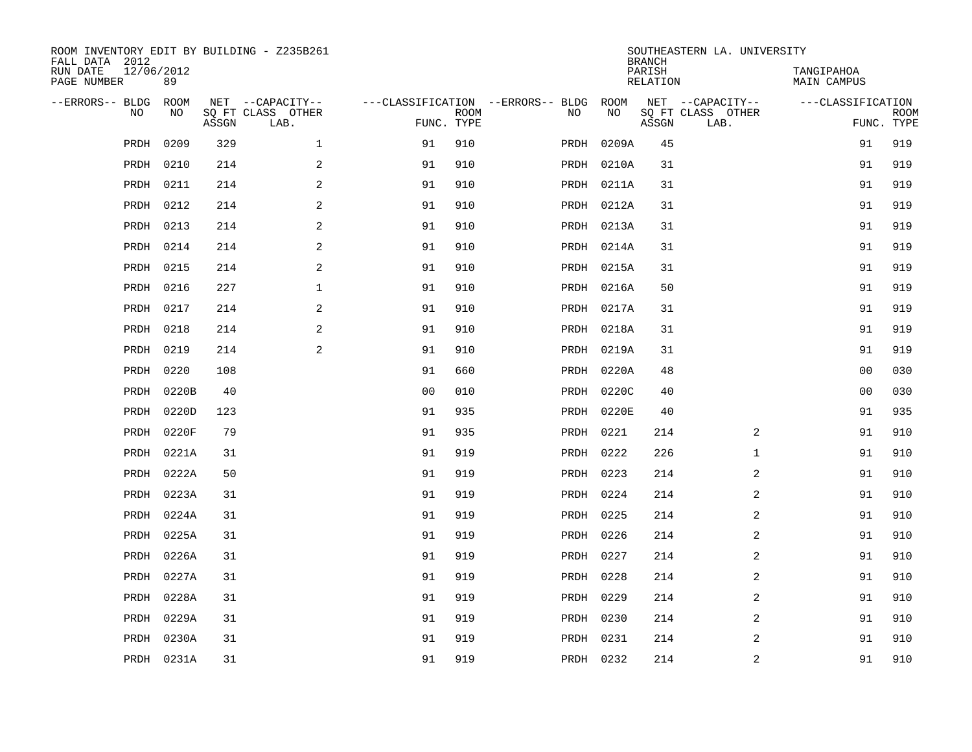| ROOM INVENTORY EDIT BY BUILDING - Z235B261<br>FALL DATA 2012 |                  |       |                           |                |                           |                                   |            |            | <b>BRANCH</b>             | SOUTHEASTERN LA. UNIVERSITY |                                  |                           |
|--------------------------------------------------------------|------------------|-------|---------------------------|----------------|---------------------------|-----------------------------------|------------|------------|---------------------------|-----------------------------|----------------------------------|---------------------------|
| RUN DATE<br>PAGE NUMBER                                      | 12/06/2012<br>89 |       |                           |                |                           |                                   |            |            | PARISH<br><b>RELATION</b> |                             | TANGIPAHOA<br><b>MAIN CAMPUS</b> |                           |
| --ERRORS-- BLDG                                              | ROOM             |       | NET --CAPACITY--          |                |                           | ---CLASSIFICATION --ERRORS-- BLDG |            | ROOM       |                           | NET --CAPACITY--            | ---CLASSIFICATION                |                           |
| NO                                                           | NO               | ASSGN | SQ FT CLASS OTHER<br>LAB. |                | <b>ROOM</b><br>FUNC. TYPE | NO                                |            | NO         | ASSGN                     | SQ FT CLASS OTHER<br>LAB.   |                                  | <b>ROOM</b><br>FUNC. TYPE |
| PRDH                                                         | 0209             | 329   | $\mathbf{1}$              | 91             | 910                       |                                   | PRDH       | 0209A      | 45                        |                             | 91                               | 919                       |
| PRDH                                                         | 0210             | 214   | $\overline{a}$            | 91             | 910                       |                                   |            | PRDH 0210A | 31                        |                             | 91                               | 919                       |
| PRDH                                                         | 0211             | 214   | 2                         | 91             | 910                       |                                   |            | PRDH 0211A | 31                        |                             | 91                               | 919                       |
| PRDH                                                         | 0212             | 214   | 2                         | 91             | 910                       |                                   |            | PRDH 0212A | 31                        |                             | 91                               | 919                       |
| PRDH                                                         | 0213             | 214   | 2                         | 91             | 910                       |                                   |            | PRDH 0213A | 31                        |                             | 91                               | 919                       |
| PRDH                                                         | 0214             | 214   | 2                         | 91             | 910                       |                                   |            | PRDH 0214A | 31                        |                             | 91                               | 919                       |
| PRDH                                                         | 0215             | 214   | 2                         | 91             | 910                       |                                   |            | PRDH 0215A | 31                        |                             | 91                               | 919                       |
| PRDH                                                         | 0216             | 227   | $\mathbf 1$               | 91             | 910                       |                                   |            | PRDH 0216A | 50                        |                             | 91                               | 919                       |
| PRDH                                                         | 0217             | 214   | 2                         | 91             | 910                       |                                   |            | PRDH 0217A | 31                        |                             | 91                               | 919                       |
| PRDH                                                         | 0218             | 214   | 2                         | 91             | 910                       |                                   |            | PRDH 0218A | 31                        |                             | 91                               | 919                       |
| PRDH                                                         | 0219             | 214   | 2                         | 91             | 910                       |                                   |            | PRDH 0219A | 31                        |                             | 91                               | 919                       |
| PRDH                                                         | 0220             | 108   |                           | 91             | 660                       |                                   |            | PRDH 0220A | 48                        |                             | 00                               | 030                       |
| PRDH                                                         | 0220B            | 40    |                           | 0 <sub>0</sub> | 010                       |                                   |            | PRDH 0220C | 40                        |                             | 00                               | 030                       |
| PRDH                                                         | 0220D            | 123   |                           | 91             | 935                       |                                   | PRDH 0220E |            | 40                        |                             | 91                               | 935                       |
| PRDH                                                         | 0220F            | 79    |                           | 91             | 935                       |                                   | PRDH 0221  |            | 214                       | 2                           | 91                               | 910                       |
| PRDH                                                         | 0221A            | 31    |                           | 91             | 919                       |                                   | PRDH 0222  |            | 226                       | $\mathbf{1}$                | 91                               | 910                       |
| PRDH                                                         | 0222A            | 50    |                           | 91             | 919                       |                                   | PRDH 0223  |            | 214                       | 2                           | 91                               | 910                       |
| PRDH                                                         | 0223A            | 31    |                           | 91             | 919                       |                                   | PRDH 0224  |            | 214                       | $\overline{a}$              | 91                               | 910                       |
| PRDH                                                         | 0224A            | 31    |                           | 91             | 919                       |                                   | PRDH 0225  |            | 214                       | 2                           | 91                               | 910                       |
| PRDH                                                         | 0225A            | 31    |                           | 91             | 919                       |                                   | PRDH 0226  |            | 214                       | 2                           | 91                               | 910                       |
| PRDH                                                         | 0226A            | 31    |                           | 91             | 919                       |                                   | PRDH 0227  |            | 214                       | 2                           | 91                               | 910                       |
| PRDH                                                         | 0227A            | 31    |                           | 91             | 919                       |                                   | PRDH 0228  |            | 214                       | 2                           | 91                               | 910                       |
| PRDH                                                         | 0228A            | 31    |                           | 91             | 919                       |                                   | PRDH 0229  |            | 214                       | 2                           | 91                               | 910                       |
| PRDH                                                         | 0229A            | 31    |                           | 91             | 919                       |                                   | PRDH 0230  |            | 214                       | $\overline{a}$              | 91                               | 910                       |
| PRDH                                                         | 0230A            | 31    |                           | 91             | 919                       |                                   | PRDH 0231  |            | 214                       | 2                           | 91                               | 910                       |
|                                                              | PRDH 0231A       | 31    |                           | 91             | 919                       |                                   | PRDH 0232  |            | 214                       | 2                           | 91                               | 910                       |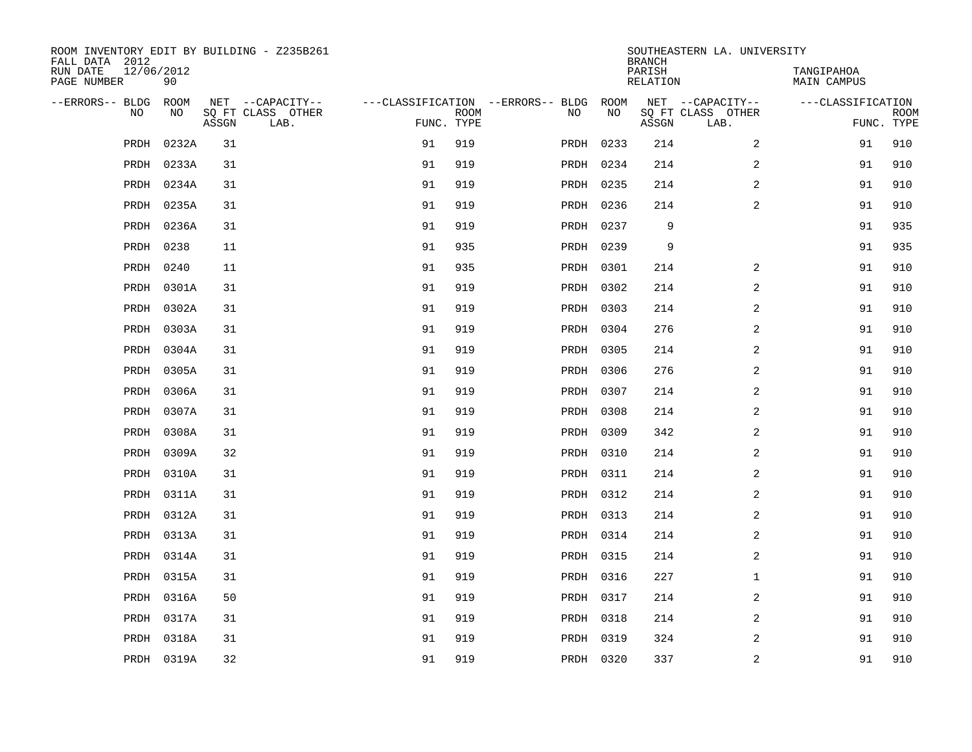| ROOM INVENTORY EDIT BY BUILDING - Z235B261<br>FALL DATA 2012 |            |       |                           |            |             |                                        |           | <b>BRANCH</b>      | SOUTHEASTERN LA. UNIVERSITY |                           |                           |
|--------------------------------------------------------------|------------|-------|---------------------------|------------|-------------|----------------------------------------|-----------|--------------------|-----------------------------|---------------------------|---------------------------|
| RUN DATE<br>12/06/2012<br>PAGE NUMBER                        | 90         |       |                           |            |             |                                        |           | PARISH<br>RELATION |                             | TANGIPAHOA<br>MAIN CAMPUS |                           |
| --ERRORS-- BLDG ROOM                                         |            |       | NET --CAPACITY--          |            |             | ---CLASSIFICATION --ERRORS-- BLDG ROOM |           |                    | NET --CAPACITY--            | ---CLASSIFICATION         |                           |
| NO                                                           | NO         | ASSGN | SQ FT CLASS OTHER<br>LAB. | FUNC. TYPE | <b>ROOM</b> | NO                                     | NO        | ASSGN              | SQ FT CLASS OTHER<br>LAB.   |                           | <b>ROOM</b><br>FUNC. TYPE |
| PRDH                                                         | 0232A      | 31    |                           | 91         | 919         |                                        | PRDH 0233 | 214                | $\overline{a}$              | 91                        | 910                       |
| PRDH                                                         | 0233A      | 31    |                           | 91         | 919         |                                        | PRDH 0234 | 214                | 2                           | 91                        | 910                       |
| PRDH                                                         | 0234A      | 31    |                           | 91         | 919         |                                        | PRDH 0235 | 214                | 2                           | 91                        | 910                       |
| PRDH                                                         | 0235A      | 31    |                           | 91         | 919         |                                        | PRDH 0236 | 214                | $\overline{a}$              | 91                        | 910                       |
| PRDH                                                         | 0236A      | 31    |                           | 91         | 919         |                                        | PRDH 0237 | 9                  |                             | 91                        | 935                       |
| PRDH                                                         | 0238       | 11    |                           | 91         | 935         |                                        | PRDH 0239 | 9                  |                             | 91                        | 935                       |
| PRDH                                                         | 0240       | 11    |                           | 91         | 935         |                                        | PRDH 0301 | 214                | 2                           | 91                        | 910                       |
| PRDH                                                         | 0301A      | 31    |                           | 91         | 919         |                                        | PRDH 0302 | 214                | 2                           | 91                        | 910                       |
| PRDH                                                         | 0302A      | 31    |                           | 91         | 919         |                                        | PRDH 0303 | 214                | 2                           | 91                        | 910                       |
| PRDH                                                         | 0303A      | 31    |                           | 91         | 919         |                                        | PRDH 0304 | 276                | 2                           | 91                        | 910                       |
| PRDH                                                         | 0304A      | 31    |                           | 91         | 919         |                                        | PRDH 0305 | 214                | 2                           | 91                        | 910                       |
| PRDH                                                         | 0305A      | 31    |                           | 91         | 919         |                                        | PRDH 0306 | 276                | 2                           | 91                        | 910                       |
| PRDH                                                         | 0306A      | 31    |                           | 91         | 919         |                                        | PRDH 0307 | 214                | 2                           | 91                        | 910                       |
| PRDH                                                         | 0307A      | 31    |                           | 91         | 919         |                                        | PRDH 0308 | 214                | 2                           | 91                        | 910                       |
| PRDH                                                         | 0308A      | 31    |                           | 91         | 919         |                                        | PRDH 0309 | 342                | 2                           | 91                        | 910                       |
| PRDH                                                         | 0309A      | 32    |                           | 91         | 919         |                                        | PRDH 0310 | 214                | $\overline{a}$              | 91                        | 910                       |
| PRDH                                                         | 0310A      | 31    |                           | 91         | 919         |                                        | PRDH 0311 | 214                | 2                           | 91                        | 910                       |
| PRDH                                                         | 0311A      | 31    |                           | 91         | 919         |                                        | PRDH 0312 | 214                | 2                           | 91                        | 910                       |
| PRDH                                                         | 0312A      | 31    |                           | 91         | 919         |                                        | PRDH 0313 | 214                | 2                           | 91                        | 910                       |
| PRDH                                                         | 0313A      | 31    |                           | 91         | 919         |                                        | PRDH 0314 | 214                | 2                           | 91                        | 910                       |
| PRDH                                                         | 0314A      | 31    |                           | 91         | 919         |                                        | PRDH 0315 | 214                | 2                           | 91                        | 910                       |
| PRDH                                                         | 0315A      | 31    |                           | 91         | 919         |                                        | PRDH 0316 | 227                | $\mathbf{1}$                | 91                        | 910                       |
| PRDH                                                         | 0316A      | 50    |                           | 91         | 919         |                                        | PRDH 0317 | 214                | 2                           | 91                        | 910                       |
| PRDH                                                         | 0317A      | 31    |                           | 91         | 919         |                                        | PRDH 0318 | 214                | 2                           | 91                        | 910                       |
| PRDH                                                         | 0318A      | 31    |                           | 91         | 919         |                                        | PRDH 0319 | 324                | 2                           | 91                        | 910                       |
|                                                              | PRDH 0319A | 32    |                           | 91         | 919         |                                        | PRDH 0320 | 337                | 2                           | 91                        | 910                       |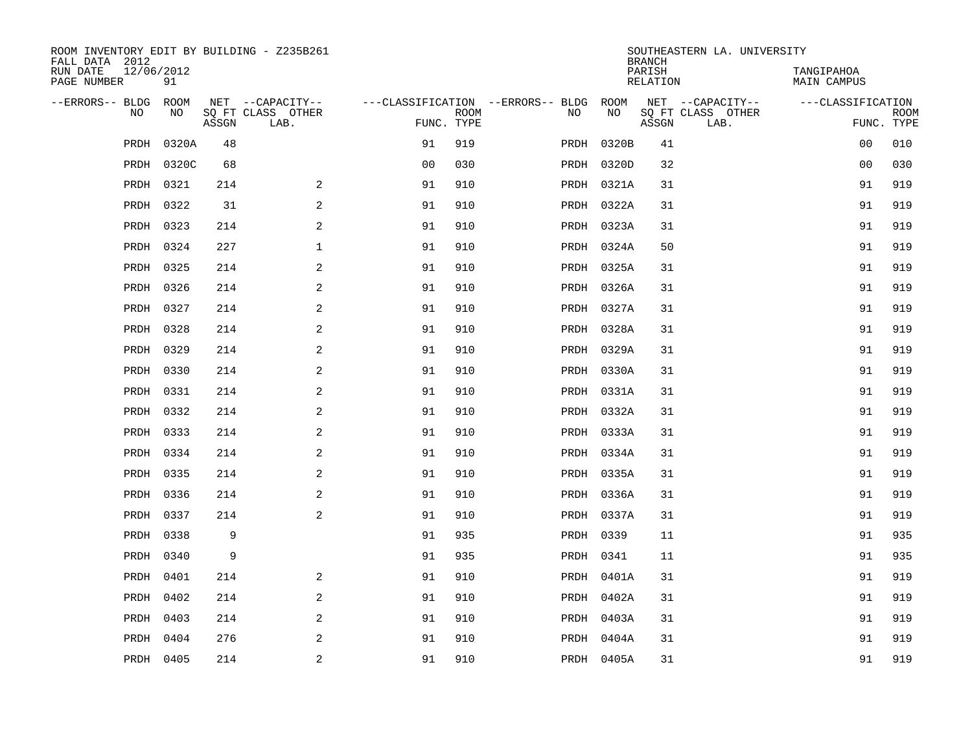| ROOM INVENTORY EDIT BY BUILDING - Z235B261<br>FALL DATA 2012 |                  |       |                           |                |      |                                        |            | <b>BRANCH</b>      | SOUTHEASTERN LA. UNIVERSITY |                                  |                           |
|--------------------------------------------------------------|------------------|-------|---------------------------|----------------|------|----------------------------------------|------------|--------------------|-----------------------------|----------------------------------|---------------------------|
| RUN DATE<br>PAGE NUMBER                                      | 12/06/2012<br>91 |       |                           |                |      |                                        |            | PARISH<br>RELATION |                             | TANGIPAHOA<br><b>MAIN CAMPUS</b> |                           |
| --ERRORS-- BLDG                                              | ROOM             |       | NET --CAPACITY--          |                |      | ---CLASSIFICATION --ERRORS-- BLDG ROOM |            |                    | NET --CAPACITY--            | ---CLASSIFICATION                |                           |
| N <sub>O</sub>                                               | NO.              | ASSGN | SO FT CLASS OTHER<br>LAB. | FUNC. TYPE     | ROOM | NO.                                    | <b>NO</b>  | ASSGN              | SO FT CLASS OTHER<br>LAB.   |                                  | <b>ROOM</b><br>FUNC. TYPE |
| PRDH                                                         | 0320A            | 48    |                           | 91             | 919  |                                        | PRDH 0320B | 41                 |                             | 00                               | 010                       |
| PRDH                                                         | 0320C            | 68    |                           | 0 <sub>0</sub> | 030  |                                        | PRDH 0320D | 32                 |                             | 0 <sub>0</sub>                   | 030                       |
| PRDH                                                         | 0321             | 214   | 2                         | 91             | 910  |                                        | PRDH 0321A | 31                 |                             | 91                               | 919                       |
| PRDH                                                         | 0322             | 31    | 2                         | 91             | 910  |                                        | PRDH 0322A | 31                 |                             | 91                               | 919                       |
| PRDH                                                         | 0323             | 214   | 2                         | 91             | 910  |                                        | PRDH 0323A | 31                 |                             | 91                               | 919                       |
| PRDH                                                         | 0324             | 227   | $\mathbf 1$               | 91             | 910  |                                        | PRDH 0324A | 50                 |                             | 91                               | 919                       |
| PRDH                                                         | 0325             | 214   | $\overline{a}$            | 91             | 910  |                                        | PRDH 0325A | 31                 |                             | 91                               | 919                       |
| PRDH                                                         | 0326             | 214   | 2                         | 91             | 910  |                                        | PRDH 0326A | 31                 |                             | 91                               | 919                       |
| PRDH                                                         | 0327             | 214   | 2                         | 91             | 910  |                                        | PRDH 0327A | 31                 |                             | 91                               | 919                       |
| PRDH                                                         | 0328             | 214   | $\overline{a}$            | 91             | 910  |                                        | PRDH 0328A | 31                 |                             | 91                               | 919                       |
| PRDH                                                         | 0329             | 214   | 2                         | 91             | 910  |                                        | PRDH 0329A | 31                 |                             | 91                               | 919                       |
| PRDH                                                         | 0330             | 214   | 2                         | 91             | 910  |                                        | PRDH 0330A | 31                 |                             | 91                               | 919                       |
| PRDH                                                         | 0331             | 214   | 2                         | 91             | 910  |                                        | PRDH 0331A | 31                 |                             | 91                               | 919                       |
| PRDH                                                         | 0332             | 214   | 2                         | 91             | 910  |                                        | PRDH 0332A | 31                 |                             | 91                               | 919                       |
| PRDH                                                         | 0333             | 214   | 2                         | 91             | 910  |                                        | PRDH 0333A | 31                 |                             | 91                               | 919                       |
| PRDH                                                         | 0334             | 214   | 2                         | 91             | 910  |                                        | PRDH 0334A | 31                 |                             | 91                               | 919                       |
| PRDH                                                         | 0335             | 214   | 2                         | 91             | 910  |                                        | PRDH 0335A | 31                 |                             | 91                               | 919                       |
| PRDH                                                         | 0336             | 214   | 2                         | 91             | 910  |                                        | PRDH 0336A | 31                 |                             | 91                               | 919                       |
| PRDH                                                         | 0337             | 214   | 2                         | 91             | 910  |                                        | PRDH 0337A | 31                 |                             | 91                               | 919                       |
| PRDH                                                         | 0338             | 9     |                           | 91             | 935  |                                        | PRDH 0339  | 11                 |                             | 91                               | 935                       |
| PRDH                                                         | 0340             | 9     |                           | 91             | 935  |                                        | PRDH 0341  | 11                 |                             | 91                               | 935                       |
| PRDH                                                         | 0401             | 214   | 2                         | 91             | 910  |                                        | PRDH 0401A | 31                 |                             | 91                               | 919                       |
| PRDH                                                         | 0402             | 214   | 2                         | 91             | 910  |                                        | PRDH 0402A | 31                 |                             | 91                               | 919                       |
| PRDH                                                         | 0403             | 214   | 2                         | 91             | 910  |                                        | PRDH 0403A | 31                 |                             | 91                               | 919                       |
| PRDH                                                         | 0404             | 276   | 2                         | 91             | 910  |                                        | PRDH 0404A | 31                 |                             | 91                               | 919                       |
|                                                              | PRDH 0405        | 214   | $\overline{c}$            | 91             | 910  |                                        | PRDH 0405A | 31                 |                             | 91                               | 919                       |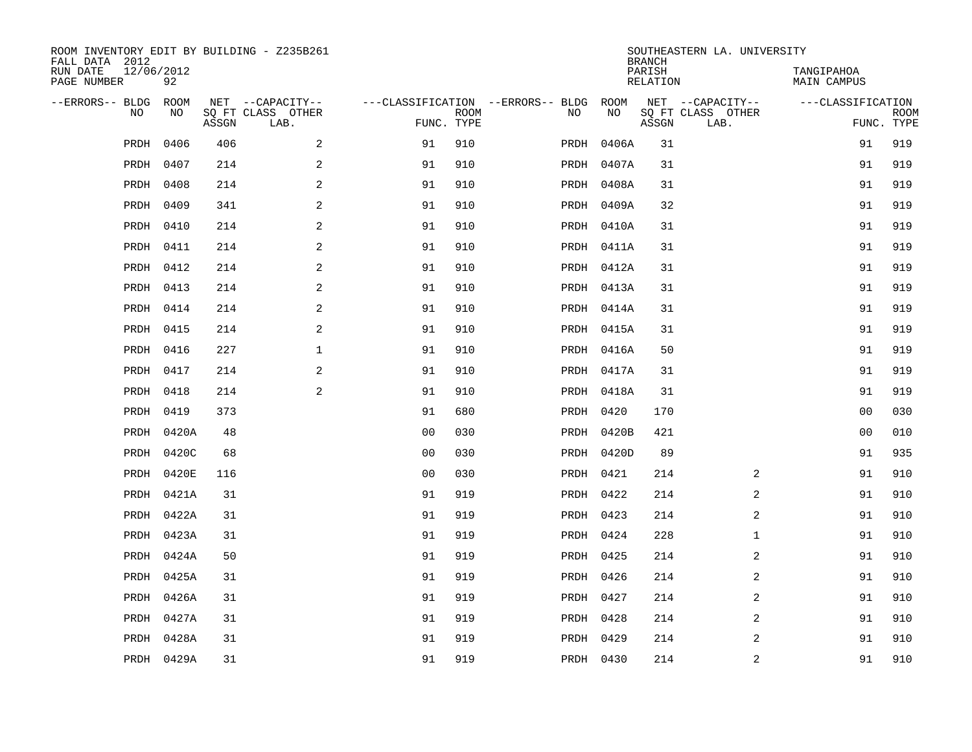| FALL DATA 2012          |            |             |       | ROOM INVENTORY EDIT BY BUILDING - Z235B261    |                                                      |             |           |            | <b>BRANCH</b>      | SOUTHEASTERN LA. UNIVERSITY                   |                                  |                           |
|-------------------------|------------|-------------|-------|-----------------------------------------------|------------------------------------------------------|-------------|-----------|------------|--------------------|-----------------------------------------------|----------------------------------|---------------------------|
| RUN DATE<br>PAGE NUMBER | 12/06/2012 | 92          |       |                                               |                                                      |             |           |            | PARISH<br>RELATION |                                               | TANGIPAHOA<br><b>MAIN CAMPUS</b> |                           |
| --ERRORS-- BLDG         | <b>NO</b>  | ROOM<br>NO. | ASSGN | NET --CAPACITY--<br>SQ FT CLASS OTHER<br>LAB. | ---CLASSIFICATION --ERRORS-- BLDG ROOM<br>FUNC. TYPE | <b>ROOM</b> | NO        | NO         | ASSGN              | NET --CAPACITY--<br>SQ FT CLASS OTHER<br>LAB. | ---CLASSIFICATION                | <b>ROOM</b><br>FUNC. TYPE |
|                         | PRDH       | 0406        | 406   | 2                                             | 91                                                   | 910         |           | PRDH 0406A | 31                 |                                               | 91                               | 919                       |
|                         | PRDH       | 0407        | 214   | 2                                             | 91                                                   | 910         |           | PRDH 0407A | 31                 |                                               | 91                               | 919                       |
|                         | PRDH       | 0408        | 214   | 2                                             | 91                                                   | 910         |           | PRDH 0408A | 31                 |                                               | 91                               | 919                       |
|                         | PRDH       | 0409        | 341   | $\overline{2}$                                | 91                                                   | 910         |           | PRDH 0409A | 32                 |                                               | 91                               | 919                       |
|                         | PRDH       | 0410        | 214   | $\mathbf{2}$                                  | 91                                                   | 910         |           | PRDH 0410A | 31                 |                                               | 91                               | 919                       |
|                         | PRDH       | 0411        | 214   | 2                                             | 91                                                   | 910         |           | PRDH 0411A | 31                 |                                               | 91                               | 919                       |
|                         | PRDH       | 0412        | 214   | 2                                             | 91                                                   | 910         |           | PRDH 0412A | 31                 |                                               | 91                               | 919                       |
|                         |            | PRDH 0413   | 214   | 2                                             | 91                                                   | 910         |           | PRDH 0413A | 31                 |                                               | 91                               | 919                       |
|                         | PRDH       | 0414        | 214   | 2                                             | 91                                                   | 910         |           | PRDH 0414A | 31                 |                                               | 91                               | 919                       |
|                         | PRDH       | 0415        | 214   | 2                                             | 91                                                   | 910         |           | PRDH 0415A | 31                 |                                               | 91                               | 919                       |
|                         | PRDH       | 0416        | 227   | $\mathbf 1$                                   | 91                                                   | 910         |           | PRDH 0416A | 50                 |                                               | 91                               | 919                       |
|                         | PRDH       | 0417        | 214   | 2                                             | 91                                                   | 910         |           | PRDH 0417A | 31                 |                                               | 91                               | 919                       |
|                         | PRDH       | 0418        | 214   | 2                                             | 91                                                   | 910         |           | PRDH 0418A | 31                 |                                               | 91                               | 919                       |
|                         | PRDH       | 0419        | 373   |                                               | 91                                                   | 680         |           | PRDH 0420  | 170                |                                               | 0 <sub>0</sub>                   | 030                       |
|                         | PRDH       | 0420A       | 48    |                                               | 0 <sub>0</sub>                                       | 030         |           | PRDH 0420B | 421                |                                               | 0 <sub>0</sub>                   | 010                       |
|                         | PRDH       | 0420C       | 68    |                                               | 0 <sub>0</sub>                                       | 030         |           | PRDH 0420D | 89                 |                                               | 91                               | 935                       |
|                         | PRDH       | 0420E       | 116   |                                               | 0 <sub>0</sub>                                       | 030         |           | PRDH 0421  | 214                | 2                                             | 91                               | 910                       |
|                         | PRDH       | 0421A       | 31    |                                               | 91                                                   | 919         |           | PRDH 0422  | 214                | 2                                             | 91                               | 910                       |
|                         | PRDH       | 0422A       | 31    |                                               | 91                                                   | 919         | PRDH 0423 |            | 214                | 2                                             | 91                               | 910                       |
|                         | PRDH       | 0423A       | 31    |                                               | 91                                                   | 919         | PRDH 0424 |            | 228                | $\mathbf{1}$                                  | 91                               | 910                       |
|                         | PRDH       | 0424A       | 50    |                                               | 91                                                   | 919         | PRDH 0425 |            | 214                | 2                                             | 91                               | 910                       |
|                         | PRDH       | 0425A       | 31    |                                               | 91                                                   | 919         | PRDH 0426 |            | 214                | 2                                             | 91                               | 910                       |
|                         | PRDH       | 0426A       | 31    |                                               | 91                                                   | 919         | PRDH 0427 |            | 214                | 2                                             | 91                               | 910                       |
|                         | PRDH       | 0427A       | 31    |                                               | 91                                                   | 919         | PRDH 0428 |            | 214                | $\overline{a}$                                | 91                               | 910                       |
|                         | PRDH       | 0428A       | 31    |                                               | 91                                                   | 919         | PRDH 0429 |            | 214                | 2                                             | 91                               | 910                       |
|                         |            | PRDH 0429A  | 31    |                                               | 91                                                   | 919         |           | PRDH 0430  | 214                | $\overline{2}$                                | 91                               | 910                       |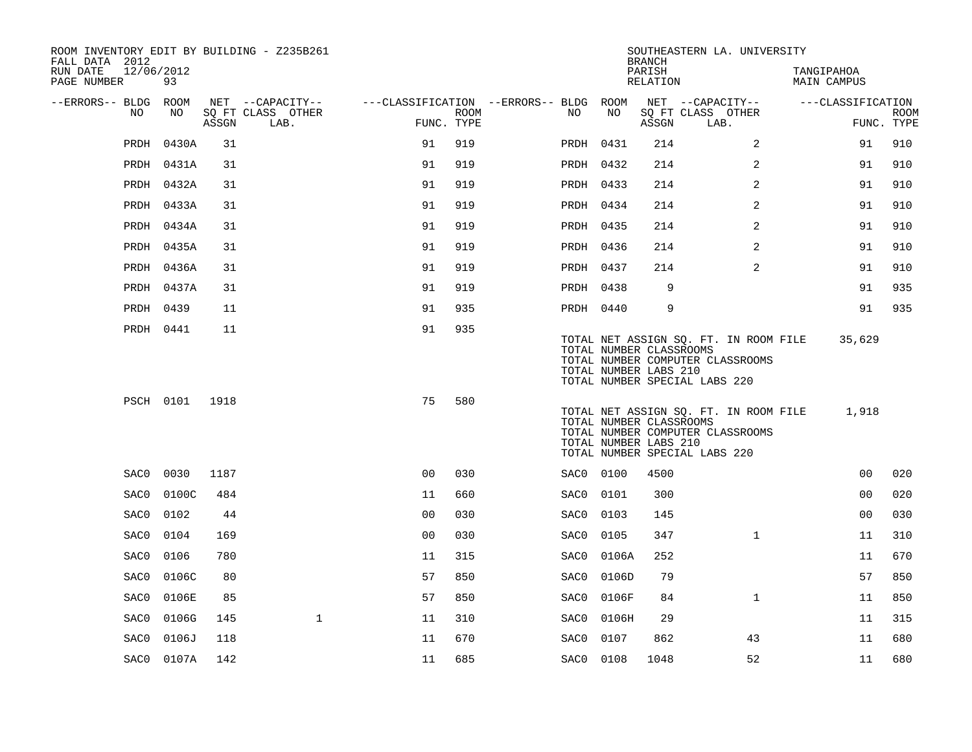| ROOM INVENTORY EDIT BY BUILDING - Z235B261<br>FALL DATA 2012 |                |       |                           |                                        |      |           |                                                  | <b>BRANCH</b>      | SOUTHEASTERN LA. UNIVERSITY                                                                                |                           |                           |
|--------------------------------------------------------------|----------------|-------|---------------------------|----------------------------------------|------|-----------|--------------------------------------------------|--------------------|------------------------------------------------------------------------------------------------------------|---------------------------|---------------------------|
| RUN DATE<br>12/06/2012<br>PAGE NUMBER                        | 93             |       |                           |                                        |      |           |                                                  | PARISH<br>RELATION |                                                                                                            | TANGIPAHOA<br>MAIN CAMPUS |                           |
| --ERRORS-- BLDG ROOM                                         |                |       | NET --CAPACITY--          | ---CLASSIFICATION --ERRORS-- BLDG ROOM |      |           |                                                  |                    | NET --CAPACITY--                                                                                           | ---CLASSIFICATION         |                           |
| NO                                                           | NO             | ASSGN | SQ FT CLASS OTHER<br>LAB. | FUNC. TYPE                             | ROOM | NO.       | NO                                               | ASSGN              | SQ FT CLASS OTHER<br>LAB.                                                                                  |                           | <b>ROOM</b><br>FUNC. TYPE |
| PRDH                                                         | 0430A          | 31    |                           | 91                                     | 919  | PRDH 0431 |                                                  | 214                | 2                                                                                                          | 91                        | 910                       |
|                                                              | PRDH 0431A     | 31    |                           | 91                                     | 919  | PRDH 0432 |                                                  | 214                | 2                                                                                                          | 91                        | 910                       |
|                                                              | PRDH 0432A     | 31    |                           | 91                                     | 919  | PRDH 0433 |                                                  | 214                | $\overline{a}$                                                                                             | 91                        | 910                       |
|                                                              | PRDH 0433A     | 31    |                           | 91                                     | 919  | PRDH 0434 |                                                  | 214                | 2                                                                                                          | 91                        | 910                       |
|                                                              | PRDH 0434A     | 31    |                           | 91                                     | 919  | PRDH 0435 |                                                  | 214                | 2                                                                                                          | 91                        | 910                       |
|                                                              | PRDH 0435A     | 31    |                           | 91                                     | 919  | PRDH 0436 |                                                  | 214                | 2                                                                                                          | 91                        | 910                       |
|                                                              | PRDH 0436A     | 31    |                           | 91                                     | 919  | PRDH 0437 |                                                  | 214                | 2                                                                                                          | 91                        | 910                       |
|                                                              | PRDH 0437A     | 31    |                           | 91                                     | 919  | PRDH 0438 |                                                  | 9                  |                                                                                                            | 91                        | 935                       |
|                                                              | PRDH 0439      | 11    |                           | 91                                     | 935  | PRDH 0440 |                                                  | 9                  |                                                                                                            | 91                        | 935                       |
|                                                              | PRDH 0441      | 11    |                           | 91                                     | 935  |           | TOTAL NUMBER CLASSROOMS<br>TOTAL NUMBER LABS 210 |                    | TOTAL NET ASSIGN SQ. FT. IN ROOM FILE<br>TOTAL NUMBER COMPUTER CLASSROOMS<br>TOTAL NUMBER SPECIAL LABS 220 | 35,629                    |                           |
|                                                              | PSCH 0101 1918 |       |                           | 75                                     | 580  |           | TOTAL NUMBER CLASSROOMS<br>TOTAL NUMBER LABS 210 |                    | TOTAL NET ASSIGN SQ. FT. IN ROOM FILE<br>TOTAL NUMBER COMPUTER CLASSROOMS<br>TOTAL NUMBER SPECIAL LABS 220 | 1,918                     |                           |
| SAC0                                                         | 0030           | 1187  |                           | 0 <sub>0</sub>                         | 030  | SAC0 0100 |                                                  | 4500               |                                                                                                            | 00                        | 020                       |
| SAC0                                                         | 0100C          | 484   |                           | 11                                     | 660  | SAC0      | 0101                                             | 300                |                                                                                                            | 00                        | 020                       |
| SAC0                                                         | 0102           | 44    |                           | 0 <sub>0</sub>                         | 030  | SAC0      | 0103                                             | 145                |                                                                                                            | 0 <sub>0</sub>            | 030                       |
| SAC0                                                         | 0104           | 169   |                           | 0 <sub>0</sub>                         | 030  | SAC0      | 0105                                             | 347                | $\mathbf{1}$                                                                                               | 11                        | 310                       |
| SAC0                                                         | 0106           | 780   |                           | 11                                     | 315  | SAC0      | 0106A                                            | 252                |                                                                                                            | 11                        | 670                       |
| SAC0                                                         | 0106C          | 80    |                           | 57                                     | 850  | SAC0      | 0106D                                            | 79                 |                                                                                                            | 57                        | 850                       |
| SAC0                                                         | 0106E          | 85    |                           | 57                                     | 850  | SAC0      | 0106F                                            | 84                 | $\mathbf{1}$                                                                                               | 11                        | 850                       |
| SAC0                                                         | 0106G          | 145   | $\mathbf{1}$              | 11                                     | 310  | SAC0      | 0106H                                            | 29                 |                                                                                                            | 11                        | 315                       |
| SAC0                                                         | 0106J          | 118   |                           | 11                                     | 670  | SAC0      | 0107                                             | 862                | 43                                                                                                         | 11                        | 680                       |
|                                                              | SAC0 0107A     | 142   |                           | 11                                     | 685  | SAC0 0108 |                                                  | 1048               | 52                                                                                                         | 11                        | 680                       |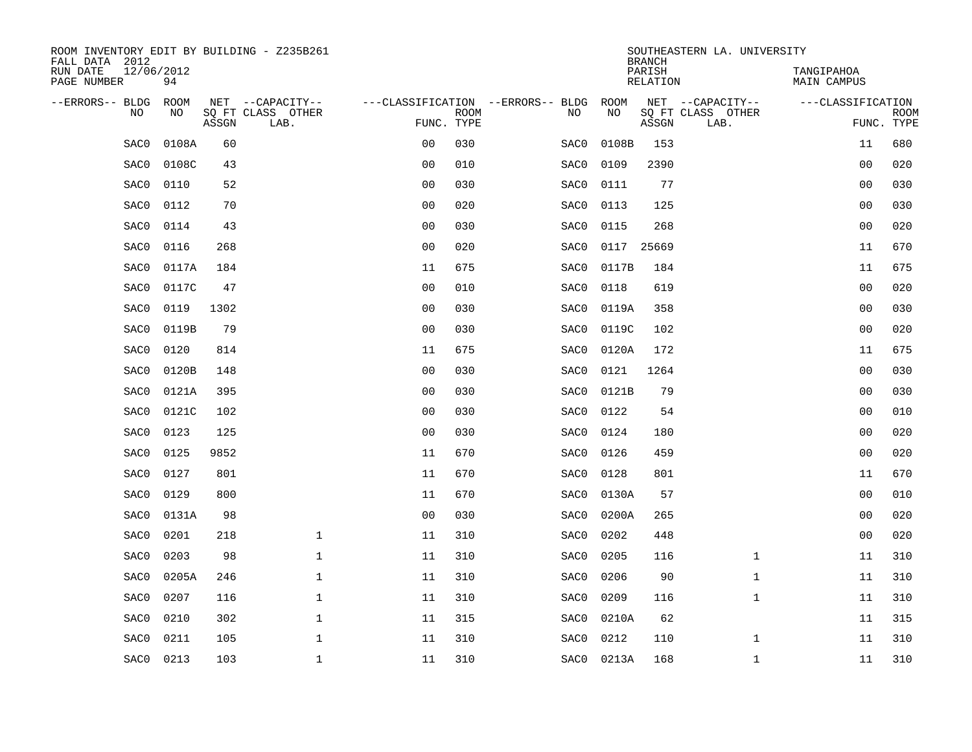| ROOM INVENTORY EDIT BY BUILDING - Z235B261<br>FALL DATA 2012 |                  |       |                                       |                |             |                                          |                   | <b>BRANCH</b>      | SOUTHEASTERN LA. UNIVERSITY |                           |             |
|--------------------------------------------------------------|------------------|-------|---------------------------------------|----------------|-------------|------------------------------------------|-------------------|--------------------|-----------------------------|---------------------------|-------------|
| RUN DATE<br>PAGE NUMBER                                      | 12/06/2012<br>94 |       |                                       |                |             |                                          |                   | PARISH<br>RELATION |                             | TANGIPAHOA<br>MAIN CAMPUS |             |
| --ERRORS-- BLDG<br>N <sub>O</sub>                            | ROOM<br>NO.      |       | NET --CAPACITY--<br>SO FT CLASS OTHER |                |             | ---CLASSIFICATION --ERRORS-- BLDG<br>NO. | ROOM<br><b>NO</b> |                    | NET --CAPACITY--            | ---CLASSIFICATION         |             |
|                                                              |                  | ASSGN | LAB.                                  | FUNC. TYPE     | <b>ROOM</b> |                                          |                   | ASSGN              | SQ FT CLASS OTHER<br>LAB.   | FUNC. TYPE                | <b>ROOM</b> |
| SAC0                                                         | 0108A            | 60    |                                       | 0 <sub>0</sub> | 030         | SAC0                                     | 0108B             | 153                |                             | 11                        | 680         |
| SAC0                                                         | 0108C            | 43    |                                       | 0 <sub>0</sub> | 010         | SAC0                                     | 0109              | 2390               |                             | 0 <sub>0</sub>            | 020         |
| SAC0                                                         | 0110             | 52    |                                       | 0 <sub>0</sub> | 030         | SAC0                                     | 0111              | 77                 |                             | 0 <sub>0</sub>            | 030         |
| SAC0                                                         | 0112             | 70    |                                       | 0 <sub>0</sub> | 020         | SAC0                                     | 0113              | 125                |                             | 0 <sub>0</sub>            | 030         |
| SAC0                                                         | 0114             | 43    |                                       | 00             | 030         | SAC0                                     | 0115              | 268                |                             | 0 <sub>0</sub>            | 020         |
| SAC0                                                         | 0116             | 268   |                                       | 0 <sub>0</sub> | 020         | SAC0                                     |                   | 0117 25669         |                             | 11                        | 670         |
| SAC0                                                         | 0117A            | 184   |                                       | 11             | 675         | SAC0                                     | 0117B             | 184                |                             | 11                        | 675         |
| SAC0                                                         | 0117C            | 47    |                                       | 0 <sub>0</sub> | 010         | SAC0                                     | 0118              | 619                |                             | 0 <sub>0</sub>            | 020         |
| SAC0                                                         | 0119             | 1302  |                                       | 0 <sub>0</sub> | 030         | SAC0                                     | 0119A             | 358                |                             | 0 <sub>0</sub>            | 030         |
| SAC0                                                         | 0119B            | 79    |                                       | 0 <sub>0</sub> | 030         | SAC0                                     | 0119C             | 102                |                             | 0 <sub>0</sub>            | 020         |
| SAC0                                                         | 0120             | 814   |                                       | 11             | 675         | SAC0                                     | 0120A             | 172                |                             | 11                        | 675         |
| SAC0                                                         | 0120B            | 148   |                                       | 0 <sub>0</sub> | 030         | SAC0                                     | 0121              | 1264               |                             | 0 <sub>0</sub>            | 030         |
| SAC0                                                         | 0121A            | 395   |                                       | 0 <sub>0</sub> | 030         | SAC0                                     | 0121B             | 79                 |                             | 00                        | 030         |
| SAC0                                                         | 0121C            | 102   |                                       | 0 <sub>0</sub> | 030         | SAC0                                     | 0122              | 54                 |                             | 00                        | 010         |
| SAC0                                                         | 0123             | 125   |                                       | 0 <sub>0</sub> | 030         | SAC0                                     | 0124              | 180                |                             | 00                        | 020         |
| SAC0                                                         | 0125             | 9852  |                                       | 11             | 670         | SAC0                                     | 0126              | 459                |                             | 0 <sub>0</sub>            | 020         |
| SAC0                                                         | 0127             | 801   |                                       | 11             | 670         | SAC0                                     | 0128              | 801                |                             | 11                        | 670         |
| SAC0                                                         | 0129             | 800   |                                       | 11             | 670         | SAC0                                     | 0130A             | 57                 |                             | 00                        | 010         |
| SAC0                                                         | 0131A            | 98    |                                       | 0 <sub>0</sub> | 030         | SAC0                                     | 0200A             | 265                |                             | 00                        | 020         |
| SAC0                                                         | 0201             | 218   | $\mathbf{1}$                          | 11             | 310         | SAC0                                     | 0202              | 448                |                             | 0 <sub>0</sub>            | 020         |
| SAC0                                                         | 0203             | 98    | $\mathbf 1$                           | 11             | 310         | SAC0                                     | 0205              | 116                | $\mathbf{1}$                | 11                        | 310         |
| SAC0                                                         | 0205A            | 246   | $\mathbf 1$                           | 11             | 310         | SAC0                                     | 0206              | 90                 | $\mathbf{1}$                | 11                        | 310         |
| SAC0                                                         | 0207             | 116   | 1                                     | 11             | 310         | SAC0                                     | 0209              | 116                | $\mathbf{1}$                | 11                        | 310         |
| SAC0                                                         | 0210             | 302   | $\mathbf 1$                           | 11             | 315         | SAC0                                     | 0210A             | 62                 |                             | 11                        | 315         |
| SAC0                                                         | 0211             | 105   | $\mathbf 1$                           | 11             | 310         | SAC0                                     | 0212              | 110                | $\mathbf{1}$                | 11                        | 310         |
| SAC0                                                         | 0213             | 103   | $\mathbf{1}$                          | 11             | 310         |                                          | SAC0 0213A        | 168                | $\mathbf{1}$                | 11                        | 310         |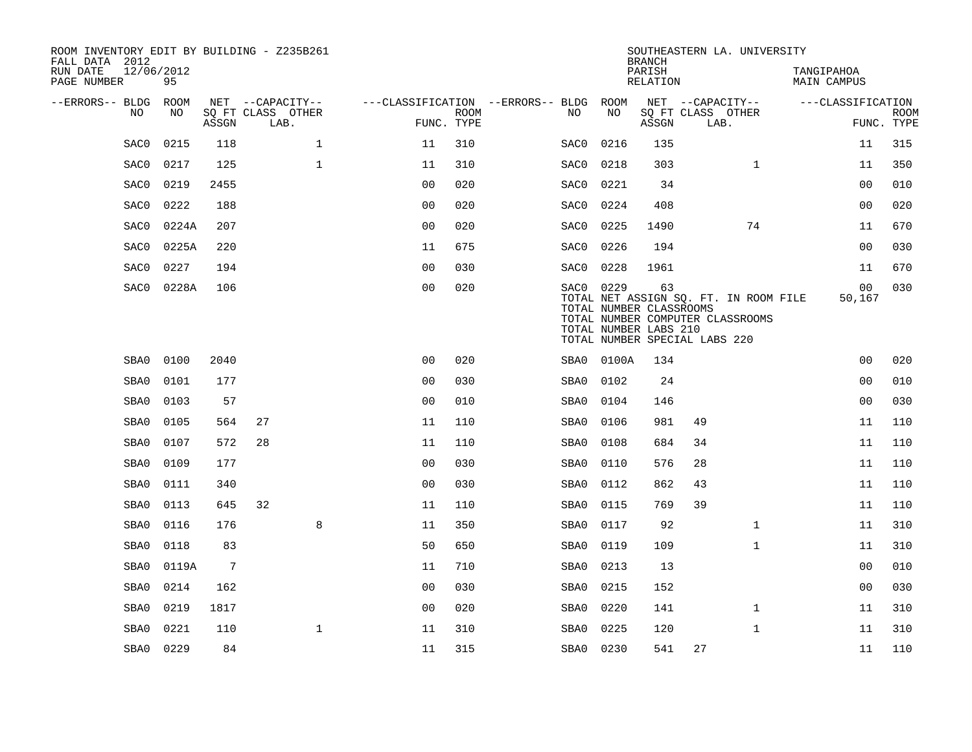| ROOM INVENTORY EDIT BY BUILDING - Z235B261<br>FALL DATA 2012<br>RUN DATE<br>PAGE NUMBER | 12/06/2012<br>95 |       |                                               |                |                           |                                               |            | <b>BRANCH</b><br>PARISH<br><b>RELATION</b>             | SOUTHEASTERN LA. UNIVERSITY                                                                                |              | TANGIPAHOA<br>MAIN CAMPUS |                           |
|-----------------------------------------------------------------------------------------|------------------|-------|-----------------------------------------------|----------------|---------------------------|-----------------------------------------------|------------|--------------------------------------------------------|------------------------------------------------------------------------------------------------------------|--------------|---------------------------|---------------------------|
| --ERRORS-- BLDG<br>NO.                                                                  | ROOM<br>NO       | ASSGN | NET --CAPACITY--<br>SQ FT CLASS OTHER<br>LAB. |                | <b>ROOM</b><br>FUNC. TYPE | ---CLASSIFICATION --ERRORS-- BLDG ROOM<br>NO. | NO         | ASSGN                                                  | NET --CAPACITY--<br>SQ FT CLASS OTHER<br>LAB.                                                              |              | ---CLASSIFICATION         | <b>ROOM</b><br>FUNC. TYPE |
| SAC0                                                                                    | 0215             | 118   | $\mathbf{1}$                                  | 11             | 310                       | SAC0                                          | 0216       | 135                                                    |                                                                                                            |              | 11                        | 315                       |
| SAC0                                                                                    | 0217             | 125   | $\mathbf{1}$                                  | 11             | 310                       | SAC0                                          | 0218       | 303                                                    |                                                                                                            | $\mathbf{1}$ | 11                        | 350                       |
| SAC0                                                                                    | 0219             | 2455  |                                               | 0 <sub>0</sub> | 020                       | SAC0                                          | 0221       | 34                                                     |                                                                                                            |              | 0 <sub>0</sub>            | 010                       |
| SAC0                                                                                    | 0222             | 188   |                                               | 0 <sub>0</sub> | 020                       | SAC0                                          | 0224       | 408                                                    |                                                                                                            |              | 0 <sub>0</sub>            | 020                       |
| SAC0                                                                                    | 0224A            | 207   |                                               | 0 <sub>0</sub> | 020                       | SAC0                                          | 0225       | 1490                                                   |                                                                                                            | 74           | 11                        | 670                       |
| SAC0                                                                                    | 0225A            | 220   |                                               | 11             | 675                       | SAC0                                          | 0226       | 194                                                    |                                                                                                            |              | 0 <sub>0</sub>            | 030                       |
| SAC0                                                                                    | 0227             | 194   |                                               | 0 <sub>0</sub> | 030                       | SAC0                                          | 0228       | 1961                                                   |                                                                                                            |              | 11                        | 670                       |
| SAC0                                                                                    | 0228A            | 106   |                                               | 00             | 020                       |                                               | SAC0 0229  | 63<br>TOTAL NUMBER CLASSROOMS<br>TOTAL NUMBER LABS 210 | TOTAL NET ASSIGN SQ. FT. IN ROOM FILE<br>TOTAL NUMBER COMPUTER CLASSROOMS<br>TOTAL NUMBER SPECIAL LABS 220 |              | 00<br>50,167              | 030                       |
| SBA0                                                                                    | 0100             | 2040  |                                               | 0 <sub>0</sub> | 020                       |                                               | SBA0 0100A | 134                                                    |                                                                                                            |              | 0 <sub>0</sub>            | 020                       |
| SBA0                                                                                    | 0101             | 177   |                                               | 0 <sub>0</sub> | 030                       | SBA0                                          | 0102       | 24                                                     |                                                                                                            |              | 0 <sub>0</sub>            | 010                       |
| SBA0                                                                                    | 0103             | 57    |                                               | 0 <sub>0</sub> | 010                       | SBA0                                          | 0104       | 146                                                    |                                                                                                            |              | 0 <sub>0</sub>            | 030                       |
| SBA0                                                                                    | 0105             | 564   | 27                                            | 11             | 110                       | SBA0                                          | 0106       | 981                                                    | 49                                                                                                         |              | 11                        | 110                       |
| SBA0                                                                                    | 0107             | 572   | 28                                            | 11             | 110                       | SBA0                                          | 0108       | 684                                                    | 34                                                                                                         |              | 11                        | 110                       |
| SBA0                                                                                    | 0109             | 177   |                                               | 0 <sub>0</sub> | 030                       | SBA0                                          | 0110       | 576                                                    | 28                                                                                                         |              | 11                        | 110                       |
| SBA0                                                                                    | 0111             | 340   |                                               | 0 <sub>0</sub> | 030                       | SBA0                                          | 0112       | 862                                                    | 43                                                                                                         |              | 11                        | 110                       |
| SBA0                                                                                    | 0113             | 645   | 32                                            | 11             | 110                       | SBA0                                          | 0115       | 769                                                    | 39                                                                                                         |              | 11                        | 110                       |
| SBA0                                                                                    | 0116             | 176   | 8                                             | 11             | 350                       | SBA0                                          | 0117       | 92                                                     |                                                                                                            | $\mathbf{1}$ | 11                        | 310                       |
| SBA0                                                                                    | 0118             | 83    |                                               | 50             | 650                       | SBA0                                          | 0119       | 109                                                    |                                                                                                            | $\mathbf{1}$ | 11                        | 310                       |
| SBA0                                                                                    | 0119A            | 7     |                                               | 11             | 710                       | SBA0                                          | 0213       | 13                                                     |                                                                                                            |              | 00                        | 010                       |
| SBA0                                                                                    | 0214             | 162   |                                               | 0 <sub>0</sub> | 030                       | SBA0                                          | 0215       | 152                                                    |                                                                                                            |              | 0 <sub>0</sub>            | 030                       |
| SBA0                                                                                    | 0219             | 1817  |                                               | 0 <sub>0</sub> | 020                       | SBA0                                          | 0220       | 141                                                    |                                                                                                            | $\mathbf{1}$ | 11                        | 310                       |
| SBA0                                                                                    | 0221             | 110   | 1                                             | 11             | 310                       | SBA0                                          | 0225       | 120                                                    |                                                                                                            | $\mathbf{1}$ | 11                        | 310                       |
| SBA0                                                                                    | 0229             | 84    |                                               | 11             | 315                       |                                               | SBA0 0230  | 541                                                    | 27                                                                                                         |              | 11                        | 110                       |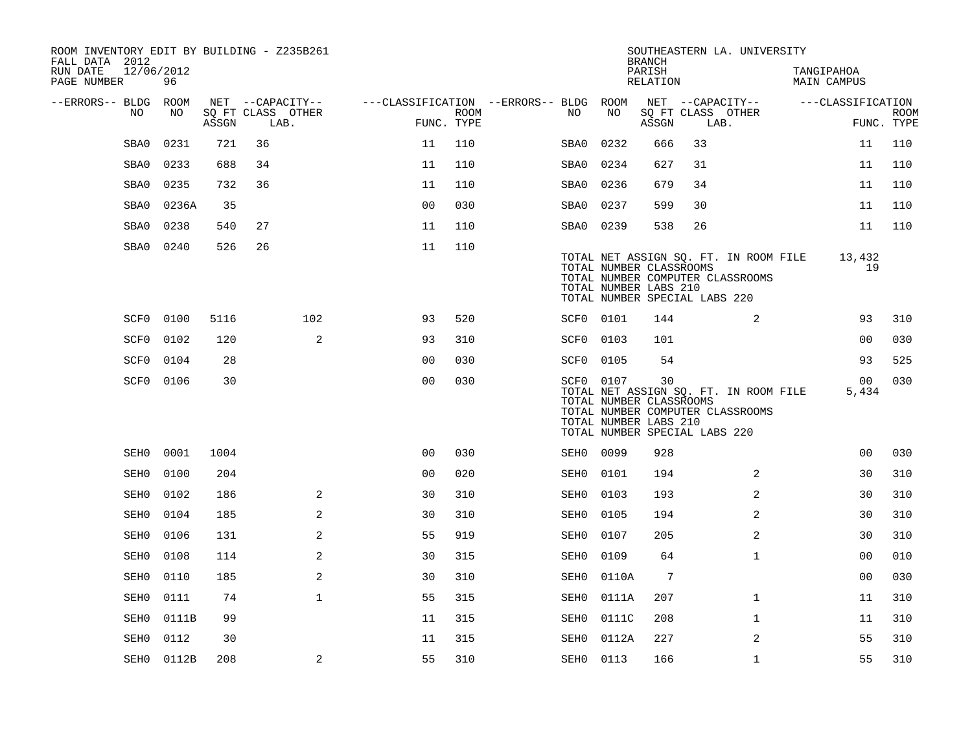| ROOM INVENTORY EDIT BY BUILDING - Z235B261<br>FALL DATA 2012 |                  |       |                           |                                        |             |           |                                                  | <b>BRANCH</b>      |                               | SOUTHEASTERN LA. UNIVERSITY                                               |                                  |                           |
|--------------------------------------------------------------|------------------|-------|---------------------------|----------------------------------------|-------------|-----------|--------------------------------------------------|--------------------|-------------------------------|---------------------------------------------------------------------------|----------------------------------|---------------------------|
| RUN DATE<br>PAGE NUMBER                                      | 12/06/2012<br>96 |       |                           |                                        |             |           |                                                  | PARISH<br>RELATION |                               |                                                                           | TANGIPAHOA<br><b>MAIN CAMPUS</b> |                           |
| --ERRORS-- BLDG ROOM                                         |                  |       | NET --CAPACITY--          | ---CLASSIFICATION --ERRORS-- BLDG ROOM |             |           |                                                  |                    |                               | NET --CAPACITY--                                                          | ---CLASSIFICATION                |                           |
| NO.                                                          | NO               | ASSGN | SQ FT CLASS OTHER<br>LAB. | FUNC. TYPE                             | <b>ROOM</b> | NO.       | NO                                               | ASSGN              | LAB.                          | SQ FT CLASS OTHER                                                         |                                  | <b>ROOM</b><br>FUNC. TYPE |
| SBA0                                                         | 0231             | 721   | 36                        | 11                                     | 110         | SBA0      | 0232                                             | 666                | 33                            |                                                                           | 11                               | 110                       |
| SBA0                                                         | 0233             | 688   | 34                        | 11                                     | 110         | SBA0      | 0234                                             | 627                | 31                            |                                                                           | 11                               | 110                       |
| SBA0                                                         | 0235             | 732   | 36                        | 11                                     | 110         | SBA0      | 0236                                             | 679                | 34                            |                                                                           | 11                               | 110                       |
| SBA0                                                         | 0236A            | 35    |                           | 0 <sub>0</sub>                         | 030         | SBA0      | 0237                                             | 599                | 30                            |                                                                           | 11                               | 110                       |
| SBA0                                                         | 0238             | 540   | 27                        | 11                                     | 110         | SBA0      | 0239                                             | 538                | 26                            |                                                                           | 11                               | 110                       |
| SBA0                                                         | 0240             | 526   | 26                        | 11                                     | 110         |           | TOTAL NUMBER CLASSROOMS<br>TOTAL NUMBER LABS 210 |                    | TOTAL NUMBER SPECIAL LABS 220 | TOTAL NET ASSIGN SQ. FT. IN ROOM FILE<br>TOTAL NUMBER COMPUTER CLASSROOMS | 13,432<br>19                     |                           |
| SCF0                                                         | 0100             | 5116  | 102                       | 93                                     | 520         | SCF0 0101 |                                                  | 144                |                               | 2                                                                         | 93                               | 310                       |
| SCF0                                                         | 0102             | 120   | 2                         | 93                                     | 310         | SCF0 0103 |                                                  | 101                |                               |                                                                           | 0 <sub>0</sub>                   | 030                       |
| SCF0                                                         | 0104             | 28    |                           | 0 <sub>0</sub>                         | 030         | SCF0 0105 |                                                  | 54                 |                               |                                                                           | 93                               | 525                       |
|                                                              | SCF0 0106        | 30    |                           | 0 <sub>0</sub>                         | 030         | SCF0 0107 | TOTAL NUMBER CLASSROOMS<br>TOTAL NUMBER LABS 210 | 30                 | TOTAL NUMBER SPECIAL LABS 220 | TOTAL NET ASSIGN SQ. FT. IN ROOM FILE<br>TOTAL NUMBER COMPUTER CLASSROOMS | 00 <sup>o</sup><br>5,434         | 030                       |
| SEH0                                                         | 0001             | 1004  |                           | 0 <sub>0</sub>                         | 030         | SEH0 0099 |                                                  | 928                |                               |                                                                           | 0 <sub>0</sub>                   | 030                       |
| SEH0                                                         | 0100             | 204   |                           | 0 <sub>0</sub>                         | 020         | SEH0      | 0101                                             | 194                |                               | 2                                                                         | 30                               | 310                       |
| SEH0                                                         | 0102             | 186   | 2                         | 30                                     | 310         | SEH0      | 0103                                             | 193                |                               | 2                                                                         | 30                               | 310                       |
| SEH0                                                         | 0104             | 185   | 2                         | 30                                     | 310         | SEH0      | 0105                                             | 194                |                               | 2                                                                         | 30                               | 310                       |
| SEH0                                                         | 0106             | 131   | 2                         | 55                                     | 919         | SEH0      | 0107                                             | 205                |                               | $\overline{a}$                                                            | 30                               | 310                       |
| SEH0                                                         | 0108             | 114   | 2                         | 30                                     | 315         | SEH0      | 0109                                             | 64                 |                               | $\mathbf{1}$                                                              | 0 <sub>0</sub>                   | 010                       |
| SEH0                                                         | 0110             | 185   | 2                         | 30                                     | 310         | SEH0      | 0110A                                            | 7                  |                               |                                                                           | 0 <sub>0</sub>                   | 030                       |
| SEH0                                                         | 0111             | 74    | $\mathbf 1$               | 55                                     | 315         | SEH0      | 0111A                                            | 207                |                               | $\mathbf{1}$                                                              | 11                               | 310                       |
| SEH0                                                         | 0111B            | 99    |                           | 11                                     | 315         | SEH0      | 0111C                                            | 208                |                               | $\mathbf{1}$                                                              | 11                               | 310                       |
| SEH0                                                         | 0112             | 30    |                           | 11                                     | 315         | SEH0      | 0112A                                            | 227                |                               | 2                                                                         | 55                               | 310                       |
|                                                              | SEH0 0112B       | 208   | 2                         | 55                                     | 310         | SEH0 0113 |                                                  | 166                |                               | $\mathbf{1}$                                                              | 55                               | 310                       |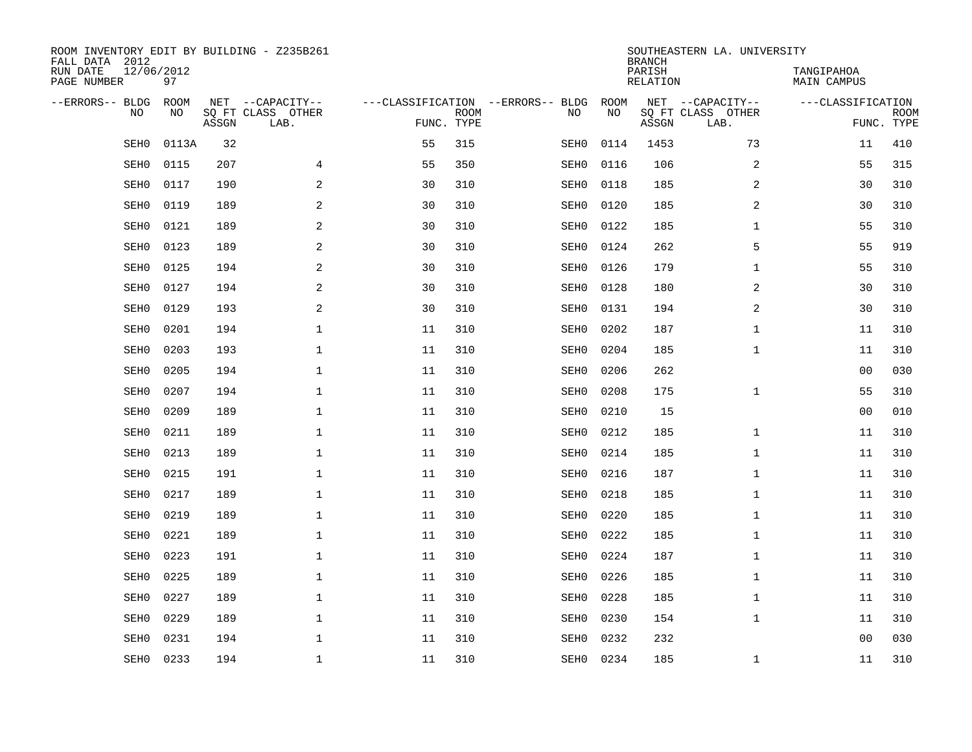| ROOM INVENTORY EDIT BY BUILDING - Z235B261<br>FALL DATA 2012 |                  |       |                           |            |             |                                   |      | <b>BRANCH</b>             | SOUTHEASTERN LA. UNIVERSITY |                                  |                           |
|--------------------------------------------------------------|------------------|-------|---------------------------|------------|-------------|-----------------------------------|------|---------------------------|-----------------------------|----------------------------------|---------------------------|
| RUN DATE<br>PAGE NUMBER                                      | 12/06/2012<br>97 |       |                           |            |             |                                   |      | PARISH<br><b>RELATION</b> |                             | TANGIPAHOA<br><b>MAIN CAMPUS</b> |                           |
| --ERRORS-- BLDG                                              | ROOM             |       | NET --CAPACITY--          |            |             | ---CLASSIFICATION --ERRORS-- BLDG | ROOM |                           | NET --CAPACITY--            | ---CLASSIFICATION                |                           |
| NO.                                                          | NO               | ASSGN | SQ FT CLASS OTHER<br>LAB. | FUNC. TYPE | <b>ROOM</b> | NO                                | NO   | ASSGN                     | SQ FT CLASS OTHER<br>LAB.   |                                  | <b>ROOM</b><br>FUNC. TYPE |
| SEH0                                                         | 0113A            | 32    |                           | 55         | 315         | SEH0                              | 0114 | 1453                      | 73                          | 11                               | 410                       |
| SEH0                                                         | 0115             | 207   | 4                         | 55         | 350         | SEH0                              | 0116 | 106                       | 2                           | 55                               | 315                       |
| SEH0                                                         | 0117             | 190   | 2                         | 30         | 310         | SEH0                              | 0118 | 185                       | 2                           | 30                               | 310                       |
| SEH0                                                         | 0119             | 189   | 2                         | 30         | 310         | SEH0                              | 0120 | 185                       | 2                           | 30                               | 310                       |
| SEH0                                                         | 0121             | 189   | 2                         | 30         | 310         | SEH0                              | 0122 | 185                       | $\mathbf{1}$                | 55                               | 310                       |
| SEH0                                                         | 0123             | 189   | $\mathbf{2}$              | 30         | 310         | SEH0                              | 0124 | 262                       | 5                           | 55                               | 919                       |
| SEH0                                                         | 0125             | 194   | 2                         | 30         | 310         | SEH0                              | 0126 | 179                       | $\mathbf{1}$                | 55                               | 310                       |
| SEH0                                                         | 0127             | 194   | $\mathbf{2}$              | 30         | 310         | SEH0                              | 0128 | 180                       | 2                           | 30                               | 310                       |
| SEH0                                                         | 0129             | 193   | 2                         | 30         | 310         | SEH0                              | 0131 | 194                       | 2                           | 30                               | 310                       |
| SEH0                                                         | 0201             | 194   | $\mathbf{1}$              | 11         | 310         | SEH0                              | 0202 | 187                       | $\mathbf{1}$                | 11                               | 310                       |
| SEH0                                                         | 0203             | 193   | $\mathbf 1$               | 11         | 310         | SEH0                              | 0204 | 185                       | $\mathbf{1}$                | 11                               | 310                       |
| SEH0                                                         | 0205             | 194   | $\mathbf 1$               | 11         | 310         | SEH0                              | 0206 | 262                       |                             | 0 <sub>0</sub>                   | 030                       |
| SEH0                                                         | 0207             | 194   | $\mathbf 1$               | 11         | 310         | SEH0                              | 0208 | 175                       | $\mathbf{1}$                | 55                               | 310                       |
| SEH0                                                         | 0209             | 189   | $\mathbf 1$               | 11         | 310         | SEH0                              | 0210 | 15                        |                             | 00                               | 010                       |
| SEH0                                                         | 0211             | 189   | $\mathbf 1$               | 11         | 310         | SEH0                              | 0212 | 185                       | $\mathbf{1}$                | 11                               | 310                       |
| SEH0                                                         | 0213             | 189   | $\mathbf 1$               | 11         | 310         | SEH0                              | 0214 | 185                       | $\mathbf{1}$                | 11                               | 310                       |
| SEH0                                                         | 0215             | 191   | $\mathbf 1$               | 11         | 310         | SEH0                              | 0216 | 187                       | $\mathbf{1}$                | 11                               | 310                       |
| SEH0                                                         | 0217             | 189   | $\mathbf 1$               | 11         | 310         | SEH0                              | 0218 | 185                       | $\mathbf{1}$                | 11                               | 310                       |
| SEH0                                                         | 0219             | 189   | $\mathbf 1$               | 11         | 310         | SEH0                              | 0220 | 185                       | $\mathbf{1}$                | 11                               | 310                       |
| SEH0                                                         | 0221             | 189   | $\mathbf 1$               | 11         | 310         | SEH0                              | 0222 | 185                       | $\mathbf{1}$                | 11                               | 310                       |
| SEH0                                                         | 0223             | 191   | $\mathbf{1}$              | 11         | 310         | SEH0                              | 0224 | 187                       | $\mathbf{1}$                | 11                               | 310                       |
| SEH0                                                         | 0225             | 189   | $\mathbf{1}$              | 11         | 310         | SEH0                              | 0226 | 185                       | $\mathbf{1}$                | 11                               | 310                       |
| SEH0                                                         | 0227             | 189   | $\mathbf{1}$              | 11         | 310         | SEH0                              | 0228 | 185                       | $\mathbf{1}$                | 11                               | 310                       |
| SEH0                                                         | 0229             | 189   | $\mathbf 1$               | 11         | 310         | SEH0                              | 0230 | 154                       | $\mathbf{1}$                | 11                               | 310                       |
| SEH0                                                         | 0231             | 194   | $\mathbf{1}$              | 11         | 310         | SEH0                              | 0232 | 232                       |                             | 0 <sub>0</sub>                   | 030                       |
| SEH0                                                         | 0233             | 194   | $\mathbf 1$               | 11         | 310         | SEH0                              | 0234 | 185                       | $\mathbf{1}$                | 11                               | 310                       |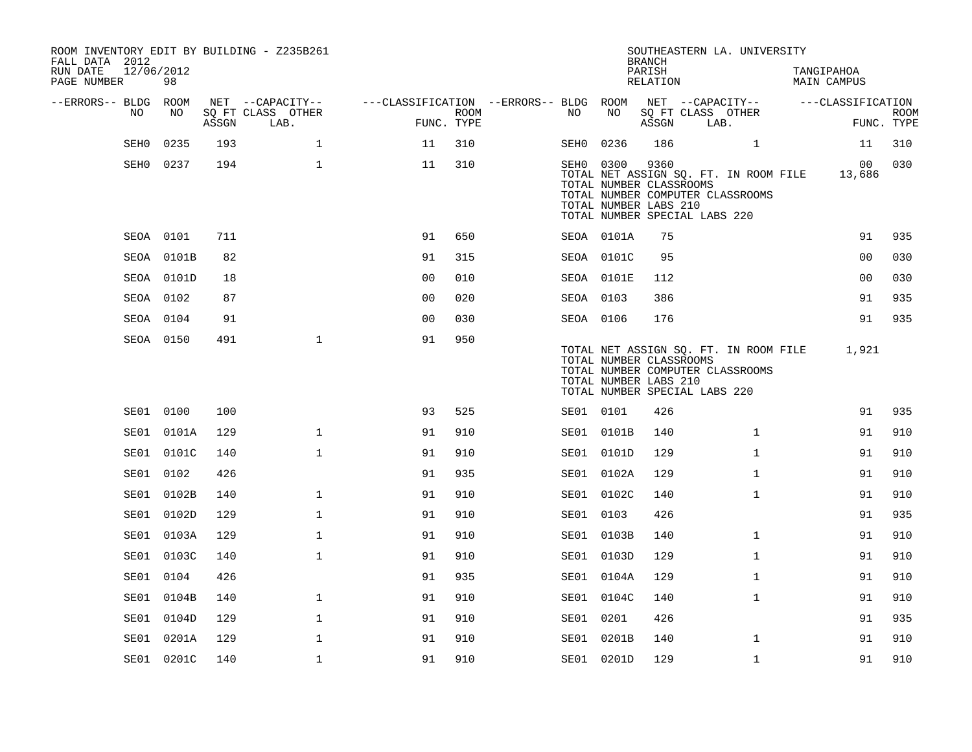| ROOM INVENTORY EDIT BY BUILDING - Z235B261<br>FALL DATA 2012<br>RUN DATE<br>PAGE NUMBER | 12/06/2012<br>98 |       |                           |                                        |                    |           |                                                               | <b>BRANCH</b><br>PARISH<br>RELATION | SOUTHEASTERN LA. UNIVERSITY                                                                                |              | TANGIPAHOA<br><b>MAIN CAMPUS</b> |                   |                           |
|-----------------------------------------------------------------------------------------|------------------|-------|---------------------------|----------------------------------------|--------------------|-----------|---------------------------------------------------------------|-------------------------------------|------------------------------------------------------------------------------------------------------------|--------------|----------------------------------|-------------------|---------------------------|
| --ERRORS-- BLDG ROOM                                                                    |                  |       | NET --CAPACITY--          | ---CLASSIFICATION --ERRORS-- BLDG ROOM |                    |           |                                                               |                                     | NET --CAPACITY--                                                                                           |              |                                  | ---CLASSIFICATION |                           |
| NO                                                                                      | NO               | ASSGN | SQ FT CLASS OTHER<br>LAB. |                                        | ROOM<br>FUNC. TYPE | NO        | NO                                                            | ASSGN                               | SQ FT CLASS OTHER<br>LAB.                                                                                  |              |                                  |                   | <b>ROOM</b><br>FUNC. TYPE |
| SEH0                                                                                    | 0235             | 193   | $\mathbf 1$               | 11                                     | 310                | SEH0      | 0236                                                          | 186                                 |                                                                                                            | $\mathbf{1}$ |                                  | 11                | 310                       |
| SEH0                                                                                    | 0237             | 194   | $\mathbf{1}$              | 11                                     | 310                |           | SEH0 0300<br>TOTAL NUMBER CLASSROOMS<br>TOTAL NUMBER LABS 210 | 9360                                | TOTAL NET ASSIGN SQ. FT. IN ROOM FILE<br>TOTAL NUMBER COMPUTER CLASSROOMS<br>TOTAL NUMBER SPECIAL LABS 220 |              |                                  | 00<br>13,686      | 030                       |
|                                                                                         | SEOA 0101        | 711   |                           | 91                                     | 650                |           | SEOA 0101A                                                    | 75                                  |                                                                                                            |              |                                  | 91                | 935                       |
|                                                                                         | SEOA 0101B       | 82    |                           | 91                                     | 315                |           | SEOA 0101C                                                    | 95                                  |                                                                                                            |              |                                  | 0 <sub>0</sub>    | 030                       |
|                                                                                         | SEOA 0101D       | 18    |                           | 0 <sub>0</sub>                         | 010                |           | SEOA 0101E                                                    | 112                                 |                                                                                                            |              |                                  | 00                | 030                       |
|                                                                                         | SEOA 0102        | 87    |                           | 0 <sub>0</sub>                         | 020                | SEOA 0103 |                                                               | 386                                 |                                                                                                            |              |                                  | 91                | 935                       |
|                                                                                         | SEOA 0104        | 91    |                           | 0 <sub>0</sub>                         | 030                | SEOA 0106 |                                                               | 176                                 |                                                                                                            |              |                                  | 91                | 935                       |
|                                                                                         | SEOA 0150        | 491   | $\mathbf{1}$              | 91                                     | 950                |           | TOTAL NUMBER CLASSROOMS<br>TOTAL NUMBER LABS 210              |                                     | TOTAL NET ASSIGN SQ. FT. IN ROOM FILE<br>TOTAL NUMBER COMPUTER CLASSROOMS<br>TOTAL NUMBER SPECIAL LABS 220 |              |                                  | 1,921             |                           |
|                                                                                         | SE01 0100        | 100   |                           | 93                                     | 525                | SE01 0101 |                                                               | 426                                 |                                                                                                            |              |                                  | 91                | 935                       |
|                                                                                         | SE01 0101A       | 129   | $\mathbf 1$               | 91                                     | 910                |           | SE01 0101B                                                    | 140                                 |                                                                                                            | $\mathbf{1}$ |                                  | 91                | 910                       |
|                                                                                         | SE01 0101C       | 140   | $\mathbf 1$               | 91                                     | 910                |           | SE01 0101D                                                    | 129                                 |                                                                                                            | $\mathbf{1}$ |                                  | 91                | 910                       |
|                                                                                         | SE01 0102        | 426   |                           | 91                                     | 935                |           | SE01 0102A                                                    | 129                                 |                                                                                                            | $\mathbf{1}$ |                                  | 91                | 910                       |
| SE01                                                                                    | 0102B            | 140   | $\mathbf 1$               | 91                                     | 910                |           | SE01 0102C                                                    | 140                                 |                                                                                                            | $\mathbf{1}$ |                                  | 91                | 910                       |
| SE01                                                                                    | 0102D            | 129   | $\mathbf 1$               | 91                                     | 910                | SE01 0103 |                                                               | 426                                 |                                                                                                            |              |                                  | 91                | 935                       |
|                                                                                         | SE01 0103A       | 129   | $\mathbf{1}$              | 91                                     | 910                |           | SE01 0103B                                                    | 140                                 |                                                                                                            | $\mathbf{1}$ |                                  | 91                | 910                       |
|                                                                                         | SE01 0103C       | 140   | $\mathbf 1$               | 91                                     | 910                |           | SE01 0103D                                                    | 129                                 |                                                                                                            | $\mathbf{1}$ |                                  | 91                | 910                       |
| SE01                                                                                    | 0104             | 426   |                           | 91                                     | 935                |           | SE01 0104A                                                    | 129                                 |                                                                                                            | $\mathbf{1}$ |                                  | 91                | 910                       |
| SE01                                                                                    | 0104B            | 140   | $\mathbf{1}$              | 91                                     | 910                |           | SE01 0104C                                                    | 140                                 |                                                                                                            | $\mathbf{1}$ |                                  | 91                | 910                       |
| SE01                                                                                    | 0104D            | 129   | $\mathbf{1}$              | 91                                     | 910                | SE01 0201 |                                                               | 426                                 |                                                                                                            |              |                                  | 91                | 935                       |
|                                                                                         | SE01 0201A       | 129   | $\mathbf 1$               | 91                                     | 910                |           | SE01 0201B                                                    | 140                                 |                                                                                                            | $\mathbf{1}$ |                                  | 91                | 910                       |
|                                                                                         | SE01 0201C       | 140   | $\mathbf{1}$              | 91                                     | 910                |           | SE01 0201D                                                    | 129                                 |                                                                                                            | $\mathbf{1}$ |                                  | 91                | 910                       |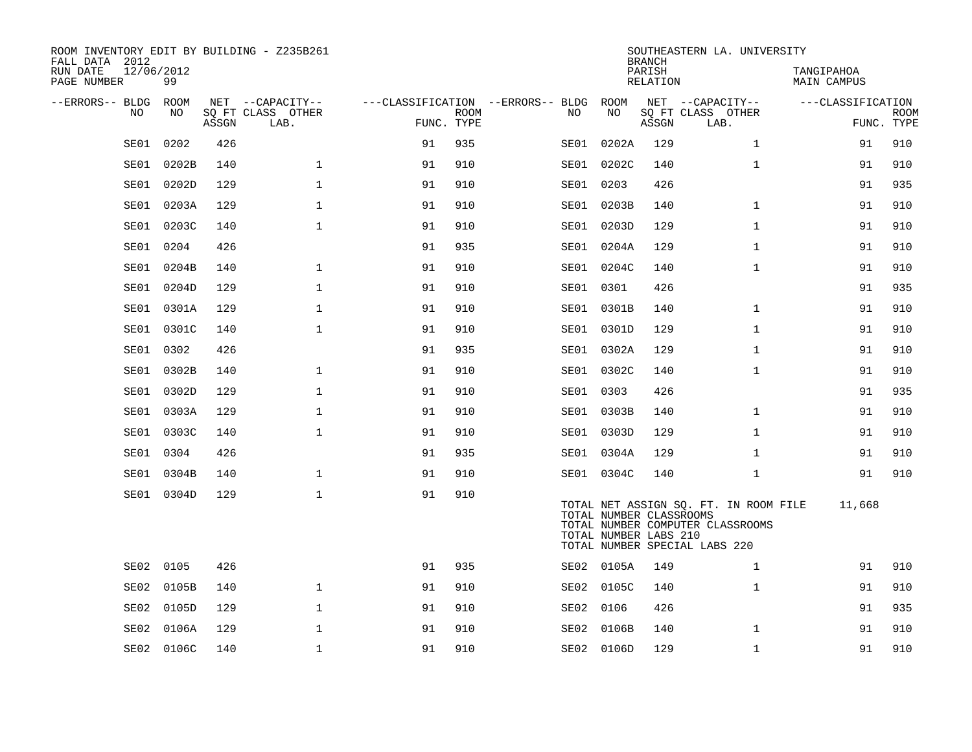| ROOM INVENTORY EDIT BY BUILDING - Z235B261<br>FALL DATA 2012 |                  |       |                           |            |             |                                   |            | <b>BRANCH</b>                                    | SOUTHEASTERN LA. UNIVERSITY                                                                                |                           |                           |
|--------------------------------------------------------------|------------------|-------|---------------------------|------------|-------------|-----------------------------------|------------|--------------------------------------------------|------------------------------------------------------------------------------------------------------------|---------------------------|---------------------------|
| RUN DATE<br>PAGE NUMBER                                      | 12/06/2012<br>99 |       |                           |            |             |                                   |            | PARISH<br>RELATION                               |                                                                                                            | TANGIPAHOA<br>MAIN CAMPUS |                           |
| --ERRORS-- BLDG                                              | ROOM             |       | NET --CAPACITY--          |            |             | ---CLASSIFICATION --ERRORS-- BLDG | ROOM       |                                                  | NET --CAPACITY--                                                                                           | ---CLASSIFICATION         |                           |
| NO                                                           | NO               | ASSGN | SQ FT CLASS OTHER<br>LAB. | FUNC. TYPE | <b>ROOM</b> | NO.                               | NO         | ASSGN                                            | SQ FT CLASS OTHER<br>LAB.                                                                                  |                           | <b>ROOM</b><br>FUNC. TYPE |
| SE01                                                         | 0202             | 426   |                           | 91         | 935         | SE01                              | 0202A      | 129                                              | $\mathbf{1}$                                                                                               | 91                        | 910                       |
| SE01                                                         | 0202B            | 140   | $\mathbf{1}$              | 91         | 910         |                                   | SE01 0202C | 140                                              | $\mathbf{1}$                                                                                               | 91                        | 910                       |
| SE01                                                         | 0202D            | 129   | $\mathbf 1$               | 91         | 910         |                                   | SE01 0203  | 426                                              |                                                                                                            | 91                        | 935                       |
| SE01                                                         | 0203A            | 129   | $\mathbf{1}$              | 91         | 910         |                                   | SE01 0203B | 140                                              | $\mathbf{1}$                                                                                               | 91                        | 910                       |
| SE01                                                         | 0203C            | 140   | $\mathbf{1}$              | 91         | 910         |                                   | SE01 0203D | 129                                              | $\mathbf{1}$                                                                                               | 91                        | 910                       |
| SE01                                                         | 0204             | 426   |                           | 91         | 935         |                                   | SE01 0204A | 129                                              | $\mathbf{1}$                                                                                               | 91                        | 910                       |
| SE01                                                         | 0204B            | 140   | $\mathbf{1}$              | 91         | 910         |                                   | SE01 0204C | 140                                              | $\mathbf{1}$                                                                                               | 91                        | 910                       |
| SE01                                                         | 0204D            | 129   | $\mathbf{1}$              | 91         | 910         |                                   | SE01 0301  | 426                                              |                                                                                                            | 91                        | 935                       |
| SE01                                                         | 0301A            | 129   | $\mathbf 1$               | 91         | 910         |                                   | SE01 0301B | 140                                              | $\mathbf{1}$                                                                                               | 91                        | 910                       |
| SE01                                                         | 0301C            | 140   | $\mathbf{1}$              | 91         | 910         |                                   | SE01 0301D | 129                                              | $\mathbf{1}$                                                                                               | 91                        | 910                       |
| SE01                                                         | 0302             | 426   |                           | 91         | 935         |                                   | SE01 0302A | 129                                              | $\mathbf{1}$                                                                                               | 91                        | 910                       |
| SE01                                                         | 0302B            | 140   | $\mathbf{1}$              | 91         | 910         |                                   | SE01 0302C | 140                                              | $\mathbf{1}$                                                                                               | 91                        | 910                       |
| SE01                                                         | 0302D            | 129   | $\mathbf{1}$              | 91         | 910         |                                   | SE01 0303  | 426                                              |                                                                                                            | 91                        | 935                       |
| SE01                                                         | 0303A            | 129   | $\mathbf 1$               | 91         | 910         |                                   | SE01 0303B | 140                                              | $\mathbf{1}$                                                                                               | 91                        | 910                       |
| SE01                                                         | 0303C            | 140   | $\mathbf{1}$              | 91         | 910         |                                   | SE01 0303D | 129                                              | $\mathbf{1}$                                                                                               | 91                        | 910                       |
| SE01                                                         | 0304             | 426   |                           | 91         | 935         |                                   | SE01 0304A | 129                                              | $\mathbf{1}$                                                                                               | 91                        | 910                       |
| SE01                                                         | 0304B            | 140   | $\mathbf{1}$              | 91         | 910         |                                   | SE01 0304C | 140                                              | $\mathbf{1}$                                                                                               | 91                        | 910                       |
|                                                              | SE01 0304D       | 129   | $\mathbf 1$               | 91         | 910         |                                   |            | TOTAL NUMBER CLASSROOMS<br>TOTAL NUMBER LABS 210 | TOTAL NET ASSIGN SQ. FT. IN ROOM FILE<br>TOTAL NUMBER COMPUTER CLASSROOMS<br>TOTAL NUMBER SPECIAL LABS 220 | 11,668                    |                           |
| SE02                                                         | 0105             | 426   |                           | 91         | 935         |                                   | SE02 0105A | 149                                              | $\mathbf{1}$                                                                                               | 91                        | 910                       |
| SE02                                                         | 0105B            | 140   | $\mathbf{1}$              | 91         | 910         |                                   | SE02 0105C | 140                                              | $\mathbf{1}$                                                                                               | 91                        | 910                       |
| SE02                                                         | 0105D            | 129   | $\mathbf{1}$              | 91         | 910         |                                   | SE02 0106  | 426                                              |                                                                                                            | 91                        | 935                       |
| SE02                                                         | 0106A            | 129   | $\mathbf{1}$              | 91         | 910         |                                   | SE02 0106B | 140                                              | $\mathbf{1}$                                                                                               | 91                        | 910                       |
|                                                              | SE02 0106C       | 140   | $\mathbf 1$               | 91         | 910         |                                   | SE02 0106D | 129                                              | $\mathbf{1}$                                                                                               | 91                        | 910                       |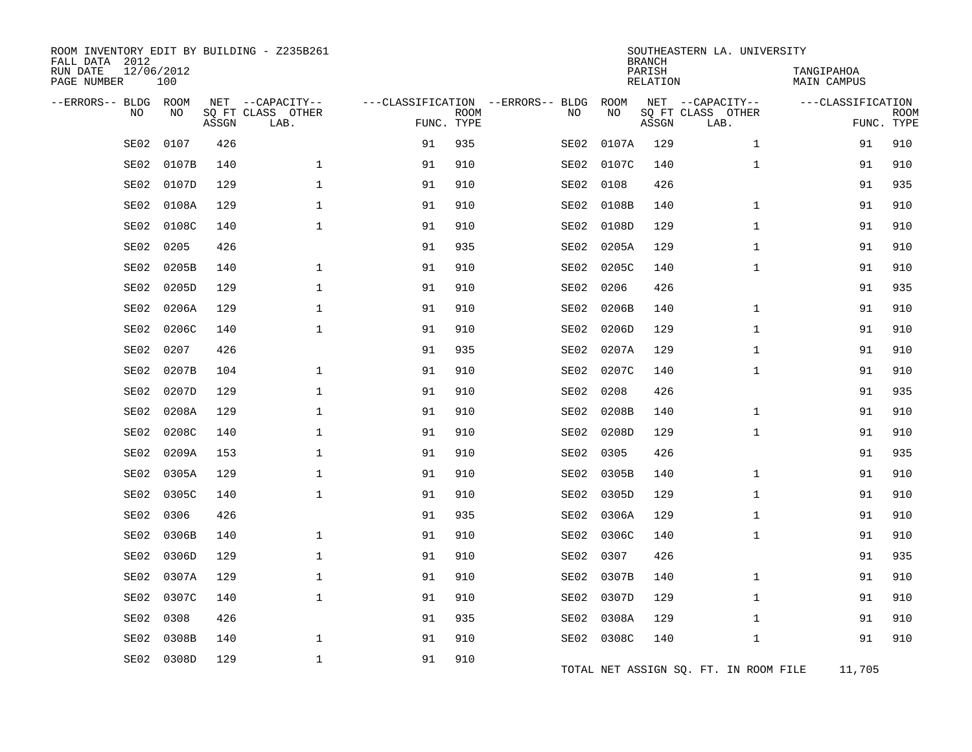| ROOM INVENTORY EDIT BY BUILDING - Z235B261<br>FALL DATA 2012<br>RUN DATE<br>PAGE NUMBER | 12/06/2012<br>100 |       |                                               |            |             |                                         |            | <b>BRANCH</b><br>PARISH<br>RELATION | SOUTHEASTERN LA. UNIVERSITY                   | TANGIPAHOA<br><b>MAIN CAMPUS</b> |                           |
|-----------------------------------------------------------------------------------------|-------------------|-------|-----------------------------------------------|------------|-------------|-----------------------------------------|------------|-------------------------------------|-----------------------------------------------|----------------------------------|---------------------------|
| --ERRORS-- BLDG<br>NO                                                                   | ROOM<br>NO        | ASSGN | NET --CAPACITY--<br>SQ FT CLASS OTHER<br>LAB. | FUNC. TYPE | <b>ROOM</b> | ---CLASSIFICATION --ERRORS-- BLDG<br>NO | ROOM<br>NO | ASSGN                               | NET --CAPACITY--<br>SQ FT CLASS OTHER<br>LAB. | ---CLASSIFICATION                | <b>ROOM</b><br>FUNC. TYPE |
| SE02                                                                                    | 0107              | 426   |                                               | 91         | 935         | SE02                                    | 0107A      | 129                                 | $\mathbf{1}$                                  | 91                               | 910                       |
| SE02                                                                                    | 0107B             | 140   | 1                                             | 91         | 910         | SE02                                    | 0107C      | 140                                 | $\mathbf{1}$                                  | 91                               | 910                       |
| SE02                                                                                    | 0107D             | 129   | $\mathbf{1}$                                  | 91         | 910         | SE02                                    | 0108       | 426                                 |                                               | 91                               | 935                       |
| SE02                                                                                    | 0108A             | 129   | 1                                             | 91         | 910         | SE02                                    | 0108B      | 140                                 | $\mathbf{1}$                                  | 91                               | 910                       |
| SE02                                                                                    | 0108C             | 140   | $\mathbf{1}$                                  | 91         | 910         | SE02                                    | 0108D      | 129                                 | $\mathbf{1}$                                  | 91                               | 910                       |
| SE02                                                                                    | 0205              | 426   |                                               | 91         | 935         | SE02                                    | 0205A      | 129                                 | $\mathbf{1}$                                  | 91                               | 910                       |
| SE02                                                                                    | 0205B             | 140   | $\mathbf 1$                                   | 91         | 910         | SE02                                    | 0205C      | 140                                 | $\mathbf{1}$                                  | 91                               | 910                       |
| SE02                                                                                    | 0205D             | 129   | $\mathbf{1}$                                  | 91         | 910         | SE02                                    | 0206       | 426                                 |                                               | 91                               | 935                       |
| SE02                                                                                    | 0206A             | 129   | $\mathbf{1}$                                  | 91         | 910         | SE02                                    | 0206B      | 140                                 | $\mathbf{1}$                                  | 91                               | 910                       |
| SE02                                                                                    | 0206C             | 140   | $\mathbf 1$                                   | 91         | 910         | SE02                                    | 0206D      | 129                                 | $\mathbf{1}$                                  | 91                               | 910                       |
| SE02                                                                                    | 0207              | 426   |                                               | 91         | 935         | SE02                                    | 0207A      | 129                                 | $\mathbf{1}$                                  | 91                               | 910                       |
| SE02                                                                                    | 0207B             | 104   | $\mathbf{1}$                                  | 91         | 910         | SE02                                    | 0207C      | 140                                 | $\mathbf{1}$                                  | 91                               | 910                       |
| SE02                                                                                    | 0207D             | 129   | $\mathbf{1}$                                  | 91         | 910         | SE02                                    | 0208       | 426                                 |                                               | 91                               | 935                       |
| SE02                                                                                    | 0208A             | 129   | 1                                             | 91         | 910         | SE02                                    | 0208B      | 140                                 | $\mathbf{1}$                                  | 91                               | 910                       |
| SE02                                                                                    | 0208C             | 140   | $\mathbf{1}$                                  | 91         | 910         | SE02                                    | 0208D      | 129                                 | $\mathbf{1}$                                  | 91                               | 910                       |
| SE02                                                                                    | 0209A             | 153   | 1                                             | 91         | 910         | SE02                                    | 0305       | 426                                 |                                               | 91                               | 935                       |
| SE02                                                                                    | 0305A             | 129   | $\mathbf 1$                                   | 91         | 910         | SE02                                    | 0305B      | 140                                 | $\mathbf{1}$                                  | 91                               | 910                       |
| SE02                                                                                    | 0305C             | 140   | $\mathbf{1}$                                  | 91         | 910         | SE02                                    | 0305D      | 129                                 | $\mathbf{1}$                                  | 91                               | 910                       |
| SE02                                                                                    | 0306              | 426   |                                               | 91         | 935         | SE02                                    | 0306A      | 129                                 | $\mathbf{1}$                                  | 91                               | 910                       |
| SE02                                                                                    | 0306B             | 140   | 1                                             | 91         | 910         | SE02                                    | 0306C      | 140                                 | $\mathbf{1}$                                  | 91                               | 910                       |
| SE02                                                                                    | 0306D             | 129   | $\mathbf{1}$                                  | 91         | 910         | SE02                                    | 0307       | 426                                 |                                               | 91                               | 935                       |
| SE02                                                                                    | 0307A             | 129   | $\mathbf{1}$                                  | 91         | 910         |                                         | SE02 0307B | 140                                 | $\mathbf{1}$                                  | 91                               | 910                       |
| SE02                                                                                    | 0307C             | 140   | $\mathbf 1$                                   | 91         | 910         | SE02                                    | 0307D      | 129                                 | $\mathbf{1}$                                  | 91                               | 910                       |
| SE02                                                                                    | 0308              | 426   |                                               | 91         | 935         | SE02                                    | 0308A      | 129                                 | $\mathbf{1}$                                  | 91                               | 910                       |
| SE02                                                                                    | 0308B             | 140   | 1                                             | 91         | 910         |                                         | SE02 0308C | 140                                 | $\mathbf{1}$                                  | 91                               | 910                       |
| SE02                                                                                    | 0308D             | 129   | $\mathbf{1}$                                  | 91         | 910         |                                         |            |                                     | TOTAL NET ASSIGN SQ. FT. IN ROOM FILE         | 11,705                           |                           |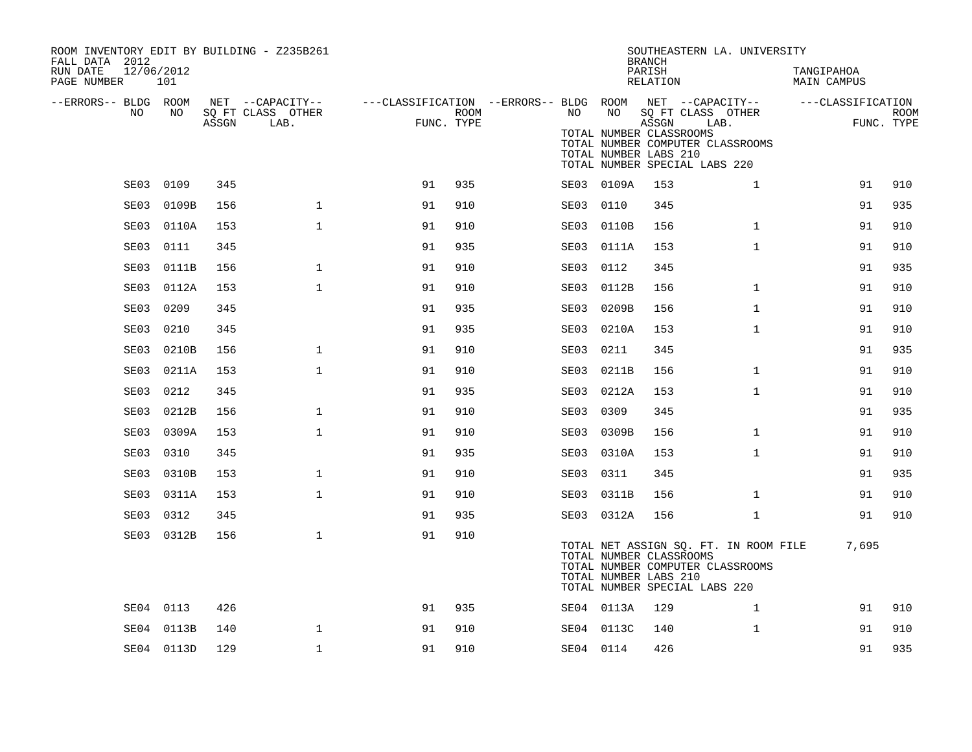| ROOM INVENTORY EDIT BY BUILDING - Z235B261<br>FALL DATA 2012 |            |       |                                       |                                                         |      |           |                                                  | <b>BRANCH</b>      | SOUTHEASTERN LA. UNIVERSITY                                                                                |                           |                           |
|--------------------------------------------------------------|------------|-------|---------------------------------------|---------------------------------------------------------|------|-----------|--------------------------------------------------|--------------------|------------------------------------------------------------------------------------------------------------|---------------------------|---------------------------|
| 12/06/2012<br>RUN DATE<br>PAGE NUMBER                        | 101        |       |                                       |                                                         |      |           |                                                  | PARISH<br>RELATION |                                                                                                            | TANGIPAHOA<br>MAIN CAMPUS |                           |
| --ERRORS-- BLDG ROOM<br>NO                                   | NO         |       | NET --CAPACITY--<br>SQ FT CLASS OTHER | ---CLASSIFICATION --ERRORS-- BLDG ROOM NET --CAPACITY-- | ROOM | NO        | NO                                               |                    | SQ FT CLASS OTHER                                                                                          | ---CLASSIFICATION         |                           |
|                                                              |            | ASSGN | LAB.                                  | FUNC. TYPE                                              |      |           | TOTAL NUMBER CLASSROOMS<br>TOTAL NUMBER LABS 210 | ASSGN              | LAB.<br>TOTAL NUMBER COMPUTER CLASSROOMS<br>TOTAL NUMBER SPECIAL LABS 220                                  |                           | <b>ROOM</b><br>FUNC. TYPE |
|                                                              | SE03 0109  | 345   |                                       | 91                                                      | 935  |           | SE03 0109A                                       | 153                | $\mathbf{1}$                                                                                               | 91                        | 910                       |
| SE03                                                         | 0109B      | 156   | $\mathbf{1}$                          | 91                                                      | 910  | SE03      | 0110                                             | 345                |                                                                                                            | 91                        | 935                       |
| SE03                                                         | 0110A      | 153   | $\mathbf{1}$                          | 91                                                      | 910  |           | SE03 0110B                                       | 156                | $\mathbf{1}$                                                                                               | 91                        | 910                       |
| SE03                                                         | 0111       | 345   |                                       | 91                                                      | 935  |           | SE03 0111A                                       | 153                | $\mathbf{1}$                                                                                               | 91                        | 910                       |
| SE03                                                         | 0111B      | 156   | $\mathbf{1}$                          | 91                                                      | 910  | SE03 0112 |                                                  | 345                |                                                                                                            | 91                        | 935                       |
| SE03                                                         | 0112A      | 153   | $\mathbf{1}$                          | 91                                                      | 910  | SE03      | 0112B                                            | 156                | $\mathbf{1}$                                                                                               | 91                        | 910                       |
| SE03                                                         | 0209       | 345   |                                       | 91                                                      | 935  | SE03      | 0209B                                            | 156                | $\mathbf{1}$                                                                                               | 91                        | 910                       |
| SE03                                                         | 0210       | 345   |                                       | 91                                                      | 935  |           | SE03 0210A                                       | 153                | $\mathbf{1}$                                                                                               | 91                        | 910                       |
| SE03                                                         | 0210B      | 156   | $\mathbf 1$                           | 91                                                      | 910  | SE03      | 0211                                             | 345                |                                                                                                            | 91                        | 935                       |
| SE03                                                         | 0211A      | 153   | $\mathbf 1$                           | 91                                                      | 910  | SE03      | 0211B                                            | 156                | $\mathbf{1}$                                                                                               | 91                        | 910                       |
| SE03                                                         | 0212       | 345   |                                       | 91                                                      | 935  |           | SE03 0212A                                       | 153                | $\mathbf{1}$                                                                                               | 91                        | 910                       |
| SE03                                                         | 0212B      | 156   | $\mathbf{1}$                          | 91                                                      | 910  | SE03      | 0309                                             | 345                |                                                                                                            | 91                        | 935                       |
| SE03                                                         | 0309A      | 153   | $\mathbf 1$                           | 91                                                      | 910  | SE03      | 0309B                                            | 156                | $\mathbf{1}$                                                                                               | 91                        | 910                       |
| SE03                                                         | 0310       | 345   |                                       | 91                                                      | 935  | SE03      | 0310A                                            | 153                | $\mathbf{1}$                                                                                               | 91                        | 910                       |
| SE03                                                         | 0310B      | 153   | $\mathbf{1}$                          | 91                                                      | 910  | SE03      | 0311                                             | 345                |                                                                                                            | 91                        | 935                       |
| SE03                                                         | 0311A      | 153   | $\mathbf 1$                           | 91                                                      | 910  |           | SE03 0311B                                       | 156                | $\mathbf{1}$                                                                                               | 91                        | 910                       |
| SE03                                                         | 0312       | 345   |                                       | 91                                                      | 935  |           | SE03 0312A                                       | 156                | $\mathbf{1}$                                                                                               | 91                        | 910                       |
|                                                              | SE03 0312B | 156   | $\mathbf{1}$                          | 91                                                      | 910  |           | TOTAL NUMBER CLASSROOMS<br>TOTAL NUMBER LABS 210 |                    | TOTAL NET ASSIGN SQ. FT. IN ROOM FILE<br>TOTAL NUMBER COMPUTER CLASSROOMS<br>TOTAL NUMBER SPECIAL LABS 220 | 7,695                     |                           |
|                                                              | SE04 0113  | 426   |                                       | 91                                                      | 935  |           | SE04 0113A                                       | 129                | $\mathbf{1}$                                                                                               | 91                        | 910                       |
| SE04                                                         | 0113B      | 140   | $\mathbf{1}$                          | 91                                                      | 910  |           | SE04 0113C                                       | 140                | $\mathbf{1}$                                                                                               | 91                        | 910                       |
|                                                              | SE04 0113D | 129   | $\mathbf 1$                           | 91                                                      | 910  | SE04 0114 |                                                  | 426                |                                                                                                            | 91                        | 935                       |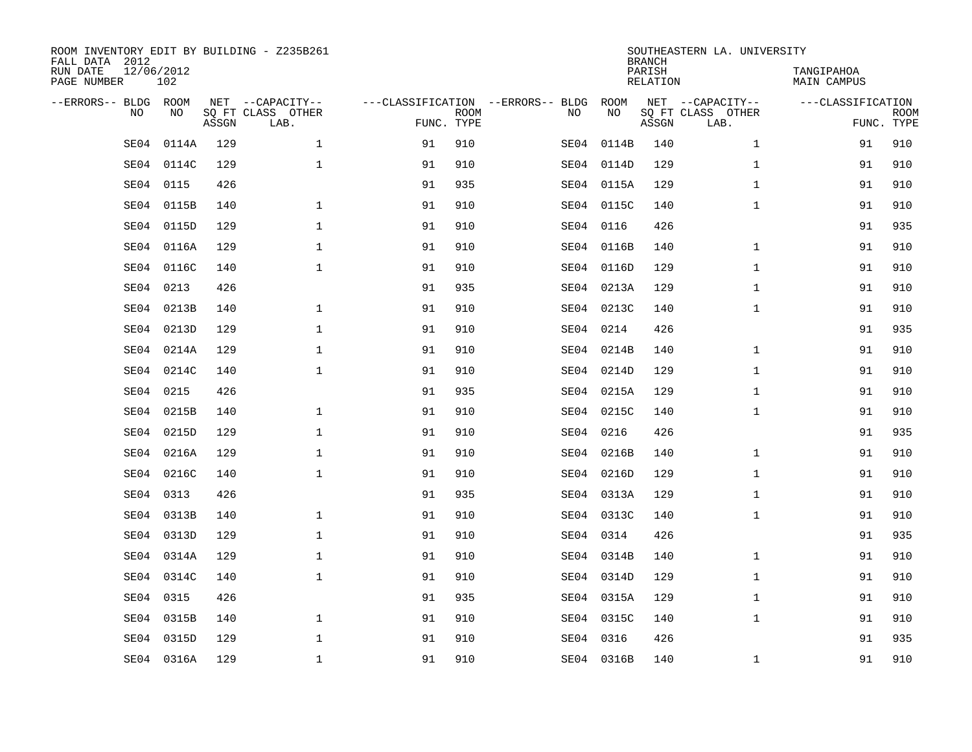| FALL DATA 2012<br>RUN DATE<br>PAGE NUMBER | 12/06/2012<br>102 |       | ROOM INVENTORY EDIT BY BUILDING - Z235B261    |                                                 |             |      |            | <b>BRANCH</b><br>PARISH<br>RELATION | SOUTHEASTERN LA. UNIVERSITY                   | TANGIPAHOA<br>MAIN CAMPUS |                           |
|-------------------------------------------|-------------------|-------|-----------------------------------------------|-------------------------------------------------|-------------|------|------------|-------------------------------------|-----------------------------------------------|---------------------------|---------------------------|
| --ERRORS-- BLDG ROOM                      | <b>NO</b><br>NO.  | ASSGN | NET --CAPACITY--<br>SQ FT CLASS OTHER<br>LAB. | ---CLASSIFICATION --ERRORS-- BLDG<br>FUNC. TYPE | <b>ROOM</b> | NO   | ROOM<br>NO | ASSGN                               | NET --CAPACITY--<br>SQ FT CLASS OTHER<br>LAB. | ---CLASSIFICATION         | <b>ROOM</b><br>FUNC. TYPE |
|                                           | SE04<br>0114A     | 129   | $\mathbf{1}$                                  | 91                                              | 910         | SE04 | 0114B      | 140                                 | $\mathbf{1}$                                  | 91                        | 910                       |
|                                           | 0114C<br>SE04     | 129   | $\mathbf{1}$                                  | 91                                              | 910         |      | SE04 0114D | 129                                 | $\mathbf{1}$                                  | 91                        | 910                       |
|                                           | 0115<br>SE04      | 426   |                                               | 91                                              | 935         |      | SE04 0115A | 129                                 | $\mathbf{1}$                                  | 91                        | 910                       |
|                                           | 0115B<br>SE04     | 140   | $\mathbf{1}$                                  | 91                                              | 910         |      | SE04 0115C | 140                                 | $\mathbf{1}$                                  | 91                        | 910                       |
|                                           | 0115D<br>SE04     | 129   | $\mathbf{1}$                                  | 91                                              | 910         | SE04 | 0116       | 426                                 |                                               | 91                        | 935                       |
|                                           | SE04<br>0116A     | 129   | $\mathbf 1$                                   | 91                                              | 910         |      | SE04 0116B | 140                                 | $\mathbf{1}$                                  | 91                        | 910                       |
|                                           | SE04<br>0116C     | 140   | $\mathbf 1$                                   | 91                                              | 910         |      | SE04 0116D | 129                                 | $\mathbf{1}$                                  | 91                        | 910                       |
|                                           | 0213<br>SE04      | 426   |                                               | 91                                              | 935         |      | SE04 0213A | 129                                 | $\mathbf{1}$                                  | 91                        | 910                       |
|                                           | SE04<br>0213B     | 140   | $\mathbf 1$                                   | 91                                              | 910         |      | SE04 0213C | 140                                 | $\mathbf{1}$                                  | 91                        | 910                       |
|                                           | SE04<br>0213D     | 129   | $\mathbf 1$                                   | 91                                              | 910         |      | SE04 0214  | 426                                 |                                               | 91                        | 935                       |
|                                           | SE04<br>0214A     | 129   | $\mathbf 1$                                   | 91                                              | 910         |      | SE04 0214B | 140                                 | $\mathbf{1}$                                  | 91                        | 910                       |
|                                           | 0214C<br>SE04     | 140   | $\mathbf{1}$                                  | 91                                              | 910         |      | SE04 0214D | 129                                 | $\mathbf{1}$                                  | 91                        | 910                       |
|                                           | 0215<br>SE04      | 426   |                                               | 91                                              | 935         |      | SE04 0215A | 129                                 | $\mathbf{1}$                                  | 91                        | 910                       |
|                                           | 0215B<br>SE04     | 140   | $\mathbf{1}$                                  | 91                                              | 910         |      | SE04 0215C | 140                                 | $\mathbf{1}$                                  | 91                        | 910                       |
|                                           | 0215D<br>SE04     | 129   | $\mathbf{1}$                                  | 91                                              | 910         |      | SE04 0216  | 426                                 |                                               | 91                        | 935                       |
|                                           | 0216A<br>SE04     | 129   | 1                                             | 91                                              | 910         |      | SE04 0216B | 140                                 | $\mathbf{1}$                                  | 91                        | 910                       |
|                                           | 0216C<br>SE04     | 140   | $\mathbf{1}$                                  | 91                                              | 910         |      | SE04 0216D | 129                                 | $\mathbf{1}$                                  | 91                        | 910                       |
|                                           | 0313<br>SE04      | 426   |                                               | 91                                              | 935         |      | SE04 0313A | 129                                 | $\mathbf{1}$                                  | 91                        | 910                       |
|                                           | SE04<br>0313B     | 140   | 1                                             | 91                                              | 910         |      | SE04 0313C | 140                                 | $\mathbf{1}$                                  | 91                        | 910                       |
|                                           | SE04<br>0313D     | 129   | $\mathbf 1$                                   | 91                                              | 910         |      | SE04 0314  | 426                                 |                                               | 91                        | 935                       |
|                                           | 0314A<br>SE04     | 129   | $\mathbf 1$                                   | 91                                              | 910         |      | SE04 0314B | 140                                 | $\mathbf{1}$                                  | 91                        | 910                       |
|                                           | 0314C<br>SE04     | 140   | $\mathbf 1$                                   | 91                                              | 910         |      | SE04 0314D | 129                                 | $\mathbf{1}$                                  | 91                        | 910                       |
|                                           | 0315<br>SE04      | 426   |                                               | 91                                              | 935         |      | SE04 0315A | 129                                 | $\mathbf{1}$                                  | 91                        | 910                       |
|                                           | SE04<br>0315B     | 140   | $\mathbf{1}$                                  | 91                                              | 910         |      | SE04 0315C | 140                                 | $\mathbf{1}$                                  | 91                        | 910                       |
|                                           | SE04<br>0315D     | 129   | $\mathbf 1$                                   | 91                                              | 910         |      | SE04 0316  | 426                                 |                                               | 91                        | 935                       |
|                                           | SE04 0316A        | 129   | $\mathbf{1}$                                  | 91                                              | 910         |      | SE04 0316B | 140                                 | $\mathbf{1}$                                  | 91                        | 910                       |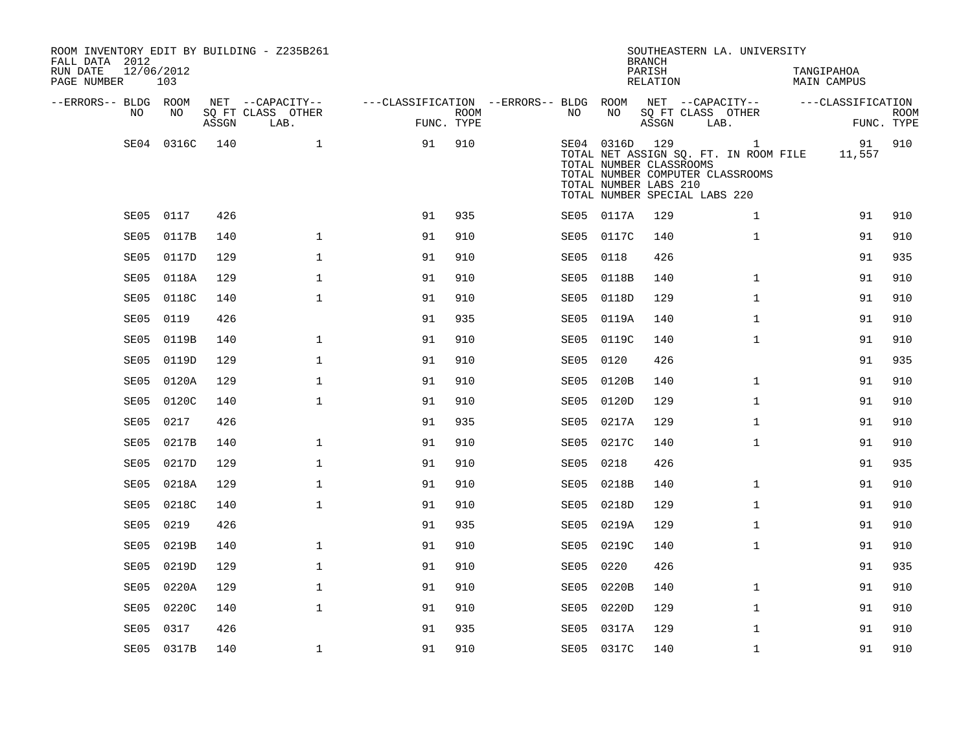| ROOM INVENTORY EDIT BY BUILDING - Z235B261<br>FALL DATA 2012<br>RUN DATE<br>PAGE NUMBER | 12/06/2012<br>103 |       |                           |                                                         |                    |           |                                                                    | <b>BRANCH</b><br>PARISH<br>RELATION |                               | SOUTHEASTERN LA. UNIVERSITY                                                               | TANGIPAHOA | <b>MAIN CAMPUS</b> |                           |
|-----------------------------------------------------------------------------------------|-------------------|-------|---------------------------|---------------------------------------------------------|--------------------|-----------|--------------------------------------------------------------------|-------------------------------------|-------------------------------|-------------------------------------------------------------------------------------------|------------|--------------------|---------------------------|
| --ERRORS-- BLDG ROOM                                                                    |                   |       | NET --CAPACITY--          | ---CLASSIFICATION --ERRORS-- BLDG ROOM NET --CAPACITY-- |                    |           |                                                                    |                                     |                               |                                                                                           |            | ---CLASSIFICATION  |                           |
| NO                                                                                      | NO                | ASSGN | SQ FT CLASS OTHER<br>LAB. |                                                         | ROOM<br>FUNC. TYPE | NO        | NO                                                                 | ASSGN                               | SQ FT CLASS OTHER<br>LAB.     |                                                                                           |            |                    | <b>ROOM</b><br>FUNC. TYPE |
|                                                                                         | SE04 0316C        | 140   | 1                         | 91                                                      | 910                |           | SE04 0316D 129<br>TOTAL NUMBER CLASSROOMS<br>TOTAL NUMBER LABS 210 |                                     | TOTAL NUMBER SPECIAL LABS 220 | $\mathbf{1}$<br>TOTAL NET ASSIGN SQ. FT. IN ROOM FILE<br>TOTAL NUMBER COMPUTER CLASSROOMS |            | 11,557             | 91 910                    |
|                                                                                         | SE05 0117         | 426   |                           | 91                                                      | 935                |           | SE05 0117A                                                         | 129                                 |                               | $\mathbf{1}$                                                                              |            | 91                 | 910                       |
| SE05                                                                                    | 0117B             | 140   | $\mathbf 1$               | 91                                                      | 910                |           | SE05 0117C                                                         | 140                                 |                               | $\mathbf{1}$                                                                              |            | 91                 | 910                       |
| SE05                                                                                    | 0117D             | 129   | $\mathbf 1$               | 91                                                      | 910                | SE05 0118 |                                                                    | 426                                 |                               |                                                                                           |            | 91                 | 935                       |
| SE05                                                                                    | 0118A             | 129   | $\mathbf{1}$              | 91                                                      | 910                |           | SE05 0118B                                                         | 140                                 |                               | $\mathbf{1}$                                                                              |            | 91                 | 910                       |
| SE05                                                                                    | 0118C             | 140   | $\mathbf{1}$              | 91                                                      | 910                |           | SE05 0118D                                                         | 129                                 |                               | $\mathbf{1}$                                                                              |            | 91                 | 910                       |
| SE05                                                                                    | 0119              | 426   |                           | 91                                                      | 935                |           | SE05 0119A                                                         | 140                                 |                               | $\mathbf{1}$                                                                              |            | 91                 | 910                       |
| SE05                                                                                    | 0119B             | 140   | $\mathbf{1}$              | 91                                                      | 910                |           | SE05 0119C                                                         | 140                                 |                               | $\mathbf{1}$                                                                              |            | 91                 | 910                       |
| SE05                                                                                    | 0119D             | 129   | $\mathbf{1}$              | 91                                                      | 910                | SE05      | 0120                                                               | 426                                 |                               |                                                                                           |            | 91                 | 935                       |
| SE05                                                                                    | 0120A             | 129   | $\mathbf 1$               | 91                                                      | 910                |           | SE05 0120B                                                         | 140                                 |                               | $\mathbf{1}$                                                                              |            | 91                 | 910                       |
| SE05                                                                                    | 0120C             | 140   | $\mathbf{1}$              | 91                                                      | 910                |           | SE05 0120D                                                         | 129                                 |                               | $\mathbf{1}$                                                                              |            | 91                 | 910                       |
| SE05                                                                                    | 0217              | 426   |                           | 91                                                      | 935                |           | SE05 0217A                                                         | 129                                 |                               | $\mathbf{1}$                                                                              |            | 91                 | 910                       |
| SE05                                                                                    | 0217B             | 140   | $\mathbf{1}$              | 91                                                      | 910                |           | SE05 0217C                                                         | 140                                 |                               | $\mathbf{1}$                                                                              |            | 91                 | 910                       |
| SE05                                                                                    | 0217D             | 129   | $\mathbf 1$               | 91                                                      | 910                | SE05 0218 |                                                                    | 426                                 |                               |                                                                                           |            | 91                 | 935                       |
| SE05                                                                                    | 0218A             | 129   | $\mathbf{1}$              | 91                                                      | 910                | SE05      | 0218B                                                              | 140                                 |                               | $\mathbf{1}$                                                                              |            | 91                 | 910                       |
| SE05                                                                                    | 0218C             | 140   | $\mathbf 1$               | 91                                                      | 910                |           | SE05 0218D                                                         | 129                                 |                               | $\mathbf{1}$                                                                              |            | 91                 | 910                       |
| SE05                                                                                    | 0219              | 426   |                           | 91                                                      | 935                |           | SE05 0219A                                                         | 129                                 |                               | $\mathbf{1}$                                                                              |            | 91                 | 910                       |
| SE05                                                                                    | 0219B             | 140   | $\mathbf 1$               | 91                                                      | 910                |           | SE05 0219C                                                         | 140                                 |                               | $\mathbf{1}$                                                                              |            | 91                 | 910                       |
| SE05                                                                                    | 0219D             | 129   | $\mathbf{1}$              | 91                                                      | 910                | SE05      | 0220                                                               | 426                                 |                               |                                                                                           |            | 91                 | 935                       |
| SE05                                                                                    | 0220A             | 129   | $\mathbf 1$               | 91                                                      | 910                |           | SE05 0220B                                                         | 140                                 |                               | $\mathbf{1}$                                                                              |            | 91                 | 910                       |
| SE05                                                                                    | 0220C             | 140   | $\mathbf{1}$              | 91                                                      | 910                |           | SE05 0220D                                                         | 129                                 |                               | $\mathbf{1}$                                                                              |            | 91                 | 910                       |
| SE05                                                                                    | 0317              | 426   |                           | 91                                                      | 935                | SE05      | 0317A                                                              | 129                                 |                               | $\mathbf{1}$                                                                              |            | 91                 | 910                       |
|                                                                                         | SE05 0317B        | 140   | $\mathbf{1}$              | 91                                                      | 910                |           | SE05 0317C                                                         | 140                                 |                               | $\mathbf{1}$                                                                              |            | 91                 | 910                       |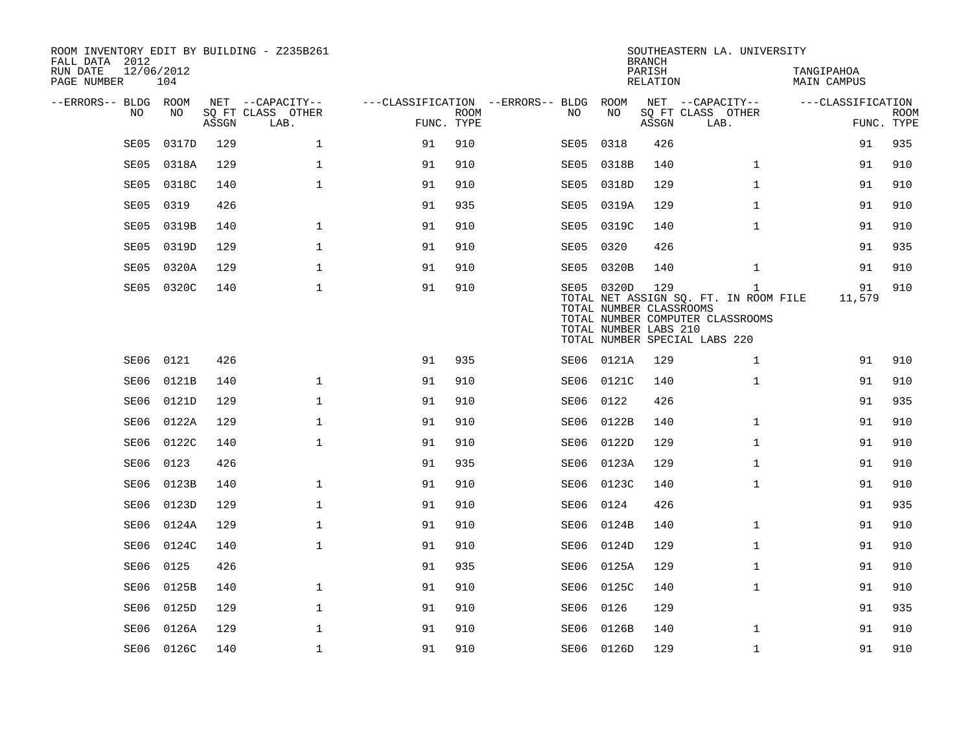| FALL DATA 2012<br>RUN DATE<br>PAGE NUMBER | 12/06/2012 | 104        |       | ROOM INVENTORY EDIT BY BUILDING - Z235B261    |                                                      |             |           |                                                                | <b>BRANCH</b><br>PARISH<br><b>RELATION</b> | SOUTHEASTERN LA. UNIVERSITY                                                                                                | TANGIPAHOA<br><b>MAIN CAMPUS</b> |                           |
|-------------------------------------------|------------|------------|-------|-----------------------------------------------|------------------------------------------------------|-------------|-----------|----------------------------------------------------------------|--------------------------------------------|----------------------------------------------------------------------------------------------------------------------------|----------------------------------|---------------------------|
| --ERRORS-- BLDG ROOM                      | NO         | NO         | ASSGN | NET --CAPACITY--<br>SQ FT CLASS OTHER<br>LAB. | ---CLASSIFICATION --ERRORS-- BLDG ROOM<br>FUNC. TYPE | <b>ROOM</b> | NO.       | NO                                                             | ASSGN                                      | NET --CAPACITY--<br>SQ FT CLASS OTHER<br>LAB.                                                                              | ---CLASSIFICATION                | <b>ROOM</b><br>FUNC. TYPE |
|                                           | SE05       | 0317D      | 129   | $\mathbf{1}$                                  | 91                                                   | 910         | SE05      | 0318                                                           | 426                                        |                                                                                                                            | 91                               | 935                       |
|                                           | SE05       | 0318A      | 129   | $\mathbf{1}$                                  | 91                                                   | 910         | SE05      | 0318B                                                          | 140                                        | $\mathbf{1}$                                                                                                               | 91                               | 910                       |
|                                           | SE05       | 0318C      | 140   | $\mathbf 1$                                   | 91                                                   | 910         | SE05      | 0318D                                                          | 129                                        | $\mathbf{1}$                                                                                                               | 91                               | 910                       |
|                                           | SE05       | 0319       | 426   |                                               | 91                                                   | 935         | SE05      | 0319A                                                          | 129                                        | $\mathbf{1}$                                                                                                               | 91                               | 910                       |
|                                           | SE05       | 0319B      | 140   | $\mathbf 1$                                   | 91                                                   | 910         |           | SE05 0319C                                                     | 140                                        | $\mathbf{1}$                                                                                                               | 91                               | 910                       |
|                                           | SE05       | 0319D      | 129   | $\mathbf{1}$                                  | 91                                                   | 910         | SE05 0320 |                                                                | 426                                        |                                                                                                                            | 91                               | 935                       |
|                                           | SE05       | 0320A      | 129   | 1                                             | 91                                                   | 910         |           | SE05 0320B                                                     | 140                                        | $\mathbf{1}$                                                                                                               | 91                               | 910                       |
|                                           | SE05       | 0320C      | 140   | $\mathbf{1}$                                  | 91                                                   | 910         |           | SE05 0320D<br>TOTAL NUMBER CLASSROOMS<br>TOTAL NUMBER LABS 210 | 129                                        | $\mathbf{1}$<br>TOTAL NET ASSIGN SO. FT. IN ROOM FILE<br>TOTAL NUMBER COMPUTER CLASSROOMS<br>TOTAL NUMBER SPECIAL LABS 220 | 91<br>11,579                     | 910                       |
|                                           | SE06       | 0121       | 426   |                                               | 91                                                   | 935         |           | SE06 0121A                                                     | 129                                        | $\mathbf{1}$                                                                                                               | 91                               | 910                       |
|                                           | SE06       | 0121B      | 140   | $\mathbf{1}$                                  | 91                                                   | 910         |           | SE06 0121C                                                     | 140                                        | $\mathbf{1}$                                                                                                               | 91                               | 910                       |
|                                           | SE06       | 0121D      | 129   | $\mathbf{1}$                                  | 91                                                   | 910         | SE06      | 0122                                                           | 426                                        |                                                                                                                            | 91                               | 935                       |
|                                           | SE06       | 0122A      | 129   | $\mathbf{1}$                                  | 91                                                   | 910         |           | SE06 0122B                                                     | 140                                        | $\mathbf{1}$                                                                                                               | 91                               | 910                       |
|                                           | SE06       | 0122C      | 140   | $\mathbf{1}$                                  | 91                                                   | 910         | SE06      | 0122D                                                          | 129                                        | $\mathbf{1}$                                                                                                               | 91                               | 910                       |
|                                           | SE06       | 0123       | 426   |                                               | 91                                                   | 935         |           | SE06 0123A                                                     | 129                                        | $\mathbf{1}$                                                                                                               | 91                               | 910                       |
|                                           | SE06       | 0123B      | 140   | $\mathbf 1$                                   | 91                                                   | 910         | SE06      | 0123C                                                          | 140                                        | $\mathbf{1}$                                                                                                               | 91                               | 910                       |
|                                           | SE06       | 0123D      | 129   | $\mathbf 1$                                   | 91                                                   | 910         | SE06      | 0124                                                           | 426                                        |                                                                                                                            | 91                               | 935                       |
|                                           | SE06       | 0124A      | 129   | $\mathbf 1$                                   | 91                                                   | 910         | SE06      | 0124B                                                          | 140                                        | $\mathbf{1}$                                                                                                               | 91                               | 910                       |
|                                           | SE06       | 0124C      | 140   | $\mathbf 1$                                   | 91                                                   | 910         | SE06      | 0124D                                                          | 129                                        | $\mathbf{1}$                                                                                                               | 91                               | 910                       |
|                                           | SE06       | 0125       | 426   |                                               | 91                                                   | 935         | SE06      | 0125A                                                          | 129                                        | $\mathbf{1}$                                                                                                               | 91                               | 910                       |
|                                           | SE06       | 0125B      | 140   | $\mathbf 1$                                   | 91                                                   | 910         | SE06      | 0125C                                                          | 140                                        | $\mathbf{1}$                                                                                                               | 91                               | 910                       |
|                                           | SE06       | 0125D      | 129   | $\mathbf 1$                                   | 91                                                   | 910         | SE06      | 0126                                                           | 129                                        |                                                                                                                            | 91                               | 935                       |
|                                           | SE06       | 0126A      | 129   | $\mathbf 1$                                   | 91                                                   | 910         | SE06      | 0126B                                                          | 140                                        | $\mathbf{1}$                                                                                                               | 91                               | 910                       |
|                                           |            | SE06 0126C | 140   | $\mathbf{1}$                                  | 91                                                   | 910         |           | SE06 0126D                                                     | 129                                        | $\mathbf{1}$                                                                                                               | 91                               | 910                       |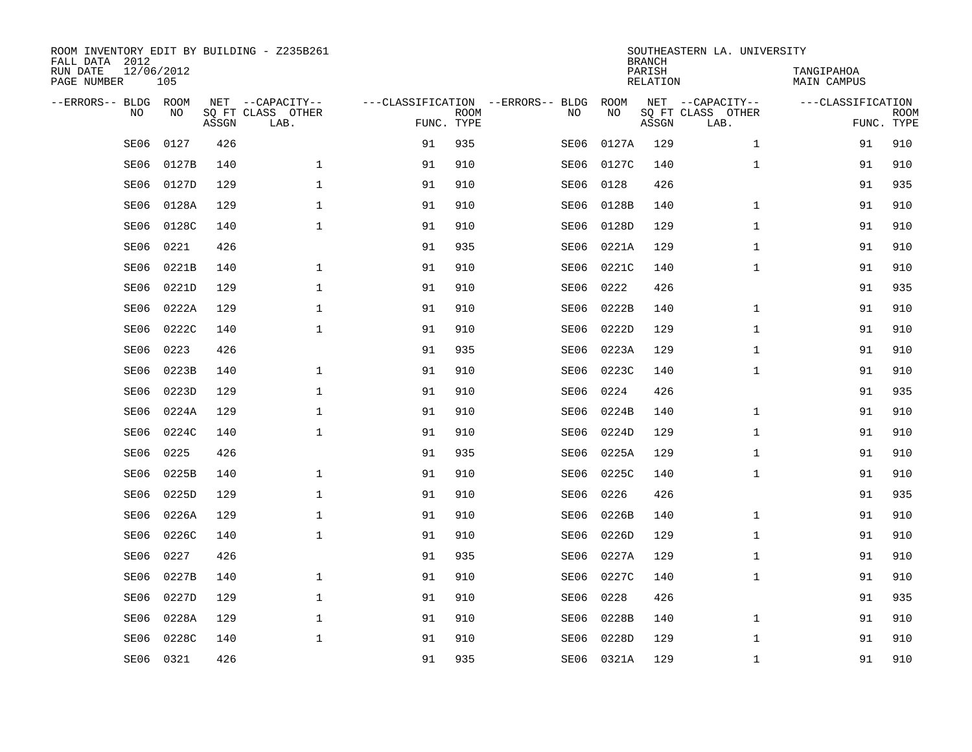| ROOM INVENTORY EDIT BY BUILDING - Z235B261<br>FALL DATA 2012 |                   |       |                           |            |             |                                   |            | <b>BRANCH</b>             | SOUTHEASTERN LA. UNIVERSITY |                                  |             |
|--------------------------------------------------------------|-------------------|-------|---------------------------|------------|-------------|-----------------------------------|------------|---------------------------|-----------------------------|----------------------------------|-------------|
| RUN DATE<br>PAGE NUMBER                                      | 12/06/2012<br>105 |       |                           |            |             |                                   |            | PARISH<br><b>RELATION</b> |                             | TANGIPAHOA<br><b>MAIN CAMPUS</b> |             |
| --ERRORS-- BLDG ROOM                                         |                   |       | NET --CAPACITY--          |            |             | ---CLASSIFICATION --ERRORS-- BLDG | ROOM       |                           | NET --CAPACITY--            | ---CLASSIFICATION                |             |
| NO                                                           | NO                | ASSGN | SQ FT CLASS OTHER<br>LAB. | FUNC. TYPE | <b>ROOM</b> | NO                                | NO         | ASSGN                     | SQ FT CLASS OTHER<br>LAB.   | FUNC. TYPE                       | <b>ROOM</b> |
| SE06                                                         | 0127              | 426   |                           | 91         | 935         | SE06                              | 0127A      | 129                       | $\mathbf{1}$                | 91                               | 910         |
| SE06                                                         | 0127B             | 140   | $\mathbf 1$               | 91         | 910         | SE06                              | 0127C      | 140                       | $\mathbf{1}$                | 91                               | 910         |
| SE06                                                         | 0127D             | 129   | 1                         | 91         | 910         | SE06                              | 0128       | 426                       |                             | 91                               | 935         |
| SE06                                                         | 0128A             | 129   | 1                         | 91         | 910         | SE06                              | 0128B      | 140                       | $\mathbf{1}$                | 91                               | 910         |
| SE06                                                         | 0128C             | 140   | $\mathbf{1}$              | 91         | 910         | SE06                              | 0128D      | 129                       | $\mathbf{1}$                | 91                               | 910         |
| SE06                                                         | 0221              | 426   |                           | 91         | 935         | SE06                              | 0221A      | 129                       | $\mathbf{1}$                | 91                               | 910         |
| SE06                                                         | 0221B             | 140   | $\mathbf{1}$              | 91         | 910         | SE06                              | 0221C      | 140                       | $\mathbf{1}$                | 91                               | 910         |
| SE06                                                         | 0221D             | 129   | $\mathbf{1}$              | 91         | 910         | SE06                              | 0222       | 426                       |                             | 91                               | 935         |
| SE06                                                         | 0222A             | 129   | $\mathbf{1}$              | 91         | 910         | SE06                              | 0222B      | 140                       | $\mathbf{1}$                | 91                               | 910         |
| SE06                                                         | 0222C             | 140   | $\mathbf{1}$              | 91         | 910         | SE06                              | 0222D      | 129                       | $\mathbf{1}$                | 91                               | 910         |
| SE06                                                         | 0223              | 426   |                           | 91         | 935         | SE06                              | 0223A      | 129                       | $\mathbf{1}$                | 91                               | 910         |
| SE06                                                         | 0223B             | 140   | 1                         | 91         | 910         | SE06                              | 0223C      | 140                       | $\mathbf{1}$                | 91                               | 910         |
| SE06                                                         | 0223D             | 129   | $\mathbf{1}$              | 91         | 910         | SE06                              | 0224       | 426                       |                             | 91                               | 935         |
| SE06                                                         | 0224A             | 129   | $\mathbf 1$               | 91         | 910         | SE06                              | 0224B      | 140                       | $\mathbf{1}$                | 91                               | 910         |
| SE06                                                         | 0224C             | 140   | $\mathbf{1}$              | 91         | 910         | SE06                              | 0224D      | 129                       | $\mathbf{1}$                | 91                               | 910         |
| SE06                                                         | 0225              | 426   |                           | 91         | 935         | SE06                              | 0225A      | 129                       | $\mathbf{1}$                | 91                               | 910         |
| SE06                                                         | 0225B             | 140   | $\mathbf{1}$              | 91         | 910         | SE06                              | 0225C      | 140                       | $\mathbf{1}$                | 91                               | 910         |
| SE06                                                         | 0225D             | 129   | $\mathbf 1$               | 91         | 910         | SE06                              | 0226       | 426                       |                             | 91                               | 935         |
| SE06                                                         | 0226A             | 129   | $\mathbf 1$               | 91         | 910         | SE06                              | 0226B      | 140                       | $\mathbf{1}$                | 91                               | 910         |
| SE06                                                         | 0226C             | 140   | $\mathbf 1$               | 91         | 910         | SE06                              | 0226D      | 129                       | $\mathbf{1}$                | 91                               | 910         |
| SE06                                                         | 0227              | 426   |                           | 91         | 935         | SE06                              | 0227A      | 129                       | $\mathbf{1}$                | 91                               | 910         |
| SE06                                                         | 0227B             | 140   | $\mathbf{1}$              | 91         | 910         | SE06                              | 0227C      | 140                       | $\mathbf{1}$                | 91                               | 910         |
| SE06                                                         | 0227D             | 129   | $\mathbf{1}$              | 91         | 910         | SE06                              | 0228       | 426                       |                             | 91                               | 935         |
| SE06                                                         | 0228A             | 129   | $\mathbf 1$               | 91         | 910         | SE06                              | 0228B      | 140                       | $\mathbf{1}$                | 91                               | 910         |
| SE06                                                         | 0228C             | 140   | $\mathbf{1}$              | 91         | 910         | SE06                              | 0228D      | 129                       | $\mathbf{1}$                | 91                               | 910         |
|                                                              | SE06 0321         | 426   |                           | 91         | 935         |                                   | SE06 0321A | 129                       | $\mathbf{1}$                | 91                               | 910         |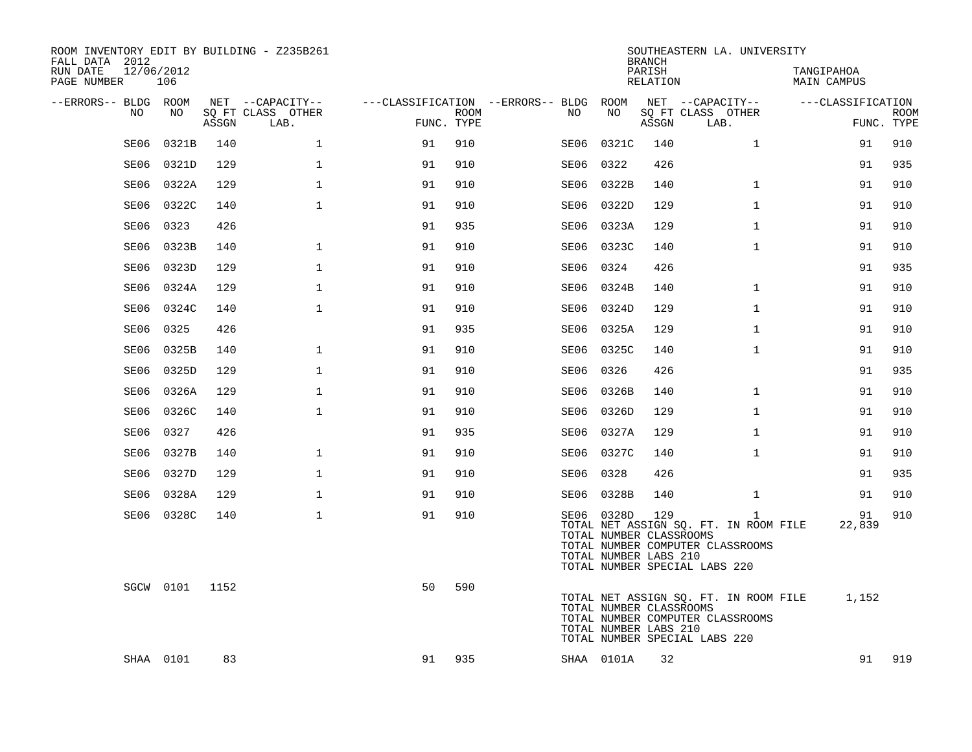| ROOM INVENTORY EDIT BY BUILDING - Z235B261<br>FALL DATA 2012 |                   |       |                           |            |             |                                        |                                                                | <b>BRANCH</b>             | SOUTHEASTERN LA. UNIVERSITY                                                                                                |                           |                           |
|--------------------------------------------------------------|-------------------|-------|---------------------------|------------|-------------|----------------------------------------|----------------------------------------------------------------|---------------------------|----------------------------------------------------------------------------------------------------------------------------|---------------------------|---------------------------|
| RUN DATE<br>PAGE NUMBER                                      | 12/06/2012<br>106 |       |                           |            |             |                                        |                                                                | PARISH<br><b>RELATION</b> |                                                                                                                            | TANGIPAHOA<br>MAIN CAMPUS |                           |
| --ERRORS-- BLDG ROOM                                         |                   |       | NET --CAPACITY--          |            |             | ---CLASSIFICATION --ERRORS-- BLDG ROOM |                                                                |                           | NET --CAPACITY--                                                                                                           | ---CLASSIFICATION         |                           |
| NO                                                           | NO                | ASSGN | SQ FT CLASS OTHER<br>LAB. | FUNC. TYPE | <b>ROOM</b> | NO.                                    | NO                                                             | ASSGN                     | SQ FT CLASS OTHER<br>LAB.                                                                                                  |                           | <b>ROOM</b><br>FUNC. TYPE |
| SE06                                                         | 0321B             | 140   | $\mathbf{1}$              | 91         | 910         | SE06                                   | 0321C                                                          | 140                       | $\mathbf{1}$                                                                                                               | 91                        | 910                       |
| SE06                                                         | 0321D             | 129   | $\mathbf{1}$              | 91         | 910         | SE06                                   | 0322                                                           | 426                       |                                                                                                                            | 91                        | 935                       |
| SE06                                                         | 0322A             | 129   | $\mathbf 1$               | 91         | 910         | SE06                                   | 0322B                                                          | 140                       | $\mathbf{1}$                                                                                                               | 91                        | 910                       |
| SE06                                                         | 0322C             | 140   | $\mathbf 1$               | 91         | 910         | SE06                                   | 0322D                                                          | 129                       | $\mathbf{1}$                                                                                                               | 91                        | 910                       |
| SE06                                                         | 0323              | 426   |                           | 91         | 935         | SE06                                   | 0323A                                                          | 129                       | $\mathbf{1}$                                                                                                               | 91                        | 910                       |
| SE06                                                         | 0323B             | 140   | $\mathbf 1$               | 91         | 910         |                                        | SE06 0323C                                                     | 140                       | $\mathbf{1}$                                                                                                               | 91                        | 910                       |
| SE06                                                         | 0323D             | 129   | $\mathbf{1}$              | 91         | 910         | SE06                                   | 0324                                                           | 426                       |                                                                                                                            | 91                        | 935                       |
| SE06                                                         | 0324A             | 129   | $\mathbf{1}$              | 91         | 910         |                                        | SE06 0324B                                                     | 140                       | $\mathbf{1}$                                                                                                               | 91                        | 910                       |
| SE06                                                         | 0324C             | 140   | $\mathbf{1}$              | 91         | 910         |                                        | SE06 0324D                                                     | 129                       | $\mathbf{1}$                                                                                                               | 91                        | 910                       |
| SE06                                                         | 0325              | 426   |                           | 91         | 935         |                                        | SE06 0325A                                                     | 129                       | $\mathbf{1}$                                                                                                               | 91                        | 910                       |
| SE06                                                         | 0325B             | 140   | $\mathbf{1}$              | 91         | 910         |                                        | SE06 0325C                                                     | 140                       | $\mathbf{1}$                                                                                                               | 91                        | 910                       |
| SE06                                                         | 0325D             | 129   | $\mathbf{1}$              | 91         | 910         |                                        | SE06 0326                                                      | 426                       |                                                                                                                            | 91                        | 935                       |
| SE06                                                         | 0326A             | 129   | $\mathbf 1$               | 91         | 910         | SE06                                   | 0326B                                                          | 140                       | $\mathbf{1}$                                                                                                               | 91                        | 910                       |
| SE06                                                         | 0326C             | 140   | $\mathbf 1$               | 91         | 910         | SE06                                   | 0326D                                                          | 129                       | $\mathbf{1}$                                                                                                               | 91                        | 910                       |
| SE06                                                         | 0327              | 426   |                           | 91         | 935         | SE06                                   | 0327A                                                          | 129                       | $\mathbf{1}$                                                                                                               | 91                        | 910                       |
| SE06                                                         | 0327B             | 140   | $\mathbf 1$               | 91         | 910         |                                        | SE06 0327C                                                     | 140                       | $\mathbf{1}$                                                                                                               | 91                        | 910                       |
| SE06                                                         | 0327D             | 129   | $\mathbf 1$               | 91         | 910         | SE06                                   | 0328                                                           | 426                       |                                                                                                                            | 91                        | 935                       |
| SE06                                                         | 0328A             | 129   | $\mathbf{1}$              | 91         | 910         |                                        | SE06 0328B                                                     | 140                       | $\mathbf{1}$                                                                                                               | 91                        | 910                       |
|                                                              | SE06 0328C        | 140   | $\mathbf{1}$              | 91         | 910         |                                        | SE06 0328D<br>TOTAL NUMBER CLASSROOMS<br>TOTAL NUMBER LABS 210 | 129                       | $\mathbf{1}$<br>TOTAL NET ASSIGN SQ. FT. IN ROOM FILE<br>TOTAL NUMBER COMPUTER CLASSROOMS<br>TOTAL NUMBER SPECIAL LABS 220 | 91<br>22,839              | 910                       |
|                                                              | SGCW 0101 1152    |       |                           | 50         | 590         |                                        | TOTAL NUMBER CLASSROOMS<br>TOTAL NUMBER LABS 210               |                           | TOTAL NET ASSIGN SQ. FT. IN ROOM FILE<br>TOTAL NUMBER COMPUTER CLASSROOMS<br>TOTAL NUMBER SPECIAL LABS 220                 | 1,152                     |                           |
|                                                              | SHAA 0101         | 83    |                           | 91         | 935         |                                        | SHAA 0101A                                                     | 32                        |                                                                                                                            | 91                        | 919                       |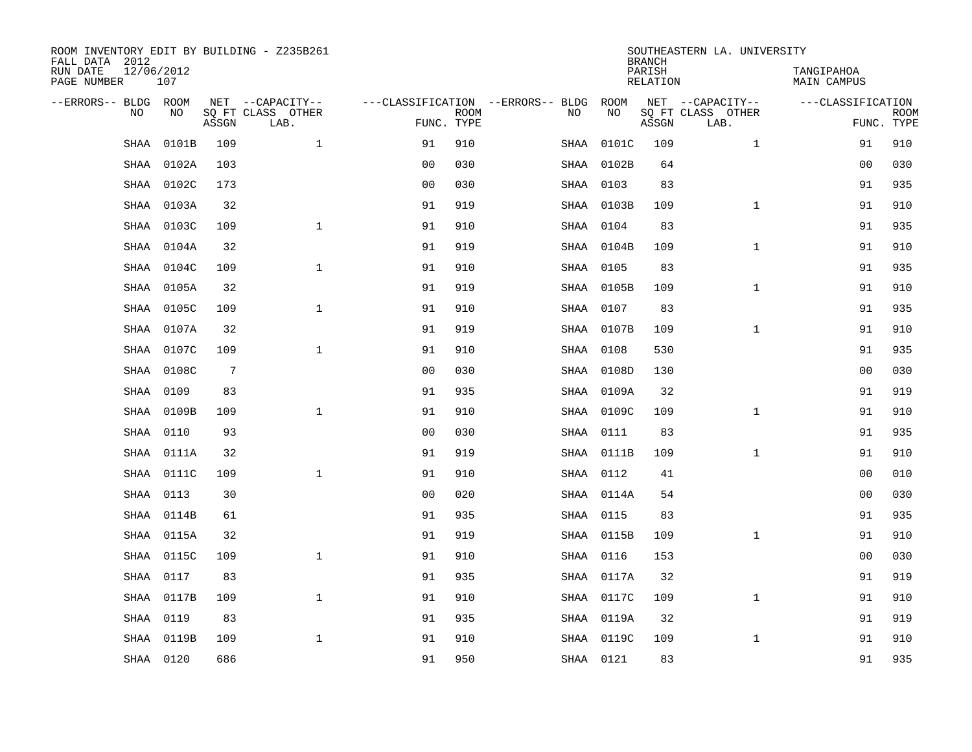| ROOM INVENTORY EDIT BY BUILDING - Z235B261<br>FALL DATA 2012 |                   |       |                           |                |                           |                                   |            | <b>BRANCH</b>             | SOUTHEASTERN LA. UNIVERSITY |                                  |                           |
|--------------------------------------------------------------|-------------------|-------|---------------------------|----------------|---------------------------|-----------------------------------|------------|---------------------------|-----------------------------|----------------------------------|---------------------------|
| RUN DATE<br>PAGE NUMBER                                      | 12/06/2012<br>107 |       |                           |                |                           |                                   |            | PARISH<br><b>RELATION</b> |                             | TANGIPAHOA<br><b>MAIN CAMPUS</b> |                           |
| --ERRORS-- BLDG ROOM                                         |                   |       | NET --CAPACITY--          |                |                           | ---CLASSIFICATION --ERRORS-- BLDG | ROOM       |                           | NET --CAPACITY--            | ---CLASSIFICATION                |                           |
| NO                                                           | NO                | ASSGN | SQ FT CLASS OTHER<br>LAB. |                | <b>ROOM</b><br>FUNC. TYPE | NO                                | NO         | ASSGN                     | SQ FT CLASS OTHER<br>LAB.   |                                  | <b>ROOM</b><br>FUNC. TYPE |
| SHAA                                                         | 0101B             | 109   | $\mathbf{1}$              | 91             | 910                       | SHAA                              | 0101C      | 109                       | $\mathbf{1}$                | 91                               | 910                       |
| SHAA                                                         | 0102A             | 103   |                           | 0 <sub>0</sub> | 030                       | SHAA                              | 0102B      | 64                        |                             | 00                               | 030                       |
| SHAA                                                         | 0102C             | 173   |                           | 00             | 030                       |                                   | SHAA 0103  | 83                        |                             | 91                               | 935                       |
| SHAA                                                         | 0103A             | 32    |                           | 91             | 919                       |                                   | SHAA 0103B | 109                       | $\mathbf{1}$                | 91                               | 910                       |
| <b>SHAA</b>                                                  | 0103C             | 109   | $\mathbf{1}$              | 91             | 910                       |                                   | SHAA 0104  | 83                        |                             | 91                               | 935                       |
| <b>SHAA</b>                                                  | 0104A             | 32    |                           | 91             | 919                       |                                   | SHAA 0104B | 109                       | $\mathbf{1}$                | 91                               | 910                       |
| <b>SHAA</b>                                                  | 0104C             | 109   | $\mathbf{1}$              | 91             | 910                       |                                   | SHAA 0105  | 83                        |                             | 91                               | 935                       |
| <b>SHAA</b>                                                  | 0105A             | 32    |                           | 91             | 919                       |                                   | SHAA 0105B | 109                       | $\mathbf{1}$                | 91                               | 910                       |
| <b>SHAA</b>                                                  | 0105C             | 109   | $\mathbf{1}$              | 91             | 910                       |                                   | SHAA 0107  | 83                        |                             | 91                               | 935                       |
| SHAA                                                         | 0107A             | 32    |                           | 91             | 919                       |                                   | SHAA 0107B | 109                       | $\mathbf{1}$                | 91                               | 910                       |
| SHAA                                                         | 0107C             | 109   | $\mathbf 1$               | 91             | 910                       |                                   | SHAA 0108  | 530                       |                             | 91                               | 935                       |
| SHAA                                                         | 0108C             | 7     |                           | 0 <sub>0</sub> | 030                       |                                   | SHAA 0108D | 130                       |                             | 00                               | 030                       |
| <b>SHAA</b>                                                  | 0109              | 83    |                           | 91             | 935                       |                                   | SHAA 0109A | 32                        |                             | 91                               | 919                       |
| SHAA                                                         | 0109B             | 109   | $\mathbf 1$               | 91             | 910                       |                                   | SHAA 0109C | 109                       | $\mathbf{1}$                | 91                               | 910                       |
| SHAA                                                         | 0110              | 93    |                           | 0 <sub>0</sub> | 030                       |                                   | SHAA 0111  | 83                        |                             | 91                               | 935                       |
| SHAA                                                         | 0111A             | 32    |                           | 91             | 919                       |                                   | SHAA 0111B | 109                       | $\mathbf{1}$                | 91                               | 910                       |
| SHAA                                                         | 0111C             | 109   | $\mathbf{1}$              | 91             | 910                       |                                   | SHAA 0112  | 41                        |                             | 0 <sub>0</sub>                   | 010                       |
| SHAA                                                         | 0113              | 30    |                           | 0 <sub>0</sub> | 020                       |                                   | SHAA 0114A | 54                        |                             | 00                               | 030                       |
| SHAA                                                         | 0114B             | 61    |                           | 91             | 935                       |                                   | SHAA 0115  | 83                        |                             | 91                               | 935                       |
| SHAA                                                         | 0115A             | 32    |                           | 91             | 919                       |                                   | SHAA 0115B | 109                       | $\mathbf{1}$                | 91                               | 910                       |
| <b>SHAA</b>                                                  | 0115C             | 109   | $\mathbf 1$               | 91             | 910                       |                                   | SHAA 0116  | 153                       |                             | 00                               | 030                       |
| SHAA                                                         | 0117              | 83    |                           | 91             | 935                       |                                   | SHAA 0117A | 32                        |                             | 91                               | 919                       |
| <b>SHAA</b>                                                  | 0117B             | 109   | $\mathbf{1}$              | 91             | 910                       |                                   | SHAA 0117C | 109                       | $\mathbf{1}$                | 91                               | 910                       |
| <b>SHAA</b>                                                  | 0119              | 83    |                           | 91             | 935                       |                                   | SHAA 0119A | 32                        |                             | 91                               | 919                       |
| <b>SHAA</b>                                                  | 0119B             | 109   | $\mathbf 1$               | 91             | 910                       |                                   | SHAA 0119C | 109                       | $\mathbf{1}$                | 91                               | 910                       |
|                                                              | SHAA 0120         | 686   |                           | 91             | 950                       |                                   | SHAA 0121  | 83                        |                             | 91                               | 935                       |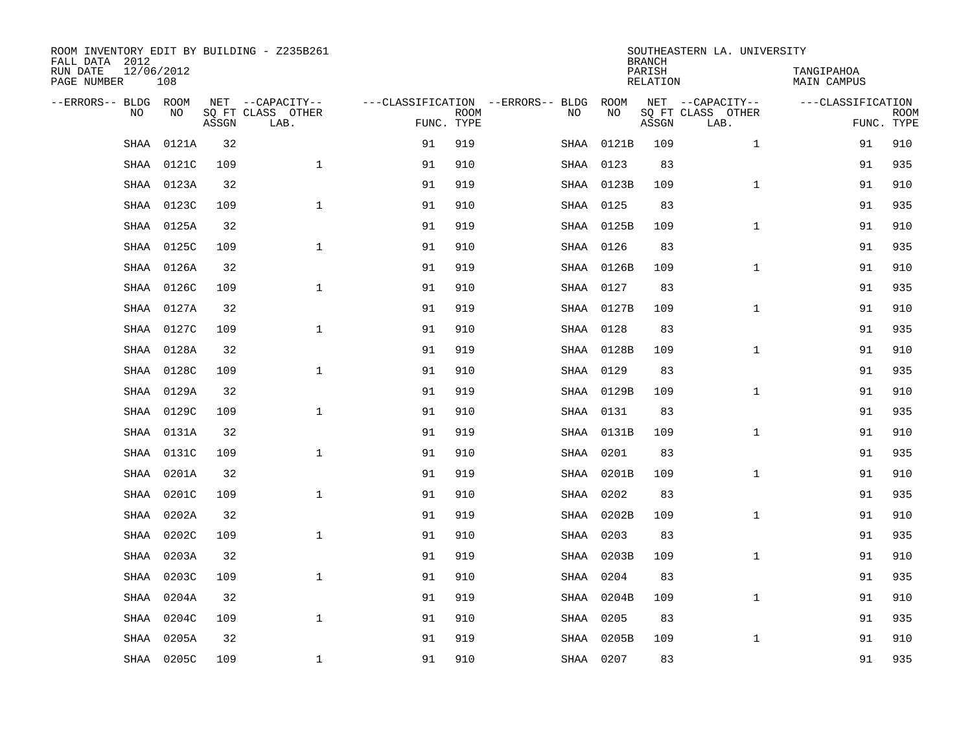| ROOM INVENTORY EDIT BY BUILDING - Z235B261<br>FALL DATA 2012 |                   |       |                           |            |             |                                   |               | <b>BRANCH</b>             |       | SOUTHEASTERN LA. UNIVERSITY |                                  |             |
|--------------------------------------------------------------|-------------------|-------|---------------------------|------------|-------------|-----------------------------------|---------------|---------------------------|-------|-----------------------------|----------------------------------|-------------|
| RUN DATE<br>PAGE NUMBER                                      | 12/06/2012<br>108 |       |                           |            |             |                                   |               | PARISH<br><b>RELATION</b> |       |                             | TANGIPAHOA<br><b>MAIN CAMPUS</b> |             |
| --ERRORS-- BLDG ROOM                                         |                   |       | NET --CAPACITY--          |            |             | ---CLASSIFICATION --ERRORS-- BLDG | ROOM          |                           |       | NET --CAPACITY--            | ---CLASSIFICATION                |             |
| NO                                                           | NO                | ASSGN | SQ FT CLASS OTHER<br>LAB. | FUNC. TYPE | <b>ROOM</b> | NO                                | NO            |                           | ASSGN | SQ FT CLASS OTHER<br>LAB.   | FUNC. TYPE                       | <b>ROOM</b> |
| SHAA                                                         | 0121A             | 32    |                           | 91         | 919         | SHAA                              |               | 0121B                     | 109   | $\mathbf{1}$                | 91                               | 910         |
| SHAA                                                         | 0121C             | 109   | $\mathbf{1}$              | 91         | 910         | SHAA                              | 0123          |                           | 83    |                             | 91                               | 935         |
| SHAA                                                         | 0123A             | 32    |                           | 91         | 919         |                                   | SHAA 0123B    |                           | 109   | $\mathbf{1}$                | 91                               | 910         |
| <b>SHAA</b>                                                  | 0123C             | 109   | $\mathbf{1}$              | 91         | 910         |                                   | SHAA 0125     |                           | 83    |                             | 91                               | 935         |
| <b>SHAA</b>                                                  | 0125A             | 32    |                           | 91         | 919         |                                   | SHAA 0125B    |                           | 109   | $\mathbf{1}$                | 91                               | 910         |
| SHAA                                                         | 0125C             | 109   | $\mathbf{1}$              | 91         | 910         |                                   | SHAA 0126     |                           | 83    |                             | 91                               | 935         |
| SHAA                                                         | 0126A             | 32    |                           | 91         | 919         |                                   | SHAA 0126B    |                           | 109   | $\mathbf{1}$                | 91                               | 910         |
| <b>SHAA</b>                                                  | 0126C             | 109   | $\mathbf{1}$              | 91         | 910         |                                   | SHAA 0127     |                           | 83    |                             | 91                               | 935         |
| <b>SHAA</b>                                                  | 0127A             | 32    |                           | 91         | 919         |                                   | SHAA 0127B    |                           | 109   | $\mathbf{1}$                | 91                               | 910         |
| <b>SHAA</b>                                                  | 0127C             | 109   | $\mathbf{1}$              | 91         | 910         |                                   | SHAA 0128     |                           | 83    |                             | 91                               | 935         |
| SHAA                                                         | 0128A             | 32    |                           | 91         | 919         |                                   | SHAA 0128B    |                           | 109   | $\mathbf{1}$                | 91                               | 910         |
| SHAA                                                         | 0128C             | 109   | $\mathbf{1}$              | 91         | 910         |                                   | SHAA 0129     |                           | 83    |                             | 91                               | 935         |
| SHAA                                                         | 0129A             | 32    |                           | 91         | 919         |                                   | SHAA 0129B    |                           | 109   | $\mathbf{1}$                | 91                               | 910         |
| SHAA                                                         | 0129C             | 109   | $\mathbf 1$               | 91         | 910         |                                   | SHAA 0131     |                           | 83    |                             | 91                               | 935         |
| SHAA                                                         | 0131A             | 32    |                           | 91         | 919         |                                   | SHAA 0131B    |                           | 109   | $\mathbf{1}$                | 91                               | 910         |
| SHAA                                                         | 0131C             | 109   | $\mathbf{1}$              | 91         | 910         |                                   | SHAA 0201     |                           | 83    |                             | 91                               | 935         |
| SHAA                                                         | 0201A             | 32    |                           | 91         | 919         |                                   | SHAA<br>0201B |                           | 109   | $\mathbf{1}$                | 91                               | 910         |
| <b>SHAA</b>                                                  | 0201C             | 109   | $\mathbf{1}$              | 91         | 910         |                                   | SHAA 0202     |                           | 83    |                             | 91                               | 935         |
| <b>SHAA</b>                                                  | 0202A             | 32    |                           | 91         | 919         |                                   | SHAA 0202B    |                           | 109   | $\mathbf{1}$                | 91                               | 910         |
| SHAA                                                         | 0202C             | 109   | $\mathbf 1$               | 91         | 910         |                                   | SHAA 0203     |                           | 83    |                             | 91                               | 935         |
| SHAA                                                         | 0203A             | 32    |                           | 91         | 919         |                                   | SHAA 0203B    |                           | 109   | $\mathbf{1}$                | 91                               | 910         |
| SHAA                                                         | 0203C             | 109   | $\mathbf{1}$              | 91         | 910         | SHAA                              | 0204          |                           | 83    |                             | 91                               | 935         |
| <b>SHAA</b>                                                  | 0204A             | 32    |                           | 91         | 919         | SHAA                              | 0204B         |                           | 109   | $\mathbf{1}$                | 91                               | 910         |
| <b>SHAA</b>                                                  | 0204C             | 109   | $\mathbf{1}$              | 91         | 910         |                                   | SHAA 0205     |                           | 83    |                             | 91                               | 935         |
| <b>SHAA</b>                                                  | 0205A             | 32    |                           | 91         | 919         | SHAA                              | 0205B         |                           | 109   | $\mathbf{1}$                | 91                               | 910         |
|                                                              | SHAA 0205C        | 109   | $\mathbf{1}$              | 91         | 910         |                                   | SHAA 0207     |                           | 83    |                             | 91                               | 935         |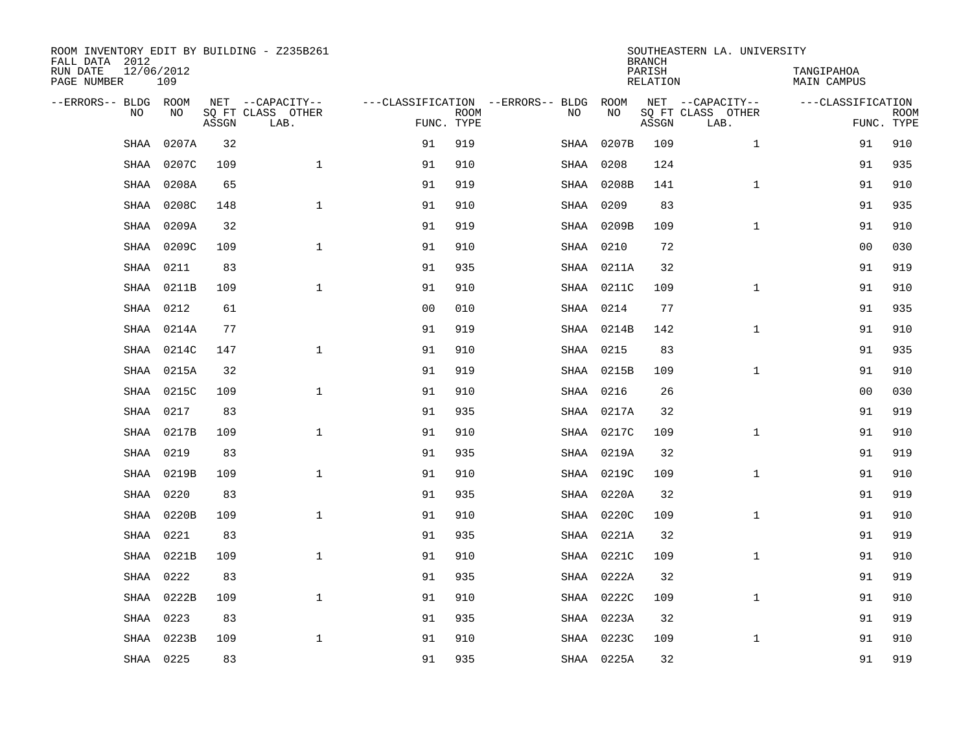| ROOM INVENTORY EDIT BY BUILDING - Z235B261<br>FALL DATA 2012 |                   |       |                                       |                |             |                                          |                   | <b>BRANCH</b>      | SOUTHEASTERN LA. UNIVERSITY           |                           |                           |
|--------------------------------------------------------------|-------------------|-------|---------------------------------------|----------------|-------------|------------------------------------------|-------------------|--------------------|---------------------------------------|---------------------------|---------------------------|
| RUN DATE<br>PAGE NUMBER                                      | 12/06/2012<br>109 |       |                                       |                |             |                                          |                   | PARISH<br>RELATION |                                       | TANGIPAHOA<br>MAIN CAMPUS |                           |
| --ERRORS-- BLDG ROOM<br>N <sub>O</sub>                       | NO.               |       | NET --CAPACITY--<br>SO FT CLASS OTHER |                |             | ---CLASSIFICATION --ERRORS-- BLDG<br>NO. | ROOM<br><b>NO</b> |                    | NET --CAPACITY--<br>SO FT CLASS OTHER | ---CLASSIFICATION         |                           |
|                                                              |                   | ASSGN | LAB.                                  | FUNC. TYPE     | <b>ROOM</b> |                                          |                   | ASSGN              | LAB.                                  |                           | <b>ROOM</b><br>FUNC. TYPE |
| SHAA                                                         | 0207A             | 32    |                                       | 91             | 919         | SHAA                                     | 0207B             | 109                | $\mathbf{1}$                          | 91                        | 910                       |
| <b>SHAA</b>                                                  | 0207C             | 109   | $\mathbf{1}$                          | 91             | 910         | SHAA                                     | 0208              | 124                |                                       | 91                        | 935                       |
| SHAA                                                         | 0208A             | 65    |                                       | 91             | 919         |                                          | SHAA 0208B        | 141                | $\mathbf{1}$                          | 91                        | 910                       |
| SHAA                                                         | 0208C             | 148   | $\mathbf{1}$                          | 91             | 910         | SHAA                                     | 0209              | 83                 |                                       | 91                        | 935                       |
| SHAA                                                         | 0209A             | 32    |                                       | 91             | 919         | SHAA                                     | 0209B             | 109                | $\mathbf{1}$                          | 91                        | 910                       |
| SHAA                                                         | 0209C             | 109   | $\mathbf{1}$                          | 91             | 910         | SHAA                                     | 0210              | 72                 |                                       | 0 <sub>0</sub>            | 030                       |
| SHAA                                                         | 0211              | 83    |                                       | 91             | 935         |                                          | SHAA 0211A        | 32                 |                                       | 91                        | 919                       |
| <b>SHAA</b>                                                  | 0211B             | 109   | $\mathbf{1}$                          | 91             | 910         |                                          | SHAA 0211C        | 109                | $\mathbf{1}$                          | 91                        | 910                       |
| <b>SHAA</b>                                                  | 0212              | 61    |                                       | 0 <sub>0</sub> | 010         | SHAA                                     | 0214              | 77                 |                                       | 91                        | 935                       |
| SHAA                                                         | 0214A             | 77    |                                       | 91             | 919         |                                          | SHAA 0214B        | 142                | $\mathbf{1}$                          | 91                        | 910                       |
| SHAA                                                         | 0214C             | 147   | $\mathbf{1}$                          | 91             | 910         |                                          | SHAA 0215         | 83                 |                                       | 91                        | 935                       |
| <b>SHAA</b>                                                  | 0215A             | 32    |                                       | 91             | 919         |                                          | SHAA 0215B        | 109                | $\mathbf{1}$                          | 91                        | 910                       |
| <b>SHAA</b>                                                  | 0215C             | 109   | $\mathbf{1}$                          | 91             | 910         |                                          | SHAA 0216         | 26                 |                                       | 0 <sub>0</sub>            | 030                       |
| <b>SHAA</b>                                                  | 0217              | 83    |                                       | 91             | 935         |                                          | SHAA 0217A        | 32                 |                                       | 91                        | 919                       |
| SHAA                                                         | 0217B             | 109   | $\mathbf{1}$                          | 91             | 910         |                                          | SHAA 0217C        | 109                | $\mathbf{1}$                          | 91                        | 910                       |
| SHAA                                                         | 0219              | 83    |                                       | 91             | 935         |                                          | SHAA 0219A        | 32                 |                                       | 91                        | 919                       |
| SHAA                                                         | 0219B             | 109   | $\mathbf{1}$                          | 91             | 910         |                                          | SHAA 0219C        | 109                | $\mathbf{1}$                          | 91                        | 910                       |
| SHAA                                                         | 0220              | 83    |                                       | 91             | 935         |                                          | SHAA 0220A        | 32                 |                                       | 91                        | 919                       |
| <b>SHAA</b>                                                  | 0220B             | 109   | $\mathbf{1}$                          | 91             | 910         | SHAA                                     | 0220C             | 109                | $\mathbf{1}$                          | 91                        | 910                       |
| <b>SHAA</b>                                                  | 0221              | 83    |                                       | 91             | 935         |                                          | SHAA 0221A        | 32                 |                                       | 91                        | 919                       |
| SHAA                                                         | 0221B             | 109   | $\mathbf{1}$                          | 91             | 910         |                                          | SHAA 0221C        | 109                | $\mathbf{1}$                          | 91                        | 910                       |
| SHAA                                                         | 0222              | 83    |                                       | 91             | 935         | SHAA                                     | 0222A             | 32                 |                                       | 91                        | 919                       |
| SHAA                                                         | 0222B             | 109   | $\mathbf{1}$                          | 91             | 910         | SHAA                                     | 0222C             | 109                | $\mathbf{1}$                          | 91                        | 910                       |
| <b>SHAA</b>                                                  | 0223              | 83    |                                       | 91             | 935         |                                          | SHAA 0223A        | 32                 |                                       | 91                        | 919                       |
| <b>SHAA</b>                                                  | 0223B             | 109   | $\mathbf 1$                           | 91             | 910         |                                          | SHAA 0223C        | 109                | $\mathbf{1}$                          | 91                        | 910                       |
|                                                              | SHAA 0225         | 83    |                                       | 91             | 935         |                                          | SHAA 0225A        | 32                 |                                       | 91                        | 919                       |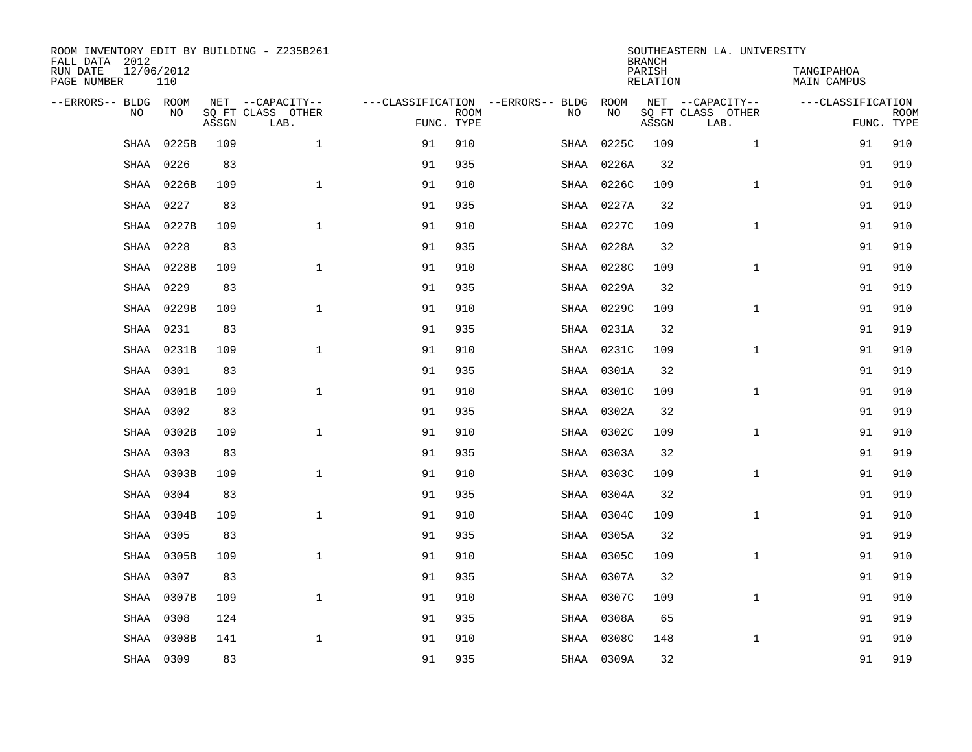| ROOM INVENTORY EDIT BY BUILDING - Z235B261<br>FALL DATA 2012 |                   |       |                           |            |             |                                   |            | <b>BRANCH</b>             | SOUTHEASTERN LA. UNIVERSITY |                                  |                           |
|--------------------------------------------------------------|-------------------|-------|---------------------------|------------|-------------|-----------------------------------|------------|---------------------------|-----------------------------|----------------------------------|---------------------------|
| RUN DATE<br>PAGE NUMBER                                      | 12/06/2012<br>110 |       |                           |            |             |                                   |            | PARISH<br><b>RELATION</b> |                             | TANGIPAHOA<br><b>MAIN CAMPUS</b> |                           |
| --ERRORS-- BLDG ROOM                                         |                   |       | NET --CAPACITY--          |            |             | ---CLASSIFICATION --ERRORS-- BLDG | ROOM       |                           | NET --CAPACITY--            | ---CLASSIFICATION                |                           |
| NO                                                           | NO                | ASSGN | SQ FT CLASS OTHER<br>LAB. | FUNC. TYPE | <b>ROOM</b> | NO                                | NO         | ASSGN                     | SQ FT CLASS OTHER<br>LAB.   |                                  | <b>ROOM</b><br>FUNC. TYPE |
| SHAA                                                         | 0225B             | 109   | $\mathbf{1}$              | 91         | 910         | SHAA                              | 0225C      | 109                       | $\mathbf{1}$                | 91                               | 910                       |
| SHAA                                                         | 0226              | 83    |                           | 91         | 935         | SHAA                              | 0226A      | 32                        |                             | 91                               | 919                       |
| SHAA                                                         | 0226B             | 109   | $\mathbf 1$               | 91         | 910         | SHAA                              | 0226C      | 109                       | $\mathbf{1}$                | 91                               | 910                       |
| <b>SHAA</b>                                                  | 0227              | 83    |                           | 91         | 935         | SHAA                              | 0227A      | 32                        |                             | 91                               | 919                       |
| <b>SHAA</b>                                                  | 0227B             | 109   | $\mathbf{1}$              | 91         | 910         |                                   | SHAA 0227C | 109                       | $\mathbf{1}$                | 91                               | 910                       |
| SHAA                                                         | 0228              | 83    |                           | 91         | 935         |                                   | SHAA 0228A | 32                        |                             | 91                               | 919                       |
| SHAA                                                         | 0228B             | 109   | $\mathbf{1}$              | 91         | 910         |                                   | SHAA 0228C | 109                       | $\mathbf{1}$                | 91                               | 910                       |
| <b>SHAA</b>                                                  | 0229              | 83    |                           | 91         | 935         | SHAA                              | 0229A      | 32                        |                             | 91                               | 919                       |
| <b>SHAA</b>                                                  | 0229B             | 109   | $\mathbf 1$               | 91         | 910         |                                   | SHAA 0229C | 109                       | $\mathbf{1}$                | 91                               | 910                       |
| <b>SHAA</b>                                                  | 0231              | 83    |                           | 91         | 935         |                                   | SHAA 0231A | 32                        |                             | 91                               | 919                       |
| SHAA                                                         | 0231B             | 109   | $\mathbf{1}$              | 91         | 910         |                                   | SHAA 0231C | 109                       | $\mathbf{1}$                | 91                               | 910                       |
| SHAA                                                         | 0301              | 83    |                           | 91         | 935         |                                   | SHAA 0301A | 32                        |                             | 91                               | 919                       |
| SHAA                                                         | 0301B             | 109   | $\mathbf{1}$              | 91         | 910         | SHAA                              | 0301C      | 109                       | $\mathbf{1}$                | 91                               | 910                       |
| SHAA                                                         | 0302              | 83    |                           | 91         | 935         |                                   | SHAA 0302A | 32                        |                             | 91                               | 919                       |
| SHAA                                                         | 0302B             | 109   | $\mathbf{1}$              | 91         | 910         |                                   | SHAA 0302C | 109                       | $\mathbf{1}$                | 91                               | 910                       |
| SHAA                                                         | 0303              | 83    |                           | 91         | 935         |                                   | SHAA 0303A | 32                        |                             | 91                               | 919                       |
| SHAA                                                         | 0303B             | 109   | $\mathbf{1}$              | 91         | 910         |                                   | SHAA 0303C | 109                       | $\mathbf{1}$                | 91                               | 910                       |
| <b>SHAA</b>                                                  | 0304              | 83    |                           | 91         | 935         |                                   | SHAA 0304A | 32                        |                             | 91                               | 919                       |
| <b>SHAA</b>                                                  | 0304B             | 109   | $\mathbf{1}$              | 91         | 910         |                                   | SHAA 0304C | 109                       | $\mathbf{1}$                | 91                               | 910                       |
| SHAA                                                         | 0305              | 83    |                           | 91         | 935         |                                   | SHAA 0305A | 32                        |                             | 91                               | 919                       |
| SHAA                                                         | 0305B             | 109   | $\mathbf 1$               | 91         | 910         |                                   | SHAA 0305C | 109                       | $\mathbf{1}$                | 91                               | 910                       |
| SHAA                                                         | 0307              | 83    |                           | 91         | 935         | SHAA                              | 0307A      | 32                        |                             | 91                               | 919                       |
| <b>SHAA</b>                                                  | 0307B             | 109   | $\mathbf{1}$              | 91         | 910         | SHAA                              | 0307C      | 109                       | $\mathbf{1}$                | 91                               | 910                       |
| <b>SHAA</b>                                                  | 0308              | 124   |                           | 91         | 935         |                                   | SHAA 0308A | 65                        |                             | 91                               | 919                       |
| <b>SHAA</b>                                                  | 0308B             | 141   | $\mathbf 1$               | 91         | 910         | SHAA                              | 0308C      | 148                       | $\mathbf{1}$                | 91                               | 910                       |
|                                                              | SHAA 0309         | 83    |                           | 91         | 935         |                                   | SHAA 0309A | 32                        |                             | 91                               | 919                       |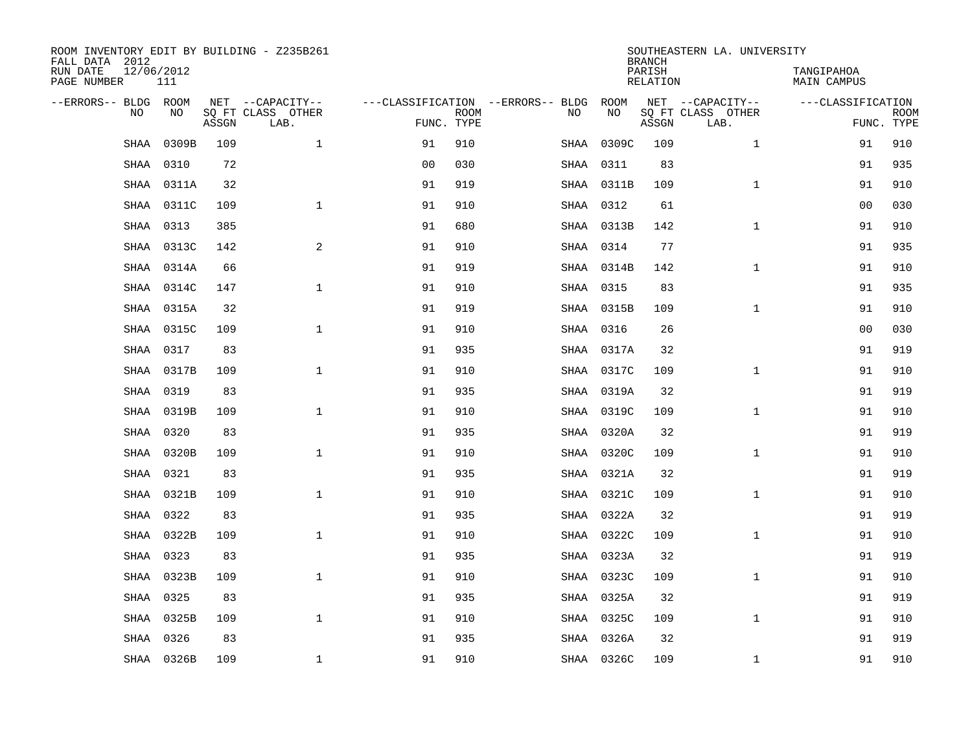| ROOM INVENTORY EDIT BY BUILDING - Z235B261<br>FALL DATA 2012 |                   |       |                           |                                   |             |      |            | <b>BRANCH</b>             | SOUTHEASTERN LA. UNIVERSITY |                                  |             |
|--------------------------------------------------------------|-------------------|-------|---------------------------|-----------------------------------|-------------|------|------------|---------------------------|-----------------------------|----------------------------------|-------------|
| RUN DATE<br>PAGE NUMBER                                      | 12/06/2012<br>111 |       |                           |                                   |             |      |            | PARISH<br><b>RELATION</b> |                             | TANGIPAHOA<br><b>MAIN CAMPUS</b> |             |
| --ERRORS-- BLDG ROOM                                         |                   |       | NET --CAPACITY--          | ---CLASSIFICATION --ERRORS-- BLDG |             |      | ROOM       |                           | NET --CAPACITY--            | ---CLASSIFICATION                |             |
| NO                                                           | NO                | ASSGN | SQ FT CLASS OTHER<br>LAB. | FUNC. TYPE                        | <b>ROOM</b> | NO   | NO         | ASSGN                     | SQ FT CLASS OTHER<br>LAB.   | FUNC. TYPE                       | <b>ROOM</b> |
| SHAA                                                         | 0309B             | 109   | $\mathbf{1}$              | 91                                | 910         | SHAA | 0309C      | 109                       | $\mathbf{1}$                | 91                               | 910         |
| SHAA                                                         | 0310              | 72    |                           | 0 <sub>0</sub>                    | 030         | SHAA | 0311       | 83                        |                             | 91                               | 935         |
| SHAA                                                         | 0311A             | 32    |                           | 91                                | 919         |      | SHAA 0311B | 109                       | $\mathbf{1}$                | 91                               | 910         |
| SHAA                                                         | 0311C             | 109   | $\mathbf 1$               | 91                                | 910         |      | SHAA 0312  | 61                        |                             | 00                               | 030         |
| SHAA                                                         | 0313              | 385   |                           | 91                                | 680         |      | SHAA 0313B | 142                       | $\mathbf{1}$                | 91                               | 910         |
| <b>SHAA</b>                                                  | 0313C             | 142   | $\overline{a}$            | 91                                | 910         |      | SHAA 0314  | 77                        |                             | 91                               | 935         |
| SHAA                                                         | 0314A             | 66    |                           | 91                                | 919         |      | SHAA 0314B | 142                       | $\mathbf{1}$                | 91                               | 910         |
| SHAA                                                         | 0314C             | 147   | $\mathbf{1}$              | 91                                | 910         |      | SHAA 0315  | 83                        |                             | 91                               | 935         |
| SHAA                                                         | 0315A             | 32    |                           | 91                                | 919         |      | SHAA 0315B | 109                       | $\mathbf{1}$                | 91                               | 910         |
| SHAA                                                         | 0315C             | 109   | $\mathbf{1}$              | 91                                | 910         |      | SHAA 0316  | 26                        |                             | 00                               | 030         |
| <b>SHAA</b>                                                  | 0317              | 83    |                           | 91                                | 935         |      | SHAA 0317A | 32                        |                             | 91                               | 919         |
| SHAA                                                         | 0317B             | 109   | $\mathbf 1$               | 91                                | 910         |      | SHAA 0317C | 109                       | $\mathbf{1}$                | 91                               | 910         |
| <b>SHAA</b>                                                  | 0319              | 83    |                           | 91                                | 935         |      | SHAA 0319A | 32                        |                             | 91                               | 919         |
| <b>SHAA</b>                                                  | 0319B             | 109   | $\mathbf{1}$              | 91                                | 910         |      | SHAA 0319C | 109                       | $\mathbf{1}$                | 91                               | 910         |
| <b>SHAA</b>                                                  | 0320              | 83    |                           | 91                                | 935         |      | SHAA 0320A | 32                        |                             | 91                               | 919         |
| SHAA                                                         | 0320B             | 109   | $\mathbf{1}$              | 91                                | 910         |      | SHAA 0320C | 109                       | $\mathbf{1}$                | 91                               | 910         |
| SHAA                                                         | 0321              | 83    |                           | 91                                | 935         |      | SHAA 0321A | 32                        |                             | 91                               | 919         |
| SHAA                                                         | 0321B             | 109   | $\mathbf 1$               | 91                                | 910         |      | SHAA 0321C | 109                       | $\mathbf{1}$                | 91                               | 910         |
| SHAA                                                         | 0322              | 83    |                           | 91                                | 935         |      | SHAA 0322A | 32                        |                             | 91                               | 919         |
| SHAA                                                         | 0322B             | 109   | $\mathbf{1}$              | 91                                | 910         |      | SHAA 0322C | 109                       | $\mathbf{1}$                | 91                               | 910         |
| <b>SHAA</b>                                                  | 0323              | 83    |                           | 91                                | 935         |      | SHAA 0323A | 32                        |                             | 91                               | 919         |
| <b>SHAA</b>                                                  | 0323B             | 109   | $\mathbf{1}$              | 91                                | 910         |      | SHAA 0323C | 109                       | $\mathbf{1}$                | 91                               | 910         |
| <b>SHAA</b>                                                  | 0325              | 83    |                           | 91                                | 935         |      | SHAA 0325A | 32                        |                             | 91                               | 919         |
| SHAA                                                         | 0325B             | 109   | $\mathbf 1$               | 91                                | 910         |      | SHAA 0325C | 109                       | $\mathbf{1}$                | 91                               | 910         |
| SHAA                                                         | 0326              | 83    |                           | 91                                | 935         |      | SHAA 0326A | 32                        |                             | 91                               | 919         |
|                                                              | SHAA 0326B        | 109   | 1                         | 91                                | 910         |      | SHAA 0326C | 109                       | $\mathbf{1}$                | 91                               | 910         |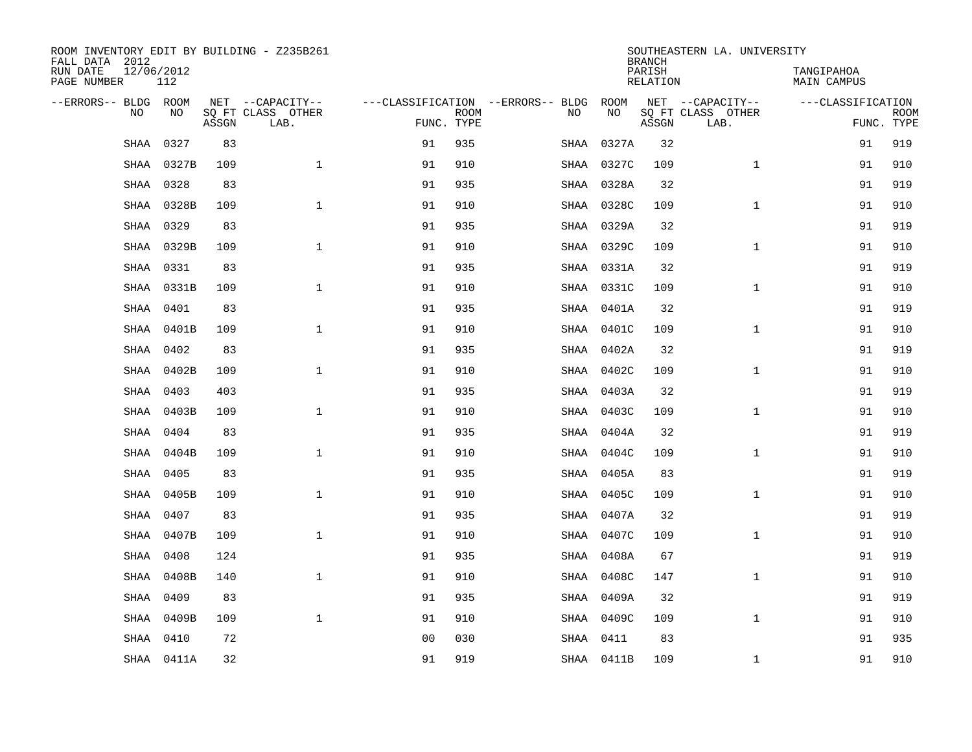| ROOM INVENTORY EDIT BY BUILDING - Z235B261<br>FALL DATA 2012 |                   |       |                           | SOUTHEASTERN LA. UNIVERSITY<br><b>BRANCH</b> |             |                                   |            |                    |                           |                           |                           |  |
|--------------------------------------------------------------|-------------------|-------|---------------------------|----------------------------------------------|-------------|-----------------------------------|------------|--------------------|---------------------------|---------------------------|---------------------------|--|
| RUN DATE<br>PAGE NUMBER                                      | 12/06/2012<br>112 |       |                           |                                              |             |                                   |            | PARISH<br>RELATION |                           | TANGIPAHOA<br>MAIN CAMPUS |                           |  |
| --ERRORS-- BLDG ROOM                                         |                   |       | NET --CAPACITY--          |                                              |             | ---CLASSIFICATION --ERRORS-- BLDG | ROOM       |                    | NET --CAPACITY--          | ---CLASSIFICATION         |                           |  |
| N <sub>O</sub>                                               | NO.               | ASSGN | SO FT CLASS OTHER<br>LAB. | FUNC. TYPE                                   | <b>ROOM</b> | NO.                               | <b>NO</b>  | ASSGN              | SQ FT CLASS OTHER<br>LAB. |                           | <b>ROOM</b><br>FUNC. TYPE |  |
| SHAA                                                         | 0327              | 83    |                           | 91                                           | 935         | SHAA                              | 0327A      | 32                 |                           | 91                        | 919                       |  |
| SHAA                                                         | 0327B             | 109   | $\mathbf{1}$              | 91                                           | 910         | SHAA                              | 0327C      | 109                | $\mathbf{1}$              | 91                        | 910                       |  |
| SHAA                                                         | 0328              | 83    |                           | 91                                           | 935         |                                   | SHAA 0328A | 32                 |                           | 91                        | 919                       |  |
| SHAA                                                         | 0328B             | 109   | $\mathbf{1}$              | 91                                           | 910         |                                   | SHAA 0328C | 109                | $\mathbf{1}$              | 91                        | 910                       |  |
| SHAA                                                         | 0329              | 83    |                           | 91                                           | 935         |                                   | SHAA 0329A | 32                 |                           | 91                        | 919                       |  |
| SHAA                                                         | 0329B             | 109   | $\mathbf{1}$              | 91                                           | 910         |                                   | SHAA 0329C | 109                | $\mathbf{1}$              | 91                        | 910                       |  |
| SHAA                                                         | 0331              | 83    |                           | 91                                           | 935         |                                   | SHAA 0331A | 32                 |                           | 91                        | 919                       |  |
| <b>SHAA</b>                                                  | 0331B             | 109   | $\mathbf{1}$              | 91                                           | 910         |                                   | SHAA 0331C | 109                | $\mathbf{1}$              | 91                        | 910                       |  |
| <b>SHAA</b>                                                  | 0401              | 83    |                           | 91                                           | 935         | SHAA                              | 0401A      | 32                 |                           | 91                        | 919                       |  |
| SHAA                                                         | 0401B             | 109   | $\mathbf{1}$              | 91                                           | 910         |                                   | SHAA 0401C | 109                | $\mathbf{1}$              | 91                        | 910                       |  |
| SHAA                                                         | 0402              | 83    |                           | 91                                           | 935         |                                   | SHAA 0402A | 32                 |                           | 91                        | 919                       |  |
| SHAA                                                         | 0402B             | 109   | $\mathbf{1}$              | 91                                           | 910         |                                   | SHAA 0402C | 109                | $\mathbf{1}$              | 91                        | 910                       |  |
| <b>SHAA</b>                                                  | 0403              | 403   |                           | 91                                           | 935         |                                   | SHAA 0403A | 32                 |                           | 91                        | 919                       |  |
| <b>SHAA</b>                                                  | 0403B             | 109   | $\mathbf{1}$              | 91                                           | 910         |                                   | SHAA 0403C | 109                | $\mathbf{1}$              | 91                        | 910                       |  |
| SHAA                                                         | 0404              | 83    |                           | 91                                           | 935         |                                   | SHAA 0404A | 32                 |                           | 91                        | 919                       |  |
| SHAA                                                         | 0404B             | 109   | $\mathbf{1}$              | 91                                           | 910         |                                   | SHAA 0404C | 109                | $\mathbf{1}$              | 91                        | 910                       |  |
| SHAA                                                         | 0405              | 83    |                           | 91                                           | 935         |                                   | SHAA 0405A | 83                 |                           | 91                        | 919                       |  |
| SHAA                                                         | 0405B             | 109   | $\mathbf 1$               | 91                                           | 910         |                                   | SHAA 0405C | 109                | $\mathbf{1}$              | 91                        | 910                       |  |
| <b>SHAA</b>                                                  | 0407              | 83    |                           | 91                                           | 935         |                                   | SHAA 0407A | 32                 |                           | 91                        | 919                       |  |
| <b>SHAA</b>                                                  | 0407B             | 109   | $\mathbf{1}$              | 91                                           | 910         |                                   | SHAA 0407C | 109                | $\mathbf{1}$              | 91                        | 910                       |  |
| SHAA                                                         | 0408              | 124   |                           | 91                                           | 935         |                                   | SHAA 0408A | 67                 |                           | 91                        | 919                       |  |
| SHAA                                                         | 0408B             | 140   | $\mathbf{1}$              | 91                                           | 910         | SHAA                              | 0408C      | 147                | $\mathbf{1}$              | 91                        | 910                       |  |
| <b>SHAA</b>                                                  | 0409              | 83    |                           | 91                                           | 935         | SHAA                              | 0409A      | 32                 |                           | 91                        | 919                       |  |
| SHAA                                                         | 0409B             | 109   | $\mathbf{1}$              | 91                                           | 910         |                                   | SHAA 0409C | 109                | $\mathbf{1}$              | 91                        | 910                       |  |
| <b>SHAA</b>                                                  | 0410              | 72    |                           | 0 <sub>0</sub>                               | 030         |                                   | SHAA 0411  | 83                 |                           | 91                        | 935                       |  |
|                                                              | SHAA 0411A        | 32    |                           | 91                                           | 919         |                                   | SHAA 0411B | 109                | $\mathbf{1}$              | 91                        | 910                       |  |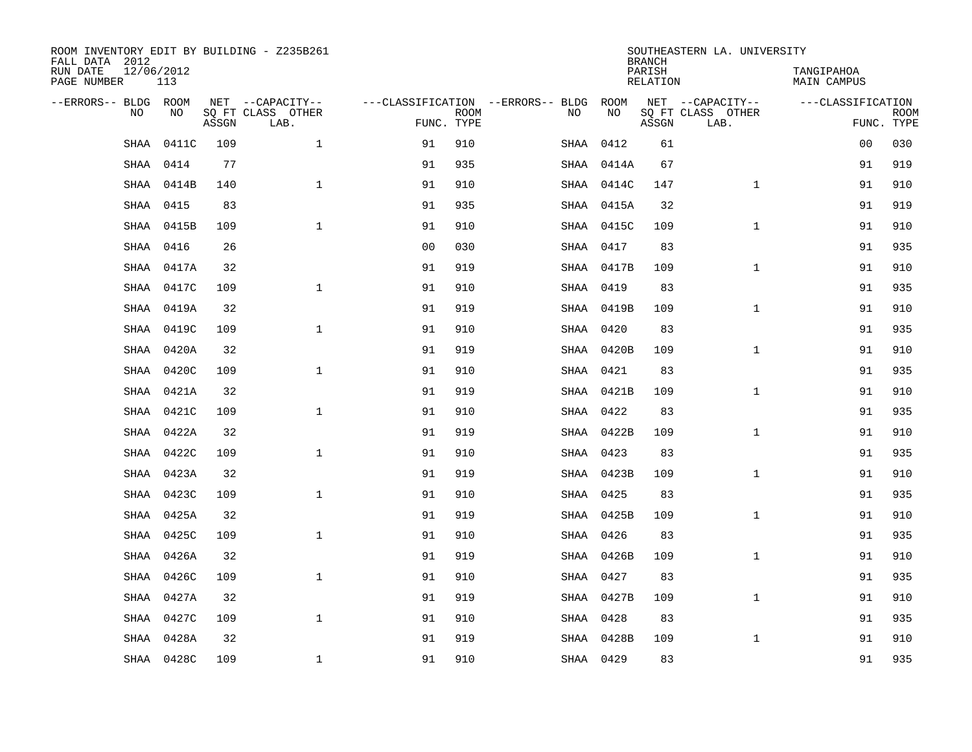| ROOM INVENTORY EDIT BY BUILDING - Z235B261<br>FALL DATA 2012 |                   |       |                           | SOUTHEASTERN LA. UNIVERSITY<br><b>BRANCH</b> |             |                                   |            |                    |                           |                                  |                           |  |  |
|--------------------------------------------------------------|-------------------|-------|---------------------------|----------------------------------------------|-------------|-----------------------------------|------------|--------------------|---------------------------|----------------------------------|---------------------------|--|--|
| RUN DATE<br>PAGE NUMBER                                      | 12/06/2012<br>113 |       |                           |                                              |             |                                   |            | PARISH<br>RELATION |                           | TANGIPAHOA<br><b>MAIN CAMPUS</b> |                           |  |  |
| --ERRORS-- BLDG ROOM                                         |                   |       | NET --CAPACITY--          |                                              |             | ---CLASSIFICATION --ERRORS-- BLDG | ROOM       |                    | NET --CAPACITY--          | ---CLASSIFICATION                |                           |  |  |
| N <sub>O</sub>                                               | NO.               | ASSGN | SO FT CLASS OTHER<br>LAB. | FUNC. TYPE                                   | <b>ROOM</b> | NO.                               | <b>NO</b>  | ASSGN              | SO FT CLASS OTHER<br>LAB. |                                  | <b>ROOM</b><br>FUNC. TYPE |  |  |
| SHAA                                                         | 0411C             | 109   | $\mathbf{1}$              | 91                                           | 910         | SHAA                              | 0412       | 61                 |                           | 00                               | 030                       |  |  |
| <b>SHAA</b>                                                  | 0414              | 77    |                           | 91                                           | 935         |                                   | SHAA 0414A | 67                 |                           | 91                               | 919                       |  |  |
| SHAA                                                         | 0414B             | 140   | $\mathbf{1}$              | 91                                           | 910         |                                   | SHAA 0414C | 147                | $\mathbf{1}$              | 91                               | 910                       |  |  |
| SHAA                                                         | 0415              | 83    |                           | 91                                           | 935         |                                   | SHAA 0415A | 32                 |                           | 91                               | 919                       |  |  |
| SHAA                                                         | 0415B             | 109   | $\mathbf 1$               | 91                                           | 910         |                                   | SHAA 0415C | 109                | $\mathbf{1}$              | 91                               | 910                       |  |  |
| SHAA                                                         | 0416              | 26    |                           | 0 <sub>0</sub>                               | 030         |                                   | SHAA 0417  | 83                 |                           | 91                               | 935                       |  |  |
| SHAA                                                         | 0417A             | 32    |                           | 91                                           | 919         |                                   | SHAA 0417B | 109                | $\mathbf{1}$              | 91                               | 910                       |  |  |
| <b>SHAA</b>                                                  | 0417C             | 109   | $\mathbf{1}$              | 91                                           | 910         |                                   | SHAA 0419  | 83                 |                           | 91                               | 935                       |  |  |
| <b>SHAA</b>                                                  | 0419A             | 32    |                           | 91                                           | 919         |                                   | SHAA 0419B | 109                | $\mathbf{1}$              | 91                               | 910                       |  |  |
| SHAA                                                         | 0419C             | 109   | $\mathbf{1}$              | 91                                           | 910         |                                   | SHAA 0420  | 83                 |                           | 91                               | 935                       |  |  |
| SHAA                                                         | 0420A             | 32    |                           | 91                                           | 919         |                                   | SHAA 0420B | 109                | $\mathbf{1}$              | 91                               | 910                       |  |  |
| SHAA                                                         | 0420C             | 109   | $\mathbf{1}$              | 91                                           | 910         |                                   | SHAA 0421  | 83                 |                           | 91                               | 935                       |  |  |
| SHAA                                                         | 0421A             | 32    |                           | 91                                           | 919         |                                   | SHAA 0421B | 109                | $\mathbf{1}$              | 91                               | 910                       |  |  |
| <b>SHAA</b>                                                  | 0421C             | 109   | $\mathbf{1}$              | 91                                           | 910         |                                   | SHAA 0422  | 83                 |                           | 91                               | 935                       |  |  |
| SHAA                                                         | 0422A             | 32    |                           | 91                                           | 919         |                                   | SHAA 0422B | 109                | $\mathbf{1}$              | 91                               | 910                       |  |  |
| SHAA                                                         | 0422C             | 109   | $\mathbf{1}$              | 91                                           | 910         |                                   | SHAA 0423  | 83                 |                           | 91                               | 935                       |  |  |
| SHAA                                                         | 0423A             | 32    |                           | 91                                           | 919         |                                   | SHAA 0423B | 109                | $\mathbf{1}$              | 91                               | 910                       |  |  |
| SHAA                                                         | 0423C             | 109   | $\mathbf 1$               | 91                                           | 910         |                                   | SHAA 0425  | 83                 |                           | 91                               | 935                       |  |  |
| <b>SHAA</b>                                                  | 0425A             | 32    |                           | 91                                           | 919         |                                   | SHAA 0425B | 109                | $\mathbf{1}$              | 91                               | 910                       |  |  |
| <b>SHAA</b>                                                  | 0425C             | 109   | $\mathbf{1}$              | 91                                           | 910         |                                   | SHAA 0426  | 83                 |                           | 91                               | 935                       |  |  |
| SHAA                                                         | 0426A             | 32    |                           | 91                                           | 919         |                                   | SHAA 0426B | 109                | $\mathbf{1}$              | 91                               | 910                       |  |  |
| SHAA                                                         | 0426C             | 109   | $\mathbf{1}$              | 91                                           | 910         |                                   | SHAA 0427  | 83                 |                           | 91                               | 935                       |  |  |
| SHAA                                                         | 0427A             | 32    |                           | 91                                           | 919         |                                   | SHAA 0427B | 109                | $\mathbf{1}$              | 91                               | 910                       |  |  |
| SHAA                                                         | 0427C             | 109   | $\mathbf{1}$              | 91                                           | 910         |                                   | SHAA 0428  | 83                 |                           | 91                               | 935                       |  |  |
| <b>SHAA</b>                                                  | 0428A             | 32    |                           | 91                                           | 919         |                                   | SHAA 0428B | 109                | $\mathbf{1}$              | 91                               | 910                       |  |  |
|                                                              | SHAA 0428C        | 109   | $\mathbf{1}$              | 91                                           | 910         |                                   | SHAA 0429  | 83                 |                           | 91                               | 935                       |  |  |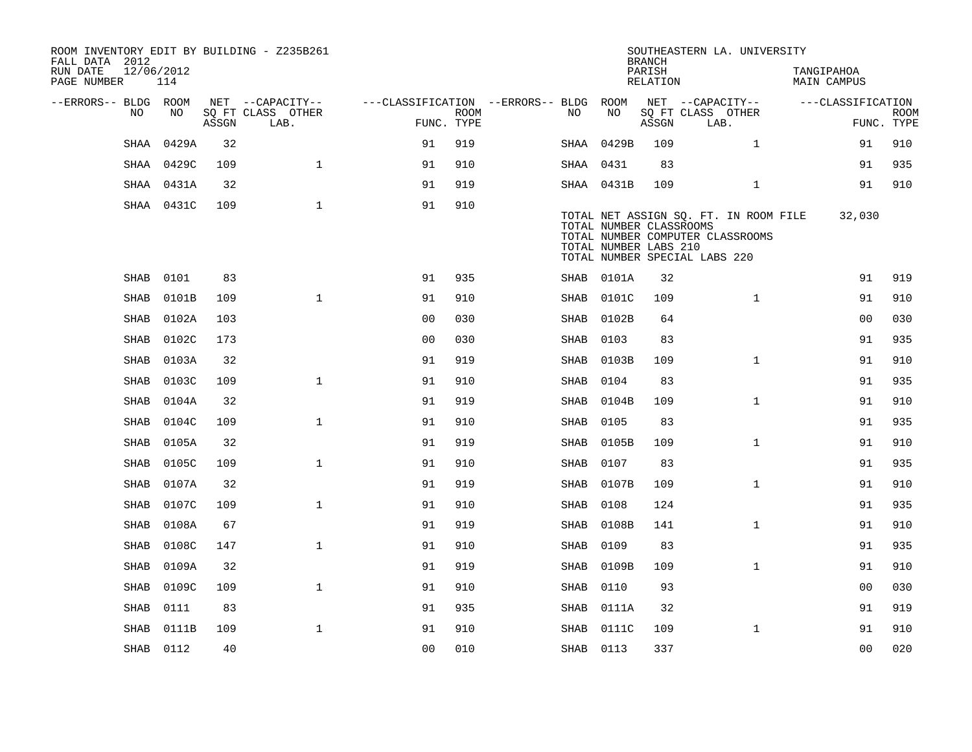| FALL DATA 2012<br>RUN DATE<br>PAGE NUMBER | 12/06/2012  | 114        |       | ROOM INVENTORY EDIT BY BUILDING - Z235B261    |                                                      |             |           |                                                  | <b>BRANCH</b><br>PARISH<br>RELATION | SOUTHEASTERN LA. UNIVERSITY                                                                                |              | TANGIPAHOA<br>MAIN CAMPUS |                           |
|-------------------------------------------|-------------|------------|-------|-----------------------------------------------|------------------------------------------------------|-------------|-----------|--------------------------------------------------|-------------------------------------|------------------------------------------------------------------------------------------------------------|--------------|---------------------------|---------------------------|
| --ERRORS-- BLDG ROOM                      | NO          | NO         | ASSGN | NET --CAPACITY--<br>SQ FT CLASS OTHER<br>LAB. | ---CLASSIFICATION --ERRORS-- BLDG ROOM<br>FUNC. TYPE | <b>ROOM</b> | NO        | NO                                               | ASSGN                               | NET --CAPACITY--<br>SQ FT CLASS OTHER<br>LAB.                                                              |              | ---CLASSIFICATION         | <b>ROOM</b><br>FUNC. TYPE |
|                                           | SHAA        | 0429A      | 32    |                                               | 91                                                   | 919         |           | SHAA 0429B                                       | 109                                 |                                                                                                            | $\mathbf{1}$ | 91                        | 910                       |
|                                           | SHAA        | 0429C      | 109   | $\mathbf{1}$                                  | 91                                                   | 910         | SHAA 0431 |                                                  | 83                                  |                                                                                                            |              | 91                        | 935                       |
|                                           | SHAA        | 0431A      | 32    |                                               | 91                                                   | 919         |           | SHAA 0431B                                       | 109                                 |                                                                                                            | $\mathbf{1}$ | 91                        | 910                       |
|                                           |             | SHAA 0431C | 109   | $\mathbf{1}$                                  | 91                                                   | 910         |           | TOTAL NUMBER CLASSROOMS<br>TOTAL NUMBER LABS 210 |                                     | TOTAL NET ASSIGN SQ. FT. IN ROOM FILE<br>TOTAL NUMBER COMPUTER CLASSROOMS<br>TOTAL NUMBER SPECIAL LABS 220 |              | 32,030                    |                           |
|                                           | SHAB        | 0101       | 83    |                                               | 91                                                   | 935         |           | SHAB 0101A                                       | 32                                  |                                                                                                            |              | 91                        | 919                       |
|                                           | <b>SHAB</b> | 0101B      | 109   | $\mathbf{1}$                                  | 91                                                   | 910         | SHAB      | 0101C                                            | 109                                 |                                                                                                            | $\mathbf{1}$ | 91                        | 910                       |
|                                           | SHAB        | 0102A      | 103   |                                               | 0 <sub>0</sub>                                       | 030         | SHAB      | 0102B                                            | 64                                  |                                                                                                            |              | 0 <sub>0</sub>            | 030                       |
|                                           | SHAB        | 0102C      | 173   |                                               | 00                                                   | 030         | SHAB      | 0103                                             | 83                                  |                                                                                                            |              | 91                        | 935                       |
|                                           | SHAB        | 0103A      | 32    |                                               | 91                                                   | 919         | SHAB      | 0103B                                            | 109                                 |                                                                                                            | $\mathbf{1}$ | 91                        | 910                       |
|                                           | SHAB        | 0103C      | 109   | $\mathbf{1}$                                  | 91                                                   | 910         | SHAB      | 0104                                             | 83                                  |                                                                                                            |              | 91                        | 935                       |
|                                           | <b>SHAB</b> | 0104A      | 32    |                                               | 91                                                   | 919         | SHAB      | 0104B                                            | 109                                 |                                                                                                            | $\mathbf{1}$ | 91                        | 910                       |
|                                           | SHAB        | 0104C      | 109   | $\mathbf{1}$                                  | 91                                                   | 910         | SHAB      | 0105                                             | 83                                  |                                                                                                            |              | 91                        | 935                       |
|                                           | SHAB        | 0105A      | 32    |                                               | 91                                                   | 919         | SHAB      | 0105B                                            | 109                                 |                                                                                                            | $\mathbf{1}$ | 91                        | 910                       |
|                                           | SHAB        | 0105C      | 109   | $\mathbf{1}$                                  | 91                                                   | 910         | SHAB      | 0107                                             | 83                                  |                                                                                                            |              | 91                        | 935                       |
|                                           | SHAB        | 0107A      | 32    |                                               | 91                                                   | 919         | SHAB      | 0107B                                            | 109                                 |                                                                                                            | $\mathbf{1}$ | 91                        | 910                       |
|                                           | SHAB        | 0107C      | 109   | $\mathbf{1}$                                  | 91                                                   | 910         | SHAB      | 0108                                             | 124                                 |                                                                                                            |              | 91                        | 935                       |
|                                           | SHAB        | 0108A      | 67    |                                               | 91                                                   | 919         | SHAB      | 0108B                                            | 141                                 |                                                                                                            | $\mathbf{1}$ | 91                        | 910                       |
|                                           | <b>SHAB</b> | 0108C      | 147   | $\mathbf{1}$                                  | 91                                                   | 910         | SHAB      | 0109                                             | 83                                  |                                                                                                            |              | 91                        | 935                       |
|                                           | SHAB        | 0109A      | 32    |                                               | 91                                                   | 919         | SHAB      | 0109B                                            | 109                                 |                                                                                                            | $\mathbf{1}$ | 91                        | 910                       |
|                                           | SHAB        | 0109C      | 109   | $\mathbf{1}$                                  | 91                                                   | 910         | SHAB      | 0110                                             | 93                                  |                                                                                                            |              | 00                        | 030                       |
|                                           | SHAB        | 0111       | 83    |                                               | 91                                                   | 935         |           | SHAB 0111A                                       | 32                                  |                                                                                                            |              | 91                        | 919                       |
|                                           | SHAB        | 0111B      | 109   | $\mathbf{1}$                                  | 91                                                   | 910         |           | SHAB 0111C                                       | 109                                 |                                                                                                            | $\mathbf{1}$ | 91                        | 910                       |
|                                           | SHAB 0112   |            | 40    |                                               | 00                                                   | 010         | SHAB 0113 |                                                  | 337                                 |                                                                                                            |              | 0 <sub>0</sub>            | 020                       |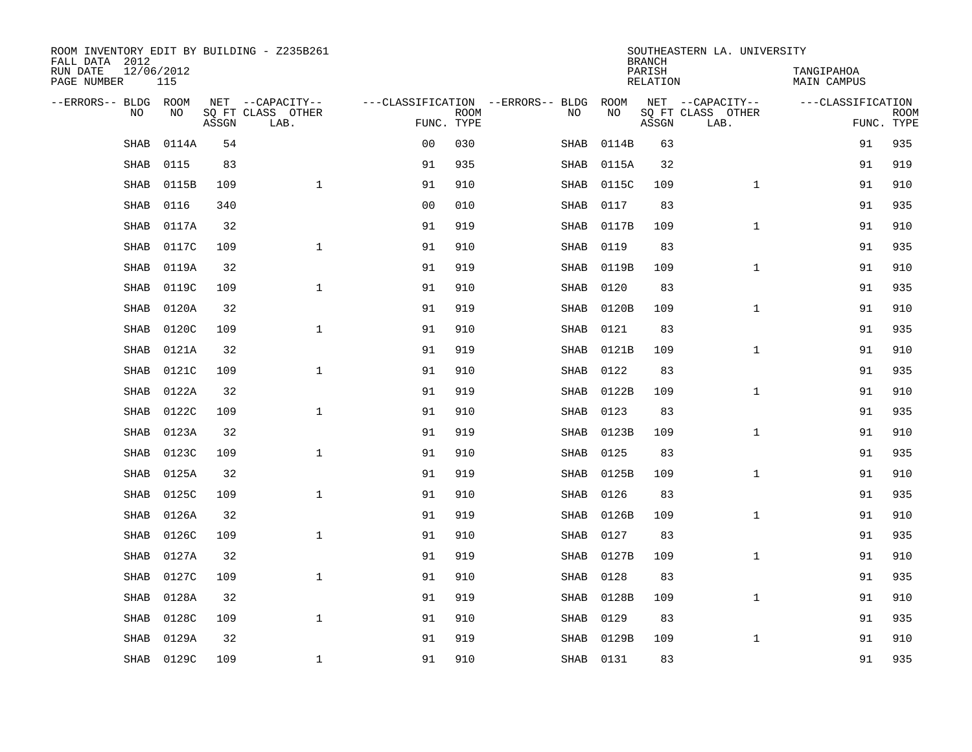| ROOM INVENTORY EDIT BY BUILDING - Z235B261<br>FALL DATA 2012 |                   |       |                           | SOUTHEASTERN LA. UNIVERSITY<br><b>BRANCH</b> |             |  |      |                   |                    |                           |                           |             |  |
|--------------------------------------------------------------|-------------------|-------|---------------------------|----------------------------------------------|-------------|--|------|-------------------|--------------------|---------------------------|---------------------------|-------------|--|
| RUN DATE<br>PAGE NUMBER                                      | 12/06/2012<br>115 |       |                           |                                              |             |  |      |                   | PARISH<br>RELATION |                           | TANGIPAHOA<br>MAIN CAMPUS |             |  |
| --ERRORS-- BLDG ROOM<br>N <sub>O</sub>                       | NO.               |       | NET --CAPACITY--          | ---CLASSIFICATION --ERRORS-- BLDG            |             |  | NO.  | ROOM<br><b>NO</b> |                    | NET --CAPACITY--          | ---CLASSIFICATION         |             |  |
|                                                              |                   | ASSGN | SQ FT CLASS OTHER<br>LAB. | FUNC. TYPE                                   | <b>ROOM</b> |  |      |                   | ASSGN              | SQ FT CLASS OTHER<br>LAB. | FUNC. TYPE                | <b>ROOM</b> |  |
| <b>SHAB</b>                                                  | 0114A             | 54    |                           | 0 <sub>0</sub>                               | 030         |  | SHAB | 0114B             | 63                 |                           | 91                        | 935         |  |
| SHAB                                                         | 0115              | 83    |                           | 91                                           | 935         |  | SHAB | 0115A             | 32                 |                           | 91                        | 919         |  |
| SHAB                                                         | 0115B             | 109   | $\mathbf 1$               | 91                                           | 910         |  | SHAB | 0115C             | 109                | $\mathbf{1}$              | 91                        | 910         |  |
| SHAB                                                         | 0116              | 340   |                           | 0 <sub>0</sub>                               | 010         |  | SHAB | 0117              | 83                 |                           | 91                        | 935         |  |
| <b>SHAB</b>                                                  | 0117A             | 32    |                           | 91                                           | 919         |  | SHAB | 0117B             | 109                | $\mathbf{1}$              | 91                        | 910         |  |
| <b>SHAB</b>                                                  | 0117C             | 109   | $\mathbf{1}$              | 91                                           | 910         |  | SHAB | 0119              | 83                 |                           | 91                        | 935         |  |
| SHAB                                                         | 0119A             | 32    |                           | 91                                           | 919         |  | SHAB | 0119B             | 109                | $\mathbf{1}$              | 91                        | 910         |  |
| SHAB                                                         | 0119C             | 109   | $\mathbf 1$               | 91                                           | 910         |  | SHAB | 0120              | 83                 |                           | 91                        | 935         |  |
| <b>SHAB</b>                                                  | 0120A             | 32    |                           | 91                                           | 919         |  | SHAB | 0120B             | 109                | $\mathbf{1}$              | 91                        | 910         |  |
| <b>SHAB</b>                                                  | 0120C             | 109   | $\mathbf{1}$              | 91                                           | 910         |  | SHAB | 0121              | 83                 |                           | 91                        | 935         |  |
| <b>SHAB</b>                                                  | 0121A             | 32    |                           | 91                                           | 919         |  | SHAB | 0121B             | 109                | $\mathbf{1}$              | 91                        | 910         |  |
| SHAB                                                         | 0121C             | 109   | $\mathbf{1}$              | 91                                           | 910         |  | SHAB | 0122              | 83                 |                           | 91                        | 935         |  |
| <b>SHAB</b>                                                  | 0122A             | 32    |                           | 91                                           | 919         |  | SHAB | 0122B             | 109                | $\mathbf{1}$              | 91                        | 910         |  |
| SHAB                                                         | 0122C             | 109   | $\mathbf{1}$              | 91                                           | 910         |  | SHAB | 0123              | 83                 |                           | 91                        | 935         |  |
| <b>SHAB</b>                                                  | 0123A             | 32    |                           | 91                                           | 919         |  | SHAB | 0123B             | 109                | $\mathbf{1}$              | 91                        | 910         |  |
| <b>SHAB</b>                                                  | 0123C             | 109   | $\mathbf{1}$              | 91                                           | 910         |  | SHAB | 0125              | 83                 |                           | 91                        | 935         |  |
| SHAB                                                         | 0125A             | 32    |                           | 91                                           | 919         |  | SHAB | 0125B             | 109                | $\mathbf{1}$              | 91                        | 910         |  |
| <b>SHAB</b>                                                  | 0125C             | 109   | $\mathbf{1}$              | 91                                           | 910         |  | SHAB | 0126              | 83                 |                           | 91                        | 935         |  |
| <b>SHAB</b>                                                  | 0126A             | 32    |                           | 91                                           | 919         |  | SHAB | 0126B             | 109                | $\mathbf{1}$              | 91                        | 910         |  |
| <b>SHAB</b>                                                  | 0126C             | 109   | $\mathbf{1}$              | 91                                           | 910         |  | SHAB | 0127              | 83                 |                           | 91                        | 935         |  |
| SHAB                                                         | 0127A             | 32    |                           | 91                                           | 919         |  | SHAB | 0127B             | 109                | $\mathbf{1}$              | 91                        | 910         |  |
| <b>SHAB</b>                                                  | 0127C             | 109   | $\mathbf{1}$              | 91                                           | 910         |  | SHAB | 0128              | 83                 |                           | 91                        | 935         |  |
| <b>SHAB</b>                                                  | 0128A             | 32    |                           | 91                                           | 919         |  | SHAB | 0128B             | 109                | $\mathbf{1}$              | 91                        | 910         |  |
| <b>SHAB</b>                                                  | 0128C             | 109   | $\mathbf{1}$              | 91                                           | 910         |  | SHAB | 0129              | 83                 |                           | 91                        | 935         |  |
| <b>SHAB</b>                                                  | 0129A             | 32    |                           | 91                                           | 919         |  | SHAB | 0129B             | 109                | $\mathbf{1}$              | 91                        | 910         |  |
|                                                              | SHAB 0129C        | 109   | $\mathbf{1}$              | 91                                           | 910         |  |      | SHAB 0131         | 83                 |                           | 91                        | 935         |  |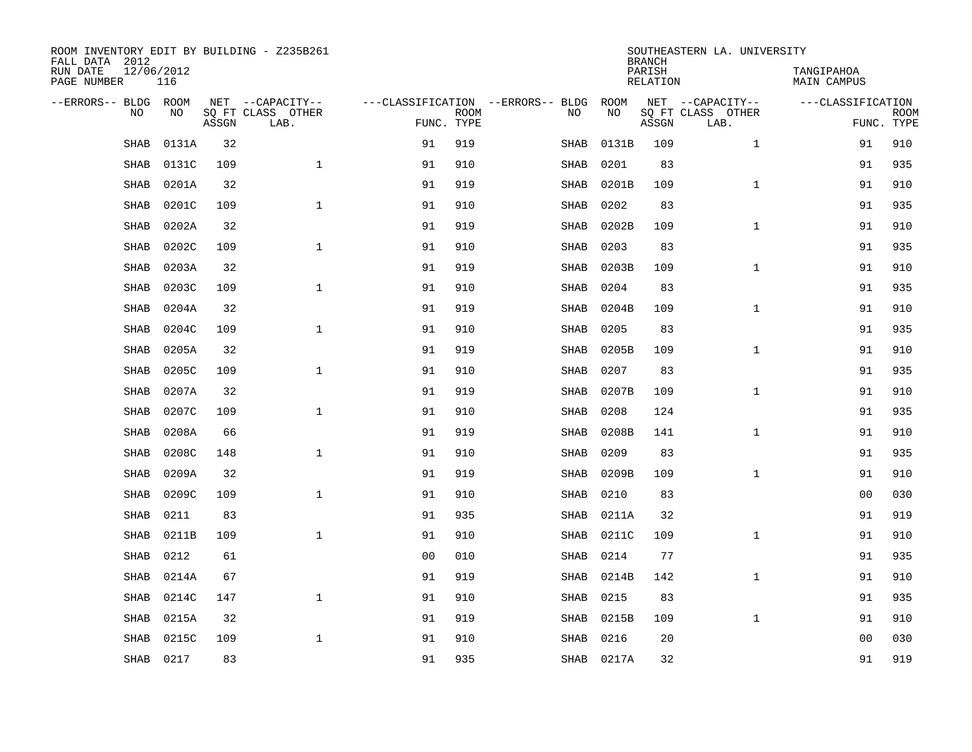| ROOM INVENTORY EDIT BY BUILDING - Z235B261<br>FALL DATA 2012 |                   |       |                           |                                   |             |             |            | <b>BRANCH</b>             | SOUTHEASTERN LA. UNIVERSITY |                                  |             |
|--------------------------------------------------------------|-------------------|-------|---------------------------|-----------------------------------|-------------|-------------|------------|---------------------------|-----------------------------|----------------------------------|-------------|
| RUN DATE<br>PAGE NUMBER                                      | 12/06/2012<br>116 |       |                           |                                   |             |             |            | PARISH<br><b>RELATION</b> |                             | TANGIPAHOA<br><b>MAIN CAMPUS</b> |             |
| --ERRORS-- BLDG ROOM                                         |                   |       | NET --CAPACITY--          | ---CLASSIFICATION --ERRORS-- BLDG |             |             | ROOM       |                           | NET --CAPACITY--            | ---CLASSIFICATION                |             |
| NO                                                           | NO                | ASSGN | SQ FT CLASS OTHER<br>LAB. | FUNC. TYPE                        | <b>ROOM</b> | NO          | NO         | ASSGN                     | SQ FT CLASS OTHER<br>LAB.   | FUNC. TYPE                       | <b>ROOM</b> |
| SHAB                                                         | 0131A             | 32    |                           | 91                                | 919         | SHAB        | 0131B      | 109                       | $\mathbf{1}$                | 91                               | 910         |
| <b>SHAB</b>                                                  | 0131C             | 109   | $\mathbf{1}$              | 91                                | 910         | SHAB        | 0201       | 83                        |                             | 91                               | 935         |
| <b>SHAB</b>                                                  | 0201A             | 32    |                           | 91                                | 919         | SHAB        | 0201B      | 109                       | $\mathbf{1}$                | 91                               | 910         |
| <b>SHAB</b>                                                  | 0201C             | 109   | $\mathbf{1}$              | 91                                | 910         | SHAB        | 0202       | 83                        |                             | 91                               | 935         |
| <b>SHAB</b>                                                  | 0202A             | 32    |                           | 91                                | 919         | SHAB        | 0202B      | 109                       | $\mathbf{1}$                | 91                               | 910         |
| SHAB                                                         | 0202C             | 109   | $\mathbf{1}$              | 91                                | 910         | SHAB        | 0203       | 83                        |                             | 91                               | 935         |
| <b>SHAB</b>                                                  | 0203A             | 32    |                           | 91                                | 919         | SHAB        | 0203B      | 109                       | $\mathbf{1}$                | 91                               | 910         |
| <b>SHAB</b>                                                  | 0203C             | 109   | $\mathbf{1}$              | 91                                | 910         | <b>SHAB</b> | 0204       | 83                        |                             | 91                               | 935         |
| <b>SHAB</b>                                                  | 0204A             | 32    |                           | 91                                | 919         | SHAB        | 0204B      | 109                       | $\mathbf{1}$                | 91                               | 910         |
| <b>SHAB</b>                                                  | 0204C             | 109   | $\mathbf{1}$              | 91                                | 910         | SHAB        | 0205       | 83                        |                             | 91                               | 935         |
| <b>SHAB</b>                                                  | 0205A             | 32    |                           | 91                                | 919         | SHAB        | 0205B      | 109                       | $\mathbf{1}$                | 91                               | 910         |
| <b>SHAB</b>                                                  | 0205C             | 109   | $\mathbf{1}$              | 91                                | 910         | SHAB        | 0207       | 83                        |                             | 91                               | 935         |
| SHAB                                                         | 0207A             | 32    |                           | 91                                | 919         | SHAB        | 0207B      | 109                       | $\mathbf{1}$                | 91                               | 910         |
| <b>SHAB</b>                                                  | 0207C             | 109   | $\mathbf 1$               | 91                                | 910         | SHAB        | 0208       | 124                       |                             | 91                               | 935         |
| <b>SHAB</b>                                                  | 0208A             | 66    |                           | 91                                | 919         | SHAB        | 0208B      | 141                       | $\mathbf{1}$                | 91                               | 910         |
| <b>SHAB</b>                                                  | 0208C             | 148   | $\mathbf{1}$              | 91                                | 910         | SHAB        | 0209       | 83                        |                             | 91                               | 935         |
| <b>SHAB</b>                                                  | 0209A             | 32    |                           | 91                                | 919         | SHAB        | 0209B      | 109                       | $\mathbf{1}$                | 91                               | 910         |
| <b>SHAB</b>                                                  | 0209C             | 109   | $\mathbf 1$               | 91                                | 910         | SHAB        | 0210       | 83                        |                             | 0 <sub>0</sub>                   | 030         |
| <b>SHAB</b>                                                  | 0211              | 83    |                           | 91                                | 935         | SHAB        | 0211A      | 32                        |                             | 91                               | 919         |
| <b>SHAB</b>                                                  | 0211B             | 109   | $\mathbf 1$               | 91                                | 910         | SHAB        | 0211C      | 109                       | $\mathbf{1}$                | 91                               | 910         |
| <b>SHAB</b>                                                  | 0212              | 61    |                           | 0 <sub>0</sub>                    | 010         | SHAB        | 0214       | 77                        |                             | 91                               | 935         |
| <b>SHAB</b>                                                  | 0214A             | 67    |                           | 91                                | 919         | SHAB        | 0214B      | 142                       | $\mathbf{1}$                | 91                               | 910         |
| <b>SHAB</b>                                                  | 0214C             | 147   | $\mathbf{1}$              | 91                                | 910         | SHAB        | 0215       | 83                        |                             | 91                               | 935         |
| <b>SHAB</b>                                                  | 0215A             | 32    |                           | 91                                | 919         | SHAB        | 0215B      | 109                       | $\mathbf{1}$                | 91                               | 910         |
| <b>SHAB</b>                                                  | 0215C             | 109   | $\mathbf 1$               | 91                                | 910         | SHAB        | 0216       | 20                        |                             | 00                               | 030         |
|                                                              | SHAB 0217         | 83    |                           | 91                                | 935         |             | SHAB 0217A | 32                        |                             | 91                               | 919         |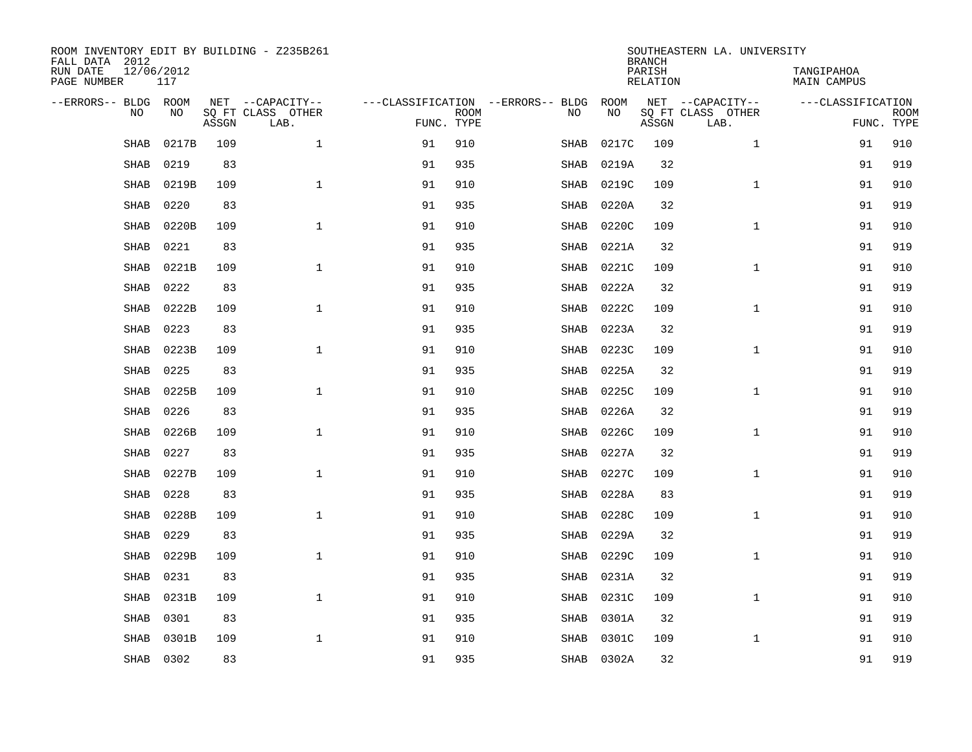| ROOM INVENTORY EDIT BY BUILDING - Z235B261<br>FALL DATA 2012 |                   |       |                           |            |             |                                   |            | <b>BRANCH</b>             | SOUTHEASTERN LA. UNIVERSITY |                                  |                           |
|--------------------------------------------------------------|-------------------|-------|---------------------------|------------|-------------|-----------------------------------|------------|---------------------------|-----------------------------|----------------------------------|---------------------------|
| RUN DATE<br>PAGE NUMBER                                      | 12/06/2012<br>117 |       |                           |            |             |                                   |            | PARISH<br><b>RELATION</b> |                             | TANGIPAHOA<br><b>MAIN CAMPUS</b> |                           |
| --ERRORS-- BLDG ROOM                                         |                   |       | NET --CAPACITY--          |            |             | ---CLASSIFICATION --ERRORS-- BLDG | ROOM       |                           | NET --CAPACITY--            | ---CLASSIFICATION                |                           |
| NO                                                           | NO                | ASSGN | SQ FT CLASS OTHER<br>LAB. | FUNC. TYPE | <b>ROOM</b> | NO                                | NO         | ASSGN                     | SQ FT CLASS OTHER<br>LAB.   |                                  | <b>ROOM</b><br>FUNC. TYPE |
| SHAB                                                         | 0217B             | 109   | $\mathbf{1}$              | 91         | 910         | SHAB                              | 0217C      | 109                       | $\mathbf{1}$                | 91                               | 910                       |
| <b>SHAB</b>                                                  | 0219              | 83    |                           | 91         | 935         | SHAB                              | 0219A      | 32                        |                             | 91                               | 919                       |
| SHAB                                                         | 0219B             | 109   | $\mathbf 1$               | 91         | 910         | SHAB                              | 0219C      | 109                       | $\mathbf{1}$                | 91                               | 910                       |
| <b>SHAB</b>                                                  | 0220              | 83    |                           | 91         | 935         | SHAB                              | 0220A      | 32                        |                             | 91                               | 919                       |
| <b>SHAB</b>                                                  | 0220B             | 109   | $\mathbf{1}$              | 91         | 910         | <b>SHAB</b>                       | 0220C      | 109                       | $\mathbf{1}$                | 91                               | 910                       |
| SHAB                                                         | 0221              | 83    |                           | 91         | 935         | SHAB                              | 0221A      | 32                        |                             | 91                               | 919                       |
| SHAB                                                         | 0221B             | 109   | $\mathbf{1}$              | 91         | 910         | SHAB                              | 0221C      | 109                       | $\mathbf{1}$                | 91                               | 910                       |
| <b>SHAB</b>                                                  | 0222              | 83    |                           | 91         | 935         | <b>SHAB</b>                       | 0222A      | 32                        |                             | 91                               | 919                       |
| <b>SHAB</b>                                                  | 0222B             | 109   | $\mathbf 1$               | 91         | 910         | SHAB                              | 0222C      | 109                       | $\mathbf{1}$                | 91                               | 910                       |
| <b>SHAB</b>                                                  | 0223              | 83    |                           | 91         | 935         | SHAB                              | 0223A      | 32                        |                             | 91                               | 919                       |
| <b>SHAB</b>                                                  | 0223B             | 109   | $\mathbf{1}$              | 91         | 910         | SHAB                              | 0223C      | 109                       | $\mathbf{1}$                | 91                               | 910                       |
| <b>SHAB</b>                                                  | 0225              | 83    |                           | 91         | 935         | SHAB                              | 0225A      | 32                        |                             | 91                               | 919                       |
| SHAB                                                         | 0225B             | 109   | $\mathbf 1$               | 91         | 910         | SHAB                              | 0225C      | 109                       | $\mathbf{1}$                | 91                               | 910                       |
| <b>SHAB</b>                                                  | 0226              | 83    |                           | 91         | 935         | SHAB                              | 0226A      | 32                        |                             | 91                               | 919                       |
| SHAB                                                         | 0226B             | 109   | $\mathbf{1}$              | 91         | 910         | SHAB                              | 0226C      | 109                       | $\mathbf{1}$                | 91                               | 910                       |
| SHAB                                                         | 0227              | 83    |                           | 91         | 935         | SHAB                              | 0227A      | 32                        |                             | 91                               | 919                       |
| <b>SHAB</b>                                                  | 0227B             | 109   | $\mathbf{1}$              | 91         | 910         | SHAB                              | 0227C      | 109                       | $\mathbf{1}$                | 91                               | 910                       |
| <b>SHAB</b>                                                  | 0228              | 83    |                           | 91         | 935         | <b>SHAB</b>                       | 0228A      | 83                        |                             | 91                               | 919                       |
| <b>SHAB</b>                                                  | 0228B             | 109   | $\mathbf{1}$              | 91         | 910         | SHAB                              | 0228C      | 109                       | $\mathbf{1}$                | 91                               | 910                       |
| <b>SHAB</b>                                                  | 0229              | 83    |                           | 91         | 935         | SHAB                              | 0229A      | 32                        |                             | 91                               | 919                       |
| <b>SHAB</b>                                                  | 0229B             | 109   | $\mathbf 1$               | 91         | 910         | SHAB                              | 0229C      | 109                       | $\mathbf{1}$                | 91                               | 910                       |
| <b>SHAB</b>                                                  | 0231              | 83    |                           | 91         | 935         | SHAB                              | 0231A      | 32                        |                             | 91                               | 919                       |
| <b>SHAB</b>                                                  | 0231B             | 109   | $\mathbf{1}$              | 91         | 910         | SHAB                              | 0231C      | 109                       | $\mathbf{1}$                | 91                               | 910                       |
| <b>SHAB</b>                                                  | 0301              | 83    |                           | 91         | 935         | SHAB                              | 0301A      | 32                        |                             | 91                               | 919                       |
| <b>SHAB</b>                                                  | 0301B             | 109   | $\mathbf{1}$              | 91         | 910         | SHAB                              | 0301C      | 109                       | $\mathbf{1}$                | 91                               | 910                       |
|                                                              | SHAB 0302         | 83    |                           | 91         | 935         |                                   | SHAB 0302A | 32                        |                             | 91                               | 919                       |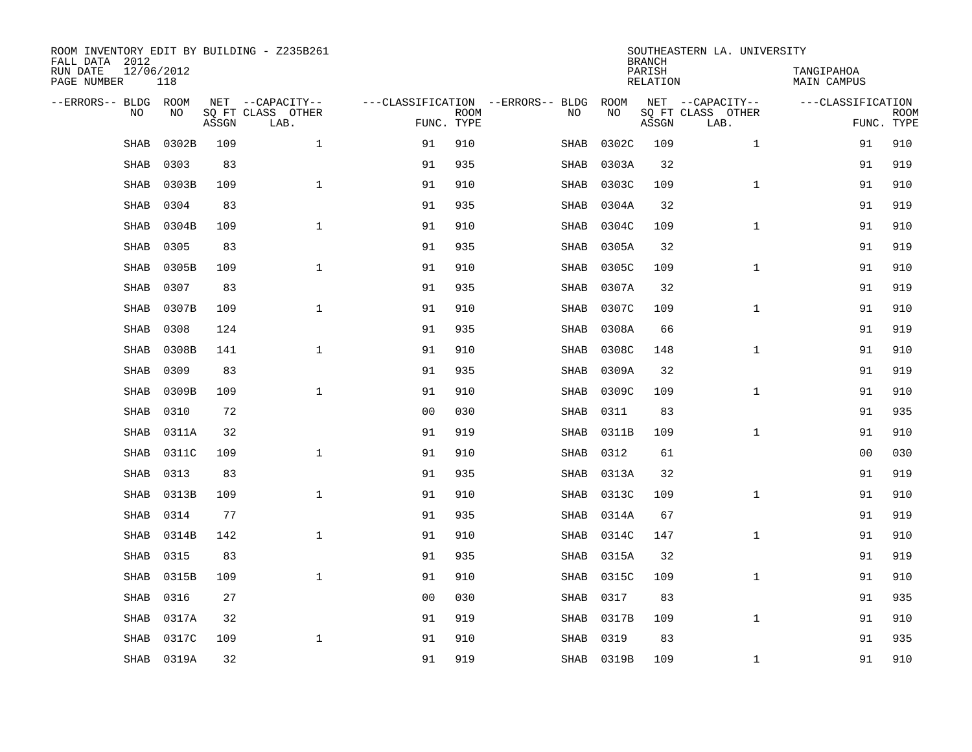| ROOM INVENTORY EDIT BY BUILDING - Z235B261<br>FALL DATA 2012 |                   |       |                           |                |             |                                   |            | <b>BRANCH</b>             | SOUTHEASTERN LA. UNIVERSITY |                                  |                           |
|--------------------------------------------------------------|-------------------|-------|---------------------------|----------------|-------------|-----------------------------------|------------|---------------------------|-----------------------------|----------------------------------|---------------------------|
| RUN DATE<br>PAGE NUMBER                                      | 12/06/2012<br>118 |       |                           |                |             |                                   |            | PARISH<br><b>RELATION</b> |                             | TANGIPAHOA<br><b>MAIN CAMPUS</b> |                           |
| --ERRORS-- BLDG ROOM                                         |                   |       | NET --CAPACITY--          |                |             | ---CLASSIFICATION --ERRORS-- BLDG | ROOM       |                           | NET --CAPACITY--            | ---CLASSIFICATION                |                           |
| NO                                                           | NO                | ASSGN | SQ FT CLASS OTHER<br>LAB. | FUNC. TYPE     | <b>ROOM</b> | NO                                | NO         | ASSGN                     | SQ FT CLASS OTHER<br>LAB.   |                                  | <b>ROOM</b><br>FUNC. TYPE |
| SHAB                                                         | 0302B             | 109   | $\mathbf 1$               | 91             | 910         | SHAB                              | 0302C      | 109                       | $\mathbf{1}$                | 91                               | 910                       |
| SHAB                                                         | 0303              | 83    |                           | 91             | 935         | SHAB                              | 0303A      | 32                        |                             | 91                               | 919                       |
| <b>SHAB</b>                                                  | 0303B             | 109   | $\mathbf{1}$              | 91             | 910         | SHAB                              | 0303C      | 109                       | $\mathbf{1}$                | 91                               | 910                       |
| SHAB                                                         | 0304              | 83    |                           | 91             | 935         | SHAB                              | 0304A      | 32                        |                             | 91                               | 919                       |
| <b>SHAB</b>                                                  | 0304B             | 109   | $\mathbf{1}$              | 91             | 910         | SHAB                              | 0304C      | 109                       | $\mathbf{1}$                | 91                               | 910                       |
| <b>SHAB</b>                                                  | 0305              | 83    |                           | 91             | 935         | SHAB                              | 0305A      | 32                        |                             | 91                               | 919                       |
| <b>SHAB</b>                                                  | 0305B             | 109   | $\mathbf{1}$              | 91             | 910         | SHAB                              | 0305C      | 109                       | $\mathbf{1}$                | 91                               | 910                       |
| SHAB                                                         | 0307              | 83    |                           | 91             | 935         | SHAB                              | 0307A      | 32                        |                             | 91                               | 919                       |
| SHAB                                                         | 0307B             | 109   | $\mathbf{1}$              | 91             | 910         | SHAB                              | 0307C      | 109                       | $\mathbf{1}$                | 91                               | 910                       |
| <b>SHAB</b>                                                  | 0308              | 124   |                           | 91             | 935         | SHAB                              | 0308A      | 66                        |                             | 91                               | 919                       |
| <b>SHAB</b>                                                  | 0308B             | 141   | $\mathbf{1}$              | 91             | 910         | SHAB                              | 0308C      | 148                       | $\mathbf{1}$                | 91                               | 910                       |
| <b>SHAB</b>                                                  | 0309              | 83    |                           | 91             | 935         | SHAB                              | 0309A      | 32                        |                             | 91                               | 919                       |
| <b>SHAB</b>                                                  | 0309B             | 109   | $\mathbf{1}$              | 91             | 910         | SHAB                              | 0309C      | 109                       | $\mathbf{1}$                | 91                               | 910                       |
| <b>SHAB</b>                                                  | 0310              | 72    |                           | 0 <sub>0</sub> | 030         | SHAB                              | 0311       | 83                        |                             | 91                               | 935                       |
| <b>SHAB</b>                                                  | 0311A             | 32    |                           | 91             | 919         | SHAB                              | 0311B      | 109                       | $\mathbf{1}$                | 91                               | 910                       |
| <b>SHAB</b>                                                  | 0311C             | 109   | $\mathbf{1}$              | 91             | 910         | SHAB                              | 0312       | 61                        |                             | 00                               | 030                       |
| SHAB                                                         | 0313              | 83    |                           | 91             | 935         | SHAB                              | 0313A      | 32                        |                             | 91                               | 919                       |
| <b>SHAB</b>                                                  | 0313B             | 109   | $\mathbf 1$               | 91             | 910         | SHAB                              | 0313C      | 109                       | $\mathbf{1}$                | 91                               | 910                       |
| SHAB                                                         | 0314              | 77    |                           | 91             | 935         | SHAB                              | 0314A      | 67                        |                             | 91                               | 919                       |
| <b>SHAB</b>                                                  | 0314B             | 142   | $\mathbf{1}$              | 91             | 910         | SHAB                              | 0314C      | 147                       | $\mathbf{1}$                | 91                               | 910                       |
| <b>SHAB</b>                                                  | 0315              | 83    |                           | 91             | 935         | SHAB                              | 0315A      | 32                        |                             | 91                               | 919                       |
| <b>SHAB</b>                                                  | 0315B             | 109   | $\mathbf{1}$              | 91             | 910         | SHAB                              | 0315C      | 109                       | $\mathbf{1}$                | 91                               | 910                       |
| <b>SHAB</b>                                                  | 0316              | 27    |                           | 0 <sub>0</sub> | 030         | SHAB                              | 0317       | 83                        |                             | 91                               | 935                       |
| <b>SHAB</b>                                                  | 0317A             | 32    |                           | 91             | 919         | SHAB                              | 0317B      | 109                       | $\mathbf{1}$                | 91                               | 910                       |
| SHAB                                                         | 0317C             | 109   | $\mathbf{1}$              | 91             | 910         | SHAB                              | 0319       | 83                        |                             | 91                               | 935                       |
|                                                              | SHAB 0319A        | 32    |                           | 91             | 919         |                                   | SHAB 0319B | 109                       | $\mathbf{1}$                | 91                               | 910                       |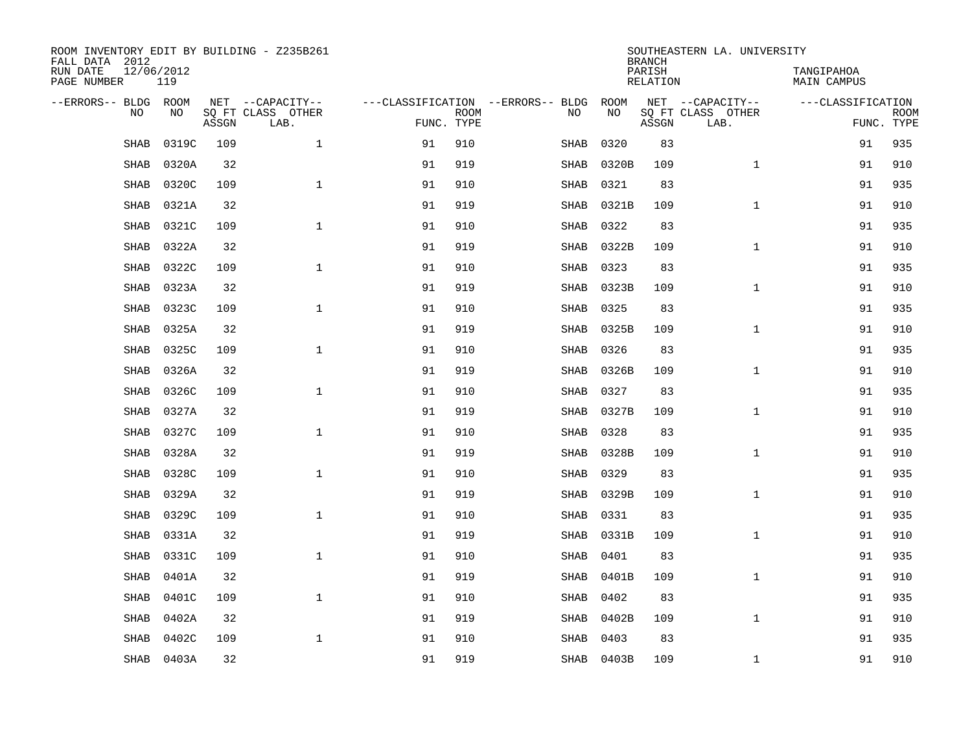| ROOM INVENTORY EDIT BY BUILDING - Z235B261<br>FALL DATA 2012 |                   |       |                           | SOUTHEASTERN LA. UNIVERSITY<br><b>BRANCH</b> |             |                                   |            |                    |                           |                                  |                           |  |  |
|--------------------------------------------------------------|-------------------|-------|---------------------------|----------------------------------------------|-------------|-----------------------------------|------------|--------------------|---------------------------|----------------------------------|---------------------------|--|--|
| RUN DATE<br>PAGE NUMBER                                      | 12/06/2012<br>119 |       |                           |                                              |             |                                   |            | PARISH<br>RELATION |                           | TANGIPAHOA<br><b>MAIN CAMPUS</b> |                           |  |  |
| --ERRORS-- BLDG ROOM                                         |                   |       | NET --CAPACITY--          |                                              |             | ---CLASSIFICATION --ERRORS-- BLDG | ROOM       |                    | NET --CAPACITY--          | ---CLASSIFICATION                |                           |  |  |
| N <sub>O</sub>                                               | NO.               | ASSGN | SO FT CLASS OTHER<br>LAB. | FUNC. TYPE                                   | <b>ROOM</b> | NO.                               | NO         | ASSGN              | SO FT CLASS OTHER<br>LAB. |                                  | <b>ROOM</b><br>FUNC. TYPE |  |  |
| <b>SHAB</b>                                                  | 0319C             | 109   | $\mathbf{1}$              | 91                                           | 910         | SHAB                              | 0320       | 83                 |                           | 91                               | 935                       |  |  |
| <b>SHAB</b>                                                  | 0320A             | 32    |                           | 91                                           | 919         | SHAB                              | 0320B      | 109                | $\mathbf{1}$              | 91                               | 910                       |  |  |
| <b>SHAB</b>                                                  | 0320C             | 109   | $\mathbf{1}$              | 91                                           | 910         | SHAB                              | 0321       | 83                 |                           | 91                               | 935                       |  |  |
| SHAB                                                         | 0321A             | 32    |                           | 91                                           | 919         | SHAB                              | 0321B      | 109                | $\mathbf{1}$              | 91                               | 910                       |  |  |
| SHAB                                                         | 0321C             | 109   | $\mathbf{1}$              | 91                                           | 910         | SHAB                              | 0322       | 83                 |                           | 91                               | 935                       |  |  |
| <b>SHAB</b>                                                  | 0322A             | 32    |                           | 91                                           | 919         | SHAB                              | 0322B      | 109                | $\mathbf{1}$              | 91                               | 910                       |  |  |
| <b>SHAB</b>                                                  | 0322C             | 109   | $\mathbf{1}$              | 91                                           | 910         | SHAB                              | 0323       | 83                 |                           | 91                               | 935                       |  |  |
| <b>SHAB</b>                                                  | 0323A             | 32    |                           | 91                                           | 919         | SHAB                              | 0323B      | 109                | $\mathbf{1}$              | 91                               | 910                       |  |  |
| <b>SHAB</b>                                                  | 0323C             | 109   | $\mathbf{1}$              | 91                                           | 910         | <b>SHAB</b>                       | 0325       | 83                 |                           | 91                               | 935                       |  |  |
| <b>SHAB</b>                                                  | 0325A             | 32    |                           | 91                                           | 919         | SHAB                              | 0325B      | 109                | $\mathbf{1}$              | 91                               | 910                       |  |  |
| SHAB                                                         | 0325C             | 109   | $\mathbf{1}$              | 91                                           | 910         | SHAB                              | 0326       | 83                 |                           | 91                               | 935                       |  |  |
| <b>SHAB</b>                                                  | 0326A             | 32    |                           | 91                                           | 919         | SHAB                              | 0326B      | 109                | $\mathbf{1}$              | 91                               | 910                       |  |  |
| <b>SHAB</b>                                                  | 0326C             | 109   | $\mathbf{1}$              | 91                                           | 910         | SHAB                              | 0327       | 83                 |                           | 91                               | 935                       |  |  |
| <b>SHAB</b>                                                  | 0327A             | 32    |                           | 91                                           | 919         | SHAB                              | 0327B      | 109                | $\mathbf{1}$              | 91                               | 910                       |  |  |
| SHAB                                                         | 0327C             | 109   | $\mathbf{1}$              | 91                                           | 910         | SHAB                              | 0328       | 83                 |                           | 91                               | 935                       |  |  |
| SHAB                                                         | 0328A             | 32    |                           | 91                                           | 919         | SHAB                              | 0328B      | 109                | $\mathbf{1}$              | 91                               | 910                       |  |  |
| SHAB                                                         | 0328C             | 109   | $\mathbf{1}$              | 91                                           | 910         | SHAB                              | 0329       | 83                 |                           | 91                               | 935                       |  |  |
| SHAB                                                         | 0329A             | 32    |                           | 91                                           | 919         | SHAB                              | 0329B      | 109                | $\mathbf{1}$              | 91                               | 910                       |  |  |
| <b>SHAB</b>                                                  | 0329C             | 109   | $\mathbf{1}$              | 91                                           | 910         | SHAB                              | 0331       | 83                 |                           | 91                               | 935                       |  |  |
| <b>SHAB</b>                                                  | 0331A             | 32    |                           | 91                                           | 919         | SHAB                              | 0331B      | 109                | $\mathbf{1}$              | 91                               | 910                       |  |  |
| SHAB                                                         | 0331C             | 109   | $\mathbf{1}$              | 91                                           | 910         | SHAB                              | 0401       | 83                 |                           | 91                               | 935                       |  |  |
| <b>SHAB</b>                                                  | 0401A             | 32    |                           | 91                                           | 919         | SHAB                              | 0401B      | 109                | $\mathbf{1}$              | 91                               | 910                       |  |  |
| SHAB                                                         | 0401C             | 109   | $\mathbf{1}$              | 91                                           | 910         | SHAB                              | 0402       | 83                 |                           | 91                               | 935                       |  |  |
| <b>SHAB</b>                                                  | 0402A             | 32    |                           | 91                                           | 919         | SHAB                              | 0402B      | 109                | $\mathbf{1}$              | 91                               | 910                       |  |  |
| <b>SHAB</b>                                                  | 0402C             | 109   | $\mathbf 1$               | 91                                           | 910         | SHAB                              | 0403       | 83                 |                           | 91                               | 935                       |  |  |
|                                                              | SHAB 0403A        | 32    |                           | 91                                           | 919         |                                   | SHAB 0403B | 109                | $\mathbf{1}$              | 91                               | 910                       |  |  |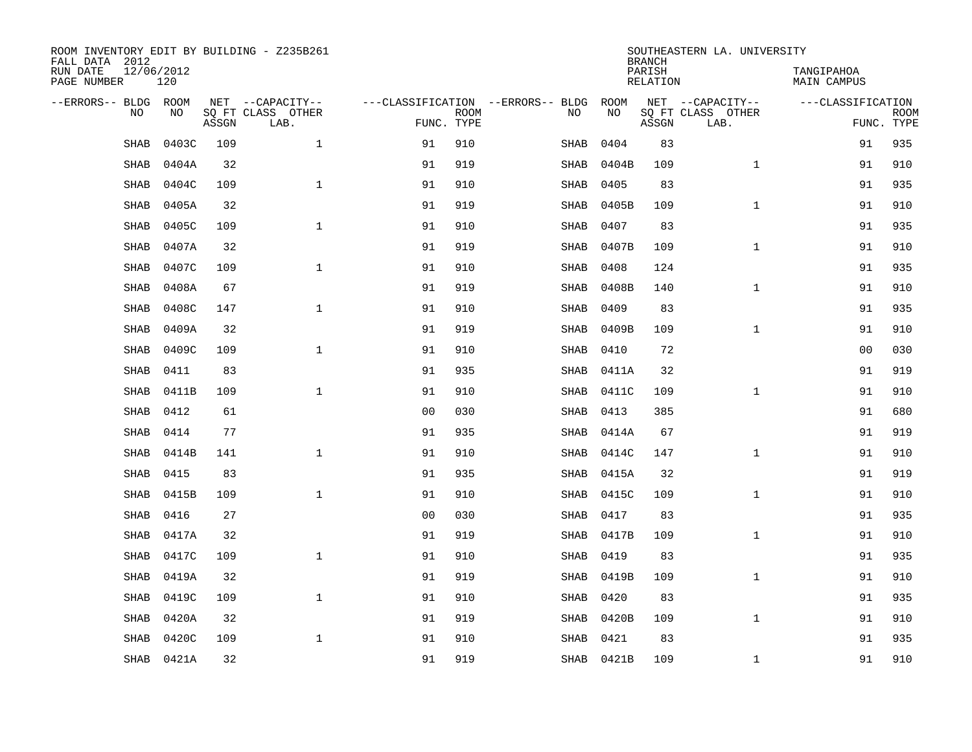| ROOM INVENTORY EDIT BY BUILDING - Z235B261<br>FALL DATA 2012 |                   |       |                           | SOUTHEASTERN LA. UNIVERSITY<br><b>BRANCH</b> |             |  |             |            |                    |                           |                                  |             |  |
|--------------------------------------------------------------|-------------------|-------|---------------------------|----------------------------------------------|-------------|--|-------------|------------|--------------------|---------------------------|----------------------------------|-------------|--|
| RUN DATE<br>PAGE NUMBER                                      | 12/06/2012<br>120 |       |                           |                                              |             |  |             |            | PARISH<br>RELATION |                           | TANGIPAHOA<br><b>MAIN CAMPUS</b> |             |  |
| --ERRORS-- BLDG ROOM                                         |                   |       | NET --CAPACITY--          | ---CLASSIFICATION --ERRORS-- BLDG            |             |  |             | ROOM       |                    | NET --CAPACITY--          | ---CLASSIFICATION                |             |  |
| N <sub>O</sub>                                               | NO.               | ASSGN | SO FT CLASS OTHER<br>LAB. | FUNC. TYPE                                   | <b>ROOM</b> |  | NO.         | <b>NO</b>  | ASSGN              | SO FT CLASS OTHER<br>LAB. | FUNC. TYPE                       | <b>ROOM</b> |  |
| <b>SHAB</b>                                                  | 0403C             | 109   | $\mathbf{1}$              | 91                                           | 910         |  | SHAB        | 0404       | 83                 |                           | 91                               | 935         |  |
| <b>SHAB</b>                                                  | 0404A             | 32    |                           | 91                                           | 919         |  | SHAB        | 0404B      | 109                | $\mathbf{1}$              | 91                               | 910         |  |
| <b>SHAB</b>                                                  | 0404C             | 109   | $\mathbf{1}$              | 91                                           | 910         |  | SHAB        | 0405       | 83                 |                           | 91                               | 935         |  |
| <b>SHAB</b>                                                  | 0405A             | 32    |                           | 91                                           | 919         |  | SHAB        | 0405B      | 109                | $\mathbf{1}$              | 91                               | 910         |  |
| SHAB                                                         | 0405C             | 109   | $\mathbf 1$               | 91                                           | 910         |  | SHAB        | 0407       | 83                 |                           | 91                               | 935         |  |
| <b>SHAB</b>                                                  | 0407A             | 32    |                           | 91                                           | 919         |  | SHAB        | 0407B      | 109                | $\mathbf{1}$              | 91                               | 910         |  |
| <b>SHAB</b>                                                  | 0407C             | 109   | $\mathbf{1}$              | 91                                           | 910         |  | SHAB        | 0408       | 124                |                           | 91                               | 935         |  |
| <b>SHAB</b>                                                  | 0408A             | 67    |                           | 91                                           | 919         |  | SHAB        | 0408B      | 140                | $\mathbf{1}$              | 91                               | 910         |  |
| <b>SHAB</b>                                                  | 0408C             | 147   | $\mathbf{1}$              | 91                                           | 910         |  | <b>SHAB</b> | 0409       | 83                 |                           | 91                               | 935         |  |
| <b>SHAB</b>                                                  | 0409A             | 32    |                           | 91                                           | 919         |  | SHAB        | 0409B      | 109                | $\mathbf{1}$              | 91                               | 910         |  |
| <b>SHAB</b>                                                  | 0409C             | 109   | $\mathbf{1}$              | 91                                           | 910         |  | SHAB        | 0410       | 72                 |                           | 00                               | 030         |  |
| <b>SHAB</b>                                                  | 0411              | 83    |                           | 91                                           | 935         |  | SHAB        | 0411A      | 32                 |                           | 91                               | 919         |  |
| <b>SHAB</b>                                                  | 0411B             | 109   | $\mathbf{1}$              | 91                                           | 910         |  | SHAB        | 0411C      | 109                | $\mathbf{1}$              | 91                               | 910         |  |
| <b>SHAB</b>                                                  | 0412              | 61    |                           | 0 <sub>0</sub>                               | 030         |  | SHAB        | 0413       | 385                |                           | 91                               | 680         |  |
| SHAB                                                         | 0414              | 77    |                           | 91                                           | 935         |  | SHAB        | 0414A      | 67                 |                           | 91                               | 919         |  |
| SHAB                                                         | 0414B             | 141   | $\mathbf 1$               | 91                                           | 910         |  | SHAB        | 0414C      | 147                | $\mathbf{1}$              | 91                               | 910         |  |
| SHAB                                                         | 0415              | 83    |                           | 91                                           | 935         |  | SHAB        | 0415A      | 32                 |                           | 91                               | 919         |  |
| SHAB                                                         | 0415B             | 109   | $\mathbf 1$               | 91                                           | 910         |  | SHAB        | 0415C      | 109                | $\mathbf{1}$              | 91                               | 910         |  |
| <b>SHAB</b>                                                  | 0416              | 27    |                           | 0 <sub>0</sub>                               | 030         |  | SHAB        | 0417       | 83                 |                           | 91                               | 935         |  |
| <b>SHAB</b>                                                  | 0417A             | 32    |                           | 91                                           | 919         |  | SHAB        | 0417B      | 109                | $\mathbf{1}$              | 91                               | 910         |  |
| SHAB                                                         | 0417C             | 109   | $\mathbf{1}$              | 91                                           | 910         |  | SHAB        | 0419       | 83                 |                           | 91                               | 935         |  |
| SHAB                                                         | 0419A             | 32    |                           | 91                                           | 919         |  | SHAB        | 0419B      | 109                | $\mathbf{1}$              | 91                               | 910         |  |
| SHAB                                                         | 0419C             | 109   | $\mathbf{1}$              | 91                                           | 910         |  | SHAB        | 0420       | 83                 |                           | 91                               | 935         |  |
| <b>SHAB</b>                                                  | 0420A             | 32    |                           | 91                                           | 919         |  | SHAB        | 0420B      | 109                | $\mathbf{1}$              | 91                               | 910         |  |
| <b>SHAB</b>                                                  | 0420C             | 109   | $\mathbf 1$               | 91                                           | 910         |  | SHAB        | 0421       | 83                 |                           | 91                               | 935         |  |
|                                                              | SHAB 0421A        | 32    |                           | 91                                           | 919         |  |             | SHAB 0421B | 109                | $\mathbf{1}$              | 91                               | 910         |  |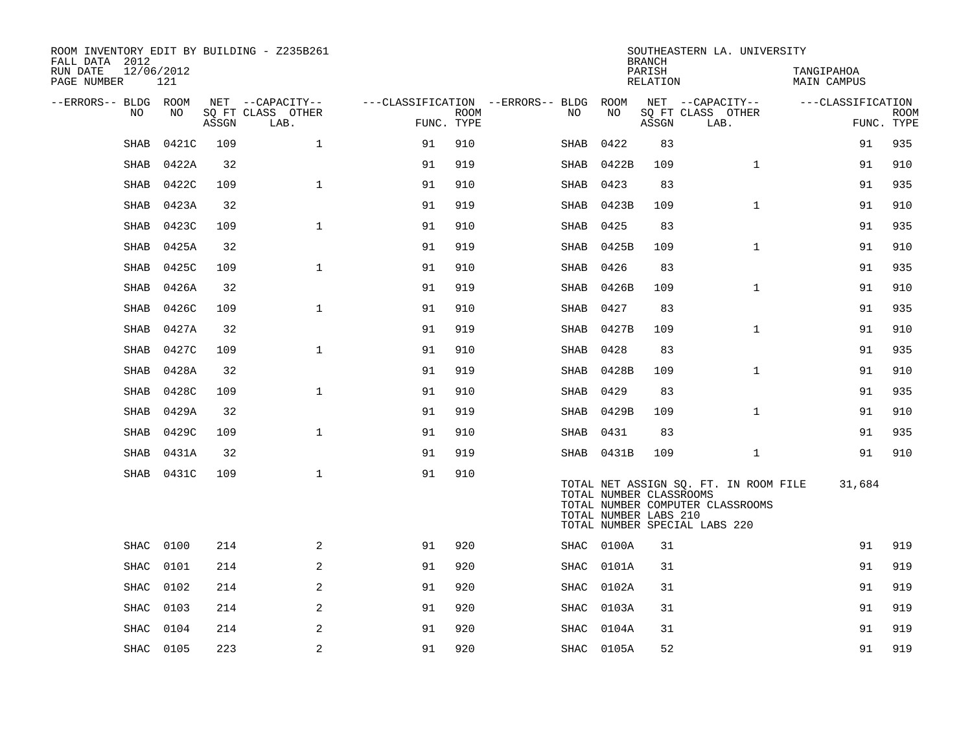| ROOM INVENTORY EDIT BY BUILDING - Z235B261<br>FALL DATA 2012 |                   |       |                           |            |             |                                   |                                                  | <b>BRANCH</b>      | SOUTHEASTERN LA. UNIVERSITY                                                                                |                           |                           |
|--------------------------------------------------------------|-------------------|-------|---------------------------|------------|-------------|-----------------------------------|--------------------------------------------------|--------------------|------------------------------------------------------------------------------------------------------------|---------------------------|---------------------------|
| RUN DATE<br>PAGE NUMBER                                      | 12/06/2012<br>121 |       |                           |            |             |                                   |                                                  | PARISH<br>RELATION |                                                                                                            | TANGIPAHOA<br>MAIN CAMPUS |                           |
| --ERRORS-- BLDG ROOM                                         |                   |       | NET --CAPACITY--          |            |             | ---CLASSIFICATION --ERRORS-- BLDG | ROOM                                             |                    | NET --CAPACITY--                                                                                           | ---CLASSIFICATION         |                           |
| NO                                                           | NO                | ASSGN | SQ FT CLASS OTHER<br>LAB. | FUNC. TYPE | <b>ROOM</b> | NO                                | NO                                               | ASSGN              | SQ FT CLASS OTHER<br>LAB.                                                                                  |                           | <b>ROOM</b><br>FUNC. TYPE |
| <b>SHAB</b>                                                  | 0421C             | 109   | $\mathbf{1}$              | 91         | 910         | SHAB                              | 0422                                             | 83                 |                                                                                                            | 91                        | 935                       |
| SHAB                                                         | 0422A             | 32    |                           | 91         | 919         | SHAB                              | 0422B                                            | 109                | $\mathbf{1}$                                                                                               | 91                        | 910                       |
| <b>SHAB</b>                                                  | 0422C             | 109   | $\mathbf{1}$              | 91         | 910         | SHAB                              | 0423                                             | 83                 |                                                                                                            | 91                        | 935                       |
| SHAB                                                         | 0423A             | 32    |                           | 91         | 919         | SHAB                              | 0423B                                            | 109                | $\mathbf{1}$                                                                                               | 91                        | 910                       |
| <b>SHAB</b>                                                  | 0423C             | 109   | $\mathbf{1}$              | 91         | 910         | SHAB                              | 0425                                             | 83                 |                                                                                                            | 91                        | 935                       |
| SHAB                                                         | 0425A             | 32    |                           | 91         | 919         |                                   | SHAB 0425B                                       | 109                | $\mathbf{1}$                                                                                               | 91                        | 910                       |
| SHAB                                                         | 0425C             | 109   | $\mathbf{1}$              | 91         | 910         | SHAB                              | 0426                                             | 83                 |                                                                                                            | 91                        | 935                       |
| SHAB                                                         | 0426A             | 32    |                           | 91         | 919         | SHAB                              | 0426B                                            | 109                | $\mathbf{1}$                                                                                               | 91                        | 910                       |
| SHAB                                                         | 0426C             | 109   | $\mathbf{1}$              | 91         | 910         | SHAB                              | 0427                                             | 83                 |                                                                                                            | 91                        | 935                       |
| SHAB                                                         | 0427A             | 32    |                           | 91         | 919         | SHAB                              | 0427B                                            | 109                | $\mathbf{1}$                                                                                               | 91                        | 910                       |
| SHAB                                                         | 0427C             | 109   | $\mathbf{1}$              | 91         | 910         | SHAB                              | 0428                                             | 83                 |                                                                                                            | 91                        | 935                       |
| <b>SHAB</b>                                                  | 0428A             | 32    |                           | 91         | 919         | SHAB                              | 0428B                                            | 109                | $\mathbf{1}$                                                                                               | 91                        | 910                       |
| <b>SHAB</b>                                                  | 0428C             | 109   | $\mathbf{1}$              | 91         | 910         | SHAB                              | 0429                                             | 83                 |                                                                                                            | 91                        | 935                       |
| <b>SHAB</b>                                                  | 0429A             | 32    |                           | 91         | 919         |                                   | SHAB 0429B                                       | 109                | $\mathbf{1}$                                                                                               | 91                        | 910                       |
| SHAB                                                         | 0429C             | 109   | $\mathbf 1$               | 91         | 910         |                                   | SHAB 0431                                        | 83                 |                                                                                                            | 91                        | 935                       |
| <b>SHAB</b>                                                  | 0431A             | 32    |                           | 91         | 919         |                                   | SHAB 0431B                                       | 109                | $\mathbf{1}$                                                                                               | 91                        | 910                       |
| SHAB                                                         | 0431C             | 109   | $\mathbf{1}$              | 91         | 910         |                                   | TOTAL NUMBER CLASSROOMS<br>TOTAL NUMBER LABS 210 |                    | TOTAL NET ASSIGN SQ. FT. IN ROOM FILE<br>TOTAL NUMBER COMPUTER CLASSROOMS<br>TOTAL NUMBER SPECIAL LABS 220 | 31,684                    |                           |
| <b>SHAC</b>                                                  | 0100              | 214   | 2                         | 91         | 920         |                                   | SHAC 0100A                                       | 31                 |                                                                                                            | 91                        | 919                       |
| <b>SHAC</b>                                                  | 0101              | 214   | 2                         | 91         | 920         | SHAC                              | 0101A                                            | 31                 |                                                                                                            | 91                        | 919                       |
| <b>SHAC</b>                                                  | 0102              | 214   | 2                         | 91         | 920         | SHAC                              | 0102A                                            | 31                 |                                                                                                            | 91                        | 919                       |
| SHAC                                                         | 0103              | 214   | 2                         | 91         | 920         |                                   | SHAC 0103A                                       | 31                 |                                                                                                            | 91                        | 919                       |
| <b>SHAC</b>                                                  | 0104              | 214   | 2                         | 91         | 920         | SHAC                              | 0104A                                            | 31                 |                                                                                                            | 91                        | 919                       |
|                                                              | SHAC 0105         | 223   | $\sqrt{2}$                | 91         | 920         |                                   | SHAC 0105A                                       | 52                 |                                                                                                            | 91                        | 919                       |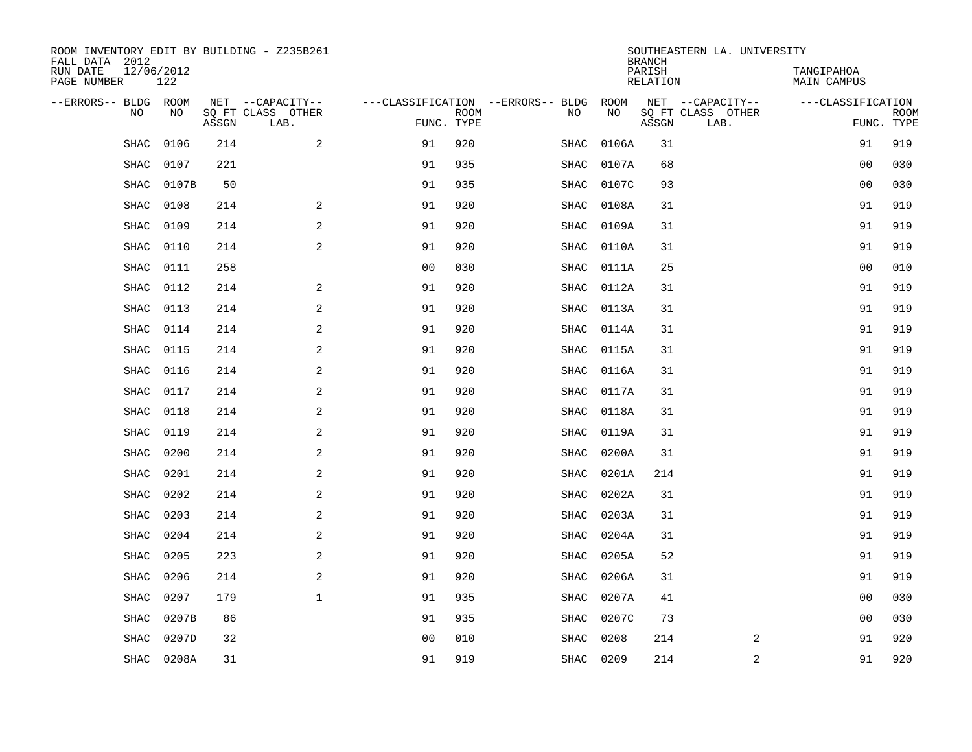| ROOM INVENTORY EDIT BY BUILDING - Z235B261<br>FALL DATA 2012 |                   |       |                           |                |             |                                   |           |       | <b>BRANCH</b>      | SOUTHEASTERN LA. UNIVERSITY |                                  |             |
|--------------------------------------------------------------|-------------------|-------|---------------------------|----------------|-------------|-----------------------------------|-----------|-------|--------------------|-----------------------------|----------------------------------|-------------|
| RUN DATE<br>PAGE NUMBER                                      | 12/06/2012<br>122 |       |                           |                |             |                                   |           |       | PARISH<br>RELATION |                             | TANGIPAHOA<br><b>MAIN CAMPUS</b> |             |
| --ERRORS-- BLDG ROOM                                         |                   |       | NET --CAPACITY--          |                |             | ---CLASSIFICATION --ERRORS-- BLDG |           | ROOM  |                    | NET --CAPACITY--            | ---CLASSIFICATION                |             |
| NO                                                           | NO                | ASSGN | SQ FT CLASS OTHER<br>LAB. | FUNC. TYPE     | <b>ROOM</b> | NO                                |           | NO    | ASSGN              | SQ FT CLASS OTHER<br>LAB.   | FUNC. TYPE                       | <b>ROOM</b> |
| SHAC                                                         | 0106              | 214   | 2                         | 91             | 920         | SHAC                              |           | 0106A | 31                 |                             | 91                               | 919         |
| SHAC                                                         | 0107              | 221   |                           | 91             | 935         | SHAC                              |           | 0107A | 68                 |                             | 00                               | 030         |
| SHAC                                                         | 0107B             | 50    |                           | 91             | 935         | SHAC                              |           | 0107C | 93                 |                             | 00                               | 030         |
| <b>SHAC</b>                                                  | 0108              | 214   | 2                         | 91             | 920         | SHAC                              |           | 0108A | 31                 |                             | 91                               | 919         |
| <b>SHAC</b>                                                  | 0109              | 214   | 2                         | 91             | 920         | <b>SHAC</b>                       |           | 0109A | 31                 |                             | 91                               | 919         |
| <b>SHAC</b>                                                  | 0110              | 214   | 2                         | 91             | 920         | SHAC                              |           | 0110A | 31                 |                             | 91                               | 919         |
| <b>SHAC</b>                                                  | 0111              | 258   |                           | 0 <sub>0</sub> | 030         | <b>SHAC</b>                       |           | 0111A | 25                 |                             | 0 <sub>0</sub>                   | 010         |
| <b>SHAC</b>                                                  | 0112              | 214   | $\overline{a}$            | 91             | 920         | <b>SHAC</b>                       |           | 0112A | 31                 |                             | 91                               | 919         |
| <b>SHAC</b>                                                  | 0113              | 214   | 2                         | 91             | 920         | <b>SHAC</b>                       |           | 0113A | 31                 |                             | 91                               | 919         |
| SHAC                                                         | 0114              | 214   | 2                         | 91             | 920         | SHAC                              |           | 0114A | 31                 |                             | 91                               | 919         |
| SHAC                                                         | 0115              | 214   | 2                         | 91             | 920         | SHAC                              |           | 0115A | 31                 |                             | 91                               | 919         |
| SHAC                                                         | 0116              | 214   | 2                         | 91             | 920         | SHAC                              |           | 0116A | 31                 |                             | 91                               | 919         |
| <b>SHAC</b>                                                  | 0117              | 214   | 2                         | 91             | 920         | SHAC                              |           | 0117A | 31                 |                             | 91                               | 919         |
| SHAC                                                         | 0118              | 214   | 2                         | 91             | 920         | SHAC                              |           | 0118A | 31                 |                             | 91                               | 919         |
| SHAC                                                         | 0119              | 214   | 2                         | 91             | 920         | SHAC                              |           | 0119A | 31                 |                             | 91                               | 919         |
| <b>SHAC</b>                                                  | 0200              | 214   | 2                         | 91             | 920         | SHAC                              |           | 0200A | 31                 |                             | 91                               | 919         |
| SHAC                                                         | 0201              | 214   | 2                         | 91             | 920         | SHAC                              |           | 0201A | 214                |                             | 91                               | 919         |
| SHAC                                                         | 0202              | 214   | $\overline{a}$            | 91             | 920         | SHAC                              |           | 0202A | 31                 |                             | 91                               | 919         |
| SHAC                                                         | 0203              | 214   | 2                         | 91             | 920         | SHAC                              |           | 0203A | 31                 |                             | 91                               | 919         |
| SHAC                                                         | 0204              | 214   | 2                         | 91             | 920         | SHAC                              |           | 0204A | 31                 |                             | 91                               | 919         |
| <b>SHAC</b>                                                  | 0205              | 223   | 2                         | 91             | 920         | SHAC                              |           | 0205A | 52                 |                             | 91                               | 919         |
| <b>SHAC</b>                                                  | 0206              | 214   | 2                         | 91             | 920         | SHAC                              |           | 0206A | 31                 |                             | 91                               | 919         |
| <b>SHAC</b>                                                  | 0207              | 179   | $\mathbf{1}$              | 91             | 935         | SHAC                              |           | 0207A | 41                 |                             | 0 <sub>0</sub>                   | 030         |
| <b>SHAC</b>                                                  | 0207B             | 86    |                           | 91             | 935         | SHAC                              |           | 0207C | 73                 |                             | 0 <sub>0</sub>                   | 030         |
| <b>SHAC</b>                                                  | 0207D             | 32    |                           | 0 <sub>0</sub> | 010         | <b>SHAC</b>                       |           | 0208  | 214                | 2                           | 91                               | 920         |
|                                                              | SHAC 0208A        | 31    |                           | 91             | 919         |                                   | SHAC 0209 |       | 214                | $\boldsymbol{2}$            | 91                               | 920         |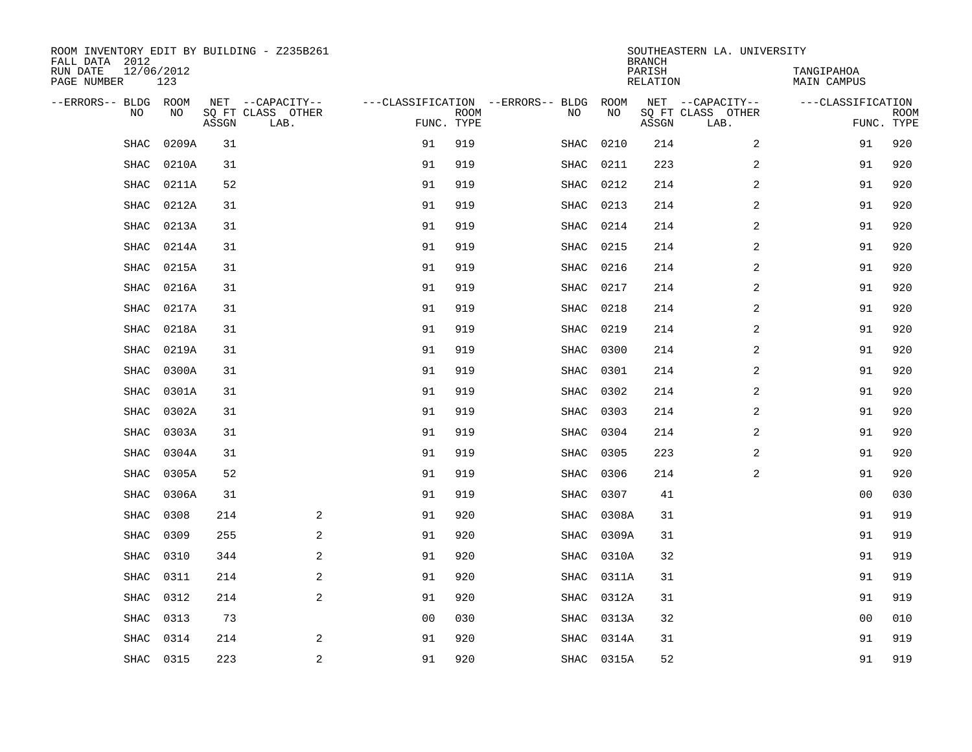| ROOM INVENTORY EDIT BY BUILDING - Z235B261<br>FALL DATA 2012 |                   |       |                           |                |             |                                        |            | <b>BRANCH</b>      | SOUTHEASTERN LA. UNIVERSITY |                           |             |
|--------------------------------------------------------------|-------------------|-------|---------------------------|----------------|-------------|----------------------------------------|------------|--------------------|-----------------------------|---------------------------|-------------|
| RUN DATE<br>PAGE NUMBER                                      | 12/06/2012<br>123 |       |                           |                |             |                                        |            | PARISH<br>RELATION |                             | TANGIPAHOA<br>MAIN CAMPUS |             |
| --ERRORS-- BLDG ROOM                                         |                   |       | NET --CAPACITY--          |                |             | ---CLASSIFICATION --ERRORS-- BLDG ROOM |            |                    | NET --CAPACITY--            | ---CLASSIFICATION         |             |
| NO                                                           | NO                | ASSGN | SQ FT CLASS OTHER<br>LAB. | FUNC. TYPE     | <b>ROOM</b> | NO                                     | NO         | ASSGN              | SQ FT CLASS OTHER<br>LAB.   | FUNC. TYPE                | <b>ROOM</b> |
| SHAC                                                         | 0209A             | 31    |                           | 91             | 919         | SHAC                                   | 0210       | 214                | $\overline{a}$              | 91                        | 920         |
| SHAC                                                         | 0210A             | 31    |                           | 91             | 919         | SHAC                                   | 0211       | 223                | 2                           | 91                        | 920         |
| SHAC                                                         | 0211A             | 52    |                           | 91             | 919         | SHAC                                   | 0212       | 214                | $\overline{2}$              | 91                        | 920         |
| SHAC                                                         | 0212A             | 31    |                           | 91             | 919         | SHAC                                   | 0213       | 214                | 2                           | 91                        | 920         |
| SHAC                                                         | 0213A             | 31    |                           | 91             | 919         | SHAC                                   | 0214       | 214                | 2                           | 91                        | 920         |
| <b>SHAC</b>                                                  | 0214A             | 31    |                           | 91             | 919         | SHAC                                   | 0215       | 214                | 2                           | 91                        | 920         |
| SHAC                                                         | 0215A             | 31    |                           | 91             | 919         | SHAC                                   | 0216       | 214                | 2                           | 91                        | 920         |
| <b>SHAC</b>                                                  | 0216A             | 31    |                           | 91             | 919         | SHAC                                   | 0217       | 214                | 2                           | 91                        | 920         |
| <b>SHAC</b>                                                  | 0217A             | 31    |                           | 91             | 919         | <b>SHAC</b>                            | 0218       | 214                | 2                           | 91                        | 920         |
| <b>SHAC</b>                                                  | 0218A             | 31    |                           | 91             | 919         | SHAC                                   | 0219       | 214                | 2                           | 91                        | 920         |
| SHAC                                                         | 0219A             | 31    |                           | 91             | 919         | SHAC                                   | 0300       | 214                | $\overline{a}$              | 91                        | 920         |
| SHAC                                                         | 0300A             | 31    |                           | 91             | 919         | SHAC                                   | 0301       | 214                | 2                           | 91                        | 920         |
| <b>SHAC</b>                                                  | 0301A             | 31    |                           | 91             | 919         | SHAC                                   | 0302       | 214                | $\overline{a}$              | 91                        | 920         |
| SHAC                                                         | 0302A             | 31    |                           | 91             | 919         | SHAC                                   | 0303       | 214                | 2                           | 91                        | 920         |
| SHAC                                                         | 0303A             | 31    |                           | 91             | 919         | SHAC                                   | 0304       | 214                | 2                           | 91                        | 920         |
| SHAC                                                         | 0304A             | 31    |                           | 91             | 919         | SHAC                                   | 0305       | 223                | 2                           | 91                        | 920         |
| SHAC                                                         | 0305A             | 52    |                           | 91             | 919         | SHAC                                   | 0306       | 214                | 2                           | 91                        | 920         |
| SHAC                                                         | 0306A             | 31    |                           | 91             | 919         | SHAC                                   | 0307       | 41                 |                             | 00                        | 030         |
| <b>SHAC</b>                                                  | 0308              | 214   | 2                         | 91             | 920         | SHAC                                   | 0308A      | 31                 |                             | 91                        | 919         |
| <b>SHAC</b>                                                  | 0309              | 255   | 2                         | 91             | 920         | SHAC                                   | 0309A      | 31                 |                             | 91                        | 919         |
| SHAC                                                         | 0310              | 344   | $\sqrt{2}$                | 91             | 920         | SHAC                                   | 0310A      | 32                 |                             | 91                        | 919         |
| SHAC                                                         | 0311              | 214   | $\overline{a}$            | 91             | 920         | SHAC                                   | 0311A      | 31                 |                             | 91                        | 919         |
| <b>SHAC</b>                                                  | 0312              | 214   | 2                         | 91             | 920         | SHAC                                   | 0312A      | 31                 |                             | 91                        | 919         |
| SHAC                                                         | 0313              | 73    |                           | 0 <sub>0</sub> | 030         | SHAC                                   | 0313A      | 32                 |                             | 0 <sub>0</sub>            | 010         |
| <b>SHAC</b>                                                  | 0314              | 214   | 2                         | 91             | 920         | SHAC                                   | 0314A      | 31                 |                             | 91                        | 919         |
|                                                              | SHAC 0315         | 223   | 2                         | 91             | 920         |                                        | SHAC 0315A | 52                 |                             | 91                        | 919         |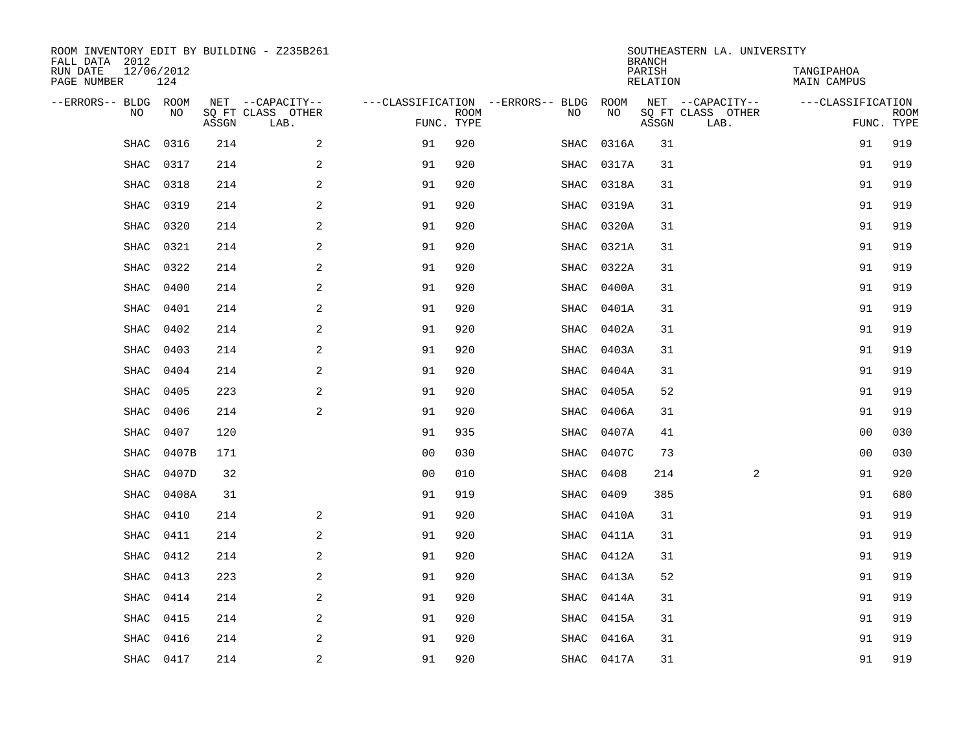| ROOM INVENTORY EDIT BY BUILDING - Z235B261<br>FALL DATA 2012 |                   |       |                           |                                        |             |             |            | <b>BRANCH</b>             | SOUTHEASTERN LA. UNIVERSITY |                                  |             |
|--------------------------------------------------------------|-------------------|-------|---------------------------|----------------------------------------|-------------|-------------|------------|---------------------------|-----------------------------|----------------------------------|-------------|
| RUN DATE<br>PAGE NUMBER                                      | 12/06/2012<br>124 |       |                           |                                        |             |             |            | PARISH<br><b>RELATION</b> |                             | TANGIPAHOA<br><b>MAIN CAMPUS</b> |             |
| --ERRORS-- BLDG ROOM                                         |                   |       | NET --CAPACITY--          | ---CLASSIFICATION --ERRORS-- BLDG ROOM |             |             |            |                           | NET --CAPACITY--            | ---CLASSIFICATION                |             |
| NO                                                           | NO                | ASSGN | SQ FT CLASS OTHER<br>LAB. | FUNC. TYPE                             | <b>ROOM</b> | NO          | NO         | ASSGN                     | SQ FT CLASS OTHER<br>LAB.   | FUNC. TYPE                       | <b>ROOM</b> |
| SHAC                                                         | 0316              | 214   | 2                         | 91                                     | 920         | SHAC        | 0316A      | 31                        |                             | 91                               | 919         |
| <b>SHAC</b>                                                  | 0317              | 214   | 2                         | 91                                     | 920         | SHAC        | 0317A      | 31                        |                             | 91                               | 919         |
| <b>SHAC</b>                                                  | 0318              | 214   | 2                         | 91                                     | 920         | SHAC        | 0318A      | 31                        |                             | 91                               | 919         |
| <b>SHAC</b>                                                  | 0319              | 214   | $\overline{a}$            | 91                                     | 920         | SHAC        | 0319A      | 31                        |                             | 91                               | 919         |
| <b>SHAC</b>                                                  | 0320              | 214   | 2                         | 91                                     | 920         | SHAC        | 0320A      | 31                        |                             | 91                               | 919         |
| SHAC                                                         | 0321              | 214   | 2                         | 91                                     | 920         | SHAC        | 0321A      | 31                        |                             | 91                               | 919         |
| SHAC                                                         | 0322              | 214   | $\overline{a}$            | 91                                     | 920         | SHAC        | 0322A      | 31                        |                             | 91                               | 919         |
| <b>SHAC</b>                                                  | 0400              | 214   | 2                         | 91                                     | 920         | SHAC        | 0400A      | 31                        |                             | 91                               | 919         |
| <b>SHAC</b>                                                  | 0401              | 214   | 2                         | 91                                     | 920         | <b>SHAC</b> | 0401A      | 31                        |                             | 91                               | 919         |
| <b>SHAC</b>                                                  | 0402              | 214   | 2                         | 91                                     | 920         | SHAC        | 0402A      | 31                        |                             | 91                               | 919         |
| <b>SHAC</b>                                                  | 0403              | 214   | 2                         | 91                                     | 920         | SHAC        | 0403A      | 31                        |                             | 91                               | 919         |
| <b>SHAC</b>                                                  | 0404              | 214   | 2                         | 91                                     | 920         | SHAC        | 0404A      | 31                        |                             | 91                               | 919         |
| SHAC                                                         | 0405              | 223   | 2                         | 91                                     | 920         | SHAC        | 0405A      | 52                        |                             | 91                               | 919         |
| SHAC                                                         | 0406              | 214   | $\mathbf{2}$              | 91                                     | 920         | SHAC        | 0406A      | 31                        |                             | 91                               | 919         |
| SHAC                                                         | 0407              | 120   |                           | 91                                     | 935         | SHAC        | 0407A      | 41                        |                             | 00                               | 030         |
| SHAC                                                         | 0407B             | 171   |                           | 0 <sub>0</sub>                         | 030         | SHAC        | 0407C      | 73                        |                             | 00                               | 030         |
| <b>SHAC</b>                                                  | 0407D             | 32    |                           | 0 <sub>0</sub>                         | 010         | SHAC        | 0408       | 214                       | $\overline{a}$              | 91                               | 920         |
| <b>SHAC</b>                                                  | 0408A             | 31    |                           | 91                                     | 919         | SHAC        | 0409       | 385                       |                             | 91                               | 680         |
| SHAC                                                         | 0410              | 214   | 2                         | 91                                     | 920         | SHAC        | 0410A      | 31                        |                             | 91                               | 919         |
| SHAC                                                         | 0411              | 214   | 2                         | 91                                     | 920         | SHAC        | 0411A      | 31                        |                             | 91                               | 919         |
| SHAC                                                         | 0412              | 214   | 2                         | 91                                     | 920         | SHAC        | 0412A      | 31                        |                             | 91                               | 919         |
| SHAC                                                         | 0413              | 223   | 2                         | 91                                     | 920         | SHAC        | 0413A      | 52                        |                             | 91                               | 919         |
| <b>SHAC</b>                                                  | 0414              | 214   | 2                         | 91                                     | 920         | SHAC        | 0414A      | 31                        |                             | 91                               | 919         |
| <b>SHAC</b>                                                  | 0415              | 214   | 2                         | 91                                     | 920         |             | SHAC 0415A | 31                        |                             | 91                               | 919         |
| <b>SHAC</b>                                                  | 0416              | 214   | 2                         | 91                                     | 920         | SHAC        | 0416A      | 31                        |                             | 91                               | 919         |
|                                                              | SHAC 0417         | 214   | $\overline{c}$            | 91                                     | 920         |             | SHAC 0417A | 31                        |                             | 91                               | 919         |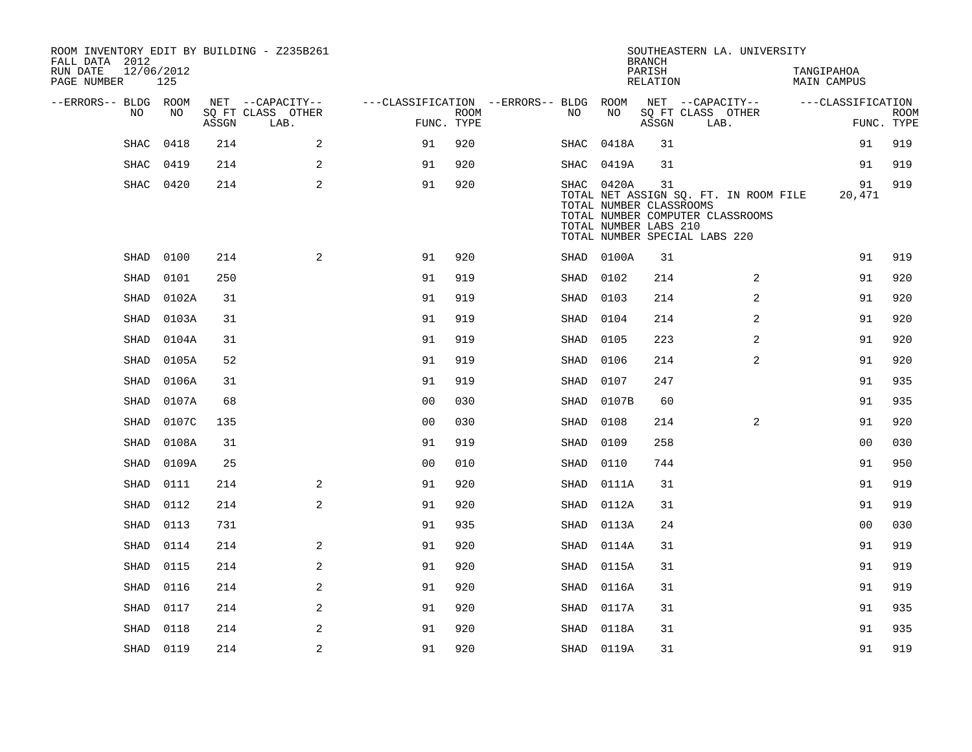| FALL DATA 2012<br>RUN DATE<br>PAGE NUMBER | 12/06/2012  | 125   |       | ROOM INVENTORY EDIT BY BUILDING - Z235B261 |                                        |                           |      |            | <b>BRANCH</b><br>PARISH<br>RELATION                    | SOUTHEASTERN LA. UNIVERSITY                                                                                | TANGIPAHOA<br><b>MAIN CAMPUS</b> |                           |
|-------------------------------------------|-------------|-------|-------|--------------------------------------------|----------------------------------------|---------------------------|------|------------|--------------------------------------------------------|------------------------------------------------------------------------------------------------------------|----------------------------------|---------------------------|
| --ERRORS-- BLDG ROOM                      |             |       |       | NET --CAPACITY--                           | ---CLASSIFICATION --ERRORS-- BLDG ROOM |                           |      |            |                                                        | NET --CAPACITY--                                                                                           | ---CLASSIFICATION                |                           |
|                                           | NO          | NO    | ASSGN | SQ FT CLASS OTHER<br>LAB.                  |                                        | <b>ROOM</b><br>FUNC. TYPE | NO.  | NO         | ASSGN                                                  | SQ FT CLASS OTHER<br>LAB.                                                                                  |                                  | <b>ROOM</b><br>FUNC. TYPE |
|                                           | <b>SHAC</b> | 0418  | 214   | 2                                          | 91                                     | 920                       | SHAC | 0418A      | 31                                                     |                                                                                                            | 91                               | 919                       |
|                                           | SHAC        | 0419  | 214   | 2                                          | 91                                     | 920                       |      | SHAC 0419A | 31                                                     |                                                                                                            | 91                               | 919                       |
|                                           | SHAC 0420   |       | 214   | $\mathbf{2}$                               | 91                                     | 920                       |      | SHAC 0420A | 31<br>TOTAL NUMBER CLASSROOMS<br>TOTAL NUMBER LABS 210 | TOTAL NET ASSIGN SQ. FT. IN ROOM FILE<br>TOTAL NUMBER COMPUTER CLASSROOMS<br>TOTAL NUMBER SPECIAL LABS 220 | 91<br>20,471                     | 919                       |
|                                           | SHAD        | 0100  | 214   | 2                                          | 91                                     | 920                       |      | SHAD 0100A | 31                                                     |                                                                                                            | 91                               | 919                       |
|                                           | SHAD        | 0101  | 250   |                                            | 91                                     | 919                       | SHAD | 0102       | 214                                                    | 2                                                                                                          | 91                               | 920                       |
|                                           | SHAD        | 0102A | 31    |                                            | 91                                     | 919                       | SHAD | 0103       | 214                                                    | 2                                                                                                          | 91                               | 920                       |
|                                           | SHAD        | 0103A | 31    |                                            | 91                                     | 919                       | SHAD | 0104       | 214                                                    | 2                                                                                                          | 91                               | 920                       |
|                                           | SHAD        | 0104A | 31    |                                            | 91                                     | 919                       | SHAD | 0105       | 223                                                    | 2                                                                                                          | 91                               | 920                       |
|                                           | SHAD        | 0105A | 52    |                                            | 91                                     | 919                       | SHAD | 0106       | 214                                                    | 2                                                                                                          | 91                               | 920                       |
|                                           | SHAD        | 0106A | 31    |                                            | 91                                     | 919                       | SHAD | 0107       | 247                                                    |                                                                                                            | 91                               | 935                       |
|                                           | SHAD        | 0107A | 68    |                                            | 0 <sub>0</sub>                         | 030                       | SHAD | 0107B      | 60                                                     |                                                                                                            | 91                               | 935                       |
|                                           | SHAD        | 0107C | 135   |                                            | 0 <sub>0</sub>                         | 030                       | SHAD | 0108       | 214                                                    | 2                                                                                                          | 91                               | 920                       |
|                                           | SHAD        | 0108A | 31    |                                            | 91                                     | 919                       | SHAD | 0109       | 258                                                    |                                                                                                            | 0 <sub>0</sub>                   | 030                       |
|                                           | SHAD        | 0109A | 25    |                                            | 0 <sub>0</sub>                         | 010                       | SHAD | 0110       | 744                                                    |                                                                                                            | 91                               | 950                       |
|                                           | SHAD        | 0111  | 214   | $\mathbf{2}$                               | 91                                     | 920                       | SHAD | 0111A      | 31                                                     |                                                                                                            | 91                               | 919                       |
|                                           | SHAD        | 0112  | 214   | 2                                          | 91                                     | 920                       | SHAD | 0112A      | 31                                                     |                                                                                                            | 91                               | 919                       |
|                                           | SHAD        | 0113  | 731   |                                            | 91                                     | 935                       | SHAD | 0113A      | 24                                                     |                                                                                                            | 0 <sub>0</sub>                   | 030                       |
|                                           | SHAD        | 0114  | 214   | 2                                          | 91                                     | 920                       | SHAD | 0114A      | 31                                                     |                                                                                                            | 91                               | 919                       |
|                                           | SHAD        | 0115  | 214   | 2                                          | 91                                     | 920                       | SHAD | 0115A      | 31                                                     |                                                                                                            | 91                               | 919                       |
|                                           | SHAD        | 0116  | 214   | 2                                          | 91                                     | 920                       | SHAD | 0116A      | 31                                                     |                                                                                                            | 91                               | 919                       |
|                                           | SHAD        | 0117  | 214   | 2                                          | 91                                     | 920                       | SHAD | 0117A      | 31                                                     |                                                                                                            | 91                               | 935                       |
|                                           | SHAD        | 0118  | 214   | 2                                          | 91                                     | 920                       | SHAD | 0118A      | 31                                                     |                                                                                                            | 91                               | 935                       |
|                                           | SHAD 0119   |       | 214   | 2                                          | 91                                     | 920                       |      | SHAD 0119A | 31                                                     |                                                                                                            | 91                               | 919                       |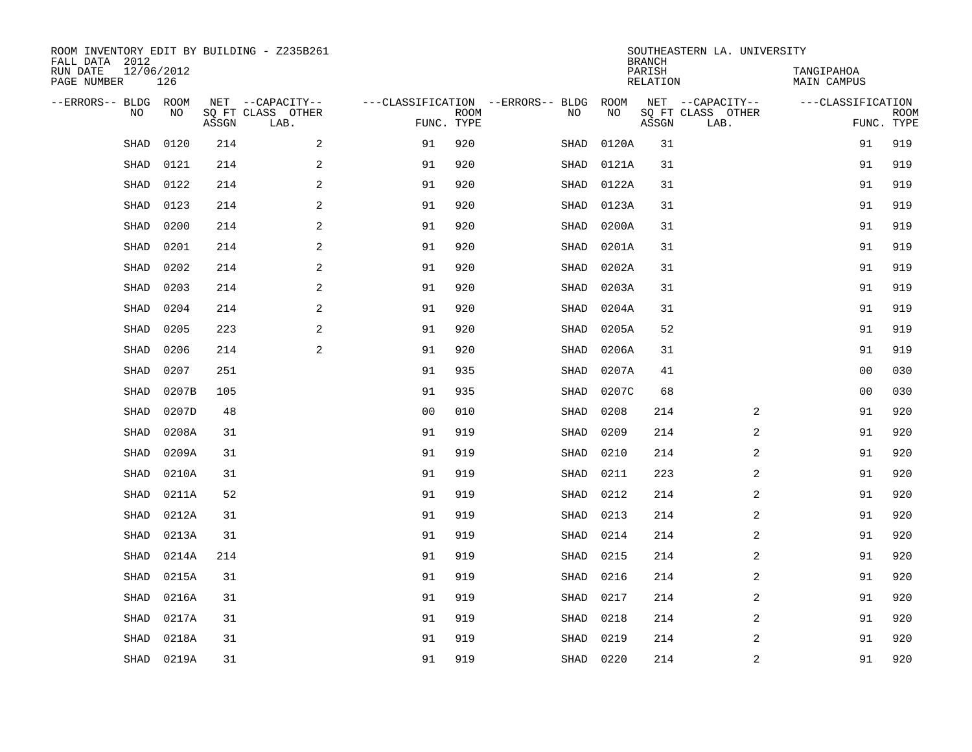| ROOM INVENTORY EDIT BY BUILDING - Z235B261<br>FALL DATA 2012 |                   |       |                           |                                   |                           |      |           | <b>BRANCH</b>      | SOUTHEASTERN LA. UNIVERSITY |                                  |             |
|--------------------------------------------------------------|-------------------|-------|---------------------------|-----------------------------------|---------------------------|------|-----------|--------------------|-----------------------------|----------------------------------|-------------|
| RUN DATE<br>PAGE NUMBER                                      | 12/06/2012<br>126 |       |                           |                                   |                           |      |           | PARISH<br>RELATION |                             | TANGIPAHOA<br><b>MAIN CAMPUS</b> |             |
| --ERRORS-- BLDG ROOM                                         |                   |       | NET --CAPACITY--          | ---CLASSIFICATION --ERRORS-- BLDG |                           |      | ROOM      |                    | NET --CAPACITY--            | ---CLASSIFICATION                |             |
| NO                                                           | NO                | ASSGN | SQ FT CLASS OTHER<br>LAB. |                                   | <b>ROOM</b><br>FUNC. TYPE | NO   | NO        | ASSGN              | SQ FT CLASS OTHER<br>LAB.   | FUNC. TYPE                       | <b>ROOM</b> |
| SHAD                                                         | 0120              | 214   | 2                         | 91                                | 920                       | SHAD | 0120A     | 31                 |                             | 91                               | 919         |
| SHAD                                                         | 0121              | 214   | $\sqrt{2}$                | 91                                | 920                       | SHAD | 0121A     | 31                 |                             | 91                               | 919         |
| SHAD                                                         | 0122              | 214   | $\sqrt{2}$                | 91                                | 920                       | SHAD | 0122A     | 31                 |                             | 91                               | 919         |
| <b>SHAD</b>                                                  | 0123              | 214   | 2                         | 91                                | 920                       | SHAD | 0123A     | 31                 |                             | 91                               | 919         |
| <b>SHAD</b>                                                  | 0200              | 214   | 2                         | 91                                | 920                       | SHAD | 0200A     | 31                 |                             | 91                               | 919         |
| <b>SHAD</b>                                                  | 0201              | 214   | 2                         | 91                                | 920                       | SHAD | 0201A     | 31                 |                             | 91                               | 919         |
| <b>SHAD</b>                                                  | 0202              | 214   | 2                         | 91                                | 920                       | SHAD | 0202A     | 31                 |                             | 91                               | 919         |
| <b>SHAD</b>                                                  | 0203              | 214   | 2                         | 91                                | 920                       | SHAD | 0203A     | 31                 |                             | 91                               | 919         |
| <b>SHAD</b>                                                  | 0204              | 214   | 2                         | 91                                | 920                       | SHAD | 0204A     | 31                 |                             | 91                               | 919         |
| SHAD                                                         | 0205              | 223   | $\mathbf{2}$              | 91                                | 920                       | SHAD | 0205A     | 52                 |                             | 91                               | 919         |
| SHAD                                                         | 0206              | 214   | 2                         | 91                                | 920                       | SHAD | 0206A     | 31                 |                             | 91                               | 919         |
| SHAD                                                         | 0207              | 251   |                           | 91                                | 935                       | SHAD | 0207A     | 41                 |                             | 00                               | 030         |
| <b>SHAD</b>                                                  | 0207B             | 105   |                           | 91                                | 935                       | SHAD | 0207C     | 68                 |                             | 00                               | 030         |
| SHAD                                                         | 0207D             | 48    |                           | 0 <sub>0</sub>                    | 010                       | SHAD | 0208      | 214                | 2                           | 91                               | 920         |
| <b>SHAD</b>                                                  | 0208A             | 31    |                           | 91                                | 919                       | SHAD | 0209      | 214                | 2                           | 91                               | 920         |
| <b>SHAD</b>                                                  | 0209A             | 31    |                           | 91                                | 919                       | SHAD | 0210      | 214                | $\overline{a}$              | 91                               | 920         |
| SHAD                                                         | 0210A             | 31    |                           | 91                                | 919                       | SHAD | 0211      | 223                | 2                           | 91                               | 920         |
| SHAD                                                         | 0211A             | 52    |                           | 91                                | 919                       | SHAD | 0212      | 214                | 2                           | 91                               | 920         |
| SHAD                                                         | 0212A             | 31    |                           | 91                                | 919                       | SHAD | 0213      | 214                | 2                           | 91                               | 920         |
| SHAD                                                         | 0213A             | 31    |                           | 91                                | 919                       | SHAD | 0214      | 214                | 2                           | 91                               | 920         |
| <b>SHAD</b>                                                  | 0214A             | 214   |                           | 91                                | 919                       | SHAD | 0215      | 214                | 2                           | 91                               | 920         |
| <b>SHAD</b>                                                  | 0215A             | 31    |                           | 91                                | 919                       | SHAD | 0216      | 214                | 2                           | 91                               | 920         |
| <b>SHAD</b>                                                  | 0216A             | 31    |                           | 91                                | 919                       | SHAD | 0217      | 214                | 2                           | 91                               | 920         |
| <b>SHAD</b>                                                  | 0217A             | 31    |                           | 91                                | 919                       | SHAD | 0218      | 214                | $\overline{a}$              | 91                               | 920         |
| SHAD                                                         | 0218A             | 31    |                           | 91                                | 919                       | SHAD | 0219      | 214                | 2                           | 91                               | 920         |
|                                                              | SHAD 0219A        | 31    |                           | 91                                | 919                       |      | SHAD 0220 | 214                | $\mathbf 2$                 | 91                               | 920         |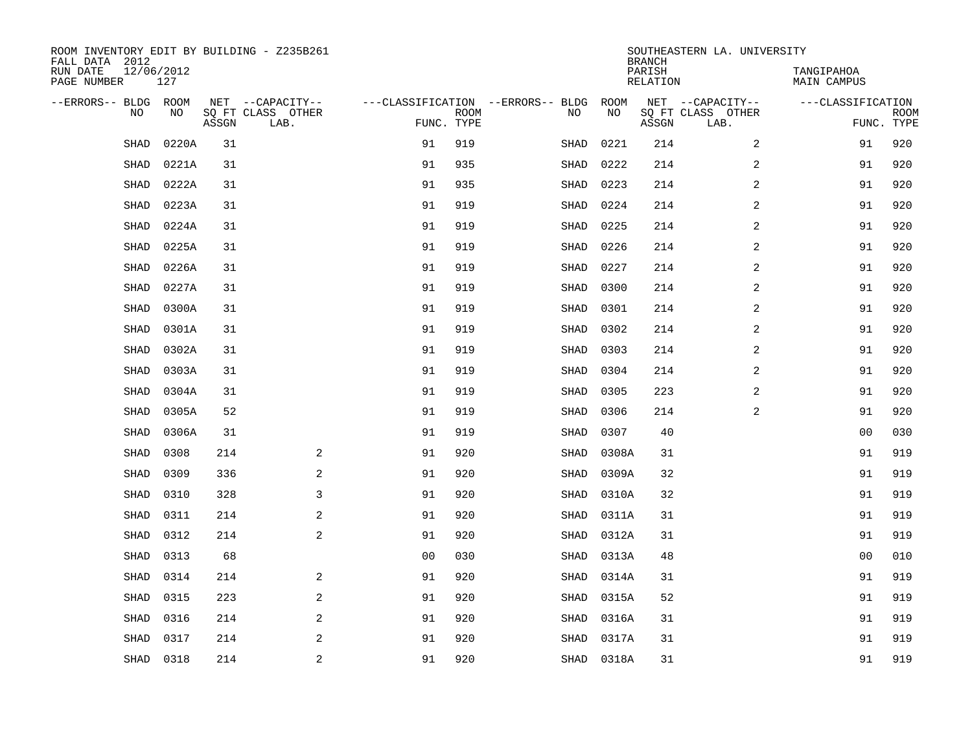| ROOM INVENTORY EDIT BY BUILDING - Z235B261<br>FALL DATA 2012 |                   |       |                           |                |             |                                   |            | <b>BRANCH</b>      | SOUTHEASTERN LA. UNIVERSITY |                           |                           |
|--------------------------------------------------------------|-------------------|-------|---------------------------|----------------|-------------|-----------------------------------|------------|--------------------|-----------------------------|---------------------------|---------------------------|
| RUN DATE<br>PAGE NUMBER                                      | 12/06/2012<br>127 |       |                           |                |             |                                   |            | PARISH<br>RELATION |                             | TANGIPAHOA<br>MAIN CAMPUS |                           |
| --ERRORS-- BLDG ROOM                                         |                   |       | NET --CAPACITY--          |                |             | ---CLASSIFICATION --ERRORS-- BLDG | ROOM       |                    | NET --CAPACITY--            | ---CLASSIFICATION         |                           |
| NO                                                           | NO                | ASSGN | SQ FT CLASS OTHER<br>LAB. | FUNC. TYPE     | <b>ROOM</b> | NO                                | NO         | ASSGN              | SQ FT CLASS OTHER<br>LAB.   |                           | <b>ROOM</b><br>FUNC. TYPE |
| SHAD                                                         | 0220A             | 31    |                           | 91             | 919         | SHAD                              | 0221       | 214                | $\overline{a}$              | 91                        | 920                       |
| SHAD                                                         | 0221A             | 31    |                           | 91             | 935         | SHAD                              | 0222       | 214                | 2                           | 91                        | 920                       |
| <b>SHAD</b>                                                  | 0222A             | 31    |                           | 91             | 935         | SHAD                              | 0223       | 214                | 2                           | 91                        | 920                       |
| SHAD                                                         | 0223A             | 31    |                           | 91             | 919         | SHAD                              | 0224       | 214                | $\overline{a}$              | 91                        | 920                       |
| SHAD                                                         | 0224A             | 31    |                           | 91             | 919         | SHAD                              | 0225       | 214                | 2                           | 91                        | 920                       |
| SHAD                                                         | 0225A             | 31    |                           | 91             | 919         | SHAD                              | 0226       | 214                | 2                           | 91                        | 920                       |
| <b>SHAD</b>                                                  | 0226A             | 31    |                           | 91             | 919         | SHAD                              | 0227       | 214                | $\overline{a}$              | 91                        | 920                       |
| SHAD                                                         | 0227A             | 31    |                           | 91             | 919         | SHAD                              | 0300       | 214                | 2                           | 91                        | 920                       |
| SHAD                                                         | 0300A             | 31    |                           | 91             | 919         | SHAD                              | 0301       | 214                | 2                           | 91                        | 920                       |
| <b>SHAD</b>                                                  | 0301A             | 31    |                           | 91             | 919         | SHAD                              | 0302       | 214                | 2                           | 91                        | 920                       |
| <b>SHAD</b>                                                  | 0302A             | 31    |                           | 91             | 919         | SHAD                              | 0303       | 214                | 2                           | 91                        | 920                       |
| SHAD                                                         | 0303A             | 31    |                           | 91             | 919         | SHAD                              | 0304       | 214                | 2                           | 91                        | 920                       |
| SHAD                                                         | 0304A             | 31    |                           | 91             | 919         | SHAD                              | 0305       | 223                | 2                           | 91                        | 920                       |
| SHAD                                                         | 0305A             | 52    |                           | 91             | 919         | SHAD                              | 0306       | 214                | $\overline{a}$              | 91                        | 920                       |
| <b>SHAD</b>                                                  | 0306A             | 31    |                           | 91             | 919         | SHAD                              | 0307       | 40                 |                             | 0 <sub>0</sub>            | 030                       |
| SHAD                                                         | 0308              | 214   | $\mathbf{2}$              | 91             | 920         | SHAD                              | 0308A      | 31                 |                             | 91                        | 919                       |
| <b>SHAD</b>                                                  | 0309              | 336   | 2                         | 91             | 920         | SHAD                              | 0309A      | 32                 |                             | 91                        | 919                       |
| <b>SHAD</b>                                                  | 0310              | 328   | 3                         | 91             | 920         | SHAD                              | 0310A      | 32                 |                             | 91                        | 919                       |
| <b>SHAD</b>                                                  | 0311              | 214   | 2                         | 91             | 920         | SHAD                              | 0311A      | 31                 |                             | 91                        | 919                       |
| SHAD                                                         | 0312              | 214   | $\mathbf{2}$              | 91             | 920         | SHAD                              | 0312A      | 31                 |                             | 91                        | 919                       |
| <b>SHAD</b>                                                  | 0313              | 68    |                           | 0 <sub>0</sub> | 030         | SHAD                              | 0313A      | 48                 |                             | 00                        | 010                       |
| <b>SHAD</b>                                                  | 0314              | 214   | 2                         | 91             | 920         | SHAD                              | 0314A      | 31                 |                             | 91                        | 919                       |
| SHAD                                                         | 0315              | 223   | $\mathbf{2}$              | 91             | 920         | SHAD                              | 0315A      | 52                 |                             | 91                        | 919                       |
| SHAD                                                         | 0316              | 214   | 2                         | 91             | 920         | SHAD                              | 0316A      | 31                 |                             | 91                        | 919                       |
| <b>SHAD</b>                                                  | 0317              | 214   | 2                         | 91             | 920         | SHAD                              | 0317A      | 31                 |                             | 91                        | 919                       |
| SHAD                                                         | 0318              | 214   | $\overline{a}$            | 91             | 920         |                                   | SHAD 0318A | 31                 |                             | 91                        | 919                       |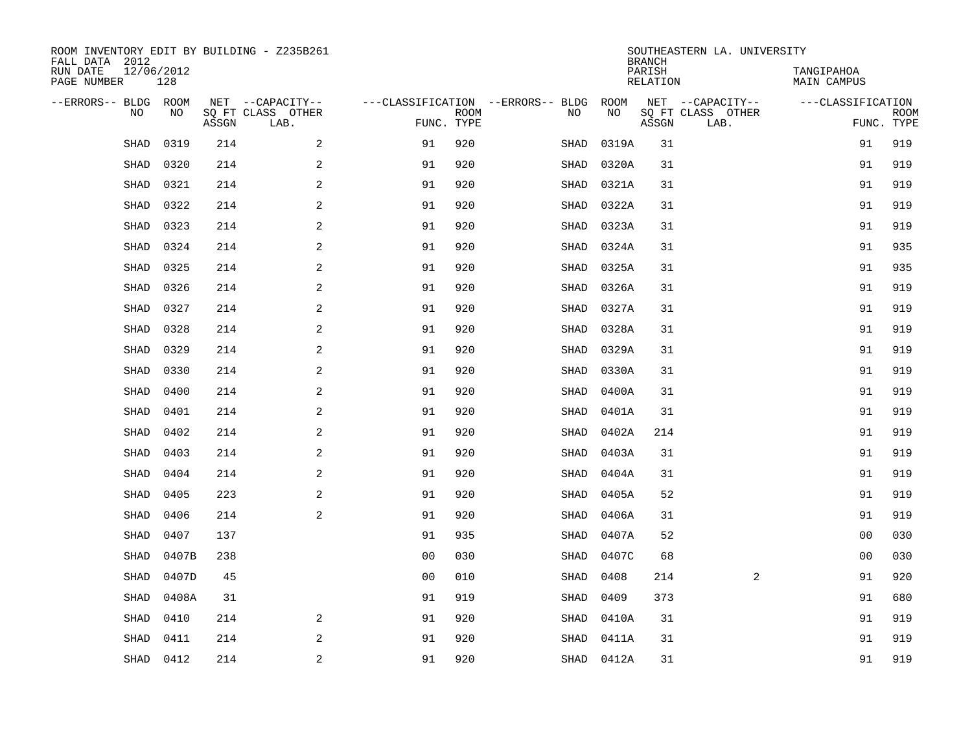| ROOM INVENTORY EDIT BY BUILDING - Z235B261<br>FALL DATA 2012 |                   |       |                           |                |             |                                   |            | <b>BRANCH</b>      | SOUTHEASTERN LA. UNIVERSITY |                                  |                           |
|--------------------------------------------------------------|-------------------|-------|---------------------------|----------------|-------------|-----------------------------------|------------|--------------------|-----------------------------|----------------------------------|---------------------------|
| RUN DATE<br>PAGE NUMBER                                      | 12/06/2012<br>128 |       |                           |                |             |                                   |            | PARISH<br>RELATION |                             | TANGIPAHOA<br><b>MAIN CAMPUS</b> |                           |
| --ERRORS-- BLDG ROOM                                         |                   |       | NET --CAPACITY--          |                |             | ---CLASSIFICATION --ERRORS-- BLDG | ROOM       |                    | NET --CAPACITY--            | ---CLASSIFICATION                |                           |
| NO                                                           | NO                | ASSGN | SQ FT CLASS OTHER<br>LAB. | FUNC. TYPE     | <b>ROOM</b> | NO                                | NO         | ASSGN              | SQ FT CLASS OTHER<br>LAB.   |                                  | <b>ROOM</b><br>FUNC. TYPE |
| SHAD                                                         | 0319              | 214   | 2                         | 91             | 920         | SHAD                              | 0319A      | 31                 |                             | 91                               | 919                       |
| SHAD                                                         | 0320              | 214   | $\sqrt{2}$                | 91             | 920         | SHAD                              | 0320A      | 31                 |                             | 91                               | 919                       |
| SHAD                                                         | 0321              | 214   | $\sqrt{2}$                | 91             | 920         | SHAD                              | 0321A      | 31                 |                             | 91                               | 919                       |
| <b>SHAD</b>                                                  | 0322              | 214   | 2                         | 91             | 920         | SHAD                              | 0322A      | 31                 |                             | 91                               | 919                       |
| <b>SHAD</b>                                                  | 0323              | 214   | 2                         | 91             | 920         | SHAD                              | 0323A      | 31                 |                             | 91                               | 919                       |
| <b>SHAD</b>                                                  | 0324              | 214   | 2                         | 91             | 920         | SHAD                              | 0324A      | 31                 |                             | 91                               | 935                       |
| <b>SHAD</b>                                                  | 0325              | 214   | 2                         | 91             | 920         | SHAD                              | 0325A      | 31                 |                             | 91                               | 935                       |
| <b>SHAD</b>                                                  | 0326              | 214   | 2                         | 91             | 920         | SHAD                              | 0326A      | 31                 |                             | 91                               | 919                       |
| <b>SHAD</b>                                                  | 0327              | 214   | 2                         | 91             | 920         | SHAD                              | 0327A      | 31                 |                             | 91                               | 919                       |
| SHAD                                                         | 0328              | 214   | $\mathbf{2}$              | 91             | 920         | SHAD                              | 0328A      | 31                 |                             | 91                               | 919                       |
| SHAD                                                         | 0329              | 214   | 2                         | 91             | 920         | SHAD                              | 0329A      | 31                 |                             | 91                               | 919                       |
| SHAD                                                         | 0330              | 214   | 2                         | 91             | 920         | SHAD                              | 0330A      | 31                 |                             | 91                               | 919                       |
| <b>SHAD</b>                                                  | 0400              | 214   | 2                         | 91             | 920         | SHAD                              | 0400A      | 31                 |                             | 91                               | 919                       |
| SHAD                                                         | 0401              | 214   | $\mathbf{2}$              | 91             | 920         | SHAD                              | 0401A      | 31                 |                             | 91                               | 919                       |
| <b>SHAD</b>                                                  | 0402              | 214   | 2                         | 91             | 920         | SHAD                              | 0402A      | 214                |                             | 91                               | 919                       |
| <b>SHAD</b>                                                  | 0403              | 214   | 2                         | 91             | 920         | SHAD                              | 0403A      | 31                 |                             | 91                               | 919                       |
| SHAD                                                         | 0404              | 214   | 2                         | 91             | 920         | SHAD                              | 0404A      | 31                 |                             | 91                               | 919                       |
| SHAD                                                         | 0405              | 223   | $\mathbf{2}$              | 91             | 920         | SHAD                              | 0405A      | 52                 |                             | 91                               | 919                       |
| SHAD                                                         | 0406              | 214   | 2                         | 91             | 920         | SHAD                              | 0406A      | 31                 |                             | 91                               | 919                       |
| SHAD                                                         | 0407              | 137   |                           | 91             | 935         | SHAD                              | 0407A      | 52                 |                             | 00                               | 030                       |
| <b>SHAD</b>                                                  | 0407B             | 238   |                           | 0 <sub>0</sub> | 030         | SHAD                              | 0407C      | 68                 |                             | 00                               | 030                       |
| <b>SHAD</b>                                                  | 0407D             | 45    |                           | 00             | 010         | <b>SHAD</b>                       | 0408       | 214                | 2                           | 91                               | 920                       |
| <b>SHAD</b>                                                  | 0408A             | 31    |                           | 91             | 919         | SHAD                              | 0409       | 373                |                             | 91                               | 680                       |
| <b>SHAD</b>                                                  | 0410              | 214   | 2                         | 91             | 920         | SHAD                              | 0410A      | 31                 |                             | 91                               | 919                       |
| SHAD                                                         | 0411              | 214   | 2                         | 91             | 920         | SHAD                              | 0411A      | 31                 |                             | 91                               | 919                       |
| SHAD                                                         | 0412              | 214   | $\sqrt{2}$                | 91             | 920         |                                   | SHAD 0412A | 31                 |                             | 91                               | 919                       |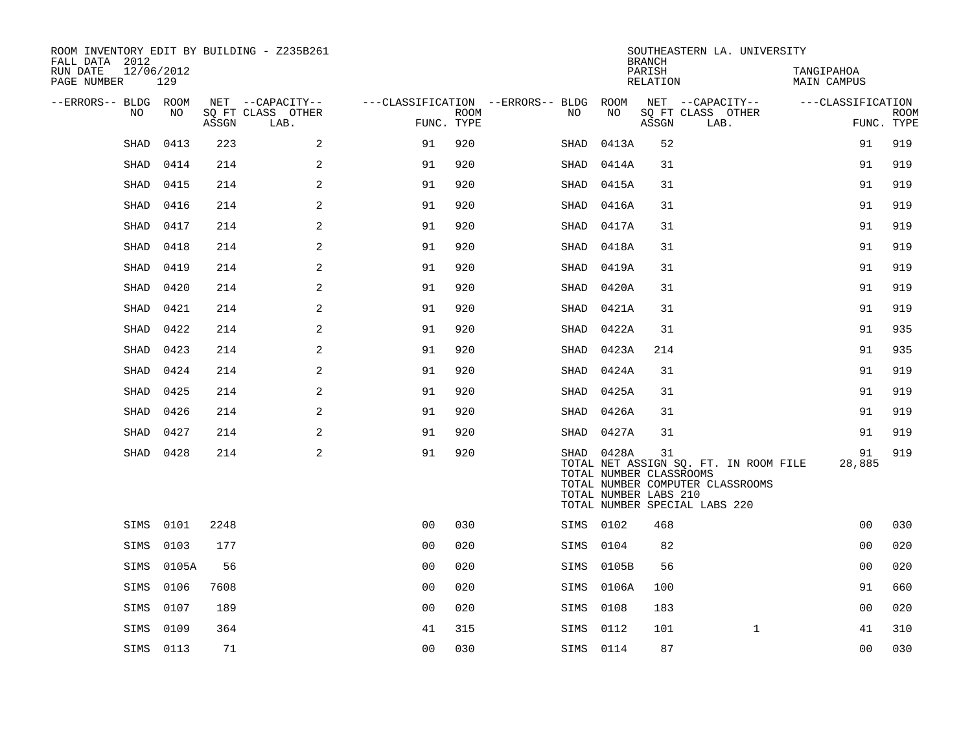| ROOM INVENTORY EDIT BY BUILDING - Z235B261<br>FALL DATA 2012 |           |       |                           |                |             |                                        |                                                                | <b>BRANCH</b>      | SOUTHEASTERN LA. UNIVERSITY                                                                                |                           |                           |
|--------------------------------------------------------------|-----------|-------|---------------------------|----------------|-------------|----------------------------------------|----------------------------------------------------------------|--------------------|------------------------------------------------------------------------------------------------------------|---------------------------|---------------------------|
| 12/06/2012<br>RUN DATE<br>PAGE NUMBER                        | 129       |       |                           |                |             |                                        |                                                                | PARISH<br>RELATION |                                                                                                            | TANGIPAHOA<br>MAIN CAMPUS |                           |
| --ERRORS-- BLDG ROOM                                         |           |       | NET --CAPACITY--          |                |             | ---CLASSIFICATION --ERRORS-- BLDG ROOM |                                                                |                    | NET --CAPACITY--                                                                                           | ---CLASSIFICATION         |                           |
| NO                                                           | NO        | ASSGN | SO FT CLASS OTHER<br>LAB. | FUNC. TYPE     | <b>ROOM</b> | NO                                     | NO                                                             | ASSGN              | SQ FT CLASS OTHER<br>LAB.                                                                                  |                           | <b>ROOM</b><br>FUNC. TYPE |
| <b>SHAD</b>                                                  | 0413      | 223   | 2                         | 91             | 920         | SHAD                                   | 0413A                                                          | 52                 |                                                                                                            | 91                        | 919                       |
| SHAD                                                         | 0414      | 214   | 2                         | 91             | 920         | SHAD                                   | 0414A                                                          | 31                 |                                                                                                            | 91                        | 919                       |
| <b>SHAD</b>                                                  | 0415      | 214   | 2                         | 91             | 920         | SHAD                                   | 0415A                                                          | 31                 |                                                                                                            | 91                        | 919                       |
| <b>SHAD</b>                                                  | 0416      | 214   | 2                         | 91             | 920         | SHAD                                   | 0416A                                                          | 31                 |                                                                                                            | 91                        | 919                       |
| <b>SHAD</b>                                                  | 0417      | 214   | 2                         | 91             | 920         | SHAD                                   | 0417A                                                          | 31                 |                                                                                                            | 91                        | 919                       |
| SHAD                                                         | 0418      | 214   | 2                         | 91             | 920         | SHAD                                   | 0418A                                                          | 31                 |                                                                                                            | 91                        | 919                       |
| SHAD                                                         | 0419      | 214   | 2                         | 91             | 920         | SHAD                                   | 0419A                                                          | 31                 |                                                                                                            | 91                        | 919                       |
| SHAD                                                         | 0420      | 214   | 2                         | 91             | 920         | SHAD                                   | 0420A                                                          | 31                 |                                                                                                            | 91                        | 919                       |
| SHAD                                                         | 0421      | 214   | 2                         | 91             | 920         | SHAD                                   | 0421A                                                          | 31                 |                                                                                                            | 91                        | 919                       |
| SHAD                                                         | 0422      | 214   | $\mathbf{2}$              | 91             | 920         | SHAD                                   | 0422A                                                          | 31                 |                                                                                                            | 91                        | 935                       |
| SHAD                                                         | 0423      | 214   | 2                         | 91             | 920         | SHAD                                   | 0423A                                                          | 214                |                                                                                                            | 91                        | 935                       |
| SHAD                                                         | 0424      | 214   | 2                         | 91             | 920         | SHAD                                   | 0424A                                                          | 31                 |                                                                                                            | 91                        | 919                       |
| SHAD                                                         | 0425      | 214   | 2                         | 91             | 920         | SHAD                                   | 0425A                                                          | 31                 |                                                                                                            | 91                        | 919                       |
| SHAD                                                         | 0426      | 214   | 2                         | 91             | 920         |                                        | SHAD 0426A                                                     | 31                 |                                                                                                            | 91                        | 919                       |
| SHAD                                                         | 0427      | 214   | 2                         | 91             | 920         |                                        | SHAD 0427A                                                     | 31                 |                                                                                                            | 91                        | 919                       |
| SHAD                                                         | 0428      | 214   | 2                         | 91             | 920         |                                        | SHAD 0428A<br>TOTAL NUMBER CLASSROOMS<br>TOTAL NUMBER LABS 210 | 31                 | TOTAL NET ASSIGN SQ. FT. IN ROOM FILE<br>TOTAL NUMBER COMPUTER CLASSROOMS<br>TOTAL NUMBER SPECIAL LABS 220 | 91<br>28,885              | 919                       |
|                                                              | SIMS 0101 | 2248  |                           | 0 <sub>0</sub> | 030         | SIMS 0102                              |                                                                | 468                |                                                                                                            | 0 <sub>0</sub>            | 030                       |
| SIMS                                                         | 0103      | 177   |                           | 0 <sub>0</sub> | 020         | SIMS 0104                              |                                                                | 82                 |                                                                                                            | 0 <sub>0</sub>            | 020                       |
| SIMS                                                         | 0105A     | 56    |                           | 0 <sub>0</sub> | 020         |                                        | SIMS 0105B                                                     | 56                 |                                                                                                            | 0 <sub>0</sub>            | 020                       |
| SIMS                                                         | 0106      | 7608  |                           | 0 <sub>0</sub> | 020         |                                        | SIMS 0106A                                                     | 100                |                                                                                                            | 91                        | 660                       |
| SIMS                                                         | 0107      | 189   |                           | 0 <sub>0</sub> | 020         | SIMS 0108                              |                                                                | 183                |                                                                                                            | 0 <sub>0</sub>            | 020                       |
| SIMS                                                         | 0109      | 364   |                           | 41             | 315         | SIMS 0112                              |                                                                | 101                | $\mathbf{1}$                                                                                               | 41                        | 310                       |
|                                                              | SIMS 0113 | 71    |                           | 0 <sub>0</sub> | 030         | SIMS 0114                              |                                                                | 87                 |                                                                                                            | 0 <sub>0</sub>            | 030                       |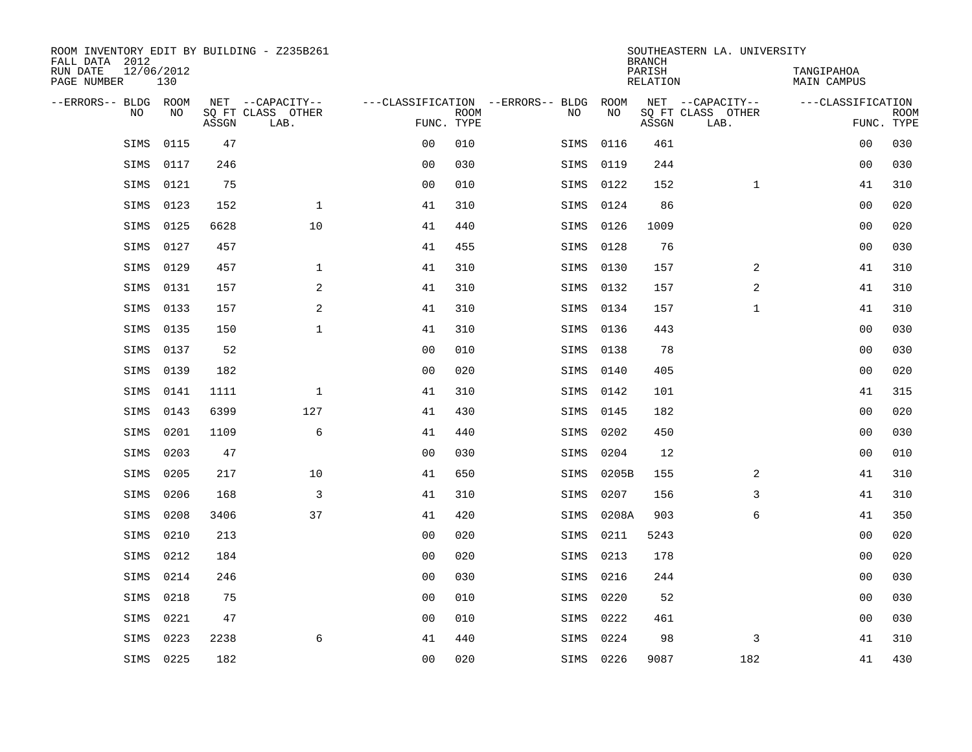| ROOM INVENTORY EDIT BY BUILDING - Z235B261<br>FALL DATA 2012 |                   |       |                           |                |             |                                   |           | <b>BRANCH</b>             | SOUTHEASTERN LA. UNIVERSITY |                                  |                           |
|--------------------------------------------------------------|-------------------|-------|---------------------------|----------------|-------------|-----------------------------------|-----------|---------------------------|-----------------------------|----------------------------------|---------------------------|
| RUN DATE<br>PAGE NUMBER                                      | 12/06/2012<br>130 |       |                           |                |             |                                   |           | PARISH<br><b>RELATION</b> |                             | TANGIPAHOA<br><b>MAIN CAMPUS</b> |                           |
| --ERRORS-- BLDG ROOM                                         |                   |       | NET --CAPACITY--          |                |             | ---CLASSIFICATION --ERRORS-- BLDG | ROOM      |                           | NET --CAPACITY--            | ---CLASSIFICATION                |                           |
| <b>NO</b>                                                    | NO.               | ASSGN | SO FT CLASS OTHER<br>LAB. | FUNC. TYPE     | <b>ROOM</b> | NO.                               | NO        | ASSGN                     | SO FT CLASS OTHER<br>LAB.   |                                  | <b>ROOM</b><br>FUNC. TYPE |
| SIMS                                                         | 0115              | 47    |                           | 0 <sub>0</sub> | 010         | SIMS                              | 0116      | 461                       |                             | 00                               | 030                       |
| SIMS                                                         | 0117              | 246   |                           | 0 <sub>0</sub> | 030         | SIMS                              | 0119      | 244                       |                             | 00                               | 030                       |
| SIMS                                                         | 0121              | 75    |                           | 0 <sub>0</sub> | 010         | SIMS                              | 0122      | 152                       | $\mathbf{1}$                | 41                               | 310                       |
| SIMS                                                         | 0123              | 152   | $\mathbf{1}$              | 41             | 310         | SIMS                              | 0124      | 86                        |                             | 0 <sub>0</sub>                   | 020                       |
| SIMS                                                         | 0125              | 6628  | 10                        | 41             | 440         | SIMS                              | 0126      | 1009                      |                             | 0 <sub>0</sub>                   | 020                       |
| SIMS                                                         | 0127              | 457   |                           | 41             | 455         | SIMS                              | 0128      | 76                        |                             | 0 <sub>0</sub>                   | 030                       |
| SIMS                                                         | 0129              | 457   | $\mathbf 1$               | 41             | 310         | SIMS                              | 0130      | 157                       | 2                           | 41                               | 310                       |
| SIMS                                                         | 0131              | 157   | 2                         | 41             | 310         | SIMS                              | 0132      | 157                       | 2                           | 41                               | 310                       |
| SIMS                                                         | 0133              | 157   | 2                         | 41             | 310         | SIMS                              | 0134      | 157                       | $\mathbf{1}$                | 41                               | 310                       |
| SIMS                                                         | 0135              | 150   | $\mathbf{1}$              | 41             | 310         |                                   | SIMS 0136 | 443                       |                             | 0 <sub>0</sub>                   | 030                       |
| SIMS                                                         | 0137              | 52    |                           | 0 <sub>0</sub> | 010         | SIMS                              | 0138      | 78                        |                             | 0 <sub>0</sub>                   | 030                       |
| SIMS                                                         | 0139              | 182   |                           | 0 <sub>0</sub> | 020         | SIMS                              | 0140      | 405                       |                             | 0 <sub>0</sub>                   | 020                       |
| SIMS                                                         | 0141              | 1111  | $\mathbf{1}$              | 41             | 310         | SIMS                              | 0142      | 101                       |                             | 41                               | 315                       |
| SIMS                                                         | 0143              | 6399  | 127                       | 41             | 430         | SIMS                              | 0145      | 182                       |                             | 00                               | 020                       |
| SIMS                                                         | 0201              | 1109  | 6                         | 41             | 440         | SIMS                              | 0202      | 450                       |                             | 00                               | 030                       |
| SIMS                                                         | 0203              | 47    |                           | 0 <sub>0</sub> | 030         | SIMS                              | 0204      | 12                        |                             | 00                               | 010                       |
| SIMS                                                         | 0205              | 217   | 10                        | 41             | 650         | SIMS                              | 0205B     | 155                       | 2                           | 41                               | 310                       |
| SIMS                                                         | 0206              | 168   | 3                         | 41             | 310         | SIMS                              | 0207      | 156                       | 3                           | 41                               | 310                       |
| SIMS                                                         | 0208              | 3406  | 37                        | 41             | 420         | SIMS                              | 0208A     | 903                       | 6                           | 41                               | 350                       |
| SIMS                                                         | 0210              | 213   |                           | 0 <sub>0</sub> | 020         | SIMS                              | 0211      | 5243                      |                             | 00                               | 020                       |
| SIMS                                                         | 0212              | 184   |                           | 0 <sub>0</sub> | 020         | SIMS                              | 0213      | 178                       |                             | 0 <sub>0</sub>                   | 020                       |
| SIMS                                                         | 0214              | 246   |                           | 0 <sub>0</sub> | 030         | SIMS                              | 0216      | 244                       |                             | 0 <sub>0</sub>                   | 030                       |
| SIMS                                                         | 0218              | 75    |                           | 0 <sub>0</sub> | 010         | SIMS                              | 0220      | 52                        |                             | 0 <sub>0</sub>                   | 030                       |
| SIMS                                                         | 0221              | 47    |                           | 0 <sub>0</sub> | 010         | SIMS                              | 0222      | 461                       |                             | 0 <sub>0</sub>                   | 030                       |
| SIMS                                                         | 0223              | 2238  | 6                         | 41             | 440         | SIMS                              | 0224      | 98                        | 3                           | 41                               | 310                       |
| SIMS                                                         | 0225              | 182   |                           | 00             | 020         |                                   | SIMS 0226 | 9087                      | 182                         | 41                               | 430                       |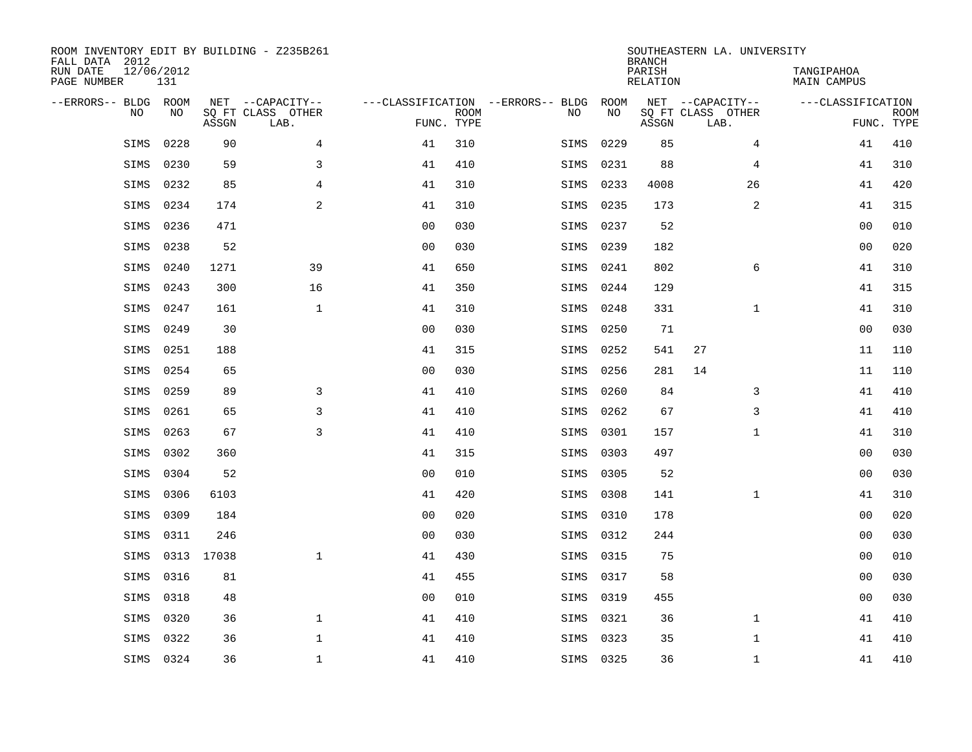| ROOM INVENTORY EDIT BY BUILDING - Z235B261<br>FALL DATA 2012<br>RUN DATE<br>PAGE NUMBER | 12/06/2012<br>131 |            |                                               |                |             |                                         |            | <b>BRANCH</b><br>PARISH<br><b>RELATION</b> | SOUTHEASTERN LA. UNIVERSITY                   | TANGIPAHOA<br><b>MAIN CAMPUS</b> |                           |
|-----------------------------------------------------------------------------------------|-------------------|------------|-----------------------------------------------|----------------|-------------|-----------------------------------------|------------|--------------------------------------------|-----------------------------------------------|----------------------------------|---------------------------|
| --ERRORS-- BLDG ROOM<br>NO                                                              | NO                | ASSGN      | NET --CAPACITY--<br>SQ FT CLASS OTHER<br>LAB. | FUNC. TYPE     | <b>ROOM</b> | ---CLASSIFICATION --ERRORS-- BLDG<br>NO | ROOM<br>NO | ASSGN                                      | NET --CAPACITY--<br>SQ FT CLASS OTHER<br>LAB. | ---CLASSIFICATION                | <b>ROOM</b><br>FUNC. TYPE |
| SIMS                                                                                    | 0228              | 90         | 4                                             | 41             | 310         | SIMS                                    | 0229       | 85                                         | 4                                             | 41                               | 410                       |
| SIMS                                                                                    | 0230              | 59         | 3                                             | 41             | 410         | SIMS                                    | 0231       | 88                                         | 4                                             | 41                               | 310                       |
| SIMS                                                                                    | 0232              | 85         | 4                                             | 41             | 310         | SIMS                                    | 0233       | 4008                                       | 26                                            | 41                               | 420                       |
| SIMS                                                                                    | 0234              | 174        | 2                                             | 41             | 310         | SIMS                                    | 0235       | 173                                        | $\overline{a}$                                | 41                               | 315                       |
| SIMS                                                                                    | 0236              | 471        |                                               | 0 <sub>0</sub> | 030         | SIMS                                    | 0237       | 52                                         |                                               | 0 <sub>0</sub>                   | 010                       |
| SIMS                                                                                    | 0238              | 52         |                                               | 0 <sub>0</sub> | 030         | SIMS                                    | 0239       | 182                                        |                                               | 0 <sub>0</sub>                   | 020                       |
| SIMS                                                                                    | 0240              | 1271       | 39                                            | 41             | 650         | SIMS                                    | 0241       | 802                                        | 6                                             | 41                               | 310                       |
| SIMS                                                                                    | 0243              | 300        | 16                                            | 41             | 350         | SIMS                                    | 0244       | 129                                        |                                               | 41                               | 315                       |
| SIMS                                                                                    | 0247              | 161        | $\mathbf{1}$                                  | 41             | 310         | SIMS                                    | 0248       | 331                                        | $\mathbf{1}$                                  | 41                               | 310                       |
| SIMS                                                                                    | 0249              | 30         |                                               | 0 <sub>0</sub> | 030         | SIMS                                    | 0250       | 71                                         |                                               | 0 <sub>0</sub>                   | 030                       |
| SIMS                                                                                    | 0251              | 188        |                                               | 41             | 315         | SIMS                                    | 0252       | 541                                        | 27                                            | 11                               | 110                       |
| SIMS                                                                                    | 0254              | 65         |                                               | 0 <sub>0</sub> | 030         | SIMS                                    | 0256       | 281                                        | 14                                            | 11                               | 110                       |
| SIMS                                                                                    | 0259              | 89         | 3                                             | 41             | 410         | SIMS                                    | 0260       | 84                                         | 3                                             | 41                               | 410                       |
| SIMS                                                                                    | 0261              | 65         | 3                                             | 41             | 410         | SIMS                                    | 0262       | 67                                         | 3                                             | 41                               | 410                       |
| SIMS                                                                                    | 0263              | 67         | 3                                             | 41             | 410         | SIMS                                    | 0301       | 157                                        | $\mathbf{1}$                                  | 41                               | 310                       |
| SIMS                                                                                    | 0302              | 360        |                                               | 41             | 315         | SIMS                                    | 0303       | 497                                        |                                               | 00                               | 030                       |
| SIMS                                                                                    | 0304              | 52         |                                               | 0 <sub>0</sub> | 010         | SIMS                                    | 0305       | 52                                         |                                               | 0 <sub>0</sub>                   | 030                       |
| SIMS                                                                                    | 0306              | 6103       |                                               | 41             | 420         | SIMS                                    | 0308       | 141                                        | $\mathbf{1}$                                  | 41                               | 310                       |
| SIMS                                                                                    | 0309              | 184        |                                               | 0 <sub>0</sub> | 020         | SIMS                                    | 0310       | 178                                        |                                               | 0 <sub>0</sub>                   | 020                       |
| SIMS                                                                                    | 0311              | 246        |                                               | 0 <sub>0</sub> | 030         | SIMS                                    | 0312       | 244                                        |                                               | 00                               | 030                       |
| SIMS                                                                                    |                   | 0313 17038 | $\mathbf{1}$                                  | 41             | 430         | SIMS                                    | 0315       | 75                                         |                                               | 00                               | 010                       |
| SIMS                                                                                    | 0316              | 81         |                                               | 41             | 455         | SIMS                                    | 0317       | 58                                         |                                               | 00                               | 030                       |
| SIMS                                                                                    | 0318              | 48         |                                               | 0 <sub>0</sub> | 010         | SIMS                                    | 0319       | 455                                        |                                               | 0 <sub>0</sub>                   | 030                       |
| SIMS                                                                                    | 0320              | 36         | $\mathbf{1}$                                  | 41             | 410         | SIMS                                    | 0321       | 36                                         | $\mathbf{1}$                                  | 41                               | 410                       |
| SIMS                                                                                    | 0322              | 36         | $\mathbf 1$                                   | 41             | 410         | SIMS                                    | 0323       | 35                                         | $\mathbf{1}$                                  | 41                               | 410                       |
|                                                                                         | SIMS 0324         | 36         | $\mathbf{1}$                                  | 41             | 410         |                                         | SIMS 0325  | 36                                         | $\mathbf{1}$                                  | 41                               | 410                       |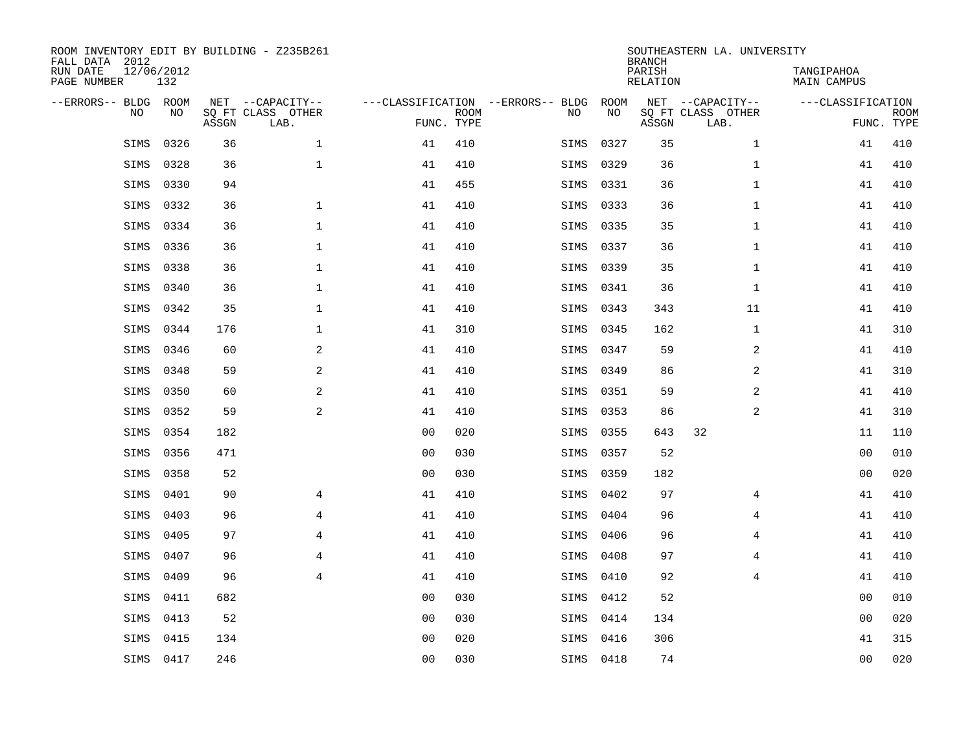| FALL DATA 2012<br>RUN DATE<br>PAGE NUMBER | 12/06/2012 | 132         |       | ROOM INVENTORY EDIT BY BUILDING - Z235B261    |                                                 |             |      |            | <b>BRANCH</b><br>PARISH<br>RELATION | SOUTHEASTERN LA. UNIVERSITY                   | TANGIPAHOA<br>MAIN CAMPUS |                           |
|-------------------------------------------|------------|-------------|-------|-----------------------------------------------|-------------------------------------------------|-------------|------|------------|-------------------------------------|-----------------------------------------------|---------------------------|---------------------------|
| --ERRORS-- BLDG                           | <b>NO</b>  | ROOM<br>NO. | ASSGN | NET --CAPACITY--<br>SO FT CLASS OTHER<br>LAB. | ---CLASSIFICATION --ERRORS-- BLDG<br>FUNC. TYPE | <b>ROOM</b> | NO   | ROOM<br>NO | ASSGN                               | NET --CAPACITY--<br>SQ FT CLASS OTHER<br>LAB. | ---CLASSIFICATION         | <b>ROOM</b><br>FUNC. TYPE |
|                                           | SIMS       | 0326        | 36    | $\mathbf{1}$                                  | 41                                              | 410         | SIMS | 0327       | 35                                  | $\mathbf{1}$                                  | 41                        | 410                       |
|                                           | SIMS       | 0328        | 36    | $\mathbf 1$                                   | 41                                              | 410         | SIMS | 0329       | 36                                  | $\mathbf{1}$                                  | 41                        | 410                       |
|                                           | SIMS       | 0330        | 94    |                                               | 41                                              | 455         | SIMS | 0331       | 36                                  | $\mathbf{1}$                                  | 41                        | 410                       |
|                                           | SIMS       | 0332        | 36    | $\mathbf{1}$                                  | 41                                              | 410         | SIMS | 0333       | 36                                  | $\mathbf{1}$                                  | 41                        | 410                       |
|                                           | SIMS       | 0334        | 36    | $\mathbf{1}$                                  | 41                                              | 410         | SIMS | 0335       | 35                                  | $\mathbf{1}$                                  | 41                        | 410                       |
|                                           | SIMS       | 0336        | 36    | $\mathbf{1}$                                  | 41                                              | 410         | SIMS | 0337       | 36                                  | $\mathbf{1}$                                  | 41                        | 410                       |
|                                           | SIMS       | 0338        | 36    | $\mathbf{1}$                                  | 41                                              | 410         | SIMS | 0339       | 35                                  | $\mathbf{1}$                                  | 41                        | 410                       |
|                                           | SIMS       | 0340        | 36    | $\mathbf{1}$                                  | 41                                              | 410         | SIMS | 0341       | 36                                  | $\mathbf{1}$                                  | 41                        | 410                       |
|                                           | SIMS       | 0342        | 35    | $\mathbf{1}$                                  | 41                                              | 410         | SIMS | 0343       | 343                                 | 11                                            | 41                        | 410                       |
|                                           | SIMS       | 0344        | 176   | $\mathbf 1$                                   | 41                                              | 310         | SIMS | 0345       | 162                                 | $\mathbf{1}$                                  | 41                        | 310                       |
|                                           | SIMS       | 0346        | 60    | 2                                             | 41                                              | 410         | SIMS | 0347       | 59                                  | 2                                             | 41                        | 410                       |
|                                           | SIMS       | 0348        | 59    | 2                                             | 41                                              | 410         | SIMS | 0349       | 86                                  | 2                                             | 41                        | 310                       |
|                                           | SIMS       | 0350        | 60    | 2                                             | 41                                              | 410         | SIMS | 0351       | 59                                  | 2                                             | 41                        | 410                       |
|                                           | SIMS       | 0352        | 59    | $\mathbf{2}$                                  | 41                                              | 410         | SIMS | 0353       | 86                                  | 2                                             | 41                        | 310                       |
|                                           | SIMS       | 0354        | 182   |                                               | 0 <sub>0</sub>                                  | 020         | SIMS | 0355       | 643                                 | 32                                            | 11                        | 110                       |
|                                           | SIMS       | 0356        | 471   |                                               | 0 <sub>0</sub>                                  | 030         | SIMS | 0357       | 52                                  |                                               | 00                        | 010                       |
|                                           | SIMS       | 0358        | 52    |                                               | 0 <sub>0</sub>                                  | 030         | SIMS | 0359       | 182                                 |                                               | 0 <sub>0</sub>            | 020                       |
|                                           | SIMS       | 0401        | 90    | $\overline{4}$                                | 41                                              | 410         | SIMS | 0402       | 97                                  | 4                                             | 41                        | 410                       |
|                                           | SIMS       | 0403        | 96    | $\overline{4}$                                | 41                                              | 410         | SIMS | 0404       | 96                                  | $\overline{4}$                                | 41                        | 410                       |
|                                           | SIMS       | 0405        | 97    | $\overline{4}$                                | 41                                              | 410         | SIMS | 0406       | 96                                  | $\overline{4}$                                | 41                        | 410                       |
|                                           | SIMS       | 0407        | 96    | $\overline{4}$                                | 41                                              | 410         | SIMS | 0408       | 97                                  | $\overline{4}$                                | 41                        | 410                       |
|                                           | SIMS       | 0409        | 96    | $\overline{4}$                                | 41                                              | 410         | SIMS | 0410       | 92                                  | $\overline{4}$                                | 41                        | 410                       |
|                                           | SIMS       | 0411        | 682   |                                               | 0 <sub>0</sub>                                  | 030         | SIMS | 0412       | 52                                  |                                               | 0 <sub>0</sub>            | 010                       |
|                                           | SIMS       | 0413        | 52    |                                               | 00                                              | 030         | SIMS | 0414       | 134                                 |                                               | 0 <sub>0</sub>            | 020                       |
|                                           | SIMS       | 0415        | 134   |                                               | 0 <sub>0</sub>                                  | 020         | SIMS | 0416       | 306                                 |                                               | 41                        | 315                       |
|                                           | SIMS 0417  |             | 246   |                                               | 00                                              | 030         |      | SIMS 0418  | 74                                  |                                               | 0 <sub>0</sub>            | 020                       |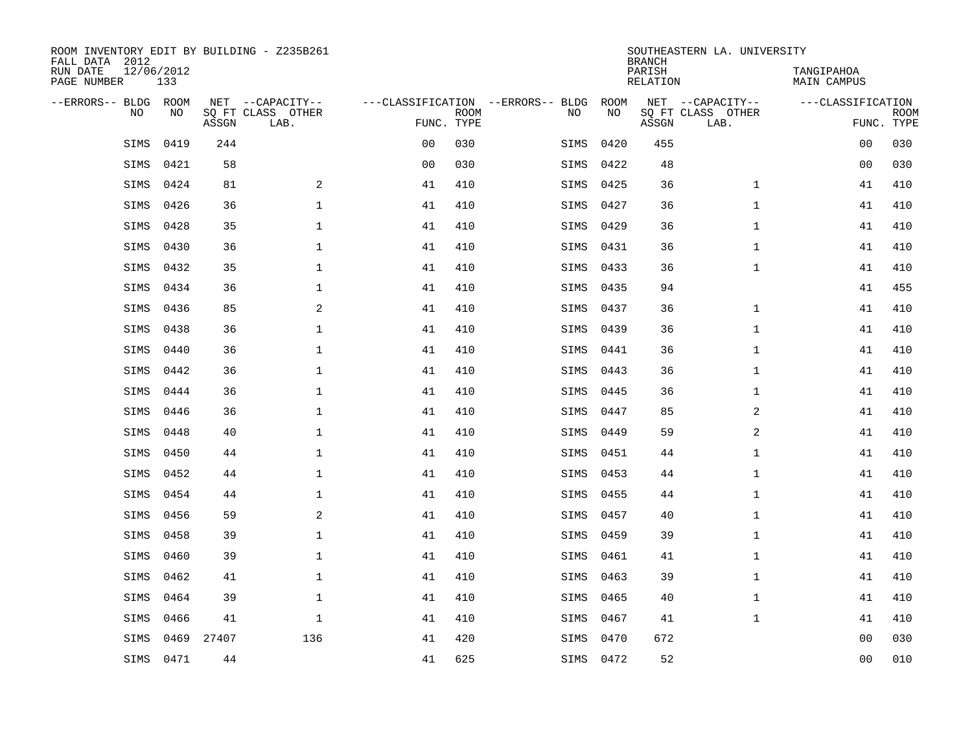| ROOM INVENTORY EDIT BY BUILDING - Z235B261<br>FALL DATA 2012 |                   |       |                           |                |             |                                   |           | <b>BRANCH</b>             | SOUTHEASTERN LA. UNIVERSITY |                                  |                           |
|--------------------------------------------------------------|-------------------|-------|---------------------------|----------------|-------------|-----------------------------------|-----------|---------------------------|-----------------------------|----------------------------------|---------------------------|
| RUN DATE<br>PAGE NUMBER                                      | 12/06/2012<br>133 |       |                           |                |             |                                   |           | PARISH<br><b>RELATION</b> |                             | TANGIPAHOA<br><b>MAIN CAMPUS</b> |                           |
| --ERRORS-- BLDG ROOM                                         |                   |       | NET --CAPACITY--          |                |             | ---CLASSIFICATION --ERRORS-- BLDG | ROOM      |                           | NET --CAPACITY--            | ---CLASSIFICATION                |                           |
| NO                                                           | NO                | ASSGN | SQ FT CLASS OTHER<br>LAB. | FUNC. TYPE     | <b>ROOM</b> | NO                                | NO        | ASSGN                     | SQ FT CLASS OTHER<br>LAB.   |                                  | <b>ROOM</b><br>FUNC. TYPE |
| SIMS                                                         | 0419              | 244   |                           | 0 <sub>0</sub> | 030         | SIMS                              | 0420      | 455                       |                             | 0 <sub>0</sub>                   | 030                       |
| SIMS                                                         | 0421              | 58    |                           | 0 <sub>0</sub> | 030         | SIMS                              | 0422      | 48                        |                             | 00                               | 030                       |
| SIMS                                                         | 0424              | 81    | 2                         | 41             | 410         | SIMS                              | 0425      | 36                        | $\mathbf{1}$                | 41                               | 410                       |
| SIMS                                                         | 0426              | 36    | $\mathbf 1$               | 41             | 410         | SIMS                              | 0427      | 36                        | $\mathbf{1}$                | 41                               | 410                       |
| SIMS                                                         | 0428              | 35    | $\mathbf{1}$              | 41             | 410         | SIMS                              | 0429      | 36                        | $\mathbf{1}$                | 41                               | 410                       |
| SIMS                                                         | 0430              | 36    | $\mathbf 1$               | 41             | 410         | SIMS                              | 0431      | 36                        | $\mathbf{1}$                | 41                               | 410                       |
| SIMS                                                         | 0432              | 35    | $\mathbf{1}$              | 41             | 410         | SIMS                              | 0433      | 36                        | $\mathbf{1}$                | 41                               | 410                       |
| SIMS                                                         | 0434              | 36    | $\mathbf{1}$              | 41             | 410         | SIMS                              | 0435      | 94                        |                             | 41                               | 455                       |
| SIMS                                                         | 0436              | 85    | 2                         | 41             | 410         | SIMS                              | 0437      | 36                        | $\mathbf{1}$                | 41                               | 410                       |
| SIMS                                                         | 0438              | 36    | $\mathbf 1$               | 41             | 410         | SIMS                              | 0439      | 36                        | $\mathbf{1}$                | 41                               | 410                       |
| SIMS                                                         | 0440              | 36    | $\mathbf{1}$              | 41             | 410         | SIMS                              | 0441      | 36                        | $\mathbf{1}$                | 41                               | 410                       |
| SIMS                                                         | 0442              | 36    | $\mathbf 1$               | 41             | 410         | SIMS                              | 0443      | 36                        | $\mathbf{1}$                | 41                               | 410                       |
| SIMS                                                         | 0444              | 36    | $\mathbf{1}$              | 41             | 410         | SIMS                              | 0445      | 36                        | $\mathbf{1}$                | 41                               | 410                       |
| SIMS                                                         | 0446              | 36    | $\mathbf 1$               | 41             | 410         | SIMS                              | 0447      | 85                        | 2                           | 41                               | 410                       |
| SIMS                                                         | 0448              | 40    | $\mathbf{1}$              | 41             | 410         | SIMS                              | 0449      | 59                        | 2                           | 41                               | 410                       |
| SIMS                                                         | 0450              | 44    | $\mathbf{1}$              | 41             | 410         | SIMS                              | 0451      | 44                        | $\mathbf{1}$                | 41                               | 410                       |
| SIMS                                                         | 0452              | 44    | $\mathbf{1}$              | 41             | 410         | SIMS                              | 0453      | 44                        | $\mathbf{1}$                | 41                               | 410                       |
| SIMS                                                         | 0454              | 44    | $\mathbf 1$               | 41             | 410         | SIMS                              | 0455      | 44                        | $\mathbf{1}$                | 41                               | 410                       |
| SIMS                                                         | 0456              | 59    | 2                         | 41             | 410         | SIMS                              | 0457      | 40                        | $\mathbf{1}$                | 41                               | 410                       |
| SIMS                                                         | 0458              | 39    | $\mathbf 1$               | 41             | 410         | SIMS                              | 0459      | 39                        | $\mathbf{1}$                | 41                               | 410                       |
| SIMS                                                         | 0460              | 39    | $\mathbf{1}$              | 41             | 410         | SIMS                              | 0461      | 41                        | $\mathbf{1}$                | 41                               | 410                       |
| SIMS                                                         | 0462              | 41    | $\mathbf{1}$              | 41             | 410         | SIMS                              | 0463      | 39                        | $\mathbf{1}$                | 41                               | 410                       |
| SIMS                                                         | 0464              | 39    | $\mathbf{1}$              | 41             | 410         | SIMS                              | 0465      | 40                        | $\mathbf{1}$                | 41                               | 410                       |
| SIMS                                                         | 0466              | 41    | $\mathbf 1$               | 41             | 410         | SIMS                              | 0467      | 41                        | $\mathbf{1}$                | 41                               | 410                       |
| SIMS                                                         | 0469              | 27407 | 136                       | 41             | 420         | SIMS                              | 0470      | 672                       |                             | 0 <sub>0</sub>                   | 030                       |
|                                                              | SIMS 0471         | 44    |                           | 41             | 625         |                                   | SIMS 0472 | 52                        |                             | 00                               | 010                       |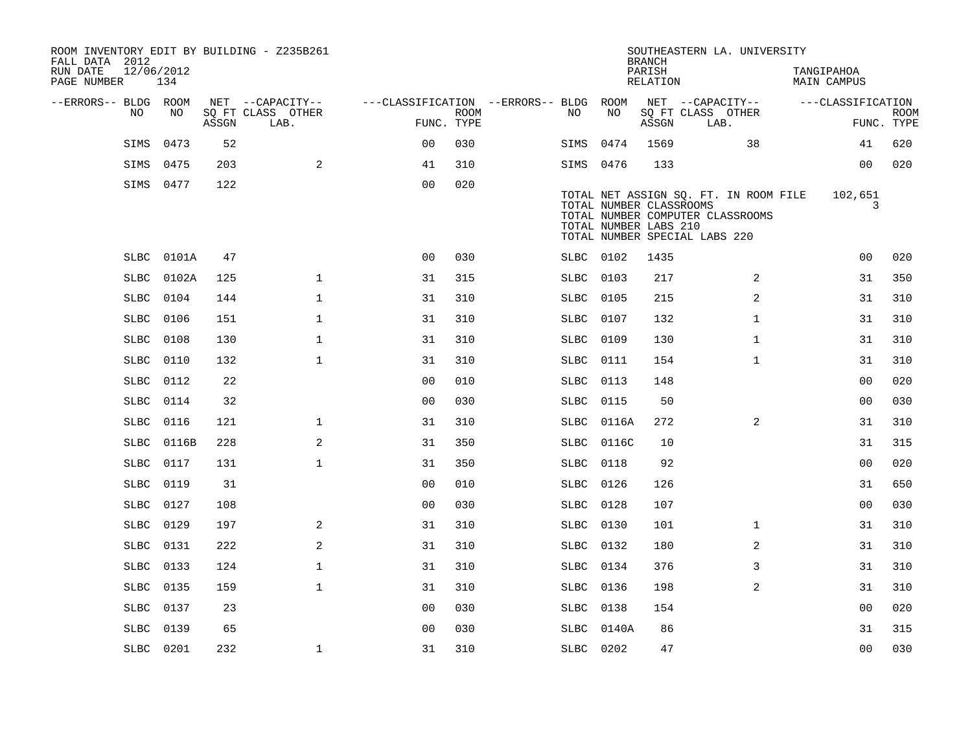| FALL DATA 2012<br>RUN DATE<br>PAGE NUMBER | 12/06/2012  | 134   |       | ROOM INVENTORY EDIT BY BUILDING - Z235B261 |                                        |                           |           |            | <b>BRANCH</b><br>PARISH<br>RELATION              | SOUTHEASTERN LA. UNIVERSITY                                                                                | TANGIPAHOA<br><b>MAIN CAMPUS</b> |                   |                           |
|-------------------------------------------|-------------|-------|-------|--------------------------------------------|----------------------------------------|---------------------------|-----------|------------|--------------------------------------------------|------------------------------------------------------------------------------------------------------------|----------------------------------|-------------------|---------------------------|
| --ERRORS-- BLDG ROOM                      |             |       |       | NET --CAPACITY--                           | ---CLASSIFICATION --ERRORS-- BLDG ROOM |                           |           |            |                                                  | NET --CAPACITY--                                                                                           |                                  | ---CLASSIFICATION |                           |
|                                           | NO.         | NO.   | ASSGN | SO FT CLASS OTHER<br>LAB.                  |                                        | <b>ROOM</b><br>FUNC. TYPE | NO        | NO         | ASSGN                                            | SQ FT CLASS OTHER<br>LAB.                                                                                  |                                  |                   | <b>ROOM</b><br>FUNC. TYPE |
|                                           | SIMS        | 0473  | 52    |                                            | 0 <sub>0</sub>                         | 030                       | SIMS      | 0474       | 1569                                             | 38                                                                                                         |                                  | 41                | 620                       |
|                                           | SIMS        | 0475  | 203   | 2                                          | 41                                     | 310                       | SIMS 0476 |            | 133                                              |                                                                                                            |                                  | 00                | 020                       |
|                                           | SIMS 0477   |       | 122   |                                            | 0 <sub>0</sub>                         | 020                       |           |            | TOTAL NUMBER CLASSROOMS<br>TOTAL NUMBER LABS 210 | TOTAL NET ASSIGN SQ. FT. IN ROOM FILE<br>TOTAL NUMBER COMPUTER CLASSROOMS<br>TOTAL NUMBER SPECIAL LABS 220 |                                  | 102,651<br>3      |                           |
|                                           | SLBC        | 0101A | 47    |                                            | 0 <sub>0</sub>                         | 030                       | SLBC 0102 |            | 1435                                             |                                                                                                            |                                  | 0 <sub>0</sub>    | 020                       |
|                                           | SLBC        | 0102A | 125   | $\mathbf{1}$                               | 31                                     | 315                       | SLBC 0103 |            | 217                                              | 2                                                                                                          |                                  | 31                | 350                       |
|                                           | <b>SLBC</b> | 0104  | 144   | $\mathbf 1$                                | 31                                     | 310                       | SLBC 0105 |            | 215                                              | 2                                                                                                          |                                  | 31                | 310                       |
|                                           | SLBC        | 0106  | 151   | $\mathbf{1}$                               | 31                                     | 310                       | SLBC      | 0107       | 132                                              | $\mathbf{1}$                                                                                               |                                  | 31                | 310                       |
|                                           | <b>SLBC</b> | 0108  | 130   | $\mathbf 1$                                | 31                                     | 310                       | SLBC 0109 |            | 130                                              | $\mathbf{1}$                                                                                               |                                  | 31                | 310                       |
|                                           | <b>SLBC</b> | 0110  | 132   | $\mathbf{1}$                               | 31                                     | 310                       | SLBC 0111 |            | 154                                              | $\mathbf{1}$                                                                                               |                                  | 31                | 310                       |
|                                           | <b>SLBC</b> | 0112  | 22    |                                            | 0 <sub>0</sub>                         | 010                       | SLBC 0113 |            | 148                                              |                                                                                                            |                                  | 0 <sub>0</sub>    | 020                       |
|                                           | SLBC        | 0114  | 32    |                                            | 00                                     | 030                       | SLBC      | 0115       | 50                                               |                                                                                                            |                                  | 0 <sub>0</sub>    | 030                       |
|                                           | <b>SLBC</b> | 0116  | 121   | $\mathbf 1$                                | 31                                     | 310                       |           | SLBC 0116A | 272                                              | 2                                                                                                          |                                  | 31                | 310                       |
|                                           | SLBC        | 0116B | 228   | 2                                          | 31                                     | 350                       |           | SLBC 0116C | 10                                               |                                                                                                            |                                  | 31                | 315                       |
|                                           | SLBC        | 0117  | 131   | $\mathbf 1$                                | 31                                     | 350                       | SLBC 0118 |            | 92                                               |                                                                                                            |                                  | 0 <sub>0</sub>    | 020                       |
|                                           | SLBC        | 0119  | 31    |                                            | 0 <sub>0</sub>                         | 010                       | SLBC 0126 |            | 126                                              |                                                                                                            |                                  | 31                | 650                       |
|                                           | <b>SLBC</b> | 0127  | 108   |                                            | 0 <sub>0</sub>                         | 030                       | SLBC 0128 |            | 107                                              |                                                                                                            |                                  | 00                | 030                       |
|                                           | SLBC        | 0129  | 197   | 2                                          | 31                                     | 310                       | SLBC 0130 |            | 101                                              | $\mathbf{1}$                                                                                               |                                  | 31                | 310                       |
|                                           | SLBC        | 0131  | 222   | 2                                          | 31                                     | 310                       | SLBC 0132 |            | 180                                              | 2                                                                                                          |                                  | 31                | 310                       |
|                                           | SLBC        | 0133  | 124   | $\mathbf{1}$                               | 31                                     | 310                       | SLBC 0134 |            | 376                                              | 3                                                                                                          |                                  | 31                | 310                       |
|                                           | <b>SLBC</b> | 0135  | 159   | $\mathbf{1}$                               | 31                                     | 310                       | SLBC      | 0136       | 198                                              | 2                                                                                                          |                                  | 31                | 310                       |
|                                           | SLBC        | 0137  | 23    |                                            | 0 <sub>0</sub>                         | 030                       | SLBC 0138 |            | 154                                              |                                                                                                            |                                  | 0 <sub>0</sub>    | 020                       |
|                                           | SLBC        | 0139  | 65    |                                            | 0 <sub>0</sub>                         | 030                       | SLBC      | 0140A      | 86                                               |                                                                                                            |                                  | 31                | 315                       |
|                                           | SLBC 0201   |       | 232   | 1                                          | 31                                     | 310                       | SLBC 0202 |            | 47                                               |                                                                                                            |                                  | 0 <sub>0</sub>    | 030                       |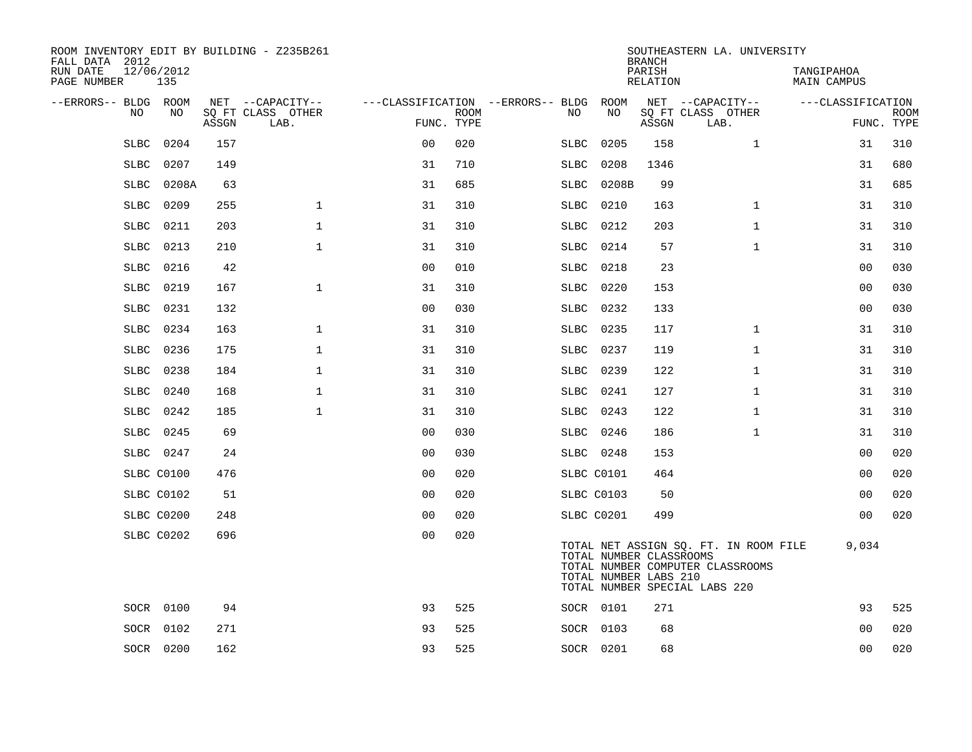| ROOM INVENTORY EDIT BY BUILDING - Z235B261<br>FALL DATA 2012 |                   |       |                           |                |             |                                        |                                                  | <b>BRANCH</b>      | SOUTHEASTERN LA. UNIVERSITY                                                                                |                                  |                           |
|--------------------------------------------------------------|-------------------|-------|---------------------------|----------------|-------------|----------------------------------------|--------------------------------------------------|--------------------|------------------------------------------------------------------------------------------------------------|----------------------------------|---------------------------|
| RUN DATE<br>PAGE NUMBER                                      | 12/06/2012<br>135 |       |                           |                |             |                                        |                                                  | PARISH<br>RELATION |                                                                                                            | TANGIPAHOA<br><b>MAIN CAMPUS</b> |                           |
| --ERRORS-- BLDG ROOM                                         |                   |       | NET --CAPACITY--          |                |             | ---CLASSIFICATION --ERRORS-- BLDG ROOM |                                                  |                    | NET --CAPACITY--                                                                                           | ---CLASSIFICATION                |                           |
| NO                                                           | NO                | ASSGN | SQ FT CLASS OTHER<br>LAB. | FUNC. TYPE     | <b>ROOM</b> | NO.                                    | NO                                               | ASSGN              | SQ FT CLASS OTHER<br>LAB.                                                                                  |                                  | <b>ROOM</b><br>FUNC. TYPE |
| <b>SLBC</b>                                                  | 0204              | 157   |                           | 0 <sub>0</sub> | 020         | <b>SLBC</b>                            | 0205                                             | 158                | $\mathbf{1}$                                                                                               | 31                               | 310                       |
| SLBC                                                         | 0207              | 149   |                           | 31             | 710         | SLBC                                   | 0208                                             | 1346               |                                                                                                            | 31                               | 680                       |
| <b>SLBC</b>                                                  | 0208A             | 63    |                           | 31             | 685         | <b>SLBC</b>                            | 0208B                                            | 99                 |                                                                                                            | 31                               | 685                       |
| SLBC                                                         | 0209              | 255   | $\mathbf{1}$              | 31             | 310         | SLBC                                   | 0210                                             | 163                | $\mathbf{1}$                                                                                               | 31                               | 310                       |
| <b>SLBC</b>                                                  | 0211              | 203   | $\mathbf{1}$              | 31             | 310         | SLBC                                   | 0212                                             | 203                | $\mathbf{1}$                                                                                               | 31                               | 310                       |
| SLBC                                                         | 0213              | 210   | $\mathbf{1}$              | 31             | 310         | SLBC                                   | 0214                                             | 57                 | $\mathbf{1}$                                                                                               | 31                               | 310                       |
| <b>SLBC</b>                                                  | 0216              | 42    |                           | 0 <sub>0</sub> | 010         | SLBC                                   | 0218                                             | 23                 |                                                                                                            | 0 <sub>0</sub>                   | 030                       |
| SLBC                                                         | 0219              | 167   | $\mathbf 1$               | 31             | 310         | SLBC                                   | 0220                                             | 153                |                                                                                                            | 0 <sub>0</sub>                   | 030                       |
| <b>SLBC</b>                                                  | 0231              | 132   |                           | 0 <sub>0</sub> | 030         | SLBC                                   | 0232                                             | 133                |                                                                                                            | 0 <sub>0</sub>                   | 030                       |
| SLBC                                                         | 0234              | 163   | $\mathbf 1$               | 31             | 310         |                                        | SLBC 0235                                        | 117                | $\mathbf{1}$                                                                                               | 31                               | 310                       |
| SLBC                                                         | 0236              | 175   | $\mathbf{1}$              | 31             | 310         |                                        | SLBC 0237                                        | 119                | $\mathbf{1}$                                                                                               | 31                               | 310                       |
| SLBC                                                         | 0238              | 184   | $\mathbf 1$               | 31             | 310         |                                        | SLBC 0239                                        | 122                | $\mathbf{1}$                                                                                               | 31                               | 310                       |
| <b>SLBC</b>                                                  | 0240              | 168   | $\mathbf{1}$              | 31             | 310         |                                        | SLBC 0241                                        | 127                | $\mathbf{1}$                                                                                               | 31                               | 310                       |
| SLBC                                                         | 0242              | 185   | $\mathbf 1$               | 31             | 310         |                                        | SLBC 0243                                        | 122                | $\mathbf{1}$                                                                                               | 31                               | 310                       |
|                                                              | SLBC 0245         | 69    |                           | 0 <sub>0</sub> | 030         |                                        | SLBC 0246                                        | 186                | $\mathbf{1}$                                                                                               | 31                               | 310                       |
|                                                              | SLBC 0247         | 24    |                           | 00             | 030         |                                        | SLBC 0248                                        | 153                |                                                                                                            | 00                               | 020                       |
|                                                              | SLBC C0100        | 476   |                           | 0 <sub>0</sub> | 020         |                                        | SLBC C0101                                       | 464                |                                                                                                            | 0 <sub>0</sub>                   | 020                       |
|                                                              | SLBC C0102        | 51    |                           | 0 <sub>0</sub> | 020         |                                        | SLBC C0103                                       | 50                 |                                                                                                            | 00                               | 020                       |
|                                                              | SLBC C0200        | 248   |                           | 0 <sub>0</sub> | 020         |                                        | SLBC C0201                                       | 499                |                                                                                                            | 0 <sub>0</sub>                   | 020                       |
|                                                              | SLBC C0202        | 696   |                           | 0 <sub>0</sub> | 020         |                                        | TOTAL NUMBER CLASSROOMS<br>TOTAL NUMBER LABS 210 |                    | TOTAL NET ASSIGN SQ. FT. IN ROOM FILE<br>TOTAL NUMBER COMPUTER CLASSROOMS<br>TOTAL NUMBER SPECIAL LABS 220 | 9,034                            |                           |
|                                                              | SOCR 0100         | 94    |                           | 93             | 525         |                                        | SOCR 0101                                        | 271                |                                                                                                            | 93                               | 525                       |
| SOCR                                                         | 0102              | 271   |                           | 93             | 525         |                                        | SOCR 0103                                        | 68                 |                                                                                                            | 0 <sub>0</sub>                   | 020                       |
|                                                              | SOCR 0200         | 162   |                           | 93             | 525         |                                        | SOCR 0201                                        | 68                 |                                                                                                            | 0 <sub>0</sub>                   | 020                       |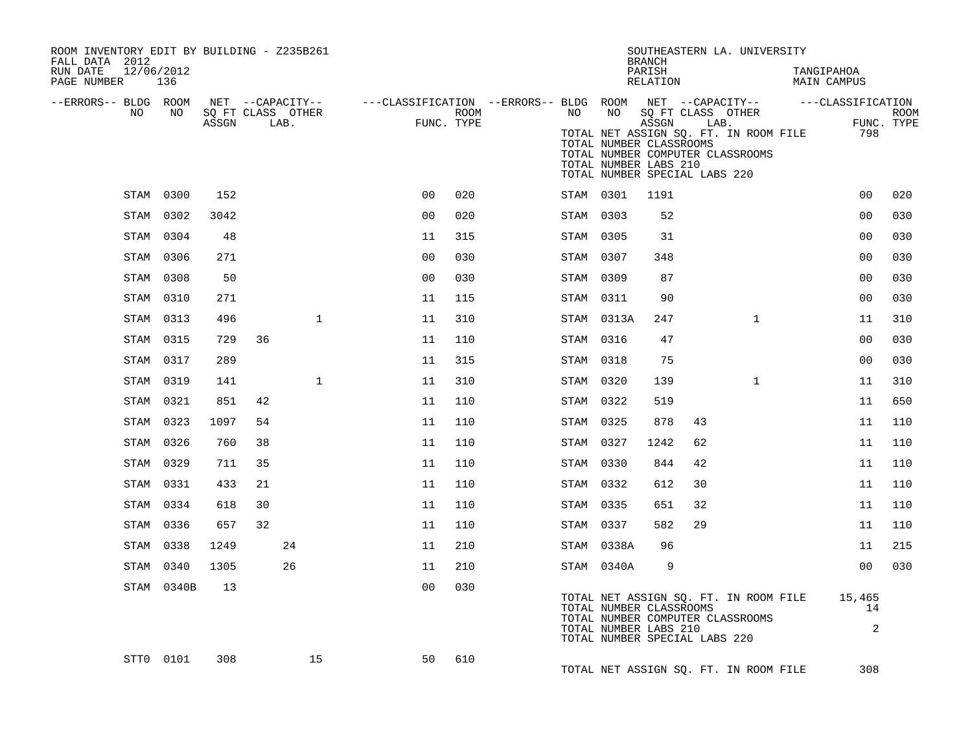| ROOM INVENTORY EDIT BY BUILDING - Z235B261<br>FALL DATA 2012<br>RUN DATE<br>PAGE NUMBER |     | 12/06/2012<br>136 |                            |                  |      |              |                                                                               |                    |           |                                                                                   | <b>BRANCH</b><br>PARISH<br>RELATION |      | SOUTHEASTERN LA. UNIVERSITY                                                                       | TANGIPAHOA<br><b>MAIN CAMPUS</b> |                           |
|-----------------------------------------------------------------------------------------|-----|-------------------|----------------------------|------------------|------|--------------|-------------------------------------------------------------------------------|--------------------|-----------|-----------------------------------------------------------------------------------|-------------------------------------|------|---------------------------------------------------------------------------------------------------|----------------------------------|---------------------------|
| --ERRORS-- BLDG ROOM                                                                    | NO. | NO                | SQ FT CLASS OTHER<br>ASSGN | NET --CAPACITY-- | LAB. |              | ---CLASSIFICATION --ERRORS-- BLDG ROOM NET --CAPACITY--     ---CLASSIFICATION | ROOM<br>FUNC. TYPE | NO        | TOTAL NUMBER CLASSROOMS<br>TOTAL NUMBER LABS 210<br>TOTAL NUMBER SPECIAL LABS 220 | ASSGN                               | LAB. | NO SQ FT CLASS OTHER<br>TOTAL NET ASSIGN SQ. FT. IN ROOM FILE<br>TOTAL NUMBER COMPUTER CLASSROOMS | 798                              | <b>ROOM</b><br>FUNC. TYPE |
|                                                                                         |     | STAM 0300         | 152                        |                  |      |              | 0 <sub>0</sub>                                                                | 020                |           | STAM 0301                                                                         | 1191                                |      |                                                                                                   | 0 <sub>0</sub>                   | 020                       |
|                                                                                         |     | STAM 0302         | 3042                       |                  |      |              | 0 <sub>0</sub>                                                                | 020                |           | STAM 0303                                                                         | 52                                  |      |                                                                                                   | 0 <sub>0</sub>                   | 030                       |
|                                                                                         |     | STAM 0304         | 48                         |                  |      |              | 11                                                                            | 315                |           | STAM 0305                                                                         | 31                                  |      |                                                                                                   | 0 <sub>0</sub>                   | 030                       |
|                                                                                         |     | STAM 0306         | 271                        |                  |      |              | 0 <sub>0</sub>                                                                | 030                |           | STAM 0307                                                                         | 348                                 |      |                                                                                                   | 0 <sub>0</sub>                   | 030                       |
|                                                                                         |     | STAM 0308         | 50                         |                  |      |              | 0 <sub>0</sub>                                                                | 030                | STAM 0309 |                                                                                   | 87                                  |      |                                                                                                   | 0 <sub>0</sub>                   | 030                       |
|                                                                                         |     | STAM 0310         | 271                        |                  |      |              | 11                                                                            | 115                |           | STAM 0311                                                                         | 90                                  |      |                                                                                                   | 0 <sub>0</sub>                   | 030                       |
|                                                                                         |     | STAM 0313         | 496                        |                  |      | $\mathbf{1}$ | 11                                                                            | 310                |           | STAM 0313A                                                                        | 247                                 |      | $\mathbf{1}$                                                                                      | 11                               | 310                       |
|                                                                                         |     | STAM 0315         | 729                        | 36               |      |              | 11                                                                            | 110                |           | STAM 0316                                                                         | 47                                  |      |                                                                                                   | 0 <sub>0</sub>                   | 030                       |
|                                                                                         |     | STAM 0317         | 289                        |                  |      |              | 11                                                                            | 315                |           | STAM 0318                                                                         | 75                                  |      |                                                                                                   | 0 <sub>0</sub>                   | 030                       |
|                                                                                         |     | STAM 0319         | 141                        |                  |      | $\mathbf{1}$ | 11                                                                            | 310                |           | STAM 0320                                                                         | 139                                 |      | $\mathbf{1}$                                                                                      | 11                               | 310                       |
|                                                                                         |     | STAM 0321         | 851                        | 42               |      |              | 11                                                                            | 110                |           | STAM 0322                                                                         | 519                                 |      |                                                                                                   | 11                               | 650                       |
|                                                                                         |     | STAM 0323         | 1097                       | 54               |      |              | 11                                                                            | 110                | STAM 0325 |                                                                                   | 878                                 | 43   |                                                                                                   | 11                               | 110                       |
|                                                                                         |     | STAM 0326         | 760                        | 38               |      |              | 11                                                                            | 110                |           | STAM 0327                                                                         | 1242                                | 62   |                                                                                                   | 11                               | 110                       |
|                                                                                         |     | STAM 0329         | 711                        | 35               |      |              | 11                                                                            | 110                |           | STAM 0330                                                                         | 844                                 | 42   |                                                                                                   | 11                               | 110                       |
|                                                                                         |     | STAM 0331         | 433                        | 21               |      |              | 11                                                                            | 110                |           | STAM 0332                                                                         | 612                                 | 30   |                                                                                                   | 11                               | 110                       |
|                                                                                         |     | STAM 0334         | 618                        | 30               |      |              | 11                                                                            | 110                |           | STAM 0335                                                                         | 651                                 | 32   |                                                                                                   | 11                               | 110                       |
|                                                                                         |     | STAM 0336         | 657                        | 32               |      |              | 11                                                                            | 110                |           | STAM 0337                                                                         | 582                                 | 29   |                                                                                                   | 11                               | 110                       |
|                                                                                         |     | STAM 0338         | 1249                       |                  | 24   |              | 11                                                                            | 210                |           | STAM 0338A                                                                        | 96                                  |      |                                                                                                   | 11                               | 215                       |
|                                                                                         |     | STAM 0340         | 1305                       |                  | 26   |              | 11                                                                            | 210                |           | STAM 0340A                                                                        | 9                                   |      |                                                                                                   | 0 <sub>0</sub>                   | 030                       |
|                                                                                         |     | STAM 0340B        | 13                         |                  |      |              | 0 <sub>0</sub>                                                                | 030                |           | TOTAL NUMBER CLASSROOMS<br>TOTAL NUMBER LABS 210<br>TOTAL NUMBER SPECIAL LABS 220 |                                     |      | TOTAL NET ASSIGN SQ. FT. IN ROOM FILE<br>TOTAL NUMBER COMPUTER CLASSROOMS                         | 15,465<br>14<br>$\overline{a}$   |                           |
|                                                                                         |     | STT0 0101         | 308                        |                  |      | 15           | 50                                                                            | 610                |           |                                                                                   |                                     |      | TOTAL NET ASSIGN SQ. FT. IN ROOM FILE                                                             | 308                              |                           |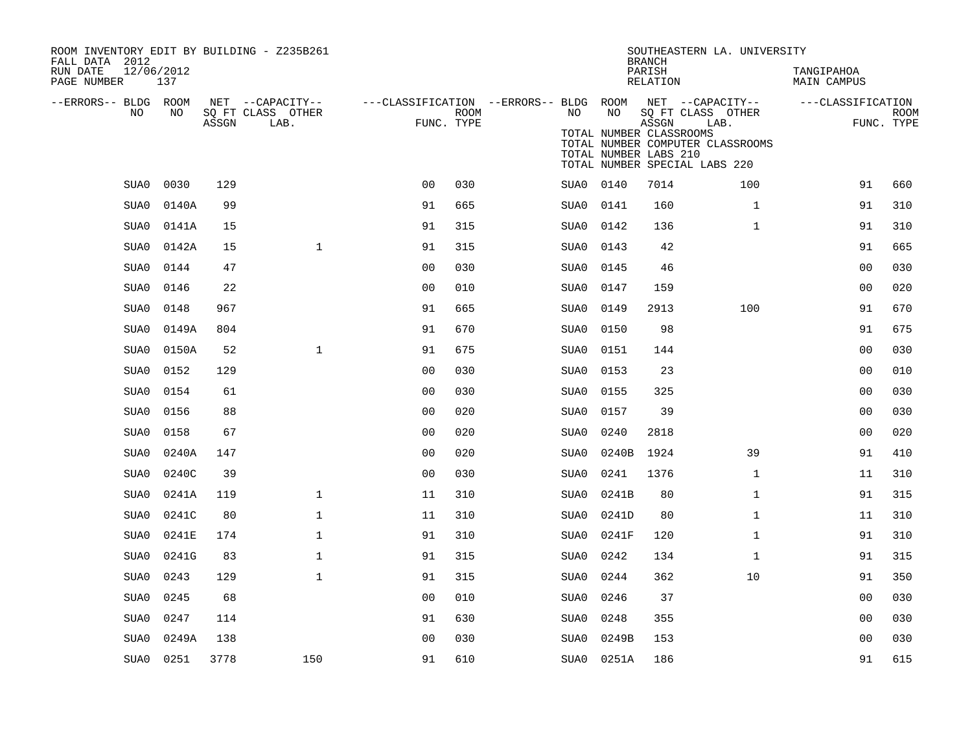| ROOM INVENTORY EDIT BY BUILDING - Z235B261<br>FALL DATA 2012 |           |       |                                       |                                                         |      |      |                                                  | <b>BRANCH</b>      | SOUTHEASTERN LA. UNIVERSITY                                               |                           |             |
|--------------------------------------------------------------|-----------|-------|---------------------------------------|---------------------------------------------------------|------|------|--------------------------------------------------|--------------------|---------------------------------------------------------------------------|---------------------------|-------------|
| RUN DATE<br>12/06/2012<br>PAGE NUMBER                        | 137       |       |                                       |                                                         |      |      |                                                  | PARISH<br>RELATION |                                                                           | TANGIPAHOA<br>MAIN CAMPUS |             |
| --ERRORS-- BLDG ROOM<br>NO                                   | NO        |       | NET --CAPACITY--<br>SQ FT CLASS OTHER | ---CLASSIFICATION --ERRORS-- BLDG ROOM NET --CAPACITY-- | ROOM | NO   | NO                                               |                    | SQ FT CLASS OTHER                                                         | ---CLASSIFICATION         | <b>ROOM</b> |
|                                                              |           | ASSGN | LAB.                                  | FUNC. TYPE                                              |      |      | TOTAL NUMBER CLASSROOMS<br>TOTAL NUMBER LABS 210 | ASSGN              | LAB.<br>TOTAL NUMBER COMPUTER CLASSROOMS<br>TOTAL NUMBER SPECIAL LABS 220 |                           | FUNC. TYPE  |
| SUA0                                                         | 0030      | 129   |                                       | 0 <sub>0</sub>                                          | 030  |      | SUA0 0140                                        | 7014               | 100                                                                       | 91                        | 660         |
| SUA0                                                         | 0140A     | 99    |                                       | 91                                                      | 665  | SUA0 | 0141                                             | 160                | $\mathbf{1}$                                                              | 91                        | 310         |
| SUA0                                                         | 0141A     | 15    |                                       | 91                                                      | 315  | SUA0 | 0142                                             | 136                | $\mathbf{1}$                                                              | 91                        | 310         |
| SUA0                                                         | 0142A     | 15    | $\mathbf{1}$                          | 91                                                      | 315  | SUA0 | 0143                                             | 42                 |                                                                           | 91                        | 665         |
| SUA0                                                         | 0144      | 47    |                                       | 0 <sub>0</sub>                                          | 030  | SUA0 | 0145                                             | 46                 |                                                                           | 0 <sub>0</sub>            | 030         |
| SUA0                                                         | 0146      | 22    |                                       | 0 <sub>0</sub>                                          | 010  | SUA0 | 0147                                             | 159                |                                                                           | 0 <sub>0</sub>            | 020         |
| SUA0                                                         | 0148      | 967   |                                       | 91                                                      | 665  | SUA0 | 0149                                             | 2913               | 100                                                                       | 91                        | 670         |
| SUA0                                                         | 0149A     | 804   |                                       | 91                                                      | 670  | SUA0 | 0150                                             | 98                 |                                                                           | 91                        | 675         |
| SUA0                                                         | 0150A     | 52    | $\mathbf{1}$                          | 91                                                      | 675  | SUA0 | 0151                                             | 144                |                                                                           | 0 <sub>0</sub>            | 030         |
| SUA0                                                         | 0152      | 129   |                                       | 0 <sub>0</sub>                                          | 030  | SUA0 | 0153                                             | 23                 |                                                                           | 0 <sub>0</sub>            | 010         |
| SUA0                                                         | 0154      | 61    |                                       | 0 <sub>0</sub>                                          | 030  | SUA0 | 0155                                             | 325                |                                                                           | 00                        | 030         |
| SUA0                                                         | 0156      | 88    |                                       | 0 <sub>0</sub>                                          | 020  | SUA0 | 0157                                             | 39                 |                                                                           | 00                        | 030         |
| SUA0                                                         | 0158      | 67    |                                       | 0 <sub>0</sub>                                          | 020  | SUA0 | 0240                                             | 2818               |                                                                           | 0 <sub>0</sub>            | 020         |
| SUA0                                                         | 0240A     | 147   |                                       | 0 <sub>0</sub>                                          | 020  | SUA0 | 0240B                                            | 1924               | 39                                                                        | 91                        | 410         |
| SUA0                                                         | 0240C     | 39    |                                       | 0 <sub>0</sub>                                          | 030  | SUA0 | 0241                                             | 1376               | $\mathbf{1}$                                                              | 11                        | 310         |
| SUA0                                                         | 0241A     | 119   | $\mathbf{1}$                          | 11                                                      | 310  | SUA0 | 0241B                                            | 80                 | $\mathbf{1}$                                                              | 91                        | 315         |
| SUA0                                                         | 0241C     | 80    | $\mathbf{1}$                          | 11                                                      | 310  | SUA0 | 0241D                                            | 80                 | $\mathbf{1}$                                                              | 11                        | 310         |
| SUA0                                                         | 0241E     | 174   | $\mathbf 1$                           | 91                                                      | 310  | SUA0 | 0241F                                            | 120                | $\mathbf{1}$                                                              | 91                        | 310         |
| SUA0                                                         | 0241G     | 83    | $\mathbf 1$                           | 91                                                      | 315  | SUA0 | 0242                                             | 134                | $\mathbf{1}$                                                              | 91                        | 315         |
| SUA0                                                         | 0243      | 129   | $\mathbf{1}$                          | 91                                                      | 315  | SUA0 | 0244                                             | 362                | 10                                                                        | 91                        | 350         |
| SUA0                                                         | 0245      | 68    |                                       | 0 <sub>0</sub>                                          | 010  | SUA0 | 0246                                             | 37                 |                                                                           | 0 <sub>0</sub>            | 030         |
| SUA0                                                         | 0247      | 114   |                                       | 91                                                      | 630  | SUA0 | 0248                                             | 355                |                                                                           | 00                        | 030         |
| SUA0                                                         | 0249A     | 138   |                                       | 0 <sub>0</sub>                                          | 030  | SUA0 | 0249B                                            | 153                |                                                                           | 0 <sub>0</sub>            | 030         |
|                                                              | SUA0 0251 | 3778  | 150                                   | 91                                                      | 610  |      | SUA0 0251A                                       | 186                |                                                                           | 91                        | 615         |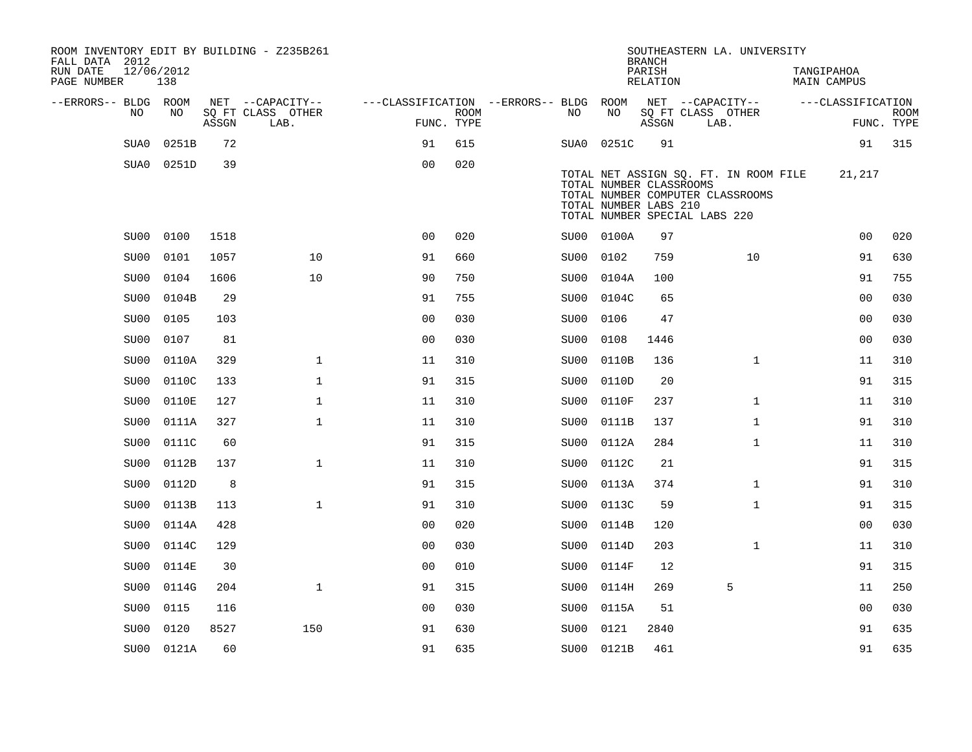| FALL DATA 2012<br>RUN DATE<br>PAGE NUMBER |                   | 12/06/2012<br>138 |       | ROOM INVENTORY EDIT BY BUILDING - Z235B261 |                                        |                           |      |                                                  | <b>BRANCH</b><br>PARISH<br>RELATION |                               | SOUTHEASTERN LA. UNIVERSITY                                               | TANGIPAHOA<br><b>MAIN CAMPUS</b> |                           |
|-------------------------------------------|-------------------|-------------------|-------|--------------------------------------------|----------------------------------------|---------------------------|------|--------------------------------------------------|-------------------------------------|-------------------------------|---------------------------------------------------------------------------|----------------------------------|---------------------------|
| --ERRORS-- BLDG ROOM                      |                   |                   |       | NET --CAPACITY--                           | ---CLASSIFICATION --ERRORS-- BLDG ROOM |                           |      |                                                  |                                     | NET --CAPACITY--              |                                                                           | ---CLASSIFICATION                |                           |
|                                           | NO.               | NO.               | ASSGN | SQ FT CLASS OTHER<br>LAB.                  |                                        | <b>ROOM</b><br>FUNC. TYPE | NO   | NO                                               | ASSGN                               | SQ FT CLASS OTHER<br>LAB.     |                                                                           |                                  | <b>ROOM</b><br>FUNC. TYPE |
|                                           | SUA0              | 0251B             | 72    |                                            | 91                                     | 615                       |      | SUA0 0251C                                       | 91                                  |                               |                                                                           | 91                               | 315                       |
|                                           | SUA0              | 0251D             | 39    |                                            | 0 <sub>0</sub>                         | 020                       |      |                                                  |                                     |                               |                                                                           |                                  |                           |
|                                           |                   |                   |       |                                            |                                        |                           |      | TOTAL NUMBER CLASSROOMS<br>TOTAL NUMBER LABS 210 |                                     | TOTAL NUMBER SPECIAL LABS 220 | TOTAL NET ASSIGN SQ. FT. IN ROOM FILE<br>TOTAL NUMBER COMPUTER CLASSROOMS | 21,217                           |                           |
|                                           | SU00              | 0100              | 1518  |                                            | 0 <sub>0</sub>                         | 020                       |      | SU00 0100A                                       | 97                                  |                               |                                                                           | 0 <sub>0</sub>                   | 020                       |
|                                           | SU00              | 0101              | 1057  | 10                                         | 91                                     | 660                       | SU00 | 0102                                             | 759                                 |                               | 10                                                                        | 91                               | 630                       |
|                                           | SU00              | 0104              | 1606  | 10                                         | 90                                     | 750                       | SU00 | 0104A                                            | 100                                 |                               |                                                                           | 91                               | 755                       |
|                                           | SU <sub>0</sub> 0 | 0104B             | 29    |                                            | 91                                     | 755                       | SU00 | 0104C                                            | 65                                  |                               |                                                                           | 0 <sub>0</sub>                   | 030                       |
|                                           | SU00              | 0105              | 103   |                                            | 0 <sub>0</sub>                         | 030                       | SU00 | 0106                                             | 47                                  |                               |                                                                           | 0 <sub>0</sub>                   | 030                       |
|                                           | SU00              | 0107              | 81    |                                            | 0 <sub>0</sub>                         | 030                       | SU00 | 0108                                             | 1446                                |                               |                                                                           | 0 <sub>0</sub>                   | 030                       |
|                                           | SU <sub>0</sub> 0 | 0110A             | 329   | $\mathbf{1}$                               | 11                                     | 310                       | SU00 | 0110B                                            | 136                                 |                               | $\mathbf{1}$                                                              | 11                               | 310                       |
|                                           | SU00              | 0110C             | 133   | $\mathbf{1}$                               | 91                                     | 315                       | SU00 | 0110D                                            | 20                                  |                               |                                                                           | 91                               | 315                       |
|                                           | SU00              | 0110E             | 127   | $\mathbf{1}$                               | 11                                     | 310                       | SU00 | 0110F                                            | 237                                 |                               | $\mathbf{1}$                                                              | 11                               | 310                       |
|                                           | SU00              | 0111A             | 327   | $\mathbf 1$                                | 11                                     | 310                       | SU00 | 0111B                                            | 137                                 |                               | $\mathbf{1}$                                                              | 91                               | 310                       |
|                                           | SU00              | 0111C             | 60    |                                            | 91                                     | 315                       | SU00 | 0112A                                            | 284                                 |                               | $\mathbf{1}$                                                              | 11                               | 310                       |
|                                           | SU00              | 0112B             | 137   | $\mathbf{1}$                               | 11                                     | 310                       | SU00 | 0112C                                            | 21                                  |                               |                                                                           | 91                               | 315                       |
|                                           | SU00              | 0112D             | 8     |                                            | 91                                     | 315                       | SU00 | 0113A                                            | 374                                 |                               | $\mathbf{1}$                                                              | 91                               | 310                       |
|                                           | SU00              | 0113B             | 113   | $\mathbf{1}$                               | 91                                     | 310                       | SU00 | 0113C                                            | 59                                  |                               | $\mathbf{1}$                                                              | 91                               | 315                       |
|                                           | SU00              | 0114A             | 428   |                                            | 0 <sub>0</sub>                         | 020                       | SU00 | 0114B                                            | 120                                 |                               |                                                                           | 00                               | 030                       |
|                                           | SU00              | 0114C             | 129   |                                            | 0 <sub>0</sub>                         | 030                       | SU00 | 0114D                                            | 203                                 |                               | $\mathbf{1}$                                                              | 11                               | 310                       |
|                                           | SU00              | 0114E             | 30    |                                            | 00                                     | 010                       | SU00 | 0114F                                            | 12                                  |                               |                                                                           | 91                               | 315                       |
|                                           | SU00              | 0114G             | 204   | $\mathbf{1}$                               | 91                                     | 315                       | SU00 | 0114H                                            | 269                                 |                               | 5                                                                         | 11                               | 250                       |
|                                           | SU00              | 0115              | 116   |                                            | 0 <sub>0</sub>                         | 030                       | SU00 | 0115A                                            | 51                                  |                               |                                                                           | 0 <sub>0</sub>                   | 030                       |
|                                           | SU00              | 0120              | 8527  | 150                                        | 91                                     | 630                       | SU00 | 0121                                             | 2840                                |                               |                                                                           | 91                               | 635                       |
|                                           |                   | SU00 0121A        | 60    |                                            | 91                                     | 635                       |      | SU00 0121B                                       | 461                                 |                               |                                                                           | 91                               | 635                       |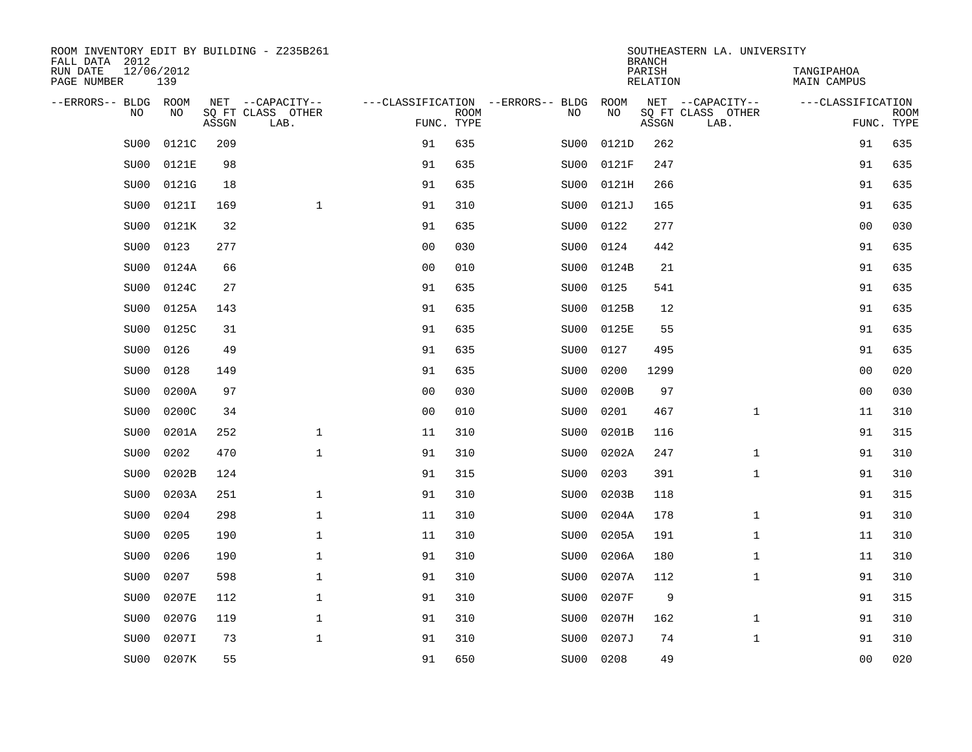| ROOM INVENTORY EDIT BY BUILDING - Z235B261<br>FALL DATA 2012 |                   |       |                           |                                   |             |                   |       | <b>BRANCH</b>             | SOUTHEASTERN LA. UNIVERSITY |                                  |                           |
|--------------------------------------------------------------|-------------------|-------|---------------------------|-----------------------------------|-------------|-------------------|-------|---------------------------|-----------------------------|----------------------------------|---------------------------|
| RUN DATE<br>PAGE NUMBER                                      | 12/06/2012<br>139 |       |                           |                                   |             |                   |       | PARISH<br><b>RELATION</b> |                             | TANGIPAHOA<br><b>MAIN CAMPUS</b> |                           |
| --ERRORS-- BLDG ROOM                                         |                   |       | NET --CAPACITY--          | ---CLASSIFICATION --ERRORS-- BLDG |             |                   | ROOM  |                           | NET --CAPACITY--            | ---CLASSIFICATION                |                           |
| NO                                                           | NO                | ASSGN | SQ FT CLASS OTHER<br>LAB. | FUNC. TYPE                        | <b>ROOM</b> | NO                | NO    | ASSGN                     | SQ FT CLASS OTHER<br>LAB.   |                                  | <b>ROOM</b><br>FUNC. TYPE |
| SU00                                                         | 0121C             | 209   |                           | 91                                | 635         | SU00              | 0121D | 262                       |                             | 91                               | 635                       |
| SU00                                                         | 0121E             | 98    |                           | 91                                | 635         | SU00              | 0121F | 247                       |                             | 91                               | 635                       |
| SU00                                                         | 0121G             | 18    |                           | 91                                | 635         | SU00              | 0121H | 266                       |                             | 91                               | 635                       |
| SU00                                                         | 0121I             | 169   | $\mathbf 1$               | 91                                | 310         | SU00              | 0121J | 165                       |                             | 91                               | 635                       |
| SU00                                                         | 0121K             | 32    |                           | 91                                | 635         | SU00              | 0122  | 277                       |                             | 0 <sub>0</sub>                   | 030                       |
| SU00                                                         | 0123              | 277   |                           | 0 <sub>0</sub>                    | 030         | SU <sub>0</sub> 0 | 0124  | 442                       |                             | 91                               | 635                       |
| SU00                                                         | 0124A             | 66    |                           | 0 <sub>0</sub>                    | 010         | SU00              | 0124B | 21                        |                             | 91                               | 635                       |
| SU00                                                         | 0124C             | 27    |                           | 91                                | 635         | SU00              | 0125  | 541                       |                             | 91                               | 635                       |
| SU00                                                         | 0125A             | 143   |                           | 91                                | 635         | SU00              | 0125B | 12                        |                             | 91                               | 635                       |
| SU00                                                         | 0125C             | 31    |                           | 91                                | 635         | SU00              | 0125E | 55                        |                             | 91                               | 635                       |
| SU00                                                         | 0126              | 49    |                           | 91                                | 635         | SU00              | 0127  | 495                       |                             | 91                               | 635                       |
| SU00                                                         | 0128              | 149   |                           | 91                                | 635         | SU00              | 0200  | 1299                      |                             | 0 <sub>0</sub>                   | 020                       |
| SU00                                                         | 0200A             | 97    |                           | 0 <sub>0</sub>                    | 030         | SU00              | 0200B | 97                        |                             | 00                               | 030                       |
| SU00                                                         | 0200C             | 34    |                           | 0 <sub>0</sub>                    | 010         | SU00              | 0201  | 467                       | $\mathbf{1}$                | 11                               | 310                       |
| SU00                                                         | 0201A             | 252   | $\mathbf 1$               | 11                                | 310         | SU00              | 0201B | 116                       |                             | 91                               | 315                       |
| SU00                                                         | 0202              | 470   | $\mathbf{1}$              | 91                                | 310         | SU00              | 0202A | 247                       | $\mathbf{1}$                | 91                               | 310                       |
| SU00                                                         | 0202B             | 124   |                           | 91                                | 315         | SU00              | 0203  | 391                       | $\mathbf{1}$                | 91                               | 310                       |
| SU00                                                         | 0203A             | 251   | $\mathbf{1}$              | 91                                | 310         | SU00              | 0203B | 118                       |                             | 91                               | 315                       |
| SU00                                                         | 0204              | 298   | $\mathbf{1}$              | 11                                | 310         | SU00              | 0204A | 178                       | $\mathbf{1}$                | 91                               | 310                       |
| SU00                                                         | 0205              | 190   | $\mathbf 1$               | 11                                | 310         | SU00              | 0205A | 191                       | $\mathbf{1}$                | 11                               | 310                       |
| SU00                                                         | 0206              | 190   | $\mathbf 1$               | 91                                | 310         | SU00              | 0206A | 180                       | $\mathbf{1}$                | 11                               | 310                       |
| SU00                                                         | 0207              | 598   | $\mathbf 1$               | 91                                | 310         | SU00              | 0207A | 112                       | $\mathbf{1}$                | 91                               | 310                       |
| SU00                                                         | 0207E             | 112   | $\mathbf 1$               | 91                                | 310         | SU00              | 0207F | 9                         |                             | 91                               | 315                       |
| SU00                                                         | 0207G             | 119   | $\mathbf{1}$              | 91                                | 310         | SU00              | 0207H | 162                       | $\mathbf{1}$                | 91                               | 310                       |
| SU00                                                         | 0207I             | 73    | $\mathbf{1}$              | 91                                | 310         | SU <sub>0</sub> 0 | 0207J | 74                        | $\mathbf{1}$                | 91                               | 310                       |
| SU00                                                         | 0207K             | 55    |                           | 91                                | 650         | SU00              | 0208  | 49                        |                             | 0 <sub>0</sub>                   | 020                       |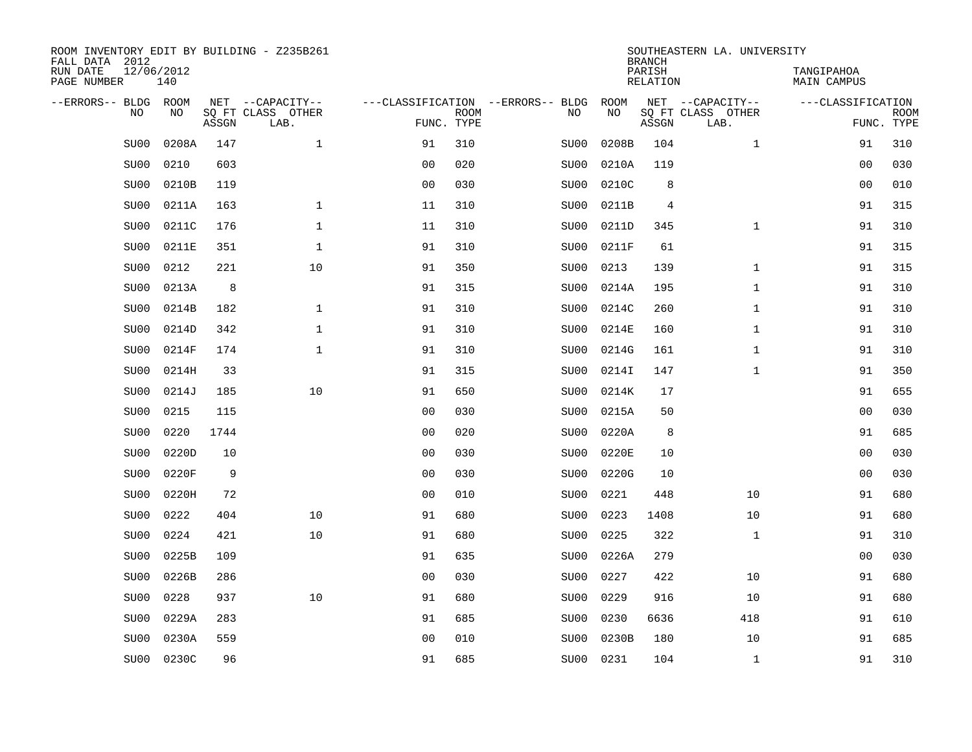| ROOM INVENTORY EDIT BY BUILDING - Z235B261<br>FALL DATA 2012 |                   |       |                           |                |             |                                   |           | <b>BRANCH</b>             | SOUTHEASTERN LA. UNIVERSITY |                                  |                           |
|--------------------------------------------------------------|-------------------|-------|---------------------------|----------------|-------------|-----------------------------------|-----------|---------------------------|-----------------------------|----------------------------------|---------------------------|
| RUN DATE<br>PAGE NUMBER                                      | 12/06/2012<br>140 |       |                           |                |             |                                   |           | PARISH<br><b>RELATION</b> |                             | TANGIPAHOA<br><b>MAIN CAMPUS</b> |                           |
| --ERRORS-- BLDG ROOM                                         |                   |       | NET --CAPACITY--          |                |             | ---CLASSIFICATION --ERRORS-- BLDG | ROOM      |                           | NET --CAPACITY--            | ---CLASSIFICATION                |                           |
| NO                                                           | NO                | ASSGN | SQ FT CLASS OTHER<br>LAB. | FUNC. TYPE     | <b>ROOM</b> | NO                                | NO        | ASSGN                     | SQ FT CLASS OTHER<br>LAB.   |                                  | <b>ROOM</b><br>FUNC. TYPE |
| SU00                                                         | 0208A             | 147   | $\mathbf{1}$              | 91             | 310         | SU00                              | 0208B     | 104                       | $\mathbf{1}$                | 91                               | 310                       |
| SU00                                                         | 0210              | 603   |                           | 0 <sub>0</sub> | 020         | SU00                              | 0210A     | 119                       |                             | 0 <sub>0</sub>                   | 030                       |
| SU00                                                         | 0210B             | 119   |                           | 0 <sub>0</sub> | 030         | SU00                              | 0210C     | 8                         |                             | 0 <sub>0</sub>                   | 010                       |
| SU00                                                         | 0211A             | 163   | $\mathbf 1$               | 11             | 310         | SU00                              | 0211B     | 4                         |                             | 91                               | 315                       |
| SU00                                                         | 0211C             | 176   | $\mathbf{1}$              | 11             | 310         | SU00                              | 0211D     | 345                       | $\mathbf{1}$                | 91                               | 310                       |
| SU00                                                         | 0211E             | 351   | $\mathbf 1$               | 91             | 310         | SU00                              | 0211F     | 61                        |                             | 91                               | 315                       |
| SU00                                                         | 0212              | 221   | 10                        | 91             | 350         | SU00                              | 0213      | 139                       | $\mathbf{1}$                | 91                               | 315                       |
| SU00                                                         | 0213A             | 8     |                           | 91             | 315         | SU00                              | 0214A     | 195                       | $\mathbf{1}$                | 91                               | 310                       |
| SU00                                                         | 0214B             | 182   | $\mathbf{1}$              | 91             | 310         | SU00                              | 0214C     | 260                       | $\mathbf{1}$                | 91                               | 310                       |
| SU00                                                         | 0214D             | 342   | $\mathbf 1$               | 91             | 310         | SU00                              | 0214E     | 160                       | $\mathbf{1}$                | 91                               | 310                       |
| SU00                                                         | 0214F             | 174   | $\mathbf{1}$              | 91             | 310         | SU00                              | 0214G     | 161                       | $\mathbf{1}$                | 91                               | 310                       |
| SU00                                                         | 0214H             | 33    |                           | 91             | 315         | SU00                              | 0214I     | 147                       | $\mathbf{1}$                | 91                               | 350                       |
| SU00                                                         | 0214J             | 185   | 10                        | 91             | 650         | SU <sub>0</sub> 0                 | 0214K     | 17                        |                             | 91                               | 655                       |
| SU00                                                         | 0215              | 115   |                           | 00             | 030         | SU00                              | 0215A     | 50                        |                             | 0 <sub>0</sub>                   | 030                       |
| SU00                                                         | 0220              | 1744  |                           | 0 <sub>0</sub> | 020         | SU00                              | 0220A     | 8                         |                             | 91                               | 685                       |
| SU00                                                         | 0220D             | 10    |                           | 0 <sub>0</sub> | 030         | SU00                              | 0220E     | 10                        |                             | 00                               | 030                       |
| SU00                                                         | 0220F             | 9     |                           | 0 <sub>0</sub> | 030         | SU00                              | 0220G     | 10                        |                             | 00                               | 030                       |
| SU00                                                         | 0220H             | 72    |                           | 0 <sub>0</sub> | 010         | SU00                              | 0221      | 448                       | 10                          | 91                               | 680                       |
| SU00                                                         | 0222              | 404   | 10                        | 91             | 680         | SU00                              | 0223      | 1408                      | 10                          | 91                               | 680                       |
| SU00                                                         | 0224              | 421   | 10                        | 91             | 680         | SU00                              | 0225      | 322                       | $\mathbf{1}$                | 91                               | 310                       |
| SU00                                                         | 0225B             | 109   |                           | 91             | 635         | SU <sub>0</sub> 0                 | 0226A     | 279                       |                             | 0 <sub>0</sub>                   | 030                       |
| SU00                                                         | 0226B             | 286   |                           | 0 <sub>0</sub> | 030         | SU00                              | 0227      | 422                       | 10                          | 91                               | 680                       |
| SU00                                                         | 0228              | 937   | 10                        | 91             | 680         | SU <sub>0</sub> 0                 | 0229      | 916                       | 10                          | 91                               | 680                       |
| SU00                                                         | 0229A             | 283   |                           | 91             | 685         | SU00                              | 0230      | 6636                      | 418                         | 91                               | 610                       |
| SU00                                                         | 0230A             | 559   |                           | 0 <sub>0</sub> | 010         | SU <sub>0</sub> 0                 | 0230B     | 180                       | 10                          | 91                               | 685                       |
| SU00                                                         | 0230C             | 96    |                           | 91             | 685         |                                   | SU00 0231 | 104                       | $\mathbf{1}$                | 91                               | 310                       |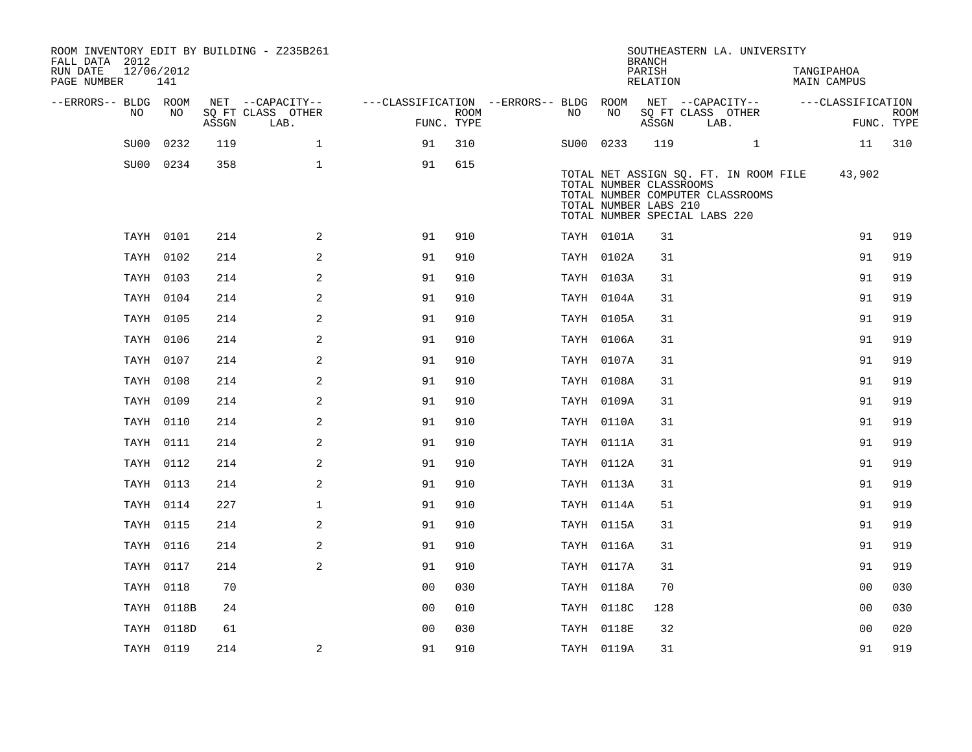| ROOM INVENTORY EDIT BY BUILDING - Z235B261<br>FALL DATA 2012<br>RUN DATE<br>12/06/2012<br>PAGE NUMBER | 141        |       |                           |                                        |                    |           |                                                                                   | <b>BRANCH</b><br>PARISH<br>RELATION |                           | SOUTHEASTERN LA. UNIVERSITY                                               | TANGIPAHOA<br>MAIN CAMPUS |                           |
|-------------------------------------------------------------------------------------------------------|------------|-------|---------------------------|----------------------------------------|--------------------|-----------|-----------------------------------------------------------------------------------|-------------------------------------|---------------------------|---------------------------------------------------------------------------|---------------------------|---------------------------|
| --ERRORS-- BLDG ROOM                                                                                  |            |       | NET --CAPACITY--          | ---CLASSIFICATION --ERRORS-- BLDG ROOM |                    |           |                                                                                   |                                     |                           | NET --CAPACITY--                                                          | ---CLASSIFICATION         |                           |
| NO                                                                                                    | NO         | ASSGN | SQ FT CLASS OTHER<br>LAB. |                                        | ROOM<br>FUNC. TYPE | NO        | NO                                                                                | ASSGN                               | SQ FT CLASS OTHER<br>LAB. |                                                                           |                           | <b>ROOM</b><br>FUNC. TYPE |
| SU00                                                                                                  | 0232       | 119   | $\mathbf 1$               | 91                                     | 310                | SU00 0233 |                                                                                   | 119                                 |                           | $\mathbf{1}$                                                              | 11                        | 310                       |
|                                                                                                       | SU00 0234  | 358   | $\mathbf{1}$              | 91                                     | 615                |           | TOTAL NUMBER CLASSROOMS<br>TOTAL NUMBER LABS 210<br>TOTAL NUMBER SPECIAL LABS 220 |                                     |                           | TOTAL NET ASSIGN SO. FT. IN ROOM FILE<br>TOTAL NUMBER COMPUTER CLASSROOMS | 43,902                    |                           |
|                                                                                                       | TAYH 0101  | 214   | 2                         | 91                                     | 910                |           | TAYH 0101A                                                                        | 31                                  |                           |                                                                           | 91                        | 919                       |
|                                                                                                       | TAYH 0102  | 214   | 2                         | 91                                     | 910                |           | TAYH 0102A                                                                        | 31                                  |                           |                                                                           | 91                        | 919                       |
|                                                                                                       | TAYH 0103  | 214   | 2                         | 91                                     | 910                |           | TAYH 0103A                                                                        | 31                                  |                           |                                                                           | 91                        | 919                       |
|                                                                                                       | TAYH 0104  | 214   | 2                         | 91                                     | 910                |           | TAYH 0104A                                                                        | 31                                  |                           |                                                                           | 91                        | 919                       |
|                                                                                                       | TAYH 0105  | 214   | 2                         | 91                                     | 910                |           | TAYH 0105A                                                                        | 31                                  |                           |                                                                           | 91                        | 919                       |
|                                                                                                       | TAYH 0106  | 214   | 2                         | 91                                     | 910                |           | TAYH 0106A                                                                        | 31                                  |                           |                                                                           | 91                        | 919                       |
|                                                                                                       | TAYH 0107  | 214   | 2                         | 91                                     | 910                |           | TAYH 0107A                                                                        | 31                                  |                           |                                                                           | 91                        | 919                       |
|                                                                                                       | TAYH 0108  | 214   | 2                         | 91                                     | 910                |           | TAYH 0108A                                                                        | 31                                  |                           |                                                                           | 91                        | 919                       |
|                                                                                                       | TAYH 0109  | 214   | 2                         | 91                                     | 910                |           | TAYH 0109A                                                                        | 31                                  |                           |                                                                           | 91                        | 919                       |
|                                                                                                       | TAYH 0110  | 214   | 2                         | 91                                     | 910                |           | TAYH 0110A                                                                        | 31                                  |                           |                                                                           | 91                        | 919                       |
|                                                                                                       | TAYH 0111  | 214   | 2                         | 91                                     | 910                |           | TAYH 0111A                                                                        | 31                                  |                           |                                                                           | 91                        | 919                       |
|                                                                                                       | TAYH 0112  | 214   | 2                         | 91                                     | 910                |           | TAYH 0112A                                                                        | 31                                  |                           |                                                                           | 91                        | 919                       |
|                                                                                                       | TAYH 0113  | 214   | 2                         | 91                                     | 910                |           | TAYH 0113A                                                                        | 31                                  |                           |                                                                           | 91                        | 919                       |
|                                                                                                       | TAYH 0114  | 227   | $\mathbf 1$               | 91                                     | 910                |           | TAYH 0114A                                                                        | 51                                  |                           |                                                                           | 91                        | 919                       |
|                                                                                                       | TAYH 0115  | 214   | 2                         | 91                                     | 910                |           | TAYH 0115A                                                                        | 31                                  |                           |                                                                           | 91                        | 919                       |
|                                                                                                       | TAYH 0116  | 214   | 2                         | 91                                     | 910                |           | TAYH 0116A                                                                        | 31                                  |                           |                                                                           | 91                        | 919                       |
|                                                                                                       | TAYH 0117  | 214   | 2                         | 91                                     | 910                |           | TAYH 0117A                                                                        | 31                                  |                           |                                                                           | 91                        | 919                       |
|                                                                                                       | TAYH 0118  | 70    |                           | 0 <sub>0</sub>                         | 030                |           | TAYH 0118A                                                                        | 70                                  |                           |                                                                           | 0 <sub>0</sub>            | 030                       |
|                                                                                                       | TAYH 0118B | 24    |                           | 0 <sub>0</sub>                         | 010                |           | TAYH 0118C                                                                        | 128                                 |                           |                                                                           | 0 <sub>0</sub>            | 030                       |
|                                                                                                       | TAYH 0118D | 61    |                           | 0 <sub>0</sub>                         | 030                |           | TAYH 0118E                                                                        | 32                                  |                           |                                                                           | 0 <sub>0</sub>            | 020                       |
|                                                                                                       | TAYH 0119  | 214   | 2                         | 91                                     | 910                |           | TAYH 0119A                                                                        | 31                                  |                           |                                                                           | 91                        | 919                       |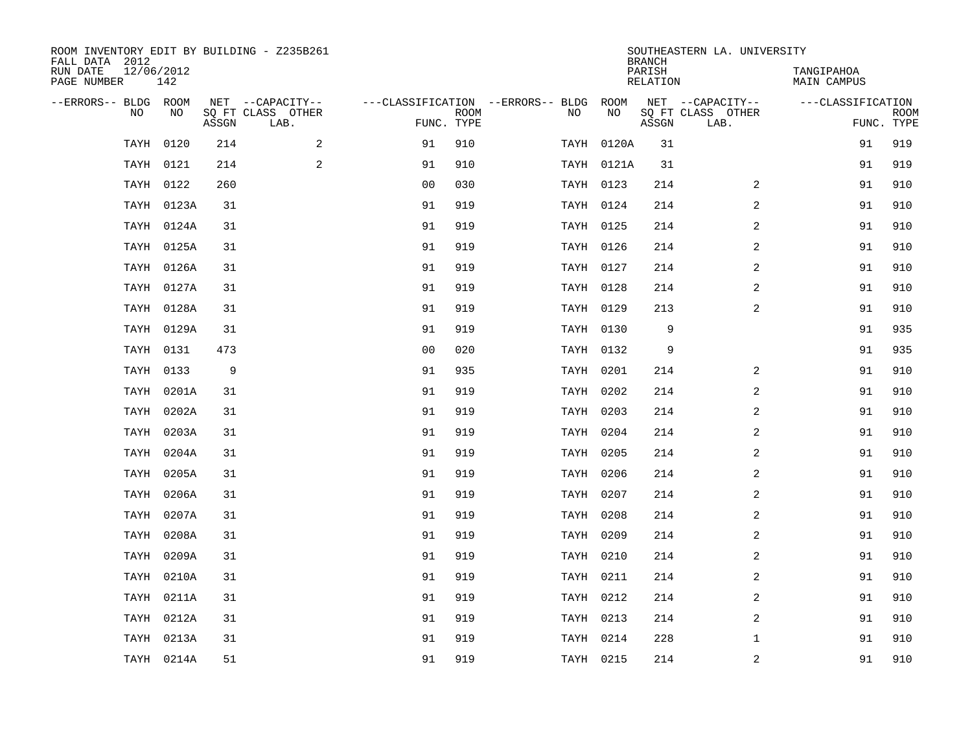| ROOM INVENTORY EDIT BY BUILDING - Z235B261<br>FALL DATA 2012 |                   |       |                           |                |                           |                                        |            | <b>BRANCH</b>             | SOUTHEASTERN LA. UNIVERSITY |                                  |                           |
|--------------------------------------------------------------|-------------------|-------|---------------------------|----------------|---------------------------|----------------------------------------|------------|---------------------------|-----------------------------|----------------------------------|---------------------------|
| RUN DATE<br>PAGE NUMBER                                      | 12/06/2012<br>142 |       |                           |                |                           |                                        |            | PARISH<br><b>RELATION</b> |                             | TANGIPAHOA<br><b>MAIN CAMPUS</b> |                           |
| --ERRORS-- BLDG ROOM                                         |                   |       | NET --CAPACITY--          |                |                           | ---CLASSIFICATION --ERRORS-- BLDG ROOM |            |                           | NET --CAPACITY--            | ---CLASSIFICATION                |                           |
| NO                                                           | NO                | ASSGN | SQ FT CLASS OTHER<br>LAB. |                | <b>ROOM</b><br>FUNC. TYPE | NO                                     | NO         | ASSGN                     | SQ FT CLASS OTHER<br>LAB.   |                                  | <b>ROOM</b><br>FUNC. TYPE |
| TAYH                                                         | 0120              | 214   | 2                         | 91             | 910                       |                                        | TAYH 0120A | 31                        |                             | 91                               | 919                       |
| TAYH                                                         | 0121              | 214   | $\mathbf{2}$              | 91             | 910                       |                                        | TAYH 0121A | 31                        |                             | 91                               | 919                       |
|                                                              | TAYH 0122         | 260   |                           | 0 <sub>0</sub> | 030                       |                                        | TAYH 0123  | 214                       | 2                           | 91                               | 910                       |
| TAYH                                                         | 0123A             | 31    |                           | 91             | 919                       |                                        | TAYH 0124  | 214                       | 2                           | 91                               | 910                       |
| TAYH                                                         | 0124A             | 31    |                           | 91             | 919                       |                                        | TAYH 0125  | 214                       | 2                           | 91                               | 910                       |
| TAYH                                                         | 0125A             | 31    |                           | 91             | 919                       |                                        | TAYH 0126  | 214                       | 2                           | 91                               | 910                       |
|                                                              | TAYH 0126A        | 31    |                           | 91             | 919                       |                                        | TAYH 0127  | 214                       | 2                           | 91                               | 910                       |
|                                                              | TAYH 0127A        | 31    |                           | 91             | 919                       |                                        | TAYH 0128  | 214                       | 2                           | 91                               | 910                       |
|                                                              | TAYH 0128A        | 31    |                           | 91             | 919                       |                                        | TAYH 0129  | 213                       | 2                           | 91                               | 910                       |
|                                                              | TAYH 0129A        | 31    |                           | 91             | 919                       |                                        | TAYH 0130  | 9                         |                             | 91                               | 935                       |
|                                                              | TAYH 0131         | 473   |                           | 0 <sub>0</sub> | 020                       |                                        | TAYH 0132  | 9                         |                             | 91                               | 935                       |
|                                                              | TAYH 0133         | 9     |                           | 91             | 935                       |                                        | TAYH 0201  | 214                       | 2                           | 91                               | 910                       |
|                                                              | TAYH 0201A        | 31    |                           | 91             | 919                       |                                        | TAYH 0202  | 214                       | 2                           | 91                               | 910                       |
|                                                              | TAYH 0202A        | 31    |                           | 91             | 919                       |                                        | TAYH 0203  | 214                       | 2                           | 91                               | 910                       |
|                                                              | TAYH 0203A        | 31    |                           | 91             | 919                       |                                        | TAYH 0204  | 214                       | 2                           | 91                               | 910                       |
|                                                              | TAYH 0204A        | 31    |                           | 91             | 919                       |                                        | TAYH 0205  | 214                       | $\overline{a}$              | 91                               | 910                       |
|                                                              | TAYH 0205A        | 31    |                           | 91             | 919                       |                                        | TAYH 0206  | 214                       | 2                           | 91                               | 910                       |
| TAYH                                                         | 0206A             | 31    |                           | 91             | 919                       |                                        | TAYH 0207  | 214                       | $\overline{a}$              | 91                               | 910                       |
|                                                              | TAYH 0207A        | 31    |                           | 91             | 919                       |                                        | TAYH 0208  | 214                       | 2                           | 91                               | 910                       |
|                                                              | TAYH 0208A        | 31    |                           | 91             | 919                       |                                        | TAYH 0209  | 214                       | 2                           | 91                               | 910                       |
|                                                              | TAYH 0209A        | 31    |                           | 91             | 919                       |                                        | TAYH 0210  | 214                       | 2                           | 91                               | 910                       |
| TAYH                                                         | 0210A             | 31    |                           | 91             | 919                       |                                        | TAYH 0211  | 214                       | 2                           | 91                               | 910                       |
|                                                              | TAYH 0211A        | 31    |                           | 91             | 919                       |                                        | TAYH 0212  | 214                       | 2                           | 91                               | 910                       |
|                                                              | TAYH 0212A        | 31    |                           | 91             | 919                       |                                        | TAYH 0213  | 214                       | $\overline{a}$              | 91                               | 910                       |
|                                                              | TAYH 0213A        | 31    |                           | 91             | 919                       |                                        | TAYH 0214  | 228                       | $\mathbf{1}$                | 91                               | 910                       |
|                                                              | TAYH 0214A        | 51    |                           | 91             | 919                       |                                        | TAYH 0215  | 214                       | $\overline{2}$              | 91                               | 910                       |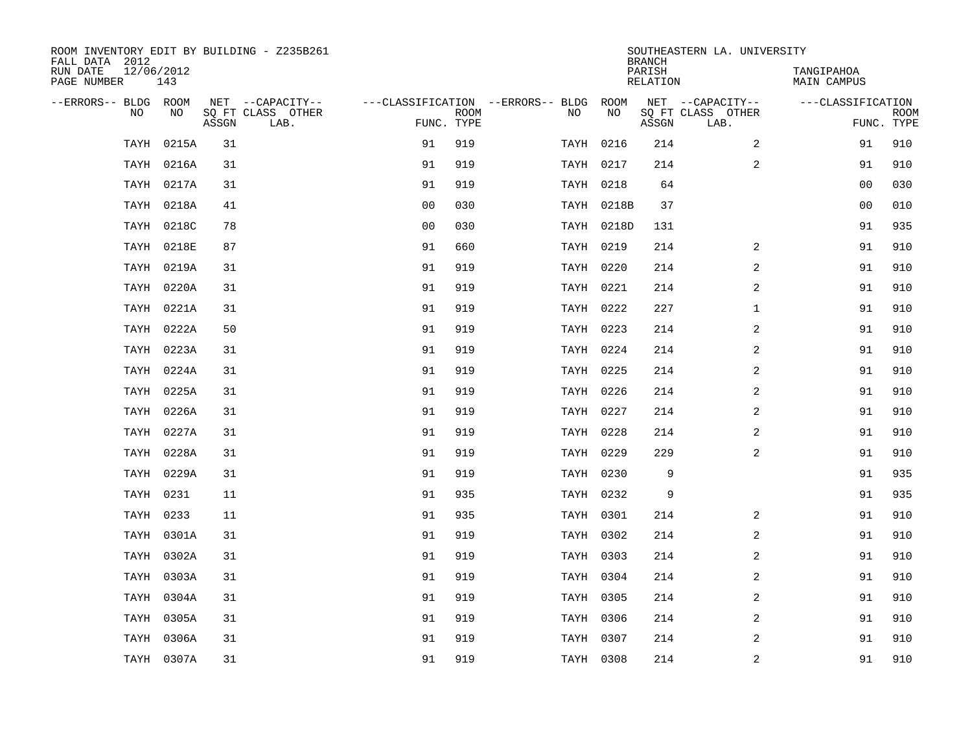| ROOM INVENTORY EDIT BY BUILDING - Z235B261<br>FALL DATA 2012 |            |       |                           |                |             |                                        |            | <b>BRANCH</b>      | SOUTHEASTERN LA. UNIVERSITY |                           |             |
|--------------------------------------------------------------|------------|-------|---------------------------|----------------|-------------|----------------------------------------|------------|--------------------|-----------------------------|---------------------------|-------------|
| 12/06/2012<br>RUN DATE<br>PAGE NUMBER                        | 143        |       |                           |                |             |                                        |            | PARISH<br>RELATION |                             | TANGIPAHOA<br>MAIN CAMPUS |             |
| --ERRORS-- BLDG ROOM                                         |            |       | NET --CAPACITY--          |                |             | ---CLASSIFICATION --ERRORS-- BLDG ROOM |            |                    | NET --CAPACITY--            | ---CLASSIFICATION         |             |
| NO                                                           | NO         | ASSGN | SQ FT CLASS OTHER<br>LAB. | FUNC. TYPE     | <b>ROOM</b> | NO                                     | NO         | ASSGN              | SQ FT CLASS OTHER<br>LAB.   | FUNC. TYPE                | <b>ROOM</b> |
| TAYH                                                         | 0215A      | 31    |                           | 91             | 919         |                                        | TAYH 0216  | 214                | 2                           | 91                        | 910         |
|                                                              | TAYH 0216A | 31    |                           | 91             | 919         |                                        | TAYH 0217  | 214                | 2                           | 91                        | 910         |
|                                                              | TAYH 0217A | 31    |                           | 91             | 919         |                                        | TAYH 0218  | 64                 |                             | 0 <sub>0</sub>            | 030         |
|                                                              | TAYH 0218A | 41    |                           | 0 <sub>0</sub> | 030         |                                        | TAYH 0218B | 37                 |                             | 0 <sub>0</sub>            | 010         |
|                                                              | TAYH 0218C | 78    |                           | 00             | 030         |                                        | TAYH 0218D | 131                |                             | 91                        | 935         |
|                                                              | TAYH 0218E | 87    |                           | 91             | 660         |                                        | TAYH 0219  | 214                | 2                           | 91                        | 910         |
|                                                              | TAYH 0219A | 31    |                           | 91             | 919         |                                        | TAYH 0220  | 214                | 2                           | 91                        | 910         |
| TAYH                                                         | 0220A      | 31    |                           | 91             | 919         |                                        | TAYH 0221  | 214                | 2                           | 91                        | 910         |
|                                                              | TAYH 0221A | 31    |                           | 91             | 919         |                                        | TAYH 0222  | 227                | $\mathbf{1}$                | 91                        | 910         |
|                                                              | TAYH 0222A | 50    |                           | 91             | 919         |                                        | TAYH 0223  | 214                | 2                           | 91                        | 910         |
|                                                              | TAYH 0223A | 31    |                           | 91             | 919         |                                        | TAYH 0224  | 214                | 2                           | 91                        | 910         |
|                                                              | TAYH 0224A | 31    |                           | 91             | 919         |                                        | TAYH 0225  | 214                | 2                           | 91                        | 910         |
|                                                              | TAYH 0225A | 31    |                           | 91             | 919         |                                        | TAYH 0226  | 214                | 2                           | 91                        | 910         |
|                                                              | TAYH 0226A | 31    |                           | 91             | 919         |                                        | TAYH 0227  | 214                | 2                           | 91                        | 910         |
|                                                              | TAYH 0227A | 31    |                           | 91             | 919         |                                        | TAYH 0228  | 214                | 2                           | 91                        | 910         |
|                                                              | TAYH 0228A | 31    |                           | 91             | 919         |                                        | TAYH 0229  | 229                | $\overline{a}$              | 91                        | 910         |
|                                                              | TAYH 0229A | 31    |                           | 91             | 919         |                                        | TAYH 0230  | 9                  |                             | 91                        | 935         |
| TAYH                                                         | 0231       | 11    |                           | 91             | 935         |                                        | TAYH 0232  | 9                  |                             | 91                        | 935         |
|                                                              | TAYH 0233  | 11    |                           | 91             | 935         |                                        | TAYH 0301  | 214                | 2                           | 91                        | 910         |
|                                                              | TAYH 0301A | 31    |                           | 91             | 919         |                                        | TAYH 0302  | 214                | $\overline{a}$              | 91                        | 910         |
|                                                              | TAYH 0302A | 31    |                           | 91             | 919         |                                        | TAYH 0303  | 214                | 2                           | 91                        | 910         |
| TAYH                                                         | 0303A      | 31    |                           | 91             | 919         |                                        | TAYH 0304  | 214                | $\overline{a}$              | 91                        | 910         |
| TAYH                                                         | 0304A      | 31    |                           | 91             | 919         |                                        | TAYH 0305  | 214                | $\boldsymbol{2}$            | 91                        | 910         |
| TAYH                                                         | 0305A      | 31    |                           | 91             | 919         |                                        | TAYH 0306  | 214                | 2                           | 91                        | 910         |
| TAYH                                                         | 0306A      | 31    |                           | 91             | 919         |                                        | TAYH 0307  | 214                | 2                           | 91                        | 910         |
|                                                              | TAYH 0307A | 31    |                           | 91             | 919         |                                        | TAYH 0308  | 214                | 2                           | 91                        | 910         |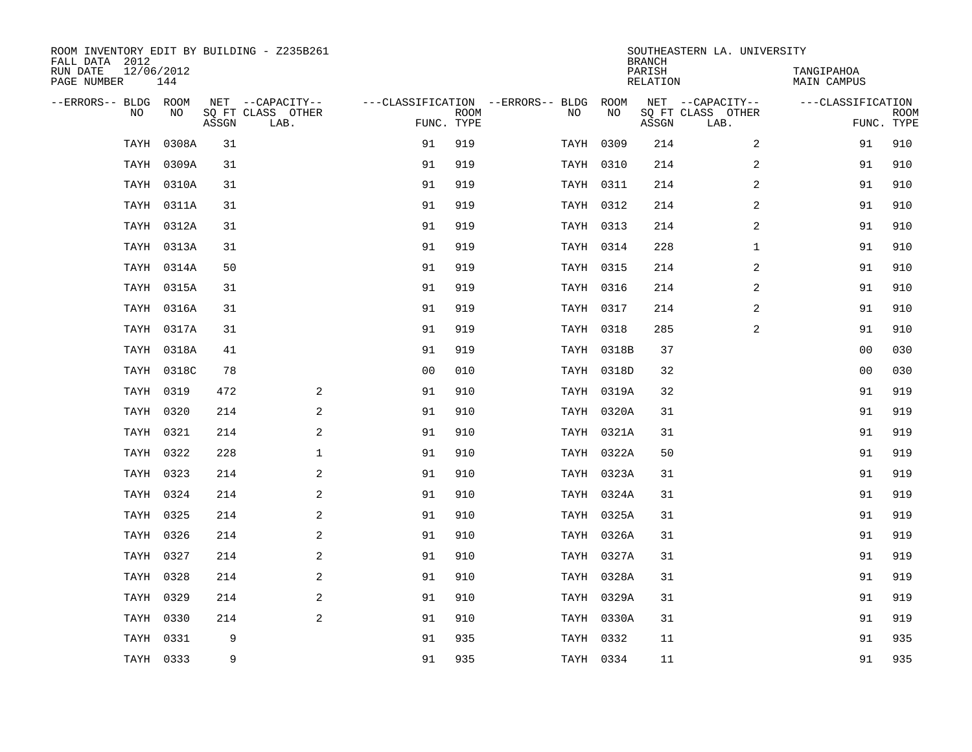| ROOM INVENTORY EDIT BY BUILDING - Z235B261<br>FALL DATA 2012 |                   |       |                           |                |      |                                        |            | <b>BRANCH</b>      | SOUTHEASTERN LA. UNIVERSITY |                           |                           |
|--------------------------------------------------------------|-------------------|-------|---------------------------|----------------|------|----------------------------------------|------------|--------------------|-----------------------------|---------------------------|---------------------------|
| RUN DATE<br>PAGE NUMBER                                      | 12/06/2012<br>144 |       |                           |                |      |                                        |            | PARISH<br>RELATION |                             | TANGIPAHOA<br>MAIN CAMPUS |                           |
| --ERRORS-- BLDG ROOM                                         |                   |       | NET --CAPACITY--          |                |      | ---CLASSIFICATION --ERRORS-- BLDG ROOM |            |                    | NET --CAPACITY--            | ---CLASSIFICATION         |                           |
| N <sub>O</sub>                                               | NO.               | ASSGN | SO FT CLASS OTHER<br>LAB. | FUNC. TYPE     | ROOM | NO.                                    | <b>NO</b>  | ASSGN              | SO FT CLASS OTHER<br>LAB.   |                           | <b>ROOM</b><br>FUNC. TYPE |
| TAYH                                                         | 0308A             | 31    |                           | 91             | 919  |                                        | TAYH 0309  | 214                | $\overline{2}$              | 91                        | 910                       |
| TAYH                                                         | 0309A             | 31    |                           | 91             | 919  |                                        | TAYH 0310  | 214                | $\overline{2}$              | 91                        | 910                       |
|                                                              | TAYH 0310A        | 31    |                           | 91             | 919  |                                        | TAYH 0311  | 214                | 2                           | 91                        | 910                       |
|                                                              | TAYH 0311A        | 31    |                           | 91             | 919  |                                        | TAYH 0312  | 214                | 2                           | 91                        | 910                       |
|                                                              | TAYH 0312A        | 31    |                           | 91             | 919  |                                        | TAYH 0313  | 214                | 2                           | 91                        | 910                       |
| TAYH                                                         | 0313A             | 31    |                           | 91             | 919  |                                        | TAYH 0314  | 228                | $\mathbf{1}$                | 91                        | 910                       |
|                                                              | TAYH 0314A        | 50    |                           | 91             | 919  |                                        | TAYH 0315  | 214                | $\overline{a}$              | 91                        | 910                       |
|                                                              | TAYH 0315A        | 31    |                           | 91             | 919  |                                        | TAYH 0316  | 214                | $\overline{a}$              | 91                        | 910                       |
| TAYH                                                         | 0316A             | 31    |                           | 91             | 919  |                                        | TAYH 0317  | 214                | 2                           | 91                        | 910                       |
|                                                              | TAYH 0317A        | 31    |                           | 91             | 919  |                                        | TAYH 0318  | 285                | 2                           | 91                        | 910                       |
|                                                              | TAYH 0318A        | 41    |                           | 91             | 919  |                                        | TAYH 0318B | 37                 |                             | 00                        | 030                       |
|                                                              | TAYH 0318C        | 78    |                           | 0 <sub>0</sub> | 010  |                                        | TAYH 0318D | 32                 |                             | 0 <sub>0</sub>            | 030                       |
|                                                              | TAYH 0319         | 472   | 2                         | 91             | 910  |                                        | TAYH 0319A | 32                 |                             | 91                        | 919                       |
|                                                              | TAYH 0320         | 214   | 2                         | 91             | 910  |                                        | TAYH 0320A | 31                 |                             | 91                        | 919                       |
|                                                              | TAYH 0321         | 214   | 2                         | 91             | 910  |                                        | TAYH 0321A | 31                 |                             | 91                        | 919                       |
|                                                              | TAYH 0322         | 228   | $\mathbf{1}$              | 91             | 910  |                                        | TAYH 0322A | 50                 |                             | 91                        | 919                       |
| TAYH                                                         | 0323              | 214   | $\mathbf{2}$              | 91             | 910  |                                        | TAYH 0323A | 31                 |                             | 91                        | 919                       |
| TAYH                                                         | 0324              | 214   | 2                         | 91             | 910  |                                        | TAYH 0324A | 31                 |                             | 91                        | 919                       |
|                                                              | TAYH 0325         | 214   | 2                         | 91             | 910  |                                        | TAYH 0325A | 31                 |                             | 91                        | 919                       |
|                                                              | TAYH 0326         | 214   | 2                         | 91             | 910  |                                        | TAYH 0326A | 31                 |                             | 91                        | 919                       |
|                                                              | TAYH 0327         | 214   | 2                         | 91             | 910  |                                        | TAYH 0327A | 31                 |                             | 91                        | 919                       |
| TAYH                                                         | 0328              | 214   | 2                         | 91             | 910  |                                        | TAYH 0328A | 31                 |                             | 91                        | 919                       |
| TAYH                                                         | 0329              | 214   | 2                         | 91             | 910  |                                        | TAYH 0329A | 31                 |                             | 91                        | 919                       |
|                                                              | TAYH 0330         | 214   | 2                         | 91             | 910  |                                        | TAYH 0330A | 31                 |                             | 91                        | 919                       |
|                                                              | TAYH 0331         | 9     |                           | 91             | 935  |                                        | TAYH 0332  | 11                 |                             | 91                        | 935                       |
|                                                              | TAYH 0333         | 9     |                           | 91             | 935  |                                        | TAYH 0334  | 11                 |                             | 91                        | 935                       |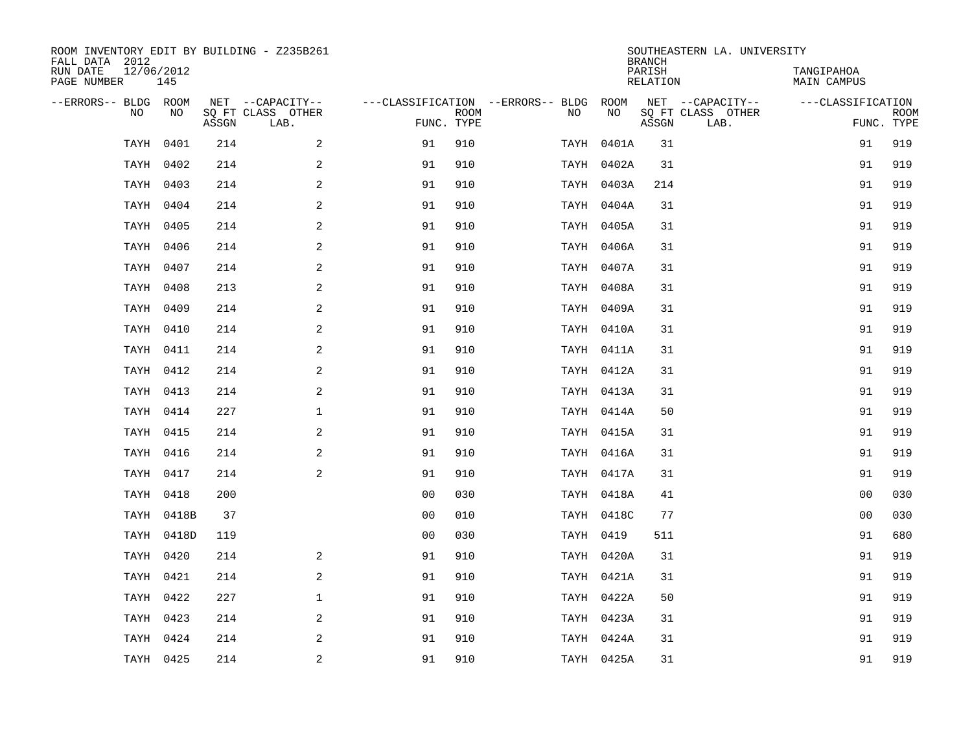| ROOM INVENTORY EDIT BY BUILDING - Z235B261<br>FALL DATA 2012 |                   |       |                           |                |                           |                                        |            | <b>BRANCH</b>             | SOUTHEASTERN LA. UNIVERSITY |                                  |                           |
|--------------------------------------------------------------|-------------------|-------|---------------------------|----------------|---------------------------|----------------------------------------|------------|---------------------------|-----------------------------|----------------------------------|---------------------------|
| RUN DATE<br>PAGE NUMBER                                      | 12/06/2012<br>145 |       |                           |                |                           |                                        |            | PARISH<br><b>RELATION</b> |                             | TANGIPAHOA<br><b>MAIN CAMPUS</b> |                           |
| --ERRORS-- BLDG ROOM                                         |                   |       | NET --CAPACITY--          |                |                           | ---CLASSIFICATION --ERRORS-- BLDG ROOM |            |                           | NET --CAPACITY--            | ---CLASSIFICATION                |                           |
| NO                                                           | NO                | ASSGN | SQ FT CLASS OTHER<br>LAB. |                | <b>ROOM</b><br>FUNC. TYPE | NO                                     | NO         | ASSGN                     | SQ FT CLASS OTHER<br>LAB.   |                                  | <b>ROOM</b><br>FUNC. TYPE |
| TAYH                                                         | 0401              | 214   | 2                         | 91             | 910                       |                                        | TAYH 0401A | 31                        |                             | 91                               | 919                       |
| TAYH                                                         | 0402              | 214   | $\mathbf{2}$              | 91             | 910                       |                                        | TAYH 0402A | 31                        |                             | 91                               | 919                       |
|                                                              | TAYH 0403         | 214   | $\sqrt{2}$                | 91             | 910                       |                                        | TAYH 0403A | 214                       |                             | 91                               | 919                       |
|                                                              | TAYH 0404         | 214   | 2                         | 91             | 910                       |                                        | TAYH 0404A | 31                        |                             | 91                               | 919                       |
| TAYH                                                         | 0405              | 214   | 2                         | 91             | 910                       |                                        | TAYH 0405A | 31                        |                             | 91                               | 919                       |
| TAYH                                                         | 0406              | 214   | 2                         | 91             | 910                       |                                        | TAYH 0406A | 31                        |                             | 91                               | 919                       |
| TAYH                                                         | 0407              | 214   | 2                         | 91             | 910                       |                                        | TAYH 0407A | 31                        |                             | 91                               | 919                       |
|                                                              | TAYH 0408         | 213   | 2                         | 91             | 910                       |                                        | TAYH 0408A | 31                        |                             | 91                               | 919                       |
|                                                              | TAYH 0409         | 214   | 2                         | 91             | 910                       |                                        | TAYH 0409A | 31                        |                             | 91                               | 919                       |
|                                                              | TAYH 0410         | 214   | $\mathbf{2}$              | 91             | 910                       |                                        | TAYH 0410A | 31                        |                             | 91                               | 919                       |
|                                                              | TAYH 0411         | 214   | 2                         | 91             | 910                       |                                        | TAYH 0411A | 31                        |                             | 91                               | 919                       |
|                                                              | TAYH 0412         | 214   | 2                         | 91             | 910                       |                                        | TAYH 0412A | 31                        |                             | 91                               | 919                       |
|                                                              | TAYH 0413         | 214   | 2                         | 91             | 910                       |                                        | TAYH 0413A | 31                        |                             | 91                               | 919                       |
|                                                              | TAYH 0414         | 227   | $\mathbf 1$               | 91             | 910                       |                                        | TAYH 0414A | 50                        |                             | 91                               | 919                       |
|                                                              | TAYH 0415         | 214   | 2                         | 91             | 910                       |                                        | TAYH 0415A | 31                        |                             | 91                               | 919                       |
|                                                              | TAYH 0416         | 214   | 2                         | 91             | 910                       |                                        | TAYH 0416A | 31                        |                             | 91                               | 919                       |
|                                                              | TAYH 0417         | 214   | 2                         | 91             | 910                       |                                        | TAYH 0417A | 31                        |                             | 91                               | 919                       |
|                                                              | TAYH 0418         | 200   |                           | 0 <sub>0</sub> | 030                       |                                        | TAYH 0418A | 41                        |                             | 00                               | 030                       |
|                                                              | TAYH 0418B        | 37    |                           | 0 <sub>0</sub> | 010                       |                                        | TAYH 0418C | 77                        |                             | 00                               | 030                       |
|                                                              | TAYH 0418D        | 119   |                           | 0 <sub>0</sub> | 030                       |                                        | TAYH 0419  | 511                       |                             | 91                               | 680                       |
|                                                              | TAYH 0420         | 214   | 2                         | 91             | 910                       |                                        | TAYH 0420A | 31                        |                             | 91                               | 919                       |
|                                                              | TAYH 0421         | 214   | 2                         | 91             | 910                       |                                        | TAYH 0421A | 31                        |                             | 91                               | 919                       |
|                                                              | TAYH 0422         | 227   | $\mathbf{1}$              | 91             | 910                       |                                        | TAYH 0422A | 50                        |                             | 91                               | 919                       |
|                                                              | TAYH 0423         | 214   | 2                         | 91             | 910                       |                                        | TAYH 0423A | 31                        |                             | 91                               | 919                       |
|                                                              | TAYH 0424         | 214   | 2                         | 91             | 910                       |                                        | TAYH 0424A | 31                        |                             | 91                               | 919                       |
|                                                              | TAYH 0425         | 214   | $\overline{c}$            | 91             | 910                       |                                        | TAYH 0425A | 31                        |                             | 91                               | 919                       |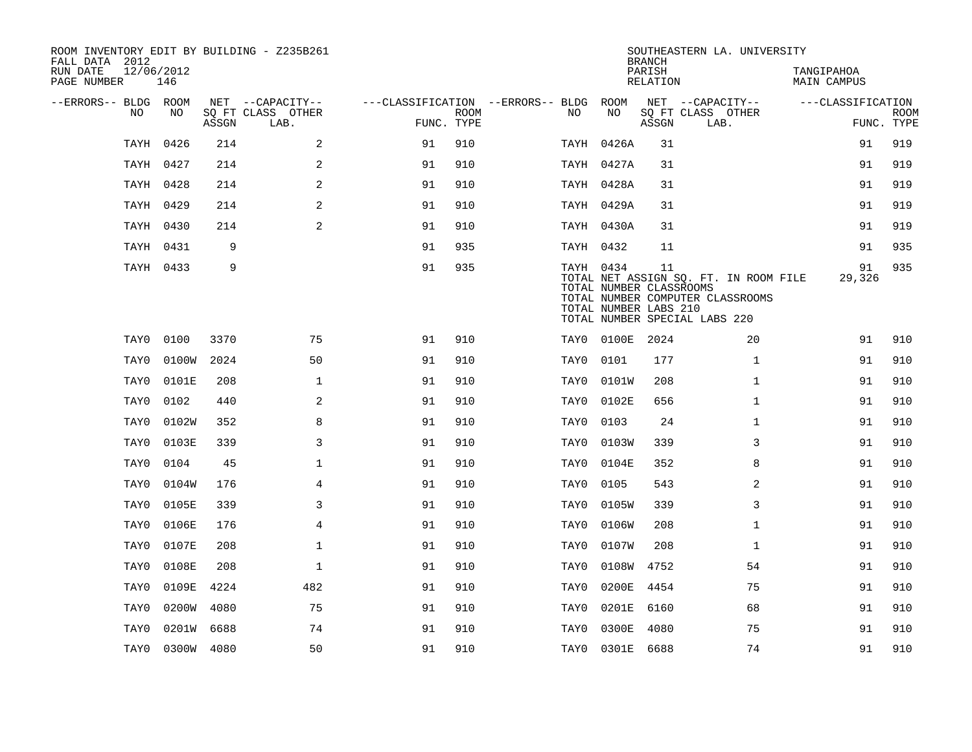| ROOM INVENTORY EDIT BY BUILDING - Z235B261<br>FALL DATA 2012 |                   |       |                           |                                        |             |           |                                                  | <b>BRANCH</b>      | SOUTHEASTERN LA. UNIVERSITY                                                                                |                           |                           |
|--------------------------------------------------------------|-------------------|-------|---------------------------|----------------------------------------|-------------|-----------|--------------------------------------------------|--------------------|------------------------------------------------------------------------------------------------------------|---------------------------|---------------------------|
| RUN DATE<br>PAGE NUMBER                                      | 12/06/2012<br>146 |       |                           |                                        |             |           |                                                  | PARISH<br>RELATION |                                                                                                            | TANGIPAHOA<br>MAIN CAMPUS |                           |
| --ERRORS-- BLDG ROOM                                         |                   |       | NET --CAPACITY--          | ---CLASSIFICATION --ERRORS-- BLDG ROOM |             |           |                                                  |                    | NET --CAPACITY--                                                                                           | ---CLASSIFICATION         |                           |
| NO                                                           | NO                | ASSGN | SQ FT CLASS OTHER<br>LAB. | FUNC. TYPE                             | <b>ROOM</b> | NO        | NO                                               | ASSGN              | SQ FT CLASS OTHER<br>LAB.                                                                                  |                           | <b>ROOM</b><br>FUNC. TYPE |
| TAYH                                                         | 0426              | 214   | 2                         | 91                                     | 910         |           | TAYH 0426A                                       | 31                 |                                                                                                            | 91                        | 919                       |
|                                                              | TAYH 0427         | 214   | 2                         | 91                                     | 910         |           | TAYH 0427A                                       | 31                 |                                                                                                            | 91                        | 919                       |
|                                                              | TAYH 0428         | 214   | 2                         | 91                                     | 910         |           | TAYH 0428A                                       | 31                 |                                                                                                            | 91                        | 919                       |
|                                                              | TAYH 0429         | 214   | $\overline{2}$            | 91                                     | 910         |           | TAYH 0429A                                       | 31                 |                                                                                                            | 91                        | 919                       |
|                                                              | TAYH 0430         | 214   | 2                         | 91                                     | 910         |           | TAYH 0430A                                       | 31                 |                                                                                                            | 91                        | 919                       |
|                                                              | TAYH 0431         | 9     |                           | 91                                     | 935         | TAYH 0432 |                                                  | 11                 |                                                                                                            | 91                        | 935                       |
|                                                              | TAYH 0433         | 9     |                           | 91                                     | 935         | TAYH 0434 | TOTAL NUMBER CLASSROOMS<br>TOTAL NUMBER LABS 210 | 11                 | TOTAL NET ASSIGN SQ. FT. IN ROOM FILE<br>TOTAL NUMBER COMPUTER CLASSROOMS<br>TOTAL NUMBER SPECIAL LABS 220 | 91<br>29,326              | 935                       |
| TAY0                                                         | 0100              | 3370  | 75                        | 91                                     | 910         |           | TAY0 0100E                                       | 2024               | 20                                                                                                         | 91                        | 910                       |
| TAY0                                                         | 0100W             | 2024  | 50                        | 91                                     | 910         | TAY0      | 0101                                             | 177                | $\mathbf{1}$                                                                                               | 91                        | 910                       |
| TAY0                                                         | 0101E             | 208   | $\mathbf 1$               | 91                                     | 910         | TAY0      | 0101W                                            | 208                | $\mathbf{1}$                                                                                               | 91                        | 910                       |
| TAY0                                                         | 0102              | 440   | 2                         | 91                                     | 910         | TAY0      | 0102E                                            | 656                | $\mathbf{1}$                                                                                               | 91                        | 910                       |
| TAY0                                                         | 0102W             | 352   | 8                         | 91                                     | 910         | TAY0      | 0103                                             | 24                 | $\mathbf{1}$                                                                                               | 91                        | 910                       |
| TAY0                                                         | 0103E             | 339   | 3                         | 91                                     | 910         | TAY0      | 0103W                                            | 339                | 3                                                                                                          | 91                        | 910                       |
| TAY0                                                         | 0104              | 45    | $\mathbf 1$               | 91                                     | 910         | TAY0      | 0104E                                            | 352                | 8                                                                                                          | 91                        | 910                       |
| TAY0                                                         | 0104W             | 176   | $\overline{4}$            | 91                                     | 910         | TAY0      | 0105                                             | 543                | 2                                                                                                          | 91                        | 910                       |
| TAY0                                                         | 0105E             | 339   | $\overline{3}$            | 91                                     | 910         | TAY0      | 0105W                                            | 339                | 3                                                                                                          | 91                        | 910                       |
| TAY0                                                         | 0106E             | 176   | $\overline{4}$            | 91                                     | 910         | TAY0      | 0106W                                            | 208                | $\mathbf{1}$                                                                                               | 91                        | 910                       |
| TAY0                                                         | 0107E             | 208   | $\mathbf 1$               | 91                                     | 910         | TAY0      | 0107W                                            | 208                | $\mathbf{1}$                                                                                               | 91                        | 910                       |
| TAY0                                                         | 0108E             | 208   | $\mathbf 1$               | 91                                     | 910         | TAY0      | 0108W                                            | 4752               | 54                                                                                                         | 91                        | 910                       |
| TAY0                                                         | 0109E             | 4224  | 482                       | 91                                     | 910         | TAY0      | 0200E                                            | 4454               | 75                                                                                                         | 91                        | 910                       |
| TAY0                                                         | 0200W             | 4080  | 75                        | 91                                     | 910         | TAY0      | 0201E                                            | 6160               | 68                                                                                                         | 91                        | 910                       |
| TAY0                                                         | 0201W             | 6688  | 74                        | 91                                     | 910         | TAY0      | 0300E                                            | 4080               | 75                                                                                                         | 91                        | 910                       |
|                                                              | TAY0 0300W 4080   |       | 50                        | 91                                     | 910         |           | TAY0 0301E 6688                                  |                    | 74                                                                                                         | 91                        | 910                       |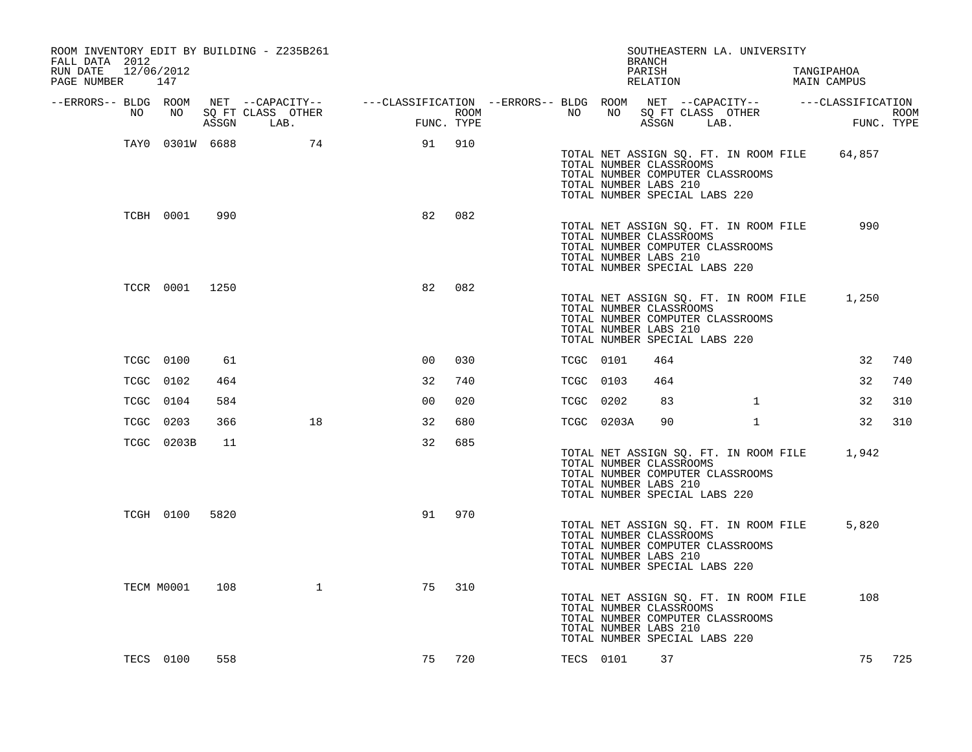| ROOM INVENTORY EDIT BY BUILDING - Z235B261<br>FALL DATA 2012<br>12/06/2012<br>RUN DATE<br>PAGE NUMBER 147 |                 |      |                                 |                                                                                                  |     |                                   |    |            | SOUTHEASTERN LA. UNIVERSITY<br><b>BRANCH</b><br>PARISH<br>RELATION                                                                                             |              | TANGIPAHOA<br>MAIN CAMPUS                    |                    |
|-----------------------------------------------------------------------------------------------------------|-----------------|------|---------------------------------|--------------------------------------------------------------------------------------------------|-----|-----------------------------------|----|------------|----------------------------------------------------------------------------------------------------------------------------------------------------------------|--------------|----------------------------------------------|--------------------|
| --ERRORS-- BLDG ROOM                                                                                      |                 |      |                                 | NET --CAPACITY--    ---CLASSIFICATION --ERRORS-- BLDG ROOM NET --CAPACITY--    ---CLASSIFICATION |     |                                   |    |            |                                                                                                                                                                |              |                                              |                    |
| NO                                                                                                        | NO              |      | SQ FT CLASS OTHER<br>ASSGN LAB. | $\sim$ $\sim$ $\sim$ $\sim$ $\sim$<br>FUNC. TYPE                                                 |     | ROOM <b>NAME IS NOT THE STATE</b> | NO | NO         | SQ FT CLASS OTHER<br>ASSGN LAB.                                                                                                                                |              |                                              | ROOM<br>FUNC. TYPE |
|                                                                                                           | TAY0 0301W 6688 |      | 74                              | 91                                                                                               | 910 |                                   |    |            | TOTAL NUMBER CLASSROOMS<br>TOTAL NUMBER COMPUTER CLASSROOMS<br>TOTAL NUMBER LABS 210<br>TOTAL NUMBER SPECIAL LABS 220                                          |              | TOTAL NET ASSIGN SQ. FT. IN ROOM FILE 64,857 |                    |
|                                                                                                           | TCBH 0001       | 990  |                                 | 82                                                                                               | 082 |                                   |    |            | TOTAL NET ASSIGN SQ. FT. IN ROOM FILE<br>TOTAL NUMBER CLASSROOMS<br>TOTAL NUMBER COMPUTER CLASSROOMS<br>TOTAL NUMBER LABS 210<br>TOTAL NUMBER SPECIAL LABS 220 |              | 990                                          |                    |
|                                                                                                           | TCCR 0001 1250  |      |                                 | 82                                                                                               | 082 |                                   |    |            | TOTAL NET ASSIGN SQ. FT. IN ROOM FILE<br>TOTAL NUMBER CLASSROOMS<br>TOTAL NUMBER COMPUTER CLASSROOMS<br>TOTAL NUMBER LABS 210<br>TOTAL NUMBER SPECIAL LABS 220 |              | 1,250                                        |                    |
|                                                                                                           | TCGC 0100       | 61   |                                 | 0 <sup>0</sup>                                                                                   | 030 |                                   |    | TCGC 0101  | 464                                                                                                                                                            |              | 32                                           | 740                |
|                                                                                                           | TCGC 0102       | 464  |                                 | 32                                                                                               | 740 |                                   |    | TCGC 0103  | 464                                                                                                                                                            |              | 32                                           | 740                |
|                                                                                                           | TCGC 0104       | 584  |                                 | 0 <sub>0</sub>                                                                                   | 020 |                                   |    | TCGC 0202  | 83                                                                                                                                                             | $\mathbf{1}$ | 32                                           | 310                |
|                                                                                                           | TCGC 0203       | 366  | 18                              | 32                                                                                               | 680 |                                   |    | TCGC 0203A | 90                                                                                                                                                             | $\mathbf{1}$ | 32                                           | 310                |
|                                                                                                           | TCGC 0203B      | 11   |                                 | 32                                                                                               | 685 |                                   |    |            | TOTAL NET ASSIGN SQ. FT. IN ROOM FILE<br>TOTAL NUMBER CLASSROOMS<br>TOTAL NUMBER COMPUTER CLASSROOMS<br>TOTAL NUMBER LABS 210<br>TOTAL NUMBER SPECIAL LABS 220 |              | 1,942                                        |                    |
|                                                                                                           | TCGH 0100       | 5820 |                                 | 91                                                                                               | 970 |                                   |    |            | TOTAL NET ASSIGN SQ. FT. IN ROOM FILE<br>TOTAL NUMBER CLASSROOMS<br>TOTAL NUMBER COMPUTER CLASSROOMS<br>TOTAL NUMBER LABS 210<br>TOTAL NUMBER SPECIAL LABS 220 |              | 5,820                                        |                    |
|                                                                                                           | TECM M0001      | 108  | $\mathbf{1}$                    | 75                                                                                               | 310 |                                   |    |            | TOTAL NET ASSIGN SQ. FT. IN ROOM FILE<br>TOTAL NUMBER CLASSROOMS<br>TOTAL NUMBER COMPUTER CLASSROOMS<br>TOTAL NUMBER LABS 210<br>TOTAL NUMBER SPECIAL LABS 220 |              | 108                                          |                    |
|                                                                                                           | TECS 0100       | 558  |                                 | 75                                                                                               | 720 |                                   |    | TECS 0101  | 37                                                                                                                                                             |              | 75                                           | 725                |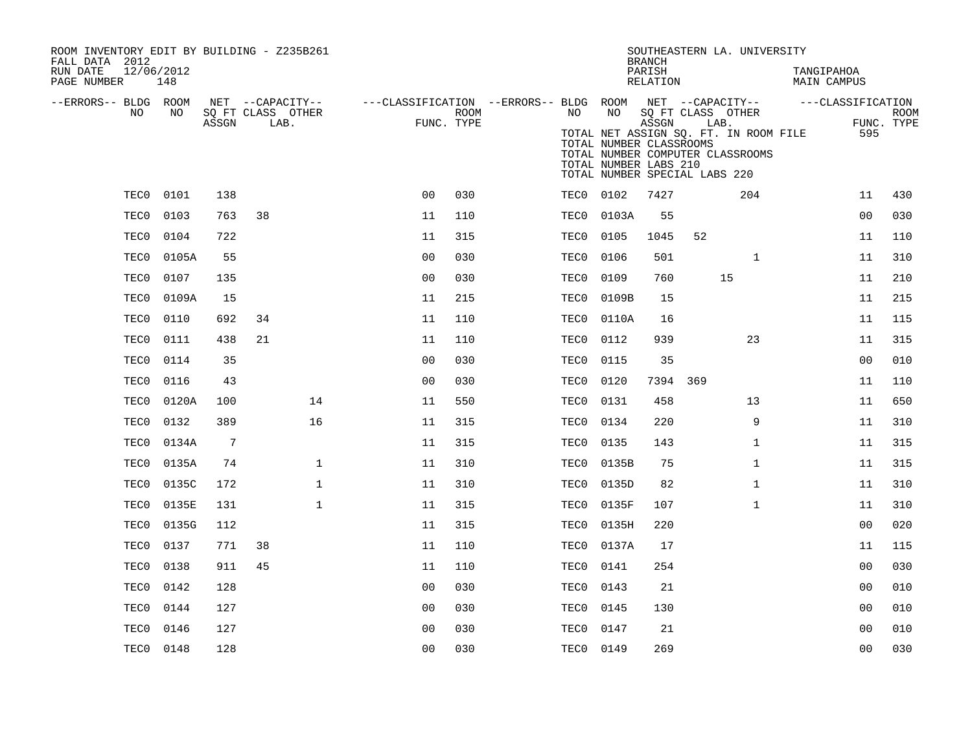| ROOM INVENTORY EDIT BY BUILDING - Z235B261<br>FALL DATA 2012<br>RUN DATE<br>PAGE NUMBER | 12/06/2012<br>148 |                 |    |                           |                                                         |                    |           |                                                        | <b>BRANCH</b><br>PARISH<br>RELATION | SOUTHEASTERN LA. UNIVERSITY                                                                                                             | TANGIPAHOA<br><b>MAIN CAMPUS</b> |                   |                           |
|-----------------------------------------------------------------------------------------|-------------------|-----------------|----|---------------------------|---------------------------------------------------------|--------------------|-----------|--------------------------------------------------------|-------------------------------------|-----------------------------------------------------------------------------------------------------------------------------------------|----------------------------------|-------------------|---------------------------|
| --ERRORS-- BLDG ROOM                                                                    |                   |                 |    | NET --CAPACITY--          | ---CLASSIFICATION --ERRORS-- BLDG ROOM NET --CAPACITY-- |                    |           |                                                        |                                     |                                                                                                                                         |                                  | ---CLASSIFICATION |                           |
| NO.                                                                                     | NO.               | ASSGN           |    | SQ FT CLASS OTHER<br>LAB. |                                                         | ROOM<br>FUNC. TYPE | NO .      | NO<br>TOTAL NUMBER CLASSROOMS<br>TOTAL NUMBER LABS 210 | ASSGN                               | SQ FT CLASS OTHER<br>LAB.<br>TOTAL NET ASSIGN SQ. FT. IN ROOM FILE<br>TOTAL NUMBER COMPUTER CLASSROOMS<br>TOTAL NUMBER SPECIAL LABS 220 |                                  | 595               | <b>ROOM</b><br>FUNC. TYPE |
| TEC0                                                                                    | 0101              | 138             |    |                           | 0 <sub>0</sub>                                          | 030                | TEC0      | 0102                                                   | 7427                                | 204                                                                                                                                     |                                  | 11                | 430                       |
| TEC0                                                                                    | 0103              | 763             | 38 |                           | 11                                                      | 110                | TEC0      | 0103A                                                  | 55                                  |                                                                                                                                         |                                  | 0 <sub>0</sub>    | 030                       |
| TEC0                                                                                    | 0104              | 722             |    |                           | 11                                                      | 315                | TEC0      | 0105                                                   | 1045                                | 52                                                                                                                                      |                                  | 11                | 110                       |
| TEC0                                                                                    | 0105A             | 55              |    |                           | 0 <sub>0</sub>                                          | 030                | TEC0      | 0106                                                   | 501                                 | $\mathbf{1}$                                                                                                                            |                                  | 11                | 310                       |
| TEC0                                                                                    | 0107              | 135             |    |                           | 0 <sub>0</sub>                                          | 030                | TEC0      | 0109                                                   | 760                                 | 15                                                                                                                                      |                                  | 11                | 210                       |
| TEC0                                                                                    | 0109A             | 15              |    |                           | 11                                                      | 215                | TEC0      | 0109B                                                  | 15                                  |                                                                                                                                         |                                  | 11                | 215                       |
| TEC0                                                                                    | 0110              | 692             | 34 |                           | 11                                                      | 110                | TEC0      | 0110A                                                  | 16                                  |                                                                                                                                         |                                  | 11                | 115                       |
| TEC0                                                                                    | 0111              | 438             | 21 |                           | 11                                                      | 110                | TEC0      | 0112                                                   | 939                                 | 23                                                                                                                                      |                                  | 11                | 315                       |
| TEC0                                                                                    | 0114              | 35              |    |                           | 0 <sub>0</sub>                                          | 030                | TEC0      | 0115                                                   | 35                                  |                                                                                                                                         |                                  | 0 <sub>0</sub>    | 010                       |
| TEC0                                                                                    | 0116              | 43              |    |                           | 0 <sub>0</sub>                                          | 030                | TEC0      | 0120                                                   | 7394 369                            |                                                                                                                                         |                                  | 11                | 110                       |
| TEC0                                                                                    | 0120A             | 100             |    | 14                        | 11                                                      | 550                | TEC0      | 0131                                                   | 458                                 | 13                                                                                                                                      |                                  | 11                | 650                       |
| TEC0                                                                                    | 0132              | 389             |    | 16                        | 11                                                      | 315                | TEC0      | 0134                                                   | 220                                 | 9                                                                                                                                       |                                  | 11                | 310                       |
| TEC0                                                                                    | 0134A             | $7\phantom{.0}$ |    |                           | 11                                                      | 315                | TEC0      | 0135                                                   | 143                                 | $\mathbf{1}$                                                                                                                            |                                  | 11                | 315                       |
| TEC0                                                                                    | 0135A             | 74              |    | $\mathbf{1}$              | 11                                                      | 310                | TEC0      | 0135B                                                  | 75                                  | $\mathbf{1}$                                                                                                                            |                                  | 11                | 315                       |
| TEC0                                                                                    | 0135C             | 172             |    | $\mathbf{1}$              | 11                                                      | 310                | TEC0      | 0135D                                                  | 82                                  | $\mathbf{1}$                                                                                                                            |                                  | 11                | 310                       |
| TEC0                                                                                    | 0135E             | 131             |    | $\mathbf{1}$              | 11                                                      | 315                | TEC0      | 0135F                                                  | 107                                 | $\mathbf{1}$                                                                                                                            |                                  | 11                | 310                       |
| TEC0                                                                                    | 0135G             | 112             |    |                           | 11                                                      | 315                | TEC0      | 0135H                                                  | 220                                 |                                                                                                                                         |                                  | 0 <sub>0</sub>    | 020                       |
| TEC0                                                                                    | 0137              | 771             | 38 |                           | 11                                                      | 110                | TEC0      | 0137A                                                  | 17                                  |                                                                                                                                         |                                  | 11                | 115                       |
| TEC0                                                                                    | 0138              | 911             | 45 |                           | 11                                                      | 110                | TEC0      | 0141                                                   | 254                                 |                                                                                                                                         |                                  | 0 <sub>0</sub>    | 030                       |
| TEC0                                                                                    | 0142              | 128             |    |                           | 0 <sub>0</sub>                                          | 030                | TEC0      | 0143                                                   | 21                                  |                                                                                                                                         |                                  | 0 <sub>0</sub>    | 010                       |
| TEC0                                                                                    | 0144              | 127             |    |                           | 00                                                      | 030                | TEC0      | 0145                                                   | 130                                 |                                                                                                                                         |                                  | 00                | 010                       |
| TEC0                                                                                    | 0146              | 127             |    |                           | 0 <sub>0</sub>                                          | 030                | TEC0      | 0147                                                   | 21                                  |                                                                                                                                         |                                  | 00                | 010                       |
|                                                                                         | TEC0 0148         | 128             |    |                           | 0 <sub>0</sub>                                          | 030                | TEC0 0149 |                                                        | 269                                 |                                                                                                                                         |                                  | 0 <sub>0</sub>    | 030                       |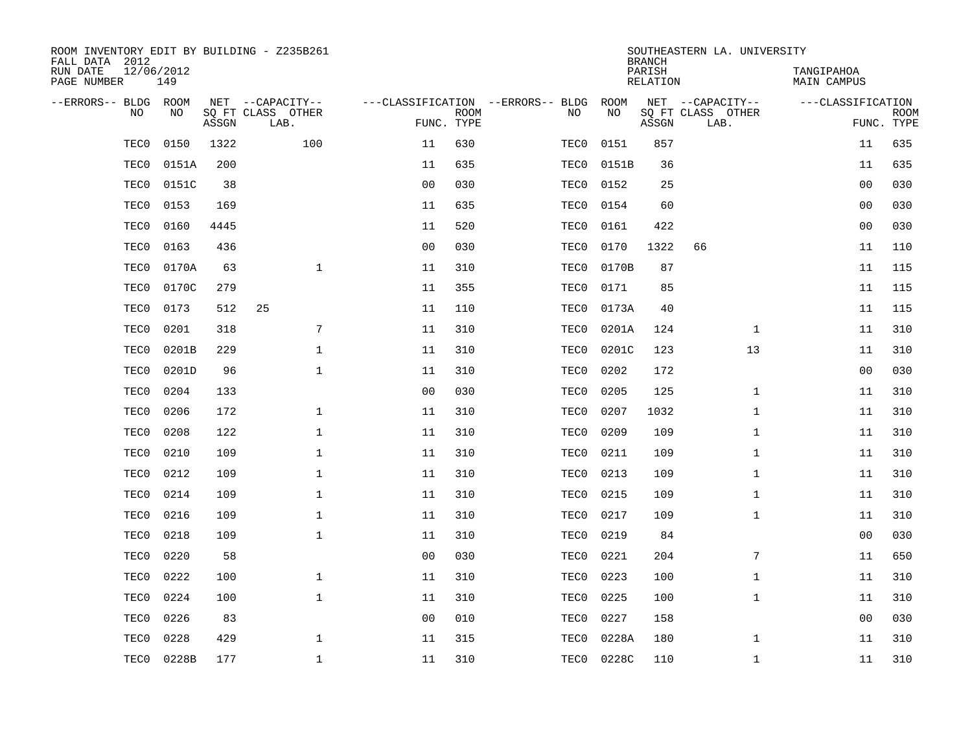| ROOM INVENTORY EDIT BY BUILDING - Z235B261<br>FALL DATA 2012 |                   |       |                           |                |             |                                   |       | <b>BRANCH</b>      | SOUTHEASTERN LA. UNIVERSITY |                                  |                           |
|--------------------------------------------------------------|-------------------|-------|---------------------------|----------------|-------------|-----------------------------------|-------|--------------------|-----------------------------|----------------------------------|---------------------------|
| RUN DATE<br>PAGE NUMBER                                      | 12/06/2012<br>149 |       |                           |                |             |                                   |       | PARISH<br>RELATION |                             | TANGIPAHOA<br><b>MAIN CAMPUS</b> |                           |
| --ERRORS-- BLDG                                              | ROOM              |       | NET --CAPACITY--          |                |             | ---CLASSIFICATION --ERRORS-- BLDG | ROOM  |                    | NET --CAPACITY--            | ---CLASSIFICATION                |                           |
| N <sub>O</sub>                                               | NO.               | ASSGN | SO FT CLASS OTHER<br>LAB. | FUNC. TYPE     | <b>ROOM</b> | NO.                               | NO    | ASSGN              | SQ FT CLASS OTHER<br>LAB.   |                                  | <b>ROOM</b><br>FUNC. TYPE |
| TEC0                                                         | 0150              | 1322  | 100                       | 11             | 630         | TEC0                              | 0151  | 857                |                             | 11                               | 635                       |
| TEC0                                                         | 0151A             | 200   |                           | 11             | 635         | TEC0                              | 0151B | 36                 |                             | 11                               | 635                       |
| TEC0                                                         | 0151C             | 38    |                           | 0 <sub>0</sub> | 030         | TEC0                              | 0152  | 25                 |                             | 0 <sub>0</sub>                   | 030                       |
| TEC0                                                         | 0153              | 169   |                           | 11             | 635         | TEC0                              | 0154  | 60                 |                             | 0 <sub>0</sub>                   | 030                       |
| TEC0                                                         | 0160              | 4445  |                           | 11             | 520         | TEC0                              | 0161  | 422                |                             | 00                               | 030                       |
| TEC0                                                         | 0163              | 436   |                           | 0 <sub>0</sub> | 030         | TEC0                              | 0170  | 1322               | 66                          | 11                               | 110                       |
| TEC0                                                         | 0170A             | 63    | $\mathbf{1}$              | 11             | 310         | TEC0                              | 0170B | 87                 |                             | 11                               | 115                       |
| TEC0                                                         | 0170C             | 279   |                           | 11             | 355         | TEC0                              | 0171  | 85                 |                             | 11                               | 115                       |
| TEC0                                                         | 0173              | 512   | 25                        | 11             | 110         | TEC0                              | 0173A | 40                 |                             | 11                               | 115                       |
| TEC0                                                         | 0201              | 318   | 7                         | 11             | 310         | TEC0                              | 0201A | 124                | $\mathbf{1}$                | 11                               | 310                       |
| TEC0                                                         | 0201B             | 229   | $\mathbf 1$               | 11             | 310         | TEC0                              | 0201C | 123                | 13                          | 11                               | 310                       |
| TEC0                                                         | 0201D             | 96    | $\mathbf 1$               | 11             | 310         | TEC0                              | 0202  | 172                |                             | 0 <sub>0</sub>                   | 030                       |
| TEC0                                                         | 0204              | 133   |                           | 0 <sub>0</sub> | 030         | TEC0                              | 0205  | 125                | $\mathbf{1}$                | 11                               | 310                       |
| TEC0                                                         | 0206              | 172   | $\mathbf 1$               | 11             | 310         | TEC0                              | 0207  | 1032               | $\mathbf{1}$                | 11                               | 310                       |
| TEC0                                                         | 0208              | 122   | $\mathbf 1$               | 11             | 310         | TEC0                              | 0209  | 109                | $\mathbf{1}$                | 11                               | 310                       |
| TEC0                                                         | 0210              | 109   | $\mathbf 1$               | 11             | 310         | TEC0                              | 0211  | 109                | $\mathbf{1}$                | 11                               | 310                       |
| TEC0                                                         | 0212              | 109   | $\mathbf 1$               | 11             | 310         | TEC0                              | 0213  | 109                | $\mathbf{1}$                | 11                               | 310                       |
| TEC0                                                         | 0214              | 109   | $\mathbf 1$               | 11             | 310         | TEC0                              | 0215  | 109                | $\mathbf{1}$                | 11                               | 310                       |
| TEC0                                                         | 0216              | 109   | $\mathbf{1}$              | 11             | 310         | TEC0                              | 0217  | 109                | $\mathbf{1}$                | 11                               | 310                       |
| TEC0                                                         | 0218              | 109   | $\mathbf{1}$              | 11             | 310         | TEC0                              | 0219  | 84                 |                             | 0 <sub>0</sub>                   | 030                       |
| TEC0                                                         | 0220              | 58    |                           | 0 <sub>0</sub> | 030         | TEC0                              | 0221  | 204                | 7                           | 11                               | 650                       |
| TEC0                                                         | 0222              | 100   | $\mathbf{1}$              | 11             | 310         | TEC0                              | 0223  | 100                | $\mathbf{1}$                | 11                               | 310                       |
| TEC0                                                         | 0224              | 100   | $\mathbf{1}$              | 11             | 310         | TEC0                              | 0225  | 100                | $\mathbf{1}$                | 11                               | 310                       |
| TEC0                                                         | 0226              | 83    |                           | 0 <sub>0</sub> | 010         | TEC0                              | 0227  | 158                |                             | 00                               | 030                       |
| TEC0                                                         | 0228              | 429   | $\mathbf 1$               | 11             | 315         | TEC0                              | 0228A | 180                | $\mathbf{1}$                | 11                               | 310                       |
| TEC0                                                         | 0228B             | 177   | $\mathbf{1}$              | 11             | 310         | TEC0                              | 0228C | 110                | $\mathbf{1}$                | 11                               | 310                       |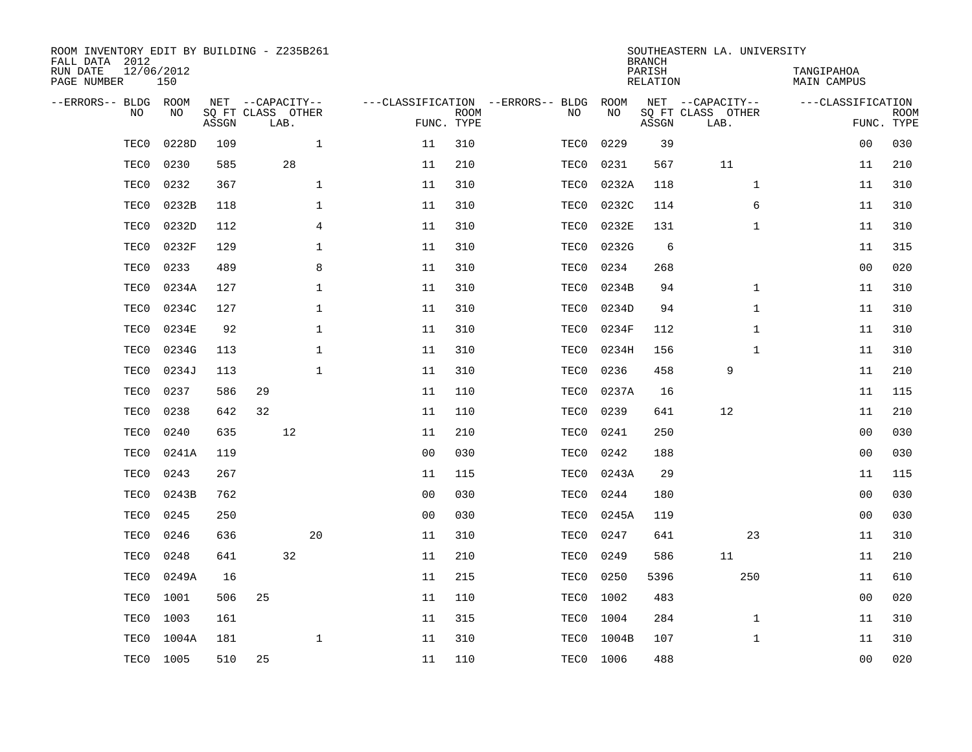| ROOM INVENTORY EDIT BY BUILDING - Z235B261<br>FALL DATA 2012 |                   |       |    |                           |                                   |                           |      |           | <b>BRANCH</b>             | SOUTHEASTERN LA. UNIVERSITY |                                  |                           |
|--------------------------------------------------------------|-------------------|-------|----|---------------------------|-----------------------------------|---------------------------|------|-----------|---------------------------|-----------------------------|----------------------------------|---------------------------|
| RUN DATE<br>PAGE NUMBER                                      | 12/06/2012<br>150 |       |    |                           |                                   |                           |      |           | PARISH<br><b>RELATION</b> |                             | TANGIPAHOA<br><b>MAIN CAMPUS</b> |                           |
| --ERRORS-- BLDG ROOM                                         |                   |       |    | NET --CAPACITY--          | ---CLASSIFICATION --ERRORS-- BLDG |                           |      | ROOM      |                           | NET --CAPACITY--            | ---CLASSIFICATION                |                           |
| NO                                                           | NO                | ASSGN |    | SQ FT CLASS OTHER<br>LAB. |                                   | <b>ROOM</b><br>FUNC. TYPE | NO   | NO        | ASSGN                     | SQ FT CLASS OTHER<br>LAB.   |                                  | <b>ROOM</b><br>FUNC. TYPE |
| TEC0                                                         | 0228D             | 109   |    | $\mathbf{1}$              | 11                                | 310                       | TEC0 | 0229      | 39                        |                             | 0 <sub>0</sub>                   | 030                       |
| TEC0                                                         | 0230              | 585   |    | 28                        | 11                                | 210                       | TEC0 | 0231      | 567                       | 11                          | 11                               | 210                       |
| TEC0                                                         | 0232              | 367   |    | $\mathbf 1$               | 11                                | 310                       | TEC0 | 0232A     | 118                       | $\mathbf{1}$                | 11                               | 310                       |
| TEC0                                                         | 0232B             | 118   |    | 1                         | 11                                | 310                       | TEC0 | 0232C     | 114                       | 6                           | 11                               | 310                       |
| TEC0                                                         | 0232D             | 112   |    | $\overline{4}$            | 11                                | 310                       | TEC0 | 0232E     | 131                       | $\mathbf{1}$                | 11                               | 310                       |
| TEC0                                                         | 0232F             | 129   |    | $\mathbf 1$               | 11                                | 310                       | TEC0 | 0232G     | 6                         |                             | 11                               | 315                       |
| TEC0                                                         | 0233              | 489   |    | 8                         | 11                                | 310                       | TEC0 | 0234      | 268                       |                             | 0 <sub>0</sub>                   | 020                       |
| TEC0                                                         | 0234A             | 127   |    | $\mathbf{1}$              | 11                                | 310                       | TEC0 | 0234B     | 94                        | $\mathbf{1}$                | 11                               | 310                       |
| TEC0                                                         | 0234C             | 127   |    | $\mathbf{1}$              | 11                                | 310                       | TEC0 | 0234D     | 94                        | $\mathbf{1}$                | 11                               | 310                       |
| TEC0                                                         | 0234E             | 92    |    | 1                         | 11                                | 310                       | TEC0 | 0234F     | 112                       | $\mathbf{1}$                | 11                               | 310                       |
| TEC0                                                         | 0234G             | 113   |    | $\mathbf 1$               | 11                                | 310                       | TEC0 | 0234H     | 156                       | $\mathbf{1}$                | 11                               | 310                       |
| TEC0                                                         | 0234J             | 113   |    | $\mathbf{1}$              | 11                                | 310                       | TEC0 | 0236      | 458                       | 9                           | 11                               | 210                       |
| TEC0                                                         | 0237              | 586   | 29 |                           | 11                                | 110                       | TEC0 | 0237A     | 16                        |                             | 11                               | 115                       |
| TEC0                                                         | 0238              | 642   | 32 |                           | 11                                | 110                       | TEC0 | 0239      | 641                       | 12                          | 11                               | 210                       |
| TEC0                                                         | 0240              | 635   |    | 12                        | 11                                | 210                       | TEC0 | 0241      | 250                       |                             | 0 <sub>0</sub>                   | 030                       |
| TEC0                                                         | 0241A             | 119   |    |                           | 00                                | 030                       | TEC0 | 0242      | 188                       |                             | 00                               | 030                       |
| TEC0                                                         | 0243              | 267   |    |                           | 11                                | 115                       | TEC0 | 0243A     | 29                        |                             | 11                               | 115                       |
| TEC0                                                         | 0243B             | 762   |    |                           | 0 <sub>0</sub>                    | 030                       | TEC0 | 0244      | 180                       |                             | 00                               | 030                       |
| TEC0                                                         | 0245              | 250   |    |                           | 0 <sub>0</sub>                    | 030                       | TEC0 | 0245A     | 119                       |                             | 00                               | 030                       |
| TEC0                                                         | 0246              | 636   |    | 20                        | 11                                | 310                       | TEC0 | 0247      | 641                       | 23                          | 11                               | 310                       |
| TEC0                                                         | 0248              | 641   |    | 32                        | 11                                | 210                       | TEC0 | 0249      | 586                       | 11                          | 11                               | 210                       |
| TEC0                                                         | 0249A             | 16    |    |                           | 11                                | 215                       | TEC0 | 0250      | 5396                      | 250                         | 11                               | 610                       |
| TEC0                                                         | 1001              | 506   | 25 |                           | 11                                | 110                       | TEC0 | 1002      | 483                       |                             | 0 <sub>0</sub>                   | 020                       |
| TEC0                                                         | 1003              | 161   |    |                           | 11                                | 315                       | TEC0 | 1004      | 284                       | $\mathbf{1}$                | 11                               | 310                       |
| TEC0                                                         | 1004A             | 181   |    | $\mathbf{1}$              | 11                                | 310                       | TEC0 | 1004B     | 107                       | $\mathbf{1}$                | 11                               | 310                       |
|                                                              | TEC0 1005         | 510   | 25 |                           | 11                                | 110                       |      | TEC0 1006 | 488                       |                             | 00                               | 020                       |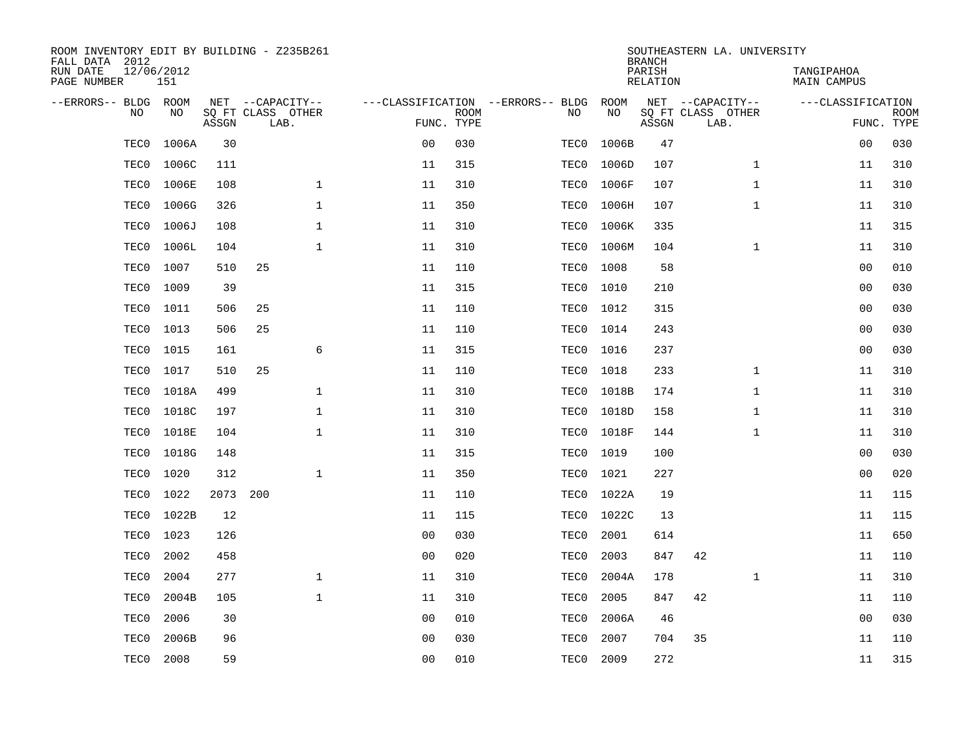| ROOM INVENTORY EDIT BY BUILDING - Z235B261<br>FALL DATA 2012 |                   |       |                           |              |                |             |                                   |       | <b>BRANCH</b>             |     | SOUTHEASTERN LA. UNIVERSITY |                                  |                   |                           |
|--------------------------------------------------------------|-------------------|-------|---------------------------|--------------|----------------|-------------|-----------------------------------|-------|---------------------------|-----|-----------------------------|----------------------------------|-------------------|---------------------------|
| RUN DATE<br>PAGE NUMBER                                      | 12/06/2012<br>151 |       |                           |              |                |             |                                   |       | PARISH<br><b>RELATION</b> |     |                             | TANGIPAHOA<br><b>MAIN CAMPUS</b> |                   |                           |
| --ERRORS-- BLDG                                              | ROOM              |       | NET --CAPACITY--          |              |                |             | ---CLASSIFICATION --ERRORS-- BLDG | ROOM  |                           |     | NET --CAPACITY--            |                                  | ---CLASSIFICATION |                           |
| N <sub>O</sub>                                               | NO.               | ASSGN | SO FT CLASS OTHER<br>LAB. |              | FUNC. TYPE     | <b>ROOM</b> | NO.                               | NO    | ASSGN                     |     | SQ FT CLASS OTHER<br>LAB.   |                                  |                   | <b>ROOM</b><br>FUNC. TYPE |
| TEC0                                                         | 1006A             | 30    |                           |              | 0 <sub>0</sub> | 030         | TEC0                              | 1006B |                           | 47  |                             |                                  | 00                | 030                       |
| TEC0                                                         | 1006C             | 111   |                           |              | 11             | 315         | TEC0                              | 1006D | 107                       |     | $\mathbf{1}$                |                                  | 11                | 310                       |
| TEC0                                                         | 1006E             | 108   |                           | $\mathbf{1}$ | 11             | 310         | TEC0                              | 1006F | 107                       |     | $\mathbf{1}$                |                                  | 11                | 310                       |
| TEC0                                                         | 1006G             | 326   |                           | $\mathbf{1}$ | 11             | 350         | TEC0                              | 1006H | 107                       |     | $\mathbf{1}$                |                                  | 11                | 310                       |
| TEC0                                                         | 1006J             | 108   |                           | $\mathbf{1}$ | 11             | 310         | TEC0                              | 1006K | 335                       |     |                             |                                  | 11                | 315                       |
| TEC0                                                         | 1006L             | 104   |                           | $\mathbf 1$  | 11             | 310         | TEC0                              | 1006M |                           | 104 | $\mathbf{1}$                |                                  | 11                | 310                       |
| TEC0                                                         | 1007              | 510   | 25                        |              | 11             | 110         | TEC0                              | 1008  |                           | 58  |                             |                                  | 00                | 010                       |
| TEC0                                                         | 1009              | 39    |                           |              | 11             | 315         | TEC0                              | 1010  | 210                       |     |                             |                                  | 00                | 030                       |
| TEC0                                                         | 1011              | 506   | 25                        |              | 11             | 110         | TEC0                              | 1012  | 315                       |     |                             |                                  | 0 <sub>0</sub>    | 030                       |
| TEC0                                                         | 1013              | 506   | 25                        |              | 11             | 110         | TEC0                              | 1014  | 243                       |     |                             |                                  | 0 <sub>0</sub>    | 030                       |
| TEC0                                                         | 1015              | 161   |                           | 6            | 11             | 315         | TEC0                              | 1016  |                           | 237 |                             |                                  | 0 <sub>0</sub>    | 030                       |
| TEC0                                                         | 1017              | 510   | 25                        |              | 11             | 110         | TEC0                              | 1018  |                           | 233 | $\mathbf{1}$                |                                  | 11                | 310                       |
| TEC0                                                         | 1018A             | 499   |                           | $\mathbf{1}$ | 11             | 310         | TEC0                              | 1018B | 174                       |     | $\mathbf{1}$                |                                  | 11                | 310                       |
| TEC0                                                         | 1018C             | 197   |                           | $\mathbf 1$  | 11             | 310         | TEC0                              | 1018D | 158                       |     | $\mathbf{1}$                |                                  | 11                | 310                       |
| TEC0                                                         | 1018E             | 104   |                           | $\mathbf{1}$ | 11             | 310         | TEC0                              | 1018F | 144                       |     | $\mathbf{1}$                |                                  | 11                | 310                       |
| TEC0                                                         | 1018G             | 148   |                           |              | 11             | 315         | TEC0                              | 1019  | 100                       |     |                             |                                  | 00                | 030                       |
| TEC0                                                         | 1020              | 312   |                           | $\mathbf{1}$ | 11             | 350         | TEC0                              | 1021  |                           | 227 |                             |                                  | 0 <sub>0</sub>    | 020                       |
| TEC0                                                         | 1022              | 2073  | 200                       |              | 11             | 110         | TEC0                              | 1022A |                           | 19  |                             |                                  | 11                | 115                       |
| TEC0                                                         | 1022B             | 12    |                           |              | 11             | 115         | TEC0                              | 1022C |                           | 13  |                             |                                  | 11                | 115                       |
| TEC0                                                         | 1023              | 126   |                           |              | 0 <sub>0</sub> | 030         | TEC0                              | 2001  | 614                       |     |                             |                                  | 11                | 650                       |
| TEC0                                                         | 2002              | 458   |                           |              | 0 <sub>0</sub> | 020         | TEC0                              | 2003  | 847                       |     | 42                          |                                  | 11                | 110                       |
| TEC0                                                         | 2004              | 277   |                           | $\mathbf{1}$ | 11             | 310         | TEC0                              | 2004A | 178                       |     | $\mathbf{1}$                |                                  | 11                | 310                       |
| TEC0                                                         | 2004B             | 105   |                           | $\mathbf{1}$ | 11             | 310         | TEC0                              | 2005  | 847                       |     | 42                          |                                  | 11                | 110                       |
| TEC0                                                         | 2006              | 30    |                           |              | 0 <sub>0</sub> | 010         | TEC0                              | 2006A |                           | 46  |                             |                                  | 0 <sub>0</sub>    | 030                       |
| TEC0                                                         | 2006B             | 96    |                           |              | 0 <sub>0</sub> | 030         | TEC0                              | 2007  |                           | 704 | 35                          |                                  | 11                | 110                       |
| TEC0                                                         | 2008              | 59    |                           |              | 00             | 010         | TEC0                              | 2009  |                           | 272 |                             |                                  | 11                | 315                       |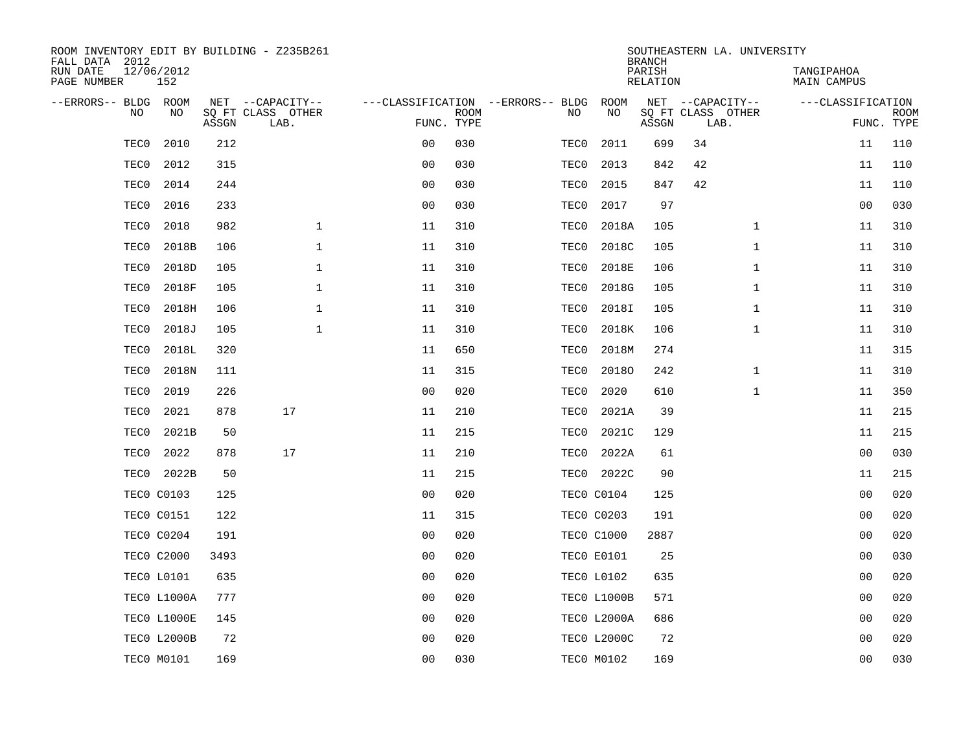| ROOM INVENTORY EDIT BY BUILDING - Z235B261<br>FALL DATA 2012 |                    |       |                           |                |             |                                   |                    | <b>BRANCH</b>      | SOUTHEASTERN LA. UNIVERSITY |                           |                           |
|--------------------------------------------------------------|--------------------|-------|---------------------------|----------------|-------------|-----------------------------------|--------------------|--------------------|-----------------------------|---------------------------|---------------------------|
| RUN DATE<br>PAGE NUMBER                                      | 12/06/2012<br>152  |       |                           |                |             |                                   |                    | PARISH<br>RELATION |                             | TANGIPAHOA<br>MAIN CAMPUS |                           |
| --ERRORS-- BLDG ROOM                                         |                    |       | NET --CAPACITY--          |                |             | ---CLASSIFICATION --ERRORS-- BLDG | ROOM               |                    | NET --CAPACITY--            | ---CLASSIFICATION         |                           |
| NO.                                                          | NO.                | ASSGN | SQ FT CLASS OTHER<br>LAB. | FUNC. TYPE     | <b>ROOM</b> | NO.                               | NO                 | ASSGN              | SQ FT CLASS OTHER<br>LAB.   |                           | <b>ROOM</b><br>FUNC. TYPE |
| TEC0                                                         | 2010               | 212   |                           | 0 <sub>0</sub> | 030         | TEC0                              | 2011               | 699                | 34                          | 11                        | 110                       |
| TEC0                                                         | 2012               | 315   |                           | 0 <sub>0</sub> | 030         | TEC0                              | 2013               | 842                | 42                          | 11                        | 110                       |
| TEC0                                                         | 2014               | 244   |                           | 0 <sub>0</sub> | 030         | TEC0                              | 2015               | 847                | 42                          | 11                        | 110                       |
| TEC0                                                         | 2016               | 233   |                           | 0 <sub>0</sub> | 030         | TEC0                              | 2017               | 97                 |                             | 00                        | 030                       |
| TEC0                                                         | 2018               | 982   | $\mathbf 1$               | 11             | 310         | TEC0                              | 2018A              | 105                | $\mathbf{1}$                | 11                        | 310                       |
| TEC0                                                         | 2018B              | 106   | $\mathbf 1$               | 11             | 310         | TEC0                              | 2018C              | 105                | $\mathbf{1}$                | 11                        | 310                       |
| TEC0                                                         | 2018D              | 105   | $\mathbf{1}$              | 11             | 310         | TEC0                              | 2018E              | 106                | $\mathbf{1}$                | 11                        | 310                       |
| TEC0                                                         | 2018F              | 105   | 1                         | 11             | 310         | TEC0                              | 2018G              | 105                | $\mathbf{1}$                | 11                        | 310                       |
| TEC0                                                         | 2018H              | 106   | $\mathbf 1$               | 11             | 310         | TEC0                              | 2018I              | 105                | $\mathbf{1}$                | 11                        | 310                       |
| TEC0                                                         | 2018J              | 105   | $\mathbf{1}$              | 11             | 310         | TEC0                              | 2018K              | 106                | $\mathbf{1}$                | 11                        | 310                       |
| TEC0                                                         | 2018L              | 320   |                           | 11             | 650         | TEC0                              | 2018M              | 274                |                             | 11                        | 315                       |
| TEC0                                                         | 2018N              | 111   |                           | 11             | 315         | TEC0                              | 20180              | 242                | $\mathbf{1}$                | 11                        | 310                       |
| TEC0                                                         | 2019               | 226   |                           | 0 <sub>0</sub> | 020         | TEC0                              | 2020               | 610                | $\mathbf{1}$                | 11                        | 350                       |
| TEC0                                                         | 2021               | 878   | 17                        | 11             | 210         | TEC0                              | 2021A              | 39                 |                             | 11                        | 215                       |
| TEC0                                                         | 2021B              | 50    |                           | 11             | 215         | TEC0                              | 2021C              | 129                |                             | 11                        | 215                       |
| TEC0                                                         | 2022               | 878   | 17                        | 11             | 210         | TEC0                              | 2022A              | 61                 |                             | 0 <sub>0</sub>            | 030                       |
| TEC0                                                         | 2022B              | 50    |                           | 11             | 215         | TEC0                              | 2022C              | 90                 |                             | 11                        | 215                       |
|                                                              | <b>TECO C0103</b>  | 125   |                           | 0 <sub>0</sub> | 020         |                                   | <b>TECO C0104</b>  | 125                |                             | 00                        | 020                       |
|                                                              | <b>TECO C0151</b>  | 122   |                           | 11             | 315         |                                   | <b>TECO C0203</b>  | 191                |                             | 00                        | 020                       |
|                                                              | <b>TEC0 C0204</b>  | 191   |                           | 0 <sub>0</sub> | 020         |                                   | <b>TECO C1000</b>  | 2887               |                             | 0 <sub>0</sub>            | 020                       |
|                                                              | <b>TEC0 C2000</b>  | 3493  |                           | 0 <sub>0</sub> | 020         |                                   | <b>TECO E0101</b>  | 25                 |                             | 0 <sub>0</sub>            | 030                       |
|                                                              | <b>TECO L0101</b>  | 635   |                           | 0 <sub>0</sub> | 020         |                                   | TEC0 L0102         | 635                |                             | 00                        | 020                       |
|                                                              | <b>TECO L1000A</b> | 777   |                           | 0 <sub>0</sub> | 020         |                                   | TECO L1000B        | 571                |                             | 00                        | 020                       |
|                                                              | TECO L1000E        | 145   |                           | 00             | 020         |                                   | TECO L2000A        | 686                |                             | 00                        | 020                       |
|                                                              | <b>TECO L2000B</b> | 72    |                           | 0 <sub>0</sub> | 020         |                                   | <b>TECO L2000C</b> | 72                 |                             | 0 <sub>0</sub>            | 020                       |
|                                                              | TECO MO101         | 169   |                           | 0 <sub>0</sub> | 030         |                                   | TEC0 M0102         | 169                |                             | 0 <sub>0</sub>            | 030                       |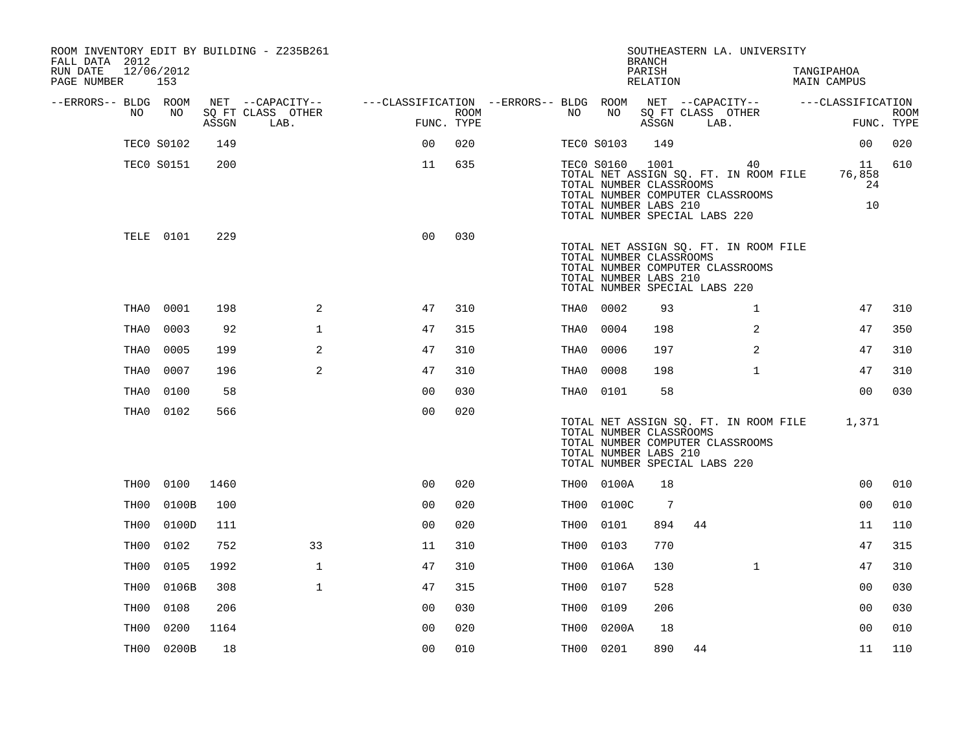| ROOM INVENTORY EDIT BY BUILDING - Z235B261<br>FALL DATA 2012<br>RUN DATE<br>PAGE NUMBER 153 | 12/06/2012        |       |                           |                                                         |                           |                   |                 | <b>BRANCH</b><br>PARISH<br>RELATION                                               |      | SOUTHEASTERN LA. UNIVERSITY                                                     | TANGIPAHOA<br><b>MAIN CAMPUS</b>            |                           |
|---------------------------------------------------------------------------------------------|-------------------|-------|---------------------------|---------------------------------------------------------|---------------------------|-------------------|-----------------|-----------------------------------------------------------------------------------|------|---------------------------------------------------------------------------------|---------------------------------------------|---------------------------|
| --ERRORS-- BLDG ROOM                                                                        |                   |       | NET --CAPACITY--          | ---CLASSIFICATION --ERRORS-- BLDG ROOM NET --CAPACITY-- |                           |                   |                 |                                                                                   |      |                                                                                 | ---CLASSIFICATION                           |                           |
| NO                                                                                          | NO                | ASSGN | SQ FT CLASS OTHER<br>LAB. |                                                         | <b>ROOM</b><br>FUNC. TYPE | NO .              | NO              | SQ FT CLASS OTHER<br>ASSGN                                                        | LAB. |                                                                                 |                                             | <b>ROOM</b><br>FUNC. TYPE |
|                                                                                             | <b>TECO S0102</b> | 149   |                           | 0 <sup>0</sup>                                          | 020                       | <b>TECO S0103</b> |                 | 149                                                                               |      |                                                                                 | 00                                          | 020                       |
|                                                                                             | <b>TECO S0151</b> | 200   |                           | 11                                                      | 635                       |                   | TEC0 S0160 1001 | TOTAL NUMBER CLASSROOMS<br>TOTAL NUMBER LABS 210<br>TOTAL NUMBER SPECIAL LABS 220 |      | 40<br>TOTAL NET ASSIGN SO. FT. IN ROOM FILE<br>TOTAL NUMBER COMPUTER CLASSROOMS | 11<br>76,858<br>24<br>10                    | 610                       |
|                                                                                             | TELE 0101         | 229   |                           | 0 <sub>0</sub>                                          | 030                       |                   |                 | TOTAL NUMBER CLASSROOMS<br>TOTAL NUMBER LABS 210<br>TOTAL NUMBER SPECIAL LABS 220 |      | TOTAL NET ASSIGN SQ. FT. IN ROOM FILE<br>TOTAL NUMBER COMPUTER CLASSROOMS       |                                             |                           |
| THA0                                                                                        | 0001              | 198   | 2                         | 47                                                      | 310                       | THA0 0002         |                 | 93                                                                                |      | $\mathbf{1}$                                                                    | 47                                          | 310                       |
| THA0                                                                                        | 0003              | 92    | $\mathbf{1}$              | 47                                                      | 315                       | THA0              | 0004            | 198                                                                               |      | $\overline{2}$                                                                  | 47                                          | 350                       |
| THA0                                                                                        | 0005              | 199   | 2                         | 47                                                      | 310                       | THA0              | 0006            | 197                                                                               |      | 2                                                                               | 47                                          | 310                       |
| THA0                                                                                        | 0007              | 196   | 2                         | 47                                                      | 310                       | THA0              | 0008            | 198                                                                               |      | $\mathbf{1}$                                                                    | 47                                          | 310                       |
| THA0                                                                                        | 0100              | 58    |                           | 0 <sub>0</sub>                                          | 030                       | THA0 0101         |                 | 58                                                                                |      |                                                                                 | 0 <sub>0</sub>                              | 030                       |
|                                                                                             | THA0 0102         | 566   |                           | 0 <sub>0</sub>                                          | 020                       |                   |                 | TOTAL NUMBER CLASSROOMS<br>TOTAL NUMBER LABS 210<br>TOTAL NUMBER SPECIAL LABS 220 |      | TOTAL NUMBER COMPUTER CLASSROOMS                                                | TOTAL NET ASSIGN SQ. FT. IN ROOM FILE 1,371 |                           |
|                                                                                             | TH00 0100         | 1460  |                           | 0 <sub>0</sub>                                          | 020                       |                   | TH00 0100A      | 18                                                                                |      |                                                                                 | 0 <sub>0</sub>                              | 010                       |
| TH00                                                                                        | 0100B             | 100   |                           | 0 <sub>0</sub>                                          | 020                       |                   | TH00 0100C      | $7\phantom{.0}$                                                                   |      |                                                                                 | 00                                          | 010                       |
| TH00                                                                                        | 0100D             | 111   |                           | 0 <sub>0</sub>                                          | 020                       | TH00              | 0101            | 894                                                                               | 44   |                                                                                 | 11                                          | 110                       |
| TH00                                                                                        | 0102              | 752   | 33                        | 11                                                      | 310                       | TH00              | 0103            | 770                                                                               |      |                                                                                 | 47                                          | 315                       |
| TH00                                                                                        | 0105              | 1992  | $\mathbf 1$               | 47                                                      | 310                       | TH00              | 0106A           | 130                                                                               |      | $\mathbf{1}$                                                                    | 47                                          | 310                       |
| TH00                                                                                        | 0106B             | 308   | $\mathbf{1}$              | 47                                                      | 315                       | TH00              | 0107            | 528                                                                               |      |                                                                                 | 0 <sub>0</sub>                              | 030                       |
| TH00                                                                                        | 0108              | 206   |                           | 0 <sub>0</sub>                                          | 030                       | TH00              | 0109            | 206                                                                               |      |                                                                                 | 00                                          | 030                       |
| TH00                                                                                        | 0200              | 1164  |                           | 00                                                      | 020                       | TH00              | 0200A           | 18                                                                                |      |                                                                                 | 0 <sub>0</sub>                              | 010                       |
|                                                                                             | TH00 0200B        | 18    |                           | 00                                                      | 010                       | TH00 0201         |                 | 890                                                                               | 44   |                                                                                 | 11                                          | 110                       |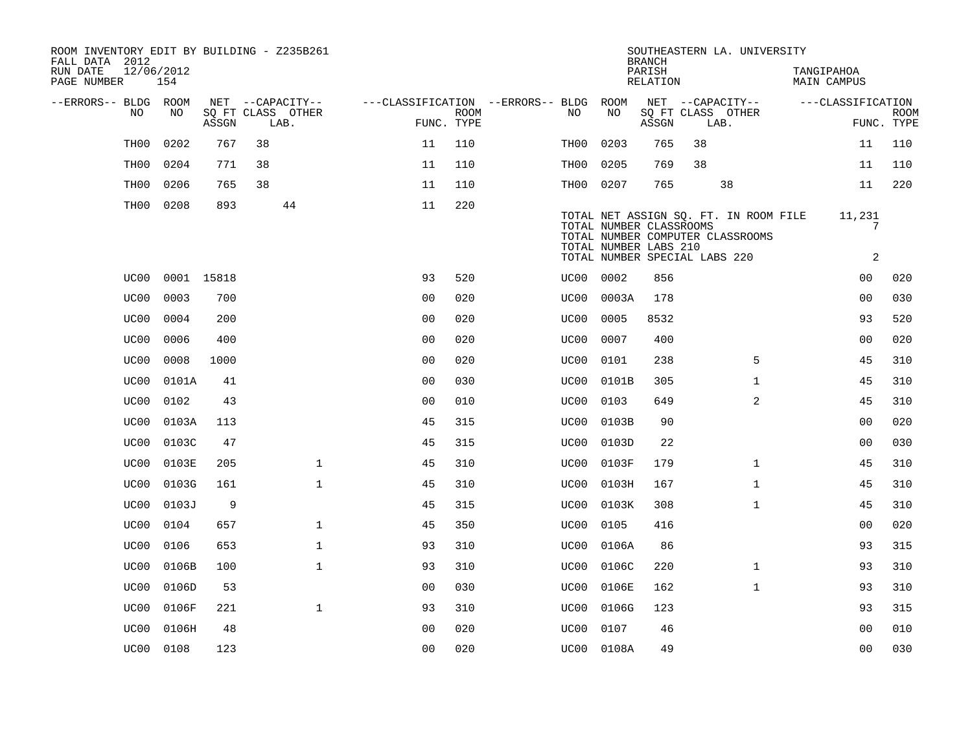| ROOM INVENTORY EDIT BY BUILDING - Z235B261<br>FALL DATA 2012 |                  |                   |       |    |                           |                |             |                                        |           |                                                                                   | <b>BRANCH</b>      |      | SOUTHEASTERN LA. UNIVERSITY                                               |                           |                           |
|--------------------------------------------------------------|------------------|-------------------|-------|----|---------------------------|----------------|-------------|----------------------------------------|-----------|-----------------------------------------------------------------------------------|--------------------|------|---------------------------------------------------------------------------|---------------------------|---------------------------|
| RUN DATE<br>PAGE NUMBER                                      |                  | 12/06/2012<br>154 |       |    |                           |                |             |                                        |           |                                                                                   | PARISH<br>RELATION |      |                                                                           | TANGIPAHOA<br>MAIN CAMPUS |                           |
| --ERRORS-- BLDG ROOM                                         |                  |                   |       |    | NET --CAPACITY--          |                |             | ---CLASSIFICATION --ERRORS-- BLDG ROOM |           |                                                                                   |                    |      | NET --CAPACITY--                                                          | ---CLASSIFICATION         |                           |
|                                                              | NO               | NO                | ASSGN |    | SQ FT CLASS OTHER<br>LAB. | FUNC. TYPE     | <b>ROOM</b> |                                        | NO        | NO                                                                                | ASSGN              | LAB. | SQ FT CLASS OTHER                                                         |                           | <b>ROOM</b><br>FUNC. TYPE |
|                                                              | TH <sub>00</sub> | 0202              | 767   | 38 |                           | 11             | 110         |                                        | TH00      | 0203                                                                              | 765                | 38   |                                                                           | 11                        | 110                       |
|                                                              | TH00             | 0204              | 771   | 38 |                           | 11             | 110         |                                        | TH00      | 0205                                                                              | 769                | 38   |                                                                           | 11                        | 110                       |
|                                                              | TH00             | 0206              | 765   | 38 |                           | 11             | 110         |                                        | TH00 0207 |                                                                                   | 765                |      | 38                                                                        | 11                        | 220                       |
|                                                              | TH00             | 0208              | 893   |    | 44                        | 11             | 220         |                                        |           | TOTAL NUMBER CLASSROOMS<br>TOTAL NUMBER LABS 210<br>TOTAL NUMBER SPECIAL LABS 220 |                    |      | TOTAL NET ASSIGN SQ. FT. IN ROOM FILE<br>TOTAL NUMBER COMPUTER CLASSROOMS | 11,231<br>7<br>2          |                           |
|                                                              | UC00             | 0001 15818        |       |    |                           | 93             | 520         |                                        | UC00 0002 |                                                                                   | 856                |      |                                                                           | 00                        | 020                       |
|                                                              | UC00             | 0003              | 700   |    |                           | 0 <sub>0</sub> | 020         |                                        | UC00      | 0003A                                                                             | 178                |      |                                                                           | 00                        | 030                       |
|                                                              | UC00             | 0004              | 200   |    |                           | 0 <sub>0</sub> | 020         |                                        | UC00      | 0005                                                                              | 8532               |      |                                                                           | 93                        | 520                       |
|                                                              | UC00             | 0006              | 400   |    |                           | 0 <sub>0</sub> | 020         |                                        | UC00      | 0007                                                                              | 400                |      |                                                                           | 0 <sub>0</sub>            | 020                       |
|                                                              | UC00             | 0008              | 1000  |    |                           | 0 <sub>0</sub> | 020         |                                        | UC00      | 0101                                                                              | 238                |      | 5                                                                         | 45                        | 310                       |
|                                                              | UC00             | 0101A             | 41    |    |                           | 0 <sub>0</sub> | 030         |                                        | UC00      | 0101B                                                                             | 305                |      | $\mathbf{1}$                                                              | 45                        | 310                       |
|                                                              | UC00             | 0102              | 43    |    |                           | 0 <sub>0</sub> | 010         |                                        | UC00      | 0103                                                                              | 649                |      | 2                                                                         | 45                        | 310                       |
|                                                              | UC00             | 0103A             | 113   |    |                           | 45             | 315         |                                        |           | UC00 0103B                                                                        | 90                 |      |                                                                           | 0 <sub>0</sub>            | 020                       |
|                                                              | UC00             | 0103C             | 47    |    |                           | 45             | 315         |                                        | UC00      | 0103D                                                                             | 22                 |      |                                                                           | 0 <sub>0</sub>            | 030                       |
|                                                              | UC00             | 0103E             | 205   |    | $\mathbf{1}$              | 45             | 310         |                                        | UC00      | 0103F                                                                             | 179                |      | $\mathbf{1}$                                                              | 45                        | 310                       |
|                                                              | UC00             | 0103G             | 161   |    | $\mathbf{1}$              | 45             | 310         |                                        | UC00      | 0103H                                                                             | 167                |      | $\mathbf{1}$                                                              | 45                        | 310                       |
|                                                              | UC00             | 0103J             | 9     |    |                           | 45             | 315         |                                        | UC00      | 0103K                                                                             | 308                |      | $\mathbf{1}$                                                              | 45                        | 310                       |
|                                                              | UC00             | 0104              | 657   |    | $\mathbf{1}$              | 45             | 350         |                                        | UC00      | 0105                                                                              | 416                |      |                                                                           | 0 <sub>0</sub>            | 020                       |
|                                                              | UC00             | 0106              | 653   |    | $\mathbf 1$               | 93             | 310         |                                        | UC00      | 0106A                                                                             | 86                 |      |                                                                           | 93                        | 315                       |
|                                                              | UC00             | 0106B             | 100   |    | $\mathbf{1}$              | 93             | 310         |                                        | UC00      | 0106C                                                                             | 220                |      | $\mathbf{1}$                                                              | 93                        | 310                       |
|                                                              | UC00             | 0106D             | 53    |    |                           | 0 <sub>0</sub> | 030         |                                        | UC00      | 0106E                                                                             | 162                |      | $\mathbf{1}$                                                              | 93                        | 310                       |
|                                                              | UC00             | 0106F             | 221   |    | $\mathbf{1}$              | 93             | 310         |                                        | UC00      | 0106G                                                                             | 123                |      |                                                                           | 93                        | 315                       |
|                                                              | UC00             | 0106H             | 48    |    |                           | 0 <sub>0</sub> | 020         |                                        | UC00      | 0107                                                                              | 46                 |      |                                                                           | 0 <sub>0</sub>            | 010                       |
|                                                              |                  | UC00 0108         | 123   |    |                           | 0 <sub>0</sub> | 020         |                                        |           | UC00 0108A                                                                        | 49                 |      |                                                                           | 0 <sub>0</sub>            | 030                       |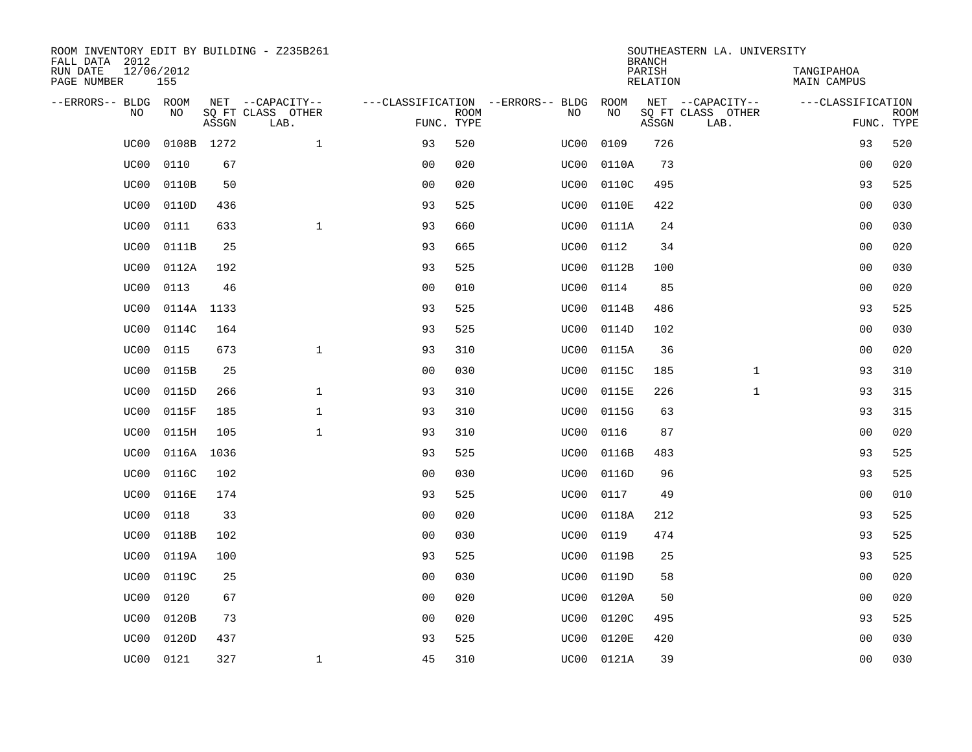| ROOM INVENTORY EDIT BY BUILDING - Z235B261<br>FALL DATA 2012 |                   |       |                           |                |             |                                   |            | <b>BRANCH</b>             | SOUTHEASTERN LA. UNIVERSITY |                                  |                           |
|--------------------------------------------------------------|-------------------|-------|---------------------------|----------------|-------------|-----------------------------------|------------|---------------------------|-----------------------------|----------------------------------|---------------------------|
| RUN DATE<br>PAGE NUMBER                                      | 12/06/2012<br>155 |       |                           |                |             |                                   |            | PARISH<br><b>RELATION</b> |                             | TANGIPAHOA<br><b>MAIN CAMPUS</b> |                           |
| --ERRORS-- BLDG ROOM                                         |                   |       | NET --CAPACITY--          |                |             | ---CLASSIFICATION --ERRORS-- BLDG | ROOM       |                           | NET --CAPACITY--            | ---CLASSIFICATION                |                           |
| NO                                                           | NO                | ASSGN | SQ FT CLASS OTHER<br>LAB. | FUNC. TYPE     | <b>ROOM</b> | NO                                | NO         | ASSGN                     | SQ FT CLASS OTHER<br>LAB.   |                                  | <b>ROOM</b><br>FUNC. TYPE |
| UC00                                                         | 0108B 1272        |       | $\mathbf 1$               | 93             | 520         | UC00                              | 0109       | 726                       |                             | 93                               | 520                       |
| UC00                                                         | 0110              | 67    |                           | 0 <sub>0</sub> | 020         | UC00                              | 0110A      | 73                        |                             | 00                               | 020                       |
| UC00                                                         | 0110B             | 50    |                           | 0 <sub>0</sub> | 020         | UC00                              | 0110C      | 495                       |                             | 93                               | 525                       |
| UC00                                                         | 0110D             | 436   |                           | 93             | 525         | UC00                              | 0110E      | 422                       |                             | 0 <sub>0</sub>                   | 030                       |
| UC00                                                         | 0111              | 633   | $\mathbf{1}$              | 93             | 660         | UC00                              | 0111A      | 24                        |                             | 0 <sub>0</sub>                   | 030                       |
| UC00                                                         | 0111B             | 25    |                           | 93             | 665         | UC00                              | 0112       | 34                        |                             | 0 <sub>0</sub>                   | 020                       |
| UC00                                                         | 0112A             | 192   |                           | 93             | 525         | UC00                              | 0112B      | 100                       |                             | 00                               | 030                       |
| UC00                                                         | 0113              | 46    |                           | 0 <sub>0</sub> | 010         | UC00                              | 0114       | 85                        |                             | 0 <sub>0</sub>                   | 020                       |
| UC00                                                         | 0114A 1133        |       |                           | 93             | 525         | UC00                              | 0114B      | 486                       |                             | 93                               | 525                       |
| UC00                                                         | 0114C             | 164   |                           | 93             | 525         | UC00                              | 0114D      | 102                       |                             | 0 <sub>0</sub>                   | 030                       |
| UC00                                                         | 0115              | 673   | $\mathbf{1}$              | 93             | 310         | UC00                              | 0115A      | 36                        |                             | 0 <sub>0</sub>                   | 020                       |
| UC00                                                         | 0115B             | 25    |                           | 0 <sub>0</sub> | 030         | UC00                              | 0115C      | 185                       | $\mathbf{1}$                | 93                               | 310                       |
| UC00                                                         | 0115D             | 266   | $\mathbf 1$               | 93             | 310         | UC00                              | 0115E      | 226                       | $\mathbf{1}$                | 93                               | 315                       |
| UC00                                                         | 0115F             | 185   | $\mathbf 1$               | 93             | 310         | UC00                              | 0115G      | 63                        |                             | 93                               | 315                       |
| UC00                                                         | 0115H             | 105   | $\mathbf 1$               | 93             | 310         | UC00                              | 0116       | 87                        |                             | 00                               | 020                       |
| UC00                                                         | 0116A 1036        |       |                           | 93             | 525         | UC00                              | 0116B      | 483                       |                             | 93                               | 525                       |
| UC00                                                         | 0116C             | 102   |                           | 0 <sub>0</sub> | 030         | UC00                              | 0116D      | 96                        |                             | 93                               | 525                       |
| UC00                                                         | 0116E             | 174   |                           | 93             | 525         | UC00                              | 0117       | 49                        |                             | 0 <sub>0</sub>                   | 010                       |
| UC00                                                         | 0118              | 33    |                           | 0 <sub>0</sub> | 020         | UC00                              | 0118A      | 212                       |                             | 93                               | 525                       |
| UC00                                                         | 0118B             | 102   |                           | 0 <sub>0</sub> | 030         | UC00                              | 0119       | 474                       |                             | 93                               | 525                       |
| UC00                                                         | 0119A             | 100   |                           | 93             | 525         | UC00                              | 0119B      | 25                        |                             | 93                               | 525                       |
| UC00                                                         | 0119C             | 25    |                           | 0 <sub>0</sub> | 030         | UC00                              | 0119D      | 58                        |                             | 0 <sub>0</sub>                   | 020                       |
| UC00                                                         | 0120              | 67    |                           | 0 <sub>0</sub> | 020         | UC00                              | 0120A      | 50                        |                             | 0 <sub>0</sub>                   | 020                       |
| UC00                                                         | 0120B             | 73    |                           | 0 <sub>0</sub> | 020         | UC00                              | 0120C      | 495                       |                             | 93                               | 525                       |
| UC00                                                         | 0120D             | 437   |                           | 93             | 525         | UC00                              | 0120E      | 420                       |                             | 00                               | 030                       |
| UC00                                                         | 0121              | 327   | $\mathbf{1}$              | 45             | 310         |                                   | UC00 0121A | 39                        |                             | 0 <sub>0</sub>                   | 030                       |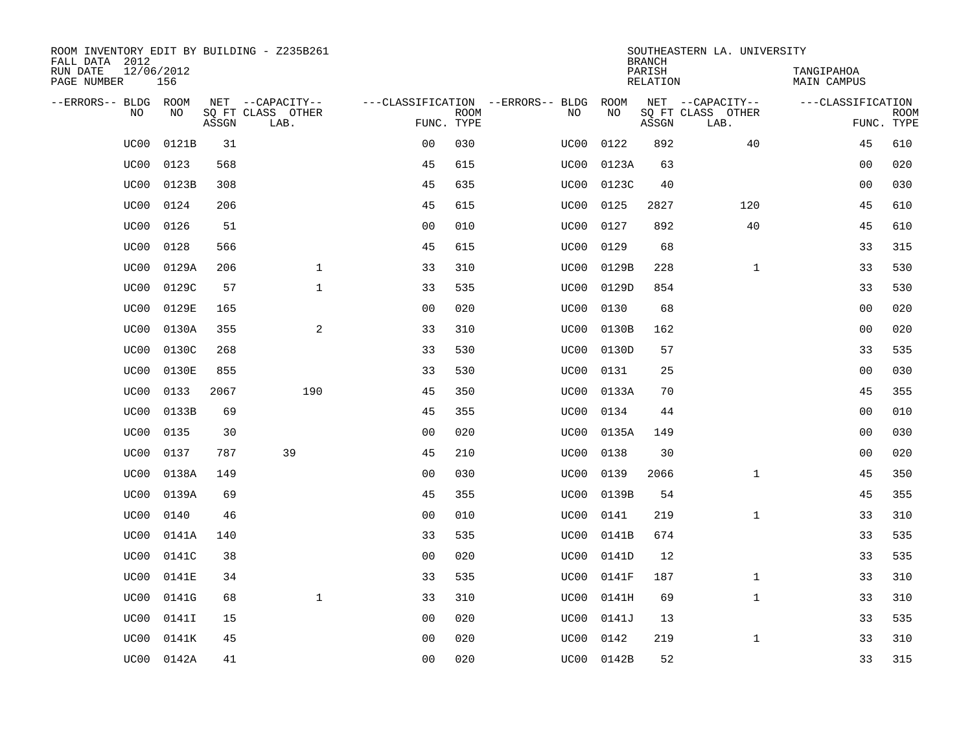| ROOM INVENTORY EDIT BY BUILDING - Z235B261<br>FALL DATA 2012 |                   |       |                           |                |             |                                   |            | <b>BRANCH</b>      | SOUTHEASTERN LA. UNIVERSITY |                                  |                           |
|--------------------------------------------------------------|-------------------|-------|---------------------------|----------------|-------------|-----------------------------------|------------|--------------------|-----------------------------|----------------------------------|---------------------------|
| RUN DATE<br>PAGE NUMBER                                      | 12/06/2012<br>156 |       |                           |                |             |                                   |            | PARISH<br>RELATION |                             | TANGIPAHOA<br><b>MAIN CAMPUS</b> |                           |
| --ERRORS-- BLDG ROOM                                         |                   |       | NET --CAPACITY--          |                |             | ---CLASSIFICATION --ERRORS-- BLDG | ROOM       |                    | NET --CAPACITY--            | ---CLASSIFICATION                |                           |
| N <sub>O</sub>                                               | NO.               | ASSGN | SO FT CLASS OTHER<br>LAB. | FUNC. TYPE     | <b>ROOM</b> | NO.                               | NO         | ASSGN              | SO FT CLASS OTHER<br>LAB.   |                                  | <b>ROOM</b><br>FUNC. TYPE |
| UC00                                                         | 0121B             | 31    |                           | 0 <sub>0</sub> | 030         | UC00                              | 0122       | 892                | 40                          | 45                               | 610                       |
| UC00                                                         | 0123              | 568   |                           | 45             | 615         | UC00                              | 0123A      | 63                 |                             | 0 <sub>0</sub>                   | 020                       |
| UC00                                                         | 0123B             | 308   |                           | 45             | 635         | UC00                              | 0123C      | 40                 |                             | 0 <sub>0</sub>                   | 030                       |
| UC00                                                         | 0124              | 206   |                           | 45             | 615         | UC00                              | 0125       | 2827               | 120                         | 45                               | 610                       |
| UC00                                                         | 0126              | 51    |                           | 0 <sub>0</sub> | 010         | UC00                              | 0127       | 892                | 40                          | 45                               | 610                       |
| UC00                                                         | 0128              | 566   |                           | 45             | 615         | UC00                              | 0129       | 68                 |                             | 33                               | 315                       |
| UC00                                                         | 0129A             | 206   | $\mathbf{1}$              | 33             | 310         | UC00                              | 0129B      | 228                | $\mathbf{1}$                | 33                               | 530                       |
| UC00                                                         | 0129C             | 57    | $\mathbf{1}$              | 33             | 535         | UC00                              | 0129D      | 854                |                             | 33                               | 530                       |
| UC00                                                         | 0129E             | 165   |                           | 0 <sub>0</sub> | 020         | UC00                              | 0130       | 68                 |                             | 0 <sub>0</sub>                   | 020                       |
| UC00                                                         | 0130A             | 355   | 2                         | 33             | 310         | UC00                              | 0130B      | 162                |                             | 00                               | 020                       |
| UC00                                                         | 0130C             | 268   |                           | 33             | 530         | UC00                              | 0130D      | 57                 |                             | 33                               | 535                       |
| UC00                                                         | 0130E             | 855   |                           | 33             | 530         | UC00                              | 0131       | 25                 |                             | 0 <sub>0</sub>                   | 030                       |
| UC00                                                         | 0133              | 2067  | 190                       | 45             | 350         | UC00                              | 0133A      | 70                 |                             | 45                               | 355                       |
| UC00                                                         | 0133B             | 69    |                           | 45             | 355         | UC00                              | 0134       | 44                 |                             | 0 <sub>0</sub>                   | 010                       |
| UC00                                                         | 0135              | 30    |                           | 00             | 020         | UC00                              | 0135A      | 149                |                             | 00                               | 030                       |
| UC00                                                         | 0137              | 787   | 39                        | 45             | 210         | UC00                              | 0138       | 30                 |                             | 00                               | 020                       |
| UC00                                                         | 0138A             | 149   |                           | 0 <sub>0</sub> | 030         | UC00                              | 0139       | 2066               | $\mathbf{1}$                | 45                               | 350                       |
| UC00                                                         | 0139A             | 69    |                           | 45             | 355         | UC00                              | 0139B      | 54                 |                             | 45                               | 355                       |
| UC00                                                         | 0140              | 46    |                           | 0 <sub>0</sub> | 010         | UC00                              | 0141       | 219                | $\mathbf{1}$                | 33                               | 310                       |
| UC00                                                         | 0141A             | 140   |                           | 33             | 535         | UC00                              | 0141B      | 674                |                             | 33                               | 535                       |
| UC00                                                         | 0141C             | 38    |                           | 0 <sub>0</sub> | 020         | UC00                              | 0141D      | 12                 |                             | 33                               | 535                       |
| UC00                                                         | 0141E             | 34    |                           | 33             | 535         | UC00                              | 0141F      | 187                | $\mathbf{1}$                | 33                               | 310                       |
| UC00                                                         | 0141G             | 68    | $\mathbf{1}$              | 33             | 310         | UC00                              | 0141H      | 69                 | $\mathbf{1}$                | 33                               | 310                       |
| UC00                                                         | 0141I             | 15    |                           | 0 <sub>0</sub> | 020         | UC00                              | 0141J      | 13                 |                             | 33                               | 535                       |
| UC00                                                         | 0141K             | 45    |                           | 0 <sub>0</sub> | 020         | UC00                              | 0142       | 219                | $\mathbf{1}$                | 33                               | 310                       |
| UC00                                                         | 0142A             | 41    |                           | 0 <sub>0</sub> | 020         |                                   | UC00 0142B | 52                 |                             | 33                               | 315                       |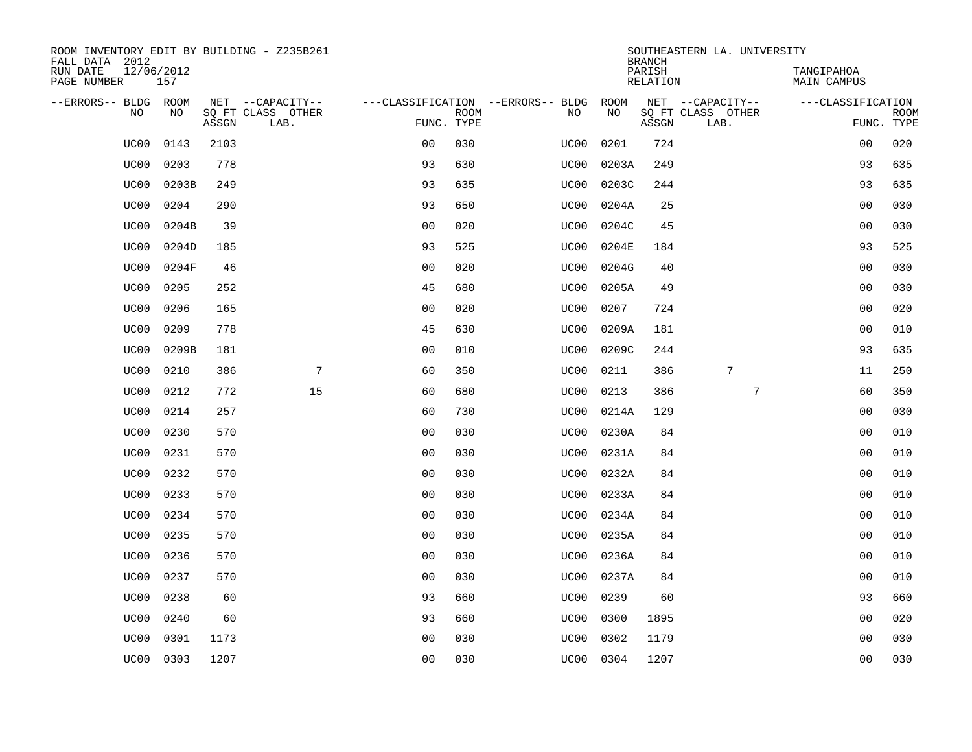| ROOM INVENTORY EDIT BY BUILDING - Z235B261<br>FALL DATA 2012 |                   |       |                           |                |             |                                   |           | <b>BRANCH</b>      | SOUTHEASTERN LA. UNIVERSITY |                                  |                           |
|--------------------------------------------------------------|-------------------|-------|---------------------------|----------------|-------------|-----------------------------------|-----------|--------------------|-----------------------------|----------------------------------|---------------------------|
| RUN DATE<br>PAGE NUMBER                                      | 12/06/2012<br>157 |       |                           |                |             |                                   |           | PARISH<br>RELATION |                             | TANGIPAHOA<br><b>MAIN CAMPUS</b> |                           |
| --ERRORS-- BLDG ROOM                                         |                   |       | NET --CAPACITY--          |                |             | ---CLASSIFICATION --ERRORS-- BLDG | ROOM      |                    | NET --CAPACITY--            | ---CLASSIFICATION                |                           |
| N <sub>O</sub>                                               | NO.               | ASSGN | SO FT CLASS OTHER<br>LAB. | FUNC. TYPE     | <b>ROOM</b> | NO.                               | <b>NO</b> | ASSGN              | SQ FT CLASS OTHER<br>LAB.   |                                  | <b>ROOM</b><br>FUNC. TYPE |
| UC00                                                         | 0143              | 2103  |                           | 0 <sub>0</sub> | 030         | UC00                              | 0201      | 724                |                             | 00                               | 020                       |
| UC00                                                         | 0203              | 778   |                           | 93             | 630         | UC00                              | 0203A     | 249                |                             | 93                               | 635                       |
| UC00                                                         | 0203B             | 249   |                           | 93             | 635         | UC00                              | 0203C     | 244                |                             | 93                               | 635                       |
| UC00                                                         | 0204              | 290   |                           | 93             | 650         | UC00                              | 0204A     | 25                 |                             | 0 <sub>0</sub>                   | 030                       |
| UC00                                                         | 0204B             | 39    |                           | 00             | 020         | UC00                              | 0204C     | 45                 |                             | 00                               | 030                       |
| UC00                                                         | 0204D             | 185   |                           | 93             | 525         | UC00                              | 0204E     | 184                |                             | 93                               | 525                       |
| UC00                                                         | 0204F             | 46    |                           | 0 <sub>0</sub> | 020         | UC00                              | 0204G     | 40                 |                             | 0 <sub>0</sub>                   | 030                       |
| UC00                                                         | 0205              | 252   |                           | 45             | 680         | UC00                              | 0205A     | 49                 |                             | 0 <sub>0</sub>                   | 030                       |
| UC00                                                         | 0206              | 165   |                           | 0 <sub>0</sub> | 020         | UC00                              | 0207      | 724                |                             | 0 <sub>0</sub>                   | 020                       |
| UC00                                                         | 0209              | 778   |                           | 45             | 630         | UC00                              | 0209A     | 181                |                             | 00                               | 010                       |
| UC00                                                         | 0209B             | 181   |                           | 0 <sub>0</sub> | 010         | UC00                              | 0209C     | 244                |                             | 93                               | 635                       |
| UC00                                                         | 0210              | 386   | 7                         | 60             | 350         | UC00                              | 0211      | 386                | 7                           | 11                               | 250                       |
| UC00                                                         | 0212              | 772   | 15                        | 60             | 680         | UC00                              | 0213      | 386                | $7\phantom{.0}$             | 60                               | 350                       |
| UC00                                                         | 0214              | 257   |                           | 60             | 730         | UC00                              | 0214A     | 129                |                             | 00                               | 030                       |
| UC00                                                         | 0230              | 570   |                           | 00             | 030         | UC00                              | 0230A     | 84                 |                             | 00                               | 010                       |
| UC00                                                         | 0231              | 570   |                           | 0 <sub>0</sub> | 030         | UC00                              | 0231A     | 84                 |                             | 00                               | 010                       |
| UC00                                                         | 0232              | 570   |                           | 0 <sub>0</sub> | 030         | UC00                              | 0232A     | 84                 |                             | 00                               | 010                       |
| UC00                                                         | 0233              | 570   |                           | 0 <sub>0</sub> | 030         | UC00                              | 0233A     | 84                 |                             | 00                               | 010                       |
| UC00                                                         | 0234              | 570   |                           | 0 <sub>0</sub> | 030         | UC00                              | 0234A     | 84                 |                             | 00                               | 010                       |
| UC00                                                         | 0235              | 570   |                           | 0 <sub>0</sub> | 030         | UC00                              | 0235A     | 84                 |                             | 0 <sub>0</sub>                   | 010                       |
| UC00                                                         | 0236              | 570   |                           | 0 <sub>0</sub> | 030         | UC00                              | 0236A     | 84                 |                             | 00                               | 010                       |
| UC00                                                         | 0237              | 570   |                           | 0 <sub>0</sub> | 030         | UC00                              | 0237A     | 84                 |                             | 00                               | 010                       |
| UC00                                                         | 0238              | 60    |                           | 93             | 660         | UC00                              | 0239      | 60                 |                             | 93                               | 660                       |
| UC00                                                         | 0240              | 60    |                           | 93             | 660         | UC00                              | 0300      | 1895               |                             | 0 <sub>0</sub>                   | 020                       |
| UC00                                                         | 0301              | 1173  |                           | 0 <sub>0</sub> | 030         | UC00                              | 0302      | 1179               |                             | 00                               | 030                       |
| UC00                                                         | 0303              | 1207  |                           | 0 <sub>0</sub> | 030         |                                   | UC00 0304 | 1207               |                             | 0 <sub>0</sub>                   | 030                       |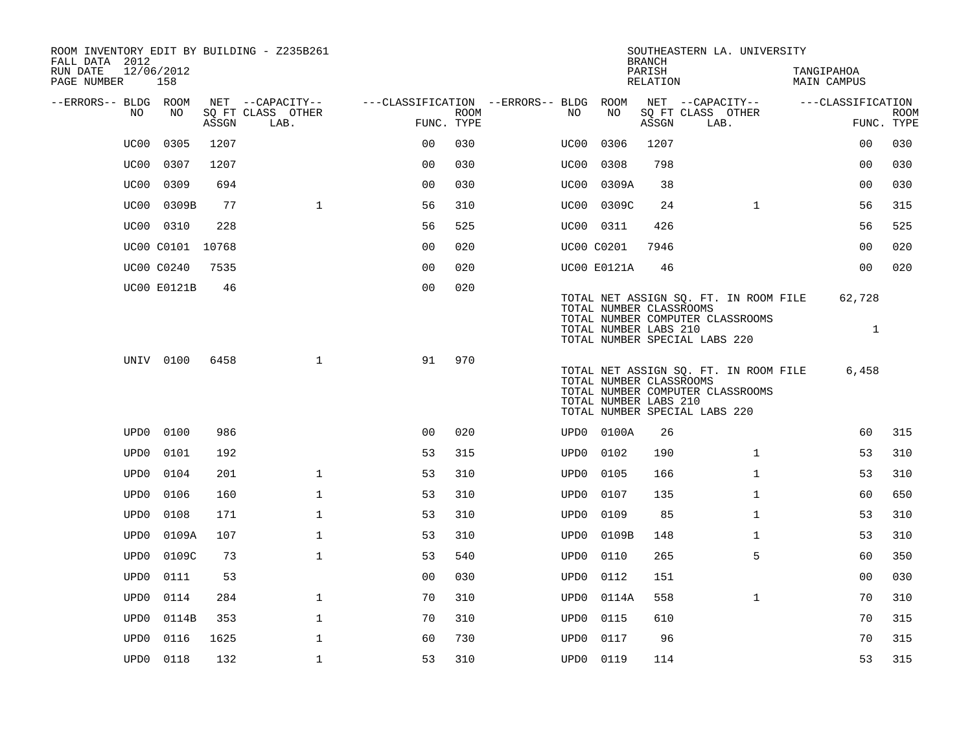| ROOM INVENTORY EDIT BY BUILDING - Z235B261<br>FALL DATA 2012 |                   |       |                           |                                        |             |      |                                                  | <b>BRANCH</b>      | SOUTHEASTERN LA. UNIVERSITY                                                                                |                                  |                           |
|--------------------------------------------------------------|-------------------|-------|---------------------------|----------------------------------------|-------------|------|--------------------------------------------------|--------------------|------------------------------------------------------------------------------------------------------------|----------------------------------|---------------------------|
| RUN DATE<br>PAGE NUMBER                                      | 12/06/2012<br>158 |       |                           |                                        |             |      |                                                  | PARISH<br>RELATION |                                                                                                            | TANGIPAHOA<br><b>MAIN CAMPUS</b> |                           |
| --ERRORS-- BLDG ROOM                                         |                   |       | NET --CAPACITY--          | ---CLASSIFICATION --ERRORS-- BLDG ROOM |             |      |                                                  |                    | NET --CAPACITY--                                                                                           | ---CLASSIFICATION                |                           |
| NO.                                                          | NO                | ASSGN | SQ FT CLASS OTHER<br>LAB. | FUNC. TYPE                             | <b>ROOM</b> | NO.  | NO                                               | ASSGN              | SQ FT CLASS OTHER<br>LAB.                                                                                  |                                  | <b>ROOM</b><br>FUNC. TYPE |
| UC00                                                         | 0305              | 1207  |                           | 0 <sup>0</sup>                         | 030         | UC00 | 0306                                             | 1207               |                                                                                                            | 0 <sub>0</sub>                   | 030                       |
| UC00                                                         | 0307              | 1207  |                           | 0 <sub>0</sub>                         | 030         | UC00 | 0308                                             | 798                |                                                                                                            | 0 <sub>0</sub>                   | 030                       |
| UC00                                                         | 0309              | 694   |                           | 0 <sub>0</sub>                         | 030         | UC00 | 0309A                                            | 38                 |                                                                                                            | 00                               | 030                       |
| UC00                                                         | 0309B             | 77    | $\mathbf{1}$              | 56                                     | 310         |      | UC00 0309C                                       | 24                 | $\mathbf{1}$                                                                                               | 56                               | 315                       |
| UC00                                                         | 0310              | 228   |                           | 56                                     | 525         |      | UC00 0311                                        | 426                |                                                                                                            | 56                               | 525                       |
|                                                              | UC00 C0101 10768  |       |                           | 0 <sub>0</sub>                         | 020         |      | UC00 C0201                                       | 7946               |                                                                                                            | 00                               | 020                       |
|                                                              | UC00 C0240        | 7535  |                           | 0 <sub>0</sub>                         | 020         |      | <b>UC00 E0121A</b>                               | 46                 |                                                                                                            | 0 <sub>0</sub>                   | 020                       |
|                                                              | UC00 E0121B       | 46    |                           | 0 <sub>0</sub>                         | 020         |      | TOTAL NUMBER CLASSROOMS<br>TOTAL NUMBER LABS 210 |                    | TOTAL NET ASSIGN SQ. FT. IN ROOM FILE<br>TOTAL NUMBER COMPUTER CLASSROOMS<br>TOTAL NUMBER SPECIAL LABS 220 | 62,728<br>$\mathbf{1}$           |                           |
|                                                              | UNIV 0100         | 6458  | $\mathbf{1}$              | 91                                     | 970         |      | TOTAL NUMBER CLASSROOMS<br>TOTAL NUMBER LABS 210 |                    | TOTAL NET ASSIGN SQ. FT. IN ROOM FILE<br>TOTAL NUMBER COMPUTER CLASSROOMS<br>TOTAL NUMBER SPECIAL LABS 220 | 6,458                            |                           |
| UPD0                                                         | 0100              | 986   |                           | 0 <sub>0</sub>                         | 020         |      | UPD0 0100A                                       | 26                 |                                                                                                            | 60                               | 315                       |
| UPD <sub>0</sub>                                             | 0101              | 192   |                           | 53                                     | 315         | UPD0 | 0102                                             | 190                | $\mathbf{1}$                                                                                               | 53                               | 310                       |
| UPD <sub>0</sub>                                             | 0104              | 201   | $\mathbf 1$               | 53                                     | 310         | UPD0 | 0105                                             | 166                | $\mathbf{1}$                                                                                               | 53                               | 310                       |
| UPD <sub>0</sub>                                             | 0106              | 160   | $\mathbf{1}$              | 53                                     | 310         | UPD0 | 0107                                             | 135                | $\mathbf{1}$                                                                                               | 60                               | 650                       |
| UPD <sub>0</sub>                                             | 0108              | 171   | $\mathbf{1}$              | 53                                     | 310         | UPD0 | 0109                                             | 85                 | $\mathbf{1}$                                                                                               | 53                               | 310                       |
| UPD <sub>0</sub>                                             | 0109A             | 107   | $\mathbf 1$               | 53                                     | 310         | UPD0 | 0109B                                            | 148                | $\mathbf{1}$                                                                                               | 53                               | 310                       |
| UPD <sub>0</sub>                                             | 0109C             | 73    | $\mathbf{1}$              | 53                                     | 540         | UPD0 | 0110                                             | 265                | 5                                                                                                          | 60                               | 350                       |
| UPD <sub>0</sub>                                             | 0111              | 53    |                           | 00                                     | 030         | UPD0 | 0112                                             | 151                |                                                                                                            | 0 <sub>0</sub>                   | 030                       |
| UPD <sub>0</sub>                                             | 0114              | 284   | $\mathbf 1$               | 70                                     | 310         |      | UPD0 0114A                                       | 558                | $\mathbf{1}$                                                                                               | 70                               | 310                       |
| UPD <sub>0</sub>                                             | 0114B             | 353   | $\mathbf{1}$              | 70                                     | 310         | UPD0 | 0115                                             | 610                |                                                                                                            | 70                               | 315                       |
| UPD <sub>0</sub>                                             | 0116              | 1625  | $\mathbf 1$               | 60                                     | 730         | UPD0 | 0117                                             | 96                 |                                                                                                            | 70                               | 315                       |
| UPD0                                                         | 0118              | 132   | $\mathbf{1}$              | 53                                     | 310         |      | UPD0 0119                                        | 114                |                                                                                                            | 53                               | 315                       |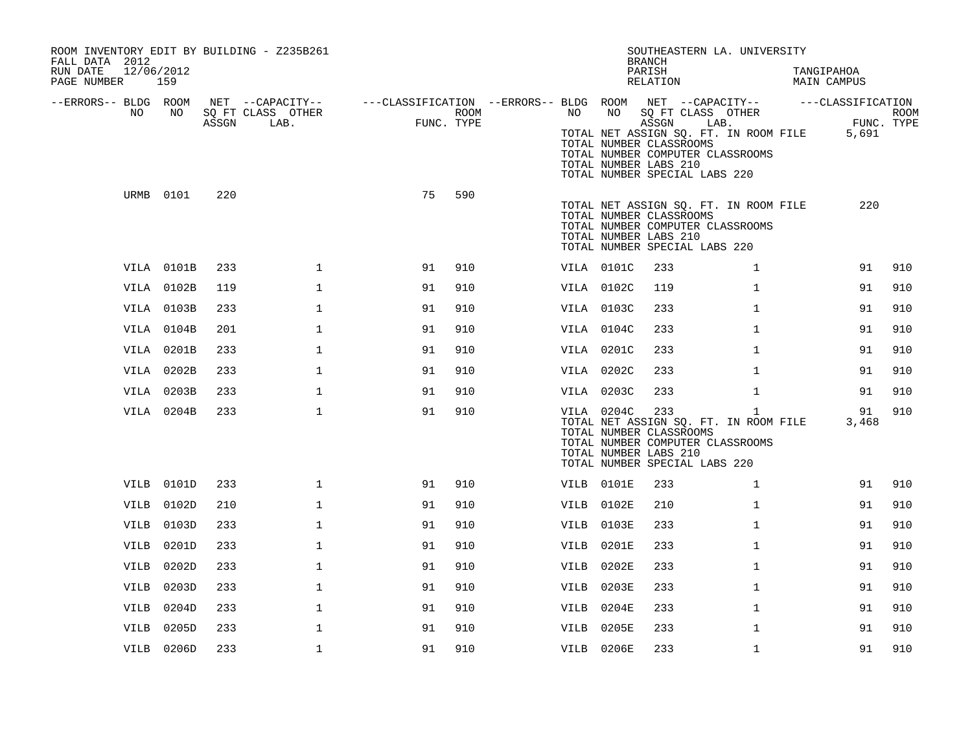| ROOM INVENTORY EDIT BY BUILDING - Z235B261<br>FALL DATA 2012<br>RUN DATE<br>12/06/2012<br>PAGE NUMBER | 159        |       |                                               |                                                                             |                    |      |            | SOUTHEASTERN LA. UNIVERSITY<br><b>BRANCH</b><br>PARISH<br>RELATION                                                                                                                              |              | TANGIPAHOA<br>MAIN CAMPUS |                    |
|-------------------------------------------------------------------------------------------------------|------------|-------|-----------------------------------------------|-----------------------------------------------------------------------------|--------------------|------|------------|-------------------------------------------------------------------------------------------------------------------------------------------------------------------------------------------------|--------------|---------------------------|--------------------|
| --ERRORS-- BLDG ROOM<br>NO.                                                                           | NO         | ASSGN | NET --CAPACITY--<br>SQ FT CLASS OTHER<br>LAB. | ---CLASSIFICATION --ERRORS-- BLDG ROOM NET --CAPACITY-- -----CLASSIFICATION | ROOM<br>FUNC. TYPE | NO   |            | NO SQ FT CLASS OTHER<br>ASSGN<br>TOTAL NET ASSIGN SQ. FT. IN ROOM FILE<br>TOTAL NUMBER CLASSROOMS<br>TOTAL NUMBER COMPUTER CLASSROOMS<br>TOTAL NUMBER LABS 210<br>TOTAL NUMBER SPECIAL LABS 220 | LAB.         | 5,691                     | ROOM<br>FUNC. TYPE |
|                                                                                                       | URMB 0101  | 220   |                                               | 75                                                                          | 590                |      |            | TOTAL NET ASSIGN SQ. FT. IN ROOM FILE<br>TOTAL NUMBER CLASSROOMS<br>TOTAL NUMBER COMPUTER CLASSROOMS<br>TOTAL NUMBER LABS 210<br>TOTAL NUMBER SPECIAL LABS 220                                  |              |                           | 220                |
|                                                                                                       | VILA 0101B | 233   | $\mathbf{1}$                                  | 91                                                                          | 910                |      | VILA 0101C | 233                                                                                                                                                                                             | $\mathbf{1}$ | 91                        | 910                |
|                                                                                                       | VILA 0102B | 119   | $\mathbf{1}$                                  | 91                                                                          | 910                |      | VILA 0102C | 119                                                                                                                                                                                             | $\mathbf{1}$ | 91                        | 910                |
|                                                                                                       | VILA 0103B | 233   | $\mathbf 1$                                   | 91                                                                          | 910                |      | VILA 0103C | 233                                                                                                                                                                                             | $\mathbf{1}$ | 91                        | 910                |
|                                                                                                       | VILA 0104B | 201   | $\mathbf{1}$                                  | 91                                                                          | 910                |      | VILA 0104C | 233                                                                                                                                                                                             | $\mathbf{1}$ | 91                        | 910                |
|                                                                                                       | VILA 0201B | 233   | $\mathbf{1}$                                  | 91                                                                          | 910                |      | VILA 0201C | 233                                                                                                                                                                                             | $\mathbf{1}$ | 91                        | 910                |
|                                                                                                       | VILA 0202B | 233   | $\mathbf 1$                                   | 91                                                                          | 910                |      | VILA 0202C | 233                                                                                                                                                                                             | $\mathbf{1}$ | 91                        | 910                |
|                                                                                                       | VILA 0203B | 233   | $\mathbf 1$                                   | 91                                                                          | 910                |      | VILA 0203C | 233                                                                                                                                                                                             | $\mathbf{1}$ | 91                        | 910                |
|                                                                                                       | VILA 0204B | 233   | $\mathbf{1}$                                  | 91                                                                          | 910                |      | VILA 0204C | 233<br>TOTAL NET ASSIGN SQ. FT. IN ROOM FILE<br>TOTAL NUMBER CLASSROOMS<br>TOTAL NUMBER COMPUTER CLASSROOMS<br>TOTAL NUMBER LABS 210<br>TOTAL NUMBER SPECIAL LABS 220                           | $\mathbf{1}$ | 91<br>3,468               | 910                |
|                                                                                                       | VILB 0101D | 233   | $\mathbf{1}$                                  | 91                                                                          | 910                |      | VILB 0101E | 233                                                                                                                                                                                             | $\mathbf{1}$ | 91                        | 910                |
|                                                                                                       | VILB 0102D | 210   | $\mathbf{1}$                                  | 91                                                                          | 910                | VILB | 0102E      | 210                                                                                                                                                                                             | $\mathbf{1}$ | 91                        | 910                |
|                                                                                                       | VILB 0103D | 233   | $\mathbf{1}$                                  | 91                                                                          | 910                | VILB | 0103E      | 233                                                                                                                                                                                             | $\mathbf{1}$ | 91                        | 910                |
| VILB                                                                                                  | 0201D      | 233   | $\mathbf 1$                                   | 91                                                                          | 910                | VILB | 0201E      | 233                                                                                                                                                                                             | $\mathbf{1}$ | 91                        | 910                |
| VILB                                                                                                  | 0202D      | 233   | $\mathbf{1}$                                  | 91                                                                          | 910                | VILB | 0202E      | 233                                                                                                                                                                                             | $\mathbf{1}$ | 91                        | 910                |
| VILB                                                                                                  | 0203D      | 233   | $\mathbf 1$                                   | 91                                                                          | 910                | VILB | 0203E      | 233                                                                                                                                                                                             | $\mathbf{1}$ | 91                        | 910                |
|                                                                                                       | VILB 0204D | 233   | $\mathbf 1$                                   | 91                                                                          | 910                | VILB | 0204E      | 233                                                                                                                                                                                             | $\mathbf{1}$ | 91                        | 910                |
| VILB                                                                                                  | 0205D      | 233   | $\mathbf 1$                                   | 91                                                                          | 910                | VILB | 0205E      | 233                                                                                                                                                                                             | $\mathbf{1}$ | 91                        | 910                |
|                                                                                                       | VILB 0206D | 233   | $\mathbf{1}$                                  | 91                                                                          | 910                |      | VILB 0206E | 233                                                                                                                                                                                             | $\mathbf{1}$ | 91                        | 910                |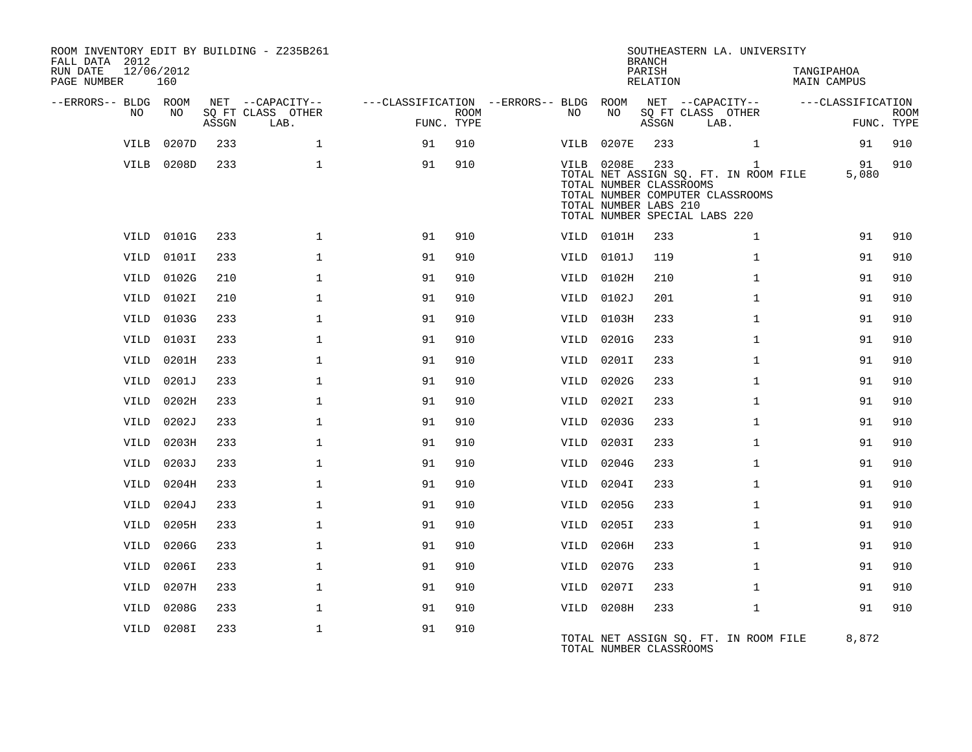| ROOM INVENTORY EDIT BY BUILDING - Z235B261<br>FALL DATA 2012<br>RUN DATE<br>PAGE NUMBER | 12/06/2012<br>160 |       |                           |                                        |             |      |                                                                | <b>BRANCH</b><br>PARISH<br>RELATION | SOUTHEASTERN LA. UNIVERSITY                                                                                                | TANGIPAHOA<br>MAIN CAMPUS |                           |
|-----------------------------------------------------------------------------------------|-------------------|-------|---------------------------|----------------------------------------|-------------|------|----------------------------------------------------------------|-------------------------------------|----------------------------------------------------------------------------------------------------------------------------|---------------------------|---------------------------|
| --ERRORS-- BLDG ROOM                                                                    |                   |       | NET --CAPACITY--          | ---CLASSIFICATION --ERRORS-- BLDG ROOM |             |      |                                                                |                                     | NET --CAPACITY--                                                                                                           | ---CLASSIFICATION         |                           |
| NO                                                                                      | NO                | ASSGN | SQ FT CLASS OTHER<br>LAB. | FUNC. TYPE                             | <b>ROOM</b> | NO   | NO                                                             | ASSGN                               | SQ FT CLASS OTHER<br>LAB.                                                                                                  |                           | <b>ROOM</b><br>FUNC. TYPE |
| VILB                                                                                    | 0207D             | 233   | $\mathbf{1}$              | 91                                     | 910         | VILB | 0207E                                                          | 233                                 | $\mathbf{1}$                                                                                                               | 91                        | 910                       |
|                                                                                         | VILB 0208D        | 233   | $\mathbf{1}$              | 91                                     | 910         |      | VILB 0208E<br>TOTAL NUMBER CLASSROOMS<br>TOTAL NUMBER LABS 210 | 233                                 | $\mathbf{1}$<br>TOTAL NET ASSIGN SQ. FT. IN ROOM FILE<br>TOTAL NUMBER COMPUTER CLASSROOMS<br>TOTAL NUMBER SPECIAL LABS 220 | 91<br>5,080               | 910                       |
|                                                                                         | VILD 0101G        | 233   | $\mathbf{1}$              | 91                                     | 910         |      | VILD 0101H                                                     | 233                                 | $\mathbf{1}$                                                                                                               | 91                        | 910                       |
| VILD                                                                                    | 0101I             | 233   | $\mathbf{1}$              | 91                                     | 910         |      | VILD 0101J                                                     | 119                                 | $\mathbf{1}$                                                                                                               | 91                        | 910                       |
| VILD                                                                                    | 0102G             | 210   | $\mathbf{1}$              | 91                                     | 910         |      | VILD 0102H                                                     | 210                                 | $\mathbf{1}$                                                                                                               | 91                        | 910                       |
| VILD                                                                                    | 0102I             | 210   | $\mathbf 1$               | 91                                     | 910         |      | VILD 0102J                                                     | 201                                 | $\mathbf{1}$                                                                                                               | 91                        | 910                       |
| VILD                                                                                    | 0103G             | 233   | $\mathbf{1}$              | 91                                     | 910         | VILD | 0103H                                                          | 233                                 | $\mathbf{1}$                                                                                                               | 91                        | 910                       |
| VILD                                                                                    | 0103I             | 233   | $\mathbf{1}$              | 91                                     | 910         | VILD | 0201G                                                          | 233                                 | $\mathbf{1}$                                                                                                               | 91                        | 910                       |
|                                                                                         | VILD 0201H        | 233   | $\mathbf{1}$              | 91                                     | 910         | VILD | 0201I                                                          | 233                                 | $\mathbf{1}$                                                                                                               | 91                        | 910                       |
| VILD                                                                                    | 0201J             | 233   | $\mathbf{1}$              | 91                                     | 910         | VILD | 0202G                                                          | 233                                 | $\mathbf{1}$                                                                                                               | 91                        | 910                       |
| VILD                                                                                    | 0202H             | 233   | $\mathbf{1}$              | 91                                     | 910         | VILD | 0202I                                                          | 233                                 | $\mathbf{1}$                                                                                                               | 91                        | 910                       |
| VILD                                                                                    | 0202J             | 233   | $\mathbf{1}$              | 91                                     | 910         | VILD | 0203G                                                          | 233                                 | $\mathbf{1}$                                                                                                               | 91                        | 910                       |
| VILD                                                                                    | 0203H             | 233   | $\mathbf{1}$              | 91                                     | 910         | VILD | 0203I                                                          | 233                                 | $\mathbf{1}$                                                                                                               | 91                        | 910                       |
| VILD                                                                                    | 0203J             | 233   | $\mathbf 1$               | 91                                     | 910         | VILD | 0204G                                                          | 233                                 | $\mathbf{1}$                                                                                                               | 91                        | 910                       |
| VILD                                                                                    | 0204H             | 233   | $\mathbf{1}$              | 91                                     | 910         | VILD | 0204I                                                          | 233                                 | $\mathbf{1}$                                                                                                               | 91                        | 910                       |
| VILD                                                                                    | 0204J             | 233   | $\mathbf{1}$              | 91                                     | 910         | VILD | 0205G                                                          | 233                                 | $\mathbf{1}$                                                                                                               | 91                        | 910                       |
| VILD                                                                                    | 0205H             | 233   | $\mathbf 1$               | 91                                     | 910         | VILD | 0205I                                                          | 233                                 | $\mathbf{1}$                                                                                                               | 91                        | 910                       |
| VILD                                                                                    | 0206G             | 233   | $\mathbf{1}$              | 91                                     | 910         | VILD | 0206H                                                          | 233                                 | $\mathbf{1}$                                                                                                               | 91                        | 910                       |
| VILD                                                                                    | 0206I             | 233   | $\mathbf{1}$              | 91                                     | 910         | VILD | 0207G                                                          | 233                                 | $\mathbf{1}$                                                                                                               | 91                        | 910                       |
| VILD                                                                                    | 0207H             | 233   | $\mathbf{1}$              | 91                                     | 910         | VILD | 0207I                                                          | 233                                 | $\mathbf{1}$                                                                                                               | 91                        | 910                       |
| VILD                                                                                    | 0208G             | 233   | $\mathbf 1$               | 91                                     | 910         |      | VILD 0208H                                                     | 233                                 | $\mathbf{1}$                                                                                                               | 91                        | 910                       |
| VILD                                                                                    | 0208I             | 233   | $\mathbf{1}$              | 91                                     | 910         |      | TOTAL NUMBER CLASSROOMS                                        |                                     | TOTAL NET ASSIGN SQ. FT. IN ROOM FILE                                                                                      | 8,872                     |                           |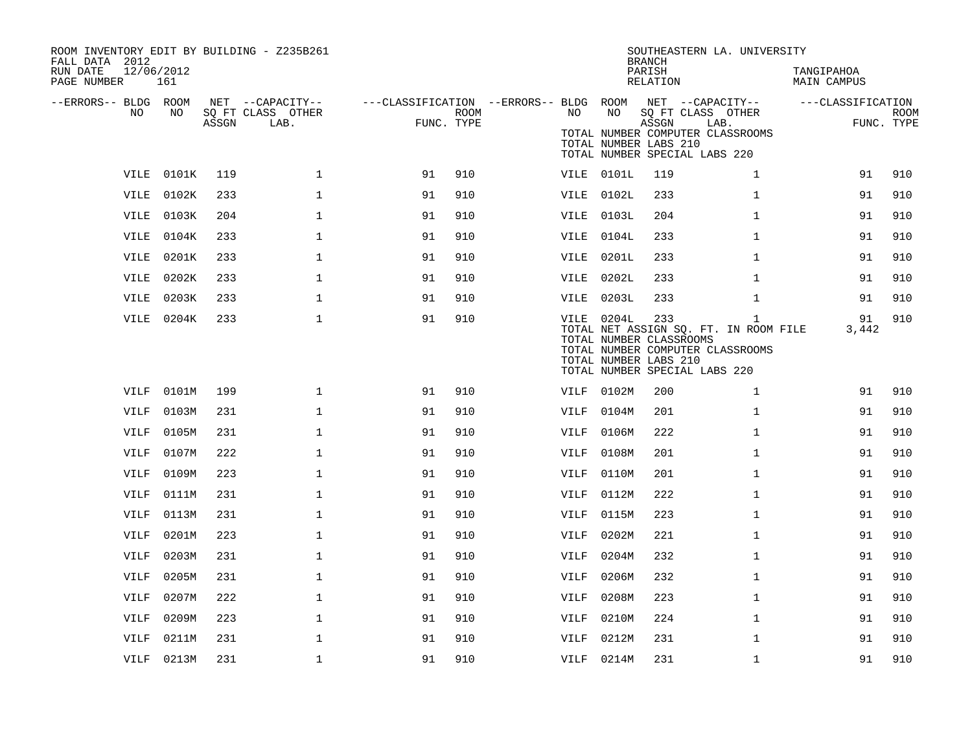| ROOM INVENTORY EDIT BY BUILDING - Z235B261<br>FALL DATA 2012<br>RUN DATE<br>PAGE NUMBER | 12/06/2012<br>161 |       |                                               |                                                      |      |             |                                                                | <b>BRANCH</b><br>PARISH<br>RELATION | SOUTHEASTERN LA. UNIVERSITY                                                                                                | TANGIPAHOA<br>MAIN CAMPUS |                           |
|-----------------------------------------------------------------------------------------|-------------------|-------|-----------------------------------------------|------------------------------------------------------|------|-------------|----------------------------------------------------------------|-------------------------------------|----------------------------------------------------------------------------------------------------------------------------|---------------------------|---------------------------|
| --ERRORS-- BLDG ROOM<br>NO                                                              | NO                | ASSGN | NET --CAPACITY--<br>SQ FT CLASS OTHER<br>LAB. | ---CLASSIFICATION --ERRORS-- BLDG ROOM<br>FUNC. TYPE | ROOM | NO.         | NO<br>TOTAL NUMBER LABS 210                                    | ASSGN                               | NET --CAPACITY--<br>SQ FT CLASS OTHER<br>LAB.<br>TOTAL NUMBER COMPUTER CLASSROOMS<br>TOTAL NUMBER SPECIAL LABS 220         | ---CLASSIFICATION         | <b>ROOM</b><br>FUNC. TYPE |
|                                                                                         | VILE 0101K        | 119   | $\mathbf{1}$                                  | 91                                                   | 910  |             | VILE 0101L                                                     | 119                                 | $\mathbf{1}$                                                                                                               | 91                        | 910                       |
| VILE                                                                                    | 0102K             | 233   | $\mathbf 1$                                   | 91                                                   | 910  |             | VILE 0102L                                                     | 233                                 | $\mathbf{1}$                                                                                                               | 91                        | 910                       |
|                                                                                         | VILE 0103K        | 204   | $\mathbf{1}$                                  | 91                                                   | 910  |             | VILE 0103L                                                     | 204                                 | $\mathbf{1}$                                                                                                               | 91                        | 910                       |
| VILE                                                                                    | 0104K             | 233   | $\mathbf{1}$                                  | 91                                                   | 910  |             | VILE 0104L                                                     | 233                                 | $\mathbf{1}$                                                                                                               | 91                        | 910                       |
|                                                                                         | VILE 0201K        | 233   | $\mathbf 1$                                   | 91                                                   | 910  | VILE        | 0201L                                                          | 233                                 | $\mathbf{1}$                                                                                                               | 91                        | 910                       |
| VILE                                                                                    | 0202K             | 233   | $\mathbf{1}$                                  | 91                                                   | 910  | VILE        | 0202L                                                          | 233                                 | $\mathbf{1}$                                                                                                               | 91                        | 910                       |
|                                                                                         | VILE 0203K        | 233   | $\mathbf{1}$                                  | 91                                                   | 910  |             | VILE 0203L                                                     | 233                                 | $\mathbf{1}$                                                                                                               | 91                        | 910                       |
|                                                                                         | VILE 0204K        | 233   | $\mathbf 1$                                   | 91                                                   | 910  |             | VILE 0204L<br>TOTAL NUMBER CLASSROOMS<br>TOTAL NUMBER LABS 210 | 233                                 | $\mathbf{1}$<br>TOTAL NET ASSIGN SQ. FT. IN ROOM FILE<br>TOTAL NUMBER COMPUTER CLASSROOMS<br>TOTAL NUMBER SPECIAL LABS 220 | 91<br>3,442               | 910                       |
| VILF                                                                                    | 0101M             | 199   | $\mathbf 1$                                   | 91                                                   | 910  | VILF        | 0102M                                                          | 200                                 | $\mathbf{1}$                                                                                                               | 91                        | 910                       |
| <b>VILF</b>                                                                             | 0103M             | 231   | $\mathbf{1}$                                  | 91                                                   | 910  | VILF        | 0104M                                                          | 201                                 | $\mathbf{1}$                                                                                                               | 91                        | 910                       |
| VILF                                                                                    | 0105M             | 231   | $\mathbf 1$                                   | 91                                                   | 910  | VILF        | 0106M                                                          | 222                                 | $\mathbf{1}$                                                                                                               | 91                        | 910                       |
| <b>VILF</b>                                                                             | 0107M             | 222   | $\mathbf 1$                                   | 91                                                   | 910  | VILF        | 0108M                                                          | 201                                 | $\mathbf{1}$                                                                                                               | 91                        | 910                       |
| <b>VILF</b>                                                                             | 0109M             | 223   | $\mathbf{1}$                                  | 91                                                   | 910  | VILF        | 0110M                                                          | 201                                 | $\mathbf{1}$                                                                                                               | 91                        | 910                       |
| VILF                                                                                    | 0111M             | 231   | $\mathbf 1$                                   | 91                                                   | 910  | VILF        | 0112M                                                          | 222                                 | $\mathbf{1}$                                                                                                               | 91                        | 910                       |
| VILF                                                                                    | 0113M             | 231   | 1                                             | 91                                                   | 910  | VILF        | 0115M                                                          | 223                                 | $\mathbf{1}$                                                                                                               | 91                        | 910                       |
| <b>VILF</b>                                                                             | 0201M             | 223   | $\mathbf{1}$                                  | 91                                                   | 910  | VILF        | 0202M                                                          | 221                                 | $\mathbf{1}$                                                                                                               | 91                        | 910                       |
| VILF                                                                                    | 0203M             | 231   | $\mathbf{1}$                                  | 91                                                   | 910  | VILF        | 0204M                                                          | 232                                 | $\mathbf{1}$                                                                                                               | 91                        | 910                       |
| <b>VILF</b>                                                                             | 0205M             | 231   | $\mathbf{1}$                                  | 91                                                   | 910  | VILF        | 0206M                                                          | 232                                 | $\mathbf{1}$                                                                                                               | 91                        | 910                       |
| VILF                                                                                    | 0207M             | 222   | $\mathbf 1$                                   | 91                                                   | 910  | VILF        | 0208M                                                          | 223                                 | $\mathbf{1}$                                                                                                               | 91                        | 910                       |
| <b>VILF</b>                                                                             | 0209M             | 223   | $\mathbf{1}$                                  | 91                                                   | 910  | <b>VILF</b> | 0210M                                                          | 224                                 | $\mathbf{1}$                                                                                                               | 91                        | 910                       |
| VILF                                                                                    | 0211M             | 231   | $\mathbf 1$                                   | 91                                                   | 910  | VILF        | 0212M                                                          | 231                                 | $\mathbf{1}$                                                                                                               | 91                        | 910                       |
|                                                                                         | VILF 0213M        | 231   | $\mathbf 1$                                   | 91                                                   | 910  |             | VILF 0214M                                                     | 231                                 | $\mathbf{1}$                                                                                                               | 91                        | 910                       |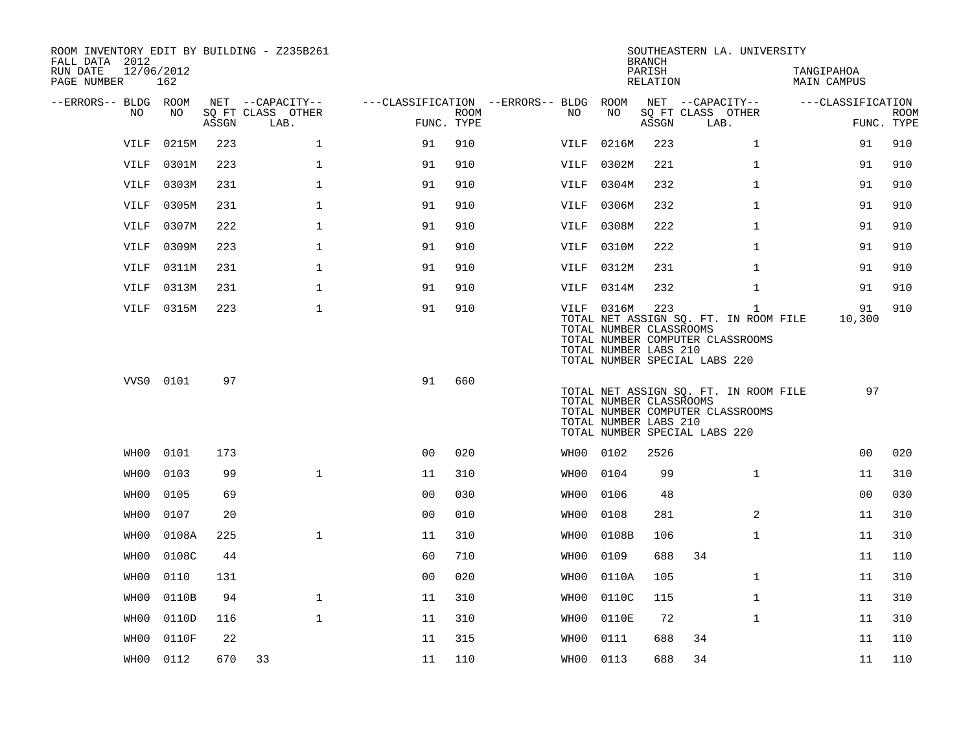| ROOM INVENTORY EDIT BY BUILDING - Z235B261<br>FALL DATA 2012 |            |       |                           |                                        |      |           |                                                                | <b>BRANCH</b>      | SOUTHEASTERN LA. UNIVERSITY                                                                                                |                           |                           |
|--------------------------------------------------------------|------------|-------|---------------------------|----------------------------------------|------|-----------|----------------------------------------------------------------|--------------------|----------------------------------------------------------------------------------------------------------------------------|---------------------------|---------------------------|
| RUN DATE<br>12/06/2012<br>PAGE NUMBER                        | 162        |       |                           |                                        |      |           |                                                                | PARISH<br>RELATION |                                                                                                                            | TANGIPAHOA<br>MAIN CAMPUS |                           |
| --ERRORS-- BLDG ROOM                                         |            |       | NET --CAPACITY--          | ---CLASSIFICATION --ERRORS-- BLDG ROOM |      |           |                                                                |                    | NET --CAPACITY--                                                                                                           | ---CLASSIFICATION         |                           |
| NO                                                           | NO         | ASSGN | SQ FT CLASS OTHER<br>LAB. | FUNC. TYPE                             | ROOM | NO.       | NO                                                             | ASSGN              | SQ FT CLASS OTHER<br>LAB.                                                                                                  |                           | <b>ROOM</b><br>FUNC. TYPE |
| VILF                                                         | 0215M      | 223   | $\mathbf{1}$              | 91                                     | 910  | VILF      | 0216M                                                          | 223                | $\mathbf{1}$                                                                                                               | 91                        | 910                       |
| VILF                                                         | 0301M      | 223   | $\mathbf 1$               | 91                                     | 910  | VILF      | 0302M                                                          | 221                | $\mathbf{1}$                                                                                                               | 91                        | 910                       |
| VILF                                                         | 0303M      | 231   | $\mathbf 1$               | 91                                     | 910  | VILF      | 0304M                                                          | 232                | $\mathbf{1}$                                                                                                               | 91                        | 910                       |
| VILF                                                         | 0305M      | 231   | $\mathbf{1}$              | 91                                     | 910  | VILF      | 0306M                                                          | 232                | $\mathbf{1}$                                                                                                               | 91                        | 910                       |
| VILF                                                         | 0307M      | 222   | $\mathbf{1}$              | 91                                     | 910  | VILF      | 0308M                                                          | 222                | $\mathbf{1}$                                                                                                               | 91                        | 910                       |
| VILF                                                         | 0309M      | 223   | 1                         | 91                                     | 910  | VILF      | 0310M                                                          | 222                | $\mathbf{1}$                                                                                                               | 91                        | 910                       |
| VILF                                                         | 0311M      | 231   | $\mathbf{1}$              | 91                                     | 910  |           | VILF 0312M                                                     | 231                | $\mathbf{1}$                                                                                                               | 91                        | 910                       |
| VILF                                                         | 0313M      | 231   | $\mathbf{1}$              | 91                                     | 910  | VILF      | 0314M                                                          | 232                | $\mathbf{1}$                                                                                                               | 91                        | 910                       |
|                                                              | VILF 0315M | 223   | $\mathbf 1$               | 91                                     | 910  |           | VILF 0316M<br>TOTAL NUMBER CLASSROOMS<br>TOTAL NUMBER LABS 210 | 223                | $\mathbf{1}$<br>TOTAL NET ASSIGN SQ. FT. IN ROOM FILE<br>TOTAL NUMBER COMPUTER CLASSROOMS<br>TOTAL NUMBER SPECIAL LABS 220 | 91<br>10,300              | 910                       |
|                                                              | VVS0 0101  | 97    |                           | 91                                     | 660  |           | TOTAL NUMBER CLASSROOMS<br>TOTAL NUMBER LABS 210               |                    | TOTAL NET ASSIGN SQ. FT. IN ROOM FILE<br>TOTAL NUMBER COMPUTER CLASSROOMS<br>TOTAL NUMBER SPECIAL LABS 220                 | 97                        |                           |
| WHO0                                                         | 0101       | 173   |                           | 0 <sub>0</sub>                         | 020  | WH00 0102 |                                                                | 2526               |                                                                                                                            | 0 <sub>0</sub>            | 020                       |
| WH00                                                         | 0103       | 99    | $\mathbf{1}$              | 11                                     | 310  | WH00      | 0104                                                           | 99                 | $\mathbf{1}$                                                                                                               | 11                        | 310                       |
| WH00                                                         | 0105       | 69    |                           | 0 <sub>0</sub>                         | 030  | WH00      | 0106                                                           | 48                 |                                                                                                                            | 0 <sub>0</sub>            | 030                       |
| WH00                                                         | 0107       | 20    |                           | 0 <sub>0</sub>                         | 010  | WH00      | 0108                                                           | 281                | 2                                                                                                                          | 11                        | 310                       |
| WHO0                                                         | 0108A      | 225   | $\mathbf 1$               | 11                                     | 310  | WHO0      | 0108B                                                          | 106                | $\mathbf{1}$                                                                                                               | 11                        | 310                       |
| WH00                                                         | 0108C      | 44    |                           | 60                                     | 710  | WH00      | 0109                                                           | 688                | 34                                                                                                                         | 11                        | 110                       |
| WH00                                                         | 0110       | 131   |                           | 00                                     | 020  | WH00      | 0110A                                                          | 105                | $\mathbf{1}$                                                                                                               | 11                        | 310                       |
| WHO0                                                         | 0110B      | 94    | $\mathbf{1}$              | 11                                     | 310  | WHO0      | 0110C                                                          | 115                | $\mathbf{1}$                                                                                                               | 11                        | 310                       |
| WHO0                                                         | 0110D      | 116   | $\mathbf{1}$              | 11                                     | 310  | WH00      | 0110E                                                          | 72                 | $\mathbf{1}$                                                                                                               | 11                        | 310                       |
| WH00                                                         | 0110F      | 22    |                           | 11                                     | 315  | WH00      | 0111                                                           | 688                | 34                                                                                                                         | 11                        | 110                       |
|                                                              | WH00 0112  | 670   | 33                        | 11                                     | 110  | WH00 0113 |                                                                | 688                | 34                                                                                                                         | 11                        | 110                       |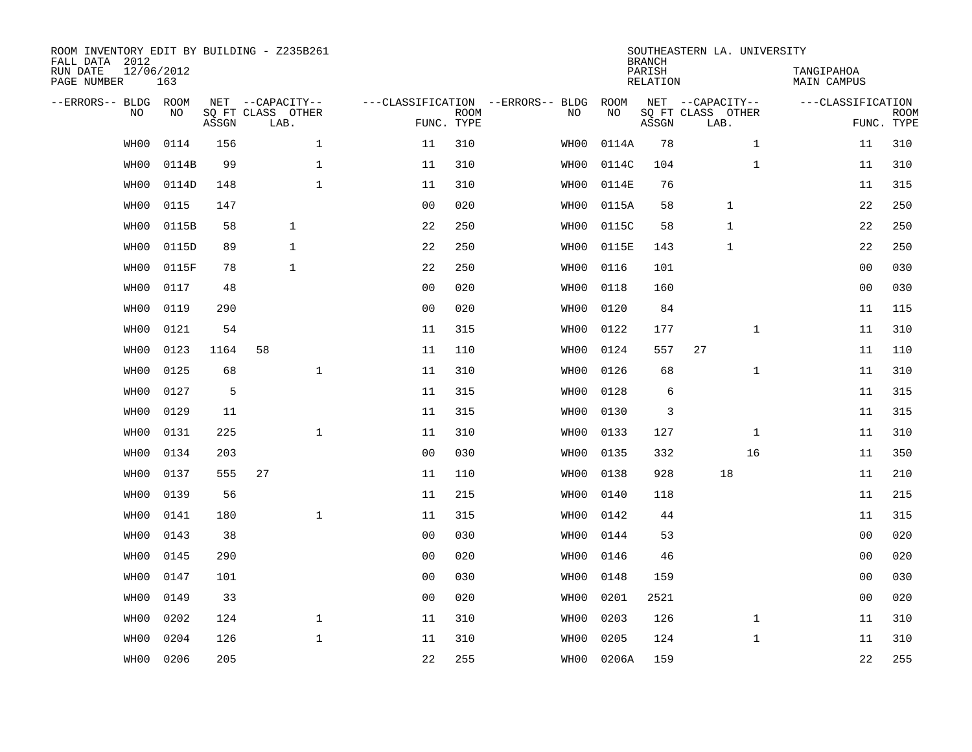| ROOM INVENTORY EDIT BY BUILDING - Z235B261<br>FALL DATA 2012 |                   |       |                           |                                   |                           |      |            | <b>BRANCH</b>             | SOUTHEASTERN LA. UNIVERSITY |              |                                  |                           |
|--------------------------------------------------------------|-------------------|-------|---------------------------|-----------------------------------|---------------------------|------|------------|---------------------------|-----------------------------|--------------|----------------------------------|---------------------------|
| RUN DATE<br>PAGE NUMBER                                      | 12/06/2012<br>163 |       |                           |                                   |                           |      |            | PARISH<br><b>RELATION</b> |                             |              | TANGIPAHOA<br><b>MAIN CAMPUS</b> |                           |
| --ERRORS-- BLDG ROOM                                         |                   |       | NET --CAPACITY--          | ---CLASSIFICATION --ERRORS-- BLDG |                           |      | ROOM       |                           | NET --CAPACITY--            |              | ---CLASSIFICATION                |                           |
| NO                                                           | NO                | ASSGN | SQ FT CLASS OTHER<br>LAB. |                                   | <b>ROOM</b><br>FUNC. TYPE | NO   | NO         | ASSGN                     | SQ FT CLASS OTHER<br>LAB.   |              |                                  | <b>ROOM</b><br>FUNC. TYPE |
| WH00                                                         | 0114              | 156   | $\mathbf{1}$              | 11                                | 310                       | WH00 | 0114A      | 78                        |                             | $\mathbf{1}$ | 11                               | 310                       |
| WH00                                                         | 0114B             | 99    | $\mathbf 1$               | 11                                | 310                       | WH00 | 0114C      | 104                       |                             | $\mathbf{1}$ | 11                               | 310                       |
| WH00                                                         | 0114D             | 148   | $\mathbf{1}$              | 11                                | 310                       | WHO0 | 0114E      | 76                        |                             |              | 11                               | 315                       |
| WH00                                                         | 0115              | 147   |                           | 0 <sub>0</sub>                    | 020                       | WH00 | 0115A      | 58                        | $\mathbf 1$                 |              | 22                               | 250                       |
| WH00                                                         | 0115B             | 58    | $\mathbf{1}$              | 22                                | 250                       | WH00 | 0115C      | 58                        | $\mathbf{1}$                |              | 22                               | 250                       |
| WH00                                                         | 0115D             | 89    | $\mathbf{1}$              | 22                                | 250                       | WH00 | 0115E      | 143                       | $\mathbf{1}$                |              | 22                               | 250                       |
| WH00                                                         | 0115F             | 78    | $\mathbf{1}$              | 22                                | 250                       | WH00 | 0116       | 101                       |                             |              | 0 <sub>0</sub>                   | 030                       |
| WH00                                                         | 0117              | 48    |                           | 0 <sub>0</sub>                    | 020                       | WH00 | 0118       | 160                       |                             |              | 0 <sub>0</sub>                   | 030                       |
| WH00                                                         | 0119              | 290   |                           | 0 <sub>0</sub>                    | 020                       | WH00 | 0120       | 84                        |                             |              | 11                               | 115                       |
| WH00                                                         | 0121              | 54    |                           | 11                                | 315                       | WH00 | 0122       | 177                       |                             | $\mathbf{1}$ | 11                               | 310                       |
| WH00                                                         | 0123              | 1164  | 58                        | 11                                | 110                       | WH00 | 0124       | 557                       | 27                          |              | 11                               | 110                       |
| WH00                                                         | 0125              | 68    | $\mathbf{1}$              | 11                                | 310                       | WH00 | 0126       | 68                        |                             | $\mathbf{1}$ | 11                               | 310                       |
| WH00                                                         | 0127              | 5     |                           | 11                                | 315                       | WH00 | 0128       | 6                         |                             |              | 11                               | 315                       |
| WH00                                                         | 0129              | 11    |                           | 11                                | 315                       | WH00 | 0130       | 3                         |                             |              | 11                               | 315                       |
| WH00                                                         | 0131              | 225   | $\mathbf{1}$              | 11                                | 310                       | WH00 | 0133       | 127                       |                             | $\mathbf{1}$ | 11                               | 310                       |
| WH00                                                         | 0134              | 203   |                           | 0 <sub>0</sub>                    | 030                       | WH00 | 0135       | 332                       |                             | 16           | 11                               | 350                       |
| WH00                                                         | 0137              | 555   | 27                        | 11                                | 110                       | WHO0 | 0138       | 928                       | 18                          |              | 11                               | 210                       |
| WH00                                                         | 0139              | 56    |                           | 11                                | 215                       | WH00 | 0140       | 118                       |                             |              | 11                               | 215                       |
| WH00                                                         | 0141              | 180   | $\mathbf{1}$              | 11                                | 315                       | WH00 | 0142       | 44                        |                             |              | 11                               | 315                       |
| WH00                                                         | 0143              | 38    |                           | 0 <sub>0</sub>                    | 030                       | WH00 | 0144       | 53                        |                             |              | 00                               | 020                       |
| WH00                                                         | 0145              | 290   |                           | 0 <sub>0</sub>                    | 020                       | WH00 | 0146       | 46                        |                             |              | 0 <sub>0</sub>                   | 020                       |
| WH00                                                         | 0147              | 101   |                           | 00                                | 030                       | WH00 | 0148       | 159                       |                             |              | 0 <sub>0</sub>                   | 030                       |
| WH00                                                         | 0149              | 33    |                           | 0 <sub>0</sub>                    | 020                       | WH00 | 0201       | 2521                      |                             |              | 0 <sub>0</sub>                   | 020                       |
| WH00                                                         | 0202              | 124   | $\mathbf{1}$              | 11                                | 310                       | WH00 | 0203       | 126                       |                             | $\mathbf{1}$ | 11                               | 310                       |
| WH00                                                         | 0204              | 126   | $\mathbf{1}$              | 11                                | 310                       | WH00 | 0205       | 124                       |                             | $\mathbf{1}$ | 11                               | 310                       |
| WH00                                                         | 0206              | 205   |                           | 22                                | 255                       |      | WH00 0206A | 159                       |                             |              | 22                               | 255                       |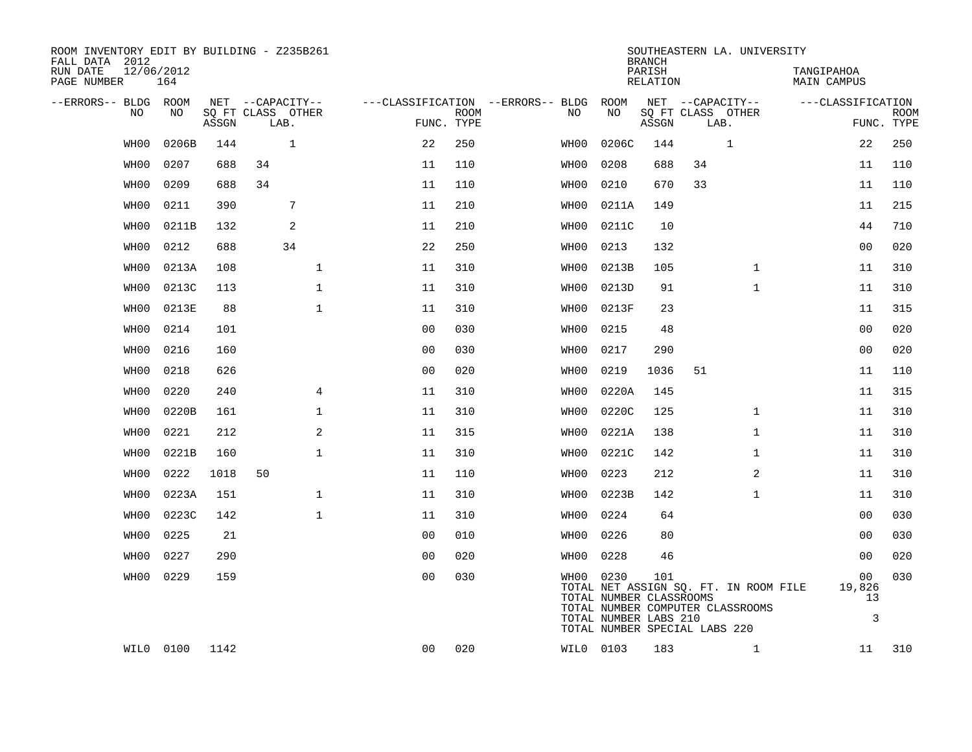| ROOM INVENTORY EDIT BY BUILDING - Z235B261<br>FALL DATA 2012 |                   |       |                           |                |             |                                        |                                      | <b>BRANCH</b>      |                               | SOUTHEASTERN LA. UNIVERSITY           |                           |                    |             |
|--------------------------------------------------------------|-------------------|-------|---------------------------|----------------|-------------|----------------------------------------|--------------------------------------|--------------------|-------------------------------|---------------------------------------|---------------------------|--------------------|-------------|
| RUN DATE<br>PAGE NUMBER                                      | 12/06/2012<br>164 |       |                           |                |             |                                        |                                      | PARISH<br>RELATION |                               |                                       | TANGIPAHOA<br>MAIN CAMPUS |                    |             |
| --ERRORS-- BLDG ROOM                                         |                   |       | NET --CAPACITY--          |                |             | ---CLASSIFICATION --ERRORS-- BLDG ROOM |                                      |                    | NET --CAPACITY--              |                                       | ---CLASSIFICATION         |                    |             |
| NO                                                           | NO                | ASSGN | SQ FT CLASS OTHER<br>LAB. | FUNC. TYPE     | <b>ROOM</b> | NO                                     | NO                                   | ASSGN              | SQ FT CLASS OTHER<br>LAB.     |                                       |                           | FUNC. TYPE         | <b>ROOM</b> |
| WH00                                                         | 0206B             | 144   | $\mathbf{1}$              | 22             | 250         | WH00                                   | 0206C                                | 144                |                               | $\mathbf{1}$                          |                           | 22                 | 250         |
| WH00                                                         | 0207              | 688   | 34                        | 11             | 110         | WH00                                   | 0208                                 | 688                | 34                            |                                       |                           | 11                 | 110         |
| WH00                                                         | 0209              | 688   | 34                        | 11             | 110         | WH00                                   | 0210                                 | 670                | 33                            |                                       |                           | 11                 | 110         |
| WH00                                                         | 0211              | 390   | 7                         | 11             | 210         | WH00                                   | 0211A                                | 149                |                               |                                       |                           | 11                 | 215         |
| WH00                                                         | 0211B             | 132   | 2                         | 11             | 210         | WH00                                   | 0211C                                | 10                 |                               |                                       |                           | 44                 | 710         |
| WH00                                                         | 0212              | 688   | 34                        | 22             | 250         | WH00                                   | 0213                                 | 132                |                               |                                       |                           | 0 <sub>0</sub>     | 020         |
| WH00                                                         | 0213A             | 108   | $\mathbf 1$               | 11             | 310         | WH00                                   | 0213B                                | 105                |                               | $\mathbf{1}$                          |                           | 11                 | 310         |
| WH00                                                         | 0213C             | 113   | $\mathbf{1}$              | 11             | 310         | WH00                                   | 0213D                                | 91                 |                               | $\mathbf{1}$                          |                           | 11                 | 310         |
| WH00                                                         | 0213E             | 88    | $\mathbf{1}$              | 11             | 310         | WH00                                   | 0213F                                | 23                 |                               |                                       |                           | 11                 | 315         |
| WH00                                                         | 0214              | 101   |                           | 0 <sub>0</sub> | 030         | WHO0                                   | 0215                                 | 48                 |                               |                                       |                           | 00                 | 020         |
| WH00                                                         | 0216              | 160   |                           | 0 <sub>0</sub> | 030         | WH00                                   | 0217                                 | 290                |                               |                                       |                           | 0 <sub>0</sub>     | 020         |
| WH00                                                         | 0218              | 626   |                           | 00             | 020         | WHO0                                   | 0219                                 | 1036               | 51                            |                                       |                           | 11                 | 110         |
| WH00                                                         | 0220              | 240   | $\overline{4}$            | 11             | 310         | WH00                                   | 0220A                                | 145                |                               |                                       |                           | 11                 | 315         |
| WH00                                                         | 0220B             | 161   | $\mathbf 1$               | 11             | 310         | WH00                                   | 0220C                                | 125                |                               | $\mathbf{1}$                          |                           | 11                 | 310         |
| WH00                                                         | 0221              | 212   | 2                         | 11             | 315         | WH00                                   | 0221A                                | 138                |                               | $\mathbf{1}$                          |                           | 11                 | 310         |
| WH00                                                         | 0221B             | 160   | $\mathbf 1$               | 11             | 310         | WH00                                   | 0221C                                | 142                |                               | $\mathbf{1}$                          |                           | 11                 | 310         |
| WH00                                                         | 0222              | 1018  | 50                        | 11             | 110         | WHO0                                   | 0223                                 | 212                |                               | 2                                     |                           | 11                 | 310         |
| WH00                                                         | 0223A             | 151   | $\mathbf 1$               | 11             | 310         | WH00                                   | 0223B                                | 142                |                               | $\mathbf{1}$                          |                           | 11                 | 310         |
| WH00                                                         | 0223C             | 142   | $\mathbf{1}$              | 11             | 310         | WH00                                   | 0224                                 | 64                 |                               |                                       |                           | 0 <sub>0</sub>     | 030         |
| WH00                                                         | 0225              | 21    |                           | 0 <sub>0</sub> | 010         | WH00                                   | 0226                                 | 80                 |                               |                                       |                           | 00                 | 030         |
| WH00                                                         | 0227              | 290   |                           | 0 <sub>0</sub> | 020         | WH00                                   | 0228                                 | 46                 |                               |                                       |                           | 0 <sub>0</sub>     | 020         |
| WH00                                                         | 0229              | 159   |                           | 0 <sub>0</sub> | 030         |                                        | WH00 0230<br>TOTAL NUMBER CLASSROOMS | 101                |                               | TOTAL NET ASSIGN SQ. FT. IN ROOM FILE |                           | 00<br>19,826<br>13 | 030         |
|                                                              |                   |       |                           |                |             |                                        | TOTAL NUMBER LABS 210                |                    | TOTAL NUMBER SPECIAL LABS 220 | TOTAL NUMBER COMPUTER CLASSROOMS      |                           | 3                  |             |
|                                                              | WIL0 0100         | 1142  |                           | 0 <sub>0</sub> | 020         |                                        | WIL0 0103                            | 183                |                               | $\mathbf{1}$                          |                           | 11                 | 310         |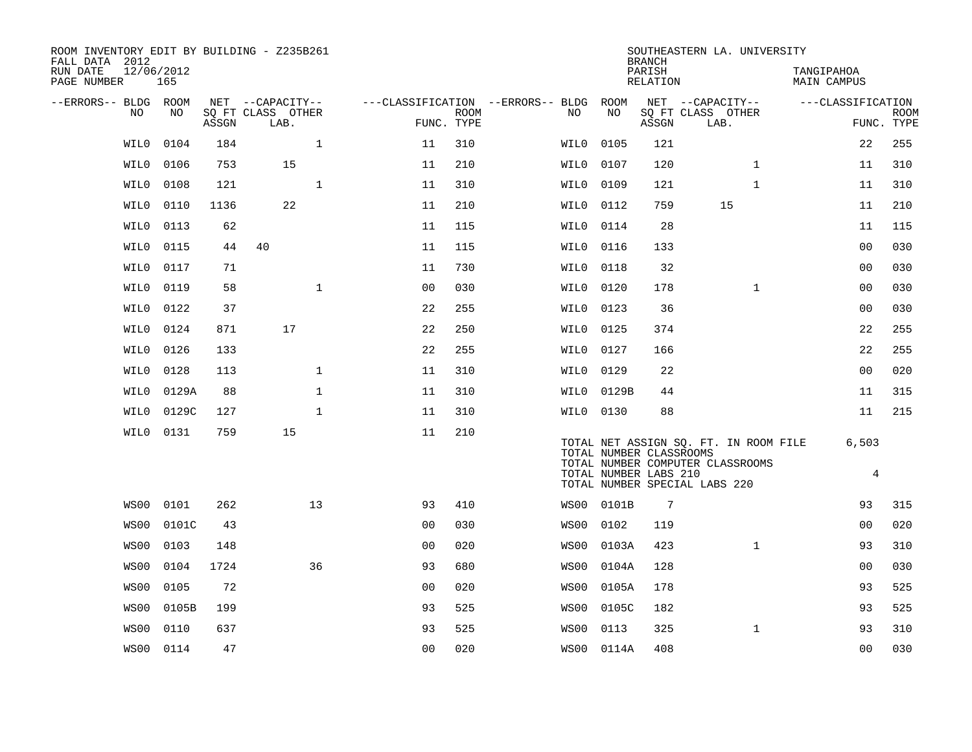| ROOM INVENTORY EDIT BY BUILDING - Z235B261<br>FALL DATA 2012<br>RUN DATE<br>PAGE NUMBER | 12/06/2012<br>165 |       |                           |                |                           |                                        |                         | <b>BRANCH</b><br>PARISH<br>RELATION | SOUTHEASTERN LA. UNIVERSITY                                       |              | TANGIPAHOA<br><b>MAIN CAMPUS</b> |                           |
|-----------------------------------------------------------------------------------------|-------------------|-------|---------------------------|----------------|---------------------------|----------------------------------------|-------------------------|-------------------------------------|-------------------------------------------------------------------|--------------|----------------------------------|---------------------------|
| --ERRORS-- BLDG ROOM                                                                    |                   |       | NET --CAPACITY--          |                |                           | ---CLASSIFICATION --ERRORS-- BLDG ROOM |                         |                                     | NET --CAPACITY--                                                  |              | ---CLASSIFICATION                |                           |
| NO.                                                                                     | NO.               | ASSGN | SQ FT CLASS OTHER<br>LAB. |                | <b>ROOM</b><br>FUNC. TYPE | NO                                     | NO.                     | ASSGN                               | SQ FT CLASS OTHER<br>LAB.                                         |              |                                  | <b>ROOM</b><br>FUNC. TYPE |
| WIL0                                                                                    | 0104              | 184   | $\mathbf{1}$              | 11             | 310                       | WIL0                                   | 0105                    | 121                                 |                                                                   |              | 22                               | 255                       |
| WIL0                                                                                    | 0106              | 753   | 15                        | 11             | 210                       | WIL0                                   | 0107                    | 120                                 |                                                                   | $\mathbf{1}$ | 11                               | 310                       |
| WIL0                                                                                    | 0108              | 121   | $\mathbf{1}$              | 11             | 310                       | WIL0                                   | 0109                    | 121                                 |                                                                   | $\mathbf{1}$ | 11                               | 310                       |
| WIL0                                                                                    | 0110              | 1136  | 22                        | 11             | 210                       | WILO                                   | 0112                    | 759                                 | 15                                                                |              | 11                               | 210                       |
| WIL0                                                                                    | 0113              | 62    |                           | 11             | 115                       | WIL0                                   | 0114                    | 28                                  |                                                                   |              | 11                               | 115                       |
| WIL0                                                                                    | 0115              | 44    | 40                        | 11             | 115                       | WILO                                   | 0116                    | 133                                 |                                                                   |              | 00                               | 030                       |
| WIL0                                                                                    | 0117              | 71    |                           | 11             | 730                       | WILO                                   | 0118                    | 32                                  |                                                                   |              | 0 <sub>0</sub>                   | 030                       |
| WIL0                                                                                    | 0119              | 58    | $\mathbf{1}$              | 00             | 030                       | WIL0                                   | 0120                    | 178                                 |                                                                   | $\mathbf{1}$ | 0 <sub>0</sub>                   | 030                       |
| WIL0                                                                                    | 0122              | 37    |                           | 22             | 255                       | WIL0 0123                              |                         | 36                                  |                                                                   |              | 0 <sub>0</sub>                   | 030                       |
| WILO                                                                                    | 0124              | 871   | 17                        | 22             | 250                       | WILO                                   | 0125                    | 374                                 |                                                                   |              | 22                               | 255                       |
| WIL0                                                                                    | 0126              | 133   |                           | 22             | 255                       | WIL0                                   | 0127                    | 166                                 |                                                                   |              | 22                               | 255                       |
| WIL0                                                                                    | 0128              | 113   | $\mathbf 1$               | 11             | 310                       | WIL0                                   | 0129                    | 22                                  |                                                                   |              | 0 <sub>0</sub>                   | 020                       |
| WILO                                                                                    | 0129A             | 88    | $\mathbf{1}$              | 11             | 310                       |                                        | WIL0 0129B              | 44                                  |                                                                   |              | 11                               | 315                       |
| WILO                                                                                    | 0129C             | 127   | $\mathbf{1}$              | 11             | 310                       | WILO 0130                              |                         | 88                                  |                                                                   |              | 11                               | 215                       |
| WIL0                                                                                    | 0131              | 759   | 15                        | 11             | 210                       |                                        | TOTAL NUMBER CLASSROOMS |                                     | TOTAL NET ASSIGN SQ. FT. IN ROOM FILE                             |              | 6,503                            |                           |
|                                                                                         |                   |       |                           |                |                           |                                        | TOTAL NUMBER LABS 210   |                                     | TOTAL NUMBER COMPUTER CLASSROOMS<br>TOTAL NUMBER SPECIAL LABS 220 |              | 4                                |                           |
| WS00                                                                                    | 0101              | 262   | 13                        | 93             | 410                       |                                        | WS00 0101B              | $7\phantom{.0}$                     |                                                                   |              | 93                               | 315                       |
| WS00                                                                                    | 0101C             | 43    |                           | 0 <sub>0</sub> | 030                       | WS00                                   | 0102                    | 119                                 |                                                                   |              | 0 <sub>0</sub>                   | 020                       |
| WS00                                                                                    | 0103              | 148   |                           | 0 <sub>0</sub> | 020                       | WS00                                   | 0103A                   | 423                                 |                                                                   | $\mathbf{1}$ | 93                               | 310                       |
| WS00                                                                                    | 0104              | 1724  | 36                        | 93             | 680                       | WS00                                   | 0104A                   | 128                                 |                                                                   |              | 00                               | 030                       |
| WS00                                                                                    | 0105              | 72    |                           | 0 <sub>0</sub> | 020                       | WS00                                   | 0105A                   | 178                                 |                                                                   |              | 93                               | 525                       |
| WS00                                                                                    | 0105B             | 199   |                           | 93             | 525                       | WS00                                   | 0105C                   | 182                                 |                                                                   |              | 93                               | 525                       |
| WS00                                                                                    | 0110              | 637   |                           | 93             | 525                       | WS00                                   | 0113                    | 325                                 |                                                                   | $\mathbf{1}$ | 93                               | 310                       |
|                                                                                         | WS00 0114         | 47    |                           | 00             | 020                       |                                        | WS00 0114A              | 408                                 |                                                                   |              | 0 <sub>0</sub>                   | 030                       |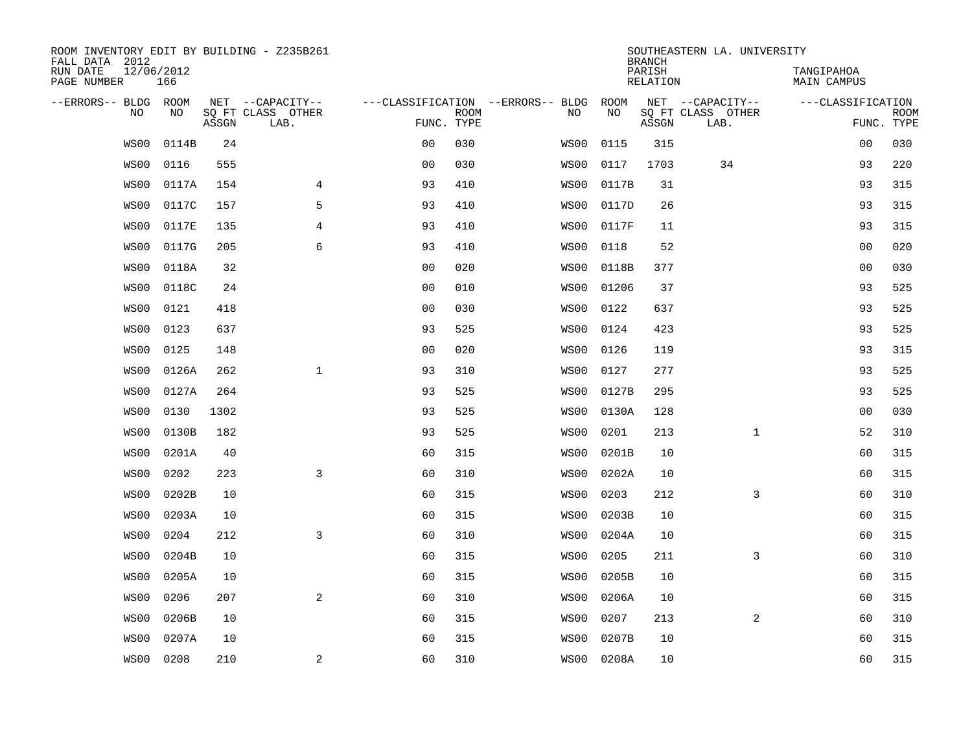| ROOM INVENTORY EDIT BY BUILDING - Z235B261<br>FALL DATA 2012 |                   |       |                                       |                |             |                                          |                   | <b>BRANCH</b>      | SOUTHEASTERN LA. UNIVERSITY           |                                  |                           |
|--------------------------------------------------------------|-------------------|-------|---------------------------------------|----------------|-------------|------------------------------------------|-------------------|--------------------|---------------------------------------|----------------------------------|---------------------------|
| RUN DATE<br>PAGE NUMBER                                      | 12/06/2012<br>166 |       |                                       |                |             |                                          |                   | PARISH<br>RELATION |                                       | TANGIPAHOA<br><b>MAIN CAMPUS</b> |                           |
| --ERRORS-- BLDG ROOM<br>N <sub>O</sub>                       | NO.               |       | NET --CAPACITY--<br>SO FT CLASS OTHER |                |             | ---CLASSIFICATION --ERRORS-- BLDG<br>NO. | ROOM<br><b>NO</b> |                    | NET --CAPACITY--<br>SO FT CLASS OTHER | ---CLASSIFICATION                |                           |
|                                                              |                   | ASSGN | LAB.                                  | FUNC. TYPE     | <b>ROOM</b> |                                          |                   | ASSGN              | LAB.                                  |                                  | <b>ROOM</b><br>FUNC. TYPE |
| WS00                                                         | 0114B             | 24    |                                       | 0 <sub>0</sub> | 030         | WS00                                     | 0115              | 315                |                                       | 00                               | 030                       |
| WS00                                                         | 0116              | 555   |                                       | 0 <sub>0</sub> | 030         | WS00                                     | 0117              | 1703               | 34                                    | 93                               | 220                       |
| WS00                                                         | 0117A             | 154   | $\overline{4}$                        | 93             | 410         | WS00                                     | 0117B             | 31                 |                                       | 93                               | 315                       |
| WS00                                                         | 0117C             | 157   | 5                                     | 93             | 410         | WS00                                     | 0117D             | 26                 |                                       | 93                               | 315                       |
| WS00                                                         | 0117E             | 135   | 4                                     | 93             | 410         | WS00                                     | 0117F             | 11                 |                                       | 93                               | 315                       |
| WS00                                                         | 0117G             | 205   | 6                                     | 93             | 410         | WS00                                     | 0118              | 52                 |                                       | 0 <sub>0</sub>                   | 020                       |
| WS00                                                         | 0118A             | 32    |                                       | 0 <sub>0</sub> | 020         | WS00                                     | 0118B             | 377                |                                       | 0 <sub>0</sub>                   | 030                       |
| WS00                                                         | 0118C             | 24    |                                       | 0 <sub>0</sub> | 010         | WS00                                     | 01206             | 37                 |                                       | 93                               | 525                       |
| WS00                                                         | 0121              | 418   |                                       | 0 <sub>0</sub> | 030         | WS00                                     | 0122              | 637                |                                       | 93                               | 525                       |
| WS00                                                         | 0123              | 637   |                                       | 93             | 525         | WS00                                     | 0124              | 423                |                                       | 93                               | 525                       |
| WS00                                                         | 0125              | 148   |                                       | 0 <sub>0</sub> | 020         | WS00                                     | 0126              | 119                |                                       | 93                               | 315                       |
| WS00                                                         | 0126A             | 262   | $\mathbf{1}$                          | 93             | 310         | WS00                                     | 0127              | 277                |                                       | 93                               | 525                       |
| WS00                                                         | 0127A             | 264   |                                       | 93             | 525         | WS00                                     | 0127B             | 295                |                                       | 93                               | 525                       |
| WS00                                                         | 0130              | 1302  |                                       | 93             | 525         | WS00                                     | 0130A             | 128                |                                       | 0 <sub>0</sub>                   | 030                       |
| WS00                                                         | 0130B             | 182   |                                       | 93             | 525         | WS00                                     | 0201              | 213                | $\mathbf{1}$                          | 52                               | 310                       |
| WS00                                                         | 0201A             | 40    |                                       | 60             | 315         | WS00                                     | 0201B             | 10                 |                                       | 60                               | 315                       |
| WS00                                                         | 0202              | 223   | 3                                     | 60             | 310         | WS00                                     | 0202A             | 10                 |                                       | 60                               | 315                       |
| WS00                                                         | 0202B             | 10    |                                       | 60             | 315         | WS00                                     | 0203              | 212                | 3                                     | 60                               | 310                       |
| WS00                                                         | 0203A             | 10    |                                       | 60             | 315         | WS00                                     | 0203B             | 10                 |                                       | 60                               | 315                       |
| WS00                                                         | 0204              | 212   | $\overline{3}$                        | 60             | 310         | WS00                                     | 0204A             | 10                 |                                       | 60                               | 315                       |
| WS00                                                         | 0204B             | 10    |                                       | 60             | 315         | WS00                                     | 0205              | 211                | 3                                     | 60                               | 310                       |
| WS00                                                         | 0205A             | 10    |                                       | 60             | 315         | WS00                                     | 0205B             | 10                 |                                       | 60                               | 315                       |
| WS00                                                         | 0206              | 207   | 2                                     | 60             | 310         | WS00                                     | 0206A             | 10                 |                                       | 60                               | 315                       |
| WS00                                                         | 0206B             | 10    |                                       | 60             | 315         | WS00                                     | 0207              | 213                | $\overline{a}$                        | 60                               | 310                       |
| WS00                                                         | 0207A             | 10    |                                       | 60             | 315         | WS00                                     | 0207B             | 10                 |                                       | 60                               | 315                       |
| WS00                                                         | 0208              | 210   | $\mathbf{2}$                          | 60             | 310         | WS00                                     | 0208A             | 10                 |                                       | 60                               | 315                       |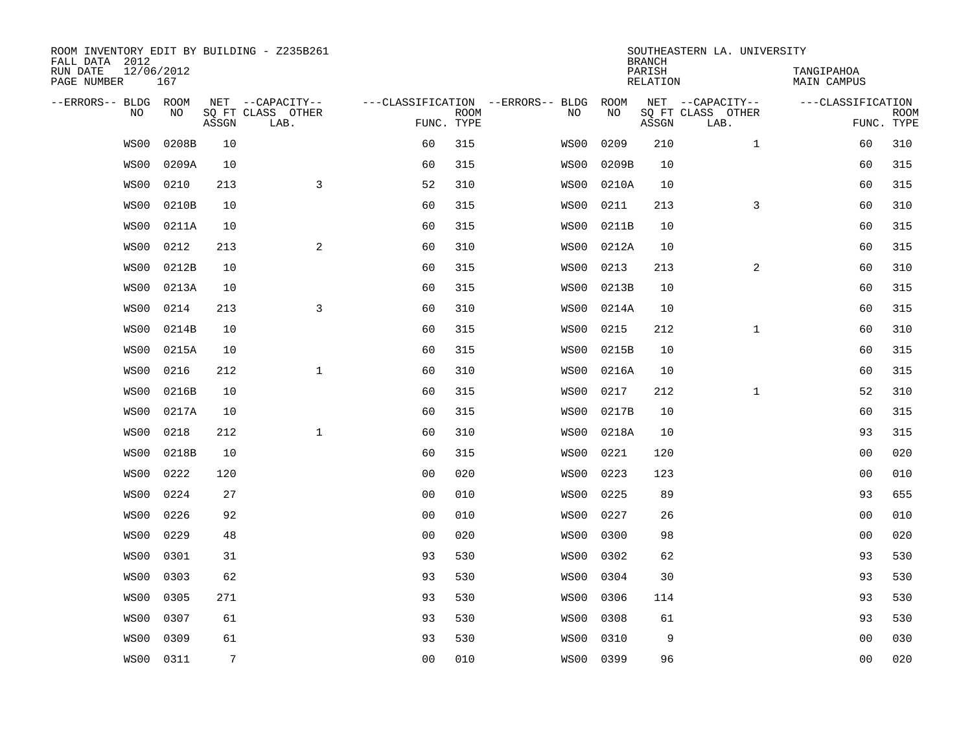| ROOM INVENTORY EDIT BY BUILDING - Z235B261<br>FALL DATA 2012 |                   |                |                           |                |             |                                   |           | <b>BRANCH</b>      | SOUTHEASTERN LA. UNIVERSITY |                                  |                           |
|--------------------------------------------------------------|-------------------|----------------|---------------------------|----------------|-------------|-----------------------------------|-----------|--------------------|-----------------------------|----------------------------------|---------------------------|
| RUN DATE<br>PAGE NUMBER                                      | 12/06/2012<br>167 |                |                           |                |             |                                   |           | PARISH<br>RELATION |                             | TANGIPAHOA<br><b>MAIN CAMPUS</b> |                           |
| --ERRORS-- BLDG ROOM                                         |                   |                | NET --CAPACITY--          |                |             | ---CLASSIFICATION --ERRORS-- BLDG | ROOM      |                    | NET --CAPACITY--            | ---CLASSIFICATION                |                           |
| N <sub>O</sub>                                               | NO.               | ASSGN          | SO FT CLASS OTHER<br>LAB. | FUNC. TYPE     | <b>ROOM</b> | NO.                               | <b>NO</b> | ASSGN              | SO FT CLASS OTHER<br>LAB.   |                                  | <b>ROOM</b><br>FUNC. TYPE |
| WS00                                                         | 0208B             | 10             |                           | 60             | 315         | WS00                              | 0209      | 210                | $\mathbf{1}$                | 60                               | 310                       |
| WS00                                                         | 0209A             | 10             |                           | 60             | 315         | WS00                              | 0209B     | 10                 |                             | 60                               | 315                       |
| WS00                                                         | 0210              | 213            | 3                         | 52             | 310         | WS00                              | 0210A     | 10                 |                             | 60                               | 315                       |
| WS00                                                         | 0210B             | 10             |                           | 60             | 315         | WS00                              | 0211      | 213                | 3                           | 60                               | 310                       |
| WS00                                                         | 0211A             | 10             |                           | 60             | 315         | WS00                              | 0211B     | 10                 |                             | 60                               | 315                       |
| WS00                                                         | 0212              | 213            | $\mathbf{2}$              | 60             | 310         | WS00                              | 0212A     | 10                 |                             | 60                               | 315                       |
| WS00                                                         | 0212B             | 10             |                           | 60             | 315         | WS00                              | 0213      | 213                | 2                           | 60                               | 310                       |
| WS00                                                         | 0213A             | 10             |                           | 60             | 315         | WS00                              | 0213B     | 10                 |                             | 60                               | 315                       |
| WS00                                                         | 0214              | 213            | $\overline{3}$            | 60             | 310         | WS00                              | 0214A     | 10                 |                             | 60                               | 315                       |
| WS00                                                         | 0214B             | 10             |                           | 60             | 315         | WS00                              | 0215      | 212                | $\mathbf{1}$                | 60                               | 310                       |
| WS00                                                         | 0215A             | 10             |                           | 60             | 315         | WS00                              | 0215B     | 10                 |                             | 60                               | 315                       |
| WS00                                                         | 0216              | 212            | $\mathbf{1}$              | 60             | 310         | WS00                              | 0216A     | 10                 |                             | 60                               | 315                       |
| WS00                                                         | 0216B             | 10             |                           | 60             | 315         | WS00                              | 0217      | 212                | $\mathbf{1}$                | 52                               | 310                       |
| WS00                                                         | 0217A             | 10             |                           | 60             | 315         | WS00                              | 0217B     | 10                 |                             | 60                               | 315                       |
| WS00                                                         | 0218              | 212            | $\mathbf{1}$              | 60             | 310         | WS00                              | 0218A     | 10                 |                             | 93                               | 315                       |
| WS00                                                         | 0218B             | 10             |                           | 60             | 315         | WS00                              | 0221      | 120                |                             | 00                               | 020                       |
| WS00                                                         | 0222              | 120            |                           | 0 <sub>0</sub> | 020         | WS00                              | 0223      | 123                |                             | 00                               | 010                       |
| WS00                                                         | 0224              | 27             |                           | 0 <sub>0</sub> | 010         | WS00                              | 0225      | 89                 |                             | 93                               | 655                       |
| WS00                                                         | 0226              | 92             |                           | 0 <sub>0</sub> | 010         | WS00                              | 0227      | 26                 |                             | 0 <sub>0</sub>                   | 010                       |
| WS00                                                         | 0229              | 48             |                           | 0 <sub>0</sub> | 020         | WS00                              | 0300      | 98                 |                             | 0 <sub>0</sub>                   | 020                       |
| WS00                                                         | 0301              | 31             |                           | 93             | 530         | WS00                              | 0302      | 62                 |                             | 93                               | 530                       |
| WS00                                                         | 0303              | 62             |                           | 93             | 530         | WS00                              | 0304      | 30                 |                             | 93                               | 530                       |
| WS00                                                         | 0305              | 271            |                           | 93             | 530         | WS00                              | 0306      | 114                |                             | 93                               | 530                       |
| WS00                                                         | 0307              | 61             |                           | 93             | 530         | WS00                              | 0308      | 61                 |                             | 93                               | 530                       |
| WS00                                                         | 0309              | 61             |                           | 93             | 530         | WS00                              | 0310      | 9                  |                             | 0 <sub>0</sub>                   | 030                       |
| WS00                                                         | 0311              | $\overline{7}$ |                           | 0 <sub>0</sub> | 010         |                                   | WS00 0399 | 96                 |                             | 0 <sub>0</sub>                   | 020                       |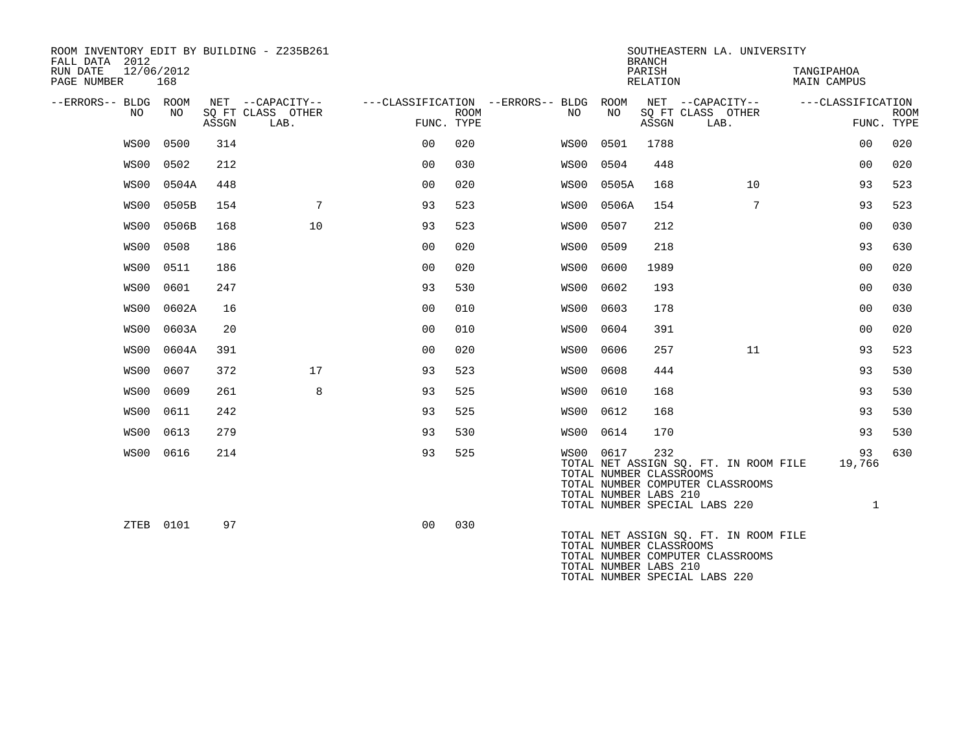| ROOM INVENTORY EDIT BY BUILDING - Z235B261<br>FALL DATA 2012 |            |       |                                       |                |             |                                          |            | <b>BRANCH</b>                                           | SOUTHEASTERN LA. UNIVERSITY                                                                                |                                  |             |
|--------------------------------------------------------------|------------|-------|---------------------------------------|----------------|-------------|------------------------------------------|------------|---------------------------------------------------------|------------------------------------------------------------------------------------------------------------|----------------------------------|-------------|
| 12/06/2012<br>RUN DATE<br>PAGE NUMBER                        | 168        |       |                                       |                |             |                                          |            | PARISH<br><b>RELATION</b>                               |                                                                                                            | TANGIPAHOA<br><b>MAIN CAMPUS</b> |             |
| --ERRORS-- BLDG<br>NO                                        | ROOM<br>NO |       | NET --CAPACITY--<br>SQ FT CLASS OTHER |                | <b>ROOM</b> | ---CLASSIFICATION --ERRORS-- BLDG<br>NO. | ROOM<br>NO |                                                         | NET --CAPACITY--<br>SQ FT CLASS OTHER                                                                      | ---CLASSIFICATION                | <b>ROOM</b> |
|                                                              |            | ASSGN | LAB.                                  | FUNC. TYPE     |             |                                          |            | ASSGN                                                   | LAB.                                                                                                       |                                  | FUNC. TYPE  |
| WS00                                                         | 0500       | 314   |                                       | 0 <sub>0</sub> | 020         | WS00                                     | 0501       | 1788                                                    |                                                                                                            | 0 <sub>0</sub>                   | 020         |
| WS00                                                         | 0502       | 212   |                                       | 0 <sub>0</sub> | 030         | WS00                                     | 0504       | 448                                                     |                                                                                                            | 0 <sub>0</sub>                   | 020         |
| WS00                                                         | 0504A      | 448   |                                       | 00             | 020         | WS00                                     | 0505A      | 168                                                     | 10                                                                                                         | 93                               | 523         |
| WS00                                                         | 0505B      | 154   | $7\phantom{.0}$                       | 93             | 523         | WS00                                     | 0506A      | 154                                                     | $7\phantom{.0}$                                                                                            | 93                               | 523         |
| WS00                                                         | 0506B      | 168   | 10                                    | 93             | 523         | WS00                                     | 0507       | 212                                                     |                                                                                                            | 0 <sub>0</sub>                   | 030         |
| WS00                                                         | 0508       | 186   |                                       | 00             | 020         | WS00                                     | 0509       | 218                                                     |                                                                                                            | 93                               | 630         |
| WS00                                                         | 0511       | 186   |                                       | 0 <sub>0</sub> | 020         | WS00                                     | 0600       | 1989                                                    |                                                                                                            | 0 <sub>0</sub>                   | 020         |
| WS00                                                         | 0601       | 247   |                                       | 93             | 530         | WS00                                     | 0602       | 193                                                     |                                                                                                            | 00                               | 030         |
| WS00                                                         | 0602A      | 16    |                                       | 0 <sub>0</sub> | 010         | WS00                                     | 0603       | 178                                                     |                                                                                                            | 00                               | 030         |
| WS00                                                         | 0603A      | 20    |                                       | 0 <sub>0</sub> | 010         | WS00                                     | 0604       | 391                                                     |                                                                                                            | 0 <sub>0</sub>                   | 020         |
| WS00                                                         | 0604A      | 391   |                                       | 00             | 020         | WS00                                     | 0606       | 257                                                     | 11                                                                                                         | 93                               | 523         |
| WS00                                                         | 0607       | 372   | 17                                    | 93             | 523         | WS00                                     | 0608       | 444                                                     |                                                                                                            | 93                               | 530         |
| WS00                                                         | 0609       | 261   | 8                                     | 93             | 525         | WS00                                     | 0610       | 168                                                     |                                                                                                            | 93                               | 530         |
| WS00                                                         | 0611       | 242   |                                       | 93             | 525         | WS00                                     | 0612       | 168                                                     |                                                                                                            | 93                               | 530         |
| WS00                                                         | 0613       | 279   |                                       | 93             | 530         | WS00                                     | 0614       | 170                                                     |                                                                                                            | 93                               | 530         |
| WS00                                                         | 0616       | 214   |                                       | 93             | 525         | WS00 0617                                |            | 232<br>TOTAL NUMBER CLASSROOMS<br>TOTAL NUMBER LABS 210 | TOTAL NET ASSIGN SQ. FT. IN ROOM FILE<br>TOTAL NUMBER COMPUTER CLASSROOMS<br>TOTAL NUMBER SPECIAL LABS 220 | 93<br>19,766<br>$\mathbf{1}$     | 630         |
|                                                              | ZTEB 0101  | 97    |                                       | 0 <sub>0</sub> | 030         |                                          |            | TOTAL NUMBER CLASSROOMS<br>TOTAL NUMBER LABS 210        | TOTAL NET ASSIGN SQ. FT. IN ROOM FILE<br>TOTAL NUMBER COMPUTER CLASSROOMS<br>TOTAL NUMBER SPECIAL LABS 220 |                                  |             |